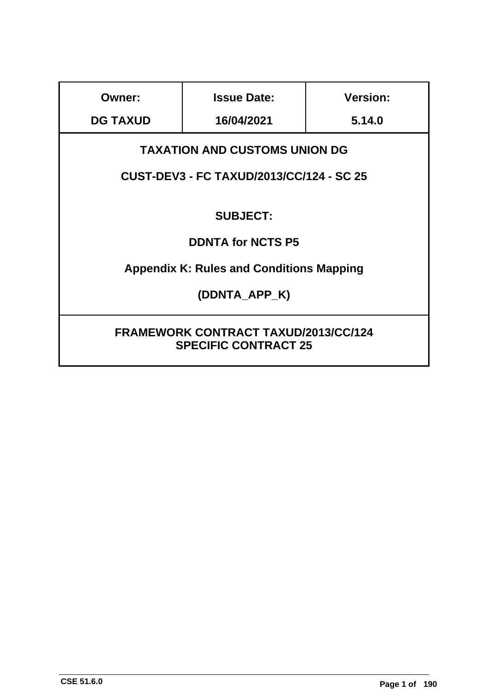| <b>Owner:</b>                                                              | <b>Issue Date:</b>                              | <b>Version:</b> |  |  |
|----------------------------------------------------------------------------|-------------------------------------------------|-----------------|--|--|
| <b>DG TAXUD</b>                                                            | 5.14.0                                          |                 |  |  |
| <b>TAXATION AND CUSTOMS UNION DG</b>                                       |                                                 |                 |  |  |
| CUST-DEV3 - FC TAXUD/2013/CC/124 - SC 25                                   |                                                 |                 |  |  |
|                                                                            |                                                 |                 |  |  |
|                                                                            | <b>SUBJECT:</b>                                 |                 |  |  |
|                                                                            | <b>DDNTA for NCTS P5</b>                        |                 |  |  |
|                                                                            | <b>Appendix K: Rules and Conditions Mapping</b> |                 |  |  |
| (DDNTA APP K)                                                              |                                                 |                 |  |  |
| <b>FRAMEWORK CONTRACT TAXUD/2013/CC/124</b><br><b>SPECIFIC CONTRACT 25</b> |                                                 |                 |  |  |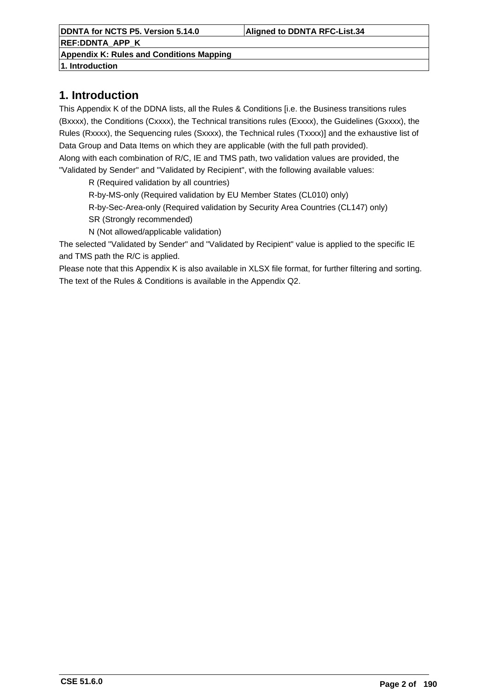**DDNTA for NCTS P5. Version 5.14.0 Aligned to DDNTA RFC-List.34 REF:DDNTA\_APP\_K Appendix K: Rules and Conditions Mapping 1. Introduction**

## **1. Introduction**

This Appendix K of the DDNA lists, all the Rules & Conditions [i.e. the Business transitions rules (Bxxxx), the Conditions (Cxxxx), the Technical transitions rules (Exxxx), the Guidelines (Gxxxx), the Rules (Rxxxx), the Sequencing rules (Sxxxx), the Technical rules (Txxxx)] and the exhaustive list of Data Group and Data Items on which they are applicable (with the full path provided). Along with each combination of R/C, IE and TMS path, two validation values are provided, the "Validated by Sender" and "Validated by Recipient", with the following available values:

R (Required validation by all countries)

R-by-MS-only (Required validation by EU Member States (CL010) only)

R-by-Sec-Area-only (Required validation by Security Area Countries (CL147) only)

SR (Strongly recommended)

N (Not allowed/applicable validation)

The selected "Validated by Sender" and "Validated by Recipient" value is applied to the specific IE and TMS path the R/C is applied.

Please note that this Appendix K is also available in XLSX file format, for further filtering and sorting. The text of the Rules & Conditions is available in the Appendix Q2.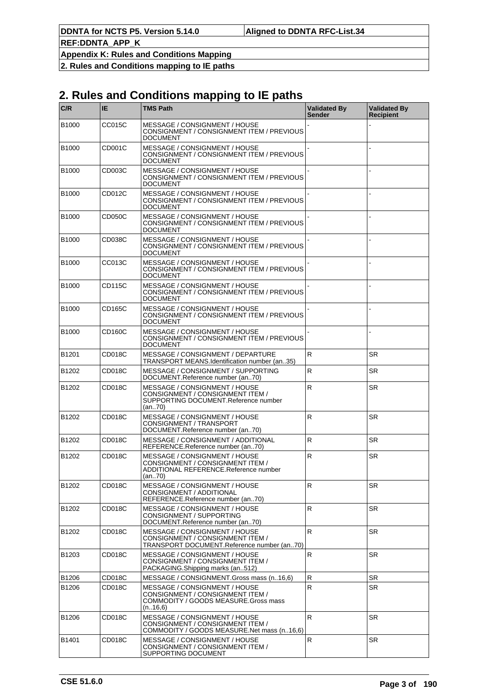**DDNTA for NCTS P5. Version 5.14.0 Aligned to DDNTA RFC-List.34**

**REF:DDNTA\_APP\_K**

**Appendix K: Rules and Conditions Mapping 2. Rules and Conditions mapping to IE paths**

# **2. Rules and Conditions mapping to IE paths**

| C/R               | IE.    | TMS Path                                                                                                              | <b>Validated By</b><br><b>Sender</b> | <b>Validated By</b><br><b>Recipient</b> |
|-------------------|--------|-----------------------------------------------------------------------------------------------------------------------|--------------------------------------|-----------------------------------------|
| B1000             | CC015C | MESSAGE / CONSIGNMENT / HOUSE<br>CONSIGNMENT / CONSIGNMENT ITEM / PREVIOUS<br><b>DOCUMENT</b>                         |                                      |                                         |
| B1000             | CD001C | MESSAGE / CONSIGNMENT / HOUSE<br>CONSIGNMENT / CONSIGNMENT ITEM / PREVIOUS<br><b>DOCUMENT</b>                         |                                      |                                         |
| B1000             | CD003C | MESSAGE / CONSIGNMENT / HOUSE<br>CONSIGNMENT / CONSIGNMENT ITEM / PREVIOUS<br><b>DOCUMENT</b>                         |                                      |                                         |
| B <sub>1000</sub> | CD012C | MESSAGE / CONSIGNMENT / HOUSE<br>CONSIGNMENT / CONSIGNMENT ITEM / PREVIOUS<br><b>DOCUMENT</b>                         |                                      |                                         |
| B <sub>1000</sub> | CD050C | MESSAGE / CONSIGNMENT / HOUSE<br>CONSIGNMENT / CONSIGNMENT ITEM / PREVIOUS<br><b>DOCUMENT</b>                         |                                      |                                         |
| B1000             | CD038C | MESSAGE / CONSIGNMENT / HOUSE<br>CONSIGNMENT / CONSIGNMENT ITEM / PREVIOUS<br><b>DOCUMENT</b>                         |                                      |                                         |
| B1000             | CC013C | MESSAGE / CONSIGNMENT / HOUSE<br>CONSIGNMENT / CONSIGNMENT ITEM / PREVIOUS<br><b>DOCUMENT</b>                         |                                      |                                         |
| B1000             | CD115C | MESSAGE / CONSIGNMENT / HOUSE<br>CONSIGNMENT / CONSIGNMENT ITEM / PREVIOUS<br><b>DOCUMENT</b>                         |                                      |                                         |
| B1000             | CD165C | MESSAGE / CONSIGNMENT / HOUSE<br>CONSIGNMENT / CONSIGNMENT ITEM / PREVIOUS<br><b>DOCUMENT</b>                         |                                      |                                         |
| B <sub>1000</sub> | CD160C | MESSAGE / CONSIGNMENT / HOUSE<br>CONSIGNMENT / CONSIGNMENT ITEM / PREVIOUS<br><b>DOCUMENT</b>                         |                                      |                                         |
| B1201             | CD018C | MESSAGE / CONSIGNMENT / DEPARTURE<br>TRANSPORT MEANS.Identification number (an35)                                     | R                                    | <b>SR</b>                               |
| B1202             | CD018C | MESSAGE / CONSIGNMENT / SUPPORTING<br>DOCUMENT.Reference number (an70)                                                | R                                    | <b>SR</b>                               |
| B1202             | CD018C | MESSAGE / CONSIGNMENT / HOUSE<br>CONSIGNMENT / CONSIGNMENT ITEM /<br>SUPPORTING DOCUMENT.Reference number<br>(an70)   | $\mathsf R$                          | <b>SR</b>                               |
| B1202             | CD018C | MESSAGE / CONSIGNMENT / HOUSE<br>CONSIGNMENT / TRANSPORT<br>DOCUMENT.Reference number (an70)                          | $\mathsf R$                          | <b>SR</b>                               |
| B1202             | CD018C | MESSAGE / CONSIGNMENT / ADDITIONAL<br>REFERENCE.Reference number (an.,70)                                             | R                                    | <b>SR</b>                               |
| B1202             | CD018C | MESSAGE / CONSIGNMENT / HOUSE<br>CONSIGNMENT / CONSIGNMENT ITEM /<br>ADDITIONAL REFERENCE.Reference number<br>(an70)  | $\mathsf R$                          | <b>SR</b>                               |
| B1202             | CD018C | MESSAGE / CONSIGNMENT / HOUSE<br>CONSIGNMENT / ADDITIONAL<br>REFERENCE.Reference number (an70)                        | $\mathsf{R}$                         | <b>SR</b>                               |
| B1202             | CD018C | MESSAGE / CONSIGNMENT / HOUSE<br>CONSIGNMENT / SUPPORTING<br>DOCUMENT.Reference number (an70)                         | R                                    | <b>SR</b>                               |
| B1202             | CD018C | MESSAGE / CONSIGNMENT / HOUSE<br>CONSIGNMENT / CONSIGNMENT ITEM /<br>TRANSPORT DOCUMENT.Reference number (an70)       | $\mathsf{R}$                         | <b>SR</b>                               |
| B1203             | CD018C | MESSAGE / CONSIGNMENT / HOUSE<br>CONSIGNMENT / CONSIGNMENT ITEM /<br>PACKAGING. Shipping marks (an512)                | $\mathsf{R}$                         | <b>SR</b>                               |
| B1206             | CD018C | MESSAGE / CONSIGNMENT.Gross mass (n16,6)                                                                              | R                                    | SR                                      |
| B1206             | CD018C | MESSAGE / CONSIGNMENT / HOUSE<br>CONSIGNMENT / CONSIGNMENT ITEM /<br>COMMODITY / GOODS MEASURE.Gross mass<br>(n.16,6) | R                                    | SR                                      |
| B1206             | CD018C | MESSAGE / CONSIGNMENT / HOUSE<br>CONSIGNMENT / CONSIGNMENT ITEM /<br>COMMODITY / GOODS MEASURE. Net mass (n16,6)      | R                                    | SR                                      |
| B1401             | CD018C | MESSAGE / CONSIGNMENT / HOUSE<br>CONSIGNMENT / CONSIGNMENT ITEM /<br>SUPPORTING DOCUMENT                              | $\mathsf{R}$                         | <b>SR</b>                               |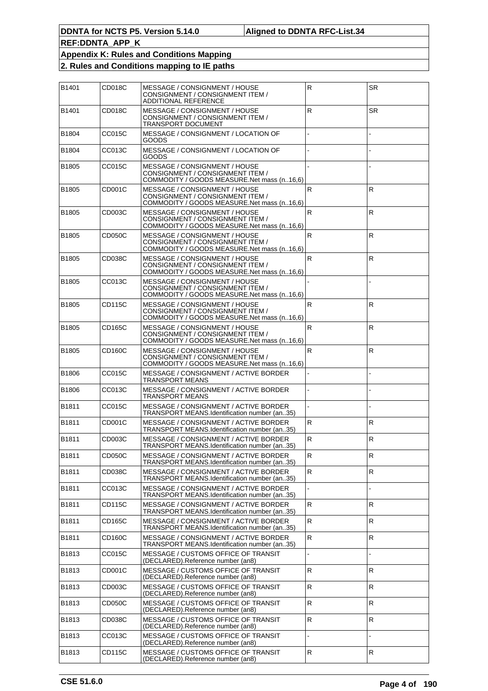| B1401        | CD018C        | MESSAGE / CONSIGNMENT / HOUSE<br>CONSIGNMENT / CONSIGNMENT ITEM /<br>ADDITIONAL REFERENCE                        | $\mathsf{R}$ | <b>SR</b>    |
|--------------|---------------|------------------------------------------------------------------------------------------------------------------|--------------|--------------|
| B1401        | CD018C        | MESSAGE / CONSIGNMENT / HOUSE<br>CONSIGNMENT / CONSIGNMENT ITEM /<br>TRANSPORT DOCUMENT                          | ${\sf R}$    | <b>SR</b>    |
| B1804        | CC015C        | MESSAGE / CONSIGNMENT / LOCATION OF<br>GOODS                                                                     |              |              |
| B1804        | CC013C        | MESSAGE / CONSIGNMENT / LOCATION OF<br>GOODS                                                                     |              |              |
| B1805        | CC015C        | MESSAGE / CONSIGNMENT / HOUSE<br>CONSIGNMENT / CONSIGNMENT ITEM /<br>COMMODITY / GOODS MEASURE.Net mass (n16,6)  |              |              |
| B1805        | CD001C        | MESSAGE / CONSIGNMENT / HOUSE<br>CONSIGNMENT / CONSIGNMENT ITEM /<br>COMMODITY / GOODS MEASURE.Net mass (n16,6)  | $\mathsf{R}$ | R            |
| B1805        | CD003C        | MESSAGE / CONSIGNMENT / HOUSE<br>CONSIGNMENT / CONSIGNMENT ITEM /<br>COMMODITY / GOODS MEASURE. Net mass (n16,6) | $\mathsf R$  | ${\sf R}$    |
| B1805        | CD050C        | MESSAGE / CONSIGNMENT / HOUSE<br>CONSIGNMENT / CONSIGNMENT ITEM /<br>COMMODITY / GOODS MEASURE.Net mass (n16,6)  | R.           | R.           |
| B1805        | CD038C        | MESSAGE / CONSIGNMENT / HOUSE<br>CONSIGNMENT / CONSIGNMENT ITEM /<br>COMMODITY / GOODS MEASURE.Net mass (n16,6)  | $\mathsf{R}$ | $\mathsf{R}$ |
| B1805        | CC013C        | MESSAGE / CONSIGNMENT / HOUSE<br>CONSIGNMENT / CONSIGNMENT ITEM /<br>COMMODITY / GOODS MEASURE. Net mass (n16,6) |              |              |
| B1805        | CD115C        | MESSAGE / CONSIGNMENT / HOUSE<br>CONSIGNMENT / CONSIGNMENT ITEM /<br>COMMODITY / GOODS MEASURE.Net mass (n16,6)  | R            | $\mathsf{R}$ |
| B1805        | CD165C        | MESSAGE / CONSIGNMENT / HOUSE<br>CONSIGNMENT / CONSIGNMENT ITEM /<br>COMMODITY / GOODS MEASURE.Net mass (n16,6)  | $\mathsf{R}$ | $\mathsf{R}$ |
| B1805        | CD160C        | MESSAGE / CONSIGNMENT / HOUSE<br>CONSIGNMENT / CONSIGNMENT ITEM /<br>COMMODITY / GOODS MEASURE.Net mass (n16,6)  | $\mathsf{R}$ | $\mathsf{R}$ |
| B1806        | CC015C        | MESSAGE / CONSIGNMENT / ACTIVE BORDER<br>TRANSPORT MEANS                                                         |              |              |
| B1806        | CC013C        | MESSAGE / CONSIGNMENT / ACTIVE BORDER<br>TRANSPORT MEANS                                                         |              |              |
| B1811        | CC015C        | MESSAGE / CONSIGNMENT / ACTIVE BORDER<br>TRANSPORT MEANS.Identification number (an35)                            |              |              |
| B1811        | CD001C        | MESSAGE / CONSIGNMENT / ACTIVE BORDER<br>TRANSPORT MEANS.Identification number (an35)                            | R            | R.           |
| <b>B1811</b> | CD003C        | MESSAGE / CONSIGNMENT / ACTIVE BORDER<br>TRANSPORT MEANS.Identification number (an35)                            | $\mathsf{R}$ | $\mathsf{R}$ |
| B1811        | CD050C        | MESSAGE / CONSIGNMENT / ACTIVE BORDER<br>TRANSPORT MEANS.Identification number (an35)                            | R.           | R            |
| B1811        | CD038C        | MESSAGE / CONSIGNMENT / ACTIVE BORDER<br>TRANSPORT MEANS.Identification number (an35)                            | R            | R.           |
| B1811        | CC013C        | MESSAGE / CONSIGNMENT / ACTIVE BORDER<br>TRANSPORT MEANS.Identification number (an35)                            |              |              |
| B1811        | CD115C        | MESSAGE / CONSIGNMENT / ACTIVE BORDER<br>TRANSPORT MEANS.Identification number (an35)                            | $\mathsf R$  | R            |
| B1811        | CD165C        | MESSAGE / CONSIGNMENT / ACTIVE BORDER<br>TRANSPORT MEANS.Identification number (an35)                            | R            | R.           |
| B1811        | CD160C        | MESSAGE / CONSIGNMENT / ACTIVE BORDER<br>TRANSPORT MEANS.Identification number (an35)                            | ${\sf R}$    | $\mathsf{R}$ |
| B1813        | CC015C        | MESSAGE / CUSTOMS OFFICE OF TRANSIT<br>(DECLARED).Reference number (an8)                                         |              |              |
| B1813        | CD001C        | <b>MESSAGE / CUSTOMS OFFICE OF TRANSIT</b><br>(DECLARED).Reference number (an8)                                  | R.           | R            |
| B1813        | CD003C        | MESSAGE / CUSTOMS OFFICE OF TRANSIT<br>(DECLARED).Reference number (an8)                                         | ${\sf R}$    | R            |
| B1813        | CD050C        | MESSAGE / CUSTOMS OFFICE OF TRANSIT<br>(DECLARED).Reference number (an8)                                         | ${\sf R}$    | R.           |
| B1813        | CD038C        | <b>MESSAGE / CUSTOMS OFFICE OF TRANSIT</b><br>(DECLARED).Reference number (an8)                                  | R            | R            |
| B1813        | CC013C        | MESSAGE / CUSTOMS OFFICE OF TRANSIT<br>(DECLARED).Reference number (an8)                                         |              |              |
| B1813        | <b>CD115C</b> | MESSAGE / CUSTOMS OFFICE OF TRANSIT<br>(DECLARED).Reference number (an8)                                         | $\mathsf{R}$ | R.           |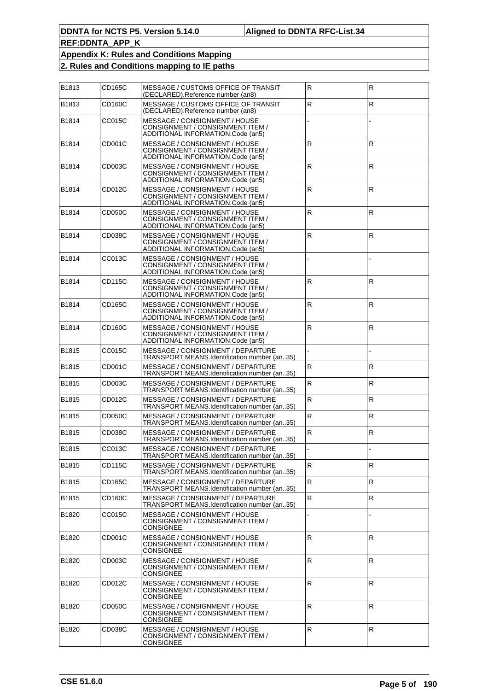| B1813             | CD165C | MESSAGE / CUSTOMS OFFICE OF TRANSIT<br>(DECLARED).Reference number (an8)                               | $\mathsf R$  | ${\sf R}$    |
|-------------------|--------|--------------------------------------------------------------------------------------------------------|--------------|--------------|
| B1813             | CD160C | MESSAGE / CUSTOMS OFFICE OF TRANSIT<br>(DECLARED).Reference number (an8)                               | $\mathsf R$  | R.           |
| B1814             | CC015C | MESSAGE / CONSIGNMENT / HOUSE<br>CONSIGNMENT / CONSIGNMENT ITEM /<br>ADDITIONAL INFORMATION.Code (an5) |              |              |
| B1814             | CD001C | MESSAGE / CONSIGNMENT / HOUSE<br>CONSIGNMENT / CONSIGNMENT ITEM /<br>ADDITIONAL INFORMATION.Code (an5) | $\mathsf R$  | R.           |
| B1814             | CD003C | MESSAGE / CONSIGNMENT / HOUSE<br>CONSIGNMENT / CONSIGNMENT ITEM /<br>ADDITIONAL INFORMATION.Code (an5) | ${\sf R}$    | $\mathsf{R}$ |
| B1814             | CD012C | MESSAGE / CONSIGNMENT / HOUSE<br>CONSIGNMENT / CONSIGNMENT ITEM /<br>ADDITIONAL INFORMATION.Code (an5) | ${\sf R}$    | $\mathsf{R}$ |
| B1814             | CD050C | MESSAGE / CONSIGNMENT / HOUSE<br>CONSIGNMENT / CONSIGNMENT ITEM /<br>ADDITIONAL INFORMATION.Code (an5) | $\mathsf R$  | R.           |
| B1814             | CD038C | MESSAGE / CONSIGNMENT / HOUSE<br>CONSIGNMENT / CONSIGNMENT ITEM /<br>ADDITIONAL INFORMATION.Code (an5) | ${\sf R}$    | $\mathsf{R}$ |
| B1814             | CC013C | MESSAGE / CONSIGNMENT / HOUSE<br>CONSIGNMENT / CONSIGNMENT ITEM /<br>ADDITIONAL INFORMATION.Code (an5) |              |              |
| B1814             | CD115C | MESSAGE / CONSIGNMENT / HOUSE<br>CONSIGNMENT / CONSIGNMENT ITEM /<br>ADDITIONAL INFORMATION.Code (an5) | $\mathsf{R}$ | R.           |
| B1814             | CD165C | MESSAGE / CONSIGNMENT / HOUSE<br>CONSIGNMENT / CONSIGNMENT ITEM /<br>ADDITIONAL INFORMATION.Code (an5) | ${\sf R}$    | $\mathsf{R}$ |
| B1814             | CD160C | MESSAGE / CONSIGNMENT / HOUSE<br>CONSIGNMENT / CONSIGNMENT ITEM /<br>ADDITIONAL INFORMATION.Code (an5) | $\mathsf R$  | $\mathsf{R}$ |
| B1815             | CC015C | MESSAGE / CONSIGNMENT / DEPARTURE<br>TRANSPORT MEANS.Identification number (an35)                      |              |              |
| B1815             | CD001C | MESSAGE / CONSIGNMENT / DEPARTURE<br>TRANSPORT MEANS.Identification number (an35)                      | $\mathsf R$  | R            |
| B1815             | CD003C | MESSAGE / CONSIGNMENT / DEPARTURE<br>TRANSPORT MEANS.Identification number (an35)                      | ${\sf R}$    | $\mathsf{R}$ |
| B1815             | CD012C | MESSAGE / CONSIGNMENT / DEPARTURE<br>TRANSPORT MEANS.Identification number (an35)                      | R            | R.           |
| B1815             | CD050C | MESSAGE / CONSIGNMENT / DEPARTURE<br>TRANSPORT MEANS.Identification number (an35)                      | $\mathsf R$  | R            |
| B1815             | CD038C | MESSAGE / CONSIGNMENT / DEPARTURE<br>TRANSPORT MEANS.Identification number (an35)                      | $\mathsf{R}$ | $\mathsf{R}$ |
| B1815             | CC013C | MESSAGE / CONSIGNMENT / DEPARTURE<br>TRANSPORT MEANS.Identification number (an35)                      |              |              |
| B1815             | CD115C | MESSAGE / CONSIGNMENT / DEPARTURE<br>TRANSPORT MEANS.Identification number (an35)                      | R            | R            |
| B1815             | CD165C | MESSAGE / CONSIGNMENT / DEPARTURE<br>TRANSPORT MEANS.Identification number (an35)                      | $\mathsf{R}$ | R.           |
| B1815             | CD160C | MESSAGE / CONSIGNMENT / DEPARTURE<br>TRANSPORT MEANS.Identification number (an35)                      | R            | R.           |
| B1820             | CC015C | MESSAGE / CONSIGNMENT / HOUSE<br>CONSIGNMENT / CONSIGNMENT ITEM /<br>CONSIGNEE                         |              |              |
| B1820             | CD001C | MESSAGE / CONSIGNMENT / HOUSE<br>CONSIGNMENT / CONSIGNMENT ITEM /<br>CONSIGNEE                         | $\mathsf R$  | R.           |
| B1820             | CD003C | MESSAGE / CONSIGNMENT / HOUSE<br>CONSIGNMENT / CONSIGNMENT ITEM /<br>CONSIGNEE                         | $\mathsf{R}$ | R.           |
| B <sub>1820</sub> | CD012C | MESSAGE / CONSIGNMENT / HOUSE<br>CONSIGNMENT / CONSIGNMENT ITEM /<br>CONSIGNEE                         | ${\sf R}$    | R            |
| B1820             | CD050C | MESSAGE / CONSIGNMENT / HOUSE<br>CONSIGNMENT / CONSIGNMENT ITEM /<br>CONSIGNEE                         | $\mathsf{R}$ | R.           |
| B1820             | CD038C | MESSAGE / CONSIGNMENT / HOUSE<br>CONSIGNMENT / CONSIGNMENT ITEM /<br>CONSIGNEE                         | ${\sf R}$    | R            |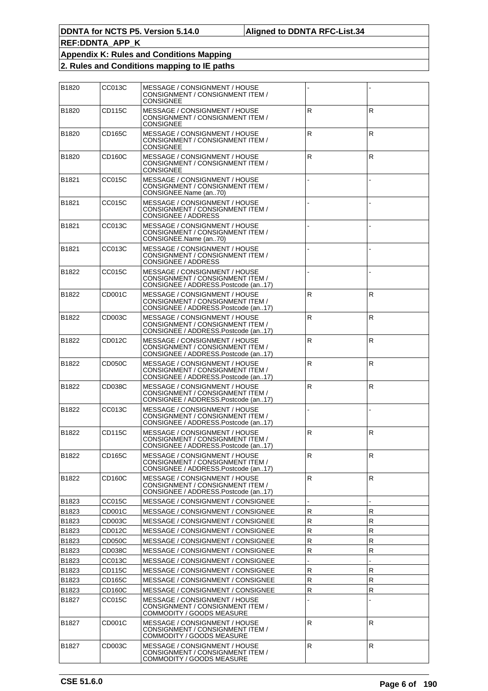| B1820 | CC013C              | MESSAGE / CONSIGNMENT / HOUSE<br>CONSIGNMENT / CONSIGNMENT ITEM /<br><b>CONSIGNEE</b>                      |              |              |
|-------|---------------------|------------------------------------------------------------------------------------------------------------|--------------|--------------|
| B1820 | CD115C              | MESSAGE / CONSIGNMENT / HOUSE<br>CONSIGNMENT / CONSIGNMENT ITEM /<br><b>CONSIGNEE</b>                      | $\mathsf{R}$ | $\mathsf{R}$ |
| B1820 | CD165C              | MESSAGE / CONSIGNMENT / HOUSE<br>CONSIGNMENT / CONSIGNMENT ITEM /<br><b>CONSIGNEE</b>                      | $\mathsf{R}$ | $\mathsf{R}$ |
| B1820 | CD160C              | MESSAGE / CONSIGNMENT / HOUSE<br>CONSIGNMENT / CONSIGNMENT ITEM /<br><b>CONSIGNEE</b>                      | $\mathsf{R}$ | $\mathsf{R}$ |
| B1821 | CC015C              | MESSAGE / CONSIGNMENT / HOUSE<br>CONSIGNMENT / CONSIGNMENT ITEM /<br>CONSIGNEE.Name (an70)                 |              |              |
| B1821 | CC015C              | MESSAGE / CONSIGNMENT / HOUSE<br>CONSIGNMENT / CONSIGNMENT ITEM /<br>CONSIGNEE / ADDRESS                   |              |              |
| B1821 | CC013C              | MESSAGE / CONSIGNMENT / HOUSE<br>CONSIGNMENT / CONSIGNMENT ITEM /<br>CONSIGNEE.Name (an70)                 |              |              |
| B1821 | CC013C              | MESSAGE / CONSIGNMENT / HOUSE<br>CONSIGNMENT / CONSIGNMENT ITEM /<br>CONSIGNEE / ADDRESS                   |              |              |
| B1822 | CC015C              | MESSAGE / CONSIGNMENT / HOUSE<br>CONSIGNMENT / CONSIGNMENT ITEM /<br>CONSIGNEE / ADDRESS.Postcode (an17)   |              |              |
| B1822 | CD001C              | MESSAGE / CONSIGNMENT / HOUSE<br>CONSIGNMENT / CONSIGNMENT ITEM /<br>CONSIGNEE / ADDRESS.Postcode (an17)   | $\mathsf{R}$ | $\mathsf{R}$ |
| B1822 | CD003C              | MESSAGE / CONSIGNMENT / HOUSE<br>CONSIGNMENT / CONSIGNMENT ITEM /<br>CONSIGNEE / ADDRESS.Postcode (an17)   | ${\sf R}$    | $\mathsf{R}$ |
| B1822 | CD012C              | MESSAGE / CONSIGNMENT / HOUSE<br>CONSIGNMENT / CONSIGNMENT ITEM /<br>CONSIGNEE / ADDRESS.Postcode (an17)   | R            | R            |
| B1822 | CD050C              | MESSAGE / CONSIGNMENT / HOUSE<br>CONSIGNMENT / CONSIGNMENT ITEM /<br>CONSIGNEE / ADDRESS.Postcode (an17)   | $\mathsf{R}$ | $\mathsf{R}$ |
| B1822 | CD038C              | MESSAGE / CONSIGNMENT / HOUSE<br>CONSIGNMENT / CONSIGNMENT ITEM /<br>CONSIGNEE / ADDRESS.Postcode (an17)   | ${\sf R}$    | $\mathsf{R}$ |
| B1822 | CC013C              | MESSAGE / CONSIGNMENT / HOUSE<br>CONSIGNMENT / CONSIGNMENT ITEM /<br>CONSIGNEE / ADDRESS.Postcode (an17)   |              |              |
| B1822 | CD115C              | MESSAGE / CONSIGNMENT / HOUSE<br>CONSIGNMENT / CONSIGNMENT ITEM /<br>CONSIGNEE / ADDRESS.Postcode (an17)   | $\mathsf{R}$ | $\mathsf{R}$ |
| B1822 | CD165C              | MESSAGE / CONSIGNMENT / HOUSE<br>CONSIGNMENT / CONSIGNMENT ITEM /<br>CONSIGNEE / ADDRESS.Postcode (an17)   | $\mathsf{R}$ | $\mathsf R$  |
| B1822 | CD160C              | MESSAGE / CONSIGNMENT / HOUSE<br>CONSIGNMENT / CONSIGNMENT ITEM /<br>CONSIGNEE / ADDRESS.Postcode (an.,17) | R            | R            |
| B1823 | CC015C              | MESSAGE / CONSIGNMENT / CONSIGNEE                                                                          |              |              |
| B1823 | CD001C              | MESSAGE / CONSIGNMENT / CONSIGNEE                                                                          | $\mathsf{R}$ | $\mathsf R$  |
| B1823 | CD003C              | MESSAGE / CONSIGNMENT / CONSIGNEE                                                                          | ${\sf R}$    | $\mathsf{R}$ |
| B1823 | CD012C              | MESSAGE / CONSIGNMENT / CONSIGNEE                                                                          | ${\sf R}$    | $\mathsf{R}$ |
| B1823 | CD050C              | MESSAGE / CONSIGNMENT / CONSIGNEE                                                                          | ${\sf R}$    | $\mathsf{R}$ |
| B1823 | CD038C              | MESSAGE / CONSIGNMENT / CONSIGNEE                                                                          | ${\sf R}$    | ${\sf R}$    |
| B1823 | CC013C              | MESSAGE / CONSIGNMENT / CONSIGNEE                                                                          |              |              |
| B1823 | CD115C              | MESSAGE / CONSIGNMENT / CONSIGNEE                                                                          | R            | $\mathsf R$  |
| B1823 | CD165C              | MESSAGE / CONSIGNMENT / CONSIGNEE                                                                          | ${\sf R}$    | $\mathsf{R}$ |
| B1823 | CD <sub>160</sub> C | MESSAGE / CONSIGNMENT / CONSIGNEE                                                                          | $\mathsf R$  | $\mathsf R$  |
| B1827 | CC015C              | MESSAGE / CONSIGNMENT / HOUSE<br>CONSIGNMENT / CONSIGNMENT ITEM /<br>COMMODITY / GOODS MEASURE             |              |              |
| B1827 | CD001C              | MESSAGE / CONSIGNMENT / HOUSE<br>CONSIGNMENT / CONSIGNMENT ITEM /<br>COMMODITY / GOODS MEASURE             | R            | R            |
| B1827 | CD003C              | MESSAGE / CONSIGNMENT / HOUSE<br>CONSIGNMENT / CONSIGNMENT ITEM /<br>COMMODITY / GOODS MEASURE             | R            | $\mathsf{R}$ |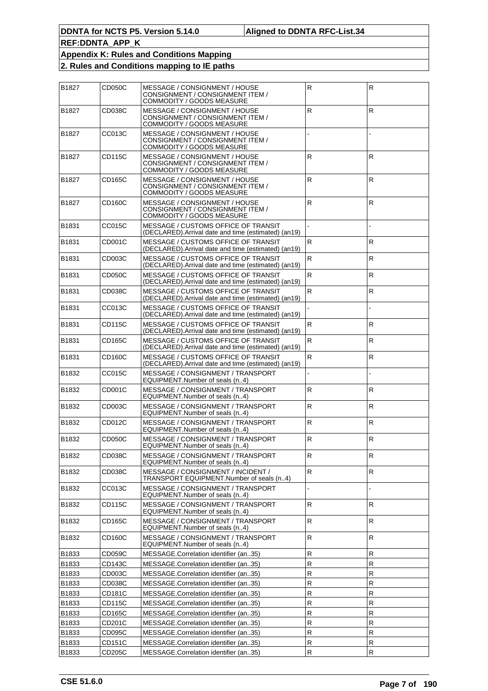| B1827 | CD050C | MESSAGE / CONSIGNMENT / HOUSE<br>CONSIGNMENT / CONSIGNMENT ITEM /<br>COMMODITY / GOODS MEASURE     | ${\sf R}$    | $\mathsf{R}$ |
|-------|--------|----------------------------------------------------------------------------------------------------|--------------|--------------|
| B1827 | CD038C | MESSAGE / CONSIGNMENT / HOUSE<br>CONSIGNMENT / CONSIGNMENT ITEM /<br>COMMODITY / GOODS MEASURE     | $\mathsf R$  | $\mathsf{R}$ |
| B1827 | CC013C | MESSAGE / CONSIGNMENT / HOUSE<br>CONSIGNMENT / CONSIGNMENT ITEM /<br>COMMODITY / GOODS MEASURE     |              |              |
| B1827 | CD115C | MESSAGE / CONSIGNMENT / HOUSE<br>CONSIGNMENT / CONSIGNMENT ITEM /<br>COMMODITY / GOODS MEASURE     | $\mathsf{R}$ | $\mathsf{R}$ |
| B1827 | CD165C | MESSAGE / CONSIGNMENT / HOUSE<br>CONSIGNMENT / CONSIGNMENT ITEM /<br>COMMODITY / GOODS MEASURE     | ${\sf R}$    | R            |
| B1827 | CD160C | MESSAGE / CONSIGNMENT / HOUSE<br>CONSIGNMENT / CONSIGNMENT ITEM /<br>COMMODITY / GOODS MEASURE     | R            | R            |
| B1831 | CC015C | MESSAGE / CUSTOMS OFFICE OF TRANSIT<br>(DECLARED). Arrival date and time (estimated) (an19)        |              |              |
| B1831 | CD001C | <b>MESSAGE / CUSTOMS OFFICE OF TRANSIT</b><br>(DECLARED). Arrival date and time (estimated) (an19) | R            | R.           |
| B1831 | CD003C | MESSAGE / CUSTOMS OFFICE OF TRANSIT<br>(DECLARED). Arrival date and time (estimated) (an19)        | R            | R            |
| B1831 | CD050C | MESSAGE / CUSTOMS OFFICE OF TRANSIT<br>(DECLARED). Arrival date and time (estimated) (an19)        | R            | R.           |
| B1831 | CD038C | MESSAGE / CUSTOMS OFFICE OF TRANSIT<br>(DECLARED). Arrival date and time (estimated) (an19)        | R            | R            |
| B1831 | CC013C | MESSAGE / CUSTOMS OFFICE OF TRANSIT                                                                |              |              |
| B1831 | CD115C | (DECLARED). Arrival date and time (estimated) (an19)<br>MESSAGE / CUSTOMS OFFICE OF TRANSIT        | R            | R.           |
| B1831 | CD165C | (DECLARED). Arrival date and time (estimated) (an19)<br>MESSAGE / CUSTOMS OFFICE OF TRANSIT        | R            | R            |
| B1831 | CD160C | (DECLARED). Arrival date and time (estimated) (an19)<br>MESSAGE / CUSTOMS OFFICE OF TRANSIT        | R            | R            |
| B1832 | CC015C | (DECLARED). Arrival date and time (estimated) (an19)<br>MESSAGE / CONSIGNMENT / TRANSPORT          |              |              |
| B1832 | CD001C | EQUIPMENT.Number of seals (n4)<br>MESSAGE / CONSIGNMENT / TRANSPORT                                | $\mathsf R$  | R            |
|       |        | EQUIPMENT.Number of seals (n4)                                                                     |              |              |
| B1832 | CD003C | MESSAGE / CONSIGNMENT / TRANSPORT<br>EQUIPMENT.Number of seals (n4)                                | $\mathsf R$  | R.           |
| B1832 | CD012C | MESSAGE / CONSIGNMENT / TRANSPORT<br>EQUIPMENT.Number of seals (n4)                                | $\mathsf R$  | R.           |
| B1832 | CD050C | MESSAGE / CONSIGNMENT / TRANSPORT<br>EQUIPMENT.Number of seals (n4)                                | $\mathsf R$  | R.           |
| B1832 | CD038C | MESSAGE / CONSIGNMENT / TRANSPORT<br>EQUIPMENT.Number of seals (n4)                                | $\mathsf R$  | R            |
| B1832 | CD038C | MESSAGE / CONSIGNMENT / INCIDENT /<br>TRANSPORT EQUIPMENT.Number of seals (n4)                     | $\mathsf R$  | R.           |
| B1832 | CC013C | MESSAGE / CONSIGNMENT / TRANSPORT<br>EQUIPMENT.Number of seals (n4)                                |              |              |
| B1832 | CD115C | MESSAGE / CONSIGNMENT / TRANSPORT<br>EQUIPMENT.Number of seals (n4)                                | $\mathsf{R}$ | R            |
| B1832 | CD165C | MESSAGE / CONSIGNMENT / TRANSPORT<br>EQUIPMENT.Number of seals (n4)                                | $\mathsf{R}$ | R            |
| B1832 | CD160C | MESSAGE / CONSIGNMENT / TRANSPORT<br>EQUIPMENT.Number of seals (n4)                                | ${\sf R}$    | R.           |
| B1833 | CD059C | MESSAGE.Correlation identifier (an35)                                                              | $\mathsf{R}$ | R            |
| B1833 | CD143C | MESSAGE.Correlation identifier (an35)                                                              | ${\sf R}$    | R            |
| B1833 | CD003C | MESSAGE.Correlation identifier (an35)                                                              | $\mathsf{R}$ | R            |
| B1833 | CD038C | MESSAGE.Correlation identifier (an35)                                                              | ${\sf R}$    | R            |
| B1833 | CD181C | MESSAGE.Correlation identifier (an35)                                                              | ${\sf R}$    | R            |
| B1833 | CD115C | MESSAGE.Correlation identifier (an35)                                                              | ${\sf R}$    | R            |
| B1833 | CD165C | MESSAGE.Correlation identifier (an35)                                                              | $\mathsf{R}$ | R            |
| B1833 | CD201C | MESSAGE.Correlation identifier (an35)                                                              | ${\sf R}$    | R            |
| B1833 | CD095C | MESSAGE.Correlation identifier (an35)                                                              | ${\sf R}$    | $\mathsf{R}$ |
| B1833 | CD151C | MESSAGE.Correlation identifier (an35)                                                              | ${\sf R}$    | $\mathsf{R}$ |
| B1833 | CD205C | MESSAGE.Correlation identifier (an35)                                                              | $\mathsf{R}$ | R            |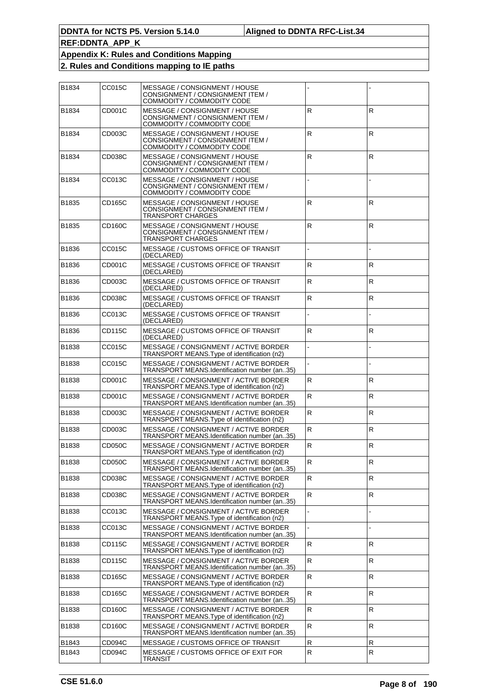| B1834        | CC015C | MESSAGE / CONSIGNMENT / HOUSE<br>CONSIGNMENT / CONSIGNMENT ITEM /<br>COMMODITY / COMMODITY CODE |              |              |
|--------------|--------|-------------------------------------------------------------------------------------------------|--------------|--------------|
| B1834        | CD001C | MESSAGE / CONSIGNMENT / HOUSE<br>CONSIGNMENT / CONSIGNMENT ITEM /<br>COMMODITY / COMMODITY CODE | $\mathsf{R}$ | $\mathsf{R}$ |
| B1834        | CD003C | MESSAGE / CONSIGNMENT / HOUSE<br>CONSIGNMENT / CONSIGNMENT ITEM /<br>COMMODITY / COMMODITY CODE | ${\sf R}$    | $\mathsf{R}$ |
| B1834        | CD038C | MESSAGE / CONSIGNMENT / HOUSE<br>CONSIGNMENT / CONSIGNMENT ITEM /<br>COMMODITY / COMMODITY CODE | $\mathsf{R}$ | R.           |
| B1834        | CC013C | MESSAGE / CONSIGNMENT / HOUSE<br>CONSIGNMENT / CONSIGNMENT ITEM /<br>COMMODITY / COMMODITY CODE |              |              |
| B1835        | CD165C | MESSAGE / CONSIGNMENT / HOUSE<br>CONSIGNMENT / CONSIGNMENT ITEM /<br>TRANSPORT CHARGES          | ${\sf R}$    | $\mathsf{R}$ |
| B1835        | CD160C | MESSAGE / CONSIGNMENT / HOUSE<br>CONSIGNMENT / CONSIGNMENT ITEM /<br>TRANSPORT CHARGES          | ${\sf R}$    | R.           |
| B1836        | CC015C | MESSAGE / CUSTOMS OFFICE OF TRANSIT<br>(DECLARED)                                               |              |              |
| B1836        | CD001C | MESSAGE / CUSTOMS OFFICE OF TRANSIT<br>(DECLARED)                                               | $\mathsf R$  | R.           |
| B1836        | CD003C | MESSAGE / CUSTOMS OFFICE OF TRANSIT<br>(DECLARED)                                               | ${\sf R}$    | $\mathsf{R}$ |
| B1836        | CD038C | <b>MESSAGE / CUSTOMS OFFICE OF TRANSIT</b><br>(DECLARED)                                        | ${\sf R}$    | R            |
| B1836        | CC013C | MESSAGE / CUSTOMS OFFICE OF TRANSIT<br>(DECLARED)                                               |              |              |
| B1836        | CD115C | MESSAGE / CUSTOMS OFFICE OF TRANSIT<br>(DECLARED)                                               | ${\sf R}$    | $\mathsf{R}$ |
| B1838        | CC015C | MESSAGE / CONSIGNMENT / ACTIVE BORDER<br>TRANSPORT MEANS. Type of identification (n2)           |              |              |
| B1838        | CC015C | MESSAGE / CONSIGNMENT / ACTIVE BORDER<br>TRANSPORT MEANS.Identification number (an35)           |              |              |
| B1838        | CD001C | MESSAGE / CONSIGNMENT / ACTIVE BORDER<br>TRANSPORT MEANS.Type of identification (n2)            | $\mathsf R$  | R            |
| B1838        | CD001C | MESSAGE / CONSIGNMENT / ACTIVE BORDER<br>TRANSPORT MEANS.Identification number (an35)           | $\mathsf R$  | R            |
| B1838        | CD003C | MESSAGE / CONSIGNMENT / ACTIVE BORDER<br>TRANSPORT MEANS. Type of identification (n2)           | R            | R.           |
| B1838        | CD003C | MESSAGE / CONSIGNMENT / ACTIVE BORDER<br>TRANSPORT MEANS.Identification number (an35)           | ${\sf R}$    | R            |
| <b>B1838</b> | CD050C | MESSAGE / CONSIGNMENT / ACTIVE BORDER<br>TRANSPORT MEANS. Type of identification (n2)           | R.           | R            |
| B1838        | CD050C | MESSAGE / CONSIGNMENT / ACTIVE BORDER<br>TRANSPORT MEANS.Identification number (an35)           | R            | R            |
| B1838        | CD038C | MESSAGE / CONSIGNMENT / ACTIVE BORDER<br>TRANSPORT MEANS. Type of identification (n2)           | ${\sf R}$    | R            |
| B1838        | CD038C | MESSAGE / CONSIGNMENT / ACTIVE BORDER<br>TRANSPORT MEANS.Identification number (an.,35)         | $\mathsf R$  | R            |
| B1838        | CC013C | MESSAGE / CONSIGNMENT / ACTIVE BORDER<br>TRANSPORT MEANS. Type of identification (n2)           |              |              |
| B1838        | CC013C | MESSAGE / CONSIGNMENT / ACTIVE BORDER<br>TRANSPORT MEANS.Identification number (an35)           |              |              |
| B1838        | CD115C | MESSAGE / CONSIGNMENT / ACTIVE BORDER<br>TRANSPORT MEANS. Type of identification (n2)           | $\mathsf{R}$ | R            |
| B1838        | CD115C | MESSAGE / CONSIGNMENT / ACTIVE BORDER<br>TRANSPORT MEANS.Identification number (an35)           | $\mathsf R$  | R.           |
| B1838        | CD165C | MESSAGE / CONSIGNMENT / ACTIVE BORDER<br>TRANSPORT MEANS. Type of identification (n2)           | ${\sf R}$    | R            |
| B1838        | CD165C | MESSAGE / CONSIGNMENT / ACTIVE BORDER<br>TRANSPORT MEANS.Identification number (an35)           | $\mathsf{R}$ | R            |
| B1838        | CD160C | MESSAGE / CONSIGNMENT / ACTIVE BORDER<br>TRANSPORT MEANS. Type of identification (n2)           | R            | R.           |
| B1838        | CD160C | MESSAGE / CONSIGNMENT / ACTIVE BORDER<br>TRANSPORT MEANS.Identification number (an35)           | ${\sf R}$    | R            |
| B1843        | CD094C | MESSAGE / CUSTOMS OFFICE OF TRANSIT                                                             | ${\sf R}$    | R            |
| B1843        | CD094C | MESSAGE / CUSTOMS OFFICE OF EXIT FOR<br>TRANSIT                                                 | $\mathsf{R}$ | $\mathsf{R}$ |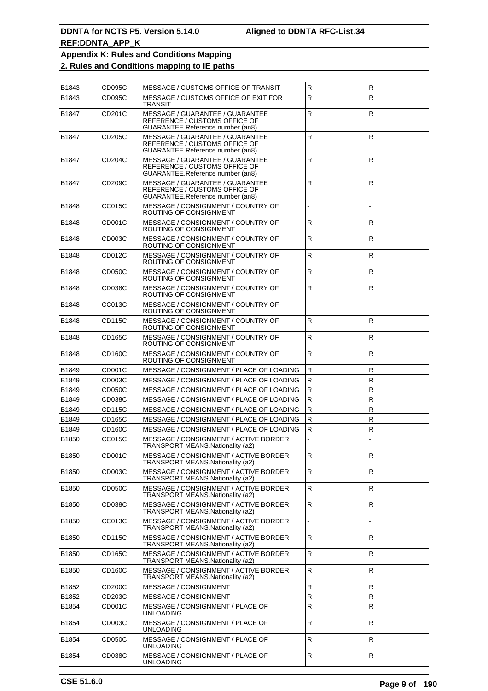| B1843 | CD095C        | MESSAGE / CUSTOMS OFFICE OF TRANSIT                                                                  | ${\sf R}$    | R            |
|-------|---------------|------------------------------------------------------------------------------------------------------|--------------|--------------|
| B1843 | CD095C        | MESSAGE / CUSTOMS OFFICE OF EXIT FOR<br>TRANSIT                                                      | $\mathsf{R}$ | $\mathsf{R}$ |
| B1847 | CD201C        | MESSAGE / GUARANTEE / GUARANTEE<br>REFERENCE / CUSTOMS OFFICE OF<br>GUARANTEE.Reference number (an8) | ${\sf R}$    | R.           |
| B1847 | CD205C        | MESSAGE / GUARANTEE / GUARANTEE<br>REFERENCE / CUSTOMS OFFICE OF<br>GUARANTEE.Reference number (an8) | ${\sf R}$    | $\mathsf{R}$ |
| B1847 | CD204C        | MESSAGE / GUARANTEE / GUARANTEE<br>REFERENCE / CUSTOMS OFFICE OF<br>GUARANTEE.Reference number (an8) | $\mathsf{R}$ | R.           |
| B1847 | CD209C        | MESSAGE / GUARANTEE / GUARANTEE<br>REFERENCE / CUSTOMS OFFICE OF<br>GUARANTEE.Reference number (an8) | ${\sf R}$    | $\mathsf{R}$ |
| B1848 | CC015C        | MESSAGE / CONSIGNMENT / COUNTRY OF<br>ROUTING OF CONSIGNMENT                                         |              |              |
| B1848 | CD001C        | MESSAGE / CONSIGNMENT / COUNTRY OF<br>ROUTING OF CONSIGNMENT                                         | $\mathsf{R}$ | R            |
| B1848 | CD003C        | MESSAGE / CONSIGNMENT / COUNTRY OF<br>ROUTING OF CONSIGNMENT                                         | $\mathsf R$  | R.           |
| B1848 | CD012C        | MESSAGE / CONSIGNMENT / COUNTRY OF<br>ROUTING OF CONSIGNMENT                                         | ${\sf R}$    | R            |
| B1848 | CD050C        | MESSAGE / CONSIGNMENT / COUNTRY OF<br>ROUTING OF CONSIGNMENT                                         | $\mathsf{R}$ | R            |
| B1848 | CD038C        | MESSAGE / CONSIGNMENT / COUNTRY OF<br>ROUTING OF CONSIGNMENT                                         | $\mathsf R$  | R.           |
| B1848 | CC013C        | MESSAGE / CONSIGNMENT / COUNTRY OF<br>ROUTING OF CONSIGNMENT                                         |              |              |
| B1848 | CD115C        | MESSAGE / CONSIGNMENT / COUNTRY OF<br>ROUTING OF CONSIGNMENT                                         | $\mathsf{R}$ | R            |
| B1848 | CD165C        | MESSAGE / CONSIGNMENT / COUNTRY OF<br>ROUTING OF CONSIGNMENT                                         | $\mathsf R$  | R.           |
| B1848 | CD160C        | MESSAGE / CONSIGNMENT / COUNTRY OF<br>ROUTING OF CONSIGNMENT                                         | ${\sf R}$    | R            |
| B1849 | CD001C        | MESSAGE / CONSIGNMENT / PLACE OF LOADING                                                             | R            | R            |
| B1849 | CD003C        | MESSAGE / CONSIGNMENT / PLACE OF LOADING                                                             | $\mathsf R$  | ${\sf R}$    |
| B1849 | CD050C        | MESSAGE / CONSIGNMENT / PLACE OF LOADING                                                             | $\mathsf R$  | ${\sf R}$    |
| B1849 | CD038C        | MESSAGE / CONSIGNMENT / PLACE OF LOADING                                                             | $\mathsf R$  | $\mathsf{R}$ |
| B1849 | <b>CD115C</b> | MESSAGE / CONSIGNMENT / PLACE OF LOADING                                                             | $\mathsf R$  | $\mathsf{R}$ |
| B1849 | CD165C        | MESSAGE / CONSIGNMENT / PLACE OF LOADING                                                             | $\mathsf R$  | $\mathsf R$  |
| B1849 | CD160C        | MESSAGE / CONSIGNMENT / PLACE OF LOADING                                                             | $\mathsf{R}$ | R            |
| B1850 | CC015C        | MESSAGE / CONSIGNMENT / ACTIVE BORDER<br>TRANSPORT MEANS.Nationality (a2)                            |              |              |
| B1850 | CD001C        | MESSAGE / CONSIGNMENT / ACTIVE BORDER<br>TRANSPORT MEANS.Nationality (a2)                            | R            | R            |
| B1850 | CD003C        | MESSAGE / CONSIGNMENT / ACTIVE BORDER<br>TRANSPORT MEANS.Nationality (a2)                            | $\mathsf R$  | R.           |
| B1850 | CD050C        | MESSAGE / CONSIGNMENT / ACTIVE BORDER<br>TRANSPORT MEANS.Nationality (a2)                            | $\mathsf{R}$ | $\mathsf{R}$ |
| B1850 | CD038C        | MESSAGE / CONSIGNMENT / ACTIVE BORDER<br>TRANSPORT MEANS.Nationality (a2)                            | $\mathsf R$  | R.           |
| B1850 | CC013C        | MESSAGE / CONSIGNMENT / ACTIVE BORDER<br>TRANSPORT MEANS.Nationality (a2)                            |              |              |
| B1850 | CD115C        | MESSAGE / CONSIGNMENT / ACTIVE BORDER<br>TRANSPORT MEANS.Nationality (a2)                            | $\mathsf{R}$ | R.           |
| B1850 | CD165C        | MESSAGE / CONSIGNMENT / ACTIVE BORDER<br>TRANSPORT MEANS.Nationality (a2)                            | $\mathsf R$  | R            |
| B1850 | CD160C        | MESSAGE / CONSIGNMENT / ACTIVE BORDER<br>TRANSPORT MEANS.Nationality (a2)                            | $\mathsf R$  | R            |
| B1852 | CD200C        | MESSAGE / CONSIGNMENT                                                                                | $\mathsf R$  | R            |
| B1852 | CD203C        | MESSAGE / CONSIGNMENT                                                                                | ${\sf R}$    | $\mathsf{R}$ |
| B1854 | CD001C        | MESSAGE / CONSIGNMENT / PLACE OF<br>UNLOADING                                                        | ${\sf R}$    | R.           |
| B1854 | CD003C        | MESSAGE / CONSIGNMENT / PLACE OF<br>UNLOADING                                                        | R            | R            |
| B1854 | CD050C        | MESSAGE / CONSIGNMENT / PLACE OF<br>UNLOADING                                                        | $\mathsf R$  | R.           |
| B1854 | CD038C        | MESSAGE / CONSIGNMENT / PLACE OF<br>UNLOADING                                                        | $\mathsf{R}$ | R.           |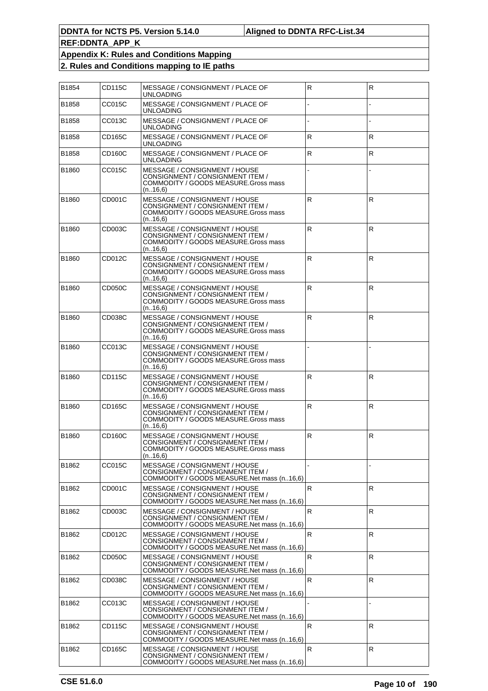| B1854 | CD115C | MESSAGE / CONSIGNMENT / PLACE OF<br>UNLOADING                                                                         | R  | R            |
|-------|--------|-----------------------------------------------------------------------------------------------------------------------|----|--------------|
| B1858 | CC015C | MESSAGE / CONSIGNMENT / PLACE OF<br>UNLOADING                                                                         |    |              |
| B1858 | CC013C | MESSAGE / CONSIGNMENT / PLACE OF<br>UNLOADING                                                                         |    |              |
| B1858 | CD165C | MESSAGE / CONSIGNMENT / PLACE OF<br>UNLOADING                                                                         | R  | $\mathsf{R}$ |
| B1858 | CD160C | MESSAGE / CONSIGNMENT / PLACE OF<br>UNLOADING                                                                         | R  | R.           |
| B1860 | CC015C | MESSAGE / CONSIGNMENT / HOUSE<br>CONSIGNMENT / CONSIGNMENT ITEM /<br>COMMODITY / GOODS MEASURE.Gross mass<br>(n.16,6) |    |              |
| B1860 | CD001C | MESSAGE / CONSIGNMENT / HOUSE<br>CONSIGNMENT / CONSIGNMENT ITEM /<br>COMMODITY / GOODS MEASURE.Gross mass<br>(n.16,6) | R  | $\mathsf{R}$ |
| B1860 | CD003C | MESSAGE / CONSIGNMENT / HOUSE<br>CONSIGNMENT / CONSIGNMENT ITEM /<br>COMMODITY / GOODS MEASURE.Gross mass<br>(n.16,6) | R  | $\mathsf{R}$ |
| B1860 | CD012C | MESSAGE / CONSIGNMENT / HOUSE<br>CONSIGNMENT / CONSIGNMENT ITEM /<br>COMMODITY / GOODS MEASURE.Gross mass<br>(n.16,6) | R  | $\mathsf{R}$ |
| B1860 | CD050C | MESSAGE / CONSIGNMENT / HOUSE<br>CONSIGNMENT / CONSIGNMENT ITEM /<br>COMMODITY / GOODS MEASURE.Gross mass<br>(n.16,6) | R  | $\mathsf{R}$ |
| B1860 | CD038C | MESSAGE / CONSIGNMENT / HOUSE<br>CONSIGNMENT / CONSIGNMENT ITEM /<br>COMMODITY / GOODS MEASURE.Gross mass<br>(n.16,6) | R  | R            |
| B1860 | CC013C | MESSAGE / CONSIGNMENT / HOUSE<br>CONSIGNMENT / CONSIGNMENT ITEM /<br>COMMODITY / GOODS MEASURE.Gross mass<br>(n.16,6) |    |              |
| B1860 | CD115C | MESSAGE / CONSIGNMENT / HOUSE<br>CONSIGNMENT / CONSIGNMENT ITEM /<br>COMMODITY / GOODS MEASURE.Gross mass<br>(n.16,6) | R  | R            |
| B1860 | CD165C | MESSAGE / CONSIGNMENT / HOUSE<br>CONSIGNMENT / CONSIGNMENT ITEM /<br>COMMODITY / GOODS MEASURE.Gross mass<br>(n.16,6) | R  | R            |
| B1860 | CD160C | MESSAGE / CONSIGNMENT / HOUSE<br>CONSIGNMENT / CONSIGNMENT ITEM /<br>COMMODITY / GOODS MEASURE.Gross mass<br>(n.16,6) | R  | $\mathsf{R}$ |
| B1862 | CC015C | MESSAGE / CONSIGNMENT / HOUSE<br>CONSIGNMENT / CONSIGNMENT ITEM /<br>COMMODITY / GOODS MEASURE.Net mass (n16.6)       |    |              |
| B1862 | CD001C | MESSAGE / CONSIGNMENT / HOUSE<br>CONSIGNMENT / CONSIGNMENT ITEM /<br>COMMODITY / GOODS MEASURE.Net mass (n16,6)       | R  | $\mathsf{R}$ |
| B1862 | CD003C | MESSAGE / CONSIGNMENT / HOUSE<br>CONSIGNMENT / CONSIGNMENT ITEM /<br>COMMODITY / GOODS MEASURE.Net mass (n16,6)       | R  | R            |
| B1862 | CD012C | MESSAGE / CONSIGNMENT / HOUSE<br>CONSIGNMENT / CONSIGNMENT ITEM /<br>COMMODITY / GOODS MEASURE.Net mass (n16.6)       | R. | R            |
| B1862 | CD050C | MESSAGE / CONSIGNMENT / HOUSE<br>CONSIGNMENT / CONSIGNMENT ITEM /<br>COMMODITY / GOODS MEASURE.Net mass (n16,6)       | R  | $\mathsf{R}$ |
| B1862 | CD038C | MESSAGE / CONSIGNMENT / HOUSE<br>CONSIGNMENT / CONSIGNMENT ITEM /<br>COMMODITY / GOODS MEASURE.Net mass (n16,6)       | R  | R            |
| B1862 | CC013C | MESSAGE / CONSIGNMENT / HOUSE<br>CONSIGNMENT / CONSIGNMENT ITEM /<br>COMMODITY / GOODS MEASURE.Net mass (n16.6)       |    |              |
| B1862 | CD115C | MESSAGE / CONSIGNMENT / HOUSE<br>CONSIGNMENT / CONSIGNMENT ITEM /<br>COMMODITY / GOODS MEASURE.Net mass (n16,6)       | R  | $\mathsf{R}$ |
| B1862 | CD165C | MESSAGE / CONSIGNMENT / HOUSE<br>CONSIGNMENT / CONSIGNMENT ITEM /<br>COMMODITY / GOODS MEASURE.Net mass (n16,6)       | R  | R            |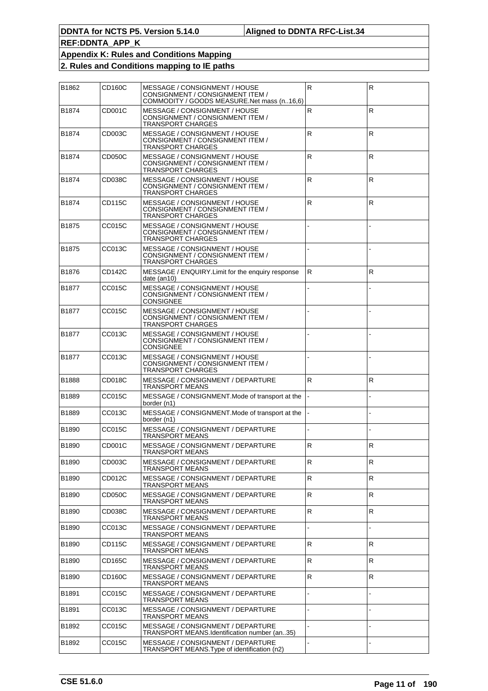| B1862        | CD160C        | MESSAGE / CONSIGNMENT / HOUSE                                                                 | ${\sf R}$    | R            |
|--------------|---------------|-----------------------------------------------------------------------------------------------|--------------|--------------|
|              |               | CONSIGNMENT / CONSIGNMENT ITEM /<br>COMMODITY / GOODS MEASURE.Net mass (n16,6)                |              |              |
| B1874        | CD001C        | MESSAGE / CONSIGNMENT / HOUSE<br>CONSIGNMENT / CONSIGNMENT ITEM /<br><b>TRANSPORT CHARGES</b> | ${\sf R}$    | R            |
| B1874        | CD003C        | MESSAGE / CONSIGNMENT / HOUSE<br>CONSIGNMENT / CONSIGNMENT ITEM /<br>TRANSPORT CHARGES        | ${\sf R}$    | ${\sf R}$    |
| B1874        | CD050C        | MESSAGE / CONSIGNMENT / HOUSE<br>CONSIGNMENT / CONSIGNMENT ITEM /<br>TRANSPORT CHARGES        | $\mathsf{R}$ | $\mathsf{R}$ |
| B1874        | CD038C        | MESSAGE / CONSIGNMENT / HOUSE<br>CONSIGNMENT / CONSIGNMENT ITEM /<br>TRANSPORT CHARGES        | $\mathsf{R}$ | R            |
| B1874        | CD115C        | MESSAGE / CONSIGNMENT / HOUSE<br>CONSIGNMENT / CONSIGNMENT ITEM /<br>TRANSPORT CHARGES        | ${\sf R}$    | $\mathsf{R}$ |
| B1875        | CC015C        | MESSAGE / CONSIGNMENT / HOUSE<br>CONSIGNMENT / CONSIGNMENT ITEM /<br>TRANSPORT CHARGES        |              |              |
| B1875        | CC013C        | MESSAGE / CONSIGNMENT / HOUSE<br>CONSIGNMENT / CONSIGNMENT ITEM /<br><b>TRANSPORT CHARGES</b> |              |              |
| B1876        | <b>CD142C</b> | MESSAGE / ENQUIRY.Limit for the enquiry response<br>date (an10)                               | R.           | $\mathsf{R}$ |
| B1877        | CC015C        | MESSAGE / CONSIGNMENT / HOUSE<br>CONSIGNMENT / CONSIGNMENT ITEM /<br>CONSIGNEE                |              |              |
| B1877        | CC015C        | MESSAGE / CONSIGNMENT / HOUSE<br>CONSIGNMENT / CONSIGNMENT ITEM /<br>TRANSPORT CHARGES        |              |              |
| B1877        | CC013C        | MESSAGE / CONSIGNMENT / HOUSE<br>CONSIGNMENT / CONSIGNMENT ITEM /<br>CONSIGNEE                |              |              |
| B1877        | CC013C        | MESSAGE / CONSIGNMENT / HOUSE<br>CONSIGNMENT / CONSIGNMENT ITEM /<br>TRANSPORT CHARGES        |              |              |
| B1888        | CD018C        | MESSAGE / CONSIGNMENT / DEPARTURE<br>TRANSPORT MEANS                                          | ${\sf R}$    | R            |
| B1889        | CC015C        | MESSAGE / CONSIGNMENT.Mode of transport at the<br>border (n1)                                 |              |              |
| B1889        | CC013C        | MESSAGE / CONSIGNMENT.Mode of transport at the<br>border (n1)                                 |              |              |
| B1890        | CC015C        | MESSAGE / CONSIGNMENT / DEPARTURE<br>TRANSPORT MEANS                                          |              |              |
| <b>B1890</b> | CD001C        | MESSAGE / CONSIGNMENT / DEPARTURE<br>TRANSPORT MEANS                                          | R            | R            |
| B1890        | CD003C        | MESSAGE / CONSIGNMENT / DEPARTURE<br>TRANSPORT MEANS                                          | R            | R            |
| B1890        | CD012C        | MESSAGE / CONSIGNMENT / DEPARTURE<br>TRANSPORT MEANS                                          | ${\sf R}$    | $\mathsf{R}$ |
| B1890        | CD050C        | MESSAGE / CONSIGNMENT / DEPARTURE<br><b>TRANSPORT MEANS</b>                                   | R.           | R            |
| B1890        | CD038C        | MESSAGE / CONSIGNMENT / DEPARTURE<br>TRANSPORT MEANS                                          | $\mathsf R$  | R            |
| B1890        | CC013C        | MESSAGE / CONSIGNMENT / DEPARTURE<br>TRANSPORT MEANS                                          |              |              |
| B1890        | CD115C        | MESSAGE / CONSIGNMENT / DEPARTURE<br>TRANSPORT MEANS                                          | R            | R            |
| B1890        | CD165C        | MESSAGE / CONSIGNMENT / DEPARTURE<br>TRANSPORT MEANS                                          | $\mathsf R$  | R            |
| B1890        | CD160C        | MESSAGE / CONSIGNMENT / DEPARTURE<br>TRANSPORT MEANS                                          | ${\sf R}$    | R            |
| B1891        | CC015C        | MESSAGE / CONSIGNMENT / DEPARTURE<br>TRANSPORT MEANS                                          |              |              |
| B1891        | CC013C        | MESSAGE / CONSIGNMENT / DEPARTURE<br>TRANSPORT MEANS                                          |              |              |
| B1892        | CC015C        | MESSAGE / CONSIGNMENT / DEPARTURE<br>TRANSPORT MEANS.Identification number (an35)             |              |              |
| B1892        | CC015C        | MESSAGE / CONSIGNMENT / DEPARTURE<br>TRANSPORT MEANS. Type of identification (n2)             |              |              |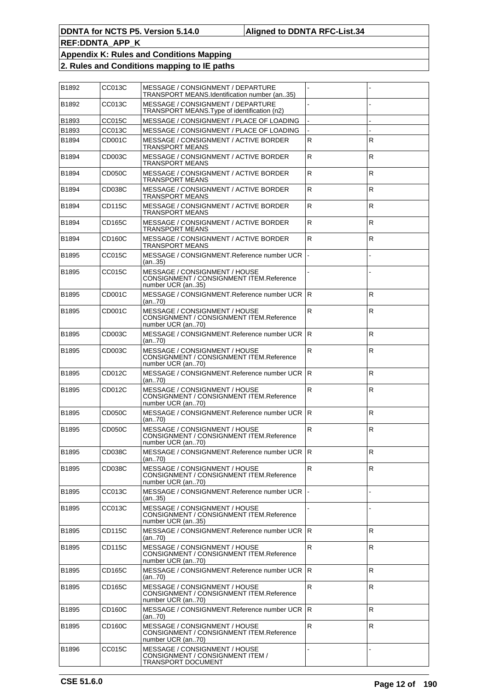| B1892 | CC013C | MESSAGE / CONSIGNMENT / DEPARTURE<br>TRANSPORT MEANS.Identification number (an35)              |              |              |
|-------|--------|------------------------------------------------------------------------------------------------|--------------|--------------|
| B1892 | CC013C | MESSAGE / CONSIGNMENT / DEPARTURE<br>TRANSPORT MEANS. Type of identification (n2)              |              |              |
| B1893 | CC015C | MESSAGE / CONSIGNMENT / PLACE OF LOADING                                                       |              |              |
| B1893 | CC013C | MESSAGE / CONSIGNMENT / PLACE OF LOADING                                                       |              |              |
| B1894 | CD001C | MESSAGE / CONSIGNMENT / ACTIVE BORDER<br>TRANSPORT MEANS                                       | $\mathsf{R}$ | R            |
| B1894 | CD003C | MESSAGE / CONSIGNMENT / ACTIVE BORDER<br>TRANSPORT MEANS                                       | ${\sf R}$    | R            |
| B1894 | CD050C | MESSAGE / CONSIGNMENT / ACTIVE BORDER<br>TRANSPORT MEANS                                       | R            | R            |
| B1894 | CD038C | MESSAGE / CONSIGNMENT / ACTIVE BORDER<br>TRANSPORT MEANS                                       | $\mathsf{R}$ | R            |
| B1894 | CD115C | MESSAGE / CONSIGNMENT / ACTIVE BORDER<br>TRANSPORT MEANS                                       | R            | R            |
| B1894 | CD165C | MESSAGE / CONSIGNMENT / ACTIVE BORDER<br>TRANSPORT MEANS                                       | R            | R            |
| B1894 | CD160C | MESSAGE / CONSIGNMENT / ACTIVE BORDER<br>TRANSPORT MEANS                                       | R            | R            |
| B1895 | CC015C | MESSAGE / CONSIGNMENT.Reference number UCR<br>(an35)                                           |              |              |
| B1895 | CC015C | MESSAGE / CONSIGNMENT / HOUSE<br>CONSIGNMENT / CONSIGNMENT ITEM.Reference<br>number UCR (an35) |              |              |
| B1895 | CD001C | MESSAGE / CONSIGNMENT.Reference number UCR   R<br>(an70)                                       |              | R            |
| B1895 | CD001C | MESSAGE / CONSIGNMENT / HOUSE<br>CONSIGNMENT / CONSIGNMENT ITEM.Reference<br>number UCR (an70) | $\mathsf{R}$ | R            |
| B1895 | CD003C | MESSAGE / CONSIGNMENT.Reference number UCR   R<br>(an70)                                       |              | R            |
| B1895 | CD003C | MESSAGE / CONSIGNMENT / HOUSE<br>CONSIGNMENT / CONSIGNMENT ITEM.Reference<br>number UCR (an70) | $\mathsf{R}$ | R            |
| B1895 | CD012C | MESSAGE / CONSIGNMENT.Reference number UCR   R<br>(an70)                                       |              | R            |
| B1895 | CD012C | MESSAGE / CONSIGNMENT / HOUSE<br>CONSIGNMENT / CONSIGNMENT ITEM.Reference<br>number UCR (an70) | $\mathsf{R}$ | R            |
| B1895 | CD050C | MESSAGE / CONSIGNMENT.Reference number UCR   R<br>(an70)                                       |              | R            |
| B1895 | CD050C | MESSAGE / CONSIGNMENT / HOUSE<br>CONSIGNMENT / CONSIGNMENT ITEM.Reference<br>number UCR (an70) | $\mathsf{R}$ | R            |
| B1895 | CD038C | MESSAGE / CONSIGNMENT.Reference number UCR   R<br>(an70)                                       |              | R            |
| B1895 | CD038C | MESSAGE / CONSIGNMENT / HOUSE<br>CONSIGNMENT / CONSIGNMENT ITEM.Reference<br>number UCR (an70) | R            | R            |
| B1895 | CC013C | MESSAGE / CONSIGNMENT.Reference number UCR<br>(an35)                                           |              |              |
| B1895 | CC013C | MESSAGE / CONSIGNMENT / HOUSE<br>CONSIGNMENT / CONSIGNMENT ITEM.Reference<br>number UCR (an35) |              |              |
| B1895 | CD115C | MESSAGE / CONSIGNMENT.Reference number UCR IR<br>(an70)                                        |              | R            |
| B1895 | CD115C | MESSAGE / CONSIGNMENT / HOUSE<br>CONSIGNMENT / CONSIGNMENT ITEM.Reference<br>number UCR (an70) | R            | R            |
| B1895 | CD165C | MESSAGE / CONSIGNMENT.Reference number UCR IR<br>(an70)                                        |              | R.           |
| B1895 | CD165C | MESSAGE / CONSIGNMENT / HOUSE<br>CONSIGNMENT / CONSIGNMENT ITEM.Reference<br>number UCR (an70) | R            | $\mathsf{R}$ |
| B1895 | CD160C | MESSAGE / CONSIGNMENT.Reference number UCR IR<br>(an70)                                        |              | R.           |
| B1895 | CD160C | MESSAGE / CONSIGNMENT / HOUSE<br>CONSIGNMENT / CONSIGNMENT ITEM.Reference<br>number UCR (an70) | R            | R.           |
| B1896 | CC015C | MESSAGE / CONSIGNMENT / HOUSE<br>CONSIGNMENT / CONSIGNMENT ITEM /<br>TRANSPORT DOCUMENT        |              |              |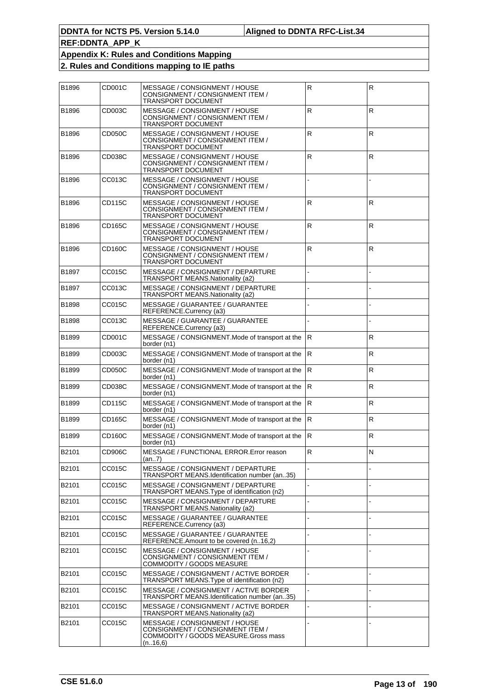| B1896 | CD001C        | MESSAGE / CONSIGNMENT / HOUSE<br>CONSIGNMENT / CONSIGNMENT ITEM /<br>TRANSPORT DOCUMENT                               | $\overline{\mathsf{R}}$ | $\mathsf{R}$ |
|-------|---------------|-----------------------------------------------------------------------------------------------------------------------|-------------------------|--------------|
| B1896 | CD003C        | MESSAGE / CONSIGNMENT / HOUSE<br>CONSIGNMENT / CONSIGNMENT ITEM /<br>TRANSPORT DOCUMENT                               | $\overline{\mathsf{R}}$ | $\mathsf{R}$ |
| B1896 | CD050C        | MESSAGE / CONSIGNMENT / HOUSE<br>CONSIGNMENT / CONSIGNMENT ITEM /<br><b>TRANSPORT DOCUMENT</b>                        | $\overline{R}$          | $\mathsf{R}$ |
| B1896 | CD038C        | MESSAGE / CONSIGNMENT / HOUSE<br>CONSIGNMENT / CONSIGNMENT ITEM /<br>TRANSPORT DOCUMENT                               | ${\sf R}$               | $\mathsf{R}$ |
| B1896 | CC013C        | MESSAGE / CONSIGNMENT / HOUSE<br>CONSIGNMENT / CONSIGNMENT ITEM /<br><b>TRANSPORT DOCUMENT</b>                        |                         |              |
| B1896 | CD115C        | MESSAGE / CONSIGNMENT / HOUSE<br>CONSIGNMENT / CONSIGNMENT ITEM /<br>TRANSPORT DOCUMENT                               | $\overline{R}$          | $\mathsf{R}$ |
| B1896 | CD165C        | MESSAGE / CONSIGNMENT / HOUSE<br>CONSIGNMENT / CONSIGNMENT ITEM /<br>TRANSPORT DOCUMENT                               | R                       | ${\sf R}$    |
| B1896 | <b>CD160C</b> | MESSAGE / CONSIGNMENT / HOUSE<br>CONSIGNMENT / CONSIGNMENT ITEM /<br><b>TRANSPORT DOCUMENT</b>                        | $\overline{\mathsf{R}}$ | ${\sf R}$    |
| B1897 | CC015C        | MESSAGE / CONSIGNMENT / DEPARTURE<br>TRANSPORT MEANS.Nationality (a2)                                                 |                         |              |
| B1897 | CC013C        | MESSAGE / CONSIGNMENT / DEPARTURE<br>TRANSPORT MEANS.Nationality (a2)                                                 |                         |              |
| B1898 | CC015C        | MESSAGE / GUARANTEE / GUARANTEE<br>REFERENCE.Currency (a3)                                                            |                         |              |
| B1898 | CC013C        | MESSAGE / GUARANTEE / GUARANTEE<br>REFERENCE.Currency (a3)                                                            |                         |              |
| B1899 | CD001C        | MESSAGE / CONSIGNMENT.Mode of transport at the<br>border (n1)                                                         | l R                     | $\mathsf{R}$ |
| B1899 | CD003C        | MESSAGE / CONSIGNMENT.Mode of transport at the<br>border (n1)                                                         | IR.                     | $\mathsf{R}$ |
| B1899 | CD050C        | MESSAGE / CONSIGNMENT.Mode of transport at the<br>border (n1)                                                         | R.                      | R            |
| B1899 | CD038C        | MESSAGE / CONSIGNMENT.Mode of transport at the<br>border (n1)                                                         | $\mathsf R$             | $\mathsf{R}$ |
| B1899 | <b>CD115C</b> | MESSAGE / CONSIGNMENT.Mode of transport at the<br>border (n1)                                                         | lR.                     | R            |
| B1899 | CD165C        | MESSAGE / CONSIGNMENT.Mode of transport at the<br>border (n1)                                                         | lR.                     | R            |
| B1899 | CD160C        | MESSAGE / CONSIGNMENT.Mode of transport at the<br>border (n1)                                                         | R                       | R            |
| B2101 | CD906C        | MESSAGE / FUNCTIONAL ERROR. Error reason<br>(an7)                                                                     | R                       | N            |
| B2101 | <b>CC015C</b> | MESSAGE / CONSIGNMENT / DEPARTURE<br>TRANSPORT MEANS.Identification number (an35)                                     |                         |              |
| B2101 | CC015C        | MESSAGE / CONSIGNMENT / DEPARTURE<br>TRANSPORT MEANS. Type of identification (n2)                                     |                         |              |
| B2101 | CC015C        | MESSAGE / CONSIGNMENT / DEPARTURE<br>TRANSPORT MEANS.Nationality (a2)                                                 |                         |              |
| B2101 | CC015C        | MESSAGE / GUARANTEE / GUARANTEE<br>REFERENCE.Currency (a3)                                                            |                         |              |
| B2101 | CC015C        | MESSAGE / GUARANTEE / GUARANTEE<br>REFERENCE.Amount to be covered (n16,2)                                             |                         |              |
| B2101 | CC015C        | MESSAGE / CONSIGNMENT / HOUSE<br>CONSIGNMENT / CONSIGNMENT ITEM /<br>COMMODITY / GOODS MEASURE                        |                         |              |
| B2101 | CC015C        | MESSAGE / CONSIGNMENT / ACTIVE BORDER<br>TRANSPORT MEANS. Type of identification (n2)                                 |                         |              |
| B2101 | CC015C        | MESSAGE / CONSIGNMENT / ACTIVE BORDER<br>TRANSPORT MEANS.Identification number (an35)                                 |                         |              |
| B2101 | <b>CC015C</b> | MESSAGE / CONSIGNMENT / ACTIVE BORDER<br>TRANSPORT MEANS.Nationality (a2)                                             |                         |              |
| B2101 | CC015C        | MESSAGE / CONSIGNMENT / HOUSE<br>CONSIGNMENT / CONSIGNMENT ITEM /<br>COMMODITY / GOODS MEASURE.Gross mass<br>(n.16,6) |                         |              |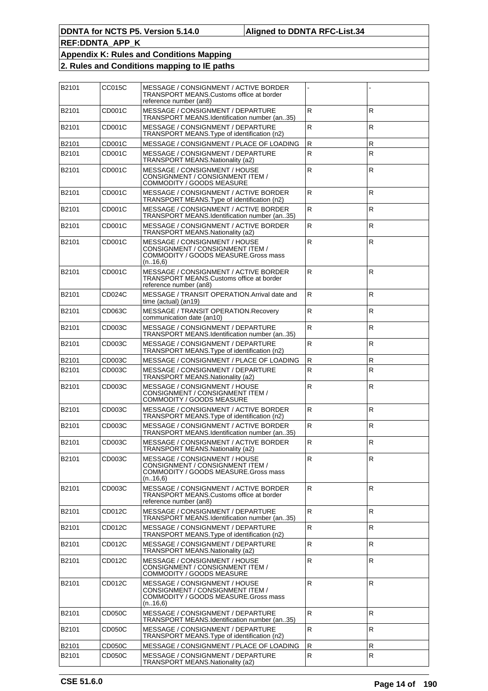| B2101 | CC015C              | MESSAGE / CONSIGNMENT / ACTIVE BORDER<br>TRANSPORT MEANS.Customs office at border<br>reference number (an8)           |              |              |
|-------|---------------------|-----------------------------------------------------------------------------------------------------------------------|--------------|--------------|
| B2101 | CD001C              | MESSAGE / CONSIGNMENT / DEPARTURE<br>TRANSPORT MEANS.Identification number (an35)                                     | $\mathsf{R}$ | R            |
| B2101 | CD001C              | MESSAGE / CONSIGNMENT / DEPARTURE<br>TRANSPORT MEANS. Type of identification (n2)                                     | $\mathsf{R}$ | R            |
| B2101 | CD001C              | MESSAGE / CONSIGNMENT / PLACE OF LOADING                                                                              | $\mathsf R$  | R            |
| B2101 | CD001C              | MESSAGE / CONSIGNMENT / DEPARTURE<br>TRANSPORT MEANS.Nationality (a2)                                                 | $\mathsf{R}$ | $\mathsf{R}$ |
| B2101 | CD001C              | MESSAGE / CONSIGNMENT / HOUSE<br>CONSIGNMENT / CONSIGNMENT ITEM /<br>COMMODITY / GOODS MEASURE                        | ${\sf R}$    | R            |
| B2101 | CD001C              | MESSAGE / CONSIGNMENT / ACTIVE BORDER<br>TRANSPORT MEANS. Type of identification (n2)                                 | $\mathsf R$  | R            |
| B2101 | CD001C              | MESSAGE / CONSIGNMENT / ACTIVE BORDER<br>TRANSPORT MEANS.Identification number (an35)                                 | $\mathsf R$  | R            |
| B2101 | CD001C              | MESSAGE / CONSIGNMENT / ACTIVE BORDER<br>TRANSPORT MEANS.Nationality (a2)                                             | R.           | R.           |
| B2101 | CD001C              | MESSAGE / CONSIGNMENT / HOUSE<br>CONSIGNMENT / CONSIGNMENT ITEM /<br>COMMODITY / GOODS MEASURE.Gross mass<br>(n.16,6) | $\mathsf{R}$ | R            |
| B2101 | CD001C              | MESSAGE / CONSIGNMENT / ACTIVE BORDER<br>TRANSPORT MEANS. Customs office at border<br>reference number (an8)          | $\mathsf{R}$ | R            |
| B2101 | CD <sub>024</sub> C | MESSAGE / TRANSIT OPERATION. Arrival date and<br>time (actual) (an19)                                                 | R.           | $\mathsf{R}$ |
| B2101 | CD063C              | MESSAGE / TRANSIT OPERATION. Recovery<br>communication date (an10)                                                    | $\mathsf{R}$ | R            |
| B2101 | CD003C              | MESSAGE / CONSIGNMENT / DEPARTURE<br>TRANSPORT MEANS.Identification number (an35)                                     | ${\sf R}$    | $\mathsf{R}$ |
| B2101 | CD003C              | MESSAGE / CONSIGNMENT / DEPARTURE<br>TRANSPORT MEANS. Type of identification (n2)                                     | R.           | R            |
| B2101 | CD003C              | MESSAGE / CONSIGNMENT / PLACE OF LOADING                                                                              | R            | R            |
| B2101 | CD003C              | MESSAGE / CONSIGNMENT / DEPARTURE<br>TRANSPORT MEANS.Nationality (a2)                                                 | R            | R            |
| B2101 | CD003C              | MESSAGE / CONSIGNMENT / HOUSE<br>CONSIGNMENT / CONSIGNMENT ITEM /<br>COMMODITY / GOODS MEASURE                        | ${\sf R}$    | R            |
| B2101 | CD003C              | MESSAGE / CONSIGNMENT / ACTIVE BORDER<br>TRANSPORT MEANS. Type of identification (n2)                                 | R            | R            |
| B2101 | CD003C              | MESSAGE / CONSIGNMENT / ACTIVE BORDER<br>TRANSPORT MEANS.Identification number (an35)                                 | $\mathsf R$  | $\mathsf{R}$ |
| B2101 | CD003C              | MESSAGE / CONSIGNMENT / ACTIVE BORDER<br>TRANSPORT MEANS.Nationality (a2)                                             | $\mathsf{R}$ | R.           |
| B2101 | CD003C              | MESSAGE / CONSIGNMENT / HOUSE<br>CONSIGNMENT / CONSIGNMENT ITEM /<br>COMMODITY / GOODS MEASURE.Gross mass<br>(n16,6)  | R            | R            |
| B2101 | CD003C              | MESSAGE / CONSIGNMENT / ACTIVE BORDER<br>TRANSPORT MEANS.Customs office at border<br>reference number (an8)           | R.           | R.           |
| B2101 | CD012C              | MESSAGE / CONSIGNMENT / DEPARTURE<br>TRANSPORT MEANS.Identification number (an35)                                     | $\mathsf{R}$ | R.           |
| B2101 | CD012C              | MESSAGE / CONSIGNMENT / DEPARTURE<br>TRANSPORT MEANS. Type of identification (n2)                                     | R            | R.           |
| B2101 | CD012C              | MESSAGE / CONSIGNMENT / DEPARTURE<br>TRANSPORT MEANS. Nationality (a2)                                                | $\mathsf{R}$ | R            |
| B2101 | CD012C              | MESSAGE / CONSIGNMENT / HOUSE<br>CONSIGNMENT / CONSIGNMENT ITEM /<br>COMMODITY / GOODS MEASURE                        | $\mathsf R$  | R            |
| B2101 | CD012C              | MESSAGE / CONSIGNMENT / HOUSE<br>CONSIGNMENT / CONSIGNMENT ITEM /<br>COMMODITY / GOODS MEASURE.Gross mass<br>(n.16,6) | $\mathsf{R}$ | R            |
| B2101 | CD050C              | MESSAGE / CONSIGNMENT / DEPARTURE<br>TRANSPORT MEANS.Identification number (an35)                                     | R            | R            |
| B2101 | CD050C              | MESSAGE / CONSIGNMENT / DEPARTURE<br>TRANSPORT MEANS. Type of identification (n2)                                     | R.           | R            |
| B2101 | CD050C              | MESSAGE / CONSIGNMENT / PLACE OF LOADING                                                                              | R            | R            |
| B2101 | CD050C              | MESSAGE / CONSIGNMENT / DEPARTURE<br>TRANSPORT MEANS.Nationality (a2)                                                 | $\mathsf R$  | R.           |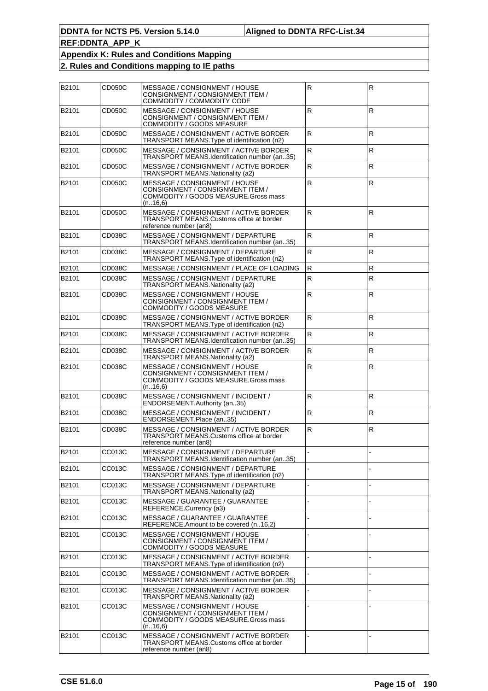| B2101 | CD050C | MESSAGE / CONSIGNMENT / HOUSE<br>CONSIGNMENT / CONSIGNMENT ITEM /<br>COMMODITY / COMMODITY CODE                       | ${\sf R}$    | $\mathsf{R}$ |
|-------|--------|-----------------------------------------------------------------------------------------------------------------------|--------------|--------------|
| B2101 | CD050C | MESSAGE / CONSIGNMENT / HOUSE<br>CONSIGNMENT / CONSIGNMENT ITEM /<br><b>COMMODITY / GOODS MEASURE</b>                 | ${\sf R}$    | $\mathsf{R}$ |
| B2101 | CD050C | MESSAGE / CONSIGNMENT / ACTIVE BORDER<br>TRANSPORT MEANS. Type of identification (n2)                                 | R            | $\mathsf{R}$ |
| B2101 | CD050C | MESSAGE / CONSIGNMENT / ACTIVE BORDER<br>TRANSPORT MEANS.Identification number (an35)                                 | ${\sf R}$    | R            |
| B2101 | CD050C | MESSAGE / CONSIGNMENT / ACTIVE BORDER<br>TRANSPORT MEANS.Nationality (a2)                                             | $\mathsf{R}$ | R            |
| B2101 | CD050C | MESSAGE / CONSIGNMENT / HOUSE<br>CONSIGNMENT / CONSIGNMENT ITEM /<br>COMMODITY / GOODS MEASURE.Gross mass<br>(n.16,6) | $\mathsf{R}$ | $\mathsf{R}$ |
| B2101 | CD050C | MESSAGE / CONSIGNMENT / ACTIVE BORDER<br>TRANSPORT MEANS. Customs office at border<br>reference number (an8)          | R            | R            |
| B2101 | CD038C | MESSAGE / CONSIGNMENT / DEPARTURE<br>TRANSPORT MEANS.Identification number (an35)                                     | $\mathsf{R}$ | $\mathsf{R}$ |
| B2101 | CD038C | MESSAGE / CONSIGNMENT / DEPARTURE<br>TRANSPORT MEANS. Type of identification (n2)                                     | R            | R            |
| B2101 | CD038C | MESSAGE / CONSIGNMENT / PLACE OF LOADING                                                                              | R            | $\mathsf{R}$ |
| B2101 | CD038C | MESSAGE / CONSIGNMENT / DEPARTURE<br>TRANSPORT MEANS.Nationality (a2)                                                 | ${\sf R}$    | R            |
| B2101 | CD038C | MESSAGE / CONSIGNMENT / HOUSE<br>CONSIGNMENT / CONSIGNMENT ITEM /<br>COMMODITY / GOODS MEASURE                        | $\mathsf{R}$ | R            |
| B2101 | CD038C | MESSAGE / CONSIGNMENT / ACTIVE BORDER<br>TRANSPORT MEANS. Type of identification (n2)                                 | ${\sf R}$    | R            |
| B2101 | CD038C | MESSAGE / CONSIGNMENT / ACTIVE BORDER<br>TRANSPORT MEANS.Identification number (an35)                                 | $\mathsf R$  | R.           |
| B2101 | CD038C | MESSAGE / CONSIGNMENT / ACTIVE BORDER<br>TRANSPORT MEANS.Nationality (a2)                                             | $\mathsf{R}$ | R            |
| B2101 | CD038C | MESSAGE / CONSIGNMENT / HOUSE<br>CONSIGNMENT / CONSIGNMENT ITEM /<br>COMMODITY / GOODS MEASURE.Gross mass<br>(n.16,6) | ${\sf R}$    | $\mathsf{R}$ |
| B2101 | CD038C | MESSAGE / CONSIGNMENT / INCIDENT /<br>ENDORSEMENT.Authority (an35)                                                    | ${\sf R}$    | $\mathsf{R}$ |
| B2101 | CD038C | MESSAGE / CONSIGNMENT / INCIDENT /<br>ENDORSEMENT.Place (an35)                                                        | $\mathsf{R}$ | R.           |
| B2101 | CD038C | MESSAGE / CONSIGNMENT / ACTIVE BORDER<br>TRANSPORT MEANS. Customs office at border<br>reference number (an8)          | ${\sf R}$    | R            |
| B2101 | CC013C | MESSAGE / CONSIGNMENT / DEPARTURE<br>TRANSPORT MEANS.Identification number (an35)                                     |              |              |
| B2101 | CC013C | MESSAGE / CONSIGNMENT / DEPARTURE<br>TRANSPORT MEANS. Type of identification (n2)                                     |              |              |
| B2101 | CC013C | MESSAGE / CONSIGNMENT / DEPARTURE<br>TRANSPORT MEANS.Nationality (a2)                                                 |              |              |
| B2101 | CC013C | MESSAGE / GUARANTEE / GUARANTEE<br>REFERENCE.Currency (a3)                                                            |              |              |
| B2101 | CC013C | <b>MESSAGE / GUARANTEE / GUARANTEE</b><br>REFERENCE.Amount to be covered (n16,2)                                      |              |              |
| B2101 | CC013C | MESSAGE / CONSIGNMENT / HOUSE<br>CONSIGNMENT / CONSIGNMENT ITEM /<br>COMMODITY / GOODS MEASURE                        |              |              |
| B2101 | CC013C | MESSAGE / CONSIGNMENT / ACTIVE BORDER<br>TRANSPORT MEANS. Type of identification (n2)                                 |              |              |
| B2101 | CC013C | MESSAGE / CONSIGNMENT / ACTIVE BORDER<br>TRANSPORT MEANS.Identification number (an35)                                 |              |              |
| B2101 | CC013C | MESSAGE / CONSIGNMENT / ACTIVE BORDER<br>TRANSPORT MEANS.Nationality (a2)                                             |              |              |
| B2101 | CC013C | MESSAGE / CONSIGNMENT / HOUSE<br>CONSIGNMENT / CONSIGNMENT ITEM /<br>COMMODITY / GOODS MEASURE.Gross mass<br>(n.16,6) |              |              |
| B2101 | CC013C | MESSAGE / CONSIGNMENT / ACTIVE BORDER<br>TRANSPORT MEANS. Customs office at border<br>reference number (an8)          |              |              |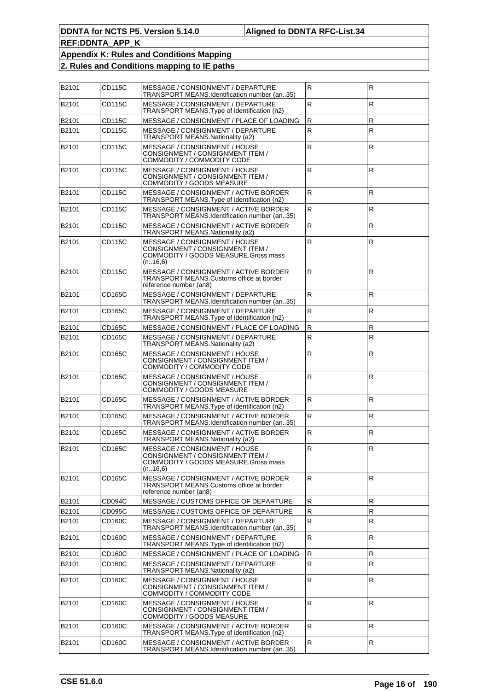| B2101 | CD115C        | MESSAGE / CONSIGNMENT / DEPARTURE<br>TRANSPORT MEANS.Identification number (an35)                                     | R.                      | ${\sf R}$    |
|-------|---------------|-----------------------------------------------------------------------------------------------------------------------|-------------------------|--------------|
| B2101 | CD115C        | MESSAGE / CONSIGNMENT / DEPARTURE<br>TRANSPORT MEANS. Type of identification (n2)                                     | $\mathsf R$             | R            |
| B2101 | CD115C        | MESSAGE / CONSIGNMENT / PLACE OF LOADING                                                                              | ${\sf R}$               | $\mathsf R$  |
| B2101 | CD115C        | MESSAGE / CONSIGNMENT / DEPARTURE<br>TRANSPORT MEANS.Nationality (a2)                                                 | $\overline{\mathsf{R}}$ | R            |
| B2101 | CD115C        | MESSAGE / CONSIGNMENT / HOUSE<br>CONSIGNMENT / CONSIGNMENT ITEM /<br>COMMODITY / COMMODITY CODE                       | ${\sf R}$               | R            |
| B2101 | CD115C        | MESSAGE / CONSIGNMENT / HOUSE<br>CONSIGNMENT / CONSIGNMENT ITEM /<br>COMMODITY / GOODS MEASURE                        | ${\sf R}$               | R            |
| B2101 | CD115C        | MESSAGE / CONSIGNMENT / ACTIVE BORDER<br>TRANSPORT MEANS. Type of identification (n2)                                 | $\mathsf{R}$            | R.           |
| B2101 | CD115C        | MESSAGE / CONSIGNMENT / ACTIVE BORDER<br>TRANSPORT MEANS.Identification number (an35)                                 | ${\sf R}$               | R            |
| B2101 | CD115C        | MESSAGE / CONSIGNMENT / ACTIVE BORDER<br>TRANSPORT MEANS.Nationality (a2)                                             | ${\sf R}$               | $\mathsf{R}$ |
| B2101 | CD115C        | MESSAGE / CONSIGNMENT / HOUSE<br>CONSIGNMENT / CONSIGNMENT ITEM /<br>COMMODITY / GOODS MEASURE.Gross mass<br>(n.16,6) | $\mathsf{R}$            | R.           |
| B2101 | <b>CD115C</b> | MESSAGE / CONSIGNMENT / ACTIVE BORDER<br>TRANSPORT MEANS.Customs office at border<br>reference number (an8)           | $\mathsf{R}$            | R.           |
| B2101 | CD165C        | MESSAGE / CONSIGNMENT / DEPARTURE<br>TRANSPORT MEANS.Identification number (an35)                                     | ${\sf R}$               | $\mathsf{R}$ |
| B2101 | CD165C        | MESSAGE / CONSIGNMENT / DEPARTURE<br>TRANSPORT MEANS. Type of identification (n2)                                     | R                       | R            |
| B2101 | CD165C        | MESSAGE / CONSIGNMENT / PLACE OF LOADING                                                                              | $\mathsf{R}$            | $\mathsf{R}$ |
| B2101 | CD165C        | MESSAGE / CONSIGNMENT / DEPARTURE<br>TRANSPORT MEANS.Nationality (a2)                                                 | ${\sf R}$               | R            |
| B2101 | CD165C        | MESSAGE / CONSIGNMENT / HOUSE<br>CONSIGNMENT / CONSIGNMENT ITEM /<br>COMMODITY / COMMODITY CODE                       | ${\sf R}$               | $\mathsf{R}$ |
| B2101 | CD165C        | MESSAGE / CONSIGNMENT / HOUSE<br>CONSIGNMENT / CONSIGNMENT ITEM /<br>COMMODITY / GOODS MEASURE                        | ${\sf R}$               | $\mathsf{R}$ |
| B2101 | CD165C        | MESSAGE / CONSIGNMENT / ACTIVE BORDER<br>TRANSPORT MEANS. Type of identification (n2)                                 | $\mathsf{R}$            | R.           |
| B2101 | CD165C        | MESSAGE / CONSIGNMENT / ACTIVE BORDER<br>TRANSPORT MEANS.Identification number (an35)                                 | $\mathsf R$             | R            |
| B2101 | CD165C        | MESSAGE / CONSIGNMENT / ACTIVE BORDER<br>TRANSPORT MEANS.Nationality (a2)                                             | $\mathsf{R}$            | R.           |
| B2101 | CD165C        | MESSAGE / CONSIGNMENT / HOUSE<br>CONSIGNMENT / CONSIGNMENT ITEM /<br>COMMODITY / GOODS MEASURE.Gross mass<br>(n.16,6) | ${\sf R}$               | R            |
| B2101 | CD165C        | MESSAGE / CONSIGNMENT / ACTIVE BORDER<br>TRANSPORT MEANS.Customs office at border<br>reference number (an8)           | R.                      | R.           |
| B2101 | CD094C        | MESSAGE / CUSTOMS OFFICE OF DEPARTURE                                                                                 | $\mathsf R$             | R            |
| B2101 | CD095C        | <b>MESSAGE / CUSTOMS OFFICE OF DEPARTURE</b>                                                                          | $\mathsf R$             | ${\sf R}$    |
| B2101 | CD160C        | MESSAGE / CONSIGNMENT / DEPARTURE<br>TRANSPORT MEANS.Identification number (an35)                                     | $\mathsf{R}$            | $\mathsf{R}$ |
| B2101 | CD160C        | MESSAGE / CONSIGNMENT / DEPARTURE<br>TRANSPORT MEANS. Type of identification (n2)                                     | $\mathsf R$             | R.           |
| B2101 | CD160C        | MESSAGE / CONSIGNMENT / PLACE OF LOADING                                                                              | ${\sf R}$               | $\mathsf{R}$ |
| B2101 | CD160C        | MESSAGE / CONSIGNMENT / DEPARTURE<br>TRANSPORT MEANS.Nationality (a2)                                                 | $\mathsf R$             | $\mathsf{R}$ |
| B2101 | CD160C        | MESSAGE / CONSIGNMENT / HOUSE<br>CONSIGNMENT / CONSIGNMENT ITEM /<br>COMMODITY / COMMODITY CODE                       | $\mathsf R$             | R.           |
| B2101 | CD160C        | MESSAGE / CONSIGNMENT / HOUSE<br>CONSIGNMENT / CONSIGNMENT ITEM /<br>COMMODITY / GOODS MEASURE                        | $\mathsf{R}$            | $\mathsf{R}$ |
| B2101 | CD160C        | MESSAGE / CONSIGNMENT / ACTIVE BORDER<br>TRANSPORT MEANS. Type of identification (n2)                                 | $\mathsf{R}$            | R.           |
| B2101 | CD160C        | MESSAGE / CONSIGNMENT / ACTIVE BORDER<br>TRANSPORT MEANS.Identification number (an35)                                 | $\mathsf R$             | R            |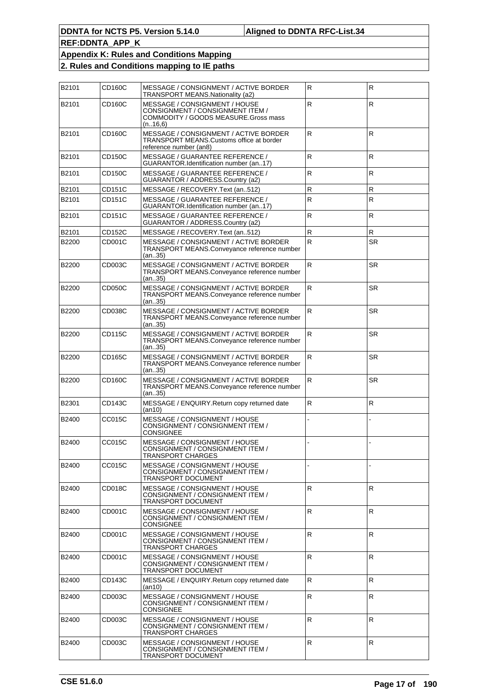| B2101 | <b>CD160C</b> | MESSAGE / CONSIGNMENT / ACTIVE BORDER<br>TRANSPORT MEANS.Nationality (a2)                                             | R            | R            |
|-------|---------------|-----------------------------------------------------------------------------------------------------------------------|--------------|--------------|
| B2101 | CD160C        | MESSAGE / CONSIGNMENT / HOUSE<br>CONSIGNMENT / CONSIGNMENT ITEM /<br>COMMODITY / GOODS MEASURE.Gross mass<br>(n.16,6) | $\mathsf{R}$ | R.           |
| B2101 | CD160C        | MESSAGE / CONSIGNMENT / ACTIVE BORDER<br>TRANSPORT MEANS.Customs office at border<br>reference number (an8)           | R            | R            |
| B2101 | <b>CD150C</b> | MESSAGE / GUARANTEE REFERENCE /<br>GUARANTOR.Identification number (an17)                                             | $\mathsf{R}$ | $\mathsf{R}$ |
| B2101 | CD150C        | MESSAGE / GUARANTEE REFERENCE /<br>GUARANTOR / ADDRESS.Country (a2)                                                   | $\mathsf{R}$ | R            |
| B2101 | CD151C        | MESSAGE / RECOVERY. Text (an512)                                                                                      | ${\sf R}$    | R            |
| B2101 | CD151C        | MESSAGE / GUARANTEE REFERENCE /<br>GUARANTOR.Identification number (an17)                                             | $\mathsf{R}$ | $\mathsf{R}$ |
| B2101 | CD151C        | MESSAGE / GUARANTEE REFERENCE /<br>GUARANTOR / ADDRESS.Country (a2)                                                   | $\mathsf{R}$ | R            |
| B2101 | CD152C        | MESSAGE / RECOVERY. Text (an512)                                                                                      | R            | R            |
| B2200 | CD001C        | MESSAGE / CONSIGNMENT / ACTIVE BORDER<br>TRANSPORT MEANS.Conveyance reference number<br>(an35)                        | $\mathsf R$  | <b>SR</b>    |
| B2200 | CD003C        | MESSAGE / CONSIGNMENT / ACTIVE BORDER<br>TRANSPORT MEANS.Conveyance reference number<br>(an35)                        | R            | <b>SR</b>    |
| B2200 | CD050C        | MESSAGE / CONSIGNMENT / ACTIVE BORDER<br>TRANSPORT MEANS.Conveyance reference number<br>(an35)                        | ${\sf R}$    | <b>SR</b>    |
| B2200 | CD038C        | MESSAGE / CONSIGNMENT / ACTIVE BORDER<br>TRANSPORT MEANS.Conveyance reference number<br>(an35)                        | R            | <b>SR</b>    |
| B2200 | <b>CD115C</b> | MESSAGE / CONSIGNMENT / ACTIVE BORDER<br>TRANSPORT MEANS.Conveyance reference number<br>(an35)                        | R            | <b>SR</b>    |
| B2200 | CD165C        | MESSAGE / CONSIGNMENT / ACTIVE BORDER<br>TRANSPORT MEANS.Conveyance reference number<br>(an35)                        | ${\sf R}$    | <b>SR</b>    |
| B2200 | CD160C        | MESSAGE / CONSIGNMENT / ACTIVE BORDER<br>TRANSPORT MEANS.Conveyance reference number<br>(an35)                        | $\mathsf{R}$ | <b>SR</b>    |
| B2301 | CD143C        | MESSAGE / ENQUIRY.Return copy returned date<br>(an10)                                                                 | R            | $\mathsf{R}$ |
| B2400 | CC015C        | MESSAGE / CONSIGNMENT / HOUSE<br>CONSIGNMENT / CONSIGNMENT ITEM /<br><b>CONSIGNEE</b>                                 |              |              |
| B2400 | CC015C        | MESSAGE / CONSIGNMENT / HOUSE<br>ONSIGNMENT / CONSIGNMENT ITEM /<br>TRANSPORT CHARGES                                 |              |              |
| B2400 | CC015C        | MESSAGE / CONSIGNMENT / HOUSE<br>CONSIGNMENT / CONSIGNMENT ITEM /<br>TRANSPORT DOCUMENT                               |              |              |
| B2400 | CD018C        | MESSAGE / CONSIGNMENT / HOUSE<br>CONSIGNMENT / CONSIGNMENT ITEM /<br><b>TRANSPORT DOCUMENT</b>                        | R            | R.           |
| B2400 | CD001C        | MESSAGE / CONSIGNMENT / HOUSE<br>CONSIGNMENT / CONSIGNMENT ITEM /<br><b>CONSIGNEE</b>                                 | $\mathsf{R}$ | $\mathsf{R}$ |
| B2400 | CD001C        | MESSAGE / CONSIGNMENT / HOUSE<br>CONSIGNMENT / CONSIGNMENT ITEM /<br>TRANSPORT CHARGES                                | $\mathsf R$  | R.           |
| B2400 | CD001C        | MESSAGE / CONSIGNMENT / HOUSE<br>CONSIGNMENT / CONSIGNMENT ITEM /<br><b>TRANSPORT DOCUMENT</b>                        | $\mathsf{R}$ | R.           |
| B2400 | CD143C        | MESSAGE / ENQUIRY.Return copy returned date<br>(an10)                                                                 | R.           | R.           |
| B2400 | CD003C        | MESSAGE / CONSIGNMENT / HOUSE<br>CONSIGNMENT / CONSIGNMENT ITEM /<br><b>CONSIGNEE</b>                                 | $\mathsf{R}$ | R.           |
| B2400 | CD003C        | MESSAGE / CONSIGNMENT / HOUSE<br>CONSIGNMENT / CONSIGNMENT ITEM /<br>TRANSPORT CHARGES                                | R            | R.           |
| B2400 | CD003C        | MESSAGE / CONSIGNMENT / HOUSE<br>CONSIGNMENT / CONSIGNMENT ITEM /<br>TRANSPORT DOCUMENT                               | $\mathsf R$  | R.           |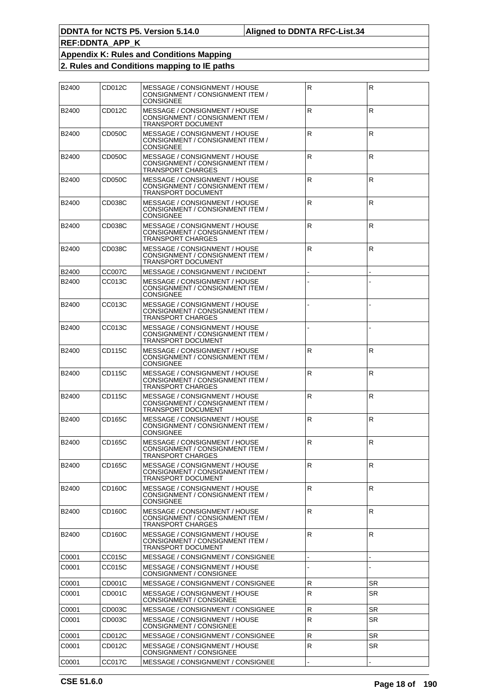| B2400 | CD012C        | MESSAGE / CONSIGNMENT / HOUSE<br>CONSIGNMENT / CONSIGNMENT ITEM /<br><b>CONSIGNEE</b>          | $\mathsf R$             | R            |
|-------|---------------|------------------------------------------------------------------------------------------------|-------------------------|--------------|
| B2400 | CD012C        | MESSAGE / CONSIGNMENT / HOUSE<br>CONSIGNMENT / CONSIGNMENT ITEM /<br><b>TRANSPORT DOCUMENT</b> | R                       | R.           |
| B2400 | CD050C        | MESSAGE / CONSIGNMENT / HOUSE<br>CONSIGNMENT / CONSIGNMENT ITEM /<br><b>CONSIGNEE</b>          | $\overline{\mathsf{R}}$ | R            |
| B2400 | CD050C        | MESSAGE / CONSIGNMENT / HOUSE<br>CONSIGNMENT / CONSIGNMENT ITEM /<br>TRANSPORT CHARGES         | R                       | R.           |
| B2400 | CD050C        | MESSAGE / CONSIGNMENT / HOUSE<br>CONSIGNMENT / CONSIGNMENT ITEM /<br><b>TRANSPORT DOCUMENT</b> | R                       | R.           |
| B2400 | CD038C        | MESSAGE / CONSIGNMENT / HOUSE<br>CONSIGNMENT / CONSIGNMENT ITEM /<br>CONSIGNEE                 | $\mathsf R$             | $\mathsf{R}$ |
| B2400 | CD038C        | MESSAGE / CONSIGNMENT / HOUSE<br>CONSIGNMENT / CONSIGNMENT ITEM /<br>TRANSPORT CHARGES         | $\mathsf{R}$            | R            |
| B2400 | CD038C        | MESSAGE / CONSIGNMENT / HOUSE<br>CONSIGNMENT / CONSIGNMENT ITEM /<br><b>TRANSPORT DOCUMENT</b> | R                       | R.           |
| B2400 | <b>CC007C</b> | MESSAGE / CONSIGNMENT / INCIDENT                                                               |                         |              |
| B2400 | CC013C        | MESSAGE / CONSIGNMENT / HOUSE<br>CONSIGNMENT / CONSIGNMENT ITEM /<br><b>CONSIGNEE</b>          |                         |              |
| B2400 | CC013C        | MESSAGE / CONSIGNMENT / HOUSE<br>CONSIGNMENT / CONSIGNMENT ITEM /<br>TRANSPORT CHARGES         |                         |              |
| B2400 | CC013C        | MESSAGE / CONSIGNMENT / HOUSE<br>CONSIGNMENT / CONSIGNMENT ITEM /<br><b>TRANSPORT DOCUMENT</b> |                         |              |
| B2400 | CD115C        | MESSAGE / CONSIGNMENT / HOUSE<br>CONSIGNMENT / CONSIGNMENT ITEM /<br>CONSIGNEE                 | R                       | R            |
| B2400 | CD115C        | MESSAGE / CONSIGNMENT / HOUSE<br>CONSIGNMENT / CONSIGNMENT ITEM /<br>TRANSPORT CHARGES         | $\mathsf{R}$            | R            |
| B2400 | CD115C        | MESSAGE / CONSIGNMENT / HOUSE<br>CONSIGNMENT / CONSIGNMENT ITEM /<br><b>TRANSPORT DOCUMENT</b> | R                       | R.           |
| B2400 | CD165C        | MESSAGE / CONSIGNMENT / HOUSE<br>CONSIGNMENT / CONSIGNMENT ITEM /<br>CONSIGNEE                 | $\mathsf R$             | R            |
| B2400 | CD165C        | MESSAGE / CONSIGNMENT / HOUSE<br>CONSIGNMENT / CONSIGNMENT ITEM /<br>TRANSPORT CHARGES         | ${\sf R}$               | $\mathsf{R}$ |
| B2400 | CD165C        | MESSAGE / CONSIGNMENT / HOUSE<br>CONSIGNMENT / CONSIGNMENT ITEM /<br><b>TRANSPORT DOCUMENT</b> | $\overline{R}$          | R            |
| B2400 | CD160C        | MESSAGE / CONSIGNMENT / HOUSE<br>CONSIGNMENT / CONSIGNMENT ITEM /<br><b>CONSIGNEE</b>          | $\mathsf R$             | $\mathsf{R}$ |
| B2400 | CD160C        | MESSAGE / CONSIGNMENT / HOUSE<br>CONSIGNMENT / CONSIGNMENT ITEM /<br>TRANSPORT CHARGES         | ${\sf R}$               | $\mathsf{R}$ |
| B2400 | CD160C        | MESSAGE / CONSIGNMENT / HOUSE<br>CONSIGNMENT / CONSIGNMENT ITEM /<br>TRANSPORT DOCUMENT        | $\overline{R}$          | R.           |
| C0001 | CC015C        | MESSAGE / CONSIGNMENT / CONSIGNEE                                                              |                         |              |
| C0001 | CC015C        | MESSAGE / CONSIGNMENT / HOUSE<br>CONSIGNMENT / CONSIGNEE                                       |                         |              |
| C0001 | CD001C        | MESSAGE / CONSIGNMENT / CONSIGNEE                                                              | $\mathsf R$             | <b>SR</b>    |
| C0001 | CD001C        | MESSAGE / CONSIGNMENT / HOUSE<br>CONSIGNMENT / CONSIGNEE                                       | $\mathsf R$             | <b>SR</b>    |
| C0001 | CD003C        | MESSAGE / CONSIGNMENT / CONSIGNEE                                                              | ${\sf R}$               | <b>SR</b>    |
| C0001 | CD003C        | MESSAGE / CONSIGNMENT / HOUSE<br>CONSIGNMENT / CONSIGNEE                                       | $\overline{\mathsf{R}}$ | <b>SR</b>    |
| C0001 | CD012C        | MESSAGE / CONSIGNMENT / CONSIGNEE                                                              | ${\sf R}$               | <b>SR</b>    |
| C0001 | CD012C        | MESSAGE / CONSIGNMENT / HOUSE<br>CONSIGNMENT / CONSIGNEE                                       | R                       | <b>SR</b>    |
| C0001 | <b>CC017C</b> | MESSAGE / CONSIGNMENT / CONSIGNEE                                                              |                         |              |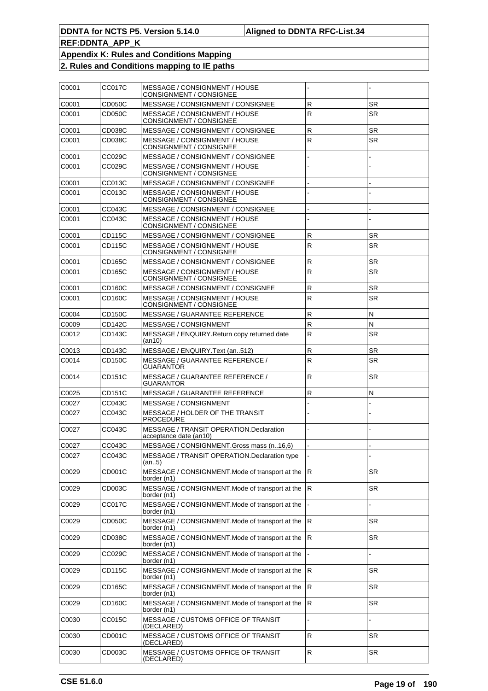| C0001 | CC017C        | MESSAGE / CONSIGNMENT / HOUSE<br>CONSIGNMENT / CONSIGNEE           |                         |              |
|-------|---------------|--------------------------------------------------------------------|-------------------------|--------------|
| C0001 | CD050C        | MESSAGE / CONSIGNMENT / CONSIGNEE                                  | ${\sf R}$               | <b>SR</b>    |
| C0001 | CD050C        | MESSAGE / CONSIGNMENT / HOUSE<br>CONSIGNMENT / CONSIGNEE           | $\overline{\mathsf{R}}$ | <b>SR</b>    |
| C0001 | CD038C        | MESSAGE / CONSIGNMENT / CONSIGNEE                                  | ${\sf R}$               | <b>SR</b>    |
| C0001 | CD038C        | MESSAGE / CONSIGNMENT / HOUSE<br>CONSIGNMENT / CONSIGNEE           | $\overline{\mathsf{R}}$ | <b>SR</b>    |
| C0001 | CC029C        | MESSAGE / CONSIGNMENT / CONSIGNEE                                  |                         |              |
| C0001 | CC029C        | MESSAGE / CONSIGNMENT / HOUSE<br>CONSIGNMENT / CONSIGNEE           |                         |              |
| C0001 | CC013C        | MESSAGE / CONSIGNMENT / CONSIGNEE                                  |                         |              |
| C0001 | CC013C        | MESSAGE / CONSIGNMENT / HOUSE<br><b>CONSIGNMENT / CONSIGNEE</b>    |                         |              |
| C0001 | CC043C        | MESSAGE / CONSIGNMENT / CONSIGNEE                                  |                         |              |
| C0001 | CC043C        | MESSAGE / CONSIGNMENT / HOUSE<br>CONSIGNMENT / CONSIGNEE           |                         |              |
| C0001 | CD115C        | MESSAGE / CONSIGNMENT / CONSIGNEE                                  | ${\sf R}$               | <b>SR</b>    |
| C0001 | CD115C        | MESSAGE / CONSIGNMENT / HOUSE<br>CONSIGNMENT / CONSIGNEE           | ${\sf R}$               | <b>SR</b>    |
| C0001 | CD165C        | MESSAGE / CONSIGNMENT / CONSIGNEE                                  | $\mathsf{R}$            | <b>SR</b>    |
| C0001 | CD165C        | MESSAGE / CONSIGNMENT / HOUSE<br>CONSIGNMENT / CONSIGNEE           | ${\sf R}$               | <b>SR</b>    |
| C0001 | CD160C        | MESSAGE / CONSIGNMENT / CONSIGNEE                                  | ${\sf R}$               | <b>SR</b>    |
| C0001 | CD160C        | MESSAGE / CONSIGNMENT / HOUSE<br>CONSIGNMENT / CONSIGNEE           | $\overline{R}$          | <b>SR</b>    |
| C0004 | CD150C        | MESSAGE / GUARANTEE REFERENCE                                      | ${\sf R}$               | N            |
| C0009 | CD142C        | MESSAGE / CONSIGNMENT                                              | ${\sf R}$               | N            |
| C0012 | CD143C        | MESSAGE / ENQUIRY.Return copy returned date<br>(an10)              | ${\sf R}$               | <b>SR</b>    |
| C0013 | CD143C        | MESSAGE / ENQUIRY. Text (an 512)                                   | $\mathsf{R}$            | <b>SR</b>    |
| C0014 | CD150C        | MESSAGE / GUARANTEE REFERENCE /<br><b>GUARANTOR</b>                | ${\sf R}$               | <b>SR</b>    |
| C0014 | CD151C        | MESSAGE / GUARANTEE REFERENCE /<br><b>GUARANTOR</b>                | $\mathsf{R}$            | SR.          |
| C0025 | CD151C        | <b>MESSAGE / GUARANTEE REFERENCE</b>                               | ${\sf R}$               | $\mathsf{N}$ |
| C0027 | CC043C        | <b>MESSAGE / CONSIGNMENT</b>                                       |                         |              |
| C0027 | CC043C        | MESSAGE / HOLDER OF THE TRANSIT<br>PROCEDURE                       |                         |              |
| C0027 | CC043C        | MESSAGE / TRANSIT OPERATION. Declaration<br>acceptance date (an10) |                         |              |
| C0027 | CC043C        | MESSAGE / CONSIGNMENT.Gross mass (n16.6)                           |                         |              |
| C0027 | CC043C        | MESSAGE / TRANSIT OPERATION. Declaration type<br>(an5)             |                         |              |
| C0029 | CD001C        | MESSAGE / CONSIGNMENT.Mode of transport at the<br>border (n1)      | IR.                     | <b>SR</b>    |
| C0029 | CD003C        | MESSAGE / CONSIGNMENT. Mode of transport at the<br>border (n1)     | R.                      | <b>SR</b>    |
| C0029 | <b>CC017C</b> | MESSAGE / CONSIGNMENT.Mode of transport at the<br>border (n1)      |                         |              |
| C0029 | CD050C        | MESSAGE / CONSIGNMENT.Mode of transport at the<br>border (n1)      | IR.                     | <b>SR</b>    |
| C0029 | CD038C        | MESSAGE / CONSIGNMENT. Mode of transport at the<br>border (n1)     | R.                      | <b>SR</b>    |
| C0029 | CC029C        | MESSAGE / CONSIGNMENT.Mode of transport at the<br>border (n1)      |                         |              |
| C0029 | CD115C        | MESSAGE / CONSIGNMENT.Mode of transport at the<br>border (n1)      | IR.                     | <b>SR</b>    |
| C0029 | CD165C        | MESSAGE / CONSIGNMENT. Mode of transport at the<br>border (n1)     | R.                      | <b>SR</b>    |
| C0029 | <b>CD160C</b> | MESSAGE / CONSIGNMENT.Mode of transport at the<br>border (n1)      | $\mathsf R$             | <b>SR</b>    |
| C0030 | CC015C        | MESSAGE / CUSTOMS OFFICE OF TRANSIT<br>(DECLARED)                  |                         |              |
| C0030 | CD001C        | MESSAGE / CUSTOMS OFFICE OF TRANSIT<br>(DECLARED)                  | ${\sf R}$               | <b>SR</b>    |
| C0030 | CD003C        | MESSAGE / CUSTOMS OFFICE OF TRANSIT<br>(DECLARED)                  | R                       | <b>SR</b>    |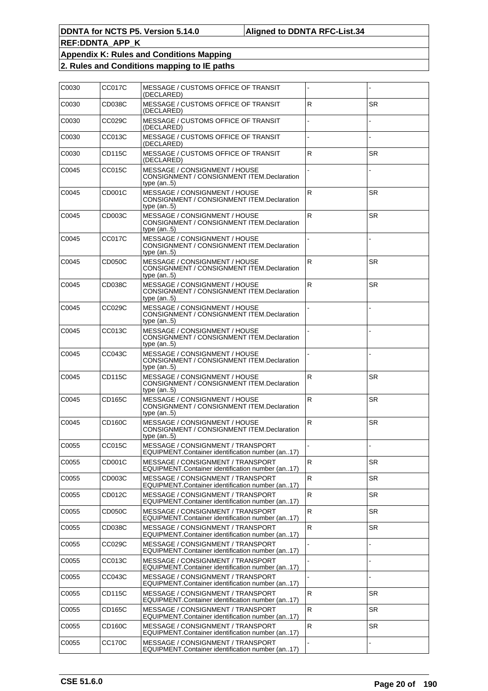| C0030 | CC017C | MESSAGE / CUSTOMS OFFICE OF TRANSIT<br>(DECLARED)                                            |              |           |
|-------|--------|----------------------------------------------------------------------------------------------|--------------|-----------|
| C0030 | CD038C | <b>MESSAGE / CUSTOMS OFFICE OF TRANSIT</b><br>(DECLARED)                                     | $\mathsf{R}$ | <b>SR</b> |
| C0030 | CC029C | MESSAGE / CUSTOMS OFFICE OF TRANSIT<br>(DECLARED)                                            |              |           |
| C0030 | CC013C | <b>MESSAGE / CUSTOMS OFFICE OF TRANSIT</b><br>(DECLARED)                                     |              |           |
| C0030 | CD115C | MESSAGE / CUSTOMS OFFICE OF TRANSIT<br>(DECLARED)                                            | $\mathsf{R}$ | SR.       |
| C0045 | CC015C | MESSAGE / CONSIGNMENT / HOUSE<br>CONSIGNMENT / CONSIGNMENT ITEM.Declaration<br>type (an5)    |              |           |
| C0045 | CD001C | MESSAGE / CONSIGNMENT / HOUSE<br>CONSIGNMENT / CONSIGNMENT ITEM.Declaration<br>type $(an5)$  | R.           | <b>SR</b> |
| C0045 | CD003C | MESSAGE / CONSIGNMENT / HOUSE<br>CONSIGNMENT / CONSIGNMENT ITEM.Declaration<br>type $(an5)$  | $\mathsf{R}$ | <b>SR</b> |
| C0045 | CC017C | MESSAGE / CONSIGNMENT / HOUSE<br>CONSIGNMENT / CONSIGNMENT ITEM.Declaration<br>type $(an5)$  |              |           |
| C0045 | CD050C | MESSAGE / CONSIGNMENT / HOUSE<br>CONSIGNMENT / CONSIGNMENT ITEM.Declaration<br>type $(an5)$  | R            | <b>SR</b> |
| C0045 | CD038C | MESSAGE / CONSIGNMENT / HOUSE<br>CONSIGNMENT / CONSIGNMENT ITEM.Declaration<br>type $(an5)$  | $\mathsf{R}$ | <b>SR</b> |
| C0045 | CC029C | MESSAGE / CONSIGNMENT / HOUSE<br>CONSIGNMENT / CONSIGNMENT ITEM.Declaration<br>type (an5)    |              |           |
| C0045 | CC013C | MESSAGE / CONSIGNMENT / HOUSE<br>CONSIGNMENT / CONSIGNMENT ITEM.Declaration<br>type $(an5)$  |              |           |
| C0045 | CC043C | MESSAGE / CONSIGNMENT / HOUSE<br>CONSIGNMENT / CONSIGNMENT ITEM.Declaration<br>type $(an5)$  |              |           |
| C0045 | CD115C | MESSAGE / CONSIGNMENT / HOUSE<br>CONSIGNMENT / CONSIGNMENT ITEM.Declaration<br>type $(an5)$  | $\mathsf R$  | <b>SR</b> |
| C0045 | CD165C | MESSAGE / CONSIGNMENT / HOUSE<br>CONSIGNMENT / CONSIGNMENT ITEM.Declaration<br>type $(an.5)$ | $\mathsf{R}$ | <b>SR</b> |
| C0045 | CD160C | MESSAGE / CONSIGNMENT / HOUSE<br>CONSIGNMENT / CONSIGNMENT ITEM.Declaration<br>type $(an5)$  | $\mathsf{R}$ | <b>SR</b> |
| C0055 | CC015C | MESSAGE / CONSIGNMENT / TRANSPORT<br>EQUIPMENT.Container identification number (an17)        |              |           |
| C0055 | CD001C | MESSAGE / CONSIGNMENT / TRANSPORT<br>EQUIPMENT.Container identification number (an17)        | $\mathsf{R}$ | SR.       |
| C0055 | CD003C | MESSAGE / CONSIGNMENT / TRANSPORT<br>EQUIPMENT.Container identification number (an17)        | $\mathsf{R}$ | <b>SR</b> |
| C0055 | CD012C | MESSAGE / CONSIGNMENT / TRANSPORT<br>EQUIPMENT.Container identification number (an17)        | R            | SR        |
| C0055 | CD050C | MESSAGE / CONSIGNMENT / TRANSPORT<br>EQUIPMENT.Container identification number (an17)        | $\mathsf{R}$ | <b>SR</b> |
| C0055 | CD038C | MESSAGE / CONSIGNMENT / TRANSPORT<br>EQUIPMENT.Container identification number (an17)        | $\mathsf{R}$ | <b>SR</b> |
| C0055 | CC029C | MESSAGE / CONSIGNMENT / TRANSPORT<br>EQUIPMENT.Container identification number (an17)        |              |           |
| C0055 | CC013C | MESSAGE / CONSIGNMENT / TRANSPORT<br>EQUIPMENT.Container identification number (an17)        |              |           |
| C0055 | CC043C | MESSAGE / CONSIGNMENT / TRANSPORT<br>EQUIPMENT.Container identification number (an17)        |              |           |
| C0055 | CD115C | MESSAGE / CONSIGNMENT / TRANSPORT<br>EQUIPMENT.Container identification number (an17)        | $\mathsf R$  | <b>SR</b> |
| C0055 | CD165C | MESSAGE / CONSIGNMENT / TRANSPORT<br>EQUIPMENT.Container identification number (an17)        | $\mathsf{R}$ | SR.       |
| C0055 | CD160C | MESSAGE / CONSIGNMENT / TRANSPORT<br>EQUIPMENT.Container identification number (an17)        | $\mathsf{R}$ | <b>SR</b> |
| C0055 | CC170C | MESSAGE / CONSIGNMENT / TRANSPORT<br>EQUIPMENT.Container identification number (an17)        |              |           |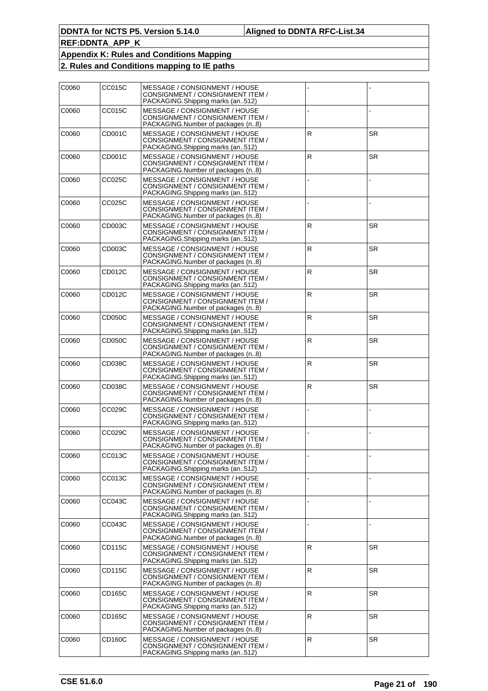| C0060 | CC015C        | MESSAGE / CONSIGNMENT / HOUSE<br>CONSIGNMENT / CONSIGNMENT ITEM /<br>PACKAGING. Shipping marks (an512)  |              |           |
|-------|---------------|---------------------------------------------------------------------------------------------------------|--------------|-----------|
| C0060 | CC015C        | MESSAGE / CONSIGNMENT / HOUSE<br>CONSIGNMENT / CONSIGNMENT ITEM /<br>PACKAGING. Number of packages (n8) |              |           |
| C0060 | CD001C        | MESSAGE / CONSIGNMENT / HOUSE<br>CONSIGNMENT / CONSIGNMENT ITEM /<br>PACKAGING.Shipping marks (an512)   | ${\sf R}$    | <b>SR</b> |
| C0060 | CD001C        | MESSAGE / CONSIGNMENT / HOUSE<br>CONSIGNMENT / CONSIGNMENT ITEM /<br>PACKAGING. Number of packages (n8) | $\mathsf{R}$ | <b>SR</b> |
| C0060 | CC025C        | MESSAGE / CONSIGNMENT / HOUSE<br>CONSIGNMENT / CONSIGNMENT ITEM /<br>PACKAGING.Shipping marks (an512)   |              |           |
| C0060 | CC025C        | MESSAGE / CONSIGNMENT / HOUSE<br>CONSIGNMENT / CONSIGNMENT ITEM /<br>PACKAGING.Number of packages (n8)  |              |           |
| C0060 | CD003C        | MESSAGE / CONSIGNMENT / HOUSE<br>CONSIGNMENT / CONSIGNMENT ITEM /<br>PACKAGING.Shipping marks (an512)   | ${\sf R}$    | <b>SR</b> |
| C0060 | CD003C        | MESSAGE / CONSIGNMENT / HOUSE<br>CONSIGNMENT / CONSIGNMENT ITEM /<br>PACKAGING. Number of packages (n8) | $\mathsf{R}$ | <b>SR</b> |
| C0060 | CD012C        | MESSAGE / CONSIGNMENT / HOUSE<br>CONSIGNMENT / CONSIGNMENT ITEM /<br>PACKAGING. Shipping marks (an512)  | ${\sf R}$    | <b>SR</b> |
| C0060 | CD012C        | MESSAGE / CONSIGNMENT / HOUSE<br>CONSIGNMENT / CONSIGNMENT ITEM /<br>PACKAGING.Number of packages (n8)  | ${\sf R}$    | <b>SR</b> |
| C0060 | CD050C        | MESSAGE / CONSIGNMENT / HOUSE<br>CONSIGNMENT / CONSIGNMENT ITEM /<br>PACKAGING.Shipping marks (an512)   | $\mathsf{R}$ | <b>SR</b> |
| C0060 | <b>CD050C</b> | MESSAGE / CONSIGNMENT / HOUSE<br>CONSIGNMENT / CONSIGNMENT ITEM /<br>PACKAGING.Number of packages (n8)  | $\mathsf{R}$ | <b>SR</b> |
| C0060 | CD038C        | MESSAGE / CONSIGNMENT / HOUSE<br>CONSIGNMENT / CONSIGNMENT ITEM /<br>PACKAGING.Shipping marks (an512)   | ${\sf R}$    | <b>SR</b> |
| C0060 | CD038C        | MESSAGE / CONSIGNMENT / HOUSE<br>CONSIGNMENT / CONSIGNMENT ITEM /<br>PACKAGING. Number of packages (n8) | $\mathsf{R}$ | <b>SR</b> |
| C0060 | CC029C        | MESSAGE / CONSIGNMENT / HOUSE<br>CONSIGNMENT / CONSIGNMENT ITEM /<br>PACKAGING.Shipping marks (an512)   |              |           |
| C0060 | CC029C        | MESSAGE / CONSIGNMENT / HOUSE<br>CONSIGNMENT / CONSIGNMENT ITEM /<br>PACKAGING. Number of packages (n8) |              |           |
| C0060 | CC013C        | MESSAGE / CONSIGNMENT / HOUSE<br>CONSIGNMENT / CONSIGNMENT ITEM /<br>PACKAGING. Shipping marks (an512)  |              |           |
| C0060 | CC013C        | MESSAGE / CONSIGNMENT / HOUSE<br>CONSIGNMENT / CONSIGNMENT ITEM /<br>PACKAGING.Number of packages (n8)  |              |           |
| C0060 | CC043C        | MESSAGE / CONSIGNMENT / HOUSE<br>CONSIGNMENT / CONSIGNMENT ITEM /<br>PACKAGING. Shipping marks (an512)  |              |           |
| C0060 | CC043C        | MESSAGE / CONSIGNMENT / HOUSE<br>CONSIGNMENT / CONSIGNMENT ITEM /<br>PACKAGING.Number of packages (n8)  |              |           |
| C0060 | CD115C        | MESSAGE / CONSIGNMENT / HOUSE<br>CONSIGNMENT / CONSIGNMENT ITEM /<br>PACKAGING. Shipping marks (an512)  | ${\sf R}$    | <b>SR</b> |
| C0060 | CD115C        | MESSAGE / CONSIGNMENT / HOUSE<br>CONSIGNMENT / CONSIGNMENT ITEM /<br>PACKAGING. Number of packages (n8) | $\mathsf{R}$ | <b>SR</b> |
| C0060 | CD165C        | MESSAGE / CONSIGNMENT / HOUSE<br>CONSIGNMENT / CONSIGNMENT ITEM /<br>PACKAGING. Shipping marks (an512)  | $\mathsf{R}$ | <b>SR</b> |
| C0060 | CD165C        | MESSAGE / CONSIGNMENT / HOUSE<br>CONSIGNMENT / CONSIGNMENT ITEM /<br>PACKAGING.Number of packages (n8)  | ${\sf R}$    | <b>SR</b> |
| C0060 | CD160C        | MESSAGE / CONSIGNMENT / HOUSE<br>CONSIGNMENT / CONSIGNMENT ITEM /<br>PACKAGING. Shipping marks (an512)  | R            | SR        |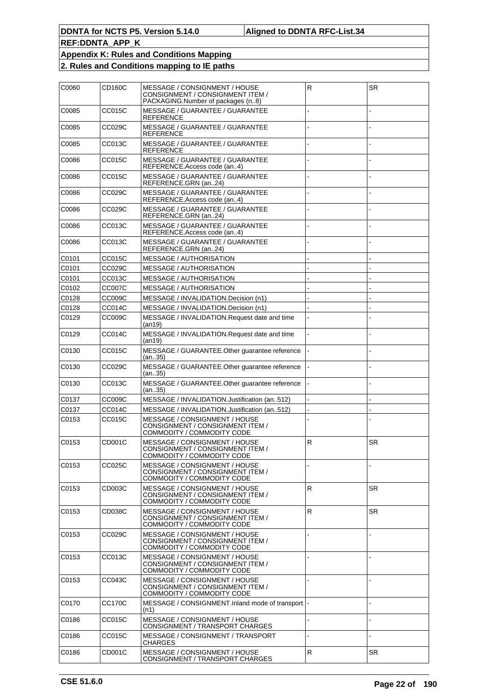| C0060 | CD160C        | MESSAGE / CONSIGNMENT / HOUSE<br>CONSIGNMENT / CONSIGNMENT ITEM /<br>PACKAGING.Number of packages (n8) | $\mathsf{R}$ | <b>SR</b> |
|-------|---------------|--------------------------------------------------------------------------------------------------------|--------------|-----------|
| C0085 | CC015C        | MESSAGE / GUARANTEE / GUARANTEE<br>REFERENCE                                                           |              |           |
| C0085 | CC029C        | MESSAGE / GUARANTEE / GUARANTEE<br>REFERENCE                                                           |              |           |
| C0085 | CC013C        | MESSAGE / GUARANTEE / GUARANTEE<br>REFERENCE                                                           |              |           |
| C0086 | CC015C        | MESSAGE / GUARANTEE / GUARANTEE<br>REFERENCE.Access code (an4)                                         |              |           |
| C0086 | CC015C        | MESSAGE / GUARANTEE / GUARANTEE<br>REFERENCE.GRN (an24)                                                |              |           |
| C0086 | CC029C        | MESSAGE / GUARANTEE / GUARANTEE<br>REFERENCE.Access code (an4)                                         |              |           |
| C0086 | CC029C        | MESSAGE / GUARANTEE / GUARANTEE<br>REFERENCE.GRN (an24)                                                |              |           |
| C0086 | CC013C        | MESSAGE / GUARANTEE / GUARANTEE<br>REFERENCE.Access code (an4)                                         |              |           |
| C0086 | CC013C        | MESSAGE / GUARANTEE / GUARANTEE<br>REFERENCE.GRN (an24)                                                |              |           |
| C0101 | CC015C        | <b>MESSAGE / AUTHORISATION</b>                                                                         |              |           |
| C0101 | CC029C        | MESSAGE / AUTHORISATION                                                                                |              |           |
| C0101 | CC013C        | MESSAGE / AUTHORISATION                                                                                |              |           |
| C0102 | <b>CC007C</b> | MESSAGE / AUTHORISATION                                                                                |              |           |
| C0128 | <b>CC009C</b> | MESSAGE / INVALIDATION. Decision (n1)                                                                  |              |           |
| C0128 | CC014C        | MESSAGE / INVALIDATION. Decision (n1)                                                                  |              |           |
| C0129 | CC009C        | MESSAGE / INVALIDATION.Request date and time<br>(an19)                                                 |              |           |
| C0129 | CC014C        | MESSAGE / INVALIDATION.Request date and time<br>(an19)                                                 |              |           |
| C0130 | CC015C        | MESSAGE / GUARANTEE. Other guarantee reference<br>(an35)                                               |              |           |
| C0130 | CC029C        | MESSAGE / GUARANTEE.Other guarantee reference<br>(an35)                                                |              |           |
| C0130 | CC013C        | MESSAGE / GUARANTEE.Other guarantee reference<br>(an35)                                                |              |           |
| C0137 | <b>CC009C</b> | MESSAGE / INVALIDATION.Justification (an512)                                                           |              |           |
| C0137 | <b>CC014C</b> | MESSAGE / INVALIDATION.Justification (an512)                                                           |              |           |
| C0153 | CC015C        | MESSAGE / CONSIGNMENT / HOUSE<br>CONSIGNMENT / CONSIGNMENT ITEM /<br>COMMODITY / COMMODITY CODE        |              |           |
| C0153 | CD001C        | MESSAGE / CONSIGNMENT / HOUSE<br>CONSIGNMENT / CONSIGNMENT ITEM /<br>COMMODITY / COMMODITY CODE        | $\mathsf{R}$ | <b>SR</b> |
| C0153 | CC025C        | MESSAGE / CONSIGNMENT / HOUSE<br>CONSIGNMENT / CONSIGNMENT ITEM /<br>COMMODITY / COMMODITY CODE        |              |           |
| C0153 | CD003C        | MESSAGE / CONSIGNMENT / HOUSE<br>CONSIGNMENT / CONSIGNMENT ITEM /<br>COMMODITY / COMMODITY CODE        | $\mathsf{R}$ | <b>SR</b> |
| C0153 | CD038C        | MESSAGE / CONSIGNMENT / HOUSE<br>CONSIGNMENT / CONSIGNMENT ITEM /<br>COMMODITY / COMMODITY CODE        | $\mathsf{R}$ | <b>SR</b> |
| C0153 | CC029C        | MESSAGE / CONSIGNMENT / HOUSE<br>CONSIGNMENT / CONSIGNMENT ITEM /<br>COMMODITY / COMMODITY CODE        |              |           |
| C0153 | CC013C        | MESSAGE / CONSIGNMENT / HOUSE<br>CONSIGNMENT / CONSIGNMENT ITEM /<br>COMMODITY / COMMODITY CODE        |              |           |
| C0153 | CC043C        | MESSAGE / CONSIGNMENT / HOUSE<br>CONSIGNMENT / CONSIGNMENT ITEM /<br>COMMODITY / COMMODITY CODE        |              |           |
| C0170 | CC170C        | MESSAGE / CONSIGNMENT.Inland mode of transport  <br>(n1)                                               |              |           |
| C0186 | CC015C        | MESSAGE / CONSIGNMENT / HOUSE<br>CONSIGNMENT / TRANSPORT CHARGES                                       |              |           |
| C0186 | CC015C        | MESSAGE / CONSIGNMENT / TRANSPORT<br>CHARGES                                                           |              |           |
| C0186 | CD001C        | MESSAGE / CONSIGNMENT / HOUSE<br>CONSIGNMENT / TRANSPORT CHARGES                                       | ${\sf R}$    | <b>SR</b> |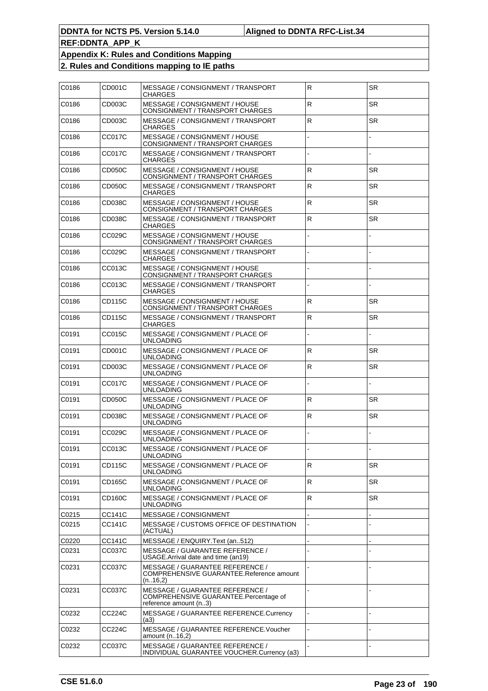| C0186 | CD001C | MESSAGE / CONSIGNMENT / TRANSPORT<br>CHARGES                                                      | $\mathsf R$  | <b>SR</b> |
|-------|--------|---------------------------------------------------------------------------------------------------|--------------|-----------|
| C0186 | CD003C | MESSAGE / CONSIGNMENT / HOUSE<br>CONSIGNMENT / TRANSPORT CHARGES                                  | $\mathsf{R}$ | <b>SR</b> |
| C0186 | CD003C | MESSAGE / CONSIGNMENT / TRANSPORT<br>CHARGES                                                      | $\mathsf{R}$ | <b>SR</b> |
| C0186 | CC017C | MESSAGE / CONSIGNMENT / HOUSE<br>CONSIGNMENT / TRANSPORT CHARGES                                  |              |           |
| C0186 | CC017C | MESSAGE / CONSIGNMENT / TRANSPORT<br>CHARGES                                                      |              |           |
| C0186 | CD050C | MESSAGE / CONSIGNMENT / HOUSE<br>CONSIGNMENT / TRANSPORT CHARGES                                  | $\mathsf{R}$ | <b>SR</b> |
| C0186 | CD050C | MESSAGE / CONSIGNMENT / TRANSPORT<br>CHARGES                                                      | ${\sf R}$    | <b>SR</b> |
| C0186 | CD038C | MESSAGE / CONSIGNMENT / HOUSE<br>CONSIGNMENT / TRANSPORT CHARGES                                  | $\mathsf{R}$ | <b>SR</b> |
| C0186 | CD038C | MESSAGE / CONSIGNMENT / TRANSPORT<br>CHARGES                                                      | $\mathsf{R}$ | <b>SR</b> |
| C0186 | CC029C | MESSAGE / CONSIGNMENT / HOUSE<br>CONSIGNMENT / TRANSPORT CHARGES                                  |              |           |
| C0186 | CC029C | MESSAGE / CONSIGNMENT / TRANSPORT<br>CHARGES                                                      |              |           |
| C0186 | CC013C | MESSAGE / CONSIGNMENT / HOUSE<br>CONSIGNMENT / TRANSPORT CHARGES                                  |              |           |
| C0186 | CC013C | MESSAGE / CONSIGNMENT / TRANSPORT<br>CHARGES                                                      |              |           |
| C0186 | CD115C | MESSAGE / CONSIGNMENT / HOUSE<br>CONSIGNMENT / TRANSPORT CHARGES                                  | $\mathsf{R}$ | SR.       |
| C0186 | CD115C | MESSAGE / CONSIGNMENT / TRANSPORT<br>CHARGES                                                      | ${\sf R}$    | <b>SR</b> |
| C0191 | CC015C | MESSAGE / CONSIGNMENT / PLACE OF<br>UNLOADING                                                     |              |           |
| C0191 | CD001C | MESSAGE / CONSIGNMENT / PLACE OF<br>UNLOADING                                                     | $\mathsf{R}$ | SR.       |
| C0191 | CD003C | MESSAGE / CONSIGNMENT / PLACE OF<br>UNLOADING                                                     | ${\sf R}$    | <b>SR</b> |
| C0191 | CC017C | MESSAGE / CONSIGNMENT / PLACE OF<br>UNLOADING                                                     |              |           |
| C0191 | CD050C | MESSAGE / CONSIGNMENT / PLACE OF<br>UNLOADING                                                     | $\mathsf{R}$ | <b>SR</b> |
| C0191 | CD038C | MESSAGE / CONSIGNMENT / PLACE OF<br>UNLOADING                                                     | ${\sf R}$    | <b>SR</b> |
| C0191 | CC029C | MESSAGE / CONSIGNMENT / PLACE OF<br>UNLOADING                                                     |              |           |
| C0191 | CC013C | MESSAGE / CONSIGNMENT / PLACE OF<br>UNLOADING                                                     |              |           |
| C0191 | CD115C | MESSAGE / CONSIGNMENT / PLACE OF<br>UNLOADING                                                     | ${\sf R}$    | SR.       |
| C0191 | CD165C | MESSAGE / CONSIGNMENT / PLACE OF<br>UNLOADING                                                     | ${\sf R}$    | <b>SR</b> |
| C0191 | CD160C | MESSAGE / CONSIGNMENT / PLACE OF<br>UNLOADING                                                     | $\mathsf{R}$ | SR.       |
| C0215 | CC141C | MESSAGE / CONSIGNMENT                                                                             |              |           |
| C0215 | CC141C | MESSAGE / CUSTOMS OFFICE OF DESTINATION<br>(ACTUAL)                                               |              |           |
| C0220 | CC141C | MESSAGE / ENQUIRY.Text (an512)                                                                    |              |           |
| C0231 | CC037C | MESSAGE / GUARANTEE REFERENCE /<br>USAGE.Arrival date and time (an19)                             |              |           |
| C0231 | CC037C | MESSAGE / GUARANTEE REFERENCE /<br>COMPREHENSIVE GUARANTEE.Reference amount<br>(n.16,2)           |              |           |
| C0231 | CC037C | MESSAGE / GUARANTEE REFERENCE /<br>COMPREHENSIVE GUARANTEE.Percentage of<br>reference amount (n3) |              |           |
| C0232 | CC224C | MESSAGE / GUARANTEE REFERENCE.Currency<br>(a3)                                                    |              |           |
| C0232 | CC224C | MESSAGE / GUARANTEE REFERENCE. Voucher<br>amount (n16,2)                                          |              |           |
| C0232 | CC037C | MESSAGE / GUARANTEE REFERENCE /<br>INDIVIDUAL GUARANTEE VOUCHER.Currency (a3)                     |              |           |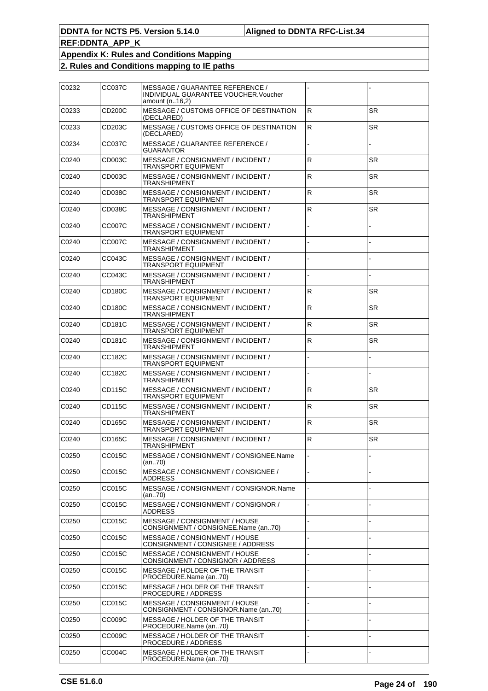| C0232 | <b>CC037C</b> | MESSAGE / GUARANTEE REFERENCE /<br>INDIVIDUAL GUARANTEE VOUCHER. Voucher<br>amount (n16,2) |              |           |
|-------|---------------|--------------------------------------------------------------------------------------------|--------------|-----------|
| C0233 | CD200C        | MESSAGE / CUSTOMS OFFICE OF DESTINATION<br>(DECLARED)                                      | $\mathsf{R}$ | <b>SR</b> |
| C0233 | CD203C        | MESSAGE / CUSTOMS OFFICE OF DESTINATION<br>(DECLARED)                                      | $\mathsf R$  | SR.       |
| C0234 | CC037C        | MESSAGE / GUARANTEE REFERENCE /<br>GUARANTOR                                               |              |           |
| C0240 | CD003C        | MESSAGE / CONSIGNMENT / INCIDENT /<br>TRANSPORT EQUIPMENT                                  | ${\sf R}$    | <b>SR</b> |
| C0240 | CD003C        | MESSAGE / CONSIGNMENT / INCIDENT /<br>TRANSHIPMENT                                         | ${\sf R}$    | SR.       |
| C0240 | CD038C        | MESSAGE / CONSIGNMENT / INCIDENT /<br>TRANSPORT EQUIPMENT                                  | ${\sf R}$    | <b>SR</b> |
| C0240 | CD038C        | MESSAGE / CONSIGNMENT / INCIDENT /<br>TRANSHIPMENT                                         | ${\sf R}$    | <b>SR</b> |
| C0240 | CC007C        | MESSAGE / CONSIGNMENT / INCIDENT /<br>TRANSPORT EQUIPMENT                                  |              |           |
| C0240 | <b>CC007C</b> | MESSAGE / CONSIGNMENT / INCIDENT /<br>TRANSHIPMENT                                         |              |           |
| C0240 | CC043C        | MESSAGE / CONSIGNMENT / INCIDENT /<br>TRANSPORT EQUIPMENT                                  |              |           |
| C0240 | CC043C        | MESSAGE / CONSIGNMENT / INCIDENT /<br>TRANSHIPMENT                                         |              |           |
| C0240 | <b>CD180C</b> | MESSAGE / CONSIGNMENT / INCIDENT /<br>TRANSPORT EQUIPMENT                                  | $\mathsf{R}$ | <b>SR</b> |
| C0240 | CD180C        | MESSAGE / CONSIGNMENT / INCIDENT /<br>TRANSHIPMENT                                         | ${\sf R}$    | <b>SR</b> |
| C0240 | CD181C        | MESSAGE / CONSIGNMENT / INCIDENT /<br>TRANSPORT EQUIPMENT                                  | ${\sf R}$    | SR.       |
| C0240 | CD181C        | MESSAGE / CONSIGNMENT / INCIDENT /<br>TRANSHIPMENT                                         | ${\sf R}$    | <b>SR</b> |
| C0240 | CC182C        | MESSAGE / CONSIGNMENT / INCIDENT /<br>TRANSPORT EQUIPMENT                                  |              |           |
| C0240 | CC182C        | MESSAGE / CONSIGNMENT / INCIDENT /<br>TRANSHIPMENT                                         |              |           |
| C0240 | CD115C        | MESSAGE / CONSIGNMENT / INCIDENT /<br>TRANSPORT EQUIPMENT                                  | $\mathsf{R}$ | <b>SR</b> |
| C0240 | CD115C        | MESSAGE / CONSIGNMENT / INCIDENT /<br>TRANSHIPMENT                                         | ${\sf R}$    | <b>SR</b> |
| C0240 | CD165C        | MESSAGE / CONSIGNMENT / INCIDENT /<br>TRANSPORT EQUIPMENT                                  | $\mathsf R$  | SR        |
| C0240 | CD165C        | MESSAGE / CONSIGNMENT / INCIDENT /<br>TRANSHIPMENT                                         | $\mathsf{R}$ | <b>SR</b> |
| C0250 | CC015C        | MESSAGE / CONSIGNMENT / CONSIGNEE.Name<br>(an70)                                           |              |           |
| C0250 | CC015C        | MESSAGE / CONSIGNMENT / CONSIGNEE /<br><b>ADDRESS</b>                                      |              |           |
| C0250 | CC015C        | MESSAGE / CONSIGNMENT / CONSIGNOR.Name<br>(an70)                                           |              |           |
| C0250 | CC015C        | MESSAGE / CONSIGNMENT / CONSIGNOR /<br><b>ADDRESS</b>                                      |              |           |
| C0250 | CC015C        | MESSAGE / CONSIGNMENT / HOUSE<br>CONSIGNMENT / CONSIGNEE.Name (an70)                       |              |           |
| C0250 | CC015C        | MESSAGE / CONSIGNMENT / HOUSE<br>CONSIGNMENT / CONSIGNEE / ADDRESS                         |              |           |
| C0250 | CC015C        | MESSAGE / CONSIGNMENT / HOUSE<br>CONSIGNMENT / CONSIGNOR / ADDRESS                         |              |           |
| C0250 | CC015C        | MESSAGE / HOLDER OF THE TRANSIT<br>PROCEDURE.Name (an70)                                   |              |           |
| C0250 | CC015C        | MESSAGE / HOLDER OF THE TRANSIT<br>PROCEDURE / ADDRESS                                     |              |           |
| C0250 | CC015C        | MESSAGE / CONSIGNMENT / HOUSE<br>CONSIGNMENT / CONSIGNOR.Name (an70)                       |              |           |
| C0250 | CC009C        | MESSAGE / HOLDER OF THE TRANSIT<br>PROCEDURE.Name (an70)                                   |              |           |
| C0250 | CC009C        | MESSAGE / HOLDER OF THE TRANSIT<br>PROCEDURE / ADDRESS                                     |              |           |
| C0250 | CC004C        | MESSAGE / HOLDER OF THE TRANSIT<br>PROCEDURE.Name (an70)                                   |              |           |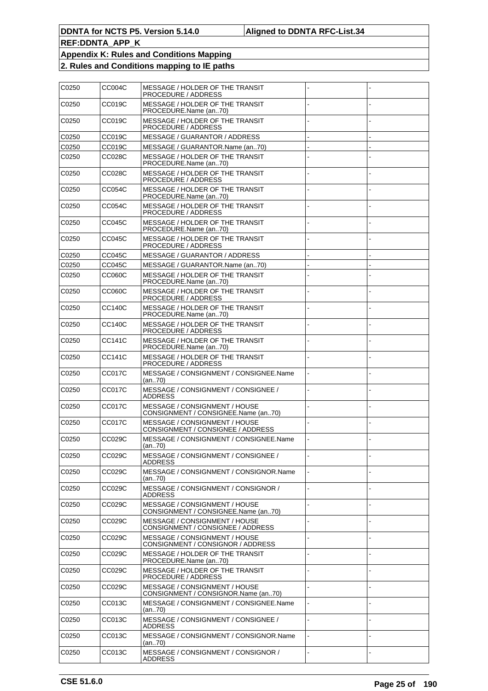| C0250 | CC004C | MESSAGE / HOLDER OF THE TRANSIT<br>PROCEDURE / ADDRESS               |  |
|-------|--------|----------------------------------------------------------------------|--|
| C0250 | CC019C | MESSAGE / HOLDER OF THE TRANSIT<br>PROCEDURE.Name (an70)             |  |
| C0250 | CC019C | MESSAGE / HOLDER OF THE TRANSIT<br>PROCEDURE / ADDRESS               |  |
| C0250 | CC019C | MESSAGE / GUARANTOR / ADDRESS                                        |  |
| C0250 | CC019C | MESSAGE / GUARANTOR.Name (an70)                                      |  |
| C0250 | CC028C | MESSAGE / HOLDER OF THE TRANSIT<br>PROCEDURE.Name (an70)             |  |
| C0250 | CC028C | MESSAGE / HOLDER OF THE TRANSIT<br>PROCEDURE / ADDRESS               |  |
| C0250 | CC054C | MESSAGE / HOLDER OF THE TRANSIT<br>PROCEDURE.Name (an70)             |  |
| C0250 | CC054C | MESSAGE / HOLDER OF THE TRANSIT<br>PROCEDURE / ADDRESS               |  |
| C0250 | CC045C | MESSAGE / HOLDER OF THE TRANSIT<br>PROCEDURE.Name (an70)             |  |
| C0250 | CC045C | MESSAGE / HOLDER OF THE TRANSIT<br>PROCEDURE / ADDRESS               |  |
| C0250 | CC045C | <b>MESSAGE / GUARANTOR / ADDRESS</b>                                 |  |
| C0250 | CC045C | MESSAGE / GUARANTOR.Name (an70)                                      |  |
| C0250 | CC060C | MESSAGE / HOLDER OF THE TRANSIT<br>PROCEDURE.Name (an70)             |  |
| C0250 | CC060C | MESSAGE / HOLDER OF THE TRANSIT<br>PROCEDURE / ADDRESS               |  |
| C0250 | CC140C | MESSAGE / HOLDER OF THE TRANSIT<br>PROCEDURE.Name (an70)             |  |
| C0250 | CC140C | MESSAGE / HOLDER OF THE TRANSIT<br>PROCEDURE / ADDRESS               |  |
| C0250 | CC141C | MESSAGE / HOLDER OF THE TRANSIT<br>PROCEDURE.Name (an70)             |  |
| C0250 | CC141C | MESSAGE / HOLDER OF THE TRANSIT<br>PROCEDURE / ADDRESS               |  |
| C0250 | CC017C | MESSAGE / CONSIGNMENT / CONSIGNEE.Name<br>(an70)                     |  |
| C0250 | CC017C | MESSAGE / CONSIGNMENT / CONSIGNEE /<br>ADDRESS                       |  |
| C0250 | CC017C | MESSAGE / CONSIGNMENT / HOUSE<br>CONSIGNMENT / CONSIGNEE.Name (an70) |  |
| C0250 | CC017C | MESSAGE / CONSIGNMENT / HOUSE<br>CONSIGNMENT / CONSIGNEE / ADDRESS   |  |
| C0250 | CC029C | MESSAGE / CONSIGNMENT / CONSIGNEE.Name<br>(an70)                     |  |
| C0250 | CC029C | MESSAGE / CONSIGNMENT / CONSIGNEE /<br>ADDRESS                       |  |
| C0250 | CC029C | MESSAGE / CONSIGNMENT / CONSIGNOR.Name<br>(an70)                     |  |
| C0250 | CC029C | MESSAGE / CONSIGNMENT / CONSIGNOR /<br>ADDRESS                       |  |
| C0250 | CC029C | MESSAGE / CONSIGNMENT / HOUSE<br>CONSIGNMENT / CONSIGNEE.Name (an70) |  |
| C0250 | CC029C | MESSAGE / CONSIGNMENT / HOUSE<br>CONSIGNMENT / CONSIGNEE / ADDRESS   |  |
| C0250 | CC029C | MESSAGE / CONSIGNMENT / HOUSE<br>CONSIGNMENT / CONSIGNOR / ADDRESS   |  |
| C0250 | CC029C | MESSAGE / HOLDER OF THE TRANSIT<br>PROCEDURE.Name (an70)             |  |
| C0250 | CC029C | MESSAGE / HOLDER OF THE TRANSIT<br>PROCEDURE / ADDRESS               |  |
| C0250 | CC029C | MESSAGE / CONSIGNMENT / HOUSE<br>CONSIGNMENT / CONSIGNOR.Name (an70) |  |
| C0250 | CC013C | MESSAGE / CONSIGNMENT / CONSIGNEE.Name<br>(an70)                     |  |
| C0250 | CC013C | MESSAGE / CONSIGNMENT / CONSIGNEE /<br>ADDRESS                       |  |
| C0250 | CC013C | MESSAGE / CONSIGNMENT / CONSIGNOR.Name<br>(an70)                     |  |
| C0250 | CC013C | MESSAGE / CONSIGNMENT / CONSIGNOR /<br>ADDRESS                       |  |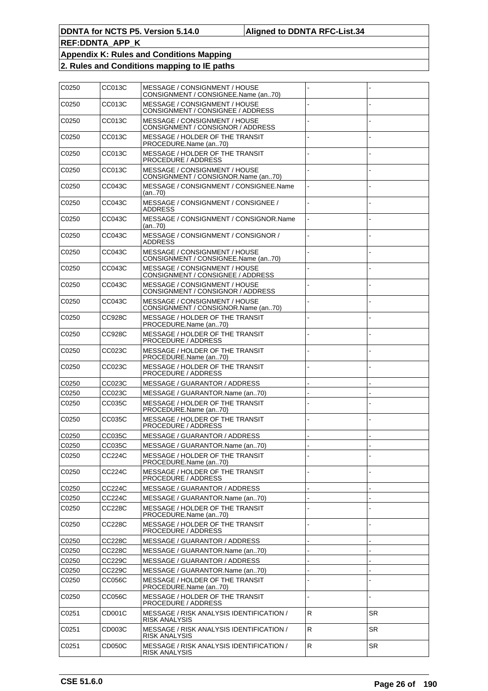| C0250 | CC013C | MESSAGE / CONSIGNMENT / HOUSE<br>CONSIGNMENT / CONSIGNEE.Name (an70)   |   |           |
|-------|--------|------------------------------------------------------------------------|---|-----------|
| C0250 | CC013C | MESSAGE / CONSIGNMENT / HOUSE<br>CONSIGNMENT / CONSIGNEE / ADDRESS     |   |           |
| C0250 | CC013C | MESSAGE / CONSIGNMENT / HOUSE<br>CONSIGNMENT / CONSIGNOR / ADDRESS     |   |           |
| C0250 | CC013C | MESSAGE / HOLDER OF THE TRANSIT<br>PROCEDURE.Name (an70)               |   |           |
| C0250 | CC013C | MESSAGE / HOLDER OF THE TRANSIT<br><b>PROCEDURE / ADDRESS</b>          |   |           |
| C0250 | CC013C | MESSAGE / CONSIGNMENT / HOUSE<br>CONSIGNMENT / CONSIGNOR.Name (an70)   |   |           |
| C0250 | CC043C | MESSAGE / CONSIGNMENT / CONSIGNEE.Name<br>(an70)                       |   |           |
| C0250 | CC043C | MESSAGE / CONSIGNMENT / CONSIGNEE /<br><b>ADDRESS</b>                  |   |           |
| C0250 | CC043C | MESSAGE / CONSIGNMENT / CONSIGNOR.Name<br>(an70)                       |   |           |
| C0250 | CC043C | MESSAGE / CONSIGNMENT / CONSIGNOR /<br><b>ADDRESS</b>                  |   |           |
| C0250 | CC043C | MESSAGE / CONSIGNMENT / HOUSE<br>CONSIGNMENT / CONSIGNEE.Name (an70)   |   |           |
| C0250 | CC043C | MESSAGE / CONSIGNMENT / HOUSE<br>CONSIGNMENT / CONSIGNEE / ADDRESS     |   |           |
| C0250 | CC043C | MESSAGE / CONSIGNMENT / HOUSE<br>CONSIGNMENT / CONSIGNOR / ADDRESS     |   |           |
| C0250 | CC043C | MESSAGE / CONSIGNMENT / HOUSE<br>CONSIGNMENT / CONSIGNOR.Name (an.,70) |   |           |
| C0250 | CC928C | MESSAGE / HOLDER OF THE TRANSIT<br>PROCEDURE.Name (an70)               |   |           |
| C0250 | CC928C | MESSAGE / HOLDER OF THE TRANSIT<br>PROCEDURE / ADDRESS                 |   |           |
| C0250 | CC023C | MESSAGE / HOLDER OF THE TRANSIT<br>PROCEDURE.Name (an70)               |   |           |
| C0250 | CC023C | MESSAGE / HOLDER OF THE TRANSIT<br>PROCEDURE / ADDRESS                 |   |           |
| C0250 | CC023C | MESSAGE / GUARANTOR / ADDRESS                                          |   |           |
| C0250 | CC023C | MESSAGE / GUARANTOR.Name (an70)                                        |   |           |
| C0250 | CC035C | MESSAGE / HOLDER OF THE TRANSIT<br>PROCEDURE.Name (an70)               |   |           |
| C0250 | CC035C | MESSAGE / HOLDER OF THE TRANSIT<br>PROCEDURE / ADDRESS                 |   |           |
| C0250 | CC035C | MESSAGE / GUARANTOR / ADDRESS                                          |   |           |
| C0250 | CC035C | MESSAGE / GUARANTOR.Name (an70)                                        |   |           |
| C0250 | CC224C | MESSAGE / HOLDER OF THE TRANSIT<br>PROCEDURE.Name (an70)               |   |           |
| C0250 | CC224C | MESSAGE / HOLDER OF THE TRANSIT<br>PROCEDURE / ADDRESS                 |   |           |
| C0250 | CC224C | MESSAGE / GUARANTOR / ADDRESS                                          |   |           |
| C0250 | CC224C | MESSAGE / GUARANTOR.Name (an70)                                        |   |           |
| C0250 | CC228C | MESSAGE / HOLDER OF THE TRANSIT<br>PROCEDURE.Name (an70)               |   |           |
| C0250 | CC228C | MESSAGE / HOLDER OF THE TRANSIT<br>PROCEDURE / ADDRESS                 |   |           |
| C0250 | CC228C | MESSAGE / GUARANTOR / ADDRESS                                          |   |           |
| C0250 | CC228C | MESSAGE / GUARANTOR.Name (an70)                                        |   |           |
| C0250 | CC229C | MESSAGE / GUARANTOR / ADDRESS                                          |   |           |
| C0250 | CC229C | MESSAGE / GUARANTOR.Name (an70)                                        |   |           |
| C0250 | CC056C | MESSAGE / HOLDER OF THE TRANSIT<br>PROCEDURE.Name (an70)               |   |           |
| C0250 | CC056C | MESSAGE / HOLDER OF THE TRANSIT<br>PROCEDURE / ADDRESS                 |   |           |
| C0251 | CD001C | MESSAGE / RISK ANALYSIS IDENTIFICATION /<br><b>RISK ANALYSIS</b>       | R | <b>SR</b> |
| C0251 | CD003C | MESSAGE / RISK ANALYSIS IDENTIFICATION /<br>RISK ANALYSIS              | R | <b>SR</b> |
| C0251 | CD050C | MESSAGE / RISK ANALYSIS IDENTIFICATION /<br>RISK ANALYSIS              | R | <b>SR</b> |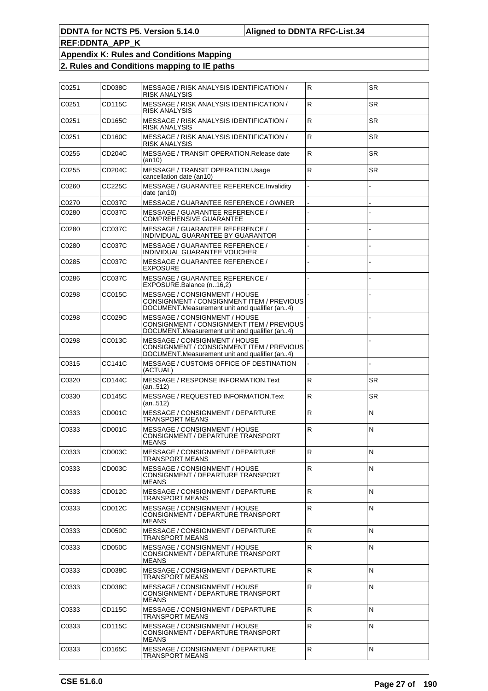| C0251 | CD038C | MESSAGE / RISK ANALYSIS IDENTIFICATION /<br>RISK ANALYSIS                                                                    | $\mathsf R$  | SR        |
|-------|--------|------------------------------------------------------------------------------------------------------------------------------|--------------|-----------|
| C0251 | CD115C | MESSAGE / RISK ANALYSIS IDENTIFICATION /<br>RISK ANALYSIS                                                                    | ${\sf R}$    | <b>SR</b> |
| C0251 | CD165C | MESSAGE / RISK ANALYSIS IDENTIFICATION /<br>RISK ANALYSIS                                                                    | $\mathsf R$  | <b>SR</b> |
| C0251 | CD160C | MESSAGE / RISK ANALYSIS IDENTIFICATION /<br>RISK ANALYSIS                                                                    | ${\sf R}$    | <b>SR</b> |
| C0255 | CD204C | MESSAGE / TRANSIT OPERATION.Release date<br>(an10)                                                                           | ${\sf R}$    | <b>SR</b> |
| C0255 | CD204C | MESSAGE / TRANSIT OPERATION.Usage<br>cancellation date (an10)                                                                | $\mathsf R$  | <b>SR</b> |
| C0260 | CC225C | MESSAGE / GUARANTEE REFERENCE.Invalidity<br>date (an10)                                                                      |              |           |
| C0270 | CC037C | MESSAGE / GUARANTEE REFERENCE / OWNER                                                                                        |              |           |
| C0280 | CC037C | MESSAGE / GUARANTEE REFERENCE /<br><b>COMPREHENSIVE GUARANTEE</b>                                                            |              |           |
| C0280 | CC037C | MESSAGE / GUARANTEE REFERENCE /<br>INDIVIDUAL GUARANTEE BY GUARANTOR                                                         |              |           |
| C0280 | CC037C | MESSAGE / GUARANTEE REFERENCE /<br>INDIVIDUAL GUARANTEE VOUCHER                                                              |              |           |
| C0285 | CC037C | MESSAGE / GUARANTEE REFERENCE /<br><b>EXPOSURE</b>                                                                           |              |           |
| C0286 | CC037C | MESSAGE / GUARANTEE REFERENCE /<br>EXPOSURE.Balance (n16,2)                                                                  |              |           |
| C0298 | CC015C | MESSAGE / CONSIGNMENT / HOUSE<br>CONSIGNMENT / CONSIGNMENT ITEM / PREVIOUS<br>DOCUMENT. Measurement unit and qualifier (an4) |              |           |
| C0298 | CC029C | MESSAGE / CONSIGNMENT / HOUSE<br>CONSIGNMENT / CONSIGNMENT ITEM / PREVIOUS<br>DOCUMENT. Measurement unit and qualifier (an4) |              |           |
| C0298 | CC013C | MESSAGE / CONSIGNMENT / HOUSE<br>CONSIGNMENT / CONSIGNMENT ITEM / PREVIOUS<br>DOCUMENT.Measurement unit and qualifier (an4)  |              |           |
| C0315 | CC141C | MESSAGE / CUSTOMS OFFICE OF DESTINATION<br>(ACTUAL)                                                                          |              |           |
| C0320 | CD144C | <b>MESSAGE / RESPONSE INFORMATION.Text</b><br>(an512)                                                                        | ${\sf R}$    | <b>SR</b> |
| C0330 | CD145C | MESSAGE / REQUESTED INFORMATION.Text<br>(an512)                                                                              | $\mathsf R$  | <b>SR</b> |
| C0333 | CD001C | MESSAGE / CONSIGNMENT / DEPARTURE<br>TRANSPORT MEANS                                                                         | $\mathsf{R}$ | N         |
| C0333 | CD001C | MESSAGE / CONSIGNMENT / HOUSE<br>CONSIGNMENT / DEPARTURE TRANSPORT<br><b>MEANS</b>                                           | ${\sf R}$    | N         |
| C0333 | CD003C | MESSAGE / CONSIGNMENT / DEPARTURE<br>TRANSPORT MEANS                                                                         | R            | N         |
| C0333 | CD003C | MESSAGE / CONSIGNMENT / HOUSE<br>CONSIGNMENT / DEPARTURE TRANSPORT<br><b>MEANS</b>                                           | ${\sf R}$    | N         |
| C0333 | CD012C | MESSAGE / CONSIGNMENT / DEPARTURE<br>TRANSPORT MEANS                                                                         | $\mathsf{R}$ | N         |
| C0333 | CD012C | MESSAGE / CONSIGNMENT / HOUSE<br>CONSIGNMENT / DEPARTURE TRANSPORT<br><b>MEANS</b>                                           | ${\sf R}$    | N         |
| C0333 | CD050C | MESSAGE / CONSIGNMENT / DEPARTURE<br>TRANSPORT MEANS                                                                         | $\mathsf{R}$ | N         |
| C0333 | CD050C | MESSAGE / CONSIGNMENT / HOUSE<br>CONSIGNMENT / DEPARTURE TRANSPORT<br><b>MEANS</b>                                           | ${\sf R}$    | N         |
| C0333 | CD038C | MESSAGE / CONSIGNMENT / DEPARTURE<br>TRANSPORT MEANS                                                                         | $\mathsf{R}$ | N         |
| C0333 | CD038C | MESSAGE / CONSIGNMENT / HOUSE<br>CONSIGNMENT / DEPARTURE TRANSPORT<br><b>MEANS</b>                                           | $\mathsf R$  | N         |
| C0333 | CD115C | MESSAGE / CONSIGNMENT / DEPARTURE<br>TRANSPORT MEANS                                                                         | $\mathsf{R}$ | N         |
| C0333 | CD115C | MESSAGE / CONSIGNMENT / HOUSE<br>CONSIGNMENT / DEPARTURE TRANSPORT<br><b>MEANS</b>                                           | $\mathsf R$  | N         |
| C0333 | CD165C | MESSAGE / CONSIGNMENT / DEPARTURE<br>TRANSPORT MEANS                                                                         | $\mathsf{R}$ | N         |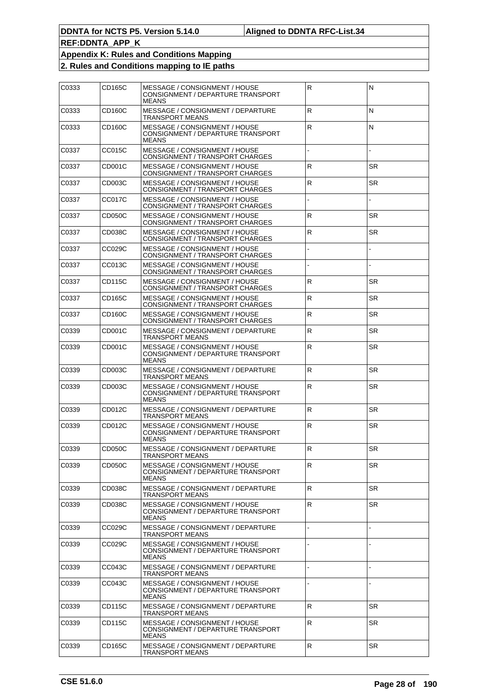| C0333 | CD165C | MESSAGE / CONSIGNMENT / HOUSE<br>CONSIGNMENT / DEPARTURE TRANSPORT<br><b>MEANS</b> | ${\sf R}$    | N         |
|-------|--------|------------------------------------------------------------------------------------|--------------|-----------|
| C0333 | CD160C | MESSAGE / CONSIGNMENT / DEPARTURE<br>TRANSPORT MEANS                               | ${\sf R}$    | N         |
| C0333 | CD160C | MESSAGE / CONSIGNMENT / HOUSE<br>CONSIGNMENT / DEPARTURE TRANSPORT<br><b>MEANS</b> | ${\sf R}$    | N         |
| C0337 | CC015C | MESSAGE / CONSIGNMENT / HOUSE<br>CONSIGNMENT / TRANSPORT CHARGES                   |              |           |
| C0337 | CD001C | MESSAGE / CONSIGNMENT / HOUSE<br>CONSIGNMENT / TRANSPORT CHARGES                   | $\mathsf R$  | <b>SR</b> |
| C0337 | CD003C | MESSAGE / CONSIGNMENT / HOUSE<br>CONSIGNMENT / TRANSPORT CHARGES                   | ${\sf R}$    | <b>SR</b> |
| C0337 | CC017C | MESSAGE / CONSIGNMENT / HOUSE<br>CONSIGNMENT / TRANSPORT CHARGES                   |              |           |
| C0337 | CD050C | MESSAGE / CONSIGNMENT / HOUSE<br>CONSIGNMENT / TRANSPORT CHARGES                   | ${\sf R}$    | <b>SR</b> |
| C0337 | CD038C | MESSAGE / CONSIGNMENT / HOUSE<br>CONSIGNMENT / TRANSPORT CHARGES                   | ${\sf R}$    | <b>SR</b> |
| C0337 | CC029C | MESSAGE / CONSIGNMENT / HOUSE<br>CONSIGNMENT / TRANSPORT CHARGES                   |              |           |
| C0337 | CC013C | MESSAGE / CONSIGNMENT / HOUSE<br>CONSIGNMENT / TRANSPORT CHARGES                   |              |           |
| C0337 | CD115C | MESSAGE / CONSIGNMENT / HOUSE<br>CONSIGNMENT / TRANSPORT CHARGES                   | ${\sf R}$    | <b>SR</b> |
| C0337 | CD165C | MESSAGE / CONSIGNMENT / HOUSE<br>CONSIGNMENT / TRANSPORT CHARGES                   | ${\sf R}$    | SR.       |
| C0337 | CD160C | MESSAGE / CONSIGNMENT / HOUSE<br>CONSIGNMENT / TRANSPORT CHARGES                   | $\mathsf R$  | <b>SR</b> |
| C0339 | CD001C | MESSAGE / CONSIGNMENT / DEPARTURE<br>TRANSPORT MEANS                               | $\mathsf{R}$ | <b>SR</b> |
| C0339 | CD001C | MESSAGE / CONSIGNMENT / HOUSE<br>CONSIGNMENT / DEPARTURE TRANSPORT<br>MEANS        | ${\sf R}$    | SR.       |
| C0339 | CD003C | MESSAGE / CONSIGNMENT / DEPARTURE<br>TRANSPORT MEANS                               | ${\sf R}$    | <b>SR</b> |
| C0339 | CD003C | MESSAGE / CONSIGNMENT / HOUSE<br>CONSIGNMENT / DEPARTURE TRANSPORT<br><b>MEANS</b> | ${\sf R}$    | SR.       |
| C0339 | CD012C | MESSAGE / CONSIGNMENT / DEPARTURE<br>TRANSPORT MEANS                               | ${\sf R}$    | <b>SR</b> |
| C0339 | CD012C | MESSAGE / CONSIGNMENT / HOUSE<br>CONSIGNMENT / DEPARTURE TRANSPORT<br><b>MEANS</b> | ${\sf R}$    | SR.       |
| C0339 | CD050C | MESSAGE / CONSIGNMENT / DEPARTURE<br>TRANSPORT MEANS                               | ${\sf R}$    | SR        |
| C0339 | CD050C | MESSAGE / CONSIGNMENT / HOUSE<br>CONSIGNMENT / DEPARTURE TRANSPORT<br><b>MEANS</b> | R.           | SR.       |
| C0339 | CD038C | MESSAGE / CONSIGNMENT / DEPARTURE<br>TRANSPORT MEANS                               | $\mathsf{R}$ | <b>SR</b> |
| C0339 | CD038C | MESSAGE / CONSIGNMENT / HOUSE<br>CONSIGNMENT / DEPARTURE TRANSPORT<br><b>MEANS</b> | $\mathsf{R}$ | SR.       |
| C0339 | CC029C | MESSAGE / CONSIGNMENT / DEPARTURE<br>TRANSPORT MEANS                               |              |           |
| C0339 | CC029C | MESSAGE / CONSIGNMENT / HOUSE<br>CONSIGNMENT / DEPARTURE TRANSPORT<br><b>MEANS</b> |              |           |
| C0339 | CC043C | MESSAGE / CONSIGNMENT / DEPARTURE<br>TRANSPORT MEANS                               |              |           |
| C0339 | CC043C | MESSAGE / CONSIGNMENT / HOUSE<br>CONSIGNMENT / DEPARTURE TRANSPORT<br><b>MEANS</b> |              |           |
| C0339 | CD115C | MESSAGE / CONSIGNMENT / DEPARTURE<br>TRANSPORT MEANS                               | $\mathsf{R}$ | <b>SR</b> |
| C0339 | CD115C | MESSAGE / CONSIGNMENT / HOUSE<br>CONSIGNMENT / DEPARTURE TRANSPORT<br>MEANS        | $\mathsf{R}$ | SR.       |
| C0339 | CD165C | MESSAGE / CONSIGNMENT / DEPARTURE<br>TRANSPORT MEANS                               | ${\sf R}$    | <b>SR</b> |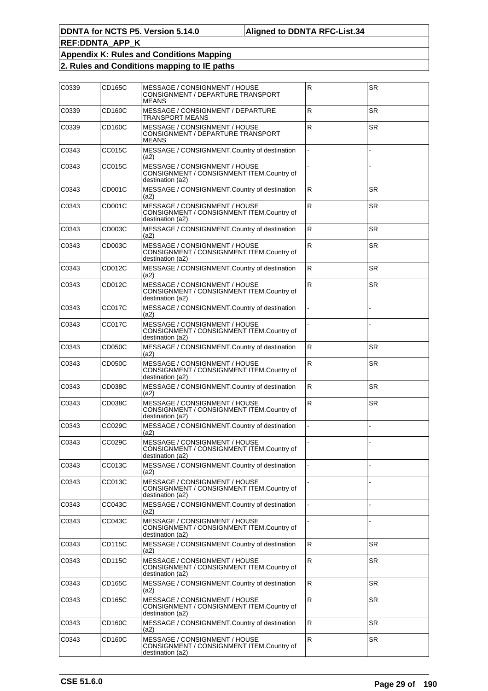| C0339 | CD165C | MESSAGE / CONSIGNMENT / HOUSE<br>CONSIGNMENT / DEPARTURE TRANSPORT<br><b>MEANS</b>             | $\mathsf R$  | <b>SR</b> |
|-------|--------|------------------------------------------------------------------------------------------------|--------------|-----------|
| C0339 | CD160C | MESSAGE / CONSIGNMENT / DEPARTURE<br>TRANSPORT MEANS                                           | $\mathsf{R}$ | <b>SR</b> |
| C0339 | CD160C | MESSAGE / CONSIGNMENT / HOUSE<br>CONSIGNMENT / DEPARTURE TRANSPORT<br><b>MEANS</b>             | $\mathsf R$  | <b>SR</b> |
| C0343 | CC015C | MESSAGE / CONSIGNMENT.Country of destination<br>(a2)                                           |              |           |
| C0343 | CC015C | MESSAGE / CONSIGNMENT / HOUSE<br>CONSIGNMENT / CONSIGNMENT ITEM.Country of<br>destination (a2) |              |           |
| C0343 | CD001C | MESSAGE / CONSIGNMENT.Country of destination<br>(a2)                                           | $\mathsf{R}$ | <b>SR</b> |
| C0343 | CD001C | MESSAGE / CONSIGNMENT / HOUSE<br>CONSIGNMENT / CONSIGNMENT ITEM.Country of<br>destination (a2) | $\mathsf{R}$ | SR.       |
| C0343 | CD003C | MESSAGE / CONSIGNMENT.Country of destination<br>(a2)                                           | $\mathsf{R}$ | <b>SR</b> |
| C0343 | CD003C | MESSAGE / CONSIGNMENT / HOUSE<br>CONSIGNMENT / CONSIGNMENT ITEM.Country of<br>destination (a2) | $\mathsf{R}$ | SR.       |
| C0343 | CD012C | MESSAGE / CONSIGNMENT.Country of destination<br>(a2)                                           | $\mathsf{R}$ | <b>SR</b> |
| C0343 | CD012C | MESSAGE / CONSIGNMENT / HOUSE<br>CONSIGNMENT / CONSIGNMENT ITEM.Country of<br>destination (a2) | $\mathsf{R}$ | SR.       |
| C0343 | CC017C | MESSAGE / CONSIGNMENT.Country of destination<br>(a2)                                           |              |           |
| C0343 | CC017C | MESSAGE / CONSIGNMENT / HOUSE<br>CONSIGNMENT / CONSIGNMENT ITEM.Country of<br>destination (a2) |              |           |
| C0343 | CD050C | MESSAGE / CONSIGNMENT.Country of destination<br>(a2)                                           | $\mathsf{R}$ | <b>SR</b> |
| C0343 | CD050C | MESSAGE / CONSIGNMENT / HOUSE<br>CONSIGNMENT / CONSIGNMENT ITEM.Country of<br>destination (a2) | $\mathsf{R}$ | SR.       |
| C0343 | CD038C | MESSAGE / CONSIGNMENT.Country of destination<br>(a2)                                           | $\mathsf{R}$ | <b>SR</b> |
| C0343 | CD038C | MESSAGE / CONSIGNMENT / HOUSE<br>CONSIGNMENT / CONSIGNMENT ITEM.Country of<br>destination (a2) | ${\sf R}$    | SR.       |
| C0343 | CC029C | MESSAGE / CONSIGNMENT.Country of destination<br>(a2)                                           |              |           |
| C0343 | CC029C | MESSAGE / CONSIGNMENT / HOUSE<br>CONSIGNMENT / CONSIGNMENT ITEM.Country of<br>destination (a2) |              |           |
| C0343 | CC013C | MESSAGE / CONSIGNMENT.Country of destination<br>(a2)                                           |              |           |
| C0343 | CC013C | MESSAGE / CONSIGNMENT / HOUSE<br>CONSIGNMENT / CONSIGNMENT ITEM.Country of<br>destination (a2) |              |           |
| C0343 | CC043C | MESSAGE / CONSIGNMENT.Country of destination<br>(a2)                                           |              |           |
| C0343 | CC043C | MESSAGE / CONSIGNMENT / HOUSE<br>CONSIGNMENT / CONSIGNMENT ITEM.Country of<br>destination (a2) |              |           |
| C0343 | CD115C | MESSAGE / CONSIGNMENT.Country of destination<br>(a2)                                           | $\mathsf{R}$ | <b>SR</b> |
| C0343 | CD115C | MESSAGE / CONSIGNMENT / HOUSE<br>CONSIGNMENT / CONSIGNMENT ITEM.Country of<br>destination (a2) | $\mathsf R$  | <b>SR</b> |
| C0343 | CD165C | MESSAGE / CONSIGNMENT.Country of destination<br>(a2)                                           | $\mathsf{R}$ | <b>SR</b> |
| C0343 | CD165C | MESSAGE / CONSIGNMENT / HOUSE<br>CONSIGNMENT / CONSIGNMENT ITEM.Country of<br>destination (a2) | $\mathsf R$  | <b>SR</b> |
| C0343 | CD160C | MESSAGE / CONSIGNMENT.Country of destination<br>(a2)                                           | $\mathsf{R}$ | <b>SR</b> |
| C0343 | CD160C | MESSAGE / CONSIGNMENT / HOUSE<br>CONSIGNMENT / CONSIGNMENT ITEM.Country of<br>destination (a2) | $\mathsf R$  | <b>SR</b> |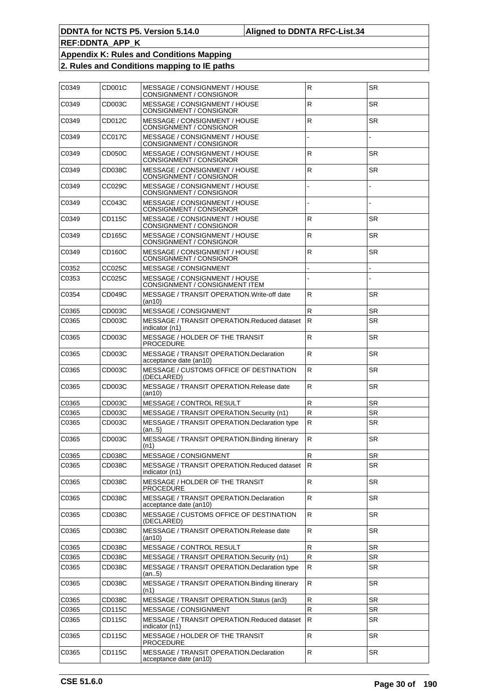| C0349 | CD001C        | MESSAGE / CONSIGNMENT / HOUSE<br>CONSIGNMENT / CONSIGNOR           | $\overline{R}$          | <b>SR</b> |
|-------|---------------|--------------------------------------------------------------------|-------------------------|-----------|
| C0349 | CD003C        | MESSAGE / CONSIGNMENT / HOUSE<br>CONSIGNMENT / CONSIGNOR           | R                       | <b>SR</b> |
| C0349 | CD012C        | MESSAGE / CONSIGNMENT / HOUSE<br>CONSIGNMENT / CONSIGNOR           | $\mathsf{R}$            | <b>SR</b> |
| C0349 | <b>CC017C</b> | MESSAGE / CONSIGNMENT / HOUSE<br>CONSIGNMENT / CONSIGNOR           |                         |           |
| C0349 | CD050C        | MESSAGE / CONSIGNMENT / HOUSE<br>CONSIGNMENT / CONSIGNOR           | R                       | <b>SR</b> |
| C0349 | CD038C        | MESSAGE / CONSIGNMENT / HOUSE<br>CONSIGNMENT / CONSIGNOR           | $\mathsf{R}$            | <b>SR</b> |
| C0349 | CC029C        | MESSAGE / CONSIGNMENT / HOUSE<br>CONSIGNMENT / CONSIGNOR           |                         |           |
| C0349 | CC043C        | MESSAGE / CONSIGNMENT / HOUSE<br>CONSIGNMENT / CONSIGNOR           |                         |           |
| C0349 | CD115C        | MESSAGE / CONSIGNMENT / HOUSE<br>CONSIGNMENT / CONSIGNOR           | $\mathsf{R}$            | <b>SR</b> |
| C0349 | CD165C        | MESSAGE / CONSIGNMENT / HOUSE<br>CONSIGNMENT / CONSIGNOR           | ${\sf R}$               | <b>SR</b> |
| C0349 | CD160C        | MESSAGE / CONSIGNMENT / HOUSE<br>CONSIGNMENT / CONSIGNOR           | R                       | <b>SR</b> |
| C0352 | CC025C        | MESSAGE / CONSIGNMENT                                              |                         |           |
| C0353 | CC025C        | MESSAGE / CONSIGNMENT / HOUSE<br>CONSIGNMENT / CONSIGNMENT ITEM    |                         |           |
| C0354 | CD049C        | MESSAGE / TRANSIT OPERATION. Write-off date<br>(an10)              | ${\sf R}$               | <b>SR</b> |
| C0365 | CD003C        | MESSAGE / CONSIGNMENT                                              | $\overline{\mathsf{R}}$ | <b>SR</b> |
| C0365 | CD003C        | MESSAGE / TRANSIT OPERATION.Reduced dataset<br>indicator (n1)      | l R                     | <b>SR</b> |
| C0365 | CD003C        | MESSAGE / HOLDER OF THE TRANSIT<br><b>PROCEDURE</b>                | R                       | SR.       |
| C0365 | CD003C        | MESSAGE / TRANSIT OPERATION. Declaration<br>acceptance date (an10) | $\mathsf R$             | <b>SR</b> |
| C0365 | CD003C        | MESSAGE / CUSTOMS OFFICE OF DESTINATION<br>(DECLARED)              | $\mathsf R$             | <b>SR</b> |
| C0365 | CD003C        | MESSAGE / TRANSIT OPERATION.Release date<br>(an10)                 | R                       | SR.       |
| C0365 | CD003C        | <b>MESSAGE / CONTROL RESULT</b>                                    | ${\sf R}$               | <b>SR</b> |
| C0365 | CD003C        | MESSAGE / TRANSIT OPERATION. Security (n1)                         | $\mathsf R$             | <b>SR</b> |
| C0365 | CD003C        | MESSAGE / TRANSIT OPERATION. Declaration type<br>(an5)             | $\mathsf R$             | <b>SR</b> |
| C0365 | CD003C        | MESSAGE / TRANSIT OPERATION. Binding itinerary<br>(n1)             | $\mathsf R$             | <b>SR</b> |
| C0365 | CD038C        | MESSAGE / CONSIGNMENT                                              | $\overline{R}$          | SR        |
| C0365 | CD038C        | MESSAGE / TRANSIT OPERATION.Reduced dataset<br>indicator (n1)      | R                       | <b>SR</b> |
| C0365 | CD038C        | MESSAGE / HOLDER OF THE TRANSIT<br><b>PROCEDURE</b>                | $\overline{R}$          | <b>SR</b> |
| C0365 | CD038C        | MESSAGE / TRANSIT OPERATION.Declaration<br>acceptance date (an10)  | $\mathsf R$             | <b>SR</b> |
| C0365 | CD038C        | MESSAGE / CUSTOMS OFFICE OF DESTINATION<br>(DECLARED)              | R                       | SR.       |
| C0365 | CD038C        | MESSAGE / TRANSIT OPERATION.Release date<br>(an10)                 | $\overline{R}$          | <b>SR</b> |
| C0365 | CD038C        | MESSAGE / CONTROL RESULT                                           | $\overline{\mathsf{R}}$ | <b>SR</b> |
| C0365 | CD038C        | MESSAGE / TRANSIT OPERATION. Security (n1)                         | ${\sf R}$               | <b>SR</b> |
| C0365 | CD038C        | MESSAGE / TRANSIT OPERATION. Declaration type<br>(an.5)            | $\mathsf R$             | <b>SR</b> |
| C0365 | CD038C        | MESSAGE / TRANSIT OPERATION. Binding itinerary<br>(n1)             | $\mathsf{R}$            | <b>SR</b> |
| C0365 | CD038C        | MESSAGE / TRANSIT OPERATION. Status (an3)                          | ${\sf R}$               | <b>SR</b> |
| C0365 | <b>CD115C</b> | MESSAGE / CONSIGNMENT                                              | ${\sf R}$               | <b>SR</b> |
| C0365 | CD115C        | MESSAGE / TRANSIT OPERATION.Reduced dataset                        | lR.                     | <b>SR</b> |
| C0365 | CD115C        | indicator (n1)<br>MESSAGE / HOLDER OF THE TRANSIT                  | $\mathsf R$             | <b>SR</b> |
|       |               | PROCEDURE                                                          |                         |           |
| C0365 | <b>CD115C</b> | MESSAGE / TRANSIT OPERATION. Declaration<br>acceptance date (an10) | ${\sf R}$               | <b>SR</b> |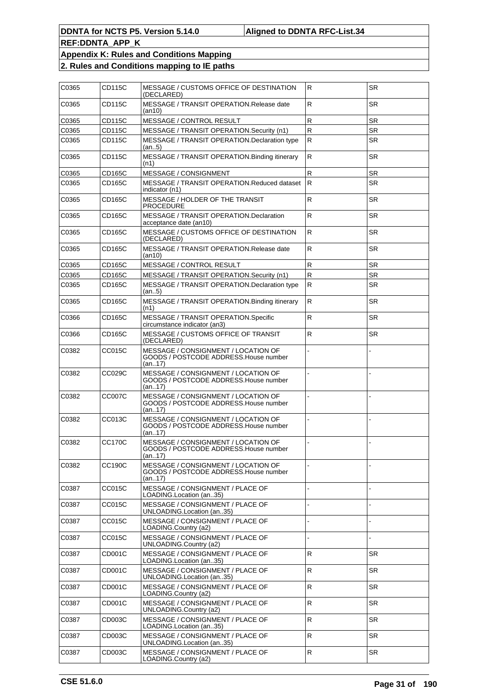| C0365 | CD115C        | MESSAGE / CUSTOMS OFFICE OF DESTINATION<br>(DECLARED)                                   | R            | <b>SR</b> |
|-------|---------------|-----------------------------------------------------------------------------------------|--------------|-----------|
| C0365 | CD115C        | MESSAGE / TRANSIT OPERATION. Release date<br>(an10)                                     | $\mathsf R$  | SR.       |
| C0365 | CD115C        | <b>MESSAGE / CONTROL RESULT</b>                                                         | R            | <b>SR</b> |
| C0365 | CD115C        | MESSAGE / TRANSIT OPERATION. Security (n1)                                              | $\mathsf{R}$ | <b>SR</b> |
| C0365 | CD115C        | MESSAGE / TRANSIT OPERATION. Declaration type<br>(an5)                                  | ${\sf R}$    | <b>SR</b> |
| C0365 | CD115C        | MESSAGE / TRANSIT OPERATION. Binding itinerary<br>(n1)                                  | $\mathsf{R}$ | <b>SR</b> |
| C0365 | CD165C        | MESSAGE / CONSIGNMENT                                                                   | $\mathsf{R}$ | <b>SR</b> |
| C0365 | CD165C        | MESSAGE / TRANSIT OPERATION.Reduced dataset<br>indicator (n1)                           | lR.          | <b>SR</b> |
| C0365 | CD165C        | MESSAGE / HOLDER OF THE TRANSIT<br><b>PROCEDURE</b>                                     | R            | <b>SR</b> |
| C0365 | CD165C        | MESSAGE / TRANSIT OPERATION. Declaration<br>acceptance date (an10)                      | $\mathsf{R}$ | <b>SR</b> |
| C0365 | CD165C        | MESSAGE / CUSTOMS OFFICE OF DESTINATION<br>(DECLARED)                                   | $\mathsf R$  | SR.       |
| C0365 | CD165C        | MESSAGE / TRANSIT OPERATION.Release date<br>(an10)                                      | ${\sf R}$    | <b>SR</b> |
| C0365 | CD165C        | <b>MESSAGE / CONTROL RESULT</b>                                                         | $\mathsf{R}$ | SR        |
| C0365 | CD165C        | MESSAGE / TRANSIT OPERATION. Security (n1)                                              | ${\sf R}$    | <b>SR</b> |
| C0365 | CD165C        | MESSAGE / TRANSIT OPERATION. Declaration type<br>(an5)                                  | ${\sf R}$    | <b>SR</b> |
| C0365 | CD165C        | MESSAGE / TRANSIT OPERATION. Binding itinerary<br>(n1)                                  | R            | <b>SR</b> |
| C0366 | CD165C        | MESSAGE / TRANSIT OPERATION.Specific<br>circumstance indicator (an3)                    | $\mathsf{R}$ | <b>SR</b> |
| C0366 | CD165C        | MESSAGE / CUSTOMS OFFICE OF TRANSIT<br>(DECLARED)                                       | $\mathsf{R}$ | <b>SR</b> |
| C0382 | CC015C        | MESSAGE / CONSIGNMENT / LOCATION OF<br>GOODS / POSTCODE ADDRESS. House number<br>(an17) |              |           |
| C0382 | CC029C        | MESSAGE / CONSIGNMENT / LOCATION OF<br>GOODS / POSTCODE ADDRESS.House number<br>(an17)  |              |           |
| C0382 | <b>CC007C</b> | MESSAGE / CONSIGNMENT / LOCATION OF<br>GOODS / POSTCODE ADDRESS. House number<br>(an17) |              |           |
| C0382 | CC013C        | MESSAGE / CONSIGNMENT / LOCATION OF<br>GOODS / POSTCODE ADDRESS. House number<br>(an17) |              |           |
| C0382 | <b>CC170C</b> | MESSAGE / CONSIGNMENT / LOCATION OF<br>GOODS / POSTCODE ADDRESS.House number<br>(an17)  |              |           |
| C0382 | CC190C        | MESSAGE / CONSIGNMENT / LOCATION OF<br>GOODS / POSTCODE ADDRESS.House number<br>(an17)  |              |           |
| C0387 | CC015C        | MESSAGE / CONSIGNMENT / PLACE OF<br>LOADING.Location (an35)                             |              |           |
| C0387 | CC015C        | MESSAGE / CONSIGNMENT / PLACE OF<br>UNLOADING.Location (an.,35)                         |              |           |
| C0387 | CC015C        | MESSAGE / CONSIGNMENT / PLACE OF<br>LOADING.Country (a2)                                |              |           |
| C0387 | CC015C        | MESSAGE / CONSIGNMENT / PLACE OF<br>UNLOADING.Country (a2)                              |              |           |
| C0387 | CD001C        | MESSAGE / CONSIGNMENT / PLACE OF<br>LOADING.Location (an35)                             | ${\sf R}$    | <b>SR</b> |
| C0387 | CD001C        | MESSAGE / CONSIGNMENT / PLACE OF<br>UNLOADING.Location (an35)                           | ${\sf R}$    | <b>SR</b> |
| C0387 | CD001C        | MESSAGE / CONSIGNMENT / PLACE OF<br>LOADING.Country (a2)                                | $\mathsf R$  | SR.       |
| C0387 | CD001C        | MESSAGE / CONSIGNMENT / PLACE OF<br>UNLOADING.Country (a2)                              | ${\sf R}$    | <b>SR</b> |
| C0387 | CD003C        | MESSAGE / CONSIGNMENT / PLACE OF<br>LOADING.Location (an35)                             | ${\sf R}$    | <b>SR</b> |
| C0387 | CD003C        | MESSAGE / CONSIGNMENT / PLACE OF<br>UNLOADING.Location (an35)                           | R            | SR.       |
| C0387 | CD003C        | MESSAGE / CONSIGNMENT / PLACE OF<br>LOADING.Country (a2)                                | $\mathsf R$  | <b>SR</b> |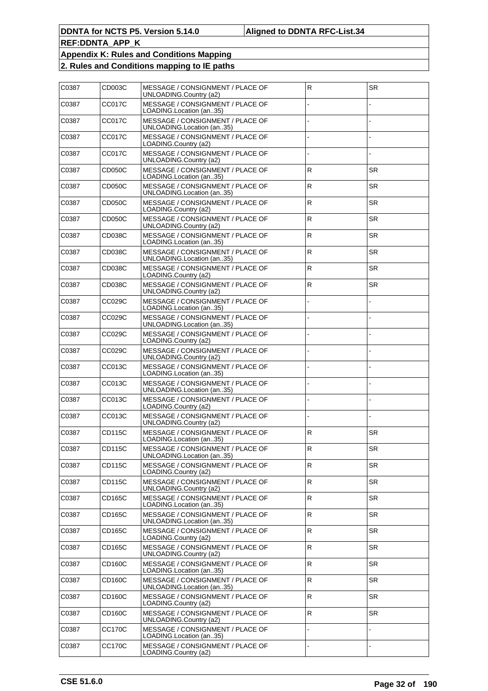| C0387 | CD003C        | MESSAGE / CONSIGNMENT / PLACE OF<br>UNLOADING.Country (a2)    | $\overline{R}$ | <b>SR</b> |
|-------|---------------|---------------------------------------------------------------|----------------|-----------|
| C0387 | CC017C        | MESSAGE / CONSIGNMENT / PLACE OF<br>LOADING.Location (an35)   |                |           |
| C0387 | CC017C        | MESSAGE / CONSIGNMENT / PLACE OF<br>UNLOADING.Location (an35) |                |           |
| C0387 | <b>CC017C</b> | MESSAGE / CONSIGNMENT / PLACE OF<br>LOADING.Country (a2)      |                |           |
| C0387 | CC017C        | MESSAGE / CONSIGNMENT / PLACE OF<br>UNLOADING.Country (a2)    |                |           |
| C0387 | CD050C        | MESSAGE / CONSIGNMENT / PLACE OF<br>LOADING.Location (an35)   | R              | <b>SR</b> |
| C0387 | CD050C        | MESSAGE / CONSIGNMENT / PLACE OF<br>UNLOADING.Location (an35) | ${\sf R}$      | <b>SR</b> |
| C0387 | CD050C        | MESSAGE / CONSIGNMENT / PLACE OF<br>LOADING.Country (a2)      | $\mathsf{R}$   | SR.       |
| C0387 | CD050C        | MESSAGE / CONSIGNMENT / PLACE OF<br>UNLOADING.Country (a2)    | ${\sf R}$      | SR.       |
| C0387 | CD038C        | MESSAGE / CONSIGNMENT / PLACE OF<br>LOADING.Location (an35)   | ${\sf R}$      | <b>SR</b> |
| C0387 | CD038C        | MESSAGE / CONSIGNMENT / PLACE OF<br>UNLOADING.Location (an35) | $\mathsf R$    | SR.       |
| C0387 | CD038C        | MESSAGE / CONSIGNMENT / PLACE OF<br>LOADING.Country (a2)      | $\mathsf{R}$   | SR.       |
| C0387 | CD038C        | MESSAGE / CONSIGNMENT / PLACE OF<br>UNLOADING.Country (a2)    | ${\sf R}$      | <b>SR</b> |
| C0387 | CC029C        | MESSAGE / CONSIGNMENT / PLACE OF<br>LOADING.Location (an35)   |                |           |
| C0387 | CC029C        | MESSAGE / CONSIGNMENT / PLACE OF<br>UNLOADING.Location (an35) |                |           |
| C0387 | CC029C        | MESSAGE / CONSIGNMENT / PLACE OF<br>LOADING.Country (a2)      |                |           |
| C0387 | CC029C        | MESSAGE / CONSIGNMENT / PLACE OF<br>UNLOADING.Country (a2)    |                |           |
| C0387 | CC013C        | MESSAGE / CONSIGNMENT / PLACE OF<br>LOADING.Location (an35)   |                |           |
| C0387 | CC013C        | MESSAGE / CONSIGNMENT / PLACE OF<br>UNLOADING.Location (an35) |                |           |
| C0387 | CC013C        | MESSAGE / CONSIGNMENT / PLACE OF<br>LOADING.Country (a2)      |                |           |
| C0387 | CC013C        | MESSAGE / CONSIGNMENT / PLACE OF<br>UNLOADING.Country (a2)    |                |           |
| C0387 | CD115C        | MESSAGE / CONSIGNMENT / PLACE OF<br>LOADING.Location (an35)   | ${\sf R}$      | <b>SR</b> |
| C0387 | <b>CD115C</b> | MESSAGE / CONSIGNMENT / PLACE OF<br>UNLOADING.Location (an35) | $\mathsf{R}$   | SR        |
| C0387 | <b>CD115C</b> | MESSAGE / CONSIGNMENT / PLACE OF<br>LOADING.Country (a2)      | R              | SR.       |
| C0387 | CD115C        | MESSAGE / CONSIGNMENT / PLACE OF<br>UNLOADING.Country (a2)    | $\mathsf R$    | <b>SR</b> |
| C0387 | CD165C        | MESSAGE / CONSIGNMENT / PLACE OF<br>LOADING.Location (an35)   | $\mathsf R$    | SR.       |
| C0387 | CD165C        | MESSAGE / CONSIGNMENT / PLACE OF<br>UNLOADING.Location (an35) | $\mathsf{R}$   | SR.       |
| C0387 | CD165C        | MESSAGE / CONSIGNMENT / PLACE OF<br>LOADING.Country (a2)      | $\mathsf R$    | <b>SR</b> |
| C0387 | CD165C        | MESSAGE / CONSIGNMENT / PLACE OF<br>UNLOADING.Country (a2)    | $\mathsf R$    | SR.       |
| C0387 | <b>CD160C</b> | MESSAGE / CONSIGNMENT / PLACE OF<br>LOADING.Location (an35)   | ${\sf R}$      | <b>SR</b> |
| C0387 | CD160C        | MESSAGE / CONSIGNMENT / PLACE OF<br>UNLOADING.Location (an35) | $\mathsf R$    | <b>SR</b> |
| C0387 | CD160C        | MESSAGE / CONSIGNMENT / PLACE OF<br>LOADING.Country (a2)      | $\mathsf R$    | <b>SR</b> |
| C0387 | <b>CD160C</b> | MESSAGE / CONSIGNMENT / PLACE OF<br>UNLOADING.Country (a2)    | ${\sf R}$      | <b>SR</b> |
| C0387 | CC170C        | MESSAGE / CONSIGNMENT / PLACE OF<br>LOADING.Location (an35)   |                |           |
| C0387 | CC170C        | MESSAGE / CONSIGNMENT / PLACE OF<br>LOADING.Country (a2)      |                |           |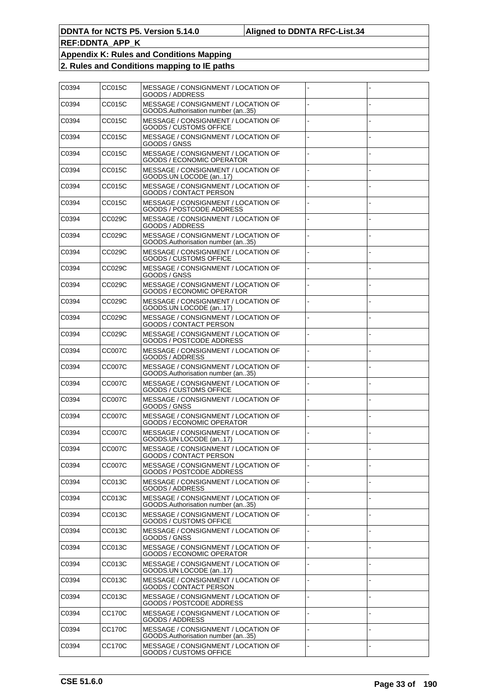| C0394 | CC015C        | MESSAGE / CONSIGNMENT / LOCATION OF<br>GOODS / ADDRESS                   |  |
|-------|---------------|--------------------------------------------------------------------------|--|
| C0394 | CC015C        | MESSAGE / CONSIGNMENT / LOCATION OF<br>GOODS.Authorisation number (an35) |  |
| C0394 | CC015C        | MESSAGE / CONSIGNMENT / LOCATION OF<br><b>GOODS / CUSTOMS OFFICE</b>     |  |
| C0394 | CC015C        | MESSAGE / CONSIGNMENT / LOCATION OF<br>GOODS / GNSS                      |  |
| C0394 | CC015C        | MESSAGE / CONSIGNMENT / LOCATION OF<br>GOODS / ECONOMIC OPERATOR         |  |
| C0394 | CC015C        | MESSAGE / CONSIGNMENT / LOCATION OF<br>GOODS.UN LOCODE (an17)            |  |
| C0394 | CC015C        | MESSAGE / CONSIGNMENT / LOCATION OF<br>GOODS / CONTACT PERSON            |  |
| C0394 | CC015C        | MESSAGE / CONSIGNMENT / LOCATION OF<br>GOODS / POSTCODE ADDRESS          |  |
| C0394 | CC029C        | MESSAGE / CONSIGNMENT / LOCATION OF<br>GOODS / ADDRESS                   |  |
| C0394 | CC029C        | MESSAGE / CONSIGNMENT / LOCATION OF<br>GOODS.Authorisation number (an35) |  |
| C0394 | CC029C        | MESSAGE / CONSIGNMENT / LOCATION OF<br>GOODS / CUSTOMS OFFICE            |  |
| C0394 | CC029C        | MESSAGE / CONSIGNMENT / LOCATION OF<br>GOODS / GNSS                      |  |
| C0394 | CC029C        | MESSAGE / CONSIGNMENT / LOCATION OF<br>GOODS / ECONOMIC OPERATOR         |  |
| C0394 | CC029C        | MESSAGE / CONSIGNMENT / LOCATION OF<br>GOODS.UN LOCODE (an17)            |  |
| C0394 | CC029C        | MESSAGE / CONSIGNMENT / LOCATION OF<br>GOODS / CONTACT PERSON            |  |
| C0394 | CC029C        | MESSAGE / CONSIGNMENT / LOCATION OF<br>GOODS / POSTCODE ADDRESS          |  |
| C0394 | CC007C        | MESSAGE / CONSIGNMENT / LOCATION OF<br>GOODS / ADDRESS                   |  |
| C0394 | CC007C        | MESSAGE / CONSIGNMENT / LOCATION OF<br>GOODS.Authorisation number (an35) |  |
| C0394 | CC007C        | MESSAGE / CONSIGNMENT / LOCATION OF<br>GOODS / CUSTOMS OFFICE            |  |
| C0394 | <b>CC007C</b> | MESSAGE / CONSIGNMENT / LOCATION OF<br>GOODS / GNSS                      |  |
| C0394 | CC007C        | MESSAGE / CONSIGNMENT / LOCATION OF<br>GOODS / ECONOMIC OPERATOR         |  |
| C0394 | CC007C        | MESSAGE / CONSIGNMENT / LOCATION OF<br>GOODS.UN LOCODE (an17)            |  |
| C0394 | <b>CC007C</b> | MESSAGE / CONSIGNMENT / LOCATION OF<br>GOODS / CONTACT PERSON            |  |
| C0394 | CC007C        | MESSAGE / CONSIGNMENT / LOCATION OF<br>GOODS / POSTCODE ADDRESS          |  |
| C0394 | CC013C        | MESSAGE / CONSIGNMENT / LOCATION OF<br>GOODS / ADDRESS                   |  |
| C0394 | CC013C        | MESSAGE / CONSIGNMENT / LOCATION OF<br>GOODS.Authorisation number (an35) |  |
| C0394 | CC013C        | MESSAGE / CONSIGNMENT / LOCATION OF<br>GOODS / CUSTOMS OFFICE            |  |
| C0394 | CC013C        | MESSAGE / CONSIGNMENT / LOCATION OF<br>GOODS / GNSS                      |  |
| C0394 | CC013C        | MESSAGE / CONSIGNMENT / LOCATION OF<br>GOODS / ECONOMIC OPERATOR         |  |
| C0394 | CC013C        | MESSAGE / CONSIGNMENT / LOCATION OF<br>GOODS.UN LOCODE (an17)            |  |
| C0394 | CC013C        | MESSAGE / CONSIGNMENT / LOCATION OF<br>GOODS / CONTACT PERSON            |  |
| C0394 | CC013C        | MESSAGE / CONSIGNMENT / LOCATION OF<br>GOODS / POSTCODE ADDRESS          |  |
| C0394 | CC170C        | MESSAGE / CONSIGNMENT / LOCATION OF<br>GOODS / ADDRESS                   |  |
| C0394 | <b>CC170C</b> | MESSAGE / CONSIGNMENT / LOCATION OF<br>GOODS.Authorisation number (an35) |  |
| C0394 | CC170C        | MESSAGE / CONSIGNMENT / LOCATION OF<br>GOODS / CUSTOMS OFFICE            |  |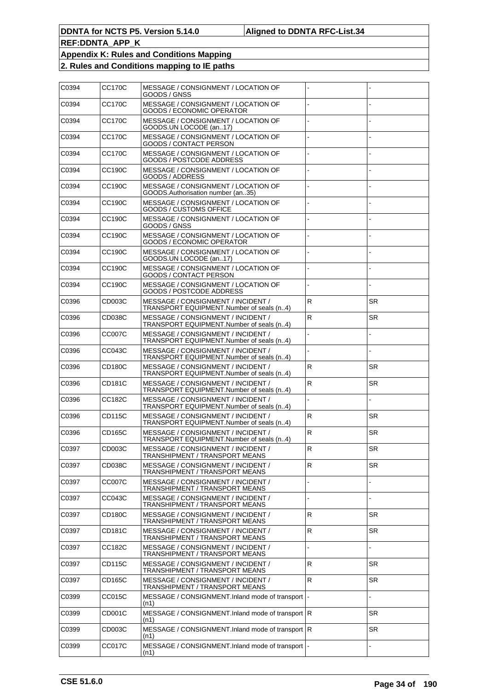| C0394 | <b>CC170C</b> | MESSAGE / CONSIGNMENT / LOCATION OF<br>GOODS / GNSS                            |              |           |
|-------|---------------|--------------------------------------------------------------------------------|--------------|-----------|
| C0394 | CC170C        | MESSAGE / CONSIGNMENT / LOCATION OF<br>GOODS / ECONOMIC OPERATOR               |              |           |
| C0394 | CC170C        | MESSAGE / CONSIGNMENT / LOCATION OF<br>GOODS.UN LOCODE (an17)                  |              |           |
| C0394 | CC170C        | MESSAGE / CONSIGNMENT / LOCATION OF<br>GOODS / CONTACT PERSON                  |              |           |
| C0394 | CC170C        | MESSAGE / CONSIGNMENT / LOCATION OF<br>GOODS / POSTCODE ADDRESS                |              |           |
| C0394 | CC190C        | MESSAGE / CONSIGNMENT / LOCATION OF<br>GOODS / ADDRESS                         |              |           |
| C0394 | CC190C        | MESSAGE / CONSIGNMENT / LOCATION OF<br>GOODS.Authorisation number (an35)       |              |           |
| C0394 | CC190C        | MESSAGE / CONSIGNMENT / LOCATION OF<br>GOODS / CUSTOMS OFFICE                  |              |           |
| C0394 | CC190C        | MESSAGE / CONSIGNMENT / LOCATION OF<br>GOODS / GNSS                            |              |           |
| C0394 | CC190C        | MESSAGE / CONSIGNMENT / LOCATION OF<br>GOODS / ECONOMIC OPERATOR               |              |           |
| C0394 | CC190C        | MESSAGE / CONSIGNMENT / LOCATION OF<br>GOODS.UN LOCODE (an17)                  |              |           |
| C0394 | CC190C        | MESSAGE / CONSIGNMENT / LOCATION OF<br>GOODS / CONTACT PERSON                  |              |           |
| C0394 | CC190C        | MESSAGE / CONSIGNMENT / LOCATION OF<br>GOODS / POSTCODE ADDRESS                |              |           |
| C0396 | CD003C        | MESSAGE / CONSIGNMENT / INCIDENT /<br>TRANSPORT EQUIPMENT.Number of seals (n4) | ${\sf R}$    | <b>SR</b> |
| C0396 | CD038C        | MESSAGE / CONSIGNMENT / INCIDENT /<br>TRANSPORT EQUIPMENT.Number of seals (n4) | ${\sf R}$    | <b>SR</b> |
| C0396 | CC007C        | MESSAGE / CONSIGNMENT / INCIDENT /<br>TRANSPORT EQUIPMENT.Number of seals (n4) |              |           |
| C0396 | CC043C        | MESSAGE / CONSIGNMENT / INCIDENT /<br>TRANSPORT EQUIPMENT.Number of seals (n4) |              |           |
| C0396 | CD180C        | MESSAGE / CONSIGNMENT / INCIDENT /<br>TRANSPORT EQUIPMENT.Number of seals (n4) | ${\sf R}$    | SR        |
| C0396 | CD181C        | MESSAGE / CONSIGNMENT / INCIDENT /<br>TRANSPORT EQUIPMENT.Number of seals (n4) | ${\sf R}$    | <b>SR</b> |
| C0396 | CC182C        | MESSAGE / CONSIGNMENT / INCIDENT /<br>TRANSPORT EQUIPMENT.Number of seals (n4) |              |           |
| C0396 | CD115C        | MESSAGE / CONSIGNMENT / INCIDENT /<br>TRANSPORT EQUIPMENT.Number of seals (n4) | ${\sf R}$    | <b>SR</b> |
| C0396 | CD165C        | MESSAGE / CONSIGNMENT / INCIDENT /<br>TRANSPORT EQUIPMENT.Number of seals (n4) | $\mathsf{R}$ | <b>SR</b> |
| C0397 | CD003C        | MESSAGE / CONSIGNMENT / INCIDENT /<br>TRANSHIPMENT / TRANSPORT MEANS           | ${\sf R}$    | <b>SR</b> |
| C0397 | CD038C        | MESSAGE / CONSIGNMENT / INCIDENT /<br>TRANSHIPMENT / TRANSPORT MEANS           | ${\sf R}$    | SR        |
| C0397 | <b>CC007C</b> | MESSAGE / CONSIGNMENT / INCIDENT /<br>TRANSHIPMENT / TRANSPORT MEANS           |              |           |
| C0397 | CC043C        | MESSAGE / CONSIGNMENT / INCIDENT /<br>TRANSHIPMENT / TRANSPORT MEANS           |              |           |
| C0397 | <b>CD180C</b> | MESSAGE / CONSIGNMENT / INCIDENT /<br>TRANSHIPMENT / TRANSPORT MEANS           | ${\sf R}$    | <b>SR</b> |
| C0397 | CD181C        | MESSAGE / CONSIGNMENT / INCIDENT /<br>TRANSHIPMENT / TRANSPORT MEANS           | ${\sf R}$    | <b>SR</b> |
| C0397 | CC182C        | MESSAGE / CONSIGNMENT / INCIDENT /<br>TRANSHIPMENT / TRANSPORT MEANS           |              |           |
| C0397 | <b>CD115C</b> | MESSAGE / CONSIGNMENT / INCIDENT /<br>TRANSHIPMENT / TRANSPORT MEANS           | $\mathsf{R}$ | <b>SR</b> |
| C0397 | CD165C        | MESSAGE / CONSIGNMENT / INCIDENT /<br>TRANSHIPMENT / TRANSPORT MEANS           | ${\sf R}$    | <b>SR</b> |
| C0399 | CC015C        | MESSAGE / CONSIGNMENT.Inland mode of transport<br>(n1)                         |              |           |
| C0399 | CD001C        | MESSAGE / CONSIGNMENT.Inland mode of transport R<br>(n1)                       |              | <b>SR</b> |
| C0399 | CD003C        | MESSAGE / CONSIGNMENT.Inland mode of transport R<br>(n1)                       |              | <b>SR</b> |
| C0399 | CC017C        | MESSAGE / CONSIGNMENT.Inland mode of transport<br>(n1)                         |              |           |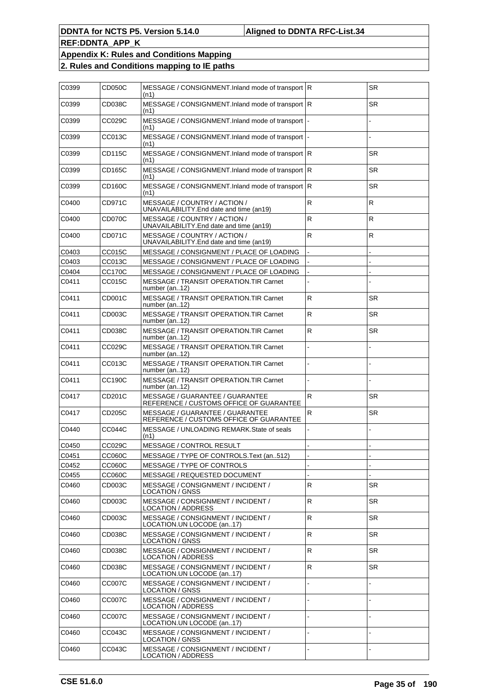| C0399 | CD050C        | MESSAGE / CONSIGNMENT.Inland mode of transport R<br>(n1)                   |                | <b>SR</b> |
|-------|---------------|----------------------------------------------------------------------------|----------------|-----------|
| C0399 | CD038C        | MESSAGE / CONSIGNMENT.Inland mode of transport R<br>(n1)                   |                | <b>SR</b> |
| C0399 | CC029C        | MESSAGE / CONSIGNMENT. Inland mode of transport<br>(n1)                    |                |           |
| C0399 | CC013C        | MESSAGE / CONSIGNMENT.Inland mode of transport<br>(n1)                     |                |           |
| C0399 | CD115C        | MESSAGE / CONSIGNMENT.Inland mode of transport R<br>(n1)                   |                | SR        |
| C0399 | CD165C        | MESSAGE / CONSIGNMENT.Inland mode of transport R<br>(n1)                   |                | <b>SR</b> |
| C0399 | CD160C        | MESSAGE / CONSIGNMENT.Inland mode of transport R<br>(n1)                   |                | <b>SR</b> |
| C0400 | CD971C        | MESSAGE / COUNTRY / ACTION /<br>UNAVAILABILITY. End date and time (an19)   | $\mathsf{R}$   | R         |
| C0400 | CD070C        | MESSAGE / COUNTRY / ACTION /<br>UNAVAILABILITY.End date and time (an19)    | ${\sf R}$      | R         |
| C0400 | CD071C        | MESSAGE / COUNTRY / ACTION /<br>UNAVAILABILITY.End date and time (an19)    | ${\sf R}$      | R         |
| C0403 | CC015C        | MESSAGE / CONSIGNMENT / PLACE OF LOADING                                   |                |           |
| C0403 | CC013C        | MESSAGE / CONSIGNMENT / PLACE OF LOADING                                   |                |           |
| C0404 | <b>CC170C</b> | MESSAGE / CONSIGNMENT / PLACE OF LOADING                                   |                |           |
| C0411 | CC015C        | MESSAGE / TRANSIT OPERATION. TIR Carnet<br>number (an12)                   |                |           |
| C0411 | CD001C        | MESSAGE / TRANSIT OPERATION.TIR Carnet<br>number (an12)                    | $\mathsf{R}$   | SR.       |
| C0411 | CD003C        | MESSAGE / TRANSIT OPERATION.TIR Carnet<br>number (an12)                    | ${\sf R}$      | <b>SR</b> |
| C0411 | CD038C        | MESSAGE / TRANSIT OPERATION. TIR Carnet<br>number (an12)                   | $\mathsf{R}$   | SR        |
| C0411 | CC029C        | MESSAGE / TRANSIT OPERATION.TIR Carnet<br>number (an12)                    |                |           |
| C0411 | CC013C        | MESSAGE / TRANSIT OPERATION.TIR Carnet<br>number (an12)                    |                |           |
| C0411 | CC190C        | MESSAGE / TRANSIT OPERATION. TIR Carnet<br>number (an12)                   |                |           |
| C0417 | CD201C        | MESSAGE / GUARANTEE / GUARANTEE<br>REFERENCE / CUSTOMS OFFICE OF GUARANTEE | R              | SR.       |
| C0417 | CD205C        | MESSAGE / GUARANTEE / GUARANTEE<br>REFERENCE / CUSTOMS OFFICE OF GUARANTEE | $\mathsf R$    | <b>SR</b> |
| C0440 | CC044C        | MESSAGE / UNLOADING REMARK. State of seals<br>(n1)                         |                |           |
| C0450 | CC029C        | MESSAGE / CONTROL RESULT                                                   |                |           |
| C0451 | CC060C        | MESSAGE / TYPE OF CONTROLS. Text (an512)                                   |                |           |
| C0452 | CC060C        | <b>MESSAGE / TYPE OF CONTROLS</b>                                          |                |           |
|       |               |                                                                            | $\overline{a}$ |           |
| C0455 | CC060C        | MESSAGE / REQUESTED DOCUMENT                                               |                |           |
| C0460 | CD003C        | MESSAGE / CONSIGNMENT / INCIDENT /<br>LOCATION / GNSS                      | $\mathsf R$    | SR.       |
| C0460 | CD003C        | MESSAGE / CONSIGNMENT / INCIDENT /<br><b>LOCATION / ADDRESS</b>            | ${\sf R}$      | <b>SR</b> |
| C0460 | CD003C        | MESSAGE / CONSIGNMENT / INCIDENT /<br>LOCATION.UN LOCODE (an17)            | $\mathsf R$    | SR.       |
| C0460 | CD038C        | MESSAGE / CONSIGNMENT / INCIDENT /<br>LOCATION / GNSS                      | $\mathsf R$    | SR        |
| C0460 | CD038C        | MESSAGE / CONSIGNMENT / INCIDENT /<br>LOCATION / ADDRESS                   | ${\sf R}$      | <b>SR</b> |
| C0460 | CD038C        | MESSAGE / CONSIGNMENT / INCIDENT /<br>LOCATION.UN LOCODE (an17)            | $\mathsf R$    | SR.       |
| C0460 | CC007C        | MESSAGE / CONSIGNMENT / INCIDENT /<br>LOCATION / GNSS                      |                |           |
| C0460 | CC007C        | MESSAGE / CONSIGNMENT / INCIDENT /<br>LOCATION / ADDRESS                   |                |           |
| C0460 | CC007C        | MESSAGE / CONSIGNMENT / INCIDENT /<br>LOCATION.UN LOCODE (an17)            |                |           |
| C0460 | CC043C        | MESSAGE / CONSIGNMENT / INCIDENT /<br>LOCATION / GNSS                      |                |           |
| C0460 | CC043C        | MESSAGE / CONSIGNMENT / INCIDENT /<br>LOCATION / ADDRESS                   |                |           |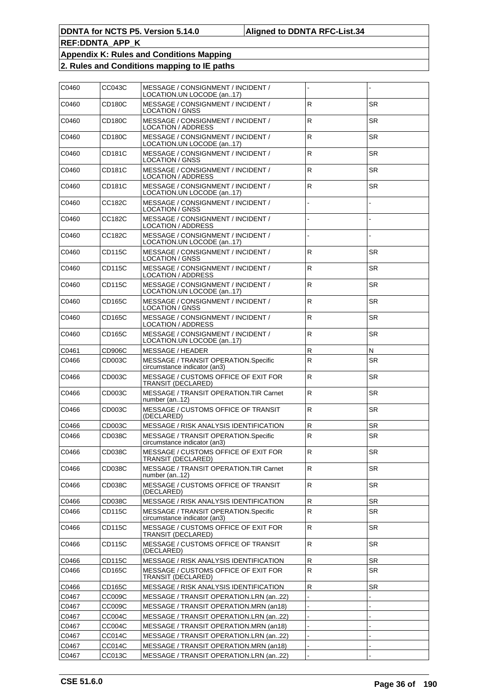| C0460 | CC043C | MESSAGE / CONSIGNMENT / INCIDENT /<br>LOCATION.UN LOCODE (an17)      |              |           |
|-------|--------|----------------------------------------------------------------------|--------------|-----------|
| C0460 | CD180C | MESSAGE / CONSIGNMENT / INCIDENT /<br>LOCATION / GNSS                | $\mathsf{R}$ | <b>SR</b> |
| C0460 | CD180C | MESSAGE / CONSIGNMENT / INCIDENT /<br><b>LOCATION / ADDRESS</b>      | $\mathsf R$  | <b>SR</b> |
| C0460 | CD180C | MESSAGE / CONSIGNMENT / INCIDENT /<br>LOCATION.UN LOCODE (an17)      | ${\sf R}$    | <b>SR</b> |
| C0460 | CD181C | MESSAGE / CONSIGNMENT / INCIDENT /<br><b>LOCATION / GNSS</b>         | ${\sf R}$    | <b>SR</b> |
| C0460 | CD181C | MESSAGE / CONSIGNMENT / INCIDENT /<br><b>LOCATION / ADDRESS</b>      | $\mathsf R$  | <b>SR</b> |
| C0460 | CD181C | MESSAGE / CONSIGNMENT / INCIDENT /<br>LOCATION.UN LOCODE (an17)      | $\mathsf R$  | <b>SR</b> |
| C0460 | CC182C | MESSAGE / CONSIGNMENT / INCIDENT /<br>LOCATION / GNSS                |              |           |
| C0460 | CC182C | MESSAGE / CONSIGNMENT / INCIDENT /<br><b>LOCATION / ADDRESS</b>      |              |           |
| C0460 | CC182C | MESSAGE / CONSIGNMENT / INCIDENT /<br>LOCATION.UN LOCODE (an17)      |              |           |
| C0460 | CD115C | MESSAGE / CONSIGNMENT / INCIDENT /<br><b>LOCATION / GNSS</b>         | ${\sf R}$    | <b>SR</b> |
| C0460 | CD115C | MESSAGE / CONSIGNMENT / INCIDENT /<br><b>LOCATION / ADDRESS</b>      | $\mathsf R$  | <b>SR</b> |
| C0460 | CD115C | MESSAGE / CONSIGNMENT / INCIDENT /<br>LOCATION.UN LOCODE (an17)      | ${\sf R}$    | <b>SR</b> |
| C0460 | CD165C | MESSAGE / CONSIGNMENT / INCIDENT /<br>LOCATION / GNSS                | ${\sf R}$    | <b>SR</b> |
| C0460 | CD165C | MESSAGE / CONSIGNMENT / INCIDENT /<br><b>LOCATION / ADDRESS</b>      | $\mathsf R$  | <b>SR</b> |
| C0460 | CD165C | MESSAGE / CONSIGNMENT / INCIDENT /<br>LOCATION.UN LOCODE (an17)      | ${\sf R}$    | <b>SR</b> |
| C0461 | CD906C | <b>MESSAGE / HEADER</b>                                              | ${\sf R}$    | N         |
| C0466 | CD003C | MESSAGE / TRANSIT OPERATION.Specific<br>circumstance indicator (an3) | $\mathsf R$  | <b>SR</b> |
| C0466 | CD003C | MESSAGE / CUSTOMS OFFICE OF EXIT FOR<br>TRANSIT (DECLARED)           | $\mathsf{R}$ | <b>SR</b> |
| C0466 | CD003C | <b>MESSAGE / TRANSIT OPERATION. TIR Carnet</b><br>number (an12)      | ${\sf R}$    | <b>SR</b> |
| C0466 | CD003C | MESSAGE / CUSTOMS OFFICE OF TRANSIT<br>(DECLARED)                    | ${\sf R}$    | <b>SR</b> |
| C0466 | CD003C | <b>MESSAGE / RISK ANALYSIS IDENTIFICATION</b>                        | R            | <b>SR</b> |
| C0466 | CD038C | MESSAGE / TRANSIT OPERATION.Specific<br>circumstance indicator (an3) | $\mathsf{R}$ | <b>SR</b> |
| C0466 | CD038C | MESSAGE / CUSTOMS OFFICE OF EXIT FOR<br>TRANSIT (DECLARED)           | R            | SR        |
| C0466 | CD038C | MESSAGE / TRANSIT OPERATION. TIR Carnet<br>number (an12)             | $\mathsf R$  | <b>SR</b> |
| C0466 | CD038C | MESSAGE / CUSTOMS OFFICE OF TRANSIT<br>(DECLARED)                    | $\mathsf{R}$ | <b>SR</b> |
| C0466 | CD038C | <b>MESSAGE / RISK ANALYSIS IDENTIFICATION</b>                        | R            | <b>SR</b> |
| C0466 | CD115C | MESSAGE / TRANSIT OPERATION.Specific<br>circumstance indicator (an3) | R.           | <b>SR</b> |
| C0466 | CD115C | MESSAGE / CUSTOMS OFFICE OF EXIT FOR<br>TRANSIT (DECLARED)           | $\mathsf R$  | <b>SR</b> |
| C0466 | CD115C | MESSAGE / CUSTOMS OFFICE OF TRANSIT<br>(DECLARED)                    | R            | SR.       |
| C0466 | CD115C | MESSAGE / RISK ANALYSIS IDENTIFICATION                               | R            | SR        |
| C0466 | CD165C | MESSAGE / CUSTOMS OFFICE OF EXIT FOR<br>TRANSIT (DECLARED)           | R            | <b>SR</b> |
| C0466 | CD165C | <b>MESSAGE / RISK ANALYSIS IDENTIFICATION</b>                        | $\mathsf{R}$ | SR        |
| C0467 | CC009C | MESSAGE / TRANSIT OPERATION.LRN (an22)                               |              |           |
| C0467 | CC009C | MESSAGE / TRANSIT OPERATION.MRN (an18)                               |              |           |
| C0467 | CC004C | MESSAGE / TRANSIT OPERATION.LRN (an22)                               |              |           |
| C0467 | CC004C | MESSAGE / TRANSIT OPERATION.MRN (an18)                               |              |           |
| C0467 | CC014C | MESSAGE / TRANSIT OPERATION.LRN (an22)                               |              |           |
| C0467 | CC014C | MESSAGE / TRANSIT OPERATION.MRN (an18)                               |              |           |
| C0467 | CC013C | MESSAGE / TRANSIT OPERATION.LRN (an22)                               |              |           |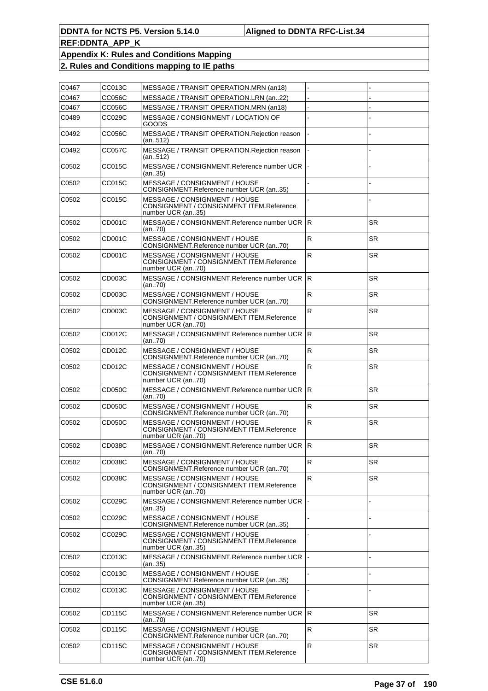| C0467 | CC013C | MESSAGE / TRANSIT OPERATION.MRN (an18)                                                         |               |           |
|-------|--------|------------------------------------------------------------------------------------------------|---------------|-----------|
| C0467 | CC056C | MESSAGE / TRANSIT OPERATION.LRN (an22)                                                         |               |           |
| C0467 | CC056C | MESSAGE / TRANSIT OPERATION.MRN (an18)                                                         |               |           |
| C0489 | CC029C | MESSAGE / CONSIGNMENT / LOCATION OF<br>GOODS                                                   |               |           |
| C0492 | CC056C | MESSAGE / TRANSIT OPERATION.Rejection reason<br>(an512)                                        |               |           |
| C0492 | CC057C | MESSAGE / TRANSIT OPERATION.Rejection reason<br>(an512)                                        |               |           |
| C0502 | CC015C | MESSAGE / CONSIGNMENT.Reference number UCR<br>(an35)                                           |               |           |
| C0502 | CC015C | MESSAGE / CONSIGNMENT / HOUSE<br>CONSIGNMENT.Reference number UCR (an35)                       |               |           |
| C0502 | CC015C | MESSAGE / CONSIGNMENT / HOUSE<br>CONSIGNMENT / CONSIGNMENT ITEM.Reference<br>number UCR (an35) |               |           |
| C0502 | CD001C | MESSAGE / CONSIGNMENT.Reference number UCR   R<br>(an70)                                       |               | <b>SR</b> |
| C0502 | CD001C | MESSAGE / CONSIGNMENT / HOUSE<br>CONSIGNMENT.Reference number UCR (an70)                       | $\mathsf{R}$  | SR.       |
| C0502 | CD001C | MESSAGE / CONSIGNMENT / HOUSE<br>CONSIGNMENT / CONSIGNMENT ITEM.Reference<br>number UCR (an70) | ${\sf R}$     | <b>SR</b> |
| C0502 | CD003C | MESSAGE / CONSIGNMENT.Reference number UCR   R<br>(an70)                                       |               | <b>SR</b> |
| C0502 | CD003C | MESSAGE / CONSIGNMENT / HOUSE<br>CONSIGNMENT.Reference number UCR (an70)                       | $\mathsf R$   | <b>SR</b> |
| C0502 | CD003C | MESSAGE / CONSIGNMENT / HOUSE<br>CONSIGNMENT / CONSIGNMENT ITEM.Reference<br>number UCR (an70) | ${\sf R}$     | <b>SR</b> |
| C0502 | CD012C | MESSAGE / CONSIGNMENT.Reference number UCR<br>(an70)                                           | IR.           | <b>SR</b> |
| C0502 | CD012C | MESSAGE / CONSIGNMENT / HOUSE<br>CONSIGNMENT.Reference number UCR (an70)                       | $\mathsf R$   | <b>SR</b> |
| C0502 | CD012C | MESSAGE / CONSIGNMENT / HOUSE<br>CONSIGNMENT / CONSIGNMENT ITEM.Reference<br>number UCR (an70) | $\mathsf{R}$  | SR.       |
| C0502 | CD050C | MESSAGE / CONSIGNMENT.Reference number UCR<br>(an70)                                           | <sup>IR</sup> | <b>SR</b> |
| C0502 | CD050C | MESSAGE / CONSIGNMENT / HOUSE<br>CONSIGNMENT.Reference number UCR (an70)                       | $\mathsf{R}$  | SR.       |
| C0502 | CD050C | MESSAGE / CONSIGNMENT / HOUSE<br>CONSIGNMENT / CONSIGNMENT ITEM.Reference<br>number UCR (an70) | ${\sf R}$     | <b>SR</b> |
| C0502 | CD038C | MESSAGE / CONSIGNMENT.Reference number UCR   R<br>(an70)                                       |               | SR.       |
| C0502 | CD038C | MESSAGE / CONSIGNMENT / HOUSE<br>CONSIGNMENT.Reference number UCR (an70)                       | $\mathsf{R}$  | SR        |
| C0502 | CD038C | MESSAGE / CONSIGNMENT / HOUSE<br>CONSIGNMENT / CONSIGNMENT ITEM.Reference<br>number UCR (an70) | $\mathsf{R}$  | <b>SR</b> |
| C0502 | CC029C | MESSAGE / CONSIGNMENT.Reference number UCR<br>(an35)                                           |               |           |
| C0502 | CC029C | MESSAGE / CONSIGNMENT / HOUSE<br>CONSIGNMENT.Reference number UCR (an35)                       |               |           |
| C0502 | CC029C | MESSAGE / CONSIGNMENT / HOUSE<br>CONSIGNMENT / CONSIGNMENT ITEM.Reference<br>number UCR (an35) |               |           |
| C0502 | CC013C | MESSAGE / CONSIGNMENT.Reference number UCR<br>(an35)                                           |               |           |
| C0502 | CC013C | MESSAGE / CONSIGNMENT / HOUSE<br>CONSIGNMENT.Reference number UCR (an35)                       |               |           |
| C0502 | CC013C | MESSAGE / CONSIGNMENT / HOUSE<br>CONSIGNMENT / CONSIGNMENT ITEM.Reference<br>number UCR (an35) |               |           |
| C0502 | CD115C | MESSAGE / CONSIGNMENT.Reference number UCR   R<br>(an70)                                       |               | SR        |
| C0502 | CD115C | MESSAGE / CONSIGNMENT / HOUSE<br>CONSIGNMENT.Reference number UCR (an70)                       | R             | SR        |
| C0502 | CD115C | MESSAGE / CONSIGNMENT / HOUSE<br>CONSIGNMENT / CONSIGNMENT ITEM.Reference<br>number UCR (an70) | ${\sf R}$     | <b>SR</b> |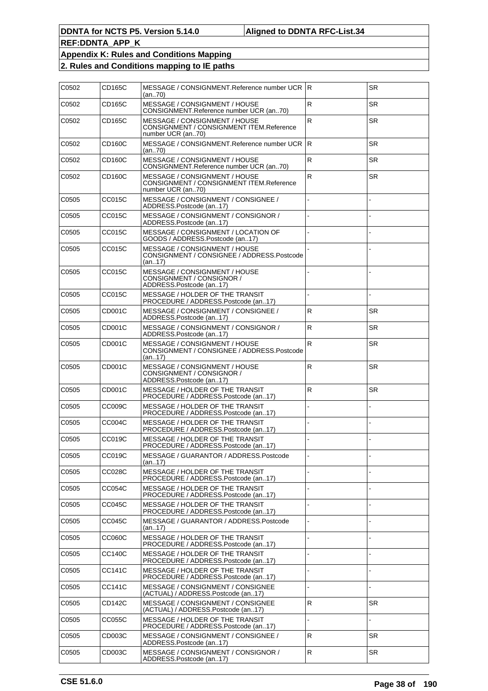| C0502 | CD165C | MESSAGE / CONSIGNMENT.Reference number UCR R<br>(an70)                                         |              | <b>SR</b> |
|-------|--------|------------------------------------------------------------------------------------------------|--------------|-----------|
| C0502 | CD165C | MESSAGE / CONSIGNMENT / HOUSE<br>CONSIGNMENT.Reference number UCR (an70)                       | $\mathsf R$  | <b>SR</b> |
| C0502 | CD165C | MESSAGE / CONSIGNMENT / HOUSE<br>CONSIGNMENT / CONSIGNMENT ITEM.Reference<br>number UCR (an70) | ${\sf R}$    | <b>SR</b> |
| C0502 | CD160C | MESSAGE / CONSIGNMENT.Reference number UCR   R<br>(an70)                                       |              | <b>SR</b> |
| C0502 | CD160C | MESSAGE / CONSIGNMENT / HOUSE<br>CONSIGNMENT.Reference number UCR (an70)                       | $\mathsf R$  | <b>SR</b> |
| C0502 | CD160C | MESSAGE / CONSIGNMENT / HOUSE<br>CONSIGNMENT / CONSIGNMENT ITEM.Reference<br>number UCR (an70) | $\mathsf{R}$ | <b>SR</b> |
| C0505 | CC015C | MESSAGE / CONSIGNMENT / CONSIGNEE /<br>ADDRESS.Postcode (an17)                                 |              |           |
| C0505 | CC015C | MESSAGE / CONSIGNMENT / CONSIGNOR /<br>ADDRESS.Postcode (an17)                                 |              |           |
| C0505 | CC015C | MESSAGE / CONSIGNMENT / LOCATION OF<br>GOODS / ADDRESS.Postcode (an17)                         |              |           |
| C0505 | CC015C | MESSAGE / CONSIGNMENT / HOUSE<br>CONSIGNMENT / CONSIGNEE / ADDRESS.Postcode<br>(an17)          |              |           |
| C0505 | CC015C | MESSAGE / CONSIGNMENT / HOUSE<br>CONSIGNMENT / CONSIGNOR /<br>ADDRESS.Postcode (an17)          |              |           |
| C0505 | CC015C | MESSAGE / HOLDER OF THE TRANSIT<br>PROCEDURE / ADDRESS.Postcode (an17)                         |              |           |
| C0505 | CD001C | MESSAGE / CONSIGNMENT / CONSIGNEE /<br>ADDRESS.Postcode (an17)                                 | $\mathsf{R}$ | <b>SR</b> |
| C0505 | CD001C | MESSAGE / CONSIGNMENT / CONSIGNOR /<br>ADDRESS.Postcode (an17)                                 | ${\sf R}$    | <b>SR</b> |
| C0505 | CD001C | MESSAGE / CONSIGNMENT / HOUSE<br>CONSIGNMENT / CONSIGNEE / ADDRESS.Postcode<br>(an17)          | ${\sf R}$    | <b>SR</b> |
| C0505 | CD001C | MESSAGE / CONSIGNMENT / HOUSE<br>CONSIGNMENT / CONSIGNOR /<br>ADDRESS.Postcode (an17)          | ${\sf R}$    | <b>SR</b> |
| C0505 | CD001C | MESSAGE / HOLDER OF THE TRANSIT<br>PROCEDURE / ADDRESS.Postcode (an17)                         | $\mathsf{R}$ | <b>SR</b> |
| C0505 | CC009C | MESSAGE / HOLDER OF THE TRANSIT<br>PROCEDURE / ADDRESS.Postcode (an17)                         |              |           |
| C0505 | CC004C | MESSAGE / HOLDER OF THE TRANSIT<br>PROCEDURE / ADDRESS.Postcode (an17)                         |              |           |
| C0505 | CC019C | MESSAGE / HOLDER OF THE TRANSIT<br>PROCEDURE / ADDRESS.Postcode (an17)                         |              |           |
| C0505 | CC019C | MESSAGE / GUARANTOR / ADDRESS.Postcode<br>(an17)                                               |              |           |
| C0505 | CC028C | MESSAGE / HOLDER OF THE TRANSIT<br>PROCEDURE / ADDRESS.Postcode (an17)                         |              |           |
| C0505 | CC054C | MESSAGE / HOLDER OF THE TRANSIT<br>PROCEDURE / ADDRESS.Postcode (an17)                         |              |           |
| C0505 | CC045C | MESSAGE / HOLDER OF THE TRANSIT<br>PROCEDURE / ADDRESS.Postcode (an17)                         |              |           |
| C0505 | CC045C | MESSAGE / GUARANTOR / ADDRESS.Postcode<br>(an17)                                               |              |           |
| C0505 | CC060C | MESSAGE / HOLDER OF THE TRANSIT<br>PROCEDURE / ADDRESS.Postcode (an17)                         |              |           |
| C0505 | CC140C | MESSAGE / HOLDER OF THE TRANSIT<br>PROCEDURE / ADDRESS.Postcode (an17)                         |              |           |
| C0505 | CC141C | MESSAGE / HOLDER OF THE TRANSIT<br>PROCEDURE / ADDRESS.Postcode (an17)                         |              |           |
| C0505 | CC141C | MESSAGE / CONSIGNMENT / CONSIGNEE<br>(ACTUAL) / ADDRESS.Postcode (an17)                        |              |           |
| C0505 | CD142C | MESSAGE / CONSIGNMENT / CONSIGNEE<br>(ACTUAL) / ADDRESS.Postcode (an17)                        | $\mathsf R$  | <b>SR</b> |
| C0505 | CC055C | MESSAGE / HOLDER OF THE TRANSIT<br>PROCEDURE / ADDRESS.Postcode (an17)                         |              |           |
| C0505 | CD003C | MESSAGE / CONSIGNMENT / CONSIGNEE /<br>ADDRESS.Postcode (an17)                                 | $\mathsf R$  | <b>SR</b> |
| C0505 | CD003C | MESSAGE / CONSIGNMENT / CONSIGNOR /<br>ADDRESS.Postcode (an17)                                 | $\mathsf R$  | SR        |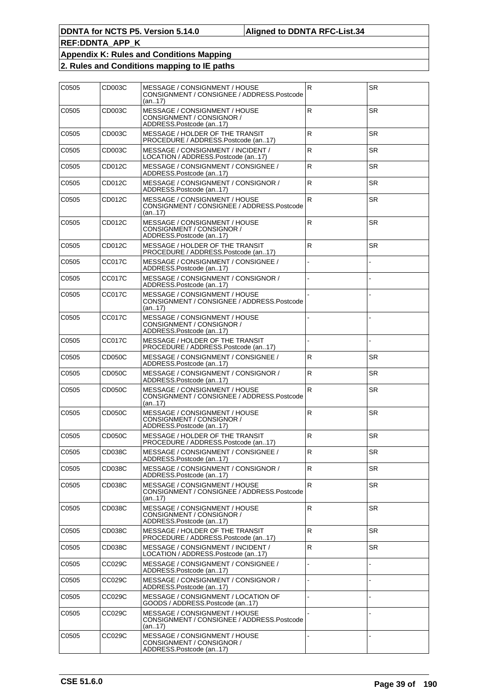| C0505 | CD003C | MESSAGE / CONSIGNMENT / HOUSE<br>CONSIGNMENT / CONSIGNEE / ADDRESS.Postcode<br>(an17) | R.           | <b>SR</b> |
|-------|--------|---------------------------------------------------------------------------------------|--------------|-----------|
| C0505 | CD003C | MESSAGE / CONSIGNMENT / HOUSE<br>CONSIGNMENT / CONSIGNOR /<br>ADDRESS.Postcode (an17) | $\mathsf{R}$ | <b>SR</b> |
| C0505 | CD003C | MESSAGE / HOLDER OF THE TRANSIT<br>PROCEDURE / ADDRESS.Postcode (an17)                | ${\sf R}$    | <b>SR</b> |
| C0505 | CD003C | MESSAGE / CONSIGNMENT / INCIDENT /<br>LOCATION / ADDRESS.Postcode (an17)              | ${\sf R}$    | <b>SR</b> |
| C0505 | CD012C | MESSAGE / CONSIGNMENT / CONSIGNEE /<br>ADDRESS.Postcode (an17)                        | $\mathsf R$  | SR.       |
| C0505 | CD012C | MESSAGE / CONSIGNMENT / CONSIGNOR /<br>ADDRESS.Postcode (an17)                        | ${\sf R}$    | <b>SR</b> |
| C0505 | CD012C | MESSAGE / CONSIGNMENT / HOUSE<br>CONSIGNMENT / CONSIGNEE / ADDRESS.Postcode<br>(an17) | $\mathsf{R}$ | <b>SR</b> |
| C0505 | CD012C | MESSAGE / CONSIGNMENT / HOUSE<br>CONSIGNMENT / CONSIGNOR /<br>ADDRESS.Postcode (an17) | ${\sf R}$    | <b>SR</b> |
| C0505 | CD012C | MESSAGE / HOLDER OF THE TRANSIT<br>PROCEDURE / ADDRESS.Postcode (an17)                | $\mathsf{R}$ | <b>SR</b> |
| C0505 | CC017C | MESSAGE / CONSIGNMENT / CONSIGNEE /<br>ADDRESS.Postcode (an17)                        |              |           |
| C0505 | CC017C | MESSAGE / CONSIGNMENT / CONSIGNOR /<br>ADDRESS.Postcode (an17)                        |              |           |
| C0505 | CC017C | MESSAGE / CONSIGNMENT / HOUSE<br>CONSIGNMENT / CONSIGNEE / ADDRESS.Postcode<br>(an17) |              |           |
| C0505 | CC017C | MESSAGE / CONSIGNMENT / HOUSE<br>CONSIGNMENT / CONSIGNOR /<br>ADDRESS.Postcode (an17) |              |           |
| C0505 | CC017C | MESSAGE / HOLDER OF THE TRANSIT<br>PROCEDURE / ADDRESS.Postcode (an17)                |              |           |
| C0505 | CD050C | MESSAGE / CONSIGNMENT / CONSIGNEE /<br>ADDRESS.Postcode (an17)                        | ${\sf R}$    | <b>SR</b> |
| C0505 | CD050C | MESSAGE / CONSIGNMENT / CONSIGNOR /<br>ADDRESS.Postcode (an17)                        | $\mathsf R$  | SR        |
| C0505 | CD050C | MESSAGE / CONSIGNMENT / HOUSE<br>CONSIGNMENT / CONSIGNEE / ADDRESS.Postcode<br>(an17) | ${\sf R}$    | <b>SR</b> |
| C0505 | CD050C | MESSAGE / CONSIGNMENT / HOUSE<br>CONSIGNMENT / CONSIGNOR /<br>ADDRESS.Postcode (an17) | R            | <b>SR</b> |
| C0505 | CD050C | MESSAGE / HOLDER OF THE TRANSIT<br>PROCEDURE / ADDRESS.Postcode (an17)                | ${\sf R}$    | <b>SR</b> |
| C0505 | CD038C | MESSAGE / CONSIGNMENT / CONSIGNEE /<br>ADDRESS.Postcode (an17)                        | $\mathsf R$  | SR        |
| C0505 | CD038C | MESSAGE / CONSIGNMENT / CONSIGNOR /<br>ADDRESS.Postcode (an17)                        | ${\sf R}$    | <b>SR</b> |
| C0505 | CD038C | MESSAGE / CONSIGNMENT / HOUSE<br>CONSIGNMENT / CONSIGNEE / ADDRESS.Postcode<br>(an17) | $\mathsf{R}$ | SR.       |
| C0505 | CD038C | MESSAGE / CONSIGNMENT / HOUSE<br>CONSIGNMENT / CONSIGNOR /<br>ADDRESS.Postcode (an17) | ${\sf R}$    | <b>SR</b> |
| C0505 | CD038C | MESSAGE / HOLDER OF THE TRANSIT<br>PROCEDURE / ADDRESS.Postcode (an17)                | $\mathsf R$  | <b>SR</b> |
| C0505 | CD038C | MESSAGE / CONSIGNMENT / INCIDENT /<br>LOCATION / ADDRESS.Postcode (an17)              | ${\sf R}$    | <b>SR</b> |
| C0505 | CC029C | MESSAGE / CONSIGNMENT / CONSIGNEE /<br>ADDRESS.Postcode (an17)                        |              |           |
| C0505 | CC029C | MESSAGE / CONSIGNMENT / CONSIGNOR /<br>ADDRESS.Postcode (an17)                        |              |           |
| C0505 | CC029C | MESSAGE / CONSIGNMENT / LOCATION OF<br>GOODS / ADDRESS.Postcode (an17)                |              |           |
| C0505 | CC029C | MESSAGE / CONSIGNMENT / HOUSE<br>CONSIGNMENT / CONSIGNEE / ADDRESS.Postcode<br>(an17) |              |           |
| C0505 | CC029C | MESSAGE / CONSIGNMENT / HOUSE<br>CONSIGNMENT / CONSIGNOR /<br>ADDRESS.Postcode (an17) |              |           |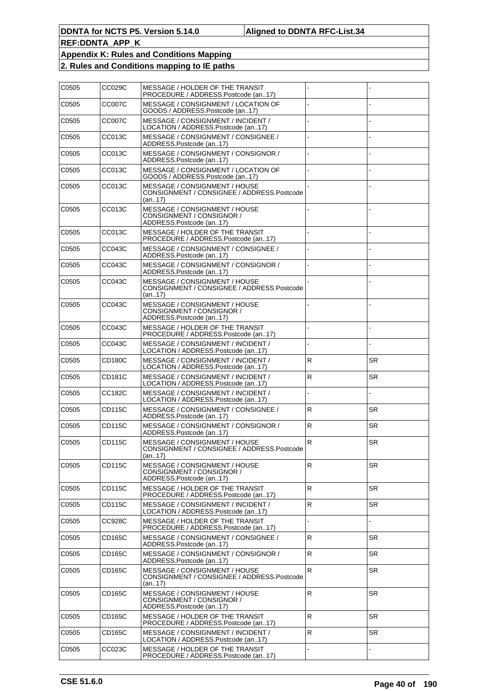| C0505 | CC029C        | MESSAGE / HOLDER OF THE TRANSIT                                                       |              |           |
|-------|---------------|---------------------------------------------------------------------------------------|--------------|-----------|
|       |               | PROCEDURE / ADDRESS.Postcode (an17)                                                   |              |           |
| C0505 | <b>CC007C</b> | MESSAGE / CONSIGNMENT / LOCATION OF<br>GOODS / ADDRESS.Postcode (an17)                |              |           |
| C0505 | CC007C        | MESSAGE / CONSIGNMENT / INCIDENT /<br>LOCATION / ADDRESS.Postcode (an17)              |              |           |
| C0505 | CC013C        | MESSAGE / CONSIGNMENT / CONSIGNEE /<br>ADDRESS.Postcode (an17)                        |              |           |
| C0505 | CC013C        | MESSAGE / CONSIGNMENT / CONSIGNOR /<br>ADDRESS.Postcode (an17)                        |              |           |
| C0505 | CC013C        | MESSAGE / CONSIGNMENT / LOCATION OF<br>GOODS / ADDRESS.Postcode (an17)                |              |           |
| C0505 | CC013C        | MESSAGE / CONSIGNMENT / HOUSE<br>CONSIGNMENT / CONSIGNEE / ADDRESS.Postcode<br>(an17) |              |           |
| C0505 | CC013C        | MESSAGE / CONSIGNMENT / HOUSE<br>CONSIGNMENT / CONSIGNOR /<br>ADDRESS.Postcode (an17) |              |           |
| C0505 | CC013C        | MESSAGE / HOLDER OF THE TRANSIT<br>PROCEDURE / ADDRESS.Postcode (an17)                |              |           |
| C0505 | CC043C        | MESSAGE / CONSIGNMENT / CONSIGNEE /<br>ADDRESS.Postcode (an17)                        |              |           |
| C0505 | CC043C        | MESSAGE / CONSIGNMENT / CONSIGNOR /<br>ADDRESS.Postcode (an17)                        |              |           |
| C0505 | CC043C        | MESSAGE / CONSIGNMENT / HOUSE<br>CONSIGNMENT / CONSIGNEE / ADDRESS.Postcode<br>(an17) |              |           |
| C0505 | CC043C        | MESSAGE / CONSIGNMENT / HOUSE<br>CONSIGNMENT / CONSIGNOR /<br>ADDRESS.Postcode (an17) |              |           |
| C0505 | CC043C        | MESSAGE / HOLDER OF THE TRANSIT<br>PROCEDURE / ADDRESS.Postcode (an17)                |              |           |
| C0505 | CC043C        | MESSAGE / CONSIGNMENT / INCIDENT /<br>LOCATION / ADDRESS.Postcode (an17)              |              |           |
| C0505 | CD180C        | MESSAGE / CONSIGNMENT / INCIDENT /<br>LOCATION / ADDRESS.Postcode (an17)              | ${\sf R}$    | <b>SR</b> |
| C0505 | CD181C        | MESSAGE / CONSIGNMENT / INCIDENT /<br>LOCATION / ADDRESS.Postcode (an17)              | ${\sf R}$    | <b>SR</b> |
| C0505 | CC182C        | MESSAGE / CONSIGNMENT / INCIDENT /<br>LOCATION / ADDRESS.Postcode (an17)              |              |           |
| C0505 | CD115C        | MESSAGE / CONSIGNMENT / CONSIGNEE /<br>ADDRESS.Postcode (an17)                        | ${\sf R}$    | <b>SR</b> |
| C0505 | CD115C        | MESSAGE / CONSIGNMENT / CONSIGNOR /<br>ADDRESS.Postcode (an17)                        | $\mathsf{R}$ | <b>SR</b> |
| C0505 | CD115C        | MESSAGE / CONSIGNMENT / HOUSE<br>CONSIGNMENT / CONSIGNEE / ADDRESS.Postcode<br>(an17) | $\mathsf R$  | <b>SR</b> |
| C0505 | CD115C        | MESSAGE / CONSIGNMENT / HOUSE<br>CONSIGNMENT / CONSIGNOR /<br>ADDRESS.Postcode (an17) | $\mathsf R$  | SR.       |
| C0505 | CD115C        | MESSAGE / HOLDER OF THE TRANSIT<br>PROCEDURE / ADDRESS.Postcode (an17)                | ${\sf R}$    | <b>SR</b> |
| C0505 | <b>CD115C</b> | MESSAGE / CONSIGNMENT / INCIDENT /<br>LOCATION / ADDRESS.Postcode (an.,17)            | ${\sf R}$    | SR        |
| C0505 | CC928C        | MESSAGE / HOLDER OF THE TRANSIT<br>PROCEDURE / ADDRESS.Postcode (an17)                |              |           |
| C0505 | CD165C        | MESSAGE / CONSIGNMENT / CONSIGNEE /<br>ADDRESS.Postcode (an17)                        | ${\sf R}$    | <b>SR</b> |
| C0505 | CD165C        | MESSAGE / CONSIGNMENT / CONSIGNOR /<br>ADDRESS.Postcode (an17)                        | $\mathsf{R}$ | SR.       |
| C0505 | CD165C        | MESSAGE / CONSIGNMENT / HOUSE<br>CONSIGNMENT / CONSIGNEE / ADDRESS.Postcode<br>(an17) | $\mathsf R$  | SR        |
| C0505 | CD165C        | MESSAGE / CONSIGNMENT / HOUSE<br>CONSIGNMENT / CONSIGNOR /<br>ADDRESS.Postcode (an17) | $\mathsf{R}$ | SR.       |
| C0505 | CD165C        | MESSAGE / HOLDER OF THE TRANSIT<br>PROCEDURE / ADDRESS.Postcode (an17)                | ${\sf R}$    | <b>SR</b> |
| C0505 | CD165C        | MESSAGE / CONSIGNMENT / INCIDENT /<br>LOCATION / ADDRESS.Postcode (an17)              | ${\sf R}$    | SR.       |
| C0505 | CC023C        | MESSAGE / HOLDER OF THE TRANSIT<br>PROCEDURE / ADDRESS.Postcode (an17)                |              |           |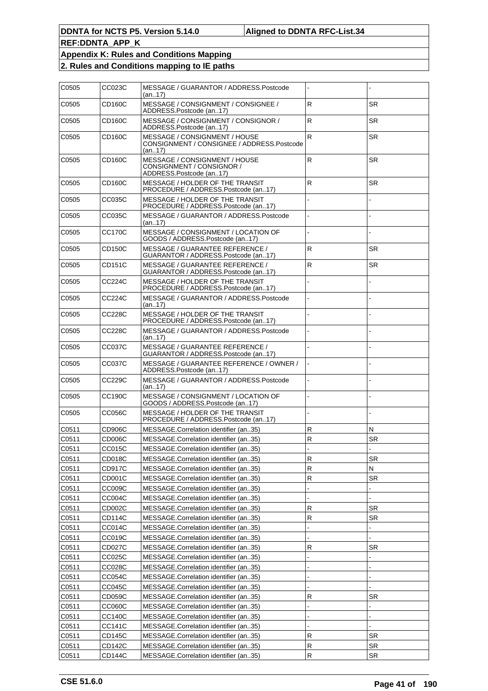| C0505 | CC023C        | MESSAGE / GUARANTOR / ADDRESS.Postcode<br>(an17)                                      |              |           |
|-------|---------------|---------------------------------------------------------------------------------------|--------------|-----------|
| C0505 | CD160C        | MESSAGE / CONSIGNMENT / CONSIGNEE /<br>ADDRESS.Postcode (an17)                        | $\mathsf{R}$ | <b>SR</b> |
| C0505 | CD160C        | MESSAGE / CONSIGNMENT / CONSIGNOR /<br>ADDRESS.Postcode (an17)                        | $\mathsf{R}$ | <b>SR</b> |
| C0505 | CD160C        | MESSAGE / CONSIGNMENT / HOUSE<br>CONSIGNMENT / CONSIGNEE / ADDRESS.Postcode<br>(an17) | $\mathsf{R}$ | <b>SR</b> |
| C0505 | CD160C        | MESSAGE / CONSIGNMENT / HOUSE<br>CONSIGNMENT / CONSIGNOR /<br>ADDRESS.Postcode (an17) | R            | <b>SR</b> |
| C0505 | CD160C        | MESSAGE / HOLDER OF THE TRANSIT<br>PROCEDURE / ADDRESS.Postcode (an17)                | $\mathsf{R}$ | <b>SR</b> |
| C0505 | CC035C        | MESSAGE / HOLDER OF THE TRANSIT<br>PROCEDURE / ADDRESS.Postcode (an17)                |              |           |
| C0505 | CC035C        | MESSAGE / GUARANTOR / ADDRESS.Postcode<br>(an17)                                      |              |           |
| C0505 | CC170C        | MESSAGE / CONSIGNMENT / LOCATION OF<br>GOODS / ADDRESS.Postcode (an17)                |              |           |
| C0505 | CD150C        | MESSAGE / GUARANTEE REFERENCE /<br>GUARANTOR / ADDRESS.Postcode (an17)                | $\mathsf{R}$ | <b>SR</b> |
| C0505 | CD151C        | MESSAGE / GUARANTEE REFERENCE /<br>GUARANTOR / ADDRESS.Postcode (an17)                | $\mathsf{R}$ | <b>SR</b> |
| C0505 | CC224C        | MESSAGE / HOLDER OF THE TRANSIT<br>PROCEDURE / ADDRESS.Postcode (an17)                |              |           |
| C0505 | CC224C        | MESSAGE / GUARANTOR / ADDRESS.Postcode<br>(an17)                                      |              |           |
| C0505 | CC228C        | MESSAGE / HOLDER OF THE TRANSIT<br>PROCEDURE / ADDRESS.Postcode (an17)                |              |           |
| C0505 | CC228C        | MESSAGE / GUARANTOR / ADDRESS.Postcode<br>(an17)                                      |              |           |
| C0505 | CC037C        | MESSAGE / GUARANTEE REFERENCE /<br>GUARANTOR / ADDRESS.Postcode (an17)                |              |           |
| C0505 | CC037C        | MESSAGE / GUARANTEE REFERENCE / OWNER /<br>ADDRESS.Postcode (an17)                    |              |           |
| C0505 | CC229C        | MESSAGE / GUARANTOR / ADDRESS.Postcode<br>(an17)                                      |              |           |
| C0505 | CC190C        | MESSAGE / CONSIGNMENT / LOCATION OF<br>GOODS / ADDRESS.Postcode (an17)                |              |           |
| C0505 | CC056C        | MESSAGE / HOLDER OF THE TRANSIT<br>PROCEDURE / ADDRESS.Postcode (an17)                |              |           |
| C0511 | CD906C        | MESSAGE.Correlation identifier (an35)                                                 | $\mathsf R$  | N         |
| C0511 | CD006C        | MESSAGE.Correlation identifier (an35)                                                 | $\mathsf{R}$ | <b>SR</b> |
| C0511 | <b>CC015C</b> | MESSAGE.Correlation identifier (an35)                                                 |              |           |
| C0511 | CD018C        | MESSAGE.Correlation identifier (an35)                                                 | R            | SR        |
| C0511 | CD917C        | MESSAGE.Correlation identifier (an35)                                                 | R            | N         |
|       |               |                                                                                       |              |           |
| C0511 | CD001C        | MESSAGE.Correlation identifier (an35)                                                 | R            | SR        |
| C0511 | <b>CC009C</b> | MESSAGE.Correlation identifier (an35)                                                 |              |           |
| C0511 | CC004C        | MESSAGE.Correlation identifier (an35)                                                 |              |           |
| C0511 | CD002C        | MESSAGE.Correlation identifier (an35)                                                 | R            | SR        |
| C0511 | CD114C        | MESSAGE.Correlation identifier (an35)                                                 | R            | SR        |
| C0511 | CC014C        | MESSAGE.Correlation identifier (an35)                                                 |              |           |
| C0511 | CC019C        | MESSAGE.Correlation identifier (an35)                                                 |              |           |
| C0511 | CD027C        | MESSAGE.Correlation identifier (an35)                                                 | R            | SR        |
| C0511 | CC025C        | MESSAGE.Correlation identifier (an35)                                                 |              |           |
| C0511 | CC028C        | MESSAGE.Correlation identifier (an35)                                                 |              |           |
| C0511 | CC054C        | MESSAGE.Correlation identifier (an35)                                                 |              |           |
| C0511 | CC045C        | MESSAGE.Correlation identifier (an35)                                                 |              |           |
| C0511 | CD059C        | MESSAGE.Correlation identifier (an35)                                                 | R            | SR        |
| C0511 | CC060C        | MESSAGE.Correlation identifier (an35)                                                 |              |           |
| C0511 | CC140C        | MESSAGE.Correlation identifier (an35)                                                 |              |           |
|       |               |                                                                                       |              |           |
| C0511 | CC141C        | MESSAGE.Correlation identifier (an35)                                                 |              |           |
| C0511 | CD145C        | MESSAGE.Correlation identifier (an35)                                                 | R            | SR        |
| C0511 | CD142C        | MESSAGE.Correlation identifier (an35)                                                 | R            | SR        |
| C0511 | <b>CD144C</b> | MESSAGE.Correlation identifier (an35)                                                 | R            | SR        |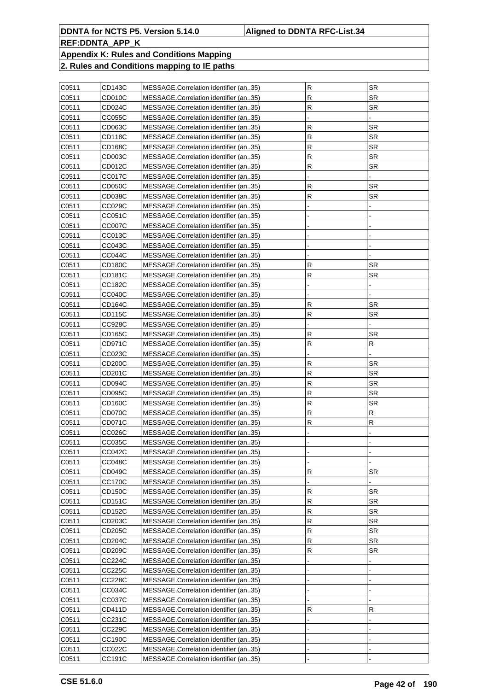| C0511 | CD143C | MESSAGE.Correlation identifier (an35) | R | <b>SR</b> |
|-------|--------|---------------------------------------|---|-----------|
| C0511 | CD010C | MESSAGE.Correlation identifier (an35) | R | <b>SR</b> |
| C0511 | CD024C | MESSAGE.Correlation identifier (an35) | R | <b>SR</b> |
| C0511 | CC055C | MESSAGE.Correlation identifier (an35) |   |           |
| C0511 | CD063C | MESSAGE.Correlation identifier (an35) | R | <b>SR</b> |
| C0511 | CD118C | MESSAGE.Correlation identifier (an35) | R | <b>SR</b> |
| C0511 | CD168C | MESSAGE.Correlation identifier (an35) | R | <b>SR</b> |
| C0511 | CD003C | MESSAGE.Correlation identifier (an35) | R | <b>SR</b> |
| C0511 | CD012C | MESSAGE.Correlation identifier (an35) | R | <b>SR</b> |
| C0511 | CC017C | MESSAGE.Correlation identifier (an35) |   |           |
| C0511 | CD050C | MESSAGE.Correlation identifier (an35) | R | <b>SR</b> |
| C0511 | CD038C | MESSAGE.Correlation identifier (an35) | R | SR        |
| C0511 | CC029C | MESSAGE.Correlation identifier (an35) |   |           |
| C0511 | CC051C | MESSAGE.Correlation identifier (an35) |   |           |
| C0511 | CC007C | MESSAGE.Correlation identifier (an35) |   |           |
| C0511 | CC013C | MESSAGE.Correlation identifier (an35) |   |           |
| C0511 | CC043C | MESSAGE.Correlation identifier (an35) |   |           |
| C0511 | CC044C | MESSAGE.Correlation identifier (an35) |   |           |
| C0511 | CD180C | MESSAGE.Correlation identifier (an35) | R | <b>SR</b> |
| C0511 | CD181C | MESSAGE.Correlation identifier (an35) | R | SR        |
| C0511 | CC182C | MESSAGE.Correlation identifier (an35) |   |           |
| C0511 | CC040C | MESSAGE.Correlation identifier (an35) |   |           |
| C0511 | CD164C | MESSAGE.Correlation identifier (an35) | R | <b>SR</b> |
| C0511 | CD115C | MESSAGE.Correlation identifier (an35) | R | SR        |
| C0511 | CC928C | MESSAGE.Correlation identifier (an35) |   |           |
| C0511 | CD165C | MESSAGE.Correlation identifier (an35) | R | SR        |
| C0511 | CD971C | MESSAGE.Correlation identifier (an35) | R | R         |
| C0511 | CC023C | MESSAGE.Correlation identifier (an35) |   |           |
| C0511 | CD200C | MESSAGE.Correlation identifier (an35) | R | <b>SR</b> |
| C0511 | CD201C | MESSAGE.Correlation identifier (an35) | R | <b>SR</b> |
| C0511 | CD094C | MESSAGE.Correlation identifier (an35) | R | <b>SR</b> |
| C0511 | CD095C | MESSAGE.Correlation identifier (an35) | R | <b>SR</b> |
| C0511 | CD160C | MESSAGE.Correlation identifier (an35) | R | SR        |
| C0511 | CD070C | MESSAGE.Correlation identifier (an35) | R | R         |
| C0511 | CD071C | MESSAGE.Correlation identifier (an35) | R | R         |
| C0511 | CC026C | MESSAGE.Correlation identifier (an35) |   |           |
| C0511 | CC035C | MESSAGE.Correlation identifier (an35) |   |           |
| C0511 | CC042C | MESSAGE.Correlation identifier (an35) |   |           |
| C0511 | CC048C | MESSAGE.Correlation identifier (an35) |   |           |
| C0511 | CD049C | MESSAGE.Correlation identifier (an35) | R | <b>SR</b> |
| C0511 | CC170C | MESSAGE.Correlation identifier (an35) |   |           |
| C0511 | CD150C | MESSAGE.Correlation identifier (an35) | R | <b>SR</b> |
| C0511 | CD151C | MESSAGE.Correlation identifier (an35) | R | <b>SR</b> |
| C0511 | CD152C | MESSAGE.Correlation identifier (an35) | R | <b>SR</b> |
| C0511 | CD203C | MESSAGE.Correlation identifier (an35) | R | <b>SR</b> |
| C0511 | CD205C | MESSAGE.Correlation identifier (an35) | R | <b>SR</b> |
| C0511 | CD204C | MESSAGE.Correlation identifier (an35) | R | <b>SR</b> |
| C0511 | CD209C | MESSAGE.Correlation identifier (an35) | R | <b>SR</b> |
| C0511 | CC224C | MESSAGE.Correlation identifier (an35) |   |           |
| C0511 | CC225C | MESSAGE.Correlation identifier (an35) |   |           |
| C0511 | CC228C | MESSAGE.Correlation identifier (an35) |   |           |
| C0511 | CC034C | MESSAGE.Correlation identifier (an35) |   |           |
| C0511 | CC037C | MESSAGE.Correlation identifier (an35) |   |           |
| C0511 | CD411D | MESSAGE.Correlation identifier (an35) | R | R         |
| C0511 | CC231C | MESSAGE.Correlation identifier (an35) |   |           |
| C0511 | CC229C | MESSAGE.Correlation identifier (an35) |   |           |
| C0511 | CC190C | MESSAGE.Correlation identifier (an35) |   |           |
| C0511 | CC022C | MESSAGE.Correlation identifier (an35) |   |           |
| C0511 | CC191C | MESSAGE.Correlation identifier (an35) |   |           |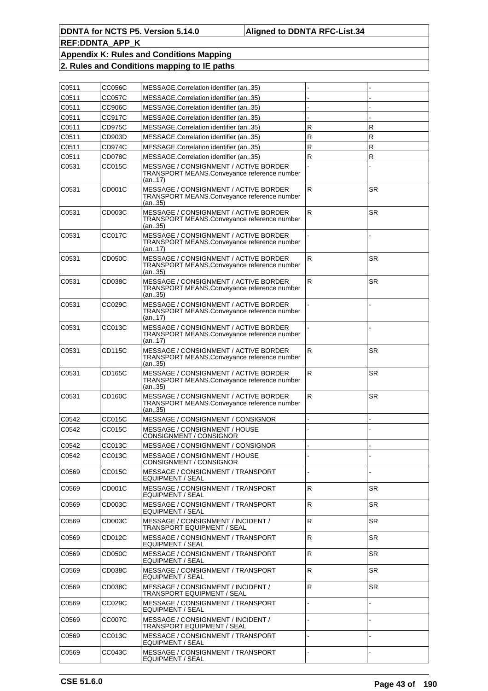| C0511 | CC056C        | MESSAGE.Correlation identifier (an35)                                                          |                         |                         |
|-------|---------------|------------------------------------------------------------------------------------------------|-------------------------|-------------------------|
| C0511 | CC057C        | MESSAGE.Correlation identifier (an35)                                                          |                         |                         |
| C0511 | CC906C        | MESSAGE.Correlation identifier (an35)                                                          |                         |                         |
| C0511 | CC917C        | MESSAGE.Correlation identifier (an35)                                                          |                         |                         |
| C0511 | CD975C        | MESSAGE.Correlation identifier (an35)                                                          | $\mathsf{R}$            | R                       |
| C0511 | CD903D        | MESSAGE.Correlation identifier (an35)                                                          | $\mathsf{R}$            | $\overline{\mathsf{R}}$ |
| C0511 | CD974C        | MESSAGE.Correlation identifier (an35)                                                          | $\overline{\mathsf{R}}$ | $\overline{\mathsf{R}}$ |
| C0511 | CD078C        | MESSAGE.Correlation identifier (an35)                                                          | $\overline{\mathsf{R}}$ | $\overline{\mathsf{R}}$ |
| C0531 | CC015C        | MESSAGE / CONSIGNMENT / ACTIVE BORDER<br>TRANSPORT MEANS.Conveyance reference number<br>(an17) |                         |                         |
| C0531 | CD001C        | MESSAGE / CONSIGNMENT / ACTIVE BORDER<br>TRANSPORT MEANS.Conveyance reference number<br>(an35) | $\mathsf R$             | <b>SR</b>               |
| C0531 | CD003C        | MESSAGE / CONSIGNMENT / ACTIVE BORDER<br>TRANSPORT MEANS.Conveyance reference number<br>(an35) | ${\sf R}$               | <b>SR</b>               |
| C0531 | CC017C        | MESSAGE / CONSIGNMENT / ACTIVE BORDER<br>TRANSPORT MEANS.Conveyance reference number<br>(an17) |                         |                         |
| C0531 | CD050C        | MESSAGE / CONSIGNMENT / ACTIVE BORDER<br>TRANSPORT MEANS.Conveyance reference number<br>(an35) | $\mathsf R$             | <b>SR</b>               |
| C0531 | CD038C        | MESSAGE / CONSIGNMENT / ACTIVE BORDER<br>TRANSPORT MEANS.Conveyance reference number<br>(an35) | $\mathsf{R}$            | <b>SR</b>               |
| C0531 | CC029C        | MESSAGE / CONSIGNMENT / ACTIVE BORDER<br>TRANSPORT MEANS.Conveyance reference number<br>(an17) |                         |                         |
| C0531 | CC013C        | MESSAGE / CONSIGNMENT / ACTIVE BORDER<br>TRANSPORT MEANS.Conveyance reference number<br>(an17) |                         |                         |
| C0531 | CD115C        | MESSAGE / CONSIGNMENT / ACTIVE BORDER<br>TRANSPORT MEANS.Conveyance reference number<br>(an35) | $\mathsf{R}$            | <b>SR</b>               |
| C0531 | CD165C        | MESSAGE / CONSIGNMENT / ACTIVE BORDER<br>TRANSPORT MEANS.Conveyance reference number<br>(an35) | $\mathsf{R}$            | <b>SR</b>               |
| C0531 | CD160C        | MESSAGE / CONSIGNMENT / ACTIVE BORDER<br>TRANSPORT MEANS.Conveyance reference number<br>(an35) | $\mathsf R$             | <b>SR</b>               |
| C0542 | <b>CC015C</b> | MESSAGE / CONSIGNMENT / CONSIGNOR                                                              |                         |                         |
| C0542 | CC015C        | MESSAGE / CONSIGNMENT / HOUSE<br>CONSIGNMENT / CONSIGNOR                                       |                         |                         |
| C0542 | CC013C        | MESSAGE / CONSIGNMENT / CONSIGNOR                                                              |                         |                         |
| C0542 | CC013C        | MESSAGE / CONSIGNMENT / HOUSE<br>CONSIGNMENT / CONSIGNOR                                       |                         |                         |
| C0569 | CC015C        | MESSAGE / CONSIGNMENT / TRANSPORT<br>EQUIPMENT / SEAL                                          |                         |                         |
| C0569 | CD001C        | MESSAGE / CONSIGNMENT / TRANSPORT<br>EQUIPMENT / SEAL                                          | $\mathsf R$             | <b>SR</b>               |
| C0569 | CD003C        | MESSAGE / CONSIGNMENT / TRANSPORT<br>EQUIPMENT / SEAL                                          | R                       | <b>SR</b>               |
| C0569 | CD003C        | MESSAGE / CONSIGNMENT / INCIDENT /<br>TRANSPORT EQUIPMENT / SEAL                               | $\mathsf R$             | SR.                     |
| C0569 | CD012C        | MESSAGE / CONSIGNMENT / TRANSPORT<br>EQUIPMENT / SEAL                                          | $\mathsf R$             | <b>SR</b>               |
| C0569 | CD050C        | MESSAGE / CONSIGNMENT / TRANSPORT<br>EQUIPMENT / SEAL                                          | ${\sf R}$               | SR.                     |
| C0569 | CD038C        | MESSAGE / CONSIGNMENT / TRANSPORT<br>EQUIPMENT / SEAL                                          | $\mathsf{R}$            | SR.                     |
| C0569 | CD038C        | MESSAGE / CONSIGNMENT / INCIDENT /<br>TRANSPORT EQUIPMENT / SEAL                               | $\mathsf R$             | <b>SR</b>               |
| C0569 | CC029C        | MESSAGE / CONSIGNMENT / TRANSPORT<br>EQUIPMENT / SEAL                                          |                         |                         |
| C0569 | CC007C        | MESSAGE / CONSIGNMENT / INCIDENT /<br>TRANSPORT EQUIPMENT / SEAL                               |                         |                         |
| C0569 | CC013C        | MESSAGE / CONSIGNMENT / TRANSPORT<br>EQUIPMENT / SEAL                                          |                         |                         |
| C0569 | CC043C        | MESSAGE / CONSIGNMENT / TRANSPORT<br>EQUIPMENT / SEAL                                          |                         |                         |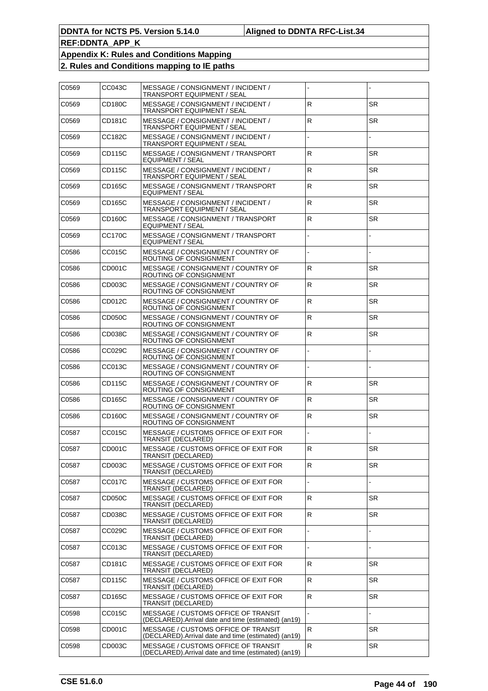| C0569 | CC043C | MESSAGE / CONSIGNMENT / INCIDENT /<br>TRANSPORT EQUIPMENT / SEAL                            |              |           |
|-------|--------|---------------------------------------------------------------------------------------------|--------------|-----------|
| C0569 | CD180C | MESSAGE / CONSIGNMENT / INCIDENT /<br>TRANSPORT EQUIPMENT / SEAL                            | $\mathsf{R}$ | <b>SR</b> |
| C0569 | CD181C | MESSAGE / CONSIGNMENT / INCIDENT /<br>TRANSPORT EQUIPMENT / SEAL                            | $\mathsf{R}$ | <b>SR</b> |
| C0569 | CC182C | MESSAGE / CONSIGNMENT / INCIDENT /<br>TRANSPORT EQUIPMENT / SEAL                            |              |           |
| C0569 | CD115C | MESSAGE / CONSIGNMENT / TRANSPORT<br>EQUIPMENT / SEAL                                       | $\mathsf{R}$ | <b>SR</b> |
| C0569 | CD115C | MESSAGE / CONSIGNMENT / INCIDENT /<br>TRANSPORT EQUIPMENT / SEAL                            | ${\sf R}$    | <b>SR</b> |
| C0569 | CD165C | MESSAGE / CONSIGNMENT / TRANSPORT<br>EQUIPMENT / SEAL                                       | ${\sf R}$    | <b>SR</b> |
| C0569 | CD165C | MESSAGE / CONSIGNMENT / INCIDENT /<br>TRANSPORT EQUIPMENT / SEAL                            | $\mathsf{R}$ | <b>SR</b> |
| C0569 | CD160C | MESSAGE / CONSIGNMENT / TRANSPORT<br>EQUIPMENT / SEAL                                       | ${\sf R}$    | <b>SR</b> |
| C0569 | CC170C | MESSAGE / CONSIGNMENT / TRANSPORT<br>EQUIPMENT / SEAL                                       |              |           |
| C0586 | CC015C | MESSAGE / CONSIGNMENT / COUNTRY OF<br>ROUTING OF CONSIGNMENT                                |              |           |
| C0586 | CD001C | MESSAGE / CONSIGNMENT / COUNTRY OF<br>ROUTING OF CONSIGNMENT                                | ${\sf R}$    | <b>SR</b> |
| C0586 | CD003C | MESSAGE / CONSIGNMENT / COUNTRY OF<br>ROUTING OF CONSIGNMENT                                | $\mathsf{R}$ | <b>SR</b> |
| C0586 | CD012C | MESSAGE / CONSIGNMENT / COUNTRY OF<br>ROUTING OF CONSIGNMENT                                | $\mathsf{R}$ | SR.       |
| C0586 | CD050C | MESSAGE / CONSIGNMENT / COUNTRY OF<br>ROUTING OF CONSIGNMENT                                | ${\sf R}$    | <b>SR</b> |
| C0586 | CD038C | MESSAGE / CONSIGNMENT / COUNTRY OF<br>ROUTING OF CONSIGNMENT                                | $\mathsf{R}$ | <b>SR</b> |
| C0586 | CC029C | MESSAGE / CONSIGNMENT / COUNTRY OF<br>ROUTING OF CONSIGNMENT                                |              |           |
| C0586 | CC013C | MESSAGE / CONSIGNMENT / COUNTRY OF<br>ROUTING OF CONSIGNMENT                                |              |           |
| C0586 | CD115C | MESSAGE / CONSIGNMENT / COUNTRY OF<br>ROUTING OF CONSIGNMENT                                | $\mathsf{R}$ | <b>SR</b> |
| C0586 | CD165C | MESSAGE / CONSIGNMENT / COUNTRY OF<br>ROUTING OF CONSIGNMENT                                | $\mathsf{R}$ | <b>SR</b> |
| C0586 | CD160C | MESSAGE / CONSIGNMENT / COUNTRY OF<br>ROUTING OF CONSIGNMENT                                | $\mathsf{R}$ | <b>SR</b> |
| C0587 | CC015C | MESSAGE / CUSTOMS OFFICE OF EXIT FOR<br>TRANSIT (DECLARED)                                  |              |           |
| C0587 | CD001C | MESSAGE / CUSTOMS OFFICE OF EXIT FOR<br>TRANSIT (DECLARED)                                  | ${\sf R}$    | SR        |
| C0587 | CD003C | MESSAGE / CUSTOMS OFFICE OF EXIT FOR<br>TRANSIT (DECLARED)                                  | R.           | SR.       |
| C0587 | CC017C | MESSAGE / CUSTOMS OFFICE OF EXIT FOR<br>TRANSIT (DECLARED)                                  |              |           |
| C0587 | CD050C | MESSAGE / CUSTOMS OFFICE OF EXIT FOR<br>TRANSIT (DECLARED)                                  | $\mathsf{R}$ | SR.       |
| C0587 | CD038C | MESSAGE / CUSTOMS OFFICE OF EXIT FOR<br>TRANSIT (DECLARED)                                  | $\mathsf R$  | SR.       |
| C0587 | CC029C | MESSAGE / CUSTOMS OFFICE OF EXIT FOR<br>TRANSIT (DECLARED)                                  |              |           |
| C0587 | CC013C | MESSAGE / CUSTOMS OFFICE OF EXIT FOR<br>TRANSIT (DECLARED)                                  |              |           |
| C0587 | CD181C | MESSAGE / CUSTOMS OFFICE OF EXIT FOR<br>TRANSIT (DECLARED)                                  | $\mathsf{R}$ | <b>SR</b> |
| C0587 | CD115C | MESSAGE / CUSTOMS OFFICE OF EXIT FOR<br>TRANSIT (DECLARED)                                  | ${\sf R}$    | <b>SR</b> |
| C0587 | CD165C | MESSAGE / CUSTOMS OFFICE OF EXIT FOR<br>TRANSIT (DECLARED)                                  | $\mathsf{R}$ | SR.       |
| C0598 | CC015C | MESSAGE / CUSTOMS OFFICE OF TRANSIT<br>(DECLARED). Arrival date and time (estimated) (an19) |              |           |
| C0598 | CD001C | MESSAGE / CUSTOMS OFFICE OF TRANSIT<br>(DECLARED). Arrival date and time (estimated) (an19) | R            | <b>SR</b> |
| C0598 | CD003C | MESSAGE / CUSTOMS OFFICE OF TRANSIT<br>(DECLARED). Arrival date and time (estimated) (an19) | R            | SR        |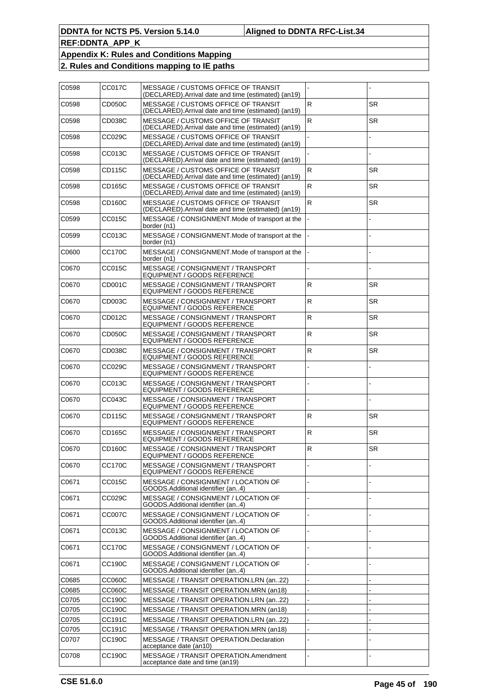| C0598 | <b>CC017C</b>       | MESSAGE / CUSTOMS OFFICE OF TRANSIT<br>(DECLARED). Arrival date and time (estimated) (an19) |              |           |
|-------|---------------------|---------------------------------------------------------------------------------------------|--------------|-----------|
| C0598 | <b>CD050C</b>       | MESSAGE / CUSTOMS OFFICE OF TRANSIT<br>(DECLARED). Arrival date and time (estimated) (an19) | $\mathsf{R}$ | <b>SR</b> |
| C0598 | CD038C              | MESSAGE / CUSTOMS OFFICE OF TRANSIT<br>(DECLARED). Arrival date and time (estimated) (an19) | $\mathsf{R}$ | <b>SR</b> |
| C0598 | CC029C              | MESSAGE / CUSTOMS OFFICE OF TRANSIT<br>(DECLARED). Arrival date and time (estimated) (an19) |              |           |
| C0598 | CC013C              | MESSAGE / CUSTOMS OFFICE OF TRANSIT<br>(DECLARED). Arrival date and time (estimated) (an19) |              |           |
| C0598 | <b>CD115C</b>       | MESSAGE / CUSTOMS OFFICE OF TRANSIT<br>(DECLARED). Arrival date and time (estimated) (an19) | $\mathsf{R}$ | <b>SR</b> |
| C0598 | CD165C              | MESSAGE / CUSTOMS OFFICE OF TRANSIT<br>(DECLARED). Arrival date and time (estimated) (an19) | $\mathsf{R}$ | <b>SR</b> |
| C0598 | CD160C              | MESSAGE / CUSTOMS OFFICE OF TRANSIT<br>(DECLARED). Arrival date and time (estimated) (an19) | $\mathsf{R}$ | <b>SR</b> |
| C0599 | CC015C              | MESSAGE / CONSIGNMENT.Mode of transport at the<br>border (n1)                               |              |           |
| C0599 | CC013C              | MESSAGE / CONSIGNMENT.Mode of transport at the<br>border (n1)                               |              |           |
| C0600 | CC170C              | MESSAGE / CONSIGNMENT. Mode of transport at the<br>border (n1)                              |              |           |
| C0670 | CC015C              | MESSAGE / CONSIGNMENT / TRANSPORT<br>EQUIPMENT / GOODS REFERENCE                            |              |           |
| C0670 | CD001C              | MESSAGE / CONSIGNMENT / TRANSPORT<br>EQUIPMENT / GOODS REFERENCE                            | ${\sf R}$    | <b>SR</b> |
| C0670 | CD003C              | MESSAGE / CONSIGNMENT / TRANSPORT<br>EQUIPMENT / GOODS REFERENCE                            | ${\sf R}$    | <b>SR</b> |
| C0670 | CD012C              | MESSAGE / CONSIGNMENT / TRANSPORT<br>EQUIPMENT / GOODS REFERENCE                            | $\mathsf{R}$ | SR.       |
| C0670 | CD050C              | MESSAGE / CONSIGNMENT / TRANSPORT<br>EQUIPMENT / GOODS REFERENCE                            | ${\sf R}$    | <b>SR</b> |
| C0670 | CD <sub>038</sub> C | MESSAGE / CONSIGNMENT / TRANSPORT<br>EQUIPMENT / GOODS REFERENCE                            | $\mathsf{R}$ | <b>SR</b> |
| C0670 | CC029C              | MESSAGE / CONSIGNMENT / TRANSPORT<br>EQUIPMENT / GOODS REFERENCE                            |              |           |
| C0670 | CC013C              | MESSAGE / CONSIGNMENT / TRANSPORT<br>EQUIPMENT / GOODS REFERENCE                            |              |           |
| C0670 | CC043C              | MESSAGE / CONSIGNMENT / TRANSPORT<br>EQUIPMENT / GOODS REFERENCE                            |              |           |
| C0670 | CD115C              | MESSAGE / CONSIGNMENT / TRANSPORT<br>EQUIPMENT / GOODS REFERENCE                            | $\mathsf{R}$ | SR.       |
| C0670 | CD165C              | MESSAGE / CONSIGNMENT / TRANSPORT<br>EQUIPMENT / GOODS REFERENCE                            | ${\sf R}$    | <b>SR</b> |
| C0670 | CD160C              | MESSAGE / CONSIGNMENT / TRANSPORT<br>EQUIPMENT / GOODS REFERENCE                            | $\mathsf{R}$ | <b>SR</b> |
| C0670 | <b>CC170C</b>       | MESSAGE / CONSIGNMENT / TRANSPORT<br>EQUIPMENT / GOODS REFERENCE                            |              |           |
| C0671 | CC015C              | MESSAGE / CONSIGNMENT / LOCATION OF<br>GOODS.Additional identifier (an4)                    |              |           |
| C0671 | CC029C              | MESSAGE / CONSIGNMENT / LOCATION OF<br>GOODS.Additional identifier (an4)                    |              |           |
| C0671 | <b>CC007C</b>       | MESSAGE / CONSIGNMENT / LOCATION OF<br>GOODS.Additional identifier (an4)                    |              |           |
| C0671 | CC013C              | MESSAGE / CONSIGNMENT / LOCATION OF<br>GOODS.Additional identifier (an4)                    |              |           |
| C0671 | <b>CC170C</b>       | MESSAGE / CONSIGNMENT / LOCATION OF<br>GOODS.Additional identifier (an4)                    |              |           |
| C0671 | CC190C              | MESSAGE / CONSIGNMENT / LOCATION OF<br>GOODS.Additional identifier (an4)                    |              |           |
| C0685 | CC060C              | MESSAGE / TRANSIT OPERATION.LRN (an22)                                                      |              |           |
| C0685 | CC060C              | MESSAGE / TRANSIT OPERATION.MRN (an18)                                                      |              |           |
| C0705 | <b>CC190C</b>       | MESSAGE / TRANSIT OPERATION.LRN (an22)                                                      |              |           |
| C0705 | <b>CC190C</b>       | MESSAGE / TRANSIT OPERATION.MRN (an18)                                                      |              |           |
| C0705 | CC191C              | MESSAGE / TRANSIT OPERATION.LRN (an22)                                                      |              |           |
| C0705 | CC191C              | MESSAGE / TRANSIT OPERATION.MRN (an18)                                                      |              |           |
| C0707 | CC190C              | MESSAGE / TRANSIT OPERATION. Declaration<br>acceptance date (an10)                          |              |           |
| C0708 | CC190C              | MESSAGE / TRANSIT OPERATION.Amendment<br>acceptance date and time (an19)                    |              |           |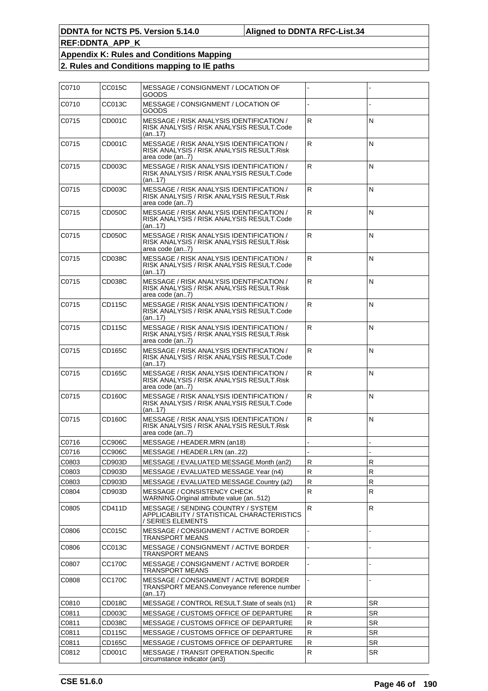| C0710 | CC015C        | MESSAGE / CONSIGNMENT / LOCATION OF<br>GOODS                                                                    |              |              |
|-------|---------------|-----------------------------------------------------------------------------------------------------------------|--------------|--------------|
| C0710 | CC013C        | MESSAGE / CONSIGNMENT / LOCATION OF<br>GOODS                                                                    |              |              |
| C0715 | CD001C        | MESSAGE / RISK ANALYSIS IDENTIFICATION /<br>RISK ANALYSIS / RISK ANALYSIS RESULT.Code<br>(an17)                 | $\mathsf{R}$ | N            |
| C0715 | CD001C        | <b>MESSAGE / RISK ANALYSIS IDENTIFICATION /</b><br>RISK ANALYSIS / RISK ANALYSIS RESULT.Risk<br>area code (an7) | R            | N            |
| C0715 | CD003C        | MESSAGE / RISK ANALYSIS IDENTIFICATION /<br>RISK ANALYSIS / RISK ANALYSIS RESULT.Code<br>(an17)                 | ${\sf R}$    | N            |
| C0715 | CD003C        | <b>MESSAGE / RISK ANALYSIS IDENTIFICATION /</b><br>RISK ANALYSIS / RISK ANALYSIS RESULT.Risk<br>area code (an7) | $\mathsf{R}$ | N            |
| C0715 | CD050C        | MESSAGE / RISK ANALYSIS IDENTIFICATION /<br>RISK ANALYSIS / RISK ANALYSIS RESULT.Code<br>(an17)                 | $\mathsf{R}$ | N            |
| C0715 | CD050C        | MESSAGE / RISK ANALYSIS IDENTIFICATION /<br>RISK ANALYSIS / RISK ANALYSIS RESULT.Risk<br>area code (an7)        | R            | N            |
| C0715 | CD038C        | MESSAGE / RISK ANALYSIS IDENTIFICATION /<br>RISK ANALYSIS / RISK ANALYSIS RESULT.Code<br>(an17)                 | $\mathsf{R}$ | N            |
| C0715 | CD038C        | MESSAGE / RISK ANALYSIS IDENTIFICATION /<br>RISK ANALYSIS / RISK ANALYSIS RESULT.Risk<br>area code (an7)        | $\mathsf{R}$ | N            |
| C0715 | CD115C        | MESSAGE / RISK ANALYSIS IDENTIFICATION /<br>RISK ANALYSIS / RISK ANALYSIS RESULT.Code<br>(an17)                 | R            | N            |
| C0715 | CD115C        | MESSAGE / RISK ANALYSIS IDENTIFICATION /<br>RISK ANALYSIS / RISK ANALYSIS RESULT.Risk<br>area code (an7)        | $\mathsf{R}$ | N            |
| C0715 | CD165C        | MESSAGE / RISK ANALYSIS IDENTIFICATION /<br>RISK ANALYSIS / RISK ANALYSIS RESULT.Code<br>(an17)                 | $\mathsf{R}$ | N            |
| C0715 | CD165C        | MESSAGE / RISK ANALYSIS IDENTIFICATION /<br>RISK ANALYSIS / RISK ANALYSIS RESULT.Risk<br>area code (an7)        | R            | N            |
| C0715 | CD160C        | MESSAGE / RISK ANALYSIS IDENTIFICATION /<br>RISK ANALYSIS / RISK ANALYSIS RESULT.Code<br>(an17)                 | ${\sf R}$    | N            |
| C0715 | CD160C        | MESSAGE / RISK ANALYSIS IDENTIFICATION /<br>RISK ANALYSIS / RISK ANALYSIS RESULT.Risk<br>area code (an7)        | $\mathsf{R}$ | N            |
| C0716 | <b>CC906C</b> | MESSAGE / HEADER.MRN (an18)                                                                                     |              |              |
| C0716 | CC906C        | MESSAGE / HEADER.LRN (an22)                                                                                     |              |              |
| C0803 | CD903D        | MESSAGE / EVALUATED MESSAGE.Month (an2)                                                                         | $\mathsf{R}$ | $\mathsf{R}$ |
| C0803 | CD903D        | MESSAGE / EVALUATED MESSAGE. Year (n4)                                                                          | $\mathsf{R}$ | $\mathsf{R}$ |
| C0803 | CD903D        | MESSAGE / EVALUATED MESSAGE.Country (a2)                                                                        | ${\sf R}$    | $\mathsf{R}$ |
| C0804 | CD903D        | MESSAGE / CONSISTENCY CHECK<br>WARNING.Original attribute value (an512)                                         | ${\sf R}$    | $\mathsf{R}$ |
| C0805 | CD411D        | MESSAGE / SENDING COUNTRY / SYSTEM<br>APPLICABILITY / STATISTICAL CHARACTERISTICS<br>/ SERIES ELEMENTS          | $\mathsf{R}$ | R            |
| C0806 | CC015C        | MESSAGE / CONSIGNMENT / ACTIVE BORDER<br>TRANSPORT MEANS                                                        |              |              |
| C0806 | CC013C        | MESSAGE / CONSIGNMENT / ACTIVE BORDER<br>TRANSPORT MEANS                                                        |              |              |
| C0807 | CC170C        | MESSAGE / CONSIGNMENT / ACTIVE BORDER<br>TRANSPORT MEANS                                                        |              |              |
| C0808 | CC170C        | MESSAGE / CONSIGNMENT / ACTIVE BORDER<br>TRANSPORT MEANS.Conveyance reference number<br>(an17)                  |              |              |
| C0810 | CD018C        | MESSAGE / CONTROL RESULT. State of seals (n1)                                                                   | R            | SR           |
| C0811 | CD003C        | MESSAGE / CUSTOMS OFFICE OF DEPARTURE                                                                           | $\mathsf{R}$ | <b>SR</b>    |
| C0811 | CD038C        | MESSAGE / CUSTOMS OFFICE OF DEPARTURE                                                                           | $\mathsf{R}$ | <b>SR</b>    |
| C0811 | CD115C        | MESSAGE / CUSTOMS OFFICE OF DEPARTURE                                                                           | R            | <b>SR</b>    |
| C0811 | CD165C        | MESSAGE / CUSTOMS OFFICE OF DEPARTURE                                                                           | $\mathsf{R}$ | <b>SR</b>    |
| C0812 | CD001C        | MESSAGE / TRANSIT OPERATION.Specific<br>circumstance indicator (an3)                                            | ${\sf R}$    | <b>SR</b>    |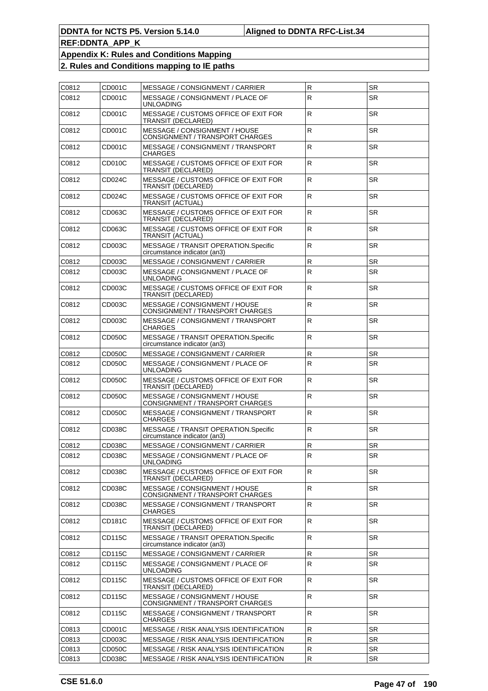| C0812 | CD001C        | MESSAGE / CONSIGNMENT / CARRIER                                             | ${\sf R}$               | <b>SR</b> |
|-------|---------------|-----------------------------------------------------------------------------|-------------------------|-----------|
| C0812 | CD001C        | MESSAGE / CONSIGNMENT / PLACE OF<br>UNLOADING                               | $\overline{\mathsf{R}}$ | <b>SR</b> |
| C0812 | CD001C        | MESSAGE / CUSTOMS OFFICE OF EXIT FOR<br>TRANSIT (DECLARED)                  | ${\sf R}$               | <b>SR</b> |
| C0812 | CD001C        | MESSAGE / CONSIGNMENT / HOUSE<br>CONSIGNMENT / TRANSPORT CHARGES            | ${\sf R}$               | <b>SR</b> |
| C0812 | CD001C        | MESSAGE / CONSIGNMENT / TRANSPORT<br>CHARGES                                | ${\sf R}$               | <b>SR</b> |
| C0812 | CD010C        | MESSAGE / CUSTOMS OFFICE OF EXIT FOR<br><b>TRANSIT (DECLARED)</b>           | $\mathsf{R}$            | <b>SR</b> |
| C0812 | CD024C        | MESSAGE / CUSTOMS OFFICE OF EXIT FOR<br>TRANSIT (DECLARED)                  | ${\sf R}$               | <b>SR</b> |
| C0812 | CD024C        | MESSAGE / CUSTOMS OFFICE OF EXIT FOR<br>TRANSIT (ACTUAL)                    | ${\sf R}$               | <b>SR</b> |
| C0812 | CD063C        | MESSAGE / CUSTOMS OFFICE OF EXIT FOR<br><b>TRANSIT (DECLARED)</b>           | $\mathsf{R}$            | <b>SR</b> |
| C0812 | CD063C        | MESSAGE / CUSTOMS OFFICE OF EXIT FOR<br>TRANSIT (ACTUAL)                    | ${\sf R}$               | <b>SR</b> |
| C0812 | CD003C        | MESSAGE / TRANSIT OPERATION.Specific<br>circumstance indicator (an3)        | ${\sf R}$               | <b>SR</b> |
| C0812 | CD003C        | MESSAGE / CONSIGNMENT / CARRIER                                             | ${\sf R}$               | <b>SR</b> |
| C0812 | CD003C        | MESSAGE / CONSIGNMENT / PLACE OF<br>UNLOADING                               | $\mathsf{R}$            | <b>SR</b> |
| C0812 | CD003C        | MESSAGE / CUSTOMS OFFICE OF EXIT FOR<br>TRANSIT (DECLARED)                  | $\mathsf R$             | <b>SR</b> |
| C0812 | CD003C        | MESSAGE / CONSIGNMENT / HOUSE<br>CONSIGNMENT / TRANSPORT CHARGES            | ${\sf R}$               | <b>SR</b> |
| C0812 | CD003C        | MESSAGE / CONSIGNMENT / TRANSPORT<br>CHARGES                                | ${\sf R}$               | <b>SR</b> |
| C0812 | CD050C        | MESSAGE / TRANSIT OPERATION.Specific<br>circumstance indicator (an3)        | $\mathsf R$             | SR.       |
| C0812 | CD050C        | MESSAGE / CONSIGNMENT / CARRIER                                             | $\mathsf{R}$            | <b>SR</b> |
| C0812 | CD050C        | MESSAGE / CONSIGNMENT / PLACE OF<br>UNLOADING                               | $\overline{\mathsf{R}}$ | <b>SR</b> |
| C0812 | CD050C        | MESSAGE / CUSTOMS OFFICE OF EXIT FOR<br>TRANSIT (DECLARED)                  | $\mathsf{R}$            | <b>SR</b> |
| C0812 | CD050C        | MESSAGE / CONSIGNMENT / HOUSE<br>CONSIGNMENT / TRANSPORT CHARGES            | ${\sf R}$               | <b>SR</b> |
| C0812 | CD050C        | MESSAGE / CONSIGNMENT / TRANSPORT<br>CHARGES                                | ${\sf R}$               | <b>SR</b> |
| C0812 | CD038C        | MESSAGE / TRANSIT OPERATION.Specific<br>circumstance indicator (an3)        | ${\sf R}$               | <b>SR</b> |
| C0812 | CD038C        | MESSAGE / CONSIGNMENT / CARRIER                                             | ${\sf R}$               | SR        |
| C0812 | CD038C        | MESSAGE / CONSIGNMENT / PLACE OF<br>UNLOADING                               | $\mathsf R$             | SR        |
| C0812 | CD038C        | MESSAGE / CUSTOMS OFFICE OF EXIT FOR<br>TRANSIT (DECLARED)                  | ${\sf R}$               | <b>SR</b> |
| C0812 | CD038C        | MESSAGE / CONSIGNMENT / HOUSE<br>CONSIGNMENT / TRANSPORT CHARGES            | ${\sf R}$               | <b>SR</b> |
| C0812 | CD038C        | MESSAGE / CONSIGNMENT / TRANSPORT<br>CHARGES                                | $\mathsf R$             | SR.       |
| C0812 | CD181C        | MESSAGE / CUSTOMS OFFICE OF EXIT FOR<br>TRANSIT (DECLARED)                  | ${\sf R}$               | <b>SR</b> |
| C0812 | CD115C        | <b>MESSAGE / TRANSIT OPERATION.Specific</b><br>circumstance indicator (an3) | ${\sf R}$               | <b>SR</b> |
| C0812 | CD115C        | MESSAGE / CONSIGNMENT / CARRIER                                             | R                       | <b>SR</b> |
| C0812 | CD115C        | MESSAGE / CONSIGNMENT / PLACE OF<br>UNLOADING                               | $\mathsf R$             | <b>SR</b> |
| C0812 | CD115C        | MESSAGE / CUSTOMS OFFICE OF EXIT FOR<br>TRANSIT (DECLARED)                  | $\mathsf R$             | <b>SR</b> |
| C0812 | CD115C        | MESSAGE / CONSIGNMENT / HOUSE<br>CONSIGNMENT / TRANSPORT CHARGES            | ${\sf R}$               | <b>SR</b> |
| C0812 | CD115C        | MESSAGE / CONSIGNMENT / TRANSPORT<br>CHARGES                                | R                       | SR.       |
| C0813 | CD001C        | MESSAGE / RISK ANALYSIS IDENTIFICATION                                      | ${\sf R}$               | <b>SR</b> |
| C0813 | CD003C        | MESSAGE / RISK ANALYSIS IDENTIFICATION                                      | ${\sf R}$               | <b>SR</b> |
| C0813 | <b>CD050C</b> | MESSAGE / RISK ANALYSIS IDENTIFICATION                                      | ${\sf R}$               | <b>SR</b> |
| C0813 | CD038C        | MESSAGE / RISK ANALYSIS IDENTIFICATION                                      | ${\sf R}$               | <b>SR</b> |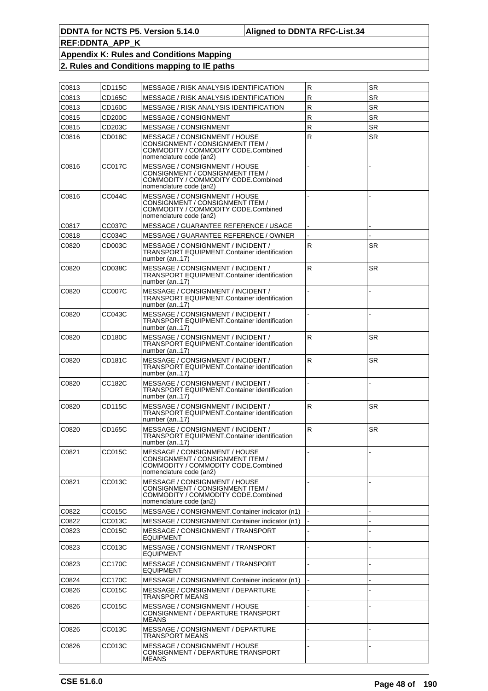| C0813 | <b>CD115C</b> | <b>MESSAGE / RISK ANALYSIS IDENTIFICATION</b>                                                                                       | R            | SR        |
|-------|---------------|-------------------------------------------------------------------------------------------------------------------------------------|--------------|-----------|
| C0813 | CD165C        | MESSAGE / RISK ANALYSIS IDENTIFICATION                                                                                              | $\mathsf{R}$ | <b>SR</b> |
| C0813 | CD160C        | MESSAGE / RISK ANALYSIS IDENTIFICATION                                                                                              | ${\sf R}$    | <b>SR</b> |
| C0815 | CD200C        | MESSAGE / CONSIGNMENT                                                                                                               | $\mathsf{R}$ | SR.       |
| C0815 | CD203C        | MESSAGE / CONSIGNMENT                                                                                                               | ${\sf R}$    | SR.       |
| C0816 | CD018C        | MESSAGE / CONSIGNMENT / HOUSE<br>CONSIGNMENT / CONSIGNMENT ITEM /<br>COMMODITY / COMMODITY CODE.Combined<br>nomenclature code (an2) | $\mathsf{R}$ | SR.       |
| C0816 | <b>CC017C</b> | MESSAGE / CONSIGNMENT / HOUSE<br>CONSIGNMENT / CONSIGNMENT ITEM /<br>COMMODITY / COMMODITY CODE.Combined<br>nomenclature code (an2) |              |           |
| C0816 | CC044C        | MESSAGE / CONSIGNMENT / HOUSE<br>CONSIGNMENT / CONSIGNMENT ITEM /<br>COMMODITY / COMMODITY CODE.Combined<br>nomenclature code (an2) |              |           |
| C0817 | <b>CC037C</b> | MESSAGE / GUARANTEE REFERENCE / USAGE                                                                                               |              |           |
| C0818 | CC034C        | MESSAGE / GUARANTEE REFERENCE / OWNER                                                                                               |              |           |
| C0820 | CD003C        | MESSAGE / CONSIGNMENT / INCIDENT /<br>TRANSPORT EQUIPMENT.Container identification<br>number (an17)                                 | R            | <b>SR</b> |
| C0820 | CD038C        | MESSAGE / CONSIGNMENT / INCIDENT /<br>TRANSPORT EQUIPMENT.Container identification<br>number (an17)                                 | ${\sf R}$    | <b>SR</b> |
| C0820 | <b>CC007C</b> | MESSAGE / CONSIGNMENT / INCIDENT /<br><b>TRANSPORT EQUIPMENT.Container identification</b><br>number (an17)                          |              |           |
| C0820 | CC043C        | MESSAGE / CONSIGNMENT / INCIDENT /<br>TRANSPORT EQUIPMENT.Container identification<br>number (an17)                                 |              |           |
| C0820 | <b>CD180C</b> | MESSAGE / CONSIGNMENT / INCIDENT /<br>TRANSPORT EQUIPMENT.Container identification<br>number (an17)                                 | ${\sf R}$    | <b>SR</b> |
| C0820 | CD181C        | MESSAGE / CONSIGNMENT / INCIDENT /<br>TRANSPORT EQUIPMENT.Container identification<br>number (an17)                                 | $\mathsf{R}$ | <b>SR</b> |
| C0820 | CC182C        | MESSAGE / CONSIGNMENT / INCIDENT /<br>TRANSPORT EQUIPMENT.Container identification<br>number (an17)                                 |              |           |
| C0820 | CD115C        | MESSAGE / CONSIGNMENT / INCIDENT /<br>TRANSPORT EQUIPMENT.Container identification<br>number (an17)                                 | ${\sf R}$    | SR        |
| C0820 | CD165C        | MESSAGE / CONSIGNMENT / INCIDENT /<br>TRANSPORT EQUIPMENT.Container identification<br>number (an17)                                 | $\mathsf{R}$ | <b>SR</b> |
| C0821 | CC015C        | MESSAGE / CONSIGNMENT / HOUSE<br>CONSIGNMENT / CONSIGNMENT ITEM /<br>COMMODITY / COMMODITY CODE.Combined<br>nomenclature code (an2) |              |           |
| C0821 | CC013C        | MESSAGE / CONSIGNMENT / HOUSE<br>CONSIGNMENT / CONSIGNMENT ITEM /<br>COMMODITY / COMMODITY CODE.Combined<br>nomenclature code (an2) |              |           |
| C0822 | CC015C        | MESSAGE / CONSIGNMENT.Container indicator (n1)                                                                                      |              |           |
| C0822 | CC013C        | MESSAGE / CONSIGNMENT.Container indicator (n1)                                                                                      |              |           |
| C0823 | CC015C        | MESSAGE / CONSIGNMENT / TRANSPORT<br><b>EQUIPMENT</b>                                                                               |              |           |
| C0823 | CC013C        | MESSAGE / CONSIGNMENT / TRANSPORT<br><b>EQUIPMENT</b>                                                                               |              |           |
| C0823 | CC170C        | MESSAGE / CONSIGNMENT / TRANSPORT<br><b>EQUIPMENT</b>                                                                               |              |           |
| C0824 | <b>CC170C</b> | MESSAGE / CONSIGNMENT.Container indicator (n1)                                                                                      |              |           |
| C0826 | CC015C        | MESSAGE / CONSIGNMENT / DEPARTURE<br>TRANSPORT MEANS                                                                                |              |           |
| C0826 | CC015C        | MESSAGE / CONSIGNMENT / HOUSE<br>CONSIGNMENT / DEPARTURE TRANSPORT<br><b>MEANS</b>                                                  |              |           |
| C0826 | CC013C        | MESSAGE / CONSIGNMENT / DEPARTURE<br>TRANSPORT MEANS                                                                                |              |           |
| C0826 | CC013C        | MESSAGE / CONSIGNMENT / HOUSE<br>CONSIGNMENT / DEPARTURE TRANSPORT<br><b>MEANS</b>                                                  |              |           |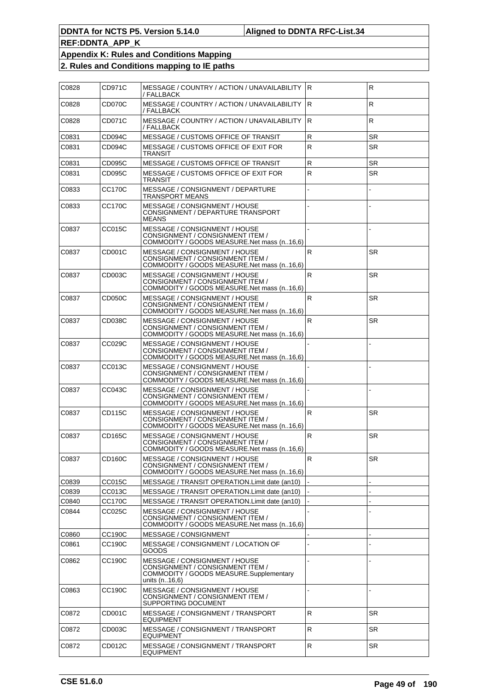| C0828 | CD971C        | MESSAGE / COUNTRY / ACTION / UNAVAILABILITY<br>/ FALLBACK                                                                     | IR.          | $\mathsf{R}$ |
|-------|---------------|-------------------------------------------------------------------------------------------------------------------------------|--------------|--------------|
| C0828 | CD070C        | MESSAGE / COUNTRY / ACTION / UNAVAILABILITY<br>/ FALLBACK                                                                     | IR.          | R.           |
| C0828 | CD071C        | MESSAGE / COUNTRY / ACTION / UNAVAILABILITY<br>/ FALLBACK                                                                     | lR.          | $\mathsf{R}$ |
| C0831 | CD094C        | MESSAGE / CUSTOMS OFFICE OF TRANSIT                                                                                           | ${\sf R}$    | <b>SR</b>    |
| C0831 | CD094C        | MESSAGE / CUSTOMS OFFICE OF EXIT FOR<br>TRANSIT                                                                               | $\mathsf{R}$ | <b>SR</b>    |
| C0831 | CD095C        | MESSAGE / CUSTOMS OFFICE OF TRANSIT                                                                                           | R            | SR           |
| C0831 | CD095C        | MESSAGE / CUSTOMS OFFICE OF EXIT FOR<br>TRANSIT                                                                               | $\mathsf{R}$ | <b>SR</b>    |
| C0833 | CC170C        | MESSAGE / CONSIGNMENT / DEPARTURE<br>TRANSPORT MEANS                                                                          |              |              |
| C0833 | CC170C        | MESSAGE / CONSIGNMENT / HOUSE<br>CONSIGNMENT / DEPARTURE TRANSPORT<br><b>MEANS</b>                                            |              |              |
| C0837 | CC015C        | MESSAGE / CONSIGNMENT / HOUSE<br>CONSIGNMENT / CONSIGNMENT ITEM /<br>COMMODITY / GOODS MEASURE.Net mass (n16,6)               |              |              |
| C0837 | CD001C        | MESSAGE / CONSIGNMENT / HOUSE<br>CONSIGNMENT / CONSIGNMENT ITEM /<br>COMMODITY / GOODS MEASURE.Net mass (n16,6)               | R            | <b>SR</b>    |
| C0837 | CD003C        | MESSAGE / CONSIGNMENT / HOUSE<br>CONSIGNMENT / CONSIGNMENT ITEM /<br>COMMODITY / GOODS MEASURE.Net mass (n16.6)               | $\mathsf{R}$ | <b>SR</b>    |
| C0837 | CD050C        | MESSAGE / CONSIGNMENT / HOUSE<br>CONSIGNMENT / CONSIGNMENT ITEM /<br>COMMODITY / GOODS MEASURE.Net mass (n16,6)               | $\mathsf R$  | <b>SR</b>    |
| C0837 | CD038C        | MESSAGE / CONSIGNMENT / HOUSE<br>CONSIGNMENT / CONSIGNMENT ITEM /<br>COMMODITY / GOODS MEASURE.Net mass (n16,6)               | R.           | <b>SR</b>    |
| C0837 | CC029C        | MESSAGE / CONSIGNMENT / HOUSE<br>CONSIGNMENT / CONSIGNMENT ITEM /<br>COMMODITY / GOODS MEASURE.Net mass (n16,6)               |              |              |
| C0837 | CC013C        | MESSAGE / CONSIGNMENT / HOUSE<br>CONSIGNMENT / CONSIGNMENT ITEM /<br>COMMODITY / GOODS MEASURE. Net mass (n16,6)              |              |              |
| C0837 | CC043C        | MESSAGE / CONSIGNMENT / HOUSE<br>CONSIGNMENT / CONSIGNMENT ITEM /<br>COMMODITY / GOODS MEASURE.Net mass (n16.6)               |              |              |
| C0837 | CD115C        | MESSAGE / CONSIGNMENT / HOUSE<br>CONSIGNMENT / CONSIGNMENT ITEM /<br>COMMODITY / GOODS MEASURE.Net mass (n16,6)               | $\mathsf{R}$ | <b>SR</b>    |
| C0837 | CD165C        | MESSAGE / CONSIGNMENT / HOUSE<br>CONSIGNMENT / CONSIGNMENT ITEM /<br>COMMODITY / GOODS MEASURE.Net mass (n16,6)               | $\mathsf R$  | <b>SR</b>    |
| C0837 | CD160C        | MESSAGE / CONSIGNMENT / HOUSE<br>CONSIGNMENT / CONSIGNMENT ITEM /<br>COMMODITY / GOODS MEASURE.Net mass (n16,6)               | R            | SR           |
| C0839 | CC015C        | MESSAGE / TRANSIT OPERATION. Limit date (an10)                                                                                |              |              |
| C0839 | CC013C        | MESSAGE / TRANSIT OPERATION.Limit date (an10)                                                                                 |              |              |
| C0840 | <b>CC170C</b> | MESSAGE / TRANSIT OPERATION. Limit date (an10)                                                                                |              |              |
| C0844 | CC025C        | MESSAGE / CONSIGNMENT / HOUSE<br>CONSIGNMENT / CONSIGNMENT ITEM /<br>COMMODITY / GOODS MEASURE.Net mass (n16.6)               |              |              |
| C0860 | CC190C        | MESSAGE / CONSIGNMENT                                                                                                         |              |              |
| C0861 | CC190C        | MESSAGE / CONSIGNMENT / LOCATION OF<br>GOODS                                                                                  |              |              |
| C0862 | CC190C        | MESSAGE / CONSIGNMENT / HOUSE<br>CONSIGNMENT / CONSIGNMENT ITEM /<br>COMMODITY / GOODS MEASURE.Supplementary<br>units (n16,6) |              |              |
| C0863 | CC190C        | MESSAGE / CONSIGNMENT / HOUSE<br>CONSIGNMENT / CONSIGNMENT ITEM /<br>SUPPORTING DOCUMENT                                      |              |              |
| C0872 | CD001C        | MESSAGE / CONSIGNMENT / TRANSPORT<br><b>EQUIPMENT</b>                                                                         | $\mathsf{R}$ | <b>SR</b>    |
| C0872 | CD003C        | MESSAGE / CONSIGNMENT / TRANSPORT<br><b>EQUIPMENT</b>                                                                         | ${\sf R}$    | SR.          |
| C0872 | CD012C        | MESSAGE / CONSIGNMENT / TRANSPORT<br>EQUIPMENT                                                                                | $\mathsf R$  | <b>SR</b>    |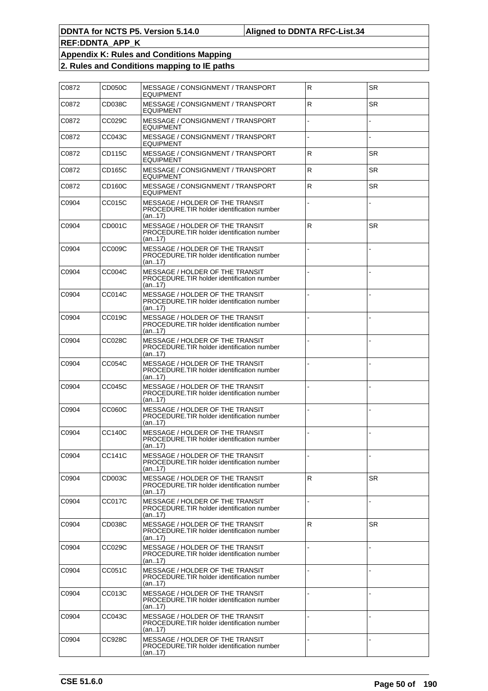| C0872 | CD050C | MESSAGE / CONSIGNMENT / TRANSPORT<br><b>EQUIPMENT</b>                                    | $\mathsf{R}$ | <b>SR</b> |
|-------|--------|------------------------------------------------------------------------------------------|--------------|-----------|
| C0872 | CD038C | MESSAGE / CONSIGNMENT / TRANSPORT<br><b>EQUIPMENT</b>                                    | R.           | <b>SR</b> |
| C0872 | CC029C | MESSAGE / CONSIGNMENT / TRANSPORT<br><b>EQUIPMENT</b>                                    |              |           |
| C0872 | CC043C | MESSAGE / CONSIGNMENT / TRANSPORT<br><b>EQUIPMENT</b>                                    |              |           |
| C0872 | CD115C | MESSAGE / CONSIGNMENT / TRANSPORT<br><b>EQUIPMENT</b>                                    | R            | <b>SR</b> |
| C0872 | CD165C | MESSAGE / CONSIGNMENT / TRANSPORT<br><b>EQUIPMENT</b>                                    | R            | <b>SR</b> |
| C0872 | CD160C | MESSAGE / CONSIGNMENT / TRANSPORT<br><b>EQUIPMENT</b>                                    | R            | <b>SR</b> |
| C0904 | CC015C | MESSAGE / HOLDER OF THE TRANSIT<br>PROCEDURE.TIR holder identification number<br>(an17)  |              |           |
| C0904 | CD001C | MESSAGE / HOLDER OF THE TRANSIT<br>PROCEDURE.TIR holder identification number<br>(an17)  | R            | <b>SR</b> |
| C0904 | CC009C | MESSAGE / HOLDER OF THE TRANSIT<br>PROCEDURE.TIR holder identification number<br>(an17)  |              |           |
| C0904 | CC004C | MESSAGE / HOLDER OF THE TRANSIT<br>PROCEDURE. TIR holder identification number<br>(an17) |              |           |
| C0904 | CC014C | MESSAGE / HOLDER OF THE TRANSIT<br>PROCEDURE.TIR holder identification number<br>(an17)  |              |           |
| C0904 | CC019C | MESSAGE / HOLDER OF THE TRANSIT<br>PROCEDURE.TIR holder identification number<br>(an17)  |              |           |
| C0904 | CC028C | MESSAGE / HOLDER OF THE TRANSIT<br>PROCEDURE. TIR holder identification number<br>(an17) |              |           |
| C0904 | CC054C | MESSAGE / HOLDER OF THE TRANSIT<br>PROCEDURE. TIR holder identification number<br>(an17) |              |           |
| C0904 | CC045C | MESSAGE / HOLDER OF THE TRANSIT<br>PROCEDURE.TIR holder identification number<br>(an17)  |              |           |
| C0904 | CC060C | MESSAGE / HOLDER OF THE TRANSIT<br>PROCEDURE. TIR holder identification number<br>(an17) |              |           |
| C0904 | CC140C | MESSAGE / HOLDER OF THE TRANSIT<br>PROCEDURE.TIR holder identification number<br>(an17)  |              |           |
| C0904 | CC141C | MESSAGE / HOLDER OF THE TRANSIT<br>PROCEDURE.TIR holder identification number<br>(an17)  |              |           |
| C0904 | CD003C | MESSAGE / HOLDER OF THE TRANSIT<br>PROCEDURE.TIR holder identification number<br>(an17)  | R.           | <b>SR</b> |
| C0904 | CC017C | MESSAGE / HOLDER OF THE TRANSIT<br>PROCEDURE.TIR holder identification number<br>(an17)  |              |           |
| C0904 | CD038C | MESSAGE / HOLDER OF THE TRANSIT<br>PROCEDURE.TIR holder identification number<br>(an17)  | R            | <b>SR</b> |
| C0904 | CC029C | MESSAGE / HOLDER OF THE TRANSIT<br>PROCEDURE.TIR holder identification number<br>(an17)  |              |           |
| C0904 | CC051C | MESSAGE / HOLDER OF THE TRANSIT<br>PROCEDURE.TIR holder identification number<br>(an17)  |              |           |
| C0904 | CC013C | MESSAGE / HOLDER OF THE TRANSIT<br>PROCEDURE.TIR holder identification number<br>(an17)  |              |           |
| C0904 | CC043C | MESSAGE / HOLDER OF THE TRANSIT<br>PROCEDURE.TIR holder identification number<br>(an17)  |              |           |
| C0904 | CC928C | MESSAGE / HOLDER OF THE TRANSIT<br>PROCEDURE.TIR holder identification number<br>(an17)  |              |           |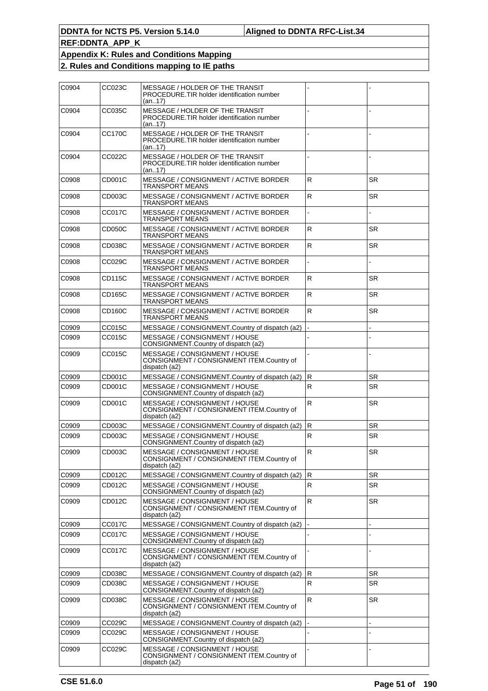| C0904 | CC023C        | MESSAGE / HOLDER OF THE TRANSIT<br>PROCEDURE.TIR holder identification number<br>(an17)     |              |           |
|-------|---------------|---------------------------------------------------------------------------------------------|--------------|-----------|
| C0904 | CC035C        | MESSAGE / HOLDER OF THE TRANSIT<br>PROCEDURE.TIR holder identification number<br>(an17)     |              |           |
| C0904 | CC170C        | MESSAGE / HOLDER OF THE TRANSIT<br>PROCEDURE.TIR holder identification number<br>(an17)     |              |           |
| C0904 | CC022C        | MESSAGE / HOLDER OF THE TRANSIT<br>PROCEDURE.TIR holder identification number<br>(an17)     |              |           |
| C0908 | CD001C        | MESSAGE / CONSIGNMENT / ACTIVE BORDER<br>TRANSPORT MEANS                                    | $\mathsf{R}$ | <b>SR</b> |
| C0908 | CD003C        | MESSAGE / CONSIGNMENT / ACTIVE BORDER<br>TRANSPORT MEANS                                    | ${\sf R}$    | <b>SR</b> |
| C0908 | CC017C        | MESSAGE / CONSIGNMENT / ACTIVE BORDER<br>TRANSPORT MEANS                                    |              |           |
| C0908 | CD050C        | MESSAGE / CONSIGNMENT / ACTIVE BORDER<br>TRANSPORT MEANS                                    | $\mathsf{R}$ | <b>SR</b> |
| C0908 | CD038C        | MESSAGE / CONSIGNMENT / ACTIVE BORDER<br><b>TRANSPORT MEANS</b>                             | ${\sf R}$    | <b>SR</b> |
| C0908 | CC029C        | MESSAGE / CONSIGNMENT / ACTIVE BORDER<br>TRANSPORT MEANS                                    |              |           |
| C0908 | CD115C        | MESSAGE / CONSIGNMENT / ACTIVE BORDER<br>TRANSPORT MEANS                                    | $\mathsf{R}$ | <b>SR</b> |
| C0908 | CD165C        | MESSAGE / CONSIGNMENT / ACTIVE BORDER<br><b>TRANSPORT MEANS</b>                             | ${\sf R}$    | <b>SR</b> |
| C0908 | CD160C        | MESSAGE / CONSIGNMENT / ACTIVE BORDER<br>TRANSPORT MEANS                                    | $\mathsf{R}$ | SR        |
| C0909 | CC015C        | MESSAGE / CONSIGNMENT.Country of dispatch (a2)                                              |              |           |
| C0909 | CC015C        | MESSAGE / CONSIGNMENT / HOUSE<br>CONSIGNMENT.Country of dispatch (a2)                       |              |           |
| C0909 | CC015C        | MESSAGE / CONSIGNMENT / HOUSE<br>CONSIGNMENT / CONSIGNMENT ITEM.Country of<br>dispatch (a2) |              |           |
| C0909 | CD001C        | MESSAGE / CONSIGNMENT.Country of dispatch (a2)                                              | R.           | <b>SR</b> |
| C0909 | CD001C        | MESSAGE / CONSIGNMENT / HOUSE<br>CONSIGNMENT.Country of dispatch (a2)                       | $\mathsf{R}$ | <b>SR</b> |
| C0909 | CD001C        | MESSAGE / CONSIGNMENT / HOUSE<br>CONSIGNMENT / CONSIGNMENT ITEM.Country of<br>dispatch (a2) | ${\sf R}$    | <b>SR</b> |
| C0909 | CD003C        | MESSAGE / CONSIGNMENT.Country of dispatch (a2)                                              | R.           | <b>SR</b> |
| C0909 | CD003C        | MESSAGE / CONSIGNMENT / HOUSE<br>CONSIGNMENT.Country of dispatch (a2)                       | $\mathsf{R}$ | <b>SR</b> |
| C0909 | CD003C        | MESSAGE / CONSIGNMENT / HOUSE<br>CONSIGNMENT / CONSIGNMENT ITEM.Country of<br>dispatch (a2) | R            | SR        |
| C0909 | CD012C        | MESSAGE / CONSIGNMENT.Country of dispatch (a2)                                              | IR.          | <b>SR</b> |
| C0909 | CD012C        | MESSAGE / CONSIGNMENT / HOUSE<br>CONSIGNMENT.Country of dispatch (a2)                       | $\mathsf{R}$ | <b>SR</b> |
| C0909 | CD012C        | MESSAGE / CONSIGNMENT / HOUSE<br>CONSIGNMENT / CONSIGNMENT ITEM.Country of<br>dispatch (a2) | ${\sf R}$    | <b>SR</b> |
| C0909 | <b>CC017C</b> | MESSAGE / CONSIGNMENT.Country of dispatch (a2)                                              |              |           |
| C0909 | CC017C        | MESSAGE / CONSIGNMENT / HOUSE<br>CONSIGNMENT.Country of dispatch (a2)                       |              |           |
| C0909 | CC017C        | MESSAGE / CONSIGNMENT / HOUSE<br>CONSIGNMENT / CONSIGNMENT ITEM.Country of<br>dispatch (a2) |              |           |
| C0909 | CD038C        | MESSAGE / CONSIGNMENT.Country of dispatch (a2)                                              | R.           | <b>SR</b> |
| C0909 | CD038C        | MESSAGE / CONSIGNMENT / HOUSE<br>CONSIGNMENT.Country of dispatch (a2)                       | $\mathsf R$  | <b>SR</b> |
| C0909 | CD038C        | MESSAGE / CONSIGNMENT / HOUSE<br>CONSIGNMENT / CONSIGNMENT ITEM.Country of<br>dispatch (a2) | ${\sf R}$    | <b>SR</b> |
| C0909 | CC029C        | MESSAGE / CONSIGNMENT.Country of dispatch (a2)                                              |              |           |
| C0909 | CC029C        | MESSAGE / CONSIGNMENT / HOUSE<br>CONSIGNMENT.Country of dispatch (a2)                       |              |           |
| C0909 | CC029C        | MESSAGE / CONSIGNMENT / HOUSE<br>CONSIGNMENT / CONSIGNMENT ITEM.Country of<br>dispatch (a2) |              |           |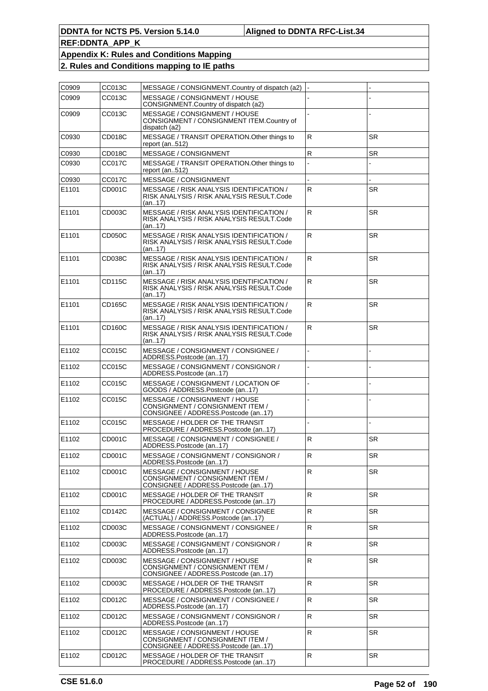| C0909 | CC013C        | MESSAGE / CONSIGNMENT.Country of dispatch (a2)                                                           |                |           |
|-------|---------------|----------------------------------------------------------------------------------------------------------|----------------|-----------|
| C0909 | CC013C        | MESSAGE / CONSIGNMENT / HOUSE<br>CONSIGNMENT.Country of dispatch (a2)                                    |                |           |
| C0909 | CC013C        | MESSAGE / CONSIGNMENT / HOUSE<br>CONSIGNMENT / CONSIGNMENT ITEM.Country of<br>dispatch (a2)              |                |           |
| C0930 | CD018C        | MESSAGE / TRANSIT OPERATION. Other things to<br>report $(an512)$                                         | $\mathsf R$    | <b>SR</b> |
| C0930 | CD018C        | MESSAGE / CONSIGNMENT                                                                                    | ${\sf R}$      | <b>SR</b> |
| C0930 | CC017C        | MESSAGE / TRANSIT OPERATION. Other things to<br>report $(an512)$                                         |                |           |
| C0930 | <b>CC017C</b> | MESSAGE / CONSIGNMENT                                                                                    |                |           |
| E1101 | CD001C        | MESSAGE / RISK ANALYSIS IDENTIFICATION /<br>RISK ANALYSIS / RISK ANALYSIS RESULT.Code<br>(an17)          | $\mathsf R$    | <b>SR</b> |
| E1101 | CD003C        | MESSAGE / RISK ANALYSIS IDENTIFICATION /<br>RISK ANALYSIS / RISK ANALYSIS RESULT.Code<br>(an17)          | $\mathsf R$    | <b>SR</b> |
| E1101 | CD050C        | MESSAGE / RISK ANALYSIS IDENTIFICATION /<br>RISK ANALYSIS / RISK ANALYSIS RESULT.Code<br>(an17)          | R              | <b>SR</b> |
| E1101 | CD038C        | MESSAGE / RISK ANALYSIS IDENTIFICATION /<br>RISK ANALYSIS / RISK ANALYSIS RESULT.Code<br>(an17)          | $\mathsf R$    | <b>SR</b> |
| E1101 | CD115C        | MESSAGE / RISK ANALYSIS IDENTIFICATION /<br>RISK ANALYSIS / RISK ANALYSIS RESULT.Code<br>(an17)          | $\mathsf R$    | <b>SR</b> |
| E1101 | CD165C        | MESSAGE / RISK ANALYSIS IDENTIFICATION /<br>RISK ANALYSIS / RISK ANALYSIS RESULT.Code<br>(an17)          | R              | <b>SR</b> |
| E1101 | CD160C        | MESSAGE / RISK ANALYSIS IDENTIFICATION /<br>RISK ANALYSIS / RISK ANALYSIS RESULT.Code<br>(an17)          | $\mathsf R$    | <b>SR</b> |
| E1102 | CC015C        | MESSAGE / CONSIGNMENT / CONSIGNEE /<br>ADDRESS.Postcode (an17)                                           |                |           |
| E1102 | CC015C        | MESSAGE / CONSIGNMENT / CONSIGNOR /<br>ADDRESS.Postcode (an17)                                           |                |           |
| E1102 | CC015C        | MESSAGE / CONSIGNMENT / LOCATION OF<br>GOODS / ADDRESS.Postcode (an17)                                   |                |           |
| E1102 | CC015C        | MESSAGE / CONSIGNMENT / HOUSE<br>CONSIGNMENT / CONSIGNMENT ITEM /<br>CONSIGNEE / ADDRESS.Postcode (an17) |                |           |
| E1102 | CC015C        | MESSAGE / HOLDER OF THE TRANSIT<br>PROCEDURE / ADDRESS.Postcode (an17)                                   |                |           |
| E1102 | CD001C        | MESSAGE / CONSIGNMENT / CONSIGNEE /<br>ADDRESS.Postcode (an17)                                           | $\mathsf{R}$   | <b>SR</b> |
| E1102 | CD001C        | MESSAGE / CONSIGNMENT / CONSIGNOR /<br>ADDRESS.Postcode (an17)                                           | $\mathsf R$    | <b>SR</b> |
| E1102 | CD001C        | MESSAGE / CONSIGNMENT / HOUSE<br>CONSIGNMENT / CONSIGNMENT ITEM /<br>CONSIGNEE / ADDRESS.Postcode (an17) | $\mathsf R$    | <b>SR</b> |
| E1102 | CD001C        | MESSAGE / HOLDER OF THE TRANSIT<br>PROCEDURE / ADDRESS.Postcode (an17)                                   | $\mathsf{R}$   | <b>SR</b> |
| E1102 | CD142C        | MESSAGE / CONSIGNMENT / CONSIGNEE<br>(ACTUAL) / ADDRESS.Postcode (an17)                                  | $\overline{R}$ | SR.       |
| E1102 | CD003C        | MESSAGE / CONSIGNMENT / CONSIGNEE /<br>ADDRESS.Postcode (an17)                                           | $\mathsf R$    | <b>SR</b> |
| E1102 | CD003C        | MESSAGE / CONSIGNMENT / CONSIGNOR /<br>ADDRESS.Postcode (an17)                                           | $\mathsf R$    | SR.       |
| E1102 | CD003C        | MESSAGE / CONSIGNMENT / HOUSE<br>CONSIGNMENT / CONSIGNMENT ITEM /<br>CONSIGNEE / ADDRESS.Postcode (an17) | $\overline{R}$ | SR.       |
| E1102 | CD003C        | MESSAGE / HOLDER OF THE TRANSIT<br>PROCEDURE / ADDRESS.Postcode (an17)                                   | R              | <b>SR</b> |
| E1102 | CD012C        | MESSAGE / CONSIGNMENT / CONSIGNEE /<br>ADDRESS.Postcode (an17)                                           | $\overline{R}$ | <b>SR</b> |
| E1102 | CD012C        | MESSAGE / CONSIGNMENT / CONSIGNOR /<br>ADDRESS.Postcode (an17)                                           | R              | <b>SR</b> |
| E1102 | CD012C        | MESSAGE / CONSIGNMENT / HOUSE<br>CONSIGNMENT / CONSIGNMENT ITEM /<br>CONSIGNEE / ADDRESS.Postcode (an17) | R              | SR.       |
| E1102 | CD012C        | MESSAGE / HOLDER OF THE TRANSIT<br>PROCEDURE / ADDRESS.Postcode (an17)                                   | $\mathsf R$    | <b>SR</b> |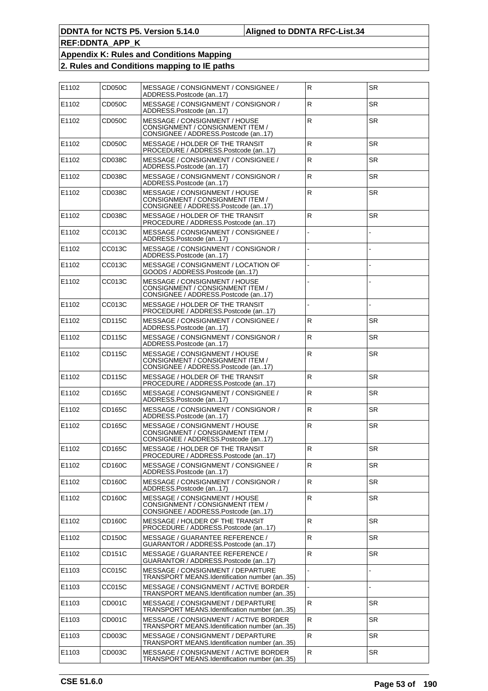| E1102 | CD050C        | MESSAGE / CONSIGNMENT / CONSIGNEE /<br>ADDRESS.Postcode (an17)                                             | $\mathsf{R}$ | <b>SR</b> |
|-------|---------------|------------------------------------------------------------------------------------------------------------|--------------|-----------|
| E1102 | CD050C        | MESSAGE / CONSIGNMENT / CONSIGNOR /<br>ADDRESS.Postcode (an17)                                             | $\mathsf{R}$ | <b>SR</b> |
| E1102 | CD050C        | MESSAGE / CONSIGNMENT / HOUSE<br>CONSIGNMENT / CONSIGNMENT ITEM /<br>CONSIGNEE / ADDRESS.Postcode (an.,17) | $\mathsf{R}$ | <b>SR</b> |
| E1102 | CD050C        | MESSAGE / HOLDER OF THE TRANSIT<br>PROCEDURE / ADDRESS.Postcode (an17)                                     | $\mathsf{R}$ | <b>SR</b> |
| E1102 | CD038C        | MESSAGE / CONSIGNMENT / CONSIGNEE /<br>ADDRESS.Postcode (an17)                                             | ${\sf R}$    | <b>SR</b> |
| E1102 | CD038C        | MESSAGE / CONSIGNMENT / CONSIGNOR /<br>ADDRESS.Postcode (an17)                                             | ${\sf R}$    | <b>SR</b> |
| E1102 | CD038C        | MESSAGE / CONSIGNMENT / HOUSE<br>CONSIGNMENT / CONSIGNMENT ITEM /<br>CONSIGNEE / ADDRESS.Postcode (an17)   | ${\sf R}$    | <b>SR</b> |
| E1102 | CD038C        | MESSAGE / HOLDER OF THE TRANSIT<br>PROCEDURE / ADDRESS.Postcode (an17)                                     | ${\sf R}$    | <b>SR</b> |
| E1102 | CC013C        | MESSAGE / CONSIGNMENT / CONSIGNEE /<br>ADDRESS.Postcode (an17)                                             |              |           |
| E1102 | CC013C        | MESSAGE / CONSIGNMENT / CONSIGNOR /<br>ADDRESS.Postcode (an17)                                             |              |           |
| E1102 | CC013C        | MESSAGE / CONSIGNMENT / LOCATION OF<br>GOODS / ADDRESS.Postcode (an17)                                     |              |           |
| E1102 | CC013C        | MESSAGE / CONSIGNMENT / HOUSE<br>CONSIGNMENT / CONSIGNMENT ITEM /<br>CONSIGNEE / ADDRESS.Postcode (an17)   |              |           |
| E1102 | CC013C        | MESSAGE / HOLDER OF THE TRANSIT<br>PROCEDURE / ADDRESS.Postcode (an.,17)                                   |              |           |
| E1102 | CD115C        | MESSAGE / CONSIGNMENT / CONSIGNEE /<br>ADDRESS.Postcode (an17)                                             | $\mathsf{R}$ | <b>SR</b> |
| E1102 | CD115C        | MESSAGE / CONSIGNMENT / CONSIGNOR /<br>ADDRESS.Postcode (an17)                                             | $\mathsf{R}$ | <b>SR</b> |
| E1102 | CD115C        | MESSAGE / CONSIGNMENT / HOUSE<br>CONSIGNMENT / CONSIGNMENT ITEM /<br>CONSIGNEE / ADDRESS.Postcode (an17)   | ${\sf R}$    | <b>SR</b> |
| E1102 | CD115C        | MESSAGE / HOLDER OF THE TRANSIT<br>PROCEDURE / ADDRESS.Postcode (an17)                                     | $\mathsf{R}$ | <b>SR</b> |
| E1102 | CD165C        | MESSAGE / CONSIGNMENT / CONSIGNEE /<br>ADDRESS.Postcode (an17)                                             | $\mathsf R$  | <b>SR</b> |
| E1102 | CD165C        | MESSAGE / CONSIGNMENT / CONSIGNOR /<br>ADDRESS.Postcode (an17)                                             | $\mathsf{R}$ | <b>SR</b> |
| E1102 | CD165C        | MESSAGE / CONSIGNMENT / HOUSE<br>CONSIGNMENT / CONSIGNMENT ITEM /<br>CONSIGNEE / ADDRESS.Postcode (an17)   | $\mathsf{R}$ | SR.       |
| E1102 | CD165C        | MESSAGE / HOLDER OF THE TRANSIT<br>PROCEDURE / ADDRESS.Postcode (an17)                                     | ${\sf R}$    | SR        |
| E1102 | <b>CD160C</b> | MESSAGE / CONSIGNMENT / CONSIGNEE /<br>ADDRESS.Postcode (an17)                                             | R            | SR        |
| E1102 | CD160C        | MESSAGE / CONSIGNMENT / CONSIGNOR /<br>ADDRESS.Postcode (an17)                                             | $\mathsf R$  | <b>SR</b> |
| E1102 | CD160C        | MESSAGE / CONSIGNMENT / HOUSE<br>CONSIGNMENT / CONSIGNMENT ITEM /<br>CONSIGNEE / ADDRESS.Postcode (an17)   | ${\sf R}$    | <b>SR</b> |
| E1102 | CD160C        | MESSAGE / HOLDER OF THE TRANSIT<br>PROCEDURE / ADDRESS.Postcode (an17)                                     | $\mathsf R$  | <b>SR</b> |
| E1102 | CD150C        | MESSAGE / GUARANTEE REFERENCE /<br>GUARANTOR / ADDRESS. Postcode (an17)                                    | ${\sf R}$    | <b>SR</b> |
| E1102 | CD151C        | MESSAGE / GUARANTEE REFERENCE /<br>GUARANTOR / ADDRESS.Postcode (an17)                                     | $\mathsf{R}$ | SR        |
| E1103 | CC015C        | MESSAGE / CONSIGNMENT / DEPARTURE<br>TRANSPORT MEANS.Identification number (an35)                          |              |           |
| E1103 | CC015C        | MESSAGE / CONSIGNMENT / ACTIVE BORDER<br>TRANSPORT MEANS.Identification number (an35)                      |              |           |
| E1103 | CD001C        | MESSAGE / CONSIGNMENT / DEPARTURE<br>TRANSPORT MEANS.Identification number (an35)                          | R            | <b>SR</b> |
| E1103 | CD001C        | MESSAGE / CONSIGNMENT / ACTIVE BORDER<br>TRANSPORT MEANS.Identification number (an35)                      | R            | <b>SR</b> |
| E1103 | CD003C        | MESSAGE / CONSIGNMENT / DEPARTURE<br>TRANSPORT MEANS.Identification number (an35)                          | $\mathsf{R}$ | <b>SR</b> |
| E1103 | CD003C        | MESSAGE / CONSIGNMENT / ACTIVE BORDER<br>TRANSPORT MEANS.Identification number (an35)                      | R            | SR        |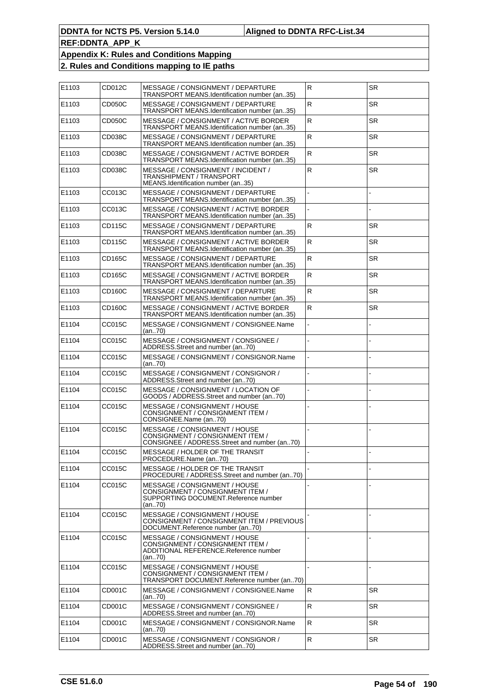| E1103 | CD012C        | MESSAGE / CONSIGNMENT / DEPARTURE<br>TRANSPORT MEANS.Identification number (an35)                                    | R.           | <b>SR</b> |
|-------|---------------|----------------------------------------------------------------------------------------------------------------------|--------------|-----------|
| E1103 | CD050C        | MESSAGE / CONSIGNMENT / DEPARTURE<br>TRANSPORT MEANS.Identification number (an35)                                    | R            | <b>SR</b> |
| E1103 | CD050C        | MESSAGE / CONSIGNMENT / ACTIVE BORDER<br>TRANSPORT MEANS.Identification number (an35)                                | ${\sf R}$    | <b>SR</b> |
| E1103 | CD038C        | MESSAGE / CONSIGNMENT / DEPARTURE<br>TRANSPORT MEANS.Identification number (an35)                                    | ${\sf R}$    | <b>SR</b> |
| E1103 | CD038C        | MESSAGE / CONSIGNMENT / ACTIVE BORDER<br>TRANSPORT MEANS.Identification number (an35)                                | $\mathsf R$  | <b>SR</b> |
| E1103 | CD038C        | MESSAGE / CONSIGNMENT / INCIDENT /<br>TRANSHIPMENT / TRANSPORT<br>MEANS.Identification number (an35)                 | ${\sf R}$    | <b>SR</b> |
| E1103 | CC013C        | MESSAGE / CONSIGNMENT / DEPARTURE<br>TRANSPORT MEANS.Identification number (an35)                                    |              |           |
| E1103 | CC013C        | MESSAGE / CONSIGNMENT / ACTIVE BORDER<br>TRANSPORT MEANS.Identification number (an35)                                |              |           |
| E1103 | <b>CD115C</b> | MESSAGE / CONSIGNMENT / DEPARTURE<br>TRANSPORT MEANS.Identification number (an35)                                    | $\mathsf{R}$ | <b>SR</b> |
| E1103 | CD115C        | MESSAGE / CONSIGNMENT / ACTIVE BORDER<br>TRANSPORT MEANS.Identification number (an35)                                | R            | <b>SR</b> |
| E1103 | CD165C        | MESSAGE / CONSIGNMENT / DEPARTURE<br>TRANSPORT MEANS.Identification number (an35)                                    | $\mathsf R$  | <b>SR</b> |
| E1103 | CD165C        | MESSAGE / CONSIGNMENT / ACTIVE BORDER<br>TRANSPORT MEANS.Identification number (an35)                                | $\mathsf{R}$ | <b>SR</b> |
| E1103 | CD160C        | MESSAGE / CONSIGNMENT / DEPARTURE<br>TRANSPORT MEANS.Identification number (an35)                                    | R            | SR.       |
| E1103 | CD160C        | MESSAGE / CONSIGNMENT / ACTIVE BORDER<br>TRANSPORT MEANS.Identification number (an35)                                | $\mathsf R$  | <b>SR</b> |
| E1104 | CC015C        | MESSAGE / CONSIGNMENT / CONSIGNEE.Name<br>(an70)                                                                     |              |           |
| E1104 | CC015C        | MESSAGE / CONSIGNMENT / CONSIGNEE /<br>ADDRESS.Street and number (an70)                                              |              |           |
| E1104 | CC015C        | MESSAGE / CONSIGNMENT / CONSIGNOR.Name<br>(an70)                                                                     |              |           |
| E1104 | CC015C        | MESSAGE / CONSIGNMENT / CONSIGNOR /<br>ADDRESS.Street and number (an70)                                              |              |           |
| E1104 | CC015C        | MESSAGE / CONSIGNMENT / LOCATION OF<br>GOODS / ADDRESS.Street and number (an70)                                      |              |           |
| E1104 | CC015C        | MESSAGE / CONSIGNMENT / HOUSE<br>CONSIGNMENT / CONSIGNMENT ITEM /<br>CONSIGNEE.Name (an70)                           |              |           |
| E1104 | CC015C        | MESSAGE / CONSIGNMENT / HOUSE<br>CONSIGNMENT / CONSIGNMENT ITEM /<br>CONSIGNEE / ADDRESS. Street and number (an70)   |              |           |
| E1104 | CC015C        | MESSAGE / HOLDER OF THE TRANSIT<br>PROCEDURE.Name (an70)                                                             |              |           |
| E1104 | CC015C        | MESSAGE / HOLDER OF THE TRANSIT<br>PROCEDURE / ADDRESS. Street and number (an70)                                     |              |           |
| E1104 | CC015C        | MESSAGE / CONSIGNMENT / HOUSE<br>CONSIGNMENT / CONSIGNMENT ITEM /<br>SUPPORTING DOCUMENT Reference number<br>(an70)  |              |           |
| E1104 | CC015C        | MESSAGE / CONSIGNMENT / HOUSE<br>CONSIGNMENT / CONSIGNMENT ITEM / PREVIOUS<br>DOCUMENT.Reference number (an70)       |              |           |
| E1104 | CC015C        | MESSAGE / CONSIGNMENT / HOUSE<br>CONSIGNMENT / CONSIGNMENT ITEM /<br>ADDITIONAL REFERENCE.Reference number<br>(an70) |              |           |
| E1104 | CC015C        | MESSAGE / CONSIGNMENT / HOUSE<br>CONSIGNMENT / CONSIGNMENT ITEM /<br>TRANSPORT DOCUMENT.Reference number (an70)      |              |           |
| E1104 | CD001C        | MESSAGE / CONSIGNMENT / CONSIGNEE.Name<br>(an70)                                                                     | R.           | <b>SR</b> |
| E1104 | CD001C        | MESSAGE / CONSIGNMENT / CONSIGNEE /<br>ADDRESS.Street and number (an70)                                              | $\mathsf{R}$ | <b>SR</b> |
| E1104 | CD001C        | MESSAGE / CONSIGNMENT / CONSIGNOR.Name<br>(an70)                                                                     | R            | SR.       |
| E1104 | CD001C        | MESSAGE / CONSIGNMENT / CONSIGNOR /<br>ADDRESS.Street and number (an70)                                              | $\mathsf{R}$ | SR.       |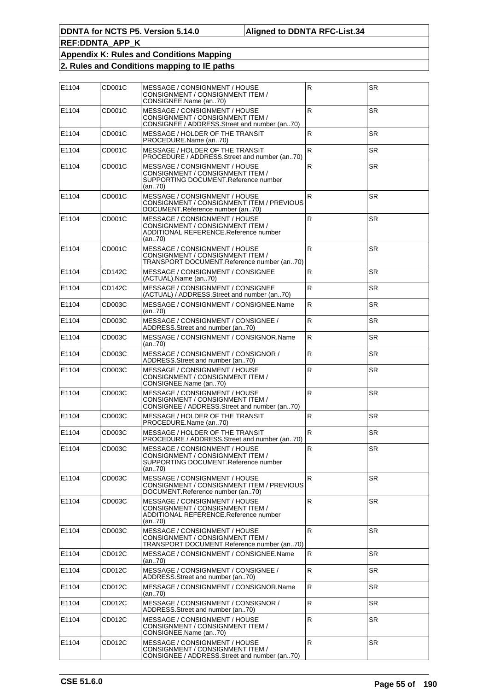| E1104 | CD001C        | MESSAGE / CONSIGNMENT / HOUSE<br>CONSIGNMENT / CONSIGNMENT ITEM /<br>CONSIGNEE.Name (an70)                           | R            | <b>SR</b> |
|-------|---------------|----------------------------------------------------------------------------------------------------------------------|--------------|-----------|
| E1104 | CD001C        | MESSAGE / CONSIGNMENT / HOUSE<br>CONSIGNMENT / CONSIGNMENT ITEM /<br>CONSIGNEE / ADDRESS.Street and number (an70)    | ${\sf R}$    | <b>SR</b> |
| E1104 | CD001C        | MESSAGE / HOLDER OF THE TRANSIT<br>PROCEDURE.Name (an70)                                                             | $\mathsf R$  | <b>SR</b> |
| E1104 | CD001C        | MESSAGE / HOLDER OF THE TRANSIT<br>PROCEDURE / ADDRESS. Street and number (an70)                                     | R.           | <b>SR</b> |
| E1104 | CD001C        | MESSAGE / CONSIGNMENT / HOUSE<br>CONSIGNMENT / CONSIGNMENT ITEM /<br>SUPPORTING DOCUMENT.Reference number<br>(an70)  | R.           | <b>SR</b> |
| E1104 | CD001C        | MESSAGE / CONSIGNMENT / HOUSE<br>CONSIGNMENT / CONSIGNMENT ITEM / PREVIOUS<br>DOCUMENT.Reference number (an70)       | R            | <b>SR</b> |
| E1104 | CD001C        | MESSAGE / CONSIGNMENT / HOUSE<br>CONSIGNMENT / CONSIGNMENT ITEM /<br>ADDITIONAL REFERENCE.Reference number<br>(an70) | $\mathsf{R}$ | <b>SR</b> |
| E1104 | CD001C        | MESSAGE / CONSIGNMENT / HOUSE<br>CONSIGNMENT / CONSIGNMENT ITEM /<br>TRANSPORT DOCUMENT.Reference number (an70)      | $\mathsf{R}$ | <b>SR</b> |
| E1104 | CD142C        | MESSAGE / CONSIGNMENT / CONSIGNEE<br>(ACTUAL).Name (an70)                                                            | R            | <b>SR</b> |
| E1104 | <b>CD142C</b> | MESSAGE / CONSIGNMENT / CONSIGNEE<br>(ACTUAL) / ADDRESS.Street and number (an70)                                     | $\mathsf{R}$ | <b>SR</b> |
| E1104 | CD003C        | MESSAGE / CONSIGNMENT / CONSIGNEE.Name<br>(an70)                                                                     | R            | <b>SR</b> |
| E1104 | CD003C        | MESSAGE / CONSIGNMENT / CONSIGNEE /<br>ADDRESS.Street and number (an70)                                              | ${\sf R}$    | <b>SR</b> |
| E1104 | CD003C        | MESSAGE / CONSIGNMENT / CONSIGNOR.Name<br>(an70)                                                                     | $\mathsf{R}$ | <b>SR</b> |
| E1104 | CD003C        | MESSAGE / CONSIGNMENT / CONSIGNOR /<br>ADDRESS. Street and number (an70)                                             | $\mathsf{R}$ | <b>SR</b> |
| E1104 | CD003C        | MESSAGE / CONSIGNMENT / HOUSE<br>CONSIGNMENT / CONSIGNMENT ITEM /<br>CONSIGNEE.Name (an70)                           | ${\sf R}$    | <b>SR</b> |
| E1104 | CD003C        | MESSAGE / CONSIGNMENT / HOUSE<br>CONSIGNMENT / CONSIGNMENT ITEM /<br>CONSIGNEE / ADDRESS. Street and number (an70)   | ${\sf R}$    | <b>SR</b> |
| E1104 | CD003C        | MESSAGE / HOLDER OF THE TRANSIT<br>PROCEDURE.Name (an70)                                                             | $\mathsf{R}$ | <b>SR</b> |
| E1104 | CD003C        | MESSAGE / HOLDER OF THE TRANSIT<br>PROCEDURE / ADDRESS. Street and number (an70)                                     | R            | <b>SR</b> |
| E1104 | CD003C        | MESSAGE / CONSIGNMENT / HOUSE<br>CONSIGNMENT / CONSIGNMENT ITEM /<br>SUPPORTING DOCUMENT.Reference number<br>(an70)  | $\mathsf{R}$ | <b>SR</b> |
| E1104 | CD003C        | MESSAGE / CONSIGNMENT / HOUSE<br>CONSIGNMENT / CONSIGNMENT ITEM / PREVIOUS<br>DOCUMENT.Reference number (an70)       | $\mathsf R$  | <b>SR</b> |
| E1104 | CD003C        | MESSAGE / CONSIGNMENT / HOUSE<br>CONSIGNMENT / CONSIGNMENT ITEM /<br>ADDITIONAL REFERENCE.Reference number<br>(an70) | $\mathsf R$  | <b>SR</b> |
| E1104 | CD003C        | MESSAGE / CONSIGNMENT / HOUSE<br>CONSIGNMENT / CONSIGNMENT ITEM /<br>TRANSPORT DOCUMENT.Reference number (an70)      | R            | <b>SR</b> |
| E1104 | CD012C        | MESSAGE / CONSIGNMENT / CONSIGNEE.Name<br>(an70)                                                                     | R            | <b>SR</b> |
| E1104 | CD012C        | MESSAGE / CONSIGNMENT / CONSIGNEE /<br>ADDRESS.Street and number (an70)                                              | R            | <b>SR</b> |
| E1104 | CD012C        | MESSAGE / CONSIGNMENT / CONSIGNOR.Name<br>(an70)                                                                     | $\mathsf R$  | <b>SR</b> |
| E1104 | CD012C        | MESSAGE / CONSIGNMENT / CONSIGNOR /<br>ADDRESS. Street and number (an70)                                             | $\mathsf{R}$ | <b>SR</b> |
| E1104 | CD012C        | MESSAGE / CONSIGNMENT / HOUSE<br>CONSIGNMENT / CONSIGNMENT ITEM /<br>CONSIGNEE.Name (an70)                           | R            | SR        |
| E1104 | CD012C        | MESSAGE / CONSIGNMENT / HOUSE<br>CONSIGNMENT / CONSIGNMENT ITEM /<br>CONSIGNEE / ADDRESS. Street and number (an70)   | $\mathsf{R}$ | <b>SR</b> |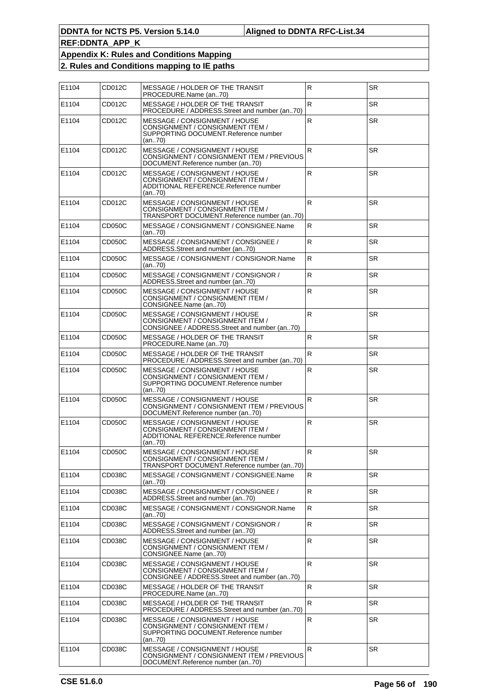| E1104 | CD012C | MESSAGE / HOLDER OF THE TRANSIT<br>PROCEDURE.Name (an70)                                                             | $\mathsf{R}$ | <b>SR</b> |
|-------|--------|----------------------------------------------------------------------------------------------------------------------|--------------|-----------|
| E1104 | CD012C | MESSAGE / HOLDER OF THE TRANSIT<br>PROCEDURE / ADDRESS. Street and number (an., 70)                                  | R.           | <b>SR</b> |
| E1104 | CD012C | MESSAGE / CONSIGNMENT / HOUSE<br>CONSIGNMENT / CONSIGNMENT ITEM /<br>SUPPORTING DOCUMENT.Reference number<br>(an70)  | R.           | <b>SR</b> |
| E1104 | CD012C | MESSAGE / CONSIGNMENT / HOUSE<br>CONSIGNMENT / CONSIGNMENT ITEM / PREVIOUS<br>DOCUMENT.Reference number (an70)       | R.           | <b>SR</b> |
| E1104 | CD012C | MESSAGE / CONSIGNMENT / HOUSE<br>CONSIGNMENT / CONSIGNMENT ITEM /<br>ADDITIONAL REFERENCE.Reference number<br>(an70) | $\mathsf{R}$ | <b>SR</b> |
| E1104 | CD012C | MESSAGE / CONSIGNMENT / HOUSE<br>CONSIGNMENT / CONSIGNMENT ITEM /<br>TRANSPORT DOCUMENT.Reference number (an70)      | $\mathsf{R}$ | <b>SR</b> |
| E1104 | CD050C | MESSAGE / CONSIGNMENT / CONSIGNEE.Name<br>(an70)                                                                     | R            | <b>SR</b> |
| E1104 | CD050C | MESSAGE / CONSIGNMENT / CONSIGNEE /<br>ADDRESS. Street and number (an70)                                             | $\mathsf{R}$ | <b>SR</b> |
| E1104 | CD050C | MESSAGE / CONSIGNMENT / CONSIGNOR.Name<br>(an70)                                                                     | R            | <b>SR</b> |
| E1104 | CD050C | MESSAGE / CONSIGNMENT / CONSIGNOR /<br>ADDRESS. Street and number (an70)                                             | $\mathsf{R}$ | <b>SR</b> |
| E1104 | CD050C | MESSAGE / CONSIGNMENT / HOUSE<br>CONSIGNMENT / CONSIGNMENT ITEM /<br>CONSIGNEE.Name (an70)                           | $\mathsf{R}$ | SR.       |
| E1104 | CD050C | MESSAGE / CONSIGNMENT / HOUSE<br>CONSIGNMENT / CONSIGNMENT ITEM /<br>CONSIGNEE / ADDRESS. Street and number (an70)   | ${\sf R}$    | <b>SR</b> |
| E1104 | CD050C | MESSAGE / HOLDER OF THE TRANSIT<br>PROCEDURE.Name (an70)                                                             | $\mathsf{R}$ | <b>SR</b> |
| E1104 | CD050C | MESSAGE / HOLDER OF THE TRANSIT<br>PROCEDURE / ADDRESS.Street and number (an70)                                      | R            | <b>SR</b> |
| E1104 | CD050C | MESSAGE / CONSIGNMENT / HOUSE<br>CONSIGNMENT / CONSIGNMENT ITEM /<br>SUPPORTING DOCUMENT.Reference number<br>(an70)  | R.           | SR.       |
| E1104 | CD050C | MESSAGE / CONSIGNMENT / HOUSE<br>CONSIGNMENT / CONSIGNMENT ITEM / PREVIOUS<br>DOCUMENT.Reference number (an70)       | R.           | <b>SR</b> |
| E1104 | CD050C | MESSAGE / CONSIGNMENT / HOUSE<br>CONSIGNMENT / CONSIGNMENT ITEM /<br>ADDITIONAL REFERENCE.Reference number<br>(an70) | $\mathsf{R}$ | <b>SR</b> |
| E1104 | CD050C | MESSAGE / CONSIGNMENT / HOUSE<br>CONSIGNMENT / CONSIGNMENT ITEM /<br>TRANSPORT DOCUMENT.Reference number (an70)      | R            | SR        |
| E1104 | CD038C | MESSAGE / CONSIGNMENT / CONSIGNEE.Name<br>(an70)                                                                     | R            | <b>SR</b> |
| E1104 | CD038C | MESSAGE / CONSIGNMENT / CONSIGNEE /<br>ADDRESS. Street and number (an70)                                             | $\mathsf{R}$ | SR        |
| E1104 | CD038C | MESSAGE / CONSIGNMENT / CONSIGNOR.Name<br>(an70)                                                                     | R.           | SR.       |
| E1104 | CD038C | MESSAGE / CONSIGNMENT / CONSIGNOR /<br>ADDRESS. Street and number (an., 70)                                          | $\mathsf{R}$ | SR.       |
| E1104 | CD038C | MESSAGE / CONSIGNMENT / HOUSE<br>CONSIGNMENT / CONSIGNMENT ITEM /<br>CONSIGNEE.Name (an70)                           | $\mathsf{R}$ | SR        |
| E1104 | CD038C | MESSAGE / CONSIGNMENT / HOUSE<br>CONSIGNMENT / CONSIGNMENT ITEM /<br>CONSIGNEE / ADDRESS. Street and number (an 70)  | ${\sf R}$    | <b>SR</b> |
| E1104 | CD038C | MESSAGE / HOLDER OF THE TRANSIT<br>PROCEDURE.Name (an70)                                                             | R.           | <b>SR</b> |
| E1104 | CD038C | MESSAGE / HOLDER OF THE TRANSIT<br>PROCEDURE / ADDRESS. Street and number (an70)                                     | R.           | <b>SR</b> |
| E1104 | CD038C | MESSAGE / CONSIGNMENT / HOUSE<br>CONSIGNMENT / CONSIGNMENT ITEM /<br>SUPPORTING DOCUMENT.Reference number<br>(an70)  | $\mathsf{R}$ | SR        |
| E1104 | CD038C | MESSAGE / CONSIGNMENT / HOUSE<br>CONSIGNMENT / CONSIGNMENT ITEM / PREVIOUS<br>DOCUMENT.Reference number (an70)       | R            | <b>SR</b> |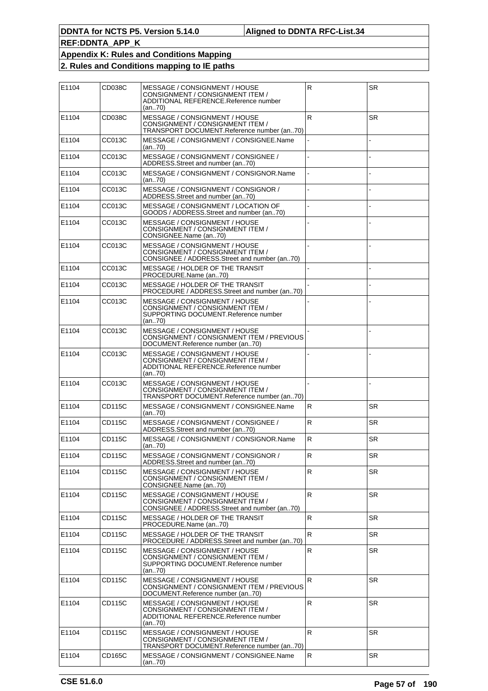| E1104 | CD038C        | MESSAGE / CONSIGNMENT / HOUSE<br>CONSIGNMENT / CONSIGNMENT ITEM /<br>ADDITIONAL REFERENCE.Reference number<br>(an70) | $\mathsf{R}$ | SR.       |
|-------|---------------|----------------------------------------------------------------------------------------------------------------------|--------------|-----------|
| E1104 | CD038C        | MESSAGE / CONSIGNMENT / HOUSE<br>CONSIGNMENT / CONSIGNMENT ITEM /<br>TRANSPORT DOCUMENT.Reference number (an70)      | $\mathsf{R}$ | SR.       |
| E1104 | CC013C        | MESSAGE / CONSIGNMENT / CONSIGNEE.Name<br>(an70)                                                                     |              |           |
| E1104 | CC013C        | MESSAGE / CONSIGNMENT / CONSIGNEE /<br>ADDRESS.Street and number (an70)                                              |              |           |
| E1104 | CC013C        | MESSAGE / CONSIGNMENT / CONSIGNOR.Name<br>(an70)                                                                     |              |           |
| E1104 | CC013C        | MESSAGE / CONSIGNMENT / CONSIGNOR /<br>ADDRESS.Street and number (an70)                                              |              |           |
| E1104 | CC013C        | MESSAGE / CONSIGNMENT / LOCATION OF<br>GOODS / ADDRESS.Street and number (an70)                                      |              |           |
| E1104 | CC013C        | MESSAGE / CONSIGNMENT / HOUSE<br>CONSIGNMENT / CONSIGNMENT ITEM /<br>CONSIGNEE.Name (an70)                           |              |           |
| E1104 | CC013C        | MESSAGE / CONSIGNMENT / HOUSE<br>CONSIGNMENT / CONSIGNMENT ITEM /<br>CONSIGNEE / ADDRESS.Street and number (an70)    |              |           |
| E1104 | CC013C        | MESSAGE / HOLDER OF THE TRANSIT<br>PROCEDURE.Name (an70)                                                             |              |           |
| E1104 | CC013C        | MESSAGE / HOLDER OF THE TRANSIT<br>PROCEDURE / ADDRESS. Street and number (an70)                                     |              |           |
| E1104 | CC013C        | MESSAGE / CONSIGNMENT / HOUSE<br>CONSIGNMENT / CONSIGNMENT ITEM /<br>SUPPORTING DOCUMENT Reference number<br>(an70)  |              |           |
| E1104 | CC013C        | MESSAGE / CONSIGNMENT / HOUSE<br>CONSIGNMENT / CONSIGNMENT ITEM / PREVIOUS<br>DOCUMENT.Reference number (an70)       |              |           |
| E1104 | CC013C        | MESSAGE / CONSIGNMENT / HOUSE<br>CONSIGNMENT / CONSIGNMENT ITEM /<br>ADDITIONAL REFERENCE.Reference number<br>(an70) |              |           |
| E1104 | CC013C        | MESSAGE / CONSIGNMENT / HOUSE<br>CONSIGNMENT / CONSIGNMENT ITEM /<br>TRANSPORT DOCUMENT.Reference number (an70)      |              |           |
| E1104 | CD115C        | MESSAGE / CONSIGNMENT / CONSIGNEE.Name<br>(an70)                                                                     | R            | <b>SR</b> |
| E1104 | CD115C        | MESSAGE / CONSIGNMENT / CONSIGNEE /<br>ADDRESS.Street and number (an70)                                              | $\mathsf R$  | <b>SR</b> |
| E1104 | CD115C        | MESSAGE / CONSIGNMENT / CONSIGNOR.Name<br>(an70)                                                                     | $\mathsf R$  | <b>SR</b> |
| E1104 | CD115C        | MESSAGE / CONSIGNMENT / CONSIGNOR /<br>ADDRESS.Street and number (an70)                                              | $\mathsf{R}$ | SR        |
| E1104 | CD115C        | MESSAGE / CONSIGNMENT / HOUSE<br>CONSIGNMENT / CONSIGNMENT ITEM /<br>CONSIGNEE.Name (an70)                           | $\mathsf R$  | SR.       |
| E1104 | <b>CD115C</b> | MESSAGE / CONSIGNMENT / HOUSE<br>CONSIGNMENT / CONSIGNMENT ITEM /<br>CONSIGNEE / ADDRESS.Street and number (an70)    | $\mathsf R$  | SR.       |
| E1104 | CD115C        | MESSAGE / HOLDER OF THE TRANSIT<br>PROCEDURE.Name (an70)                                                             | R            | <b>SR</b> |
| E1104 | CD115C        | MESSAGE / HOLDER OF THE TRANSIT<br>PROCEDURE / ADDRESS. Street and number (an70)                                     | R            | SR.       |
| E1104 | CD115C        | MESSAGE / CONSIGNMENT / HOUSE<br>CONSIGNMENT / CONSIGNMENT ITEM /<br>SUPPORTING DOCUMENT.Reference number<br>(an70)  | R            | SR        |
| E1104 | CD115C        | MESSAGE / CONSIGNMENT / HOUSE<br>CONSIGNMENT / CONSIGNMENT ITEM / PREVIOUS<br>DOCUMENT.Reference number (an70)       | R            | SR.       |
| E1104 | CD115C        | MESSAGE / CONSIGNMENT / HOUSE<br>CONSIGNMENT / CONSIGNMENT ITEM /<br>ADDITIONAL REFERENCE.Reference number<br>(an70) | $\mathsf{R}$ | SR.       |
| E1104 | CD115C        | MESSAGE / CONSIGNMENT / HOUSE<br>CONSIGNMENT / CONSIGNMENT ITEM /<br>TRANSPORT DOCUMENT.Reference number (an70)      | $\mathsf{R}$ | <b>SR</b> |
| E1104 | CD165C        | MESSAGE / CONSIGNMENT / CONSIGNEE.Name<br>(an70)                                                                     | R            | <b>SR</b> |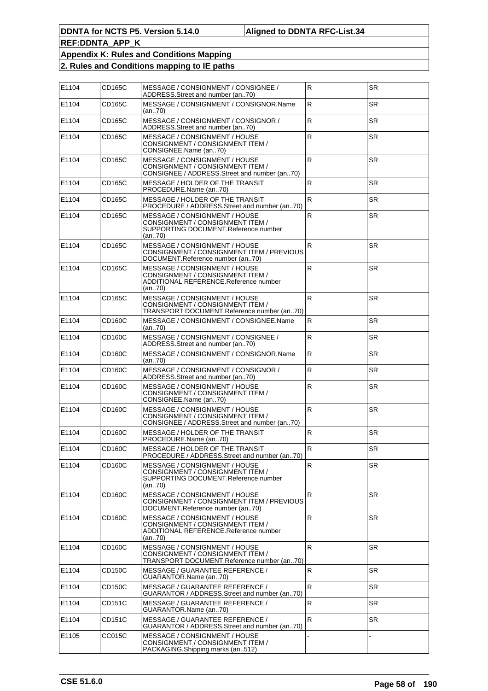| E1104 | CD165C        | MESSAGE / CONSIGNMENT / CONSIGNEE /<br>ADDRESS.Street and number (an70)                                              | R                       | SR.       |
|-------|---------------|----------------------------------------------------------------------------------------------------------------------|-------------------------|-----------|
| E1104 | CD165C        | MESSAGE / CONSIGNMENT / CONSIGNOR.Name<br>(an70)                                                                     | $\mathsf R$             | <b>SR</b> |
| E1104 | CD165C        | MESSAGE / CONSIGNMENT / CONSIGNOR /<br>ADDRESS. Street and number (an70)                                             | $\mathsf R$             | <b>SR</b> |
| E1104 | CD165C        | MESSAGE / CONSIGNMENT / HOUSE<br>CONSIGNMENT / CONSIGNMENT ITEM /<br>CONSIGNEE.Name (an70)                           | $\mathsf{R}$            | SR.       |
| E1104 | CD165C        | MESSAGE / CONSIGNMENT / HOUSE<br>CONSIGNMENT / CONSIGNMENT ITEM /<br>CONSIGNEE / ADDRESS.Street and number (an70)    | $\overline{\mathsf{R}}$ | <b>SR</b> |
| E1104 | CD165C        | MESSAGE / HOLDER OF THE TRANSIT<br>PROCEDURE.Name (an70)                                                             | $\overline{R}$          | <b>SR</b> |
| E1104 | CD165C        | MESSAGE / HOLDER OF THE TRANSIT<br>PROCEDURE / ADDRESS. Street and number (an70)                                     | $\mathsf R$             | <b>SR</b> |
| E1104 | CD165C        | MESSAGE / CONSIGNMENT / HOUSE<br>CONSIGNMENT / CONSIGNMENT ITEM /<br>SUPPORTING DOCUMENT.Reference number<br>(an70)  | R                       | <b>SR</b> |
| E1104 | CD165C        | MESSAGE / CONSIGNMENT / HOUSE<br>CONSIGNMENT / CONSIGNMENT ITEM / PREVIOUS<br>DOCUMENT.Reference number (an70)       | $\mathsf{R}$            | <b>SR</b> |
| E1104 | CD165C        | MESSAGE / CONSIGNMENT / HOUSE<br>CONSIGNMENT / CONSIGNMENT ITEM /<br>ADDITIONAL REFERENCE.Reference number<br>(an70) | R                       | <b>SR</b> |
| E1104 | CD165C        | MESSAGE / CONSIGNMENT / HOUSE<br>CONSIGNMENT / CONSIGNMENT ITEM /<br>TRANSPORT DOCUMENT.Reference number (an70)      | R                       | <b>SR</b> |
| E1104 | CD160C        | MESSAGE / CONSIGNMENT / CONSIGNEE.Name<br>(an70)                                                                     | $\overline{R}$          | <b>SR</b> |
| E1104 | CD160C        | MESSAGE / CONSIGNMENT / CONSIGNEE /<br>ADDRESS. Street and number (an70)                                             | R                       | <b>SR</b> |
| E1104 | CD160C        | MESSAGE / CONSIGNMENT / CONSIGNOR.Name<br>(an70)                                                                     | $\mathsf R$             | <b>SR</b> |
| E1104 | CD160C        | MESSAGE / CONSIGNMENT / CONSIGNOR /<br>ADDRESS.Street and number (an70)                                              | $\overline{R}$          | <b>SR</b> |
| E1104 | CD160C        | MESSAGE / CONSIGNMENT / HOUSE<br>CONSIGNMENT / CONSIGNMENT ITEM /<br>CONSIGNEE.Name (an70)                           | $\mathsf R$             | <b>SR</b> |
| E1104 | CD160C        | MESSAGE / CONSIGNMENT / HOUSE<br>CONSIGNMENT / CONSIGNMENT ITEM /<br>CONSIGNEE / ADDRESS.Street and number (an70)    | R                       | <b>SR</b> |
| E1104 | CD160C        | MESSAGE / HOLDER OF THE TRANSIT<br>PROCEDURE.Name (an70)                                                             | R                       | <b>SR</b> |
| E1104 | <b>CD160C</b> | MESSAGE / HOLDER OF THE TRANSIT<br>PROCEDURE / ADDRESS. Street and number (an70)                                     | $\mathsf R$             | <b>SR</b> |
| E1104 | CD160C        | MESSAGE / CONSIGNMENT / HOUSE<br>CONSIGNMENT / CONSIGNMENT ITEM /<br>SUPPORTING DOCUMENT.Reference number<br>(an70)  | R.                      | SR.       |
| E1104 | CD160C        | MESSAGE / CONSIGNMENT / HOUSE<br>CONSIGNMENT / CONSIGNMENT ITEM / PREVIOUS<br>DOCUMENT.Reference number (an70)       | $\mathsf R$             | <b>SR</b> |
| E1104 | CD160C        | MESSAGE / CONSIGNMENT / HOUSE<br>CONSIGNMENT / CONSIGNMENT ITEM /<br>ADDITIONAL REFERENCE.Reference number<br>(an70) | $\mathsf R$             | <b>SR</b> |
| E1104 | CD160C        | MESSAGE / CONSIGNMENT / HOUSE<br>CONSIGNMENT / CONSIGNMENT ITEM /<br>TRANSPORT DOCUMENT.Reference number (an70)      | $\mathsf R$             | <b>SR</b> |
| E1104 | CD150C        | MESSAGE / GUARANTEE REFERENCE /<br>GUARANTOR.Name (an70)                                                             | $\overline{R}$          | <b>SR</b> |
| E1104 | CD150C        | MESSAGE / GUARANTEE REFERENCE /<br>GUARANTOR / ADDRESS.Street and number (an70)                                      | $\mathsf R$             | <b>SR</b> |
| E1104 | CD151C        | MESSAGE / GUARANTEE REFERENCE /<br>GUARANTOR.Name (an70)                                                             | $\mathsf R$             | SR.       |
| E1104 | CD151C        | MESSAGE / GUARANTEE REFERENCE /<br>GUARANTOR / ADDRESS.Street and number (an70)                                      | $\mathsf R$             | <b>SR</b> |
| E1105 | CC015C        | MESSAGE / CONSIGNMENT / HOUSE<br>CONSIGNMENT / CONSIGNMENT ITEM /<br>PACKAGING. Shipping marks (an512)               |                         |           |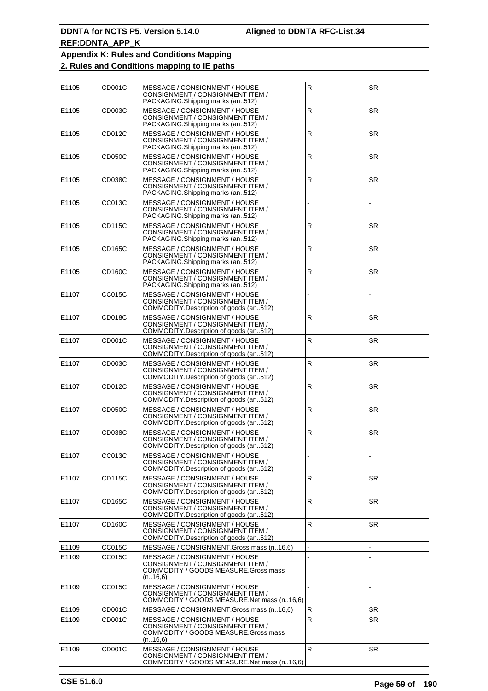| E1105 | CD001C | MESSAGE / CONSIGNMENT / HOUSE<br>CONSIGNMENT / CONSIGNMENT ITEM /<br>PACKAGING. Shipping marks (an512)                 | $\mathsf R$    | <b>SR</b> |
|-------|--------|------------------------------------------------------------------------------------------------------------------------|----------------|-----------|
| E1105 | CD003C | MESSAGE / CONSIGNMENT / HOUSE<br>CONSIGNMENT / CONSIGNMENT ITEM /<br>PACKAGING.Shipping marks (an512)                  | $\mathsf R$    | <b>SR</b> |
| E1105 | CD012C | MESSAGE / CONSIGNMENT / HOUSE<br>CONSIGNMENT / CONSIGNMENT ITEM /<br>PACKAGING. Shipping marks (an512)                 | $\mathsf R$    | <b>SR</b> |
| E1105 | CD050C | MESSAGE / CONSIGNMENT / HOUSE<br>CONSIGNMENT / CONSIGNMENT ITEM /<br>PACKAGING. Shipping marks (an512)                 | $\mathsf R$    | <b>SR</b> |
| E1105 | CD038C | MESSAGE / CONSIGNMENT / HOUSE<br>CONSIGNMENT / CONSIGNMENT ITEM /<br>PACKAGING. Shipping marks (an512)                 | $\mathsf R$    | <b>SR</b> |
| E1105 | CC013C | MESSAGE / CONSIGNMENT / HOUSE<br>CONSIGNMENT / CONSIGNMENT ITEM /<br>PACKAGING. Shipping marks (an512)                 |                |           |
| E1105 | CD115C | MESSAGE / CONSIGNMENT / HOUSE<br>CONSIGNMENT / CONSIGNMENT ITEM /<br>PACKAGING. Shipping marks (an512)                 | R              | <b>SR</b> |
| E1105 | CD165C | MESSAGE / CONSIGNMENT / HOUSE<br>CONSIGNMENT / CONSIGNMENT ITEM /<br>PACKAGING. Shipping marks (an512)                 | $\mathsf R$    | <b>SR</b> |
| E1105 | CD160C | MESSAGE / CONSIGNMENT / HOUSE<br>CONSIGNMENT / CONSIGNMENT ITEM /<br>PACKAGING. Shipping marks (an512)                 | $\overline{R}$ | <b>SR</b> |
| E1107 | CC015C | MESSAGE / CONSIGNMENT / HOUSE<br>CONSIGNMENT / CONSIGNMENT ITEM /<br>COMMODITY.Description of goods (an512)            |                |           |
| E1107 | CD018C | MESSAGE / CONSIGNMENT / HOUSE<br>CONSIGNMENT / CONSIGNMENT ITEM /<br>COMMODITY.Description of goods (an512)            | ${\sf R}$      | <b>SR</b> |
| E1107 | CD001C | MESSAGE / CONSIGNMENT / HOUSE<br>CONSIGNMENT / CONSIGNMENT ITEM /<br>COMMODITY.Description of goods (an512)            | $\overline{R}$ | <b>SR</b> |
| E1107 | CD003C | MESSAGE / CONSIGNMENT / HOUSE<br>CONSIGNMENT / CONSIGNMENT ITEM /<br>COMMODITY.Description of goods (an512)            | $\mathsf{R}$   | <b>SR</b> |
| E1107 | CD012C | MESSAGE / CONSIGNMENT / HOUSE<br>CONSIGNMENT / CONSIGNMENT ITEM /<br>COMMODITY.Description of goods (an512)            | $\mathsf R$    | <b>SR</b> |
| E1107 | CD050C | MESSAGE / CONSIGNMENT / HOUSE<br>CONSIGNMENT / CONSIGNMENT ITEM /<br>COMMODITY.Description of goods (an512)            | R              | <b>SR</b> |
| E1107 | CD038C | MESSAGE / CONSIGNMENT / HOUSE<br>CONSIGNMENT / CONSIGNMENT ITEM /<br>COMMODITY.Description of goods (an512)            | ${\sf R}$      | <b>SR</b> |
| E1107 | CC013C | MESSAGE / CONSIGNMENT / HOUSE<br>CONSIGNMENT / CONSIGNMENT ITEM /<br>COMMODITY.Description of goods (an512)            |                |           |
| E1107 | CD115C | MESSAGE / CONSIGNMENT / HOUSE<br>CONSIGNMENT / CONSIGNMENT ITEM /<br>COMMODITY.Description of goods (an512)            | R              | <b>SR</b> |
| E1107 | CD165C | MESSAGE / CONSIGNMENT / HOUSE<br>CONSIGNMENT / CONSIGNMENT ITEM /<br>COMMODITY.Description of goods (an512)            | $\mathsf R$    | <b>SR</b> |
| E1107 | CD160C | MESSAGE / CONSIGNMENT / HOUSE<br>CONSIGNMENT / CONSIGNMENT ITEM /<br>COMMODITY.Description of goods (an512)            | R              | SR        |
| E1109 | CC015C | MESSAGE / CONSIGNMENT.Gross mass (n16,6)                                                                               |                |           |
| E1109 | CC015C | MESSAGE / CONSIGNMENT / HOUSE<br>CONSIGNMENT / CONSIGNMENT ITEM /<br>COMMODITY / GOODS MEASURE. Gross mass<br>(n.16,6) |                |           |
| E1109 | CC015C | MESSAGE / CONSIGNMENT / HOUSE<br>CONSIGNMENT / CONSIGNMENT ITEM /<br>COMMODITY / GOODS MEASURE. Net mass (n16.6)       |                |           |
| E1109 | CD001C | MESSAGE / CONSIGNMENT.Gross mass (n16,6)                                                                               | R              | <b>SR</b> |
| E1109 | CD001C | MESSAGE / CONSIGNMENT / HOUSE<br>CONSIGNMENT / CONSIGNMENT ITEM /<br>COMMODITY / GOODS MEASURE.Gross mass<br>(n.16,6)  | $\mathsf R$    | <b>SR</b> |
| E1109 | CD001C | MESSAGE / CONSIGNMENT / HOUSE<br>CONSIGNMENT / CONSIGNMENT ITEM /<br>COMMODITY / GOODS MEASURE.Net mass (n16,6)        | R              | <b>SR</b> |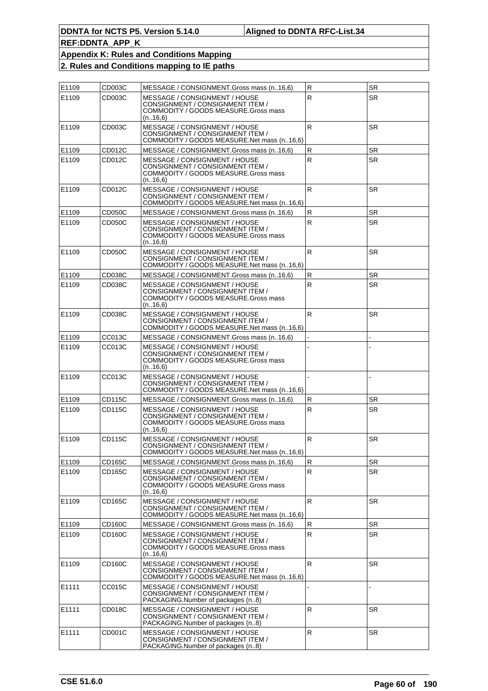| E1109 | CD003C        | MESSAGE / CONSIGNMENT.Gross mass (n16,6)                                                                              | R            | <b>SR</b> |
|-------|---------------|-----------------------------------------------------------------------------------------------------------------------|--------------|-----------|
| E1109 | CD003C        | MESSAGE / CONSIGNMENT / HOUSE<br>CONSIGNMENT / CONSIGNMENT ITEM /<br>COMMODITY / GOODS MEASURE.Gross mass<br>(n16,6)  | ${\sf R}$    | <b>SR</b> |
| E1109 | CD003C        | MESSAGE / CONSIGNMENT / HOUSE<br>CONSIGNMENT / CONSIGNMENT ITEM /<br>COMMODITY / GOODS MEASURE. Net mass (n16,6)      | $\mathsf{R}$ | <b>SR</b> |
| E1109 | CD012C        | MESSAGE / CONSIGNMENT.Gross mass (n16,6)                                                                              | R            | <b>SR</b> |
| E1109 | CD012C        | MESSAGE / CONSIGNMENT / HOUSE<br>CONSIGNMENT / CONSIGNMENT ITEM /<br>COMMODITY / GOODS MEASURE.Gross mass<br>(n.16,6) | $\mathsf{R}$ | <b>SR</b> |
| E1109 | CD012C        | MESSAGE / CONSIGNMENT / HOUSE<br>CONSIGNMENT / CONSIGNMENT ITEM /<br>COMMODITY / GOODS MEASURE.Net mass (n16,6)       | $\mathsf{R}$ | <b>SR</b> |
| E1109 | <b>CD050C</b> | MESSAGE / CONSIGNMENT.Gross mass (n16,6)                                                                              | R            | <b>SR</b> |
| E1109 | CD050C        | MESSAGE / CONSIGNMENT / HOUSE<br>CONSIGNMENT / CONSIGNMENT ITEM /<br>COMMODITY / GOODS MEASURE.Gross mass<br>(n.16,6) | R            | <b>SR</b> |
| E1109 | CD050C        | MESSAGE / CONSIGNMENT / HOUSE<br>CONSIGNMENT / CONSIGNMENT ITEM /<br>COMMODITY / GOODS MEASURE. Net mass (n16.6)      | R            | <b>SR</b> |
| E1109 | CD038C        | MESSAGE / CONSIGNMENT.Gross mass (n16.6)                                                                              | R            | <b>SR</b> |
| E1109 | CD038C        | MESSAGE / CONSIGNMENT / HOUSE<br>CONSIGNMENT / CONSIGNMENT ITEM /<br>COMMODITY / GOODS MEASURE.Gross mass<br>(n.16,6) | $\mathsf R$  | <b>SR</b> |
| E1109 | CD038C        | MESSAGE / CONSIGNMENT / HOUSE<br>CONSIGNMENT / CONSIGNMENT ITEM /<br>COMMODITY / GOODS MEASURE. Net mass (n16,6)      | $\mathsf{R}$ | <b>SR</b> |
| E1109 | CC013C        | MESSAGE / CONSIGNMENT.Gross mass (n. 16,6)                                                                            |              |           |
| E1109 | CC013C        | MESSAGE / CONSIGNMENT / HOUSE<br>CONSIGNMENT / CONSIGNMENT ITEM /<br>COMMODITY / GOODS MEASURE.Gross mass<br>(n.16,6) |              |           |
| E1109 | CC013C        | MESSAGE / CONSIGNMENT / HOUSE<br>CONSIGNMENT / CONSIGNMENT ITEM /<br>COMMODITY / GOODS MEASURE.Net mass (n16,6)       |              |           |
| E1109 | CD115C        | MESSAGE / CONSIGNMENT.Gross mass (n16,6)                                                                              | R            | <b>SR</b> |
| E1109 | CD115C        | MESSAGE / CONSIGNMENT / HOUSE<br>CONSIGNMENT / CONSIGNMENT ITEM /<br>COMMODITY / GOODS MEASURE.Gross mass<br>(n.16,6) | $\mathsf{R}$ | <b>SR</b> |
| E1109 | CD115C        | MESSAGE / CONSIGNMENT / HOUSE<br>CONSIGNMENT / CONSIGNMENT ITEM /<br>COMMODITY / GOODS MEASURE. Net mass (n16,6)      | $\mathsf{R}$ | <b>SR</b> |
| E1109 | CD165C        | MESSAGE / CONSIGNMENT.Gross mass (n16,6)                                                                              | R            | SR        |
| E1109 | CD165C        | MESSAGE / CONSIGNMENT / HOUSE<br>CONSIGNMENT / CONSIGNMENT ITEM /<br>COMMODITY / GOODS MEASURE.Gross mass<br>(n.16,6) | $\mathsf R$  | <b>SR</b> |
| E1109 | CD165C        | MESSAGE / CONSIGNMENT / HOUSE<br>CONSIGNMENT / CONSIGNMENT ITEM /<br>COMMODITY / GOODS MEASURE. Net mass (n16,6)      | R            | <b>SR</b> |
| E1109 | CD160C        | MESSAGE / CONSIGNMENT.Gross mass (n16,6)                                                                              | R            | SR        |
| E1109 | CD160C        | MESSAGE / CONSIGNMENT / HOUSE<br>CONSIGNMENT / CONSIGNMENT ITEM /<br>COMMODITY / GOODS MEASURE.Gross mass<br>(n.16,6) | $\mathsf{R}$ | SR        |
| E1109 | CD160C        | MESSAGE / CONSIGNMENT / HOUSE<br>CONSIGNMENT / CONSIGNMENT ITEM /<br>COMMODITY / GOODS MEASURE.Net mass (n16.6)       | $\mathsf{R}$ | <b>SR</b> |
| E1111 | CC015C        | MESSAGE / CONSIGNMENT / HOUSE<br>CONSIGNMENT / CONSIGNMENT ITEM /<br>PACKAGING. Number of packages (n8)               |              |           |
| E1111 | CD018C        | MESSAGE / CONSIGNMENT / HOUSE<br>CONSIGNMENT / CONSIGNMENT ITEM /<br>PACKAGING.Number of packages (n8)                | $\mathsf{R}$ | SR.       |
| E1111 | CD001C        | MESSAGE / CONSIGNMENT / HOUSE<br>CONSIGNMENT / CONSIGNMENT ITEM /<br>PACKAGING. Number of packages (n8)               | ${\sf R}$    | <b>SR</b> |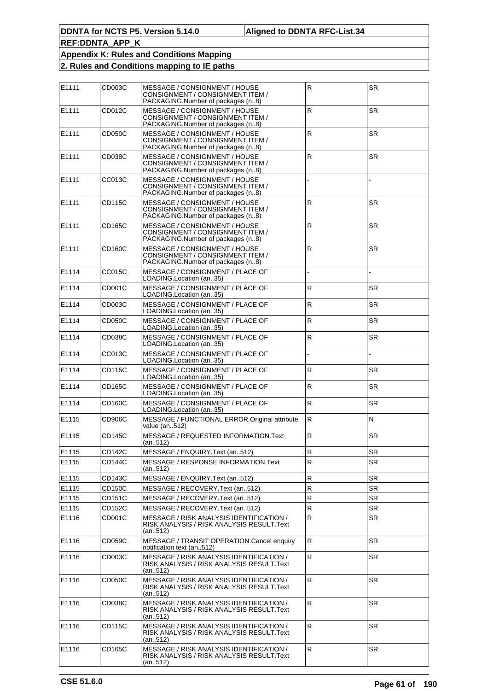| E1111 | CD003C        | MESSAGE / CONSIGNMENT / HOUSE<br>CONSIGNMENT / CONSIGNMENT ITEM /<br>PACKAGING.Number of packages (n8)  | $\mathsf R$             | <b>SR</b> |
|-------|---------------|---------------------------------------------------------------------------------------------------------|-------------------------|-----------|
| E1111 | CD012C        | MESSAGE / CONSIGNMENT / HOUSE<br>CONSIGNMENT / CONSIGNMENT ITEM /<br>PACKAGING.Number of packages (n8)  | R                       | <b>SR</b> |
| E1111 | CD050C        | MESSAGE / CONSIGNMENT / HOUSE<br>CONSIGNMENT / CONSIGNMENT ITEM /<br>PACKAGING.Number of packages (n8)  | $\overline{\mathsf{R}}$ | <b>SR</b> |
| E1111 | CD038C        | MESSAGE / CONSIGNMENT / HOUSE<br>CONSIGNMENT / CONSIGNMENT ITEM /<br>PACKAGING.Number of packages (n8)  | $\mathsf{R}$            | <b>SR</b> |
| E1111 | CC013C        | MESSAGE / CONSIGNMENT / HOUSE<br>CONSIGNMENT / CONSIGNMENT ITEM /<br>PACKAGING. Number of packages (n8) |                         |           |
| E1111 | CD115C        | MESSAGE / CONSIGNMENT / HOUSE<br>CONSIGNMENT / CONSIGNMENT ITEM /<br>PACKAGING.Number of packages (n8)  | $\mathsf R$             | <b>SR</b> |
| E1111 | CD165C        | MESSAGE / CONSIGNMENT / HOUSE<br>CONSIGNMENT / CONSIGNMENT ITEM /<br>PACKAGING.Number of packages (n8)  | R                       | <b>SR</b> |
| E1111 | CD160C        | MESSAGE / CONSIGNMENT / HOUSE<br>CONSIGNMENT / CONSIGNMENT ITEM /<br>PACKAGING. Number of packages (n8) | $\overline{\mathsf{R}}$ | <b>SR</b> |
| E1114 | CC015C        | MESSAGE / CONSIGNMENT / PLACE OF<br>LOADING.Location (an35)                                             |                         |           |
| E1114 | CD001C        | MESSAGE / CONSIGNMENT / PLACE OF<br>LOADING.Location (an35)                                             | R                       | <b>SR</b> |
| E1114 | CD003C        | MESSAGE / CONSIGNMENT / PLACE OF                                                                        | $\mathsf R$             | <b>SR</b> |
| E1114 | CD050C        | LOADING.Location (an35)<br>MESSAGE / CONSIGNMENT / PLACE OF<br>LOADING.Location (an35)                  | ${\sf R}$               | <b>SR</b> |
| E1114 | CD038C        | MESSAGE / CONSIGNMENT / PLACE OF                                                                        | R                       | <b>SR</b> |
| E1114 | CC013C        | LOADING.Location (an35)<br>MESSAGE / CONSIGNMENT / PLACE OF<br>LOADING.Location (an35)                  |                         |           |
| E1114 | CD115C        | MESSAGE / CONSIGNMENT / PLACE OF                                                                        | ${\sf R}$               | <b>SR</b> |
| E1114 | CD165C        | LOADING.Location (an35)<br>MESSAGE / CONSIGNMENT / PLACE OF                                             | $\overline{\mathsf{R}}$ | <b>SR</b> |
| E1114 | CD160C        | LOADING.Location (an35)<br>MESSAGE / CONSIGNMENT / PLACE OF                                             | $\mathsf R$             | <b>SR</b> |
| E1115 | CD906C        | LOADING.Location (an35)<br>MESSAGE / FUNCTIONAL ERROR.Original attribute                                | $\mathsf R$             | N         |
| E1115 | CD145C        | value (an512)<br>MESSAGE / REQUESTED INFORMATION.Text<br>(an512)                                        | $\overline{\mathsf{R}}$ | <b>SR</b> |
| E1115 | <b>CD142C</b> | MESSAGE / ENQUIRY.Text (an512)                                                                          | $\mathsf R$             | <b>SR</b> |
| E1115 | CD144C        | MESSAGE / RESPONSE INFORMATION. Text<br>(an512)                                                         | R                       | <b>SR</b> |
| E1115 | CD143C        | MESSAGE / ENQUIRY.Text (an512)                                                                          | ${\sf R}$               | <b>SR</b> |
| E1115 | <b>CD150C</b> | MESSAGE / RECOVERY. Text (an512)                                                                        | $\overline{\mathsf{R}}$ | <b>SR</b> |
| E1115 | CD151C        | MESSAGE / RECOVERY. Text (an 512)                                                                       | ${\sf R}$               | <b>SR</b> |
| E1115 | <b>CD152C</b> | MESSAGE / RECOVERY. Text (an 512)                                                                       | ${\sf R}$               | <b>SR</b> |
| E1116 | CD001C        | MESSAGE / RISK ANALYSIS IDENTIFICATION /<br>RISK ANALYSIS / RISK ANALYSIS RESULT.Text<br>(an512)        | $\overline{\mathsf{R}}$ | <b>SR</b> |
| E1116 | CD059C        | MESSAGE / TRANSIT OPERATION.Cancel enquiry<br>notification text (an512)                                 | $\mathsf R$             | <b>SR</b> |
| E1116 | CD003C        | MESSAGE / RISK ANALYSIS IDENTIFICATION /<br>RISK ANALYSIS / RISK ANALYSIS RESULT.Text<br>(an512)        | $\overline{\mathsf{R}}$ | <b>SR</b> |
| E1116 | CD050C        | MESSAGE / RISK ANALYSIS IDENTIFICATION /<br>RISK ANALYSIS / RISK ANALYSIS RESULT. Text<br>(an512)       | $\mathsf R$             | <b>SR</b> |
| E1116 | CD038C        | MESSAGE / RISK ANALYSIS IDENTIFICATION /<br>RISK ANALYSIS / RISK ANALYSIS RESULT.Text<br>(an512)        | R                       | <b>SR</b> |
| E1116 | <b>CD115C</b> | MESSAGE / RISK ANALYSIS IDENTIFICATION /<br>RISK ANALYSIS / RISK ANALYSIS RESULT.Text<br>(an512)        | R                       | <b>SR</b> |
| E1116 | CD165C        | MESSAGE / RISK ANALYSIS IDENTIFICATION /<br>RISK ANALYSIS / RISK ANALYSIS RESULT.Text<br>(an512)        | $\mathsf R$             | <b>SR</b> |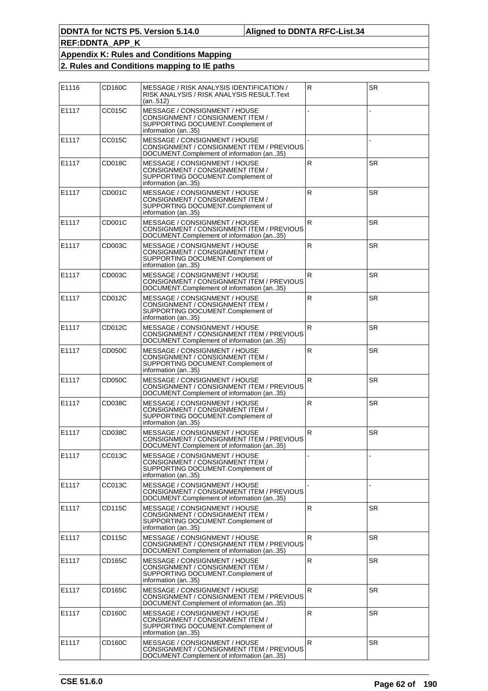| E1116 | CD160C | MESSAGE / RISK ANALYSIS IDENTIFICATION /<br>RISK ANALYSIS / RISK ANALYSIS RESULT.Text<br>(an512)                             | $\mathsf{R}$ | <b>SR</b> |
|-------|--------|------------------------------------------------------------------------------------------------------------------------------|--------------|-----------|
| E1117 | CC015C | MESSAGE / CONSIGNMENT / HOUSE<br>CONSIGNMENT / CONSIGNMENT ITEM /<br>SUPPORTING DOCUMENT.Complement of<br>information (an35) |              |           |
| E1117 | CC015C | MESSAGE / CONSIGNMENT / HOUSE<br>CONSIGNMENT / CONSIGNMENT ITEM / PREVIOUS<br>DOCUMENT.Complement of information (an35)      |              |           |
| E1117 | CD018C | MESSAGE / CONSIGNMENT / HOUSE<br>CONSIGNMENT / CONSIGNMENT ITEM /<br>SUPPORTING DOCUMENT.Complement of<br>information (an35) | ${\sf R}$    | <b>SR</b> |
| E1117 | CD001C | MESSAGE / CONSIGNMENT / HOUSE<br>CONSIGNMENT / CONSIGNMENT ITEM /<br>SUPPORTING DOCUMENT.Complement of<br>information (an35) | $\mathsf{R}$ | <b>SR</b> |
| E1117 | CD001C | MESSAGE / CONSIGNMENT / HOUSE<br>CONSIGNMENT / CONSIGNMENT ITEM / PREVIOUS<br>DOCUMENT.Complement of information (an35)      | $\mathsf{R}$ | <b>SR</b> |
| E1117 | CD003C | MESSAGE / CONSIGNMENT / HOUSE<br>CONSIGNMENT / CONSIGNMENT ITEM /<br>SUPPORTING DOCUMENT.Complement of<br>information (an35) | R            | <b>SR</b> |
| E1117 | CD003C | MESSAGE / CONSIGNMENT / HOUSE<br>CONSIGNMENT / CONSIGNMENT ITEM / PREVIOUS<br>DOCUMENT.Complement of information (an35)      | R            | <b>SR</b> |
| E1117 | CD012C | MESSAGE / CONSIGNMENT / HOUSE<br>CONSIGNMENT / CONSIGNMENT ITEM /<br>SUPPORTING DOCUMENT.Complement of<br>information (an35) | $\mathsf{R}$ | SR.       |
| E1117 | CD012C | MESSAGE / CONSIGNMENT / HOUSE<br>CONSIGNMENT / CONSIGNMENT ITEM / PREVIOUS<br>DOCUMENT.Complement of information (an35)      | R.           | <b>SR</b> |
| E1117 | CD050C | MESSAGE / CONSIGNMENT / HOUSE<br>CONSIGNMENT / CONSIGNMENT ITEM /<br>SUPPORTING DOCUMENT.Complement of<br>information (an35) | $\mathsf{R}$ | <b>SR</b> |
| E1117 | CD050C | MESSAGE / CONSIGNMENT / HOUSE<br>CONSIGNMENT / CONSIGNMENT ITEM / PREVIOUS<br>DOCUMENT.Complement of information (an35)      | $\mathsf{R}$ | <b>SR</b> |
| E1117 | CD038C | MESSAGE / CONSIGNMENT / HOUSE<br>CONSIGNMENT / CONSIGNMENT ITEM /<br>SUPPORTING DOCUMENT.Complement of<br>information (an35) | ${\sf R}$    | <b>SR</b> |
| E1117 | CD038C | MESSAGE / CONSIGNMENT / HOUSE<br>CONSIGNMENT / CONSIGNMENT ITEM / PREVIOUS<br>DOCUMENT.Complement of information (an35)      | R            | <b>SR</b> |
| E1117 | CC013C | MESSAGE / CONSIGNMENT / HOUSE<br>CONSIGNMENT / CONSIGNMENT ITEM /<br>SUPPORTING DOCUMENT.Complement of<br>information (an35) |              |           |
| E1117 | CC013C | MESSAGE / CONSIGNMENT / HOUSE<br>CONSIGNMENT / CONSIGNMENT ITEM / PREVIOUS<br>DOCUMENT.Complement of information (an35)      |              |           |
| E1117 | CD115C | MESSAGE / CONSIGNMENT / HOUSE<br>CONSIGNMENT / CONSIGNMENT ITEM /<br>SUPPORTING DOCUMENT.Complement of<br>information (an35) | $\mathsf{R}$ | <b>SR</b> |
| E1117 | CD115C | MESSAGE / CONSIGNMENT / HOUSE<br>CONSIGNMENT / CONSIGNMENT ITEM / PREVIOUS<br>DOCUMENT.Complement of information (an35)      | $\mathsf R$  | <b>SR</b> |
| E1117 | CD165C | MESSAGE / CONSIGNMENT / HOUSE<br>CONSIGNMENT / CONSIGNMENT ITEM /<br>SUPPORTING DOCUMENT.Complement of<br>information (an35) | R            | <b>SR</b> |
| E1117 | CD165C | MESSAGE / CONSIGNMENT / HOUSE<br>CONSIGNMENT / CONSIGNMENT ITEM / PREVIOUS<br>DOCUMENT.Complement of information (an35)      | R            | <b>SR</b> |
| E1117 | CD160C | MESSAGE / CONSIGNMENT / HOUSE<br>CONSIGNMENT / CONSIGNMENT ITEM /<br>SUPPORTING DOCUMENT.Complement of<br>information (an35) | R            | <b>SR</b> |
| E1117 | CD160C | MESSAGE / CONSIGNMENT / HOUSE<br>CONSIGNMENT / CONSIGNMENT ITEM / PREVIOUS<br>DOCUMENT.Complement of information (an35)      | R            | <b>SR</b> |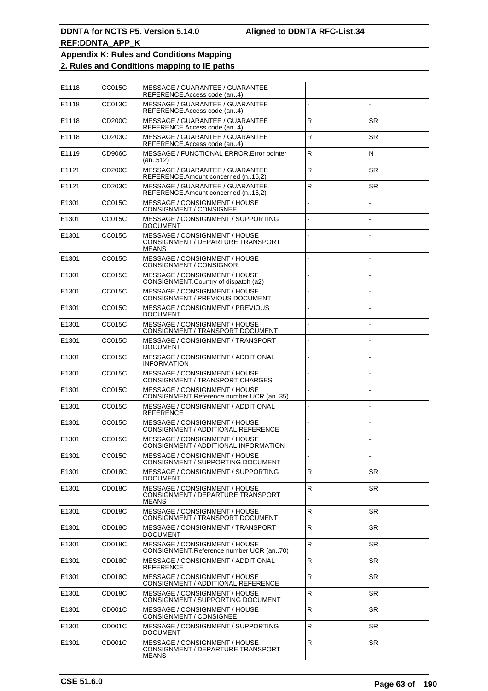| E1118 | CC015C | MESSAGE / GUARANTEE / GUARANTEE<br>REFERENCE.Access code (an4)                     |              |           |
|-------|--------|------------------------------------------------------------------------------------|--------------|-----------|
| E1118 | CC013C | MESSAGE / GUARANTEE / GUARANTEE<br>REFERENCE.Access code (an4)                     |              |           |
| E1118 | CD200C | <b>MESSAGE / GUARANTEE / GUARANTEE</b><br>REFERENCE.Access code (an4)              | ${\sf R}$    | <b>SR</b> |
| E1118 | CD203C | MESSAGE / GUARANTEE / GUARANTEE<br>REFERENCE.Access code (an4)                     | ${\sf R}$    | <b>SR</b> |
| E1119 | CD906C | MESSAGE / FUNCTIONAL ERROR.Error pointer<br>(an512)                                | ${\sf R}$    | N         |
| E1121 | CD200C | MESSAGE / GUARANTEE / GUARANTEE<br>REFERENCE.Amount concerned (n16,2)              | ${\sf R}$    | <b>SR</b> |
| E1121 | CD203C | MESSAGE / GUARANTEE / GUARANTEE<br>REFERENCE.Amount concerned (n16.2)              | ${\sf R}$    | <b>SR</b> |
| E1301 | CC015C | MESSAGE / CONSIGNMENT / HOUSE<br>CONSIGNMENT / CONSIGNEE                           |              |           |
| E1301 | CC015C | MESSAGE / CONSIGNMENT / SUPPORTING<br>DOCUMENT                                     |              |           |
| E1301 | CC015C | MESSAGE / CONSIGNMENT / HOUSE<br>CONSIGNMENT / DEPARTURE TRANSPORT<br><b>MEANS</b> |              |           |
| E1301 | CC015C | MESSAGE / CONSIGNMENT / HOUSE<br>CONSIGNMENT / CONSIGNOR                           |              |           |
| E1301 | CC015C | MESSAGE / CONSIGNMENT / HOUSE<br>CONSIGNMENT.Country of dispatch (a2)              |              |           |
| E1301 | CC015C | MESSAGE / CONSIGNMENT / HOUSE<br>CONSIGNMENT / PREVIOUS DOCUMENT                   |              |           |
| E1301 | CC015C | MESSAGE / CONSIGNMENT / PREVIOUS<br><b>DOCUMENT</b>                                |              |           |
| E1301 | CC015C | MESSAGE / CONSIGNMENT / HOUSE<br>CONSIGNMENT / TRANSPORT DOCUMENT                  |              |           |
| E1301 | CC015C | MESSAGE / CONSIGNMENT / TRANSPORT<br>DOCUMENT                                      |              |           |
| E1301 | CC015C | MESSAGE / CONSIGNMENT / ADDITIONAL<br><b>INFORMATION</b>                           |              |           |
| E1301 | CC015C | MESSAGE / CONSIGNMENT / HOUSE<br>CONSIGNMENT / TRANSPORT CHARGES                   |              |           |
| E1301 | CC015C | MESSAGE / CONSIGNMENT / HOUSE<br>CONSIGNMENT.Reference number UCR (an35)           |              |           |
| E1301 | CC015C | MESSAGE / CONSIGNMENT / ADDITIONAL<br><b>REFERENCE</b>                             |              |           |
| E1301 | CC015C | MESSAGE / CONSIGNMENT / HOUSE<br>CONSIGNMENT / ADDITIONAL REFERENCE                |              |           |
| E1301 | CC015C | MESSAGE / CONSIGNMENT / HOUSE<br>CONSIGNMENT / ADDITIONAL INFORMATION              |              |           |
| E1301 | CC015C | MESSAGE / CONSIGNMENT / HOUSE<br>CONSIGNMENT / SUPPORTING DOCUMENT                 |              |           |
| E1301 | CD018C | MESSAGE / CONSIGNMENT / SUPPORTING<br>DOCUMENT                                     | R            | <b>SR</b> |
| E1301 | CD018C | MESSAGE / CONSIGNMENT / HOUSE<br>CONSIGNMENT / DEPARTURE TRANSPORT<br><b>MEANS</b> | ${\sf R}$    | <b>SR</b> |
| E1301 | CD018C | MESSAGE / CONSIGNMENT / HOUSE<br>CONSIGNMENT / TRANSPORT DOCUMENT                  | $\mathsf R$  | <b>SR</b> |
| E1301 | CD018C | MESSAGE / CONSIGNMENT / TRANSPORT<br>DOCUMENT                                      | ${\sf R}$    | SR.       |
| E1301 | CD018C | MESSAGE / CONSIGNMENT / HOUSE<br>CONSIGNMENT.Reference number UCR (an70)           | $\mathsf{R}$ | SR.       |
| E1301 | CD018C | MESSAGE / CONSIGNMENT / ADDITIONAL<br>REFERENCE                                    | R            | <b>SR</b> |
| E1301 | CD018C | MESSAGE / CONSIGNMENT / HOUSE<br>CONSIGNMENT / ADDITIONAL REFERENCE                | ${\sf R}$    | SR        |
| E1301 | CD018C | MESSAGE / CONSIGNMENT / HOUSE<br>CONSIGNMENT / SUPPORTING DOCUMENT                 | ${\sf R}$    | SR.       |
| E1301 | CD001C | MESSAGE / CONSIGNMENT / HOUSE<br>CONSIGNMENT / CONSIGNEE                           | R            | <b>SR</b> |
| E1301 | CD001C | MESSAGE / CONSIGNMENT / SUPPORTING<br>DOCUMENT                                     | ${\sf R}$    | SR        |
| E1301 | CD001C | MESSAGE / CONSIGNMENT / HOUSE<br>CONSIGNMENT / DEPARTURE TRANSPORT<br>MEANS        | ${\sf R}$    | SR.       |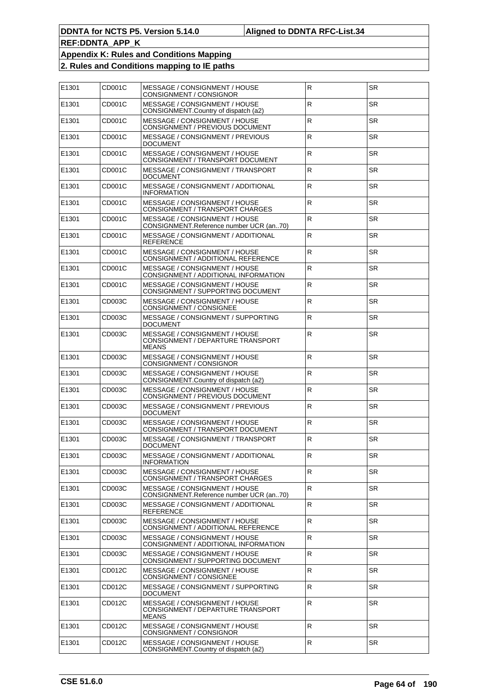| E1301 | CD001C | MESSAGE / CONSIGNMENT / HOUSE<br>CONSIGNMENT / CONSIGNOR                           | $\mathsf R$             | <b>SR</b> |
|-------|--------|------------------------------------------------------------------------------------|-------------------------|-----------|
| E1301 | CD001C | MESSAGE / CONSIGNMENT / HOUSE<br>CONSIGNMENT.Country of dispatch (a2)              | R                       | <b>SR</b> |
| E1301 | CD001C | MESSAGE / CONSIGNMENT / HOUSE<br>CONSIGNMENT / PREVIOUS DOCUMENT                   | $\mathsf{R}$            | <b>SR</b> |
| E1301 | CD001C | MESSAGE / CONSIGNMENT / PREVIOUS<br><b>DOCUMENT</b>                                | $\mathsf R$             | <b>SR</b> |
| E1301 | CD001C | MESSAGE / CONSIGNMENT / HOUSE<br>CONSIGNMENT / TRANSPORT DOCUMENT                  | R                       | <b>SR</b> |
| E1301 | CD001C | MESSAGE / CONSIGNMENT / TRANSPORT<br><b>DOCUMENT</b>                               | $\mathsf{R}$            | <b>SR</b> |
| E1301 | CD001C | MESSAGE / CONSIGNMENT / ADDITIONAL<br><b>INFORMATION</b>                           | R                       | <b>SR</b> |
| E1301 | CD001C | MESSAGE / CONSIGNMENT / HOUSE<br>CONSIGNMENT / TRANSPORT CHARGES                   | $\mathsf R$             | SR.       |
| E1301 | CD001C | MESSAGE / CONSIGNMENT / HOUSE<br>CONSIGNMENT.Reference number UCR (an70)           | $\mathsf{R}$            | <b>SR</b> |
| E1301 | CD001C | MESSAGE / CONSIGNMENT / ADDITIONAL<br><b>REFERENCE</b>                             | $\mathsf R$             | <b>SR</b> |
| E1301 | CD001C | MESSAGE / CONSIGNMENT / HOUSE<br>CONSIGNMENT / ADDITIONAL REFERENCE                | $\overline{R}$          | <b>SR</b> |
| E1301 | CD001C | MESSAGE / CONSIGNMENT / HOUSE<br>CONSIGNMENT / ADDITIONAL INFORMATION              | R                       | <b>SR</b> |
| E1301 | CD001C | MESSAGE / CONSIGNMENT / HOUSE<br>CONSIGNMENT / SUPPORTING DOCUMENT                 | $\mathsf R$             | <b>SR</b> |
| E1301 | CD003C | MESSAGE / CONSIGNMENT / HOUSE<br>CONSIGNMENT / CONSIGNEE                           | $\overline{R}$          | <b>SR</b> |
| E1301 | CD003C | MESSAGE / CONSIGNMENT / SUPPORTING<br>DOCUMENT                                     | R                       | <b>SR</b> |
| E1301 | CD003C | MESSAGE / CONSIGNMENT / HOUSE<br>CONSIGNMENT / DEPARTURE TRANSPORT<br><b>MEANS</b> | $\overline{\mathsf{R}}$ | <b>SR</b> |
| E1301 | CD003C | MESSAGE / CONSIGNMENT / HOUSE<br>CONSIGNMENT / CONSIGNOR                           | R                       | <b>SR</b> |
| E1301 | CD003C | MESSAGE / CONSIGNMENT / HOUSE<br>CONSIGNMENT.Country of dispatch (a2)              | $\overline{\mathsf{R}}$ | <b>SR</b> |
| E1301 | CD003C | MESSAGE / CONSIGNMENT / HOUSE<br>CONSIGNMENT / PREVIOUS DOCUMENT                   | $\mathsf R$             | SR.       |
| E1301 | CD003C | MESSAGE / CONSIGNMENT / PREVIOUS<br>DOCUMENT                                       | R                       | <b>SR</b> |
| E1301 | CD003C | MESSAGE / CONSIGNMENT / HOUSE<br>CONSIGNMENT / TRANSPORT DOCUMENT                  | $\overline{\mathsf{R}}$ | <b>SR</b> |
| E1301 | CD003C | MESSAGE / CONSIGNMENT / TRANSPORT<br><b>DOCUMENT</b>                               | R                       | <b>SR</b> |
| E1301 | CD003C | MESSAGE / CONSIGNMENT / ADDITIONAL<br><b>INFORMATION</b>                           | $\overline{R}$          | <b>SR</b> |
| E1301 | CD003C | MESSAGE / CONSIGNMENT / HOUSE<br>CONSIGNMENT / TRANSPORT CHARGES                   | $\mathsf R$             | <b>SR</b> |
| E1301 | CD003C | MESSAGE / CONSIGNMENT / HOUSE<br>CONSIGNMENT.Reference number UCR (an70)           | R                       | <b>SR</b> |
| E1301 | CD003C | MESSAGE / CONSIGNMENT / ADDITIONAL<br><b>REFERENCE</b>                             | ${\sf R}$               | <b>SR</b> |
| E1301 | CD003C | MESSAGE / CONSIGNMENT / HOUSE<br>CONSIGNMENT / ADDITIONAL REFERENCE                | $\mathsf R$             | <b>SR</b> |
| E1301 | CD003C | MESSAGE / CONSIGNMENT / HOUSE<br>CONSIGNMENT / ADDITIONAL INFORMATION              | ${\sf R}$               | SR.       |
| E1301 | CD003C | MESSAGE / CONSIGNMENT / HOUSE<br>CONSIGNMENT / SUPPORTING DOCUMENT                 | ${\sf R}$               | <b>SR</b> |
| E1301 | CD012C | MESSAGE / CONSIGNMENT / HOUSE<br>CONSIGNMENT / CONSIGNEE                           | ${\sf R}$               | <b>SR</b> |
| E1301 | CD012C | MESSAGE / CONSIGNMENT / SUPPORTING<br>DOCUMENT                                     | R                       | SR.       |
| E1301 | CD012C | MESSAGE / CONSIGNMENT / HOUSE<br>CONSIGNMENT / DEPARTURE TRANSPORT<br><b>MEANS</b> | ${\sf R}$               | <b>SR</b> |
| E1301 | CD012C | MESSAGE / CONSIGNMENT / HOUSE<br>CONSIGNMENT / CONSIGNOR                           | R                       | <b>SR</b> |
| E1301 | CD012C | MESSAGE / CONSIGNMENT / HOUSE<br>CONSIGNMENT.Country of dispatch (a2)              | ${\sf R}$               | <b>SR</b> |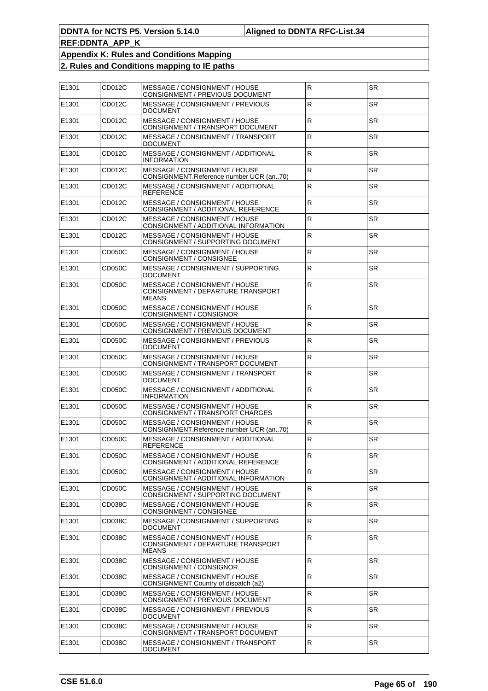| E1301 | CD012C | MESSAGE / CONSIGNMENT / HOUSE<br>CONSIGNMENT / PREVIOUS DOCUMENT                   | $\mathsf{R}$ | <b>SR</b> |
|-------|--------|------------------------------------------------------------------------------------|--------------|-----------|
| E1301 | CD012C | MESSAGE / CONSIGNMENT / PREVIOUS<br><b>DOCUMENT</b>                                | $\mathsf{R}$ | <b>SR</b> |
| E1301 | CD012C | MESSAGE / CONSIGNMENT / HOUSE<br>CONSIGNMENT / TRANSPORT DOCUMENT                  | $\mathsf{R}$ | <b>SR</b> |
| E1301 | CD012C | MESSAGE / CONSIGNMENT / TRANSPORT<br>DOCUMENT                                      | ${\sf R}$    | <b>SR</b> |
| E1301 | CD012C | MESSAGE / CONSIGNMENT / ADDITIONAL<br><b>INFORMATION</b>                           | $\mathsf{R}$ | <b>SR</b> |
| E1301 | CD012C | MESSAGE / CONSIGNMENT / HOUSE<br>CONSIGNMENT.Reference number UCR (an70)           | $\mathsf{R}$ | <b>SR</b> |
| E1301 | CD012C | MESSAGE / CONSIGNMENT / ADDITIONAL<br>REFERENCE                                    | $\mathsf{R}$ | <b>SR</b> |
| E1301 | CD012C | MESSAGE / CONSIGNMENT / HOUSE<br>CONSIGNMENT / ADDITIONAL REFERENCE                | ${\sf R}$    | <b>SR</b> |
| E1301 | CD012C | MESSAGE / CONSIGNMENT / HOUSE<br>CONSIGNMENT / ADDITIONAL INFORMATION              | $\mathsf{R}$ | <b>SR</b> |
| E1301 | CD012C | MESSAGE / CONSIGNMENT / HOUSE<br>CONSIGNMENT / SUPPORTING DOCUMENT                 | ${\sf R}$    | <b>SR</b> |
| E1301 | CD050C | MESSAGE / CONSIGNMENT / HOUSE<br>CONSIGNMENT / CONSIGNEE                           | $\mathsf{R}$ | <b>SR</b> |
| E1301 | CD050C | MESSAGE / CONSIGNMENT / SUPPORTING<br>DOCUMENT                                     | $\mathsf{R}$ | <b>SR</b> |
| E1301 | CD050C | MESSAGE / CONSIGNMENT / HOUSE<br>CONSIGNMENT / DEPARTURE TRANSPORT<br><b>MEANS</b> | $\mathsf{R}$ | <b>SR</b> |
| E1301 | CD050C | MESSAGE / CONSIGNMENT / HOUSE<br>CONSIGNMENT / CONSIGNOR                           | $\mathsf{R}$ | <b>SR</b> |
| E1301 | CD050C | MESSAGE / CONSIGNMENT / HOUSE<br>CONSIGNMENT / PREVIOUS DOCUMENT                   | ${\sf R}$    | <b>SR</b> |
| E1301 | CD050C | MESSAGE / CONSIGNMENT / PREVIOUS<br>DOCUMENT                                       | $\mathsf{R}$ | <b>SR</b> |
| E1301 | CD050C | MESSAGE / CONSIGNMENT / HOUSE<br>CONSIGNMENT / TRANSPORT DOCUMENT                  | $\mathsf{R}$ | <b>SR</b> |
| E1301 | CD050C | MESSAGE / CONSIGNMENT / TRANSPORT<br>DOCUMENT                                      | ${\sf R}$    | <b>SR</b> |
| E1301 | CD050C | MESSAGE / CONSIGNMENT / ADDITIONAL<br><b>INFORMATION</b>                           | ${\sf R}$    | <b>SR</b> |
| E1301 | CD050C | MESSAGE / CONSIGNMENT / HOUSE<br>CONSIGNMENT / TRANSPORT CHARGES                   | $\mathsf{R}$ | <b>SR</b> |
| E1301 | CD050C | MESSAGE / CONSIGNMENT / HOUSE<br>CONSIGNMENT.Reference number UCR (an70)           | ${\sf R}$    | <b>SR</b> |
| E1301 | CD050C | MESSAGE / CONSIGNMENT / ADDITIONAL<br>REFERENCE                                    | ${\sf R}$    | <b>SR</b> |
| E1301 | CD050C | MESSAGE / CONSIGNMENT / HOUSE<br>CONSIGNMENT / ADDITIONAL REFERENCE                | R            | SR        |
| E1301 | CD050C | MESSAGE / CONSIGNMENT / HOUSE<br>CONSIGNMENT / ADDITIONAL INFORMATION              | ${\sf R}$    | <b>SR</b> |
| E1301 | CD050C | MESSAGE / CONSIGNMENT / HOUSE<br>CONSIGNMENT / SUPPORTING DOCUMENT                 | ${\sf R}$    | <b>SR</b> |
| E1301 | CD038C | MESSAGE / CONSIGNMENT / HOUSE<br>CONSIGNMENT / CONSIGNEE                           | R            | SR.       |
| E1301 | CD038C | MESSAGE / CONSIGNMENT / SUPPORTING<br>DOCUMENT                                     | $\mathsf{R}$ | <b>SR</b> |
| E1301 | CD038C | MESSAGE / CONSIGNMENT / HOUSE<br>CONSIGNMENT / DEPARTURE TRANSPORT<br><b>MEANS</b> | ${\sf R}$    | <b>SR</b> |
| E1301 | CD038C | MESSAGE / CONSIGNMENT / HOUSE<br>CONSIGNMENT / CONSIGNOR                           | $\mathsf R$  | <b>SR</b> |
| E1301 | CD038C | MESSAGE / CONSIGNMENT / HOUSE<br>CONSIGNMENT.Country of dispatch (a2)              | ${\sf R}$    | <b>SR</b> |
| E1301 | CD038C | MESSAGE / CONSIGNMENT / HOUSE<br>CONSIGNMENT / PREVIOUS DOCUMENT                   | $\mathsf{R}$ | <b>SR</b> |
| E1301 | CD038C | MESSAGE / CONSIGNMENT / PREVIOUS<br>DOCUMENT                                       | $\mathsf{R}$ | <b>SR</b> |
| E1301 | CD038C | MESSAGE / CONSIGNMENT / HOUSE<br>CONSIGNMENT / TRANSPORT DOCUMENT                  | ${\sf R}$    | <b>SR</b> |
| E1301 | CD038C | MESSAGE / CONSIGNMENT / TRANSPORT<br><b>DOCUMENT</b>                               | R            | SR        |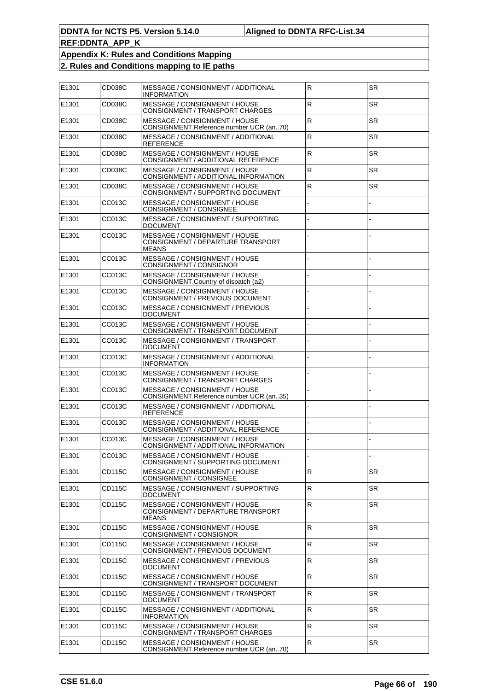| E1301 | CD038C | MESSAGE / CONSIGNMENT / ADDITIONAL<br><b>INFORMATION</b>                           | R              | SR.       |
|-------|--------|------------------------------------------------------------------------------------|----------------|-----------|
| E1301 | CD038C | MESSAGE / CONSIGNMENT / HOUSE<br>CONSIGNMENT / TRANSPORT CHARGES                   | $\mathsf R$    | <b>SR</b> |
| E1301 | CD038C | MESSAGE / CONSIGNMENT / HOUSE<br>CONSIGNMENT.Reference number UCR (an70)           | ${\sf R}$      | <b>SR</b> |
| E1301 | CD038C | MESSAGE / CONSIGNMENT / ADDITIONAL<br><b>REFERENCE</b>                             | R              | SR.       |
| E1301 | CD038C | MESSAGE / CONSIGNMENT / HOUSE<br>CONSIGNMENT / ADDITIONAL REFERENCE                | $\overline{R}$ | <b>SR</b> |
| E1301 | CD038C | MESSAGE / CONSIGNMENT / HOUSE<br>CONSIGNMENT / ADDITIONAL INFORMATION              | $\mathsf R$    | <b>SR</b> |
| E1301 | CD038C | MESSAGE / CONSIGNMENT / HOUSE<br>CONSIGNMENT / SUPPORTING DOCUMENT                 | R              | <b>SR</b> |
| E1301 | CC013C | MESSAGE / CONSIGNMENT / HOUSE<br>CONSIGNMENT / CONSIGNEE                           |                |           |
| E1301 | CC013C | MESSAGE / CONSIGNMENT / SUPPORTING<br>DOCUMENT                                     |                |           |
| E1301 | CC013C | MESSAGE / CONSIGNMENT / HOUSE<br>CONSIGNMENT / DEPARTURE TRANSPORT<br><b>MEANS</b> |                |           |
| E1301 | CC013C | MESSAGE / CONSIGNMENT / HOUSE<br>CONSIGNMENT / CONSIGNOR                           |                |           |
| E1301 | CC013C | MESSAGE / CONSIGNMENT / HOUSE<br>CONSIGNMENT.Country of dispatch (a2)              |                |           |
| E1301 | CC013C | MESSAGE / CONSIGNMENT / HOUSE<br>CONSIGNMENT / PREVIOUS DOCUMENT                   |                |           |
| E1301 | CC013C | MESSAGE / CONSIGNMENT / PREVIOUS<br>DOCUMENT                                       |                |           |
| E1301 | CC013C | MESSAGE / CONSIGNMENT / HOUSE<br>CONSIGNMENT / TRANSPORT DOCUMENT                  |                |           |
| E1301 | CC013C | MESSAGE / CONSIGNMENT / TRANSPORT<br>DOCUMENT                                      |                |           |
| E1301 | CC013C | MESSAGE / CONSIGNMENT / ADDITIONAL<br><b>INFORMATION</b>                           |                |           |
| E1301 | CC013C | MESSAGE / CONSIGNMENT / HOUSE<br>CONSIGNMENT / TRANSPORT CHARGES                   |                |           |
| E1301 | CC013C | MESSAGE / CONSIGNMENT / HOUSE<br>CONSIGNMENT.Reference number UCR (an35)           |                |           |
| E1301 | CC013C | MESSAGE / CONSIGNMENT / ADDITIONAL<br><b>REFERENCE</b>                             |                |           |
| E1301 | CC013C | MESSAGE / CONSIGNMENT / HOUSE<br>CONSIGNMENT / ADDITIONAL REFERENCE                |                |           |
| E1301 | CC013C | MESSAGE / CONSIGNMENT / HOUSE<br>CONSIGNMENT / ADDITIONAL INFORMATION              |                |           |
| E1301 | CC013C | MESSAGE / CONSIGNMENT / HOUSE<br>CONSIGNMENT / SUPPORTING DOCUMENT                 |                |           |
| E1301 | CD115C | MESSAGE / CONSIGNMENT / HOUSE<br>CONSIGNMENT / CONSIGNEE                           | $\mathsf{R}$   | <b>SR</b> |
| E1301 | CD115C | MESSAGE / CONSIGNMENT / SUPPORTING<br><b>DOCUMENT</b>                              | $\overline{R}$ | <b>SR</b> |
| E1301 | CD115C | MESSAGE / CONSIGNMENT / HOUSE<br>CONSIGNMENT / DEPARTURE TRANSPORT<br><b>MEANS</b> | ${\sf R}$      | SR.       |
| E1301 | CD115C | MESSAGE / CONSIGNMENT / HOUSE<br>CONSIGNMENT / CONSIGNOR                           | $\overline{R}$ | <b>SR</b> |
| E1301 | CD115C | MESSAGE / CONSIGNMENT / HOUSE<br>CONSIGNMENT / PREVIOUS DOCUMENT                   | ${\sf R}$      | <b>SR</b> |
| E1301 | CD115C | MESSAGE / CONSIGNMENT / PREVIOUS<br>DOCUMENT                                       | $\overline{R}$ | <b>SR</b> |
| E1301 | CD115C | MESSAGE / CONSIGNMENT / HOUSE<br>CONSIGNMENT / TRANSPORT DOCUMENT                  | ${\sf R}$      | <b>SR</b> |
| E1301 | CD115C | MESSAGE / CONSIGNMENT / TRANSPORT<br><b>DOCUMENT</b>                               | $\overline{R}$ | SR.       |
| E1301 | CD115C | MESSAGE / CONSIGNMENT / ADDITIONAL<br><b>INFORMATION</b>                           | $\overline{R}$ | <b>SR</b> |
| E1301 | CD115C | MESSAGE / CONSIGNMENT / HOUSE<br>CONSIGNMENT / TRANSPORT CHARGES                   | ${\sf R}$      | <b>SR</b> |
| E1301 | CD115C | MESSAGE / CONSIGNMENT / HOUSE<br>CONSIGNMENT.Reference number UCR (an70)           | R              | SR        |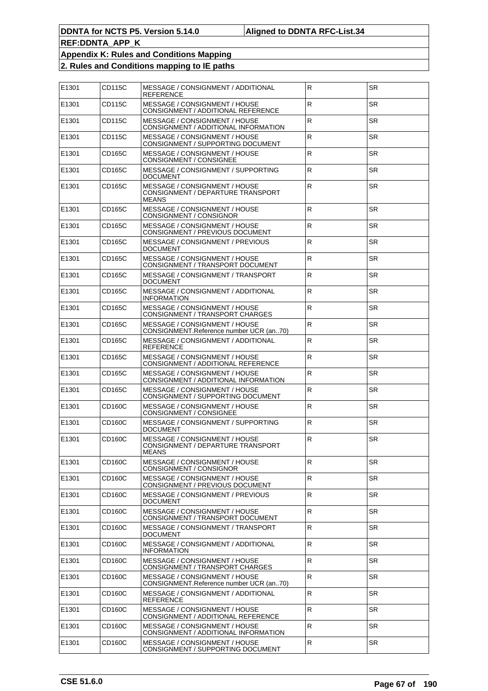| E1301 | CD115C        | MESSAGE / CONSIGNMENT / ADDITIONAL<br><b>REFERENCE</b>                             | $\mathsf R$    | <b>SR</b> |
|-------|---------------|------------------------------------------------------------------------------------|----------------|-----------|
| E1301 | CD115C        | MESSAGE / CONSIGNMENT / HOUSE<br>CONSIGNMENT / ADDITIONAL REFERENCE                | $\mathsf R$    | <b>SR</b> |
| E1301 | CD115C        | MESSAGE / CONSIGNMENT / HOUSE<br>CONSIGNMENT / ADDITIONAL INFORMATION              | ${\sf R}$      | <b>SR</b> |
| E1301 | CD115C        | MESSAGE / CONSIGNMENT / HOUSE<br>CONSIGNMENT / SUPPORTING DOCUMENT                 | $\mathsf R$    | <b>SR</b> |
| E1301 | CD165C        | MESSAGE / CONSIGNMENT / HOUSE<br>CONSIGNMENT / CONSIGNEE                           | $\mathsf{R}$   | <b>SR</b> |
| E1301 | CD165C        | MESSAGE / CONSIGNMENT / SUPPORTING<br><b>DOCUMENT</b>                              | ${\sf R}$      | <b>SR</b> |
| E1301 | CD165C        | MESSAGE / CONSIGNMENT / HOUSE<br>CONSIGNMENT / DEPARTURE TRANSPORT<br><b>MEANS</b> | R              | <b>SR</b> |
| E1301 | CD165C        | MESSAGE / CONSIGNMENT / HOUSE<br>CONSIGNMENT / CONSIGNOR                           | ${\sf R}$      | <b>SR</b> |
| E1301 | CD165C        | MESSAGE / CONSIGNMENT / HOUSE<br>CONSIGNMENT / PREVIOUS DOCUMENT                   | R              | <b>SR</b> |
| E1301 | CD165C        | MESSAGE / CONSIGNMENT / PREVIOUS<br>DOCUMENT                                       | $\mathsf{R}$   | <b>SR</b> |
| E1301 | CD165C        | MESSAGE / CONSIGNMENT / HOUSE<br>CONSIGNMENT / TRANSPORT DOCUMENT                  | ${\sf R}$      | <b>SR</b> |
| E1301 | CD165C        | MESSAGE / CONSIGNMENT / TRANSPORT<br>DOCUMENT                                      | R              | <b>SR</b> |
| E1301 | CD165C        | MESSAGE / CONSIGNMENT / ADDITIONAL<br><b>INFORMATION</b>                           | $\overline{R}$ | <b>SR</b> |
| E1301 | CD165C        | MESSAGE / CONSIGNMENT / HOUSE<br>CONSIGNMENT / TRANSPORT CHARGES                   | ${\sf R}$      | <b>SR</b> |
| E1301 | CD165C        | MESSAGE / CONSIGNMENT / HOUSE<br>CONSIGNMENT.Reference number UCR (an70)           | R              | <b>SR</b> |
| E1301 | CD165C        | MESSAGE / CONSIGNMENT / ADDITIONAL<br><b>REFERENCE</b>                             | $\overline{R}$ | <b>SR</b> |
| E1301 | CD165C        | MESSAGE / CONSIGNMENT / HOUSE<br>CONSIGNMENT / ADDITIONAL REFERENCE                | ${\sf R}$      | <b>SR</b> |
| E1301 | CD165C        | MESSAGE / CONSIGNMENT / HOUSE<br>CONSIGNMENT / ADDITIONAL INFORMATION              | R              | <b>SR</b> |
| E1301 | CD165C        | MESSAGE / CONSIGNMENT / HOUSE<br>CONSIGNMENT / SUPPORTING DOCUMENT                 | $\overline{R}$ | <b>SR</b> |
| E1301 | CD160C        | MESSAGE / CONSIGNMENT / HOUSE<br>CONSIGNMENT / CONSIGNEE                           | ${\sf R}$      | <b>SR</b> |
| E1301 | CD160C        | MESSAGE / CONSIGNMENT / SUPPORTING<br>DOCUMENT                                     | R              | <b>SR</b> |
| E1301 | CD160C        | MESSAGE / CONSIGNMENT / HOUSE<br>CONSIGNMENT / DEPARTURE TRANSPORT<br><b>MEANS</b> | ${\sf R}$      | <b>SR</b> |
| E1301 | CD160C        | MESSAGE / CONSIGNMENT / HOUSE<br>CONSIGNMENT / CONSIGNOR                           | R              | SR.       |
| E1301 | CD160C        | MESSAGE / CONSIGNMENT / HOUSE<br>CONSIGNMENT / PREVIOUS DOCUMENT                   | $\mathsf R$    | <b>SR</b> |
| E1301 | CD160C        | MESSAGE / CONSIGNMENT / PREVIOUS<br><b>DOCUMENT</b>                                | $\mathsf{R}$   | <b>SR</b> |
| E1301 | CD160C        | MESSAGE / CONSIGNMENT / HOUSE<br>CONSIGNMENT / TRANSPORT DOCUMENT                  | $\mathsf{R}$   | SR.       |
| E1301 | CD160C        | MESSAGE / CONSIGNMENT / TRANSPORT<br><b>DOCUMENT</b>                               | $\overline{R}$ | <b>SR</b> |
| E1301 | <b>CD160C</b> | MESSAGE / CONSIGNMENT / ADDITIONAL<br><b>INFORMATION</b>                           | ${\sf R}$      | <b>SR</b> |
| E1301 | CD160C        | MESSAGE / CONSIGNMENT / HOUSE<br>CONSIGNMENT / TRANSPORT CHARGES                   | R              | SR.       |
| E1301 | CD160C        | MESSAGE / CONSIGNMENT / HOUSE<br>CONSIGNMENT. Reference number UCR (an70)          | $\mathsf{R}$   | <b>SR</b> |
| E1301 | <b>CD160C</b> | MESSAGE / CONSIGNMENT / ADDITIONAL<br><b>REFERENCE</b>                             | $\mathsf{R}$   | <b>SR</b> |
| E1301 | CD160C        | MESSAGE / CONSIGNMENT / HOUSE<br>CONSIGNMENT / ADDITIONAL REFERENCE                | $\mathsf{R}$   | SR.       |
| E1301 | CD160C        | MESSAGE / CONSIGNMENT / HOUSE<br>CONSIGNMENT / ADDITIONAL INFORMATION              | R              | <b>SR</b> |
| E1301 | CD160C        | MESSAGE / CONSIGNMENT / HOUSE<br>CONSIGNMENT / SUPPORTING DOCUMENT                 | $\mathsf{R}$   | SR        |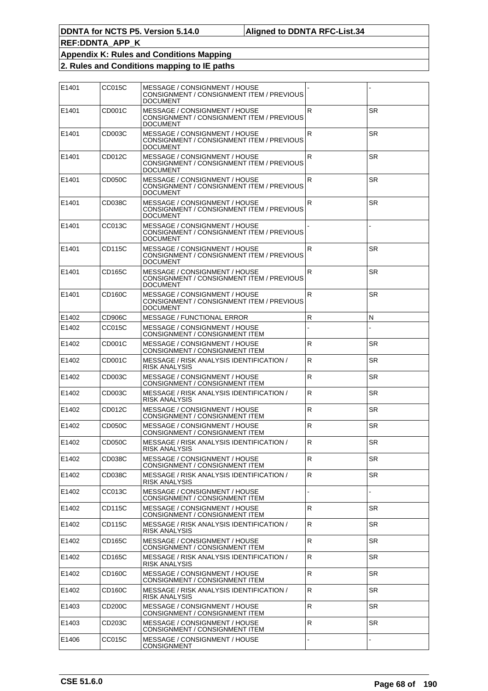| E1401 | CC015C        | MESSAGE / CONSIGNMENT / HOUSE<br>CONSIGNMENT / CONSIGNMENT ITEM / PREVIOUS<br>DOCUMENT        |                |           |
|-------|---------------|-----------------------------------------------------------------------------------------------|----------------|-----------|
| E1401 | CD001C        | MESSAGE / CONSIGNMENT / HOUSE<br>CONSIGNMENT / CONSIGNMENT ITEM / PREVIOUS<br><b>DOCUMENT</b> | R              | <b>SR</b> |
| E1401 | CD003C        | MESSAGE / CONSIGNMENT / HOUSE<br>CONSIGNMENT / CONSIGNMENT ITEM / PREVIOUS<br><b>DOCUMENT</b> | $\mathsf R$    | <b>SR</b> |
| E1401 | CD012C        | MESSAGE / CONSIGNMENT / HOUSE<br>CONSIGNMENT / CONSIGNMENT ITEM / PREVIOUS<br>DOCUMENT        | R              | <b>SR</b> |
| E1401 | CD050C        | MESSAGE / CONSIGNMENT / HOUSE<br>CONSIGNMENT / CONSIGNMENT ITEM / PREVIOUS<br><b>DOCUMENT</b> | R              | <b>SR</b> |
| E1401 | CD038C        | MESSAGE / CONSIGNMENT / HOUSE<br>CONSIGNMENT / CONSIGNMENT ITEM / PREVIOUS<br><b>DOCUMENT</b> | $\overline{R}$ | <b>SR</b> |
| E1401 | CC013C        | MESSAGE / CONSIGNMENT / HOUSE<br>CONSIGNMENT / CONSIGNMENT ITEM / PREVIOUS<br>DOCUMENT        |                |           |
| E1401 | CD115C        | MESSAGE / CONSIGNMENT / HOUSE<br>CONSIGNMENT / CONSIGNMENT ITEM / PREVIOUS<br><b>DOCUMENT</b> | R              | <b>SR</b> |
| E1401 | CD165C        | MESSAGE / CONSIGNMENT / HOUSE<br>CONSIGNMENT / CONSIGNMENT ITEM / PREVIOUS<br>DOCUMENT        | $\overline{R}$ | <b>SR</b> |
| E1401 | CD160C        | MESSAGE / CONSIGNMENT / HOUSE<br>CONSIGNMENT / CONSIGNMENT ITEM / PREVIOUS<br><b>DOCUMENT</b> | R              | <b>SR</b> |
| E1402 | CD906C        | MESSAGE / FUNCTIONAL ERROR                                                                    | R              | N         |
| E1402 | CC015C        | MESSAGE / CONSIGNMENT / HOUSE<br>CONSIGNMENT / CONSIGNMENT ITEM                               |                |           |
| E1402 | CD001C        | MESSAGE / CONSIGNMENT / HOUSE<br>CONSIGNMENT / CONSIGNMENT ITEM                               | $\overline{R}$ | <b>SR</b> |
| E1402 | CD001C        | MESSAGE / RISK ANALYSIS IDENTIFICATION /<br>RISK ANALYSIS                                     | R              | <b>SR</b> |
| E1402 | CD003C        | MESSAGE / CONSIGNMENT / HOUSE<br>CONSIGNMENT / CONSIGNMENT ITEM                               | R              | SR.       |
| E1402 | CD003C        | MESSAGE / RISK ANALYSIS IDENTIFICATION /<br><b>RISK ANALYSIS</b>                              | $\overline{R}$ | <b>SR</b> |
| E1402 | CD012C        | MESSAGE / CONSIGNMENT / HOUSE<br>CONSIGNMENT / CONSIGNMENT ITEM                               | R              | <b>SR</b> |
| E1402 | CD050C        | MESSAGE / CONSIGNMENT / HOUSE<br>CONSIGNMENT / CONSIGNMENT ITEM                               | R              | SR.       |
| E1402 | <b>CD050C</b> | MESSAGE / RISK ANALYSIS IDENTIFICATION /<br><b>RISK ANALYSIS</b>                              | $\mathsf{R}$   | <b>SR</b> |
| E1402 | CD038C        | MESSAGE / CONSIGNMENT / HOUSE<br>CONSIGNMENT / CONSIGNMENT ITEM                               | $\overline{R}$ | SR        |
| E1402 | CD038C        | MESSAGE / RISK ANALYSIS IDENTIFICATION /<br>RISK ANALYSIS                                     | $\mathsf{R}$   | SR.       |
| E1402 | CC013C        | MESSAGE / CONSIGNMENT / HOUSE<br>CONSIGNMENT / CONSIGNMENT ITEM                               |                |           |
| E1402 | CD115C        | MESSAGE / CONSIGNMENT / HOUSE<br>CONSIGNMENT / CONSIGNMENT ITEM                               | $\mathsf R$    | <b>SR</b> |
| E1402 | CD115C        | MESSAGE / RISK ANALYSIS IDENTIFICATION /<br>RISK ANALYSIS                                     | $\overline{R}$ | <b>SR</b> |
| E1402 | CD165C        | MESSAGE / CONSIGNMENT / HOUSE<br>CONSIGNMENT / CONSIGNMENT ITEM                               | $\overline{R}$ | <b>SR</b> |
| E1402 | CD165C        | MESSAGE / RISK ANALYSIS IDENTIFICATION /<br>RISK ANALYSIS                                     | $\mathsf R$    | <b>SR</b> |
| E1402 | CD160C        | MESSAGE / CONSIGNMENT / HOUSE<br>CONSIGNMENT / CONSIGNMENT ITEM                               | $\mathsf{R}$   | SR.       |
| E1402 | CD160C        | MESSAGE / RISK ANALYSIS IDENTIFICATION /<br>RISK ANALYSIS                                     | $\overline{R}$ | <b>SR</b> |
| E1403 | CD200C        | MESSAGE / CONSIGNMENT / HOUSE<br>CONSIGNMENT / CONSIGNMENT ITEM                               | $\mathsf R$    | <b>SR</b> |
| E1403 | CD203C        | MESSAGE / CONSIGNMENT / HOUSE<br>CONSIGNMENT / CONSIGNMENT ITEM                               | R              | SR.       |
| E1406 | CC015C        | MESSAGE / CONSIGNMENT / HOUSE<br><b>CONSIGNMENT</b>                                           |                |           |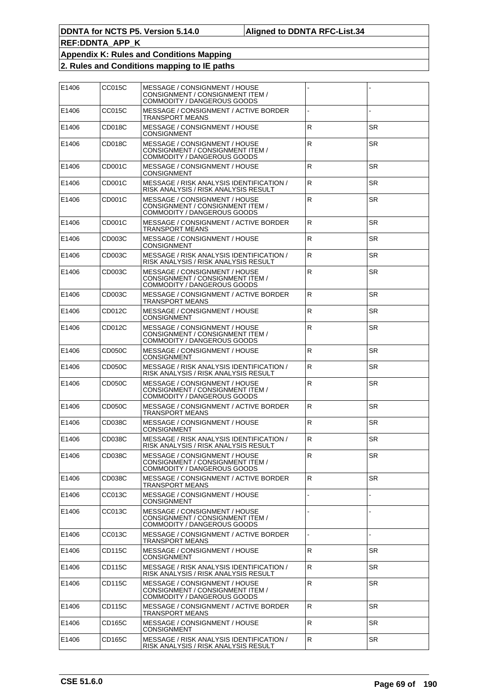| E1406 | CC015C | MESSAGE / CONSIGNMENT / HOUSE<br>CONSIGNMENT / CONSIGNMENT ITEM /<br>COMMODITY / DANGEROUS GOODS |                |           |
|-------|--------|--------------------------------------------------------------------------------------------------|----------------|-----------|
| E1406 | CC015C | MESSAGE / CONSIGNMENT / ACTIVE BORDER<br>TRANSPORT MEANS                                         |                |           |
| E1406 | CD018C | MESSAGE / CONSIGNMENT / HOUSE<br>CONSIGNMENT                                                     | R              | <b>SR</b> |
| E1406 | CD018C | MESSAGE / CONSIGNMENT / HOUSE<br>CONSIGNMENT / CONSIGNMENT ITEM /<br>COMMODITY / DANGEROUS GOODS | $\overline{R}$ | <b>SR</b> |
| E1406 | CD001C | MESSAGE / CONSIGNMENT / HOUSE<br>CONSIGNMENT                                                     | $\mathsf R$    | <b>SR</b> |
| E1406 | CD001C | MESSAGE / RISK ANALYSIS IDENTIFICATION /<br>RISK ANALYSIS / RISK ANALYSIS RESULT                 | R              | <b>SR</b> |
| E1406 | CD001C | MESSAGE / CONSIGNMENT / HOUSE<br>CONSIGNMENT / CONSIGNMENT ITEM /<br>COMMODITY / DANGEROUS GOODS | $\mathsf R$    | <b>SR</b> |
| E1406 | CD001C | MESSAGE / CONSIGNMENT / ACTIVE BORDER<br>TRANSPORT MEANS                                         | R              | <b>SR</b> |
| E1406 | CD003C | MESSAGE / CONSIGNMENT / HOUSE<br><b>CONSIGNMENT</b>                                              | $\mathsf R$    | <b>SR</b> |
| E1406 | CD003C | <b>MESSAGE / RISK ANALYSIS IDENTIFICATION /</b><br>RISK ANALYSIS / RISK ANALYSIS RESULT          | $\overline{R}$ | <b>SR</b> |
| E1406 | CD003C | MESSAGE / CONSIGNMENT / HOUSE<br>CONSIGNMENT / CONSIGNMENT ITEM /<br>COMMODITY / DANGEROUS GOODS | $\mathsf R$    | <b>SR</b> |
| E1406 | CD003C | MESSAGE / CONSIGNMENT / ACTIVE BORDER<br>TRANSPORT MEANS                                         | $\overline{R}$ | <b>SR</b> |
| E1406 | CD012C | MESSAGE / CONSIGNMENT / HOUSE<br>CONSIGNMENT                                                     | $\mathsf R$    | <b>SR</b> |
| E1406 | CD012C | MESSAGE / CONSIGNMENT / HOUSE<br>CONSIGNMENT / CONSIGNMENT ITEM /<br>COMMODITY / DANGEROUS GOODS | $\mathsf R$    | <b>SR</b> |
| E1406 | CD050C | MESSAGE / CONSIGNMENT / HOUSE<br>CONSIGNMENT                                                     | $\overline{R}$ | <b>SR</b> |
| E1406 | CD050C | MESSAGE / RISK ANALYSIS IDENTIFICATION /<br>RISK ANALYSIS / RISK ANALYSIS RESULT                 | $\mathsf R$    | <b>SR</b> |
| E1406 | CD050C | MESSAGE / CONSIGNMENT / HOUSE<br>CONSIGNMENT / CONSIGNMENT ITEM /<br>COMMODITY / DANGEROUS GOODS | $\mathsf{R}$   | <b>SR</b> |
| E1406 | CD050C | MESSAGE / CONSIGNMENT / ACTIVE BORDER<br>TRANSPORT MEANS                                         | $\mathsf R$    | <b>SR</b> |
| E1406 | CD038C | MESSAGE / CONSIGNMENT / HOUSE<br>CONSIGNMENT                                                     | $\overline{R}$ | <b>SR</b> |
| E1406 | CD038C | MESSAGE / RISK ANALYSIS IDENTIFICATION /<br>RISK ANALYSIS / RISK ANALYSIS RESULT                 | R              | <b>SR</b> |
| E1406 | CD038C | MESSAGE / CONSIGNMENT / HOUSE<br>CONSIGNMENT / CONSIGNMENT ITEM /<br>COMMODITY / DANGEROUS GOODS | $\mathsf R$    | SR        |
| E1406 | CD038C | MESSAGE / CONSIGNMENT / ACTIVE BORDER<br>TRANSPORT MEANS                                         | R.             | <b>SR</b> |
| E1406 | CC013C | MESSAGE / CONSIGNMENT / HOUSE<br><b>CONSIGNMENT</b>                                              |                |           |
| E1406 | CC013C | MESSAGE / CONSIGNMENT / HOUSE<br>CONSIGNMENT / CONSIGNMENT ITEM /<br>COMMODITY / DANGEROUS GOODS |                |           |
| E1406 | CC013C | MESSAGE / CONSIGNMENT / ACTIVE BORDER<br><b>TRANSPORT MEANS</b>                                  |                |           |
| E1406 | CD115C | MESSAGE / CONSIGNMENT / HOUSE<br>CONSIGNMENT                                                     | $\overline{R}$ | SR.       |
| E1406 | CD115C | MESSAGE / RISK ANALYSIS IDENTIFICATION /<br>RISK ANALYSIS / RISK ANALYSIS RESULT                 | $\overline{R}$ | <b>SR</b> |
| E1406 | CD115C | MESSAGE / CONSIGNMENT / HOUSE<br>CONSIGNMENT / CONSIGNMENT ITEM /<br>COMMODITY / DANGEROUS GOODS | R              | <b>SR</b> |
| E1406 | CD115C | MESSAGE / CONSIGNMENT / ACTIVE BORDER<br>TRANSPORT MEANS                                         | R              | <b>SR</b> |
| E1406 | CD165C | MESSAGE / CONSIGNMENT / HOUSE<br><b>CONSIGNMENT</b>                                              | R              | <b>SR</b> |
| E1406 | CD165C | MESSAGE / RISK ANALYSIS IDENTIFICATION /<br>RISK ANALYSIS / RISK ANALYSIS RESULT                 | $\mathsf R$    | SR.       |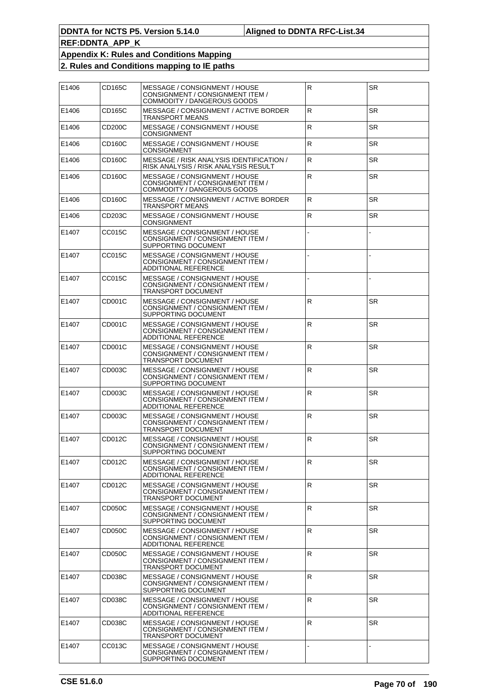| E1406 | CD165C | MESSAGE / CONSIGNMENT / HOUSE<br>CONSIGNMENT / CONSIGNMENT ITEM /<br>COMMODITY / DANGEROUS GOODS | ${\sf R}$    | <b>SR</b> |
|-------|--------|--------------------------------------------------------------------------------------------------|--------------|-----------|
| E1406 | CD165C | MESSAGE / CONSIGNMENT / ACTIVE BORDER<br>TRANSPORT MEANS                                         | $\mathsf R$  | <b>SR</b> |
| E1406 | CD200C | MESSAGE / CONSIGNMENT / HOUSE<br>CONSIGNMENT                                                     | ${\sf R}$    | SR.       |
| E1406 | CD160C | MESSAGE / CONSIGNMENT / HOUSE<br>CONSIGNMENT                                                     | ${\sf R}$    | <b>SR</b> |
| E1406 | CD160C | MESSAGE / RISK ANALYSIS IDENTIFICATION /<br>RISK ANALYSIS / RISK ANALYSIS RESULT                 | $\mathsf R$  | <b>SR</b> |
| E1406 | CD160C | MESSAGE / CONSIGNMENT / HOUSE<br>CONSIGNMENT / CONSIGNMENT ITEM /<br>COMMODITY / DANGEROUS GOODS | $\mathsf{R}$ | SR.       |
| E1406 | CD160C | MESSAGE / CONSIGNMENT / ACTIVE BORDER<br>TRANSPORT MEANS                                         | $\mathsf R$  | <b>SR</b> |
| E1406 | CD203C | MESSAGE / CONSIGNMENT / HOUSE<br>CONSIGNMENT                                                     | $\mathsf R$  | SR.       |
| E1407 | CC015C | MESSAGE / CONSIGNMENT / HOUSE<br>CONSIGNMENT / CONSIGNMENT ITEM /<br>SUPPORTING DOCUMENT         |              |           |
| E1407 | CC015C | MESSAGE / CONSIGNMENT / HOUSE<br>CONSIGNMENT / CONSIGNMENT ITEM /<br>ADDITIONAL REFERENCE        |              |           |
| E1407 | CC015C | MESSAGE / CONSIGNMENT / HOUSE<br>CONSIGNMENT / CONSIGNMENT ITEM /<br>TRANSPORT DOCUMENT          |              |           |
| E1407 | CD001C | MESSAGE / CONSIGNMENT / HOUSE<br>CONSIGNMENT / CONSIGNMENT ITEM /<br>SUPPORTING DOCUMENT         | ${\sf R}$    | <b>SR</b> |
| E1407 | CD001C | MESSAGE / CONSIGNMENT / HOUSE<br>CONSIGNMENT / CONSIGNMENT ITEM /<br>ADDITIONAL REFERENCE        | $\mathsf{R}$ | <b>SR</b> |
| E1407 | CD001C | MESSAGE / CONSIGNMENT / HOUSE<br>CONSIGNMENT / CONSIGNMENT ITEM /<br>TRANSPORT DOCUMENT          | ${\sf R}$    | <b>SR</b> |
| E1407 | CD003C | MESSAGE / CONSIGNMENT / HOUSE<br>CONSIGNMENT / CONSIGNMENT ITEM /<br>SUPPORTING DOCUMENT         | ${\sf R}$    | SR.       |
| E1407 | CD003C | MESSAGE / CONSIGNMENT / HOUSE<br>CONSIGNMENT / CONSIGNMENT ITEM /<br>ADDITIONAL REFERENCE        | $\mathsf{R}$ | <b>SR</b> |
| E1407 | CD003C | MESSAGE / CONSIGNMENT / HOUSE<br>CONSIGNMENT / CONSIGNMENT ITEM /<br><b>TRANSPORT DOCUMENT</b>   | ${\sf R}$    | <b>SR</b> |
| E1407 | CD012C | MESSAGE / CONSIGNMENT / HOUSE<br>CONSIGNMENT / CONSIGNMENT ITEM /<br>SUPPORTING DOCUMENT         | $\mathsf R$  | <b>SR</b> |
| E1407 | CD012C | MESSAGE / CONSIGNMENT / HOUSE<br>CONSIGNMENT / CONSIGNMENT ITEM /<br>ADDITIONAL REFERENCE        | R            | SR.       |
| E1407 | CD012C | MESSAGE / CONSIGNMENT / HOUSE<br>CONSIGNMENT / CONSIGNMENT ITEM /<br>TRANSPORT DOCUMENT          | $\mathsf R$  | <b>SR</b> |
| E1407 | CD050C | MESSAGE / CONSIGNMENT / HOUSE<br>CONSIGNMENT / CONSIGNMENT ITEM /<br>SUPPORTING DOCUMENT         | ${\sf R}$    | <b>SR</b> |
| E1407 | CD050C | MESSAGE / CONSIGNMENT / HOUSE<br>CONSIGNMENT / CONSIGNMENT ITEM /<br>ADDITIONAL REFERENCE        | $\mathsf R$  | <b>SR</b> |
| E1407 | CD050C | MESSAGE / CONSIGNMENT / HOUSE<br>CONSIGNMENT / CONSIGNMENT ITEM /<br>TRANSPORT DOCUMENT          | ${\sf R}$    | SR.       |
| E1407 | CD038C | MESSAGE / CONSIGNMENT / HOUSE<br>CONSIGNMENT / CONSIGNMENT ITEM /<br>SUPPORTING DOCUMENT         | $\mathsf R$  | <b>SR</b> |
| E1407 | CD038C | MESSAGE / CONSIGNMENT / HOUSE<br>CONSIGNMENT / CONSIGNMENT ITEM /<br>ADDITIONAL REFERENCE        | $\mathsf R$  | SR.       |
| E1407 | CD038C | MESSAGE / CONSIGNMENT / HOUSE<br>CONSIGNMENT / CONSIGNMENT ITEM /<br>TRANSPORT DOCUMENT          | $\mathsf{R}$ | SR        |
| E1407 | CC013C | MESSAGE / CONSIGNMENT / HOUSE<br>CONSIGNMENT / CONSIGNMENT ITEM /<br>SUPPORTING DOCUMENT         |              |           |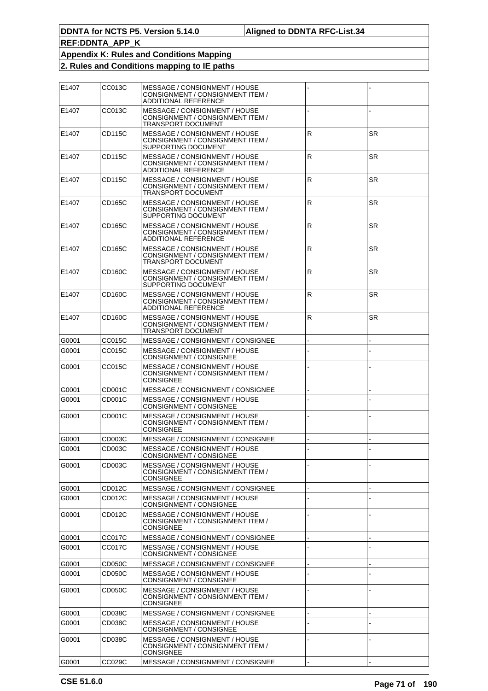| E1407 | CC013C        | MESSAGE / CONSIGNMENT / HOUSE<br>CONSIGNMENT / CONSIGNMENT ITEM /<br><b>ADDITIONAL REFERENCE</b> |                |           |
|-------|---------------|--------------------------------------------------------------------------------------------------|----------------|-----------|
| E1407 | CC013C        | MESSAGE / CONSIGNMENT / HOUSE<br>CONSIGNMENT / CONSIGNMENT ITEM /<br>TRANSPORT DOCUMENT          |                |           |
| E1407 | CD115C        | MESSAGE / CONSIGNMENT / HOUSE<br>CONSIGNMENT / CONSIGNMENT ITEM /<br>SUPPORTING DOCUMENT         | $\mathsf R$    | <b>SR</b> |
| E1407 | CD115C        | MESSAGE / CONSIGNMENT / HOUSE<br>CONSIGNMENT / CONSIGNMENT ITEM /<br>ADDITIONAL REFERENCE        | R              | <b>SR</b> |
| E1407 | CD115C        | MESSAGE / CONSIGNMENT / HOUSE<br>CONSIGNMENT / CONSIGNMENT ITEM /<br>TRANSPORT DOCUMENT          | $\mathsf R$    | <b>SR</b> |
| E1407 | CD165C        | MESSAGE / CONSIGNMENT / HOUSE<br>CONSIGNMENT / CONSIGNMENT ITEM /<br>SUPPORTING DOCUMENT         | $\mathsf R$    | <b>SR</b> |
| E1407 | CD165C        | MESSAGE / CONSIGNMENT / HOUSE<br>CONSIGNMENT / CONSIGNMENT ITEM /<br>ADDITIONAL REFERENCE        | R              | <b>SR</b> |
| E1407 | CD165C        | MESSAGE / CONSIGNMENT / HOUSE<br>CONSIGNMENT / CONSIGNMENT ITEM /<br><b>TRANSPORT DOCUMENT</b>   | $\mathsf R$    | <b>SR</b> |
| E1407 | CD160C        | MESSAGE / CONSIGNMENT / HOUSE<br>CONSIGNMENT / CONSIGNMENT ITEM /<br>SUPPORTING DOCUMENT         | $\overline{R}$ | <b>SR</b> |
| E1407 | CD160C        | MESSAGE / CONSIGNMENT / HOUSE<br>CONSIGNMENT / CONSIGNMENT ITEM /<br><b>ADDITIONAL REFERENCE</b> | R              | <b>SR</b> |
| E1407 | CD160C        | MESSAGE / CONSIGNMENT / HOUSE<br>CONSIGNMENT / CONSIGNMENT ITEM /<br><b>TRANSPORT DOCUMENT</b>   | $\mathsf R$    | <b>SR</b> |
| G0001 | CC015C        | MESSAGE / CONSIGNMENT / CONSIGNEE                                                                |                |           |
| G0001 | CC015C        | MESSAGE / CONSIGNMENT / HOUSE<br>CONSIGNMENT / CONSIGNEE                                         |                |           |
| G0001 | CC015C        | MESSAGE / CONSIGNMENT / HOUSE<br>CONSIGNMENT / CONSIGNMENT ITEM /<br><b>CONSIGNEE</b>            |                |           |
| G0001 | CD001C        | MESSAGE / CONSIGNMENT / CONSIGNEE                                                                |                |           |
| G0001 | CD001C        | MESSAGE / CONSIGNMENT / HOUSE<br>CONSIGNMENT / CONSIGNEE                                         |                |           |
| G0001 | CD001C        | MESSAGE / CONSIGNMENT / HOUSE<br>CONSIGNMENT / CONSIGNMENT ITEM /<br><b>CONSIGNEE</b>            |                |           |
| G0001 | CD003C        | MESSAGE / CONSIGNMENT / CONSIGNEE                                                                |                |           |
| G0001 | CD003C        | MESSAGE / CONSIGNMENT / HOUSE<br>CONSIGNMENT / CONSIGNEE                                         |                |           |
| G0001 | CD003C        | MESSAGE / CONSIGNMENT / HOUSE<br>CONSIGNMENT / CONSIGNMENT ITEM /<br><b>CONSIGNEE</b>            |                |           |
| G0001 | CD012C        | MESSAGE / CONSIGNMENT / CONSIGNEE                                                                |                |           |
| G0001 | CD012C        | MESSAGE / CONSIGNMENT / HOUSE<br>CONSIGNMENT / CONSIGNEE                                         |                |           |
| G0001 | CD012C        | MESSAGE / CONSIGNMENT / HOUSE<br>CONSIGNMENT / CONSIGNMENT ITEM /<br><b>CONSIGNEE</b>            |                |           |
| G0001 | <b>CC017C</b> | MESSAGE / CONSIGNMENT / CONSIGNEE                                                                |                |           |
| G0001 | CC017C        | MESSAGE / CONSIGNMENT / HOUSE<br>CONSIGNMENT / CONSIGNEE                                         |                |           |
| G0001 | CD050C        | MESSAGE / CONSIGNMENT / CONSIGNEE                                                                |                |           |
| G0001 | CD050C        | MESSAGE / CONSIGNMENT / HOUSE<br>CONSIGNMENT / CONSIGNEE                                         |                |           |
| G0001 | CD050C        | MESSAGE / CONSIGNMENT / HOUSE<br>CONSIGNMENT / CONSIGNMENT ITEM /<br><b>CONSIGNEE</b>            |                |           |
| G0001 | CD038C        | MESSAGE / CONSIGNMENT / CONSIGNEE                                                                |                |           |
| G0001 | CD038C        | MESSAGE / CONSIGNMENT / HOUSE<br>CONSIGNMENT / CONSIGNEE                                         |                |           |
| G0001 | CD038C        | MESSAGE / CONSIGNMENT / HOUSE<br>CONSIGNMENT / CONSIGNMENT ITEM /<br><b>CONSIGNEE</b>            |                |           |
| G0001 | CC029C        | MESSAGE / CONSIGNMENT / CONSIGNEE                                                                |                |           |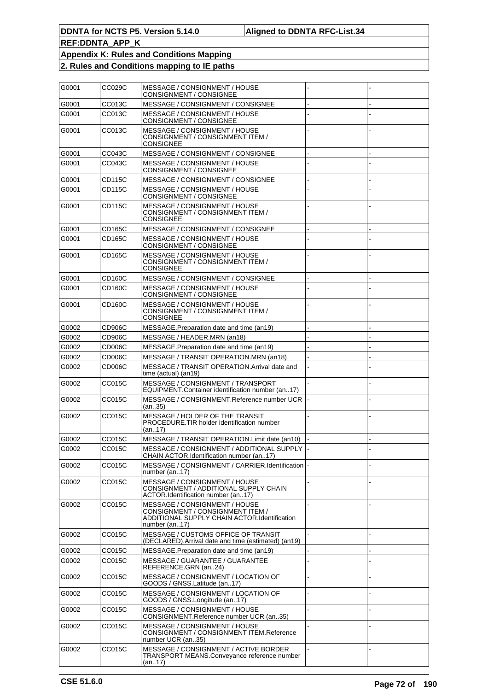| G0001 | CC029C        | MESSAGE / CONSIGNMENT / HOUSE<br>CONSIGNMENT / CONSIGNEE                                                                           |  |
|-------|---------------|------------------------------------------------------------------------------------------------------------------------------------|--|
| G0001 | CC013C        | MESSAGE / CONSIGNMENT / CONSIGNEE                                                                                                  |  |
| G0001 | CC013C        | MESSAGE / CONSIGNMENT / HOUSE<br>CONSIGNMENT / CONSIGNEE                                                                           |  |
| G0001 | CC013C        | MESSAGE / CONSIGNMENT / HOUSE<br>CONSIGNMENT / CONSIGNMENT ITEM /<br><b>CONSIGNEE</b>                                              |  |
| G0001 | CC043C        | MESSAGE / CONSIGNMENT / CONSIGNEE                                                                                                  |  |
| G0001 | CC043C        | MESSAGE / CONSIGNMENT / HOUSE<br>CONSIGNMENT / CONSIGNEE                                                                           |  |
| G0001 | CD115C        | MESSAGE / CONSIGNMENT / CONSIGNEE                                                                                                  |  |
| G0001 | CD115C        | MESSAGE / CONSIGNMENT / HOUSE<br>CONSIGNMENT / CONSIGNEE                                                                           |  |
| G0001 | CD115C        | MESSAGE / CONSIGNMENT / HOUSE<br>CONSIGNMENT / CONSIGNMENT ITEM /<br>CONSIGNEE                                                     |  |
| G0001 | CD165C        | MESSAGE / CONSIGNMENT / CONSIGNEE                                                                                                  |  |
| G0001 | CD165C        | MESSAGE / CONSIGNMENT / HOUSE<br>CONSIGNMENT / CONSIGNEE                                                                           |  |
| G0001 | CD165C        | MESSAGE / CONSIGNMENT / HOUSE<br>CONSIGNMENT / CONSIGNMENT ITEM /<br>CONSIGNEE                                                     |  |
| G0001 | CD160C        | MESSAGE / CONSIGNMENT / CONSIGNEE                                                                                                  |  |
| G0001 | CD160C        | MESSAGE / CONSIGNMENT / HOUSE<br>CONSIGNMENT / CONSIGNEE                                                                           |  |
| G0001 | CD160C        | MESSAGE / CONSIGNMENT / HOUSE<br>CONSIGNMENT / CONSIGNMENT ITEM /<br><b>CONSIGNEE</b>                                              |  |
| G0002 | CD906C        | MESSAGE.Preparation date and time (an19)                                                                                           |  |
| G0002 | CD906C        | MESSAGE / HEADER.MRN (an18)                                                                                                        |  |
| G0002 | CD006C        | MESSAGE.Preparation date and time (an19)                                                                                           |  |
| G0002 | CD006C        | MESSAGE / TRANSIT OPERATION.MRN (an18)                                                                                             |  |
| G0002 | CD006C        | MESSAGE / TRANSIT OPERATION. Arrival date and<br>time (actual) (an19)                                                              |  |
| G0002 | CC015C        | MESSAGE / CONSIGNMENT / TRANSPORT<br>EQUIPMENT.Container identification number (an17)                                              |  |
| G0002 | CC015C        | MESSAGE / CONSIGNMENT.Reference number UCR<br>(an35)                                                                               |  |
| G0002 | CC015C        | MESSAGE / HOLDER OF THE TRANSIT<br>PROCEDURE. TIR holder identification number<br>(an17)                                           |  |
| G0002 | CC015C        | MESSAGE / TRANSIT OPERATION. Limit date (an10)                                                                                     |  |
| G0002 | CC015C        | MESSAGE / CONSIGNMENT / ADDITIONAL SUPPLY<br>CHAIN ACTOR.Identification number (an17)                                              |  |
| G0002 | CC015C        | MESSAGE / CONSIGNMENT / CARRIER.Identification  -<br>number (an17)                                                                 |  |
| G0002 | CC015C        | MESSAGE / CONSIGNMENT / HOUSE<br>CONSIGNMENT / ADDITIONAL SUPPLY CHAIN<br>ACTOR.Identification number (an17)                       |  |
| G0002 | CC015C        | MESSAGE / CONSIGNMENT / HOUSE<br>CONSIGNMENT / CONSIGNMENT ITEM /<br>ADDITIONAL SUPPLY CHAIN ACTOR.Identification<br>number (an17) |  |
| G0002 | <b>CC015C</b> | MESSAGE / CUSTOMS OFFICE OF TRANSIT<br>(DECLARED). Arrival date and time (estimated) (an19)                                        |  |
| G0002 | CC015C        | MESSAGE.Preparation date and time (an19)                                                                                           |  |
| G0002 | CC015C        | MESSAGE / GUARANTEE / GUARANTEE<br>REFERENCE.GRN (an24)                                                                            |  |
| G0002 | CC015C        | MESSAGE / CONSIGNMENT / LOCATION OF<br>GOODS / GNSS.Latitude (an17)                                                                |  |
| G0002 | CC015C        | MESSAGE / CONSIGNMENT / LOCATION OF<br>GOODS / GNSS.Longitude (an17)                                                               |  |
| G0002 | CC015C        | MESSAGE / CONSIGNMENT / HOUSE<br>CONSIGNMENT.Reference number UCR (an35)                                                           |  |
| G0002 | CC015C        | MESSAGE / CONSIGNMENT / HOUSE<br>CONSIGNMENT / CONSIGNMENT ITEM.Reference<br>number UCR (an35)                                     |  |
| G0002 | CC015C        | MESSAGE / CONSIGNMENT / ACTIVE BORDER<br>TRANSPORT MEANS.Conveyance reference number<br>(an17)                                     |  |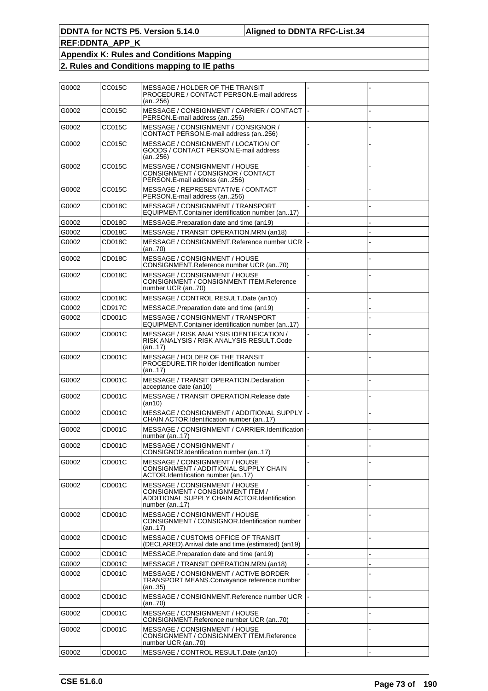| G0002 | CC015C | MESSAGE / HOLDER OF THE TRANSIT<br>PROCEDURE / CONTACT PERSON.E-mail address<br>(an256)                                            |  |
|-------|--------|------------------------------------------------------------------------------------------------------------------------------------|--|
| G0002 | CC015C | MESSAGE / CONSIGNMENT / CARRIER / CONTACT<br>PERSON.E-mail address (an256)                                                         |  |
| G0002 | CC015C | MESSAGE / CONSIGNMENT / CONSIGNOR /<br>CONTACT PERSON.E-mail address (an.,256)                                                     |  |
| G0002 | CC015C | MESSAGE / CONSIGNMENT / LOCATION OF<br>GOODS / CONTACT PERSON.E-mail address<br>(an256)                                            |  |
| G0002 | CC015C | MESSAGE / CONSIGNMENT / HOUSE<br>CONSIGNMENT / CONSIGNOR / CONTACT<br>PERSON.E-mail address (an256)                                |  |
| G0002 | CC015C | MESSAGE / REPRESENTATIVE / CONTACT<br>PERSON.E-mail address (an256)                                                                |  |
| G0002 | CD018C | MESSAGE / CONSIGNMENT / TRANSPORT<br>EQUIPMENT.Container identification number (an17)                                              |  |
| G0002 | CD018C | MESSAGE. Preparation date and time (an19)                                                                                          |  |
| G0002 | CD018C | MESSAGE / TRANSIT OPERATION.MRN (an18)                                                                                             |  |
| G0002 | CD018C | MESSAGE / CONSIGNMENT.Reference number UCR<br>(an70)                                                                               |  |
| G0002 | CD018C | MESSAGE / CONSIGNMENT / HOUSE<br>CONSIGNMENT.Reference number UCR (an70)                                                           |  |
| G0002 | CD018C | MESSAGE / CONSIGNMENT / HOUSE<br>CONSIGNMENT / CONSIGNMENT ITEM.Reference<br>number UCR (an70)                                     |  |
| G0002 | CD018C | MESSAGE / CONTROL RESULT.Date (an10)                                                                                               |  |
| G0002 | CD917C | MESSAGE.Preparation date and time (an19)                                                                                           |  |
| G0002 | CD001C | MESSAGE / CONSIGNMENT / TRANSPORT<br>EQUIPMENT.Container identification number (an17)                                              |  |
| G0002 | CD001C | MESSAGE / RISK ANALYSIS IDENTIFICATION /<br>RISK ANALYSIS / RISK ANALYSIS RESULT.Code<br>(an17)                                    |  |
| G0002 | CD001C | MESSAGE / HOLDER OF THE TRANSIT<br>PROCEDURE.TIR holder identification number<br>(an17)                                            |  |
| G0002 | CD001C | MESSAGE / TRANSIT OPERATION.Declaration<br>acceptance date (an10)                                                                  |  |
| G0002 | CD001C | MESSAGE / TRANSIT OPERATION.Release date<br>(an10)                                                                                 |  |
| G0002 | CD001C | MESSAGE / CONSIGNMENT / ADDITIONAL SUPPLY<br>CHAIN ACTOR.Identification number (an17)                                              |  |
| G0002 | CD001C | MESSAGE / CONSIGNMENT / CARRIER.Identification  -<br>number (an17)                                                                 |  |
| G0002 | CD001C | MESSAGE / CONSIGNMENT /<br>CONSIGNOR.Identification number (an17)                                                                  |  |
| G0002 | CD001C | MESSAGE / CONSIGNMENT / HOUSE<br>CONSIGNMENT / ADDITIONAL SUPPLY CHAIN<br>ACTOR.Identification number (an17)                       |  |
| G0002 | CD001C | MESSAGE / CONSIGNMENT / HOUSE<br>CONSIGNMENT / CONSIGNMENT ITEM /<br>ADDITIONAL SUPPLY CHAIN ACTOR.Identification<br>number (an17) |  |
| G0002 | CD001C | MESSAGE / CONSIGNMENT / HOUSE<br>CONSIGNMENT / CONSIGNOR.Identification number<br>(an17)                                           |  |
| G0002 | CD001C | MESSAGE / CUSTOMS OFFICE OF TRANSIT<br>(DECLARED). Arrival date and time (estimated) (an19)                                        |  |
| G0002 | CD001C | MESSAGE.Preparation date and time (an19)                                                                                           |  |
| G0002 | CD001C | MESSAGE / TRANSIT OPERATION.MRN (an18)                                                                                             |  |
| G0002 | CD001C | MESSAGE / CONSIGNMENT / ACTIVE BORDER<br>TRANSPORT MEANS.Conveyance reference number<br>(an35)                                     |  |
| G0002 | CD001C | MESSAGE / CONSIGNMENT.Reference number UCR<br>(an70)                                                                               |  |
| G0002 | CD001C | MESSAGE / CONSIGNMENT / HOUSE<br>CONSIGNMENT.Reference number UCR (an70)                                                           |  |
| G0002 | CD001C | MESSAGE / CONSIGNMENT / HOUSE<br>CONSIGNMENT / CONSIGNMENT ITEM.Reference<br>number UCR (an70)                                     |  |
| G0002 | CD001C | MESSAGE / CONTROL RESULT.Date (an10)                                                                                               |  |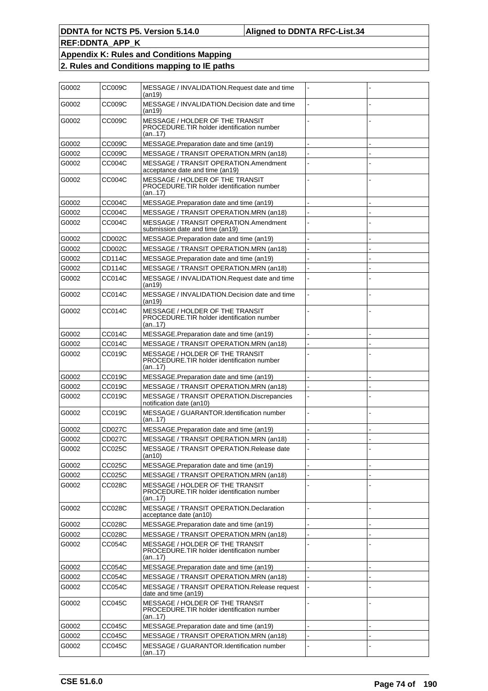| G0002 | CC009C        | MESSAGE / INVALIDATION.Request date and time<br>(an19)                                  |  |
|-------|---------------|-----------------------------------------------------------------------------------------|--|
| G0002 | CC009C        | MESSAGE / INVALIDATION.Decision date and time<br>(an19)                                 |  |
| G0002 | CC009C        | MESSAGE / HOLDER OF THE TRANSIT<br>PROCEDURE.TIR holder identification number<br>(an17) |  |
| G0002 | CC009C        | MESSAGE. Preparation date and time (an19)                                               |  |
| G0002 | <b>CC009C</b> | MESSAGE / TRANSIT OPERATION.MRN (an18)                                                  |  |
| G0002 | CC004C        | MESSAGE / TRANSIT OPERATION.Amendment<br>acceptance date and time (an19)                |  |
| G0002 | CC004C        | MESSAGE / HOLDER OF THE TRANSIT<br>PROCEDURE.TIR holder identification number<br>(an17) |  |
| G0002 | CC004C        | MESSAGE.Preparation date and time (an19)                                                |  |
| G0002 | CC004C        | MESSAGE / TRANSIT OPERATION.MRN (an18)                                                  |  |
| G0002 | CC004C        | MESSAGE / TRANSIT OPERATION.Amendment<br>submission date and time (an19)                |  |
| G0002 | CD002C        | MESSAGE.Preparation date and time (an19)                                                |  |
| G0002 | CD002C        | MESSAGE / TRANSIT OPERATION.MRN (an18)                                                  |  |
| G0002 | CD114C        | MESSAGE.Preparation date and time (an19)                                                |  |
| G0002 | CD114C        | MESSAGE / TRANSIT OPERATION.MRN (an18)                                                  |  |
| G0002 | CC014C        | MESSAGE / INVALIDATION.Request date and time<br>(an19)                                  |  |
| G0002 | CC014C        | MESSAGE / INVALIDATION.Decision date and time<br>(an19)                                 |  |
| G0002 | CC014C        | MESSAGE / HOLDER OF THE TRANSIT<br>PROCEDURE.TIR holder identification number<br>(an17) |  |
| G0002 | CC014C        | MESSAGE. Preparation date and time (an19)                                               |  |
| G0002 | CC014C        | MESSAGE / TRANSIT OPERATION.MRN (an18)                                                  |  |
| G0002 | CC019C        | MESSAGE / HOLDER OF THE TRANSIT<br>PROCEDURE.TIR holder identification number<br>(an17) |  |
| G0002 | CC019C        | MESSAGE.Preparation date and time (an19)                                                |  |
| G0002 | CC019C        | MESSAGE / TRANSIT OPERATION.MRN (an18)                                                  |  |
| G0002 | CC019C        | MESSAGE / TRANSIT OPERATION.Discrepancies<br>notification date (an10)                   |  |
| G0002 | CC019C        | MESSAGE / GUARANTOR.Identification number<br>(an17)                                     |  |
| G0002 | CD027C        | MESSAGE.Preparation date and time (an19)                                                |  |
| G0002 | CD027C        | MESSAGE / TRANSIT OPERATION.MRN (an18)                                                  |  |
| G0002 | CC025C        | MESSAGE / TRANSIT OPERATION.Release date<br>(an10)                                      |  |
| G0002 | CC025C        | MESSAGE.Preparation date and time (an19)                                                |  |
| G0002 | CC025C        | MESSAGE / TRANSIT OPERATION.MRN (an18)                                                  |  |
| G0002 | CC028C        | MESSAGE / HOLDER OF THE TRANSIT<br>PROCEDURE.TIR holder identification number<br>(an17) |  |
| G0002 | CC028C        | MESSAGE / TRANSIT OPERATION.Declaration<br>acceptance date (an10)                       |  |
| G0002 | CC028C        | MESSAGE.Preparation date and time (an19)                                                |  |
| G0002 | CC028C        | MESSAGE / TRANSIT OPERATION.MRN (an18)                                                  |  |
| G0002 | CC054C        | MESSAGE / HOLDER OF THE TRANSIT<br>PROCEDURE.TIR holder identification number<br>(an17) |  |
| G0002 | CC054C        | MESSAGE.Preparation date and time (an19)                                                |  |
| G0002 | CC054C        | MESSAGE / TRANSIT OPERATION.MRN (an18)                                                  |  |
| G0002 | CC054C        | MESSAGE / TRANSIT OPERATION.Release request<br>date and time (an19)                     |  |
| G0002 | CC045C        | MESSAGE / HOLDER OF THE TRANSIT<br>PROCEDURE.TIR holder identification number<br>(an17) |  |
| G0002 | CC045C        | MESSAGE.Preparation date and time (an19)                                                |  |
| G0002 | CC045C        | MESSAGE / TRANSIT OPERATION.MRN (an18)                                                  |  |
| G0002 | CC045C        | MESSAGE / GUARANTOR.Identification number<br>(an17)                                     |  |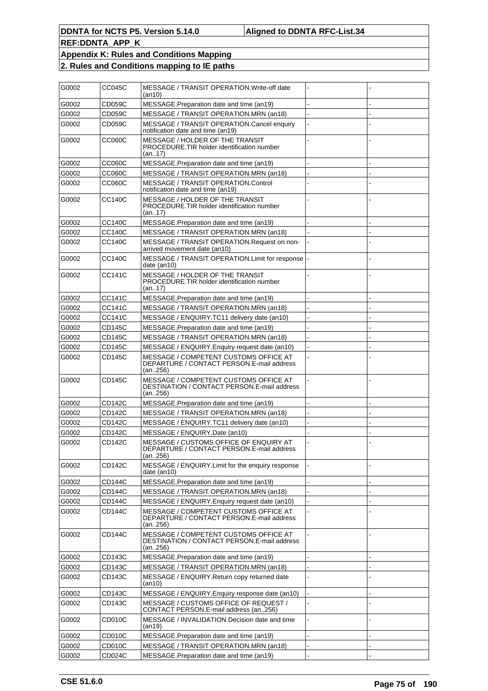| G0002 | CC045C | MESSAGE / TRANSIT OPERATION. Write-off date<br>(an10)                                           |  |
|-------|--------|-------------------------------------------------------------------------------------------------|--|
| G0002 | CD059C | MESSAGE. Preparation date and time (an19)                                                       |  |
| G0002 | CD059C | MESSAGE / TRANSIT OPERATION.MRN (an18)                                                          |  |
| G0002 | CD059C | MESSAGE / TRANSIT OPERATION.Cancel enquiry<br>notification date and time (an19)                 |  |
| G0002 | CC060C | MESSAGE / HOLDER OF THE TRANSIT<br>PROCEDURE.TIR holder identification number<br>(an17)         |  |
| G0002 | CC060C | MESSAGE.Preparation date and time (an19)                                                        |  |
| G0002 | CC060C | MESSAGE / TRANSIT OPERATION.MRN (an18)                                                          |  |
| G0002 | CC060C | MESSAGE / TRANSIT OPERATION.Control<br>notification date and time (an19)                        |  |
| G0002 | CC140C | MESSAGE / HOLDER OF THE TRANSIT<br>PROCEDURE.TIR holder identification number<br>(an17)         |  |
| G0002 | CC140C | MESSAGE.Preparation date and time (an19)                                                        |  |
| G0002 | CC140C | MESSAGE / TRANSIT OPERATION.MRN (an18)                                                          |  |
| G0002 | CC140C | MESSAGE / TRANSIT OPERATION. Request on non-<br>arrived movement date (an10)                    |  |
| G0002 | CC140C | MESSAGE / TRANSIT OPERATION.Limit for response<br>date (an10)                                   |  |
| G0002 | CC141C | MESSAGE / HOLDER OF THE TRANSIT<br>PROCEDURE.TIR holder identification number<br>(an17)         |  |
| G0002 | CC141C | MESSAGE.Preparation date and time (an19)                                                        |  |
| G0002 | CC141C | MESSAGE / TRANSIT OPERATION.MRN (an18)                                                          |  |
| G0002 | CC141C | MESSAGE / ENQUIRY.TC11 delivery date (an10)                                                     |  |
| G0002 | CD145C | MESSAGE.Preparation date and time (an19)                                                        |  |
| G0002 | CD145C | MESSAGE / TRANSIT OPERATION.MRN (an18)                                                          |  |
| G0002 | CD145C | MESSAGE / ENQUIRY. Enquiry request date (an10)                                                  |  |
| G0002 | CD145C | MESSAGE / COMPETENT CUSTOMS OFFICE AT<br>DEPARTURE / CONTACT PERSON.E-mail address<br>(an256)   |  |
| G0002 | CD145C | MESSAGE / COMPETENT CUSTOMS OFFICE AT<br>DESTINATION / CONTACT PERSON.E-mail address<br>(an256) |  |
| G0002 | CD142C | MESSAGE. Preparation date and time (an19)                                                       |  |
| G0002 | CD142C | MESSAGE / TRANSIT OPERATION.MRN (an18)                                                          |  |
| G0002 | CD142C | MESSAGE / ENQUIRY.TC11 delivery date (an10)                                                     |  |
| G0002 | CD142C | MESSAGE / ENQUIRY.Date (an10)                                                                   |  |
| G0002 | CD142C | MESSAGE / CUSTOMS OFFICE OF ENQUIRY AT<br>DEPARTURE / CONTACT PERSON.E-mail address<br>(an256)  |  |
| G0002 | CD142C | MESSAGE / ENQUIRY.Limit for the enquiry response<br>date (an10)                                 |  |
| G0002 | CD144C | MESSAGE. Preparation date and time (an19)                                                       |  |
| G0002 | CD144C | MESSAGE / TRANSIT OPERATION.MRN (an18)                                                          |  |
| G0002 | CD144C | MESSAGE / ENQUIRY. Enquiry request date (an10)                                                  |  |
| G0002 | CD144C | MESSAGE / COMPETENT CUSTOMS OFFICE AT<br>DEPARTURE / CONTACT PERSON.E-mail address<br>(an256)   |  |
| G0002 | CD144C | MESSAGE / COMPETENT CUSTOMS OFFICE AT<br>DESTINATION / CONTACT PERSON.E-mail address<br>(an256) |  |
| G0002 | CD143C | MESSAGE. Preparation date and time (an19)                                                       |  |
| G0002 | CD143C | MESSAGE / TRANSIT OPERATION.MRN (an18)                                                          |  |
| G0002 | CD143C | MESSAGE / ENQUIRY.Return copy returned date<br>(an10)                                           |  |
| G0002 | CD143C | MESSAGE / ENQUIRY. Enquiry response date (an10)                                                 |  |
| G0002 | CD143C | MESSAGE / CUSTOMS OFFICE OF REQUEST /<br>CONTACT PERSON.E-mail address (an256)                  |  |
| G0002 | CD010C | MESSAGE / INVALIDATION. Decision date and time<br>(an19)                                        |  |
| G0002 | CD010C | MESSAGE. Preparation date and time (an19)                                                       |  |
| G0002 | CD010C | MESSAGE / TRANSIT OPERATION.MRN (an18)                                                          |  |
| G0002 | CD024C | MESSAGE. Preparation date and time (an19)                                                       |  |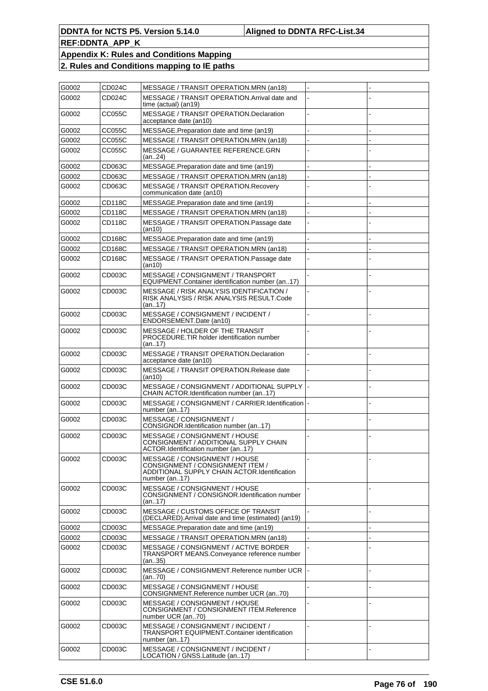| G0002 | CD024C | MESSAGE / TRANSIT OPERATION.MRN (an18)                                                                                             |  |
|-------|--------|------------------------------------------------------------------------------------------------------------------------------------|--|
| G0002 | CD024C | MESSAGE / TRANSIT OPERATION.Arrival date and<br>time (actual) (an19)                                                               |  |
| G0002 | CC055C | MESSAGE / TRANSIT OPERATION. Declaration<br>acceptance date (an10)                                                                 |  |
| G0002 | CC055C | MESSAGE.Preparation date and time (an19)                                                                                           |  |
| G0002 | CC055C | MESSAGE / TRANSIT OPERATION.MRN (an18)                                                                                             |  |
| G0002 | CC055C | MESSAGE / GUARANTEE REFERENCE.GRN<br>(an24)                                                                                        |  |
| G0002 | CD063C | MESSAGE. Preparation date and time (an19)                                                                                          |  |
| G0002 | CD063C | MESSAGE / TRANSIT OPERATION.MRN (an18)                                                                                             |  |
| G0002 | CD063C | MESSAGE / TRANSIT OPERATION.Recovery<br>communication date (an10)                                                                  |  |
| G0002 | CD118C | MESSAGE. Preparation date and time (an19)                                                                                          |  |
| G0002 | CD118C | MESSAGE / TRANSIT OPERATION.MRN (an18)                                                                                             |  |
| G0002 | CD118C | MESSAGE / TRANSIT OPERATION. Passage date<br>(an10)                                                                                |  |
| G0002 | CD168C | MESSAGE.Preparation date and time (an19)                                                                                           |  |
| G0002 | CD168C | MESSAGE / TRANSIT OPERATION.MRN (an18)                                                                                             |  |
| G0002 | CD168C | MESSAGE / TRANSIT OPERATION.Passage date<br>(an10)                                                                                 |  |
| G0002 | CD003C | MESSAGE / CONSIGNMENT / TRANSPORT<br>EQUIPMENT.Container identification number (an17)                                              |  |
| G0002 | CD003C | MESSAGE / RISK ANALYSIS IDENTIFICATION /<br>RISK ANALYSIS / RISK ANALYSIS RESULT.Code<br>(an17)                                    |  |
| G0002 | CD003C | MESSAGE / CONSIGNMENT / INCIDENT /<br>ENDORSEMENT.Date (an10)                                                                      |  |
| G0002 | CD003C | MESSAGE / HOLDER OF THE TRANSIT<br>PROCEDURE.TIR holder identification number<br>(an17)                                            |  |
| G0002 | CD003C | MESSAGE / TRANSIT OPERATION.Declaration<br>acceptance date (an10)                                                                  |  |
| G0002 | CD003C | MESSAGE / TRANSIT OPERATION.Release date<br>(an10)                                                                                 |  |
| G0002 | CD003C | MESSAGE / CONSIGNMENT / ADDITIONAL SUPPLY<br>CHAIN ACTOR.Identification number (an17)                                              |  |
| G0002 | CD003C | MESSAGE / CONSIGNMENT / CARRIER.Identification<br>number (an17)                                                                    |  |
| G0002 | CD003C | MESSAGE / CONSIGNMENT /<br>CONSIGNOR.Identification number (an17)                                                                  |  |
| G0002 | CD003C | MESSAGE / CONSIGNMENT / HOUSE<br>CONSIGNMENT / ADDITIONAL SUPPLY CHAIN<br>ACTOR.Identification number (an17)                       |  |
| G0002 | CD003C | MESSAGE / CONSIGNMENT / HOUSE<br>CONSIGNMENT / CONSIGNMENT ITEM /<br>ADDITIONAL SUPPLY CHAIN ACTOR.Identification<br>number (an17) |  |
| G0002 | CD003C | MESSAGE / CONSIGNMENT / HOUSE<br>CONSIGNMENT / CONSIGNOR.Identification number<br>(an17)                                           |  |
| G0002 | CD003C | MESSAGE / CUSTOMS OFFICE OF TRANSIT<br>(DECLARED). Arrival date and time (estimated) (an19)                                        |  |
| G0002 | CD003C | MESSAGE.Preparation date and time (an19)                                                                                           |  |
| G0002 | CD003C | MESSAGE / TRANSIT OPERATION.MRN (an18)                                                                                             |  |
| G0002 | CD003C | MESSAGE / CONSIGNMENT / ACTIVE BORDER<br>TRANSPORT MEANS.Conveyance reference number<br>(an35)                                     |  |
| G0002 | CD003C | MESSAGE / CONSIGNMENT.Reference number UCR<br>(an70)                                                                               |  |
| G0002 | CD003C | MESSAGE / CONSIGNMENT / HOUSE<br>CONSIGNMENT.Reference number UCR (an70)                                                           |  |
| G0002 | CD003C | MESSAGE / CONSIGNMENT / HOUSE<br>CONSIGNMENT / CONSIGNMENT ITEM.Reference<br>number UCR (an70)                                     |  |
| G0002 | CD003C | MESSAGE / CONSIGNMENT / INCIDENT /<br>TRANSPORT EQUIPMENT.Container identification<br>number (an17)                                |  |
| G0002 | CD003C | MESSAGE / CONSIGNMENT / INCIDENT /<br>LOCATION / GNSS.Latitude (an17)                                                              |  |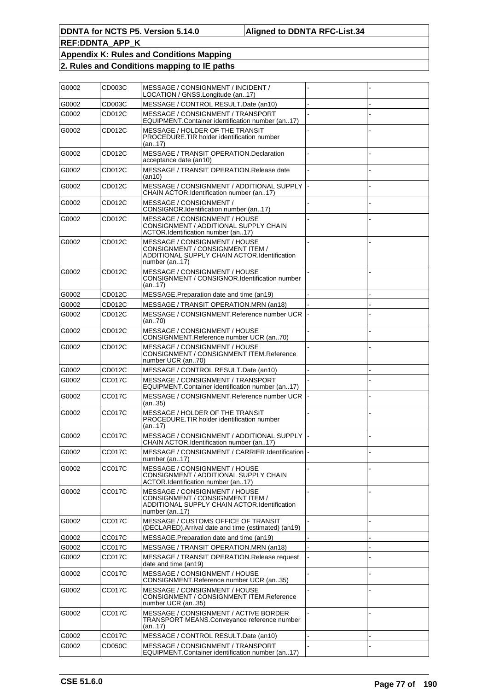| G0002 | CD003C        | MESSAGE / CONSIGNMENT / INCIDENT /<br>LOCATION / GNSS.Longitude (an17)                                                             |  |
|-------|---------------|------------------------------------------------------------------------------------------------------------------------------------|--|
| G0002 | CD003C        | MESSAGE / CONTROL RESULT.Date (an10)                                                                                               |  |
| G0002 | CD012C        | MESSAGE / CONSIGNMENT / TRANSPORT<br>EQUIPMENT.Container identification number (an17)                                              |  |
| G0002 | CD012C        | MESSAGE / HOLDER OF THE TRANSIT<br>PROCEDURE.TIR holder identification number<br>(an17)                                            |  |
| G0002 | CD012C        | MESSAGE / TRANSIT OPERATION. Declaration<br>acceptance date (an10)                                                                 |  |
| G0002 | CD012C        | MESSAGE / TRANSIT OPERATION.Release date<br>(an10)                                                                                 |  |
| G0002 | CD012C        | MESSAGE / CONSIGNMENT / ADDITIONAL SUPPLY  -<br>CHAIN ACTOR.Identification number (an17)                                           |  |
| G0002 | CD012C        | MESSAGE / CONSIGNMENT /<br>CONSIGNOR.Identification number (an17)                                                                  |  |
| G0002 | CD012C        | MESSAGE / CONSIGNMENT / HOUSE<br>CONSIGNMENT / ADDITIONAL SUPPLY CHAIN<br>ACTOR.Identification number (an17)                       |  |
| G0002 | CD012C        | MESSAGE / CONSIGNMENT / HOUSE<br>CONSIGNMENT / CONSIGNMENT ITEM /<br>ADDITIONAL SUPPLY CHAIN ACTOR.Identification<br>number (an17) |  |
| G0002 | CD012C        | MESSAGE / CONSIGNMENT / HOUSE<br>CONSIGNMENT / CONSIGNOR.Identification number<br>(an17)                                           |  |
| G0002 | CD012C        | MESSAGE. Preparation date and time (an19)                                                                                          |  |
| G0002 | CD012C        | MESSAGE / TRANSIT OPERATION.MRN (an18)                                                                                             |  |
| G0002 | CD012C        | MESSAGE / CONSIGNMENT.Reference number UCR<br>(an70)                                                                               |  |
| G0002 | CD012C        | MESSAGE / CONSIGNMENT / HOUSE<br>CONSIGNMENT.Reference number UCR (an70)                                                           |  |
| G0002 | CD012C        | MESSAGE / CONSIGNMENT / HOUSE<br>CONSIGNMENT / CONSIGNMENT ITEM.Reference<br>number UCR (an70)                                     |  |
| G0002 | CD012C        | MESSAGE / CONTROL RESULT.Date (an10)                                                                                               |  |
| G0002 | CC017C        | MESSAGE / CONSIGNMENT / TRANSPORT<br>EQUIPMENT.Container identification number (an17)                                              |  |
| G0002 | CC017C        | MESSAGE / CONSIGNMENT.Reference number UCR<br>(an35)                                                                               |  |
| G0002 | CC017C        | MESSAGE / HOLDER OF THE TRANSIT<br>PROCEDURE.TIR holder identification number<br>(an17)                                            |  |
| G0002 | CC017C        | MESSAGE / CONSIGNMENT / ADDITIONAL SUPPLY_<br>CHAIN ACTOR.Identification number (an17)                                             |  |
| G0002 | <b>CC017C</b> | MESSAGE / CONSIGNMENT / CARRIER.Identification  -<br>number (an17)                                                                 |  |
| G0002 | CC017C        | MESSAGE / CONSIGNMENT / HOUSE<br>CONSIGNMENT / ADDITIONAL SUPPLY CHAIN<br>ACTOR.Identification number (an17)                       |  |
| G0002 | CC017C        | MESSAGE / CONSIGNMENT / HOUSE<br>CONSIGNMENT / CONSIGNMENT ITEM /<br>ADDITIONAL SUPPLY CHAIN ACTOR.Identification<br>number (an17) |  |
| G0002 | <b>CC017C</b> | MESSAGE / CUSTOMS OFFICE OF TRANSIT<br>(DECLARED). Arrival date and time (estimated) (an19)                                        |  |
| G0002 | CC017C        | MESSAGE.Preparation date and time (an19)                                                                                           |  |
| G0002 | CC017C        | MESSAGE / TRANSIT OPERATION.MRN (an18)                                                                                             |  |
| G0002 | CC017C        | MESSAGE / TRANSIT OPERATION.Release request<br>date and time (an19)                                                                |  |
| G0002 | CC017C        | MESSAGE / CONSIGNMENT / HOUSE<br>CONSIGNMENT.Reference number UCR (an35)                                                           |  |
| G0002 | CC017C        | MESSAGE / CONSIGNMENT / HOUSE<br>CONSIGNMENT / CONSIGNMENT ITEM.Reference<br>number UCR (an35)                                     |  |
| G0002 | CC017C        | MESSAGE / CONSIGNMENT / ACTIVE BORDER<br>TRANSPORT MEANS.Conveyance reference number<br>(an17)                                     |  |
| G0002 | CC017C        | MESSAGE / CONTROL RESULT.Date (an10)                                                                                               |  |
| G0002 | CD050C        | MESSAGE / CONSIGNMENT / TRANSPORT<br>EQUIPMENT.Container identification number (an17)                                              |  |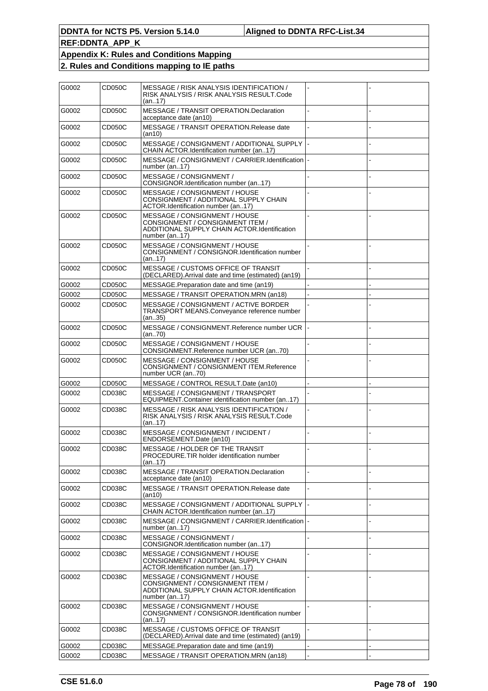| G0002 | CD050C | MESSAGE / RISK ANALYSIS IDENTIFICATION /<br>RISK ANALYSIS / RISK ANALYSIS RESULT.Code<br>(an17)                                    |  |
|-------|--------|------------------------------------------------------------------------------------------------------------------------------------|--|
| G0002 | CD050C | MESSAGE / TRANSIT OPERATION.Declaration<br>acceptance date (an10)                                                                  |  |
| G0002 | CD050C | MESSAGE / TRANSIT OPERATION.Release date<br>(an10)                                                                                 |  |
| G0002 | CD050C | MESSAGE / CONSIGNMENT / ADDITIONAL SUPPLY  <br>CHAIN ACTOR.Identification number (an17)                                            |  |
| G0002 | CD050C | MESSAGE / CONSIGNMENT / CARRIER.Identification<br>number (an17)                                                                    |  |
| G0002 | CD050C | MESSAGE / CONSIGNMENT /<br>CONSIGNOR.Identification number (an17)                                                                  |  |
| G0002 | CD050C | MESSAGE / CONSIGNMENT / HOUSE<br>CONSIGNMENT / ADDITIONAL SUPPLY CHAIN<br>ACTOR.Identification number (an17)                       |  |
| G0002 | CD050C | MESSAGE / CONSIGNMENT / HOUSE<br>CONSIGNMENT / CONSIGNMENT ITEM /<br>ADDITIONAL SUPPLY CHAIN ACTOR.Identification<br>number (an17) |  |
| G0002 | CD050C | MESSAGE / CONSIGNMENT / HOUSE<br>CONSIGNMENT / CONSIGNOR.Identification number<br>(an17)                                           |  |
| G0002 | CD050C | MESSAGE / CUSTOMS OFFICE OF TRANSIT<br>(DECLARED). Arrival date and time (estimated) (an19)                                        |  |
| G0002 | CD050C | MESSAGE. Preparation date and time (an19)                                                                                          |  |
| G0002 | CD050C | MESSAGE / TRANSIT OPERATION.MRN (an18)                                                                                             |  |
| G0002 | CD050C | MESSAGE / CONSIGNMENT / ACTIVE BORDER<br>TRANSPORT MEANS.Conveyance reference number<br>(an35)                                     |  |
| G0002 | CD050C | MESSAGE / CONSIGNMENT.Reference number UCR<br>(an70)                                                                               |  |
| G0002 | CD050C | MESSAGE / CONSIGNMENT / HOUSE<br>CONSIGNMENT.Reference number UCR (an70)                                                           |  |
| G0002 | CD050C | MESSAGE / CONSIGNMENT / HOUSE<br>CONSIGNMENT / CONSIGNMENT ITEM.Reference<br>number UCR (an70)                                     |  |
| G0002 | CD050C | MESSAGE / CONTROL RESULT.Date (an10)                                                                                               |  |
| G0002 | CD038C | MESSAGE / CONSIGNMENT / TRANSPORT<br>EQUIPMENT.Container identification number (an17)                                              |  |
| G0002 | CD038C | MESSAGE / RISK ANALYSIS IDENTIFICATION /<br>RISK ANALYSIS / RISK ANALYSIS RESULT.Code<br>(an17)                                    |  |
| G0002 | CD038C | MESSAGE / CONSIGNMENT / INCIDENT /<br>ENDORSEMENT.Date (an10)                                                                      |  |
| G0002 | CD038C | MESSAGE / HOLDER OF THE TRANSIT<br>PROCEDURE.TIR holder identification number<br>(an17)                                            |  |
| G0002 | CD038C | MESSAGE / TRANSIT OPERATION.Declaration<br>acceptance date (an10)                                                                  |  |
| G0002 | CD038C | MESSAGE / TRANSIT OPERATION.Release date<br>(an10)                                                                                 |  |
| G0002 | CD038C | MESSAGE / CONSIGNMENT / ADDITIONAL SUPPLY  <br>CHAIN ACTOR.Identification number (an17)                                            |  |
| G0002 | CD038C | MESSAGE / CONSIGNMENT / CARRIER.Identification  <br>number (an17)                                                                  |  |
| G0002 | CD038C | MESSAGE / CONSIGNMENT /<br>CONSIGNOR.Identification number (an17)                                                                  |  |
| G0002 | CD038C | MESSAGE / CONSIGNMENT / HOUSE<br>CONSIGNMENT / ADDITIONAL SUPPLY CHAIN<br>ACTOR.Identification number (an17)                       |  |
| G0002 | CD038C | MESSAGE / CONSIGNMENT / HOUSE<br>CONSIGNMENT / CONSIGNMENT ITEM /<br>ADDITIONAL SUPPLY CHAIN ACTOR.Identification<br>number (an17) |  |
| G0002 | CD038C | MESSAGE / CONSIGNMENT / HOUSE<br>CONSIGNMENT / CONSIGNOR.Identification number<br>(an17)                                           |  |
| G0002 | CD038C | MESSAGE / CUSTOMS OFFICE OF TRANSIT<br>(DECLARED). Arrival date and time (estimated) (an19)                                        |  |
| G0002 | CD038C | MESSAGE. Preparation date and time (an19)                                                                                          |  |
| G0002 | CD038C | MESSAGE / TRANSIT OPERATION.MRN (an18)                                                                                             |  |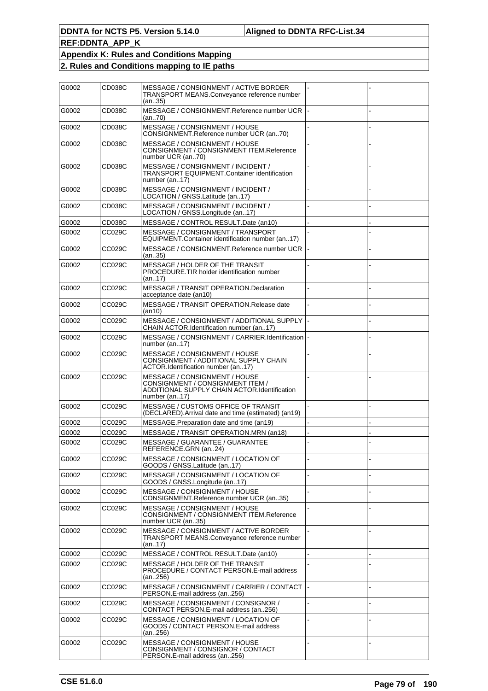| G0002 | CD038C | MESSAGE / CONSIGNMENT / ACTIVE BORDER<br>TRANSPORT MEANS.Conveyance reference number<br>(an35)                                     |  |
|-------|--------|------------------------------------------------------------------------------------------------------------------------------------|--|
| G0002 | CD038C | MESSAGE / CONSIGNMENT.Reference number UCR<br>(an70)                                                                               |  |
| G0002 | CD038C | MESSAGE / CONSIGNMENT / HOUSE<br>CONSIGNMENT.Reference number UCR (an70)                                                           |  |
| G0002 | CD038C | MESSAGE / CONSIGNMENT / HOUSE<br>CONSIGNMENT / CONSIGNMENT ITEM.Reference<br>number UCR (an70)                                     |  |
| G0002 | CD038C | MESSAGE / CONSIGNMENT / INCIDENT /<br>TRANSPORT EQUIPMENT.Container identification<br>number (an17)                                |  |
| G0002 | CD038C | MESSAGE / CONSIGNMENT / INCIDENT /<br>LOCATION / GNSS.Latitude (an17)                                                              |  |
| G0002 | CD038C | MESSAGE / CONSIGNMENT / INCIDENT /<br>LOCATION / GNSS.Longitude (an17)                                                             |  |
| G0002 | CD038C | MESSAGE / CONTROL RESULT.Date (an10)                                                                                               |  |
| G0002 | CC029C | MESSAGE / CONSIGNMENT / TRANSPORT<br>EQUIPMENT.Container identification number (an17)                                              |  |
| G0002 | CC029C | MESSAGE / CONSIGNMENT.Reference number UCR<br>(an35)                                                                               |  |
| G0002 | CC029C | MESSAGE / HOLDER OF THE TRANSIT<br>PROCEDURE.TIR holder identification number<br>(an17)                                            |  |
| G0002 | CC029C | MESSAGE / TRANSIT OPERATION.Declaration<br>acceptance date (an10)                                                                  |  |
| G0002 | CC029C | MESSAGE / TRANSIT OPERATION.Release date<br>(an10)                                                                                 |  |
| G0002 | CC029C | MESSAGE / CONSIGNMENT / ADDITIONAL SUPPLY<br>CHAIN ACTOR.Identification number (an17)                                              |  |
| G0002 | CC029C | MESSAGE / CONSIGNMENT / CARRIER.Identification  <br>number (an17)                                                                  |  |
| G0002 | CC029C | MESSAGE / CONSIGNMENT / HOUSE<br>CONSIGNMENT / ADDITIONAL SUPPLY CHAIN<br>ACTOR.Identification number (an17)                       |  |
| G0002 | CC029C | MESSAGE / CONSIGNMENT / HOUSE<br>CONSIGNMENT / CONSIGNMENT ITEM /<br>ADDITIONAL SUPPLY CHAIN ACTOR.Identification<br>number (an17) |  |
| G0002 | CC029C | MESSAGE / CUSTOMS OFFICE OF TRANSIT<br>(DECLARED). Arrival date and time (estimated) (an19)                                        |  |
| G0002 | CC029C | MESSAGE.Preparation date and time (an19)                                                                                           |  |
| G0002 | CC029C | MESSAGE / TRANSIT OPERATION.MRN (an18)                                                                                             |  |
| G0002 | CC029C | <b>MESSAGE / GUARANTEE / GUARANTEE</b><br>REFERENCE.GRN (an24)                                                                     |  |
| G0002 | CC029C | MESSAGE / CONSIGNMENT / LOCATION OF<br>GOODS / GNSS.Latitude (an17)                                                                |  |
| G0002 | CC029C | MESSAGE / CONSIGNMENT / LOCATION OF<br>GOODS / GNSS.Longitude (an17)                                                               |  |
| G0002 | CC029C | MESSAGE / CONSIGNMENT / HOUSE<br>CONSIGNMENT.Reference number UCR (an35)                                                           |  |
| G0002 | CC029C | MESSAGE / CONSIGNMENT / HOUSE<br>CONSIGNMENT / CONSIGNMENT ITEM.Reference<br>number UCR (an35)                                     |  |
| G0002 | CC029C | MESSAGE / CONSIGNMENT / ACTIVE BORDER<br>TRANSPORT MEANS.Conveyance reference number<br>(an17)                                     |  |
| G0002 | CC029C | MESSAGE / CONTROL RESULT.Date (an10)                                                                                               |  |
| G0002 | CC029C | MESSAGE / HOLDER OF THE TRANSIT<br>PROCEDURE / CONTACT PERSON.E-mail address<br>(an256)                                            |  |
| G0002 | CC029C | MESSAGE / CONSIGNMENT / CARRIER / CONTACT<br>PERSON.E-mail address (an256)                                                         |  |
| G0002 | CC029C | MESSAGE / CONSIGNMENT / CONSIGNOR /<br>CONTACT PERSON.E-mail address (an256)                                                       |  |
| G0002 | CC029C | MESSAGE / CONSIGNMENT / LOCATION OF<br>GOODS / CONTACT PERSON.E-mail address<br>(an256)                                            |  |
| G0002 | CC029C | MESSAGE / CONSIGNMENT / HOUSE<br>CONSIGNMENT / CONSIGNOR / CONTACT<br>PERSON.E-mail address (an256)                                |  |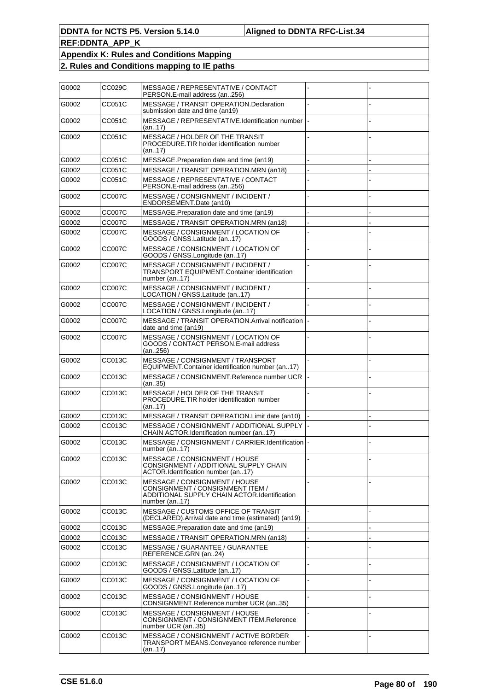| G0002 | CC029C        | MESSAGE / REPRESENTATIVE / CONTACT<br>PERSON.E-mail address (an256)                                                                |  |
|-------|---------------|------------------------------------------------------------------------------------------------------------------------------------|--|
| G0002 | CC051C        | MESSAGE / TRANSIT OPERATION. Declaration<br>submission date and time (an19)                                                        |  |
| G0002 | CC051C        | MESSAGE / REPRESENTATIVE.Identification number<br>(an17)                                                                           |  |
| G0002 | CC051C        | MESSAGE / HOLDER OF THE TRANSIT<br>PROCEDURE.TIR holder identification number<br>(an17)                                            |  |
| G0002 | CC051C        | MESSAGE.Preparation date and time (an19)                                                                                           |  |
| G0002 | CC051C        | MESSAGE / TRANSIT OPERATION.MRN (an18)                                                                                             |  |
| G0002 | CC051C        | MESSAGE / REPRESENTATIVE / CONTACT<br>PERSON.E-mail address (an256)                                                                |  |
| G0002 | CC007C        | MESSAGE / CONSIGNMENT / INCIDENT /<br>ENDORSEMENT.Date (an10)                                                                      |  |
| G0002 | <b>CC007C</b> | MESSAGE. Preparation date and time (an19)                                                                                          |  |
| G0002 | <b>CC007C</b> | MESSAGE / TRANSIT OPERATION.MRN (an18)                                                                                             |  |
| G0002 | CC007C        | MESSAGE / CONSIGNMENT / LOCATION OF<br>GOODS / GNSS.Latitude (an17)                                                                |  |
| G0002 | CC007C        | MESSAGE / CONSIGNMENT / LOCATION OF<br>GOODS / GNSS.Longitude (an17)                                                               |  |
| G0002 | CC007C        | MESSAGE / CONSIGNMENT / INCIDENT /<br><b>TRANSPORT EQUIPMENT.Container identification</b><br>number (an17)                         |  |
| G0002 | <b>CC007C</b> | MESSAGE / CONSIGNMENT / INCIDENT /<br>LOCATION / GNSS.Latitude (an17)                                                              |  |
| G0002 | CC007C        | MESSAGE / CONSIGNMENT / INCIDENT /<br>LOCATION / GNSS.Longitude (an17)                                                             |  |
| G0002 | <b>CC007C</b> | MESSAGE / TRANSIT OPERATION. Arrival notification<br>date and time (an19)                                                          |  |
| G0002 | CC007C        | MESSAGE / CONSIGNMENT / LOCATION OF<br>GOODS / CONTACT PERSON.E-mail address<br>(an256)                                            |  |
| G0002 | CC013C        | MESSAGE / CONSIGNMENT / TRANSPORT<br>EQUIPMENT.Container identification number (an17)                                              |  |
| G0002 | CC013C        | MESSAGE / CONSIGNMENT.Reference number UCR<br>(an35)                                                                               |  |
| G0002 | CC013C        | MESSAGE / HOLDER OF THE TRANSIT<br>PROCEDURE.TIR holder identification number<br>(an17)                                            |  |
| G0002 | CC013C        | MESSAGE / TRANSIT OPERATION.Limit date (an10)                                                                                      |  |
| G0002 | CC013C        | MESSAGE / CONSIGNMENT / ADDITIONAL SUPPLY<br>CHAIN ACTOR.Identification number (an17)                                              |  |
| G0002 | CC013C        | MESSAGE / CONSIGNMENT / CARRIER.Identification  -<br>number $(an17)$                                                               |  |
| G0002 | CC013C        | MESSAGE / CONSIGNMENT / HOUSE<br>CONSIGNMENT / ADDITIONAL SUPPLY CHAIN<br>ACTOR.Identification number (an17)                       |  |
| G0002 | CC013C        | MESSAGE / CONSIGNMENT / HOUSE<br>CONSIGNMENT / CONSIGNMENT ITEM /<br>ADDITIONAL SUPPLY CHAIN ACTOR.Identification<br>number (an17) |  |
| G0002 | CC013C        | <b>MESSAGE / CUSTOMS OFFICE OF TRANSIT</b><br>(DECLARED). Arrival date and time (estimated) (an19)                                 |  |
| G0002 | CC013C        | MESSAGE.Preparation date and time (an19)                                                                                           |  |
| G0002 | CC013C        | MESSAGE / TRANSIT OPERATION.MRN (an18)                                                                                             |  |
| G0002 | CC013C        | MESSAGE / GUARANTEE / GUARANTEE<br>REFERENCE.GRN (an24)                                                                            |  |
| G0002 | CC013C        | MESSAGE / CONSIGNMENT / LOCATION OF<br>GOODS / GNSS.Latitude (an17)                                                                |  |
| G0002 | CC013C        | MESSAGE / CONSIGNMENT / LOCATION OF<br>GOODS / GNSS.Longitude (an17)                                                               |  |
| G0002 | CC013C        | MESSAGE / CONSIGNMENT / HOUSE<br>CONSIGNMENT.Reference number UCR (an35)                                                           |  |
| G0002 | CC013C        | MESSAGE / CONSIGNMENT / HOUSE<br>CONSIGNMENT / CONSIGNMENT ITEM.Reference<br>number UCR (an35)                                     |  |
| G0002 | CC013C        | MESSAGE / CONSIGNMENT / ACTIVE BORDER<br><b>TRANSPORT MEANS.Conveyance reference number</b><br>(an17)                              |  |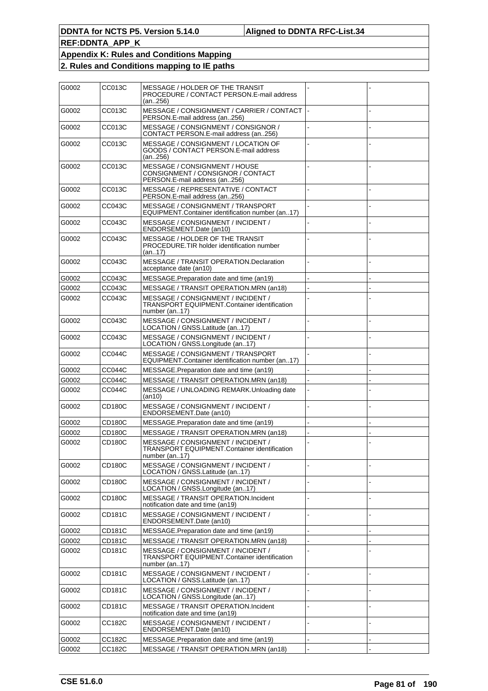| G0002 | CC013C | MESSAGE / HOLDER OF THE TRANSIT<br>PROCEDURE / CONTACT PERSON.E-mail address<br>(an256)                    |  |
|-------|--------|------------------------------------------------------------------------------------------------------------|--|
| G0002 | CC013C | MESSAGE / CONSIGNMENT / CARRIER / CONTACT<br>PERSON.E-mail address (an256)                                 |  |
| G0002 | CC013C | MESSAGE / CONSIGNMENT / CONSIGNOR /<br>CONTACT PERSON.E-mail address (an256)                               |  |
| G0002 | CC013C | MESSAGE / CONSIGNMENT / LOCATION OF<br>GOODS / CONTACT PERSON.E-mail address<br>(an256)                    |  |
| G0002 | CC013C | MESSAGE / CONSIGNMENT / HOUSE<br>CONSIGNMENT / CONSIGNOR / CONTACT<br>PERSON.E-mail address (an256)        |  |
| G0002 | CC013C | MESSAGE / REPRESENTATIVE / CONTACT<br>PERSON.E-mail address (an256)                                        |  |
| G0002 | CC043C | MESSAGE / CONSIGNMENT / TRANSPORT<br>EQUIPMENT.Container identification number (an17)                      |  |
| G0002 | CC043C | MESSAGE / CONSIGNMENT / INCIDENT /<br>ENDORSEMENT.Date (an10)                                              |  |
| G0002 | CC043C | MESSAGE / HOLDER OF THE TRANSIT<br>PROCEDURE.TIR holder identification number<br>(an17)                    |  |
| G0002 | CC043C | MESSAGE / TRANSIT OPERATION.Declaration<br>acceptance date (an10)                                          |  |
| G0002 | CC043C | MESSAGE.Preparation date and time (an19)                                                                   |  |
| G0002 | CC043C | MESSAGE / TRANSIT OPERATION.MRN (an18)                                                                     |  |
| G0002 | CC043C | MESSAGE / CONSIGNMENT / INCIDENT /<br><b>TRANSPORT EQUIPMENT.Container identification</b><br>number (an17) |  |
| G0002 | CC043C | MESSAGE / CONSIGNMENT / INCIDENT /<br>LOCATION / GNSS.Latitude (an17)                                      |  |
| G0002 | CC043C | MESSAGE / CONSIGNMENT / INCIDENT /<br>LOCATION / GNSS.Longitude (an17)                                     |  |
| G0002 | CC044C | MESSAGE / CONSIGNMENT / TRANSPORT<br>EQUIPMENT.Container identification number (an17)                      |  |
| G0002 | CC044C | MESSAGE. Preparation date and time (an19)                                                                  |  |
| G0002 | CC044C | MESSAGE / TRANSIT OPERATION.MRN (an18)                                                                     |  |
| G0002 | CC044C | MESSAGE / UNLOADING REMARK.Unloading date<br>(an10)                                                        |  |
| G0002 | CD180C | MESSAGE / CONSIGNMENT / INCIDENT /<br>ENDORSEMENT.Date (an10)                                              |  |
| G0002 | CD180C | MESSAGE.Preparation date and time (an19)                                                                   |  |
| G0002 | CD180C | MESSAGE / TRANSIT OPERATION.MRN (an18)                                                                     |  |
| G0002 | CD180C | MESSAGE / CONSIGNMENT / INCIDENT /<br>TRANSPORT FOUIPMENT Container identification<br>number (an17)        |  |
| G0002 | CD180C | MESSAGE / CONSIGNMENT / INCIDENT /<br>LOCATION / GNSS.Latitude (an17)                                      |  |
| G0002 | CD180C | MESSAGE / CONSIGNMENT / INCIDENT /<br>LOCATION / GNSS.Longitude (an17)                                     |  |
| G0002 | CD180C | MESSAGE / TRANSIT OPERATION.Incident<br>notification date and time (an19)                                  |  |
| G0002 | CD181C | MESSAGE / CONSIGNMENT / INCIDENT /<br>ENDORSEMENT.Date (an10)                                              |  |
| G0002 | CD181C | MESSAGE.Preparation date and time (an19)                                                                   |  |
| G0002 | CD181C | MESSAGE / TRANSIT OPERATION.MRN (an18)                                                                     |  |
| G0002 | CD181C | MESSAGE / CONSIGNMENT / INCIDENT /<br>TRANSPORT EQUIPMENT.Container identification<br>number (an17)        |  |
| G0002 | CD181C | MESSAGE / CONSIGNMENT / INCIDENT /<br>LOCATION / GNSS.Latitude (an17)                                      |  |
| G0002 | CD181C | MESSAGE / CONSIGNMENT / INCIDENT /<br>LOCATION / GNSS.Longitude (an17)                                     |  |
| G0002 | CD181C | MESSAGE / TRANSIT OPERATION.Incident<br>notification date and time (an19)                                  |  |
| G0002 | CC182C | MESSAGE / CONSIGNMENT / INCIDENT /<br>ENDORSEMENT.Date (an10)                                              |  |
| G0002 | CC182C | MESSAGE.Preparation date and time (an19)                                                                   |  |
| G0002 | CC182C | MESSAGE / TRANSIT OPERATION.MRN (an18)                                                                     |  |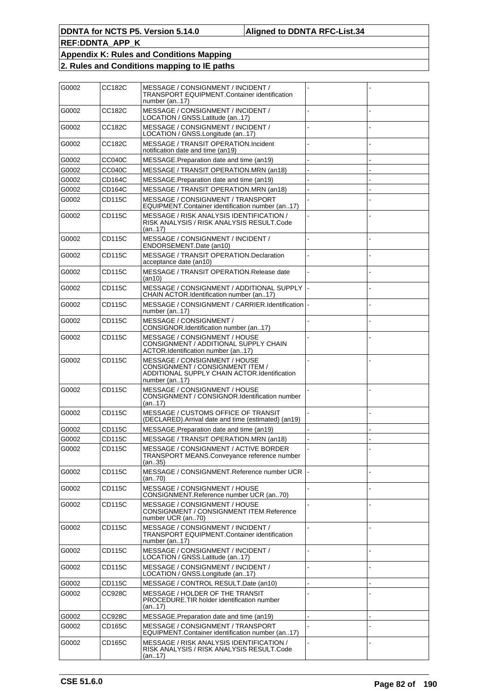| G0002 | CC182C        | MESSAGE / CONSIGNMENT / INCIDENT /<br>TRANSPORT EQUIPMENT.Container identification<br>number (an17)                                |  |
|-------|---------------|------------------------------------------------------------------------------------------------------------------------------------|--|
| G0002 | CC182C        | MESSAGE / CONSIGNMENT / INCIDENT /<br>LOCATION / GNSS.Latitude (an17)                                                              |  |
| G0002 | CC182C        | MESSAGE / CONSIGNMENT / INCIDENT /<br>LOCATION / GNSS.Longitude (an17)                                                             |  |
| G0002 | CC182C        | MESSAGE / TRANSIT OPERATION. Incident<br>notification date and time (an19)                                                         |  |
| G0002 | CC040C        | MESSAGE. Preparation date and time (an19)                                                                                          |  |
| G0002 | CC040C        | MESSAGE / TRANSIT OPERATION.MRN (an18)                                                                                             |  |
| G0002 | CD164C        | MESSAGE. Preparation date and time (an19)                                                                                          |  |
| G0002 | CD164C        | MESSAGE / TRANSIT OPERATION.MRN (an18)                                                                                             |  |
| G0002 | CD115C        | MESSAGE / CONSIGNMENT / TRANSPORT<br>EQUIPMENT.Container identification number (an17)                                              |  |
| G0002 | CD115C        | MESSAGE / RISK ANALYSIS IDENTIFICATION /<br>RISK ANALYSIS / RISK ANALYSIS RESULT.Code<br>(an17)                                    |  |
| G0002 | CD115C        | MESSAGE / CONSIGNMENT / INCIDENT /<br>ENDORSEMENT.Date (an10)                                                                      |  |
| G0002 | CD115C        | MESSAGE / TRANSIT OPERATION. Declaration<br>acceptance date (an10)                                                                 |  |
| G0002 | CD115C        | MESSAGE / TRANSIT OPERATION. Release date<br>(an10)                                                                                |  |
| G0002 | CD115C        | MESSAGE / CONSIGNMENT / ADDITIONAL SUPPLY<br>CHAIN ACTOR.Identification number (an17)                                              |  |
| G0002 | CD115C        | MESSAGE / CONSIGNMENT / CARRIER.Identification<br>number (an17)                                                                    |  |
| G0002 | CD115C        | MESSAGE / CONSIGNMENT /<br>CONSIGNOR.Identification number (an17)                                                                  |  |
| G0002 | CD115C        | MESSAGE / CONSIGNMENT / HOUSE<br>CONSIGNMENT / ADDITIONAL SUPPLY CHAIN<br>ACTOR.Identification number (an17)                       |  |
| G0002 | CD115C        | MESSAGE / CONSIGNMENT / HOUSE<br>CONSIGNMENT / CONSIGNMENT ITEM /<br>ADDITIONAL SUPPLY CHAIN ACTOR.Identification<br>number (an17) |  |
| G0002 | CD115C        | MESSAGE / CONSIGNMENT / HOUSE<br>CONSIGNMENT / CONSIGNOR.Identification number<br>(an17)                                           |  |
| G0002 | CD115C        | MESSAGE / CUSTOMS OFFICE OF TRANSIT<br>(DECLARED). Arrival date and time (estimated) (an19)                                        |  |
| G0002 | CD115C        | MESSAGE.Preparation date and time (an19)                                                                                           |  |
| G0002 | CD115C        | MESSAGE / TRANSIT OPERATION.MRN (an18)                                                                                             |  |
| G0002 | <b>CD115C</b> | MESSAGE / CONSIGNMENT / ACTIVE BORDER<br>TRANSPORT MEANS.Conveyance reference number<br>(an35)                                     |  |
| G0002 | CD115C        | MESSAGE / CONSIGNMENT. Reference number UCR<br>(an70)                                                                              |  |
| G0002 | <b>CD115C</b> | MESSAGE / CONSIGNMENT / HOUSE<br>CONSIGNMENT.Reference number UCR (an70)                                                           |  |
| G0002 | CD115C        | MESSAGE / CONSIGNMENT / HOUSE<br>CONSIGNMENT / CONSIGNMENT ITEM.Reference<br>number UCR (an70)                                     |  |
| G0002 | CD115C        | MESSAGE / CONSIGNMENT / INCIDENT /<br><b>TRANSPORT EQUIPMENT.Container identification</b><br>number (an17)                         |  |
| G0002 | CD115C        | MESSAGE / CONSIGNMENT / INCIDENT /<br>LOCATION / GNSS.Latitude (an17)                                                              |  |
| G0002 | CD115C        | MESSAGE / CONSIGNMENT / INCIDENT /<br>LOCATION / GNSS.Longitude (an17)                                                             |  |
| G0002 | CD115C        | MESSAGE / CONTROL RESULT.Date (an10)                                                                                               |  |
| G0002 | CC928C        | MESSAGE / HOLDER OF THE TRANSIT<br>PROCEDURE.TIR holder identification number<br>(an17)                                            |  |
| G0002 | CC928C        | MESSAGE.Preparation date and time (an19)                                                                                           |  |
| G0002 | CD165C        | MESSAGE / CONSIGNMENT / TRANSPORT<br>EQUIPMENT.Container identification number (an17)                                              |  |
| G0002 | CD165C        | MESSAGE / RISK ANALYSIS IDENTIFICATION /<br>RISK ANALYSIS / RISK ANALYSIS RESULT.Code<br>(an17)                                    |  |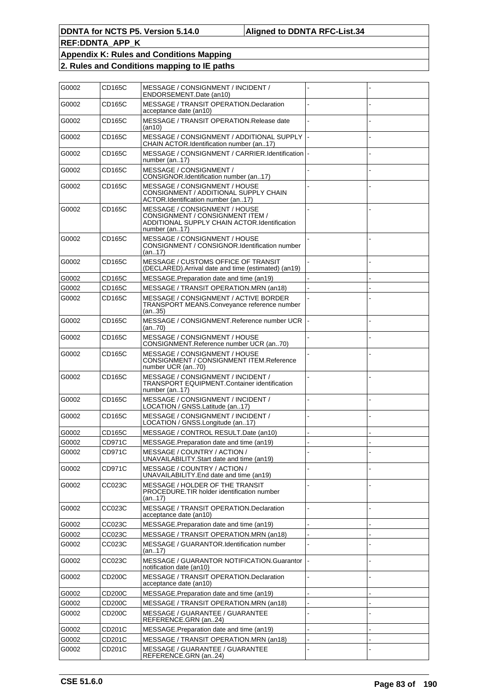| G0002 | CD165C | MESSAGE / CONSIGNMENT / INCIDENT /<br>ENDORSEMENT.Date (an10)                                                                      |  |
|-------|--------|------------------------------------------------------------------------------------------------------------------------------------|--|
| G0002 | CD165C | MESSAGE / TRANSIT OPERATION. Declaration<br>acceptance date (an10)                                                                 |  |
| G0002 | CD165C | MESSAGE / TRANSIT OPERATION.Release date<br>(an10)                                                                                 |  |
| G0002 | CD165C | MESSAGE / CONSIGNMENT / ADDITIONAL SUPPLY  -<br>CHAIN ACTOR.Identification number (an17)                                           |  |
| G0002 | CD165C | MESSAGE / CONSIGNMENT / CARRIER.Identification  -<br>number (an17)                                                                 |  |
| G0002 | CD165C | MESSAGE / CONSIGNMENT /<br>CONSIGNOR.Identification number (an.,17)                                                                |  |
| G0002 | CD165C | MESSAGE / CONSIGNMENT / HOUSE<br>CONSIGNMENT / ADDITIONAL SUPPLY CHAIN<br>ACTOR.Identification number (an17)                       |  |
| G0002 | CD165C | MESSAGE / CONSIGNMENT / HOUSE<br>CONSIGNMENT / CONSIGNMENT ITEM /<br>ADDITIONAL SUPPLY CHAIN ACTOR.Identification<br>number (an17) |  |
| G0002 | CD165C | MESSAGE / CONSIGNMENT / HOUSE<br>CONSIGNMENT / CONSIGNOR.Identification number<br>(an17)                                           |  |
| G0002 | CD165C | <b>MESSAGE / CUSTOMS OFFICE OF TRANSIT</b><br>(DECLARED). Arrival date and time (estimated) (an19)                                 |  |
| G0002 | CD165C | MESSAGE.Preparation date and time (an19)                                                                                           |  |
| G0002 | CD165C | MESSAGE / TRANSIT OPERATION.MRN (an18)                                                                                             |  |
| G0002 | CD165C | MESSAGE / CONSIGNMENT / ACTIVE BORDER<br>TRANSPORT MEANS.Conveyance reference number<br>(an.,35)                                   |  |
| G0002 | CD165C | MESSAGE / CONSIGNMENT.Reference number UCR<br>(an70)                                                                               |  |
| G0002 | CD165C | MESSAGE / CONSIGNMENT / HOUSE<br>CONSIGNMENT.Reference number UCR (an70)                                                           |  |
| G0002 | CD165C | MESSAGE / CONSIGNMENT / HOUSE<br>CONSIGNMENT / CONSIGNMENT ITEM.Reference<br>number UCR (an70)                                     |  |
| G0002 | CD165C | MESSAGE / CONSIGNMENT / INCIDENT /<br><b>TRANSPORT EQUIPMENT.Container identification</b><br>number (an17)                         |  |
| G0002 | CD165C | MESSAGE / CONSIGNMENT / INCIDENT /<br>LOCATION / GNSS.Latitude (an17)                                                              |  |
| G0002 | CD165C | MESSAGE / CONSIGNMENT / INCIDENT /<br>LOCATION / GNSS.Longitude (an17)                                                             |  |
| G0002 | CD165C | MESSAGE / CONTROL RESULT.Date (an10)                                                                                               |  |
| G0002 | CD971C | MESSAGE. Preparation date and time (an19)                                                                                          |  |
| G0002 | CD971C | MESSAGE / COUNTRY / ACTION /<br>UNAVAILABILITY.Start date and time (an19)                                                          |  |
| G0002 | CD971C | MESSAGE / COUNTRY / ACTION /<br>UNAVAILABILITY. End date and time (an19)                                                           |  |
| G0002 | CC023C | MESSAGE / HOLDER OF THE TRANSIT<br>PROCEDURE.TIR holder identification number<br>(an17)                                            |  |
| G0002 | CC023C | MESSAGE / TRANSIT OPERATION. Declaration<br>acceptance date (an10)                                                                 |  |
| G0002 | CC023C | MESSAGE.Preparation date and time (an19)                                                                                           |  |
| G0002 | CC023C | MESSAGE / TRANSIT OPERATION.MRN (an18)                                                                                             |  |
| G0002 | CC023C | MESSAGE / GUARANTOR.Identification number<br>(an17)                                                                                |  |
| G0002 | CC023C | MESSAGE / GUARANTOR NOTIFICATION.Guarantor<br>notification date (an10)                                                             |  |
| G0002 | CD200C | MESSAGE / TRANSIT OPERATION. Declaration<br>acceptance date (an10)                                                                 |  |
| G0002 | CD200C | MESSAGE.Preparation date and time (an19)                                                                                           |  |
| G0002 | CD200C | MESSAGE / TRANSIT OPERATION.MRN (an18)                                                                                             |  |
| G0002 | CD200C | MESSAGE / GUARANTEE / GUARANTEE<br>REFERENCE.GRN (an24)                                                                            |  |
| G0002 | CD201C | MESSAGE. Preparation date and time (an19)                                                                                          |  |
| G0002 | CD201C | MESSAGE / TRANSIT OPERATION.MRN (an18)                                                                                             |  |
| G0002 | CD201C | MESSAGE / GUARANTEE / GUARANTEE<br>REFERENCE.GRN (an24)                                                                            |  |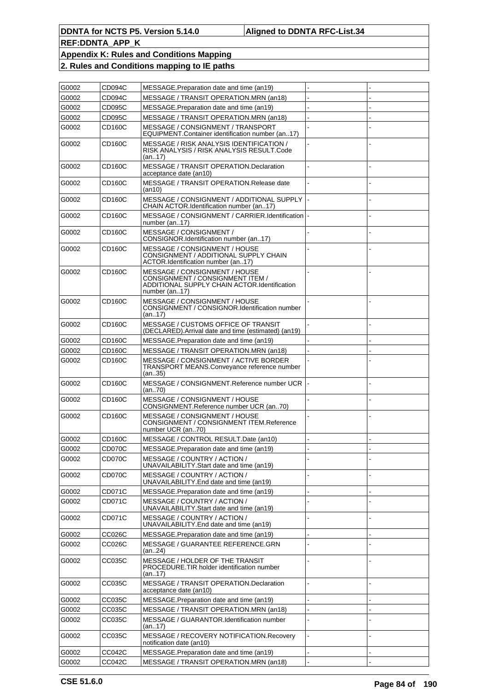| G0002 | CD094C        | MESSAGE.Preparation date and time (an19)                                                                                                  |  |
|-------|---------------|-------------------------------------------------------------------------------------------------------------------------------------------|--|
| G0002 | CD094C        | MESSAGE / TRANSIT OPERATION.MRN (an18)                                                                                                    |  |
| G0002 | CD095C        | MESSAGE. Preparation date and time (an19)                                                                                                 |  |
| G0002 | CD095C        | MESSAGE / TRANSIT OPERATION.MRN (an18)                                                                                                    |  |
| G0002 | <b>CD160C</b> | MESSAGE / CONSIGNMENT / TRANSPORT                                                                                                         |  |
|       |               | EQUIPMENT.Container identification number (an17)                                                                                          |  |
| G0002 | CD160C        | MESSAGE / RISK ANALYSIS IDENTIFICATION /<br>RISK ANALYSIS / RISK ANALYSIS RESULT.Code<br>(an17)                                           |  |
| G0002 | CD160C        | MESSAGE / TRANSIT OPERATION.Declaration<br>acceptance date (an10)                                                                         |  |
| G0002 | CD160C        | MESSAGE / TRANSIT OPERATION. Release date<br>(an10)                                                                                       |  |
| G0002 | CD160C        | MESSAGE / CONSIGNMENT / ADDITIONAL SUPPLY<br>CHAIN ACTOR. Identification number (an17)                                                    |  |
| G0002 | CD160C        | MESSAGE / CONSIGNMENT / CARRIER.Identification<br>number (an17)                                                                           |  |
| G0002 | CD160C        | MESSAGE / CONSIGNMENT /<br>CONSIGNOR.Identification number (an17)                                                                         |  |
| G0002 | CD160C        | MESSAGE / CONSIGNMENT / HOUSE<br>CONSIGNMENT / ADDITIONAL SUPPLY CHAIN<br>ACTOR.Identification number (an17)                              |  |
| G0002 | CD160C        | MESSAGE / CONSIGNMENT / HOUSE<br>CONSIGNMENT / CONSIGNMENT ITEM /<br><b>ADDITIONAL SUPPLY CHAIN ACTOR.Identification</b><br>number (an17) |  |
| G0002 | CD160C        | MESSAGE / CONSIGNMENT / HOUSE<br>CONSIGNMENT / CONSIGNOR.Identification number<br>(an17)                                                  |  |
| G0002 | CD160C        | <b>MESSAGE / CUSTOMS OFFICE OF TRANSIT</b><br>(DECLARED). Arrival date and time (estimated) (an19)                                        |  |
| G0002 | CD160C        | MESSAGE.Preparation date and time (an19)                                                                                                  |  |
| G0002 | <b>CD160C</b> | MESSAGE / TRANSIT OPERATION.MRN (an18)                                                                                                    |  |
| G0002 | CD160C        | MESSAGE / CONSIGNMENT / ACTIVE BORDER<br>TRANSPORT MEANS.Conveyance reference number<br>(an35)                                            |  |
| G0002 | CD160C        | MESSAGE / CONSIGNMENT.Reference number UCR<br>(an70)                                                                                      |  |
| G0002 | CD160C        | MESSAGE / CONSIGNMENT / HOUSE<br>CONSIGNMENT.Reference number UCR (an70)                                                                  |  |
| G0002 | CD160C        | MESSAGE / CONSIGNMENT / HOUSE<br>CONSIGNMENT / CONSIGNMENT ITEM.Reference<br>number UCR (an70)                                            |  |
| G0002 | CD160C        | MESSAGE / CONTROL RESULT.Date (an10)                                                                                                      |  |
| G0002 | CD070C        | MESSAGE.Preparation date and time (an19)                                                                                                  |  |
| G0002 | CD070C        | MESSAGE / COUNTRY / ACTION /<br>UNAVAILABILITY.Start date and time (an19)                                                                 |  |
| G0002 | <b>CD070C</b> | MESSAGE / COUNTRY / ACTION /<br>UNAVAILABILITY. End date and time (an19)                                                                  |  |
| G0002 | CD071C        | MESSAGE. Preparation date and time (an19)                                                                                                 |  |
| G0002 | CD071C        | MESSAGE / COUNTRY / ACTION /<br>UNAVAILABILITY.Start date and time (an19)                                                                 |  |
| G0002 | CD071C        | MESSAGE / COUNTRY / ACTION /<br>UNAVAILABILITY. End date and time (an19)                                                                  |  |
| G0002 | CC026C        | MESSAGE.Preparation date and time (an19)                                                                                                  |  |
| G0002 | CC026C        | MESSAGE / GUARANTEE REFERENCE.GRN<br>(an24)                                                                                               |  |
| G0002 | CC035C        | MESSAGE / HOLDER OF THE TRANSIT<br>PROCEDURE.TIR holder identification number<br>(an17)                                                   |  |
| G0002 | CC035C        | MESSAGE / TRANSIT OPERATION. Declaration<br>acceptance date (an10)                                                                        |  |
| G0002 | CC035C        | MESSAGE. Preparation date and time (an19)                                                                                                 |  |
| G0002 | CC035C        | MESSAGE / TRANSIT OPERATION.MRN (an18)                                                                                                    |  |
| G0002 | <b>CC035C</b> | MESSAGE / GUARANTOR.Identification number<br>(an17)                                                                                       |  |
| G0002 | CC035C        | MESSAGE / RECOVERY NOTIFICATION.Recovery<br>notification date (an10)                                                                      |  |
| G0002 | CC042C        | MESSAGE. Preparation date and time (an19)                                                                                                 |  |
| G0002 | CC042C        | MESSAGE / TRANSIT OPERATION.MRN (an18)                                                                                                    |  |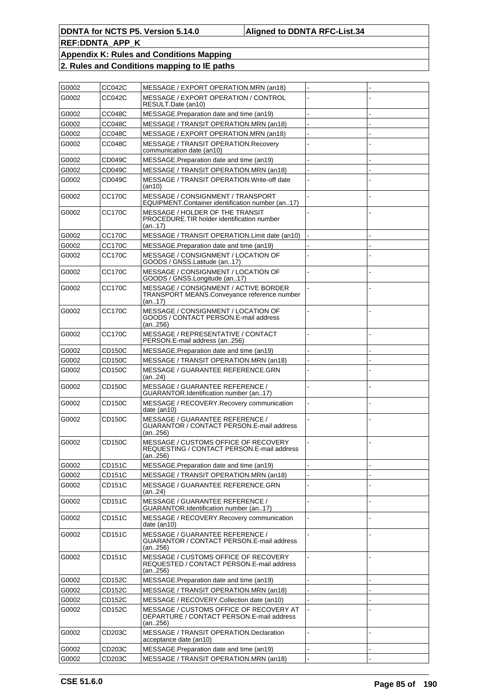| G0002 | CC042C        | MESSAGE / EXPORT OPERATION.MRN (an18)                                                           |  |
|-------|---------------|-------------------------------------------------------------------------------------------------|--|
| G0002 | CC042C        | MESSAGE / EXPORT OPERATION / CONTROL<br>RESULT.Date (an10)                                      |  |
| G0002 | <b>CC048C</b> | MESSAGE. Preparation date and time (an19)                                                       |  |
| G0002 | <b>CC048C</b> | MESSAGE / TRANSIT OPERATION.MRN (an18)                                                          |  |
| G0002 | CC048C        | MESSAGE / EXPORT OPERATION.MRN (an18)                                                           |  |
| G0002 | <b>CC048C</b> | MESSAGE / TRANSIT OPERATION.Recovery<br>communication date (an10)                               |  |
| G0002 | CD049C        | MESSAGE.Preparation date and time (an19)                                                        |  |
| G0002 | CD049C        | MESSAGE / TRANSIT OPERATION.MRN (an18)                                                          |  |
| G0002 | CD049C        | MESSAGE / TRANSIT OPERATION. Write-off date<br>(an10)                                           |  |
| G0002 | <b>CC170C</b> | MESSAGE / CONSIGNMENT / TRANSPORT<br>EQUIPMENT.Container identification number (an17)           |  |
| G0002 | <b>CC170C</b> | MESSAGE / HOLDER OF THE TRANSIT<br>PROCEDURE.TIR holder identification number<br>(an17)         |  |
| G0002 | <b>CC170C</b> | MESSAGE / TRANSIT OPERATION. Limit date (an10)                                                  |  |
| G0002 | <b>CC170C</b> | MESSAGE. Preparation date and time (an19)                                                       |  |
| G0002 | <b>CC170C</b> | MESSAGE / CONSIGNMENT / LOCATION OF<br>GOODS / GNSS.Latitude (an17)                             |  |
| G0002 | CC170C        | MESSAGE / CONSIGNMENT / LOCATION OF<br>GOODS / GNSS.Longitude (an17)                            |  |
| G0002 | <b>CC170C</b> | MESSAGE / CONSIGNMENT / ACTIVE BORDER<br>TRANSPORT MEANS.Conveyance reference number<br>(an17)  |  |
| G0002 | <b>CC170C</b> | MESSAGE / CONSIGNMENT / LOCATION OF<br>GOODS / CONTACT PERSON.E-mail address<br>(an256)         |  |
| G0002 | <b>CC170C</b> | MESSAGE / REPRESENTATIVE / CONTACT<br>PERSON.E-mail address (an256)                             |  |
| G0002 | CD150C        | MESSAGE. Preparation date and time (an19)                                                       |  |
| G0002 | <b>CD150C</b> | MESSAGE / TRANSIT OPERATION.MRN (an18)                                                          |  |
| G0002 | <b>CD150C</b> | MESSAGE / GUARANTEE REFERENCE.GRN<br>(an24)                                                     |  |
| G0002 | <b>CD150C</b> | MESSAGE / GUARANTEE REFERENCE /<br>GUARANTOR.Identification number (an17)                       |  |
| G0002 | CD150C        | MESSAGE / RECOVERY.Recovery communication<br>date (an10)                                        |  |
| G0002 | CD150C        | MESSAGE / GUARANTEE REFERENCE /<br>GUARANTOR / CONTACT PERSON.E-mail address<br>(an256)         |  |
| G0002 | CD150C        | MESSAGE / CUSTOMS OFFICE OF RECOVERY<br>REQUESTING / CONTACT PERSON.E-mail address<br>(an256)   |  |
| G0002 | CD151C        | MESSAGE. Preparation date and time (an19)                                                       |  |
| G0002 | CD151C        | MESSAGE / TRANSIT OPERATION.MRN (an18)                                                          |  |
| G0002 | CD151C        | MESSAGE / GUARANTEE REFERENCE.GRN<br>(an24)                                                     |  |
| G0002 | CD151C        | MESSAGE / GUARANTEE REFERENCE /<br>GUARANTOR.Identification number (an17)                       |  |
| G0002 | CD151C        | MESSAGE / RECOVERY.Recovery communication<br>date (an10)                                        |  |
| G0002 | CD151C        | MESSAGE / GUARANTEE REFERENCE /<br>GUARANTOR / CONTACT PERSON.E-mail address<br>(an256)         |  |
| G0002 | CD151C        | MESSAGE / CUSTOMS OFFICE OF RECOVERY<br>REQUESTED / CONTACT PERSON.E-mail address<br>(an256)    |  |
| G0002 | CD152C        | MESSAGE. Preparation date and time (an19)                                                       |  |
| G0002 | CD152C        | MESSAGE / TRANSIT OPERATION.MRN (an18)                                                          |  |
| G0002 | CD152C        | MESSAGE / RECOVERY. Collection date (an10)                                                      |  |
| G0002 | CD152C        | MESSAGE / CUSTOMS OFFICE OF RECOVERY AT<br>DEPARTURE / CONTACT PERSON.E-mail address<br>(an256) |  |
| G0002 | CD203C        | MESSAGE / TRANSIT OPERATION. Declaration<br>acceptance date (an10)                              |  |
| G0002 | CD203C        | MESSAGE. Preparation date and time (an19)                                                       |  |
| G0002 | CD203C        | MESSAGE / TRANSIT OPERATION.MRN (an18)                                                          |  |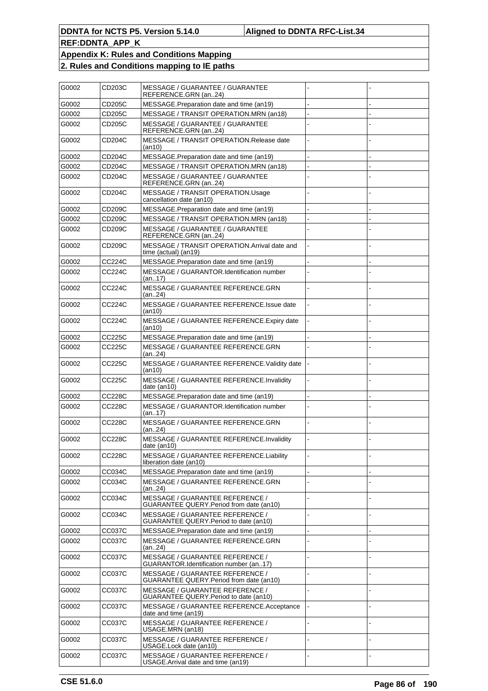| G0002 | CD203C              | MESSAGE / GUARANTEE / GUARANTEE<br>REFERENCE.GRN (an24)                     |  |
|-------|---------------------|-----------------------------------------------------------------------------|--|
| G0002 | CD205C              | MESSAGE.Preparation date and time (an19)                                    |  |
| G0002 | CD205C              | MESSAGE / TRANSIT OPERATION.MRN (an18)                                      |  |
| G0002 | CD205C              | MESSAGE / GUARANTEE / GUARANTEE<br>REFERENCE.GRN (an.,24)                   |  |
| G0002 | CD204C              | MESSAGE / TRANSIT OPERATION. Release date<br>(an10)                         |  |
| G0002 | CD204C              | MESSAGE. Preparation date and time (an19)                                   |  |
| G0002 | CD204C              | MESSAGE / TRANSIT OPERATION.MRN (an18)                                      |  |
| G0002 | CD204C              | MESSAGE / GUARANTEE / GUARANTEE<br>REFERENCE.GRN (an24)                     |  |
| G0002 | CD <sub>204</sub> C | MESSAGE / TRANSIT OPERATION.Usage<br>cancellation date (an10)               |  |
| G0002 | CD209C              | MESSAGE. Preparation date and time (an19)                                   |  |
| G0002 | CD209C              | MESSAGE / TRANSIT OPERATION.MRN (an18)                                      |  |
| G0002 | CD209C              | <b>MESSAGE / GUARANTEE / GUARANTEE</b><br>REFERENCE.GRN (an24)              |  |
| G0002 | CD209C              | MESSAGE / TRANSIT OPERATION. Arrival date and<br>time (actual) (an19)       |  |
| G0002 | CC224C              | MESSAGE.Preparation date and time (an19)                                    |  |
| G0002 | CC224C              | MESSAGE / GUARANTOR.Identification number<br>(an17)                         |  |
| G0002 | CC224C              | MESSAGE / GUARANTEE REFERENCE.GRN<br>(an24)                                 |  |
| G0002 | <b>CC224C</b>       | MESSAGE / GUARANTEE REFERENCE.Issue date<br>(an10)                          |  |
| G0002 | CC224C              | MESSAGE / GUARANTEE REFERENCE. Expiry date<br>(an10)                        |  |
| G0002 | CC225C              | MESSAGE. Preparation date and time (an19)                                   |  |
| G0002 | CC225C              | <b>MESSAGE / GUARANTEE REFERENCE.GRN</b><br>(an24)                          |  |
| G0002 | CC225C              | MESSAGE / GUARANTEE REFERENCE. Validity date<br>(an10)                      |  |
| G0002 | CC225C              | MESSAGE / GUARANTEE REFERENCE.Invalidity<br>date (an10)                     |  |
| G0002 | CC228C              | MESSAGE.Preparation date and time (an19)                                    |  |
| G0002 | CC228C              | MESSAGE / GUARANTOR.Identification number<br>(an17)                         |  |
| G0002 | <b>CC228C</b>       | MESSAGE / GUARANTEE REFERENCE.GRN<br>(an24)                                 |  |
| G0002 | CC228C              | MESSAGE / GUARANTEE REFERENCE.Invalidity<br>date (an10)                     |  |
| G0002 | CC228C              | MESSAGE / GUARANTEE REFERENCE.Liability<br>liberation date (an10)           |  |
| G0002 | CC034C              | MESSAGE. Preparation date and time (an19)                                   |  |
| G0002 | CC034C              | MESSAGE / GUARANTEE REFERENCE.GRN<br>(an24)                                 |  |
| G0002 | CC034C              | MESSAGE / GUARANTEE REFERENCE /<br>GUARANTEE QUERY.Period from date (an10)  |  |
| G0002 | CC034C              | MESSAGE / GUARANTEE REFERENCE /<br>GUARANTEE QUERY. Period to date (an10)   |  |
| G0002 | <b>CC037C</b>       | MESSAGE. Preparation date and time (an19)                                   |  |
| G0002 | CC037C              | MESSAGE / GUARANTEE REFERENCE.GRN<br>(an24)                                 |  |
| G0002 | CC037C              | MESSAGE / GUARANTEE REFERENCE /<br>GUARANTOR.Identification number (an17)   |  |
| G0002 | CC037C              | MESSAGE / GUARANTEE REFERENCE /<br>GUARANTEE QUERY. Period from date (an10) |  |
| G0002 | <b>CC037C</b>       | MESSAGE / GUARANTEE REFERENCE /<br>GUARANTEE QUERY.Period to date (an10)    |  |
| G0002 | <b>CC037C</b>       | MESSAGE / GUARANTEE REFERENCE.Acceptance<br>date and time (an19)            |  |
| G0002 | CC037C              | MESSAGE / GUARANTEE REFERENCE /<br>USAGE.MRN (an18)                         |  |
| G0002 | <b>CC037C</b>       | MESSAGE / GUARANTEE REFERENCE /                                             |  |
|       |                     | USAGE.Lock date (an10)                                                      |  |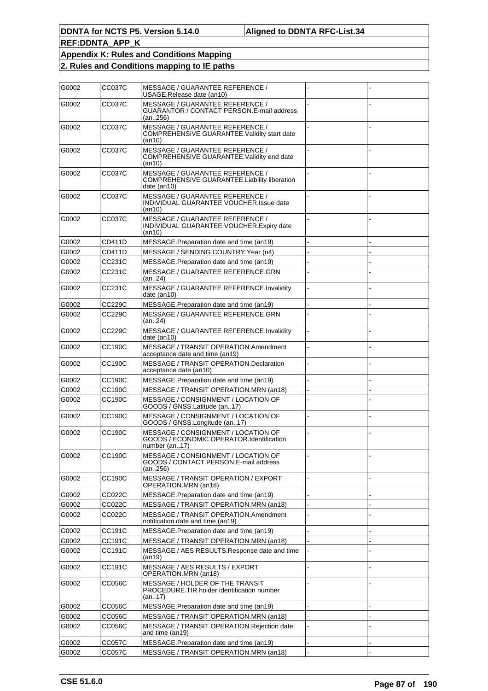| G0002 | <b>CC037C</b> | MESSAGE / GUARANTEE REFERENCE /<br>USAGE.Release date (an10)                                          |  |
|-------|---------------|-------------------------------------------------------------------------------------------------------|--|
| G0002 | CC037C        | MESSAGE / GUARANTEE REFERENCE /<br>GUARANTOR / CONTACT PERSON.E-mail address<br>(an256)               |  |
| G0002 | CC037C        | MESSAGE / GUARANTEE REFERENCE /<br>COMPREHENSIVE GUARANTEE. Validity start date<br>(an10)             |  |
| G0002 | <b>CC037C</b> | MESSAGE / GUARANTEE REFERENCE /<br>COMPREHENSIVE GUARANTEE. Validity end date<br>(an10)               |  |
| G0002 | CC037C        | MESSAGE / GUARANTEE REFERENCE /<br><b>COMPREHENSIVE GUARANTEE.Liability liberation</b><br>date (an10) |  |
| G0002 | <b>CC037C</b> | MESSAGE / GUARANTEE REFERENCE /<br>INDIVIDUAL GUARANTEE VOUCHER.Issue date<br>(an10)                  |  |
| G0002 | CC037C        | MESSAGE / GUARANTEE REFERENCE /<br>INDIVIDUAL GUARANTEE VOUCHER. Expiry date<br>(an10)                |  |
| G0002 | CD411D        | MESSAGE.Preparation date and time (an19)                                                              |  |
| G0002 | CD411D        | MESSAGE / SENDING COUNTRY. Year (n4)                                                                  |  |
| G0002 | CC231C        | MESSAGE. Preparation date and time (an19)                                                             |  |
| G0002 | CC231C        | MESSAGE / GUARANTEE REFERENCE.GRN<br>(an24)                                                           |  |
| G0002 | CC231C        | MESSAGE / GUARANTEE REFERENCE.Invalidity<br>date (an10)                                               |  |
| G0002 | CC229C        | MESSAGE. Preparation date and time (an19)                                                             |  |
| G0002 | CC229C        | MESSAGE / GUARANTEE REFERENCE.GRN<br>(an24)                                                           |  |
| G0002 | CC229C        | MESSAGE / GUARANTEE REFERENCE.Invalidity<br>date (an10)                                               |  |
| G0002 | <b>CC190C</b> | MESSAGE / TRANSIT OPERATION.Amendment<br>acceptance date and time (an19)                              |  |
| G0002 | <b>CC190C</b> | MESSAGE / TRANSIT OPERATION.Declaration<br>acceptance date (an10)                                     |  |
| G0002 | CC190C        | MESSAGE.Preparation date and time (an19)                                                              |  |
| G0002 | <b>CC190C</b> | MESSAGE / TRANSIT OPERATION.MRN (an18)                                                                |  |
| G0002 | CC190C        | MESSAGE / CONSIGNMENT / LOCATION OF<br>GOODS / GNSS.Latitude (an17)                                   |  |
| G0002 | <b>CC190C</b> | MESSAGE / CONSIGNMENT / LOCATION OF<br>GOODS / GNSS.Longitude (an17)                                  |  |
| G0002 | CC190C        | MESSAGE / CONSIGNMENT / LOCATION OF<br>GOODS / ECONOMIC OPERATOR.Identification<br>number (an17)      |  |
| G0002 | CC190C        | MESSAGE / CONSIGNMENT / LOCATION OF<br>GOODS / CONTACT PERSON.E-mail address<br>(an256)               |  |
| G0002 | <b>CC190C</b> | MESSAGE / TRANSIT OPERATION / EXPORT<br>OPERATION.MRN (an18)                                          |  |
| G0002 | CC022C        | MESSAGE.Preparation date and time (an19)                                                              |  |
| G0002 | CC022C        | MESSAGE / TRANSIT OPERATION.MRN (an18)                                                                |  |
| G0002 | <b>CC022C</b> | MESSAGE / TRANSIT OPERATION.Amendment<br>notification date and time (an19)                            |  |
| G0002 | CC191C        | MESSAGE. Preparation date and time (an19)                                                             |  |
| G0002 | CC191C        | MESSAGE / TRANSIT OPERATION.MRN (an18)                                                                |  |
| G0002 | CC191C        | MESSAGE / AES RESULTS. Response date and time<br>(an19)                                               |  |
| G0002 | CC191C        | MESSAGE / AES RESULTS / EXPORT<br>OPERATION.MRN (an18)                                                |  |
| G0002 | <b>CC056C</b> | MESSAGE / HOLDER OF THE TRANSIT<br>PROCEDURE.TIR holder identification number<br>(an17)               |  |
| G0002 | <b>CC056C</b> | MESSAGE.Preparation date and time (an19)                                                              |  |
| G0002 | <b>CC056C</b> | MESSAGE / TRANSIT OPERATION.MRN (an18)                                                                |  |
| G0002 | <b>CC056C</b> | MESSAGE / TRANSIT OPERATION.Rejection date<br>and time (an19)                                         |  |
| G0002 | <b>CC057C</b> | MESSAGE. Preparation date and time (an19)                                                             |  |
| G0002 | <b>CC057C</b> | MESSAGE / TRANSIT OPERATION.MRN (an18)                                                                |  |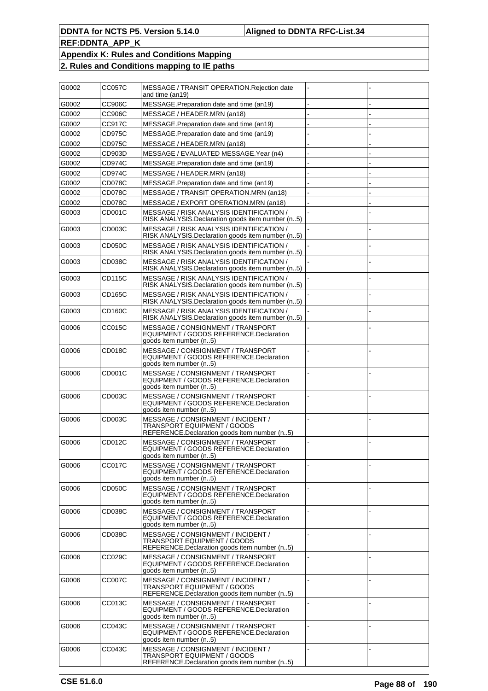| G0002 | <b>CC057C</b> | MESSAGE / TRANSIT OPERATION. Rejection date<br>and time (an19)                                                    |  |
|-------|---------------|-------------------------------------------------------------------------------------------------------------------|--|
| G0002 | <b>CC906C</b> | MESSAGE.Preparation date and time (an19)                                                                          |  |
| G0002 | <b>CC906C</b> | MESSAGE / HEADER.MRN (an18)                                                                                       |  |
| G0002 | CC917C        | MESSAGE. Preparation date and time (an19)                                                                         |  |
| G0002 | <b>CD975C</b> | MESSAGE.Preparation date and time (an19)                                                                          |  |
| G0002 | <b>CD975C</b> | MESSAGE / HEADER.MRN (an18)                                                                                       |  |
| G0002 | CD903D        | MESSAGE / EVALUATED MESSAGE. Year (n4)                                                                            |  |
| G0002 | CD974C        | MESSAGE.Preparation date and time (an19)                                                                          |  |
| G0002 | CD974C        | MESSAGE / HEADER.MRN (an18)                                                                                       |  |
| G0002 | CD078C        | MESSAGE.Preparation date and time (an19)                                                                          |  |
| G0002 | CD078C        | MESSAGE / TRANSIT OPERATION.MRN (an18)                                                                            |  |
| G0002 | CD078C        | MESSAGE / EXPORT OPERATION.MRN (an18)                                                                             |  |
| G0003 | CD001C        | MESSAGE / RISK ANALYSIS IDENTIFICATION /<br>RISK ANALYSIS. Declaration goods item number (n5)                     |  |
| G0003 | CD003C        | <b>MESSAGE / RISK ANALYSIS IDENTIFICATION /</b><br>RISK ANALYSIS. Declaration goods item number (n5)              |  |
| G0003 | CD050C        | MESSAGE / RISK ANALYSIS IDENTIFICATION /<br>RISK ANALYSIS. Declaration goods item number (n5)                     |  |
| G0003 | CD038C        | MESSAGE / RISK ANALYSIS IDENTIFICATION /<br>RISK ANALYSIS. Declaration goods item number (n5)                     |  |
| G0003 | CD115C        | <b>MESSAGE / RISK ANALYSIS IDENTIFICATION /</b><br>RISK ANALYSIS. Declaration goods item number (n5)              |  |
| G0003 | CD165C        | MESSAGE / RISK ANALYSIS IDENTIFICATION /<br>RISK ANALYSIS.Declaration goods item number (n5)                      |  |
| G0003 | <b>CD160C</b> | MESSAGE / RISK ANALYSIS IDENTIFICATION /<br>RISK ANALYSIS. Declaration goods item number (n5)                     |  |
| G0006 | CC015C        | MESSAGE / CONSIGNMENT / TRANSPORT<br>EQUIPMENT / GOODS REFERENCE.Declaration<br>goods item number (n5)            |  |
| G0006 | CD018C        | MESSAGE / CONSIGNMENT / TRANSPORT<br>EQUIPMENT / GOODS REFERENCE.Declaration<br>goods item number (n5)            |  |
| G0006 | CD001C        | MESSAGE / CONSIGNMENT / TRANSPORT<br>EQUIPMENT / GOODS REFERENCE.Declaration<br>goods item number (n5)            |  |
| G0006 | CD003C        | MESSAGE / CONSIGNMENT / TRANSPORT<br>EQUIPMENT / GOODS REFERENCE. Declaration<br>goods item number (n5)           |  |
| G0006 | CD003C        | MESSAGE / CONSIGNMENT / INCIDENT /<br>TRANSPORT EQUIPMENT / GOODS<br>REFERENCE.Declaration goods item number (n5) |  |
| G0006 | CD012C        | MESSAGE / CONSIGNMENT / TRANSPORT<br>EQUIPMENT / GOODS REFERENCE.Declaration<br>goods item number (n5)            |  |
| G0006 | CC017C        | MESSAGE / CONSIGNMENT / TRANSPORT<br>EQUIPMENT / GOODS REFERENCE.Declaration<br>goods item number (n5)            |  |
| G0006 | CD050C        | MESSAGE / CONSIGNMENT / TRANSPORT<br>EQUIPMENT / GOODS REFERENCE.Declaration<br>goods item number (n5)            |  |
| G0006 | CD038C        | MESSAGE / CONSIGNMENT / TRANSPORT<br>EQUIPMENT / GOODS REFERENCE.Declaration<br>goods item number (n5)            |  |
| G0006 | CD038C        | MESSAGE / CONSIGNMENT / INCIDENT /<br>TRANSPORT EQUIPMENT / GOODS<br>REFERENCE.Declaration goods item number (n5) |  |
| G0006 | CC029C        | MESSAGE / CONSIGNMENT / TRANSPORT<br>EQUIPMENT / GOODS REFERENCE. Declaration<br>goods item number (n5)           |  |
| G0006 | <b>CC007C</b> | MESSAGE / CONSIGNMENT / INCIDENT /<br>TRANSPORT EQUIPMENT / GOODS<br>REFERENCE.Declaration goods item number (n5) |  |
| G0006 | CC013C        | MESSAGE / CONSIGNMENT / TRANSPORT<br>EQUIPMENT / GOODS REFERENCE.Declaration<br>goods item number (n5)            |  |
| G0006 | CC043C        | MESSAGE / CONSIGNMENT / TRANSPORT<br>EQUIPMENT / GOODS REFERENCE. Declaration<br>goods item number (n5)           |  |
| G0006 | CC043C        | MESSAGE / CONSIGNMENT / INCIDENT /<br>TRANSPORT EQUIPMENT / GOODS<br>REFERENCE.Declaration goods item number (n5) |  |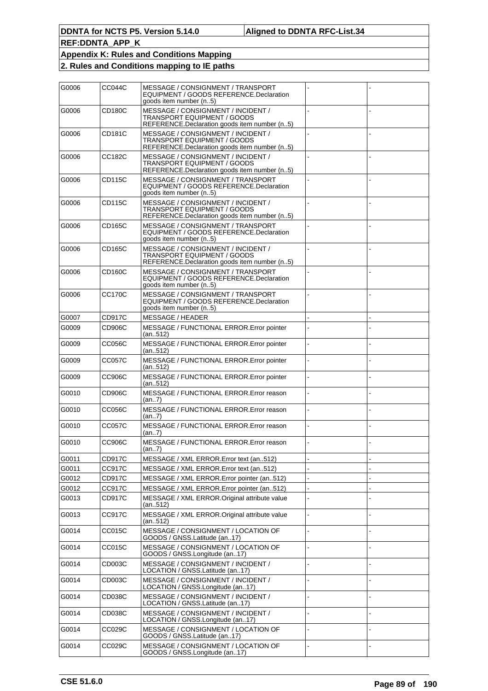| G0006 | <b>CC044C</b> | MESSAGE / CONSIGNMENT / TRANSPORT<br>EQUIPMENT / GOODS REFERENCE. Declaration<br>goods item number (n5)                  |  |
|-------|---------------|--------------------------------------------------------------------------------------------------------------------------|--|
| G0006 | CD180C        | MESSAGE / CONSIGNMENT / INCIDENT /<br>TRANSPORT EQUIPMENT / GOODS<br>REFERENCE.Declaration goods item number (n5)        |  |
| G0006 | CD181C        | MESSAGE / CONSIGNMENT / INCIDENT /<br>TRANSPORT EQUIPMENT / GOODS<br>REFERENCE.Declaration goods item number (n5)        |  |
| G0006 | CC182C        | MESSAGE / CONSIGNMENT / INCIDENT /<br><b>TRANSPORT EQUIPMENT / GOODS</b><br>REFERENCE.Declaration goods item number (n5) |  |
| G0006 | CD115C        | MESSAGE / CONSIGNMENT / TRANSPORT<br>EQUIPMENT / GOODS REFERENCE. Declaration<br>goods item number (n5)                  |  |
| G0006 | CD115C        | MESSAGE / CONSIGNMENT / INCIDENT /<br>TRANSPORT EQUIPMENT / GOODS<br>REFERENCE.Declaration goods item number (n5)        |  |
| G0006 | CD165C        | MESSAGE / CONSIGNMENT / TRANSPORT<br>EQUIPMENT / GOODS REFERENCE. Declaration<br>goods item number (n5)                  |  |
| G0006 | CD165C        | MESSAGE / CONSIGNMENT / INCIDENT /<br>TRANSPORT EQUIPMENT / GOODS<br>REFERENCE.Declaration goods item number (n5)        |  |
| G0006 | CD160C        | MESSAGE / CONSIGNMENT / TRANSPORT<br>EQUIPMENT / GOODS REFERENCE.Declaration<br>goods item number (n5)                   |  |
| G0006 | <b>CC170C</b> | MESSAGE / CONSIGNMENT / TRANSPORT<br>EQUIPMENT / GOODS REFERENCE. Declaration<br>goods item number (n5)                  |  |
| G0007 | CD917C        | <b>MESSAGE / HEADER</b>                                                                                                  |  |
| G0009 | CD906C        | MESSAGE / FUNCTIONAL ERROR. Error pointer<br>(an512)                                                                     |  |
| G0009 | CC056C        | MESSAGE / FUNCTIONAL ERROR. Error pointer<br>(an512)                                                                     |  |
| G0009 | CC057C        | MESSAGE / FUNCTIONAL ERROR. Error pointer<br>(an512)                                                                     |  |
| G0009 | CC906C        | MESSAGE / FUNCTIONAL ERROR. Error pointer<br>(an512)                                                                     |  |
| G0010 | CD906C        | MESSAGE / FUNCTIONAL ERROR. Error reason<br>(an7)                                                                        |  |
| G0010 | CC056C        | MESSAGE / FUNCTIONAL ERROR. Error reason<br>(an7)                                                                        |  |
| G0010 | CC057C        | MESSAGE / FUNCTIONAL ERROR. Error reason<br>(an7)                                                                        |  |
| G0010 | CC906C        | MESSAGE / FUNCTIONAL ERROR. Error reason<br>(an7)                                                                        |  |
| G0011 | CD917C        | MESSAGE / XML ERROR. Error text (an512)                                                                                  |  |
| G0011 | <b>CC917C</b> | MESSAGE / XML ERROR. Error text (an512)                                                                                  |  |
| G0012 | CD917C        | MESSAGE / XML ERROR. Error pointer (an512)                                                                               |  |
| G0012 | <b>CC917C</b> | MESSAGE / XML ERROR. Error pointer (an512)                                                                               |  |
| G0013 | <b>CD917C</b> | MESSAGE / XML ERROR.Original attribute value<br>(an512)                                                                  |  |
| G0013 | <b>CC917C</b> | MESSAGE / XML ERROR.Original attribute value<br>(an512)                                                                  |  |
| G0014 | CC015C        | MESSAGE / CONSIGNMENT / LOCATION OF<br>GOODS / GNSS.Latitude (an17)                                                      |  |
| G0014 | CC015C        | MESSAGE / CONSIGNMENT / LOCATION OF<br>GOODS / GNSS.Longitude (an17)                                                     |  |
| G0014 | CD003C        | MESSAGE / CONSIGNMENT / INCIDENT /<br>LOCATION / GNSS.Latitude (an17)                                                    |  |
| G0014 | CD003C        | MESSAGE / CONSIGNMENT / INCIDENT /<br>LOCATION / GNSS.Longitude (an17)                                                   |  |
| G0014 | CD038C        | MESSAGE / CONSIGNMENT / INCIDENT /<br>LOCATION / GNSS.Latitude (an17)                                                    |  |
| G0014 | CD038C        | MESSAGE / CONSIGNMENT / INCIDENT /<br>LOCATION / GNSS.Longitude (an17)                                                   |  |
| G0014 | CC029C        | MESSAGE / CONSIGNMENT / LOCATION OF<br>GOODS / GNSS.Latitude (an17)                                                      |  |
| G0014 | <b>CC029C</b> | MESSAGE / CONSIGNMENT / LOCATION OF<br>GOODS / GNSS.Longitude (an17)                                                     |  |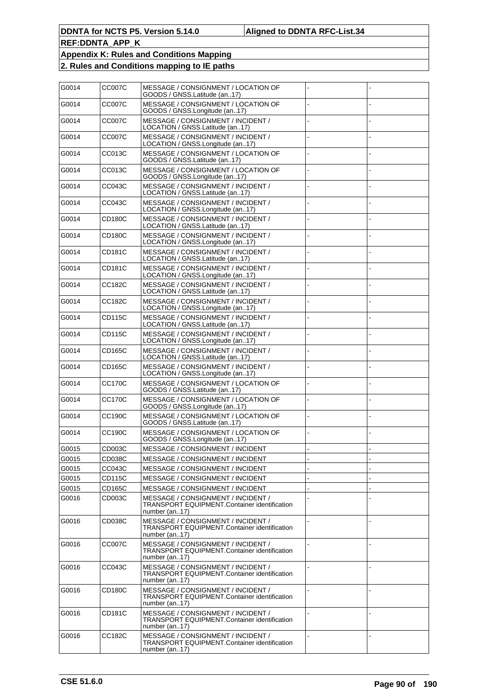| G0014 | CC007C        | MESSAGE / CONSIGNMENT / LOCATION OF<br>GOODS / GNSS.Latitude (an17)                                        |  |
|-------|---------------|------------------------------------------------------------------------------------------------------------|--|
| G0014 | <b>CC007C</b> | MESSAGE / CONSIGNMENT / LOCATION OF<br>GOODS / GNSS.Longitude (an17)                                       |  |
| G0014 | CC007C        | MESSAGE / CONSIGNMENT / INCIDENT /<br>LOCATION / GNSS.Latitude (an17)                                      |  |
| G0014 | <b>CC007C</b> | MESSAGE / CONSIGNMENT / INCIDENT /<br>LOCATION / GNSS.Longitude (an17)                                     |  |
| G0014 | CC013C        | MESSAGE / CONSIGNMENT / LOCATION OF<br>GOODS / GNSS.Latitude (an17)                                        |  |
| G0014 | CC013C        | MESSAGE / CONSIGNMENT / LOCATION OF<br>GOODS / GNSS.Longitude (an17)                                       |  |
| G0014 | CC043C        | MESSAGE / CONSIGNMENT / INCIDENT /<br>LOCATION / GNSS.Latitude (an17)                                      |  |
| G0014 | CC043C        | MESSAGE / CONSIGNMENT / INCIDENT /<br>LOCATION / GNSS.Longitude (an17)                                     |  |
| G0014 | CD180C        | MESSAGE / CONSIGNMENT / INCIDENT /<br>LOCATION / GNSS.Latitude (an17)                                      |  |
| G0014 | CD180C        | MESSAGE / CONSIGNMENT / INCIDENT /<br>LOCATION / GNSS.Longitude (an17)                                     |  |
| G0014 | CD181C        | MESSAGE / CONSIGNMENT / INCIDENT /<br>LOCATION / GNSS.Latitude (an17)                                      |  |
| G0014 | CD181C        | MESSAGE / CONSIGNMENT / INCIDENT /<br>LOCATION / GNSS.Longitude (an17)                                     |  |
| G0014 | CC182C        | MESSAGE / CONSIGNMENT / INCIDENT /<br>LOCATION / GNSS.Latitude (an17)                                      |  |
| G0014 | CC182C        | MESSAGE / CONSIGNMENT / INCIDENT /<br>LOCATION / GNSS.Longitude (an17)                                     |  |
| G0014 | CD115C        | MESSAGE / CONSIGNMENT / INCIDENT /<br>LOCATION / GNSS.Latitude (an17)                                      |  |
| G0014 | CD115C        | MESSAGE / CONSIGNMENT / INCIDENT /<br>LOCATION / GNSS.Longitude (an17)                                     |  |
| G0014 | CD165C        | MESSAGE / CONSIGNMENT / INCIDENT /<br>LOCATION / GNSS.Latitude (an17)                                      |  |
| G0014 | CD165C        | MESSAGE / CONSIGNMENT / INCIDENT /<br>LOCATION / GNSS.Longitude (an17)                                     |  |
| G0014 | CC170C        | MESSAGE / CONSIGNMENT / LOCATION OF<br>GOODS / GNSS.Latitude (an17)                                        |  |
| G0014 | <b>CC170C</b> | MESSAGE / CONSIGNMENT / LOCATION OF<br>GOODS / GNSS.Longitude (an17)                                       |  |
| G0014 | CC190C        | MESSAGE / CONSIGNMENT / LOCATION OF<br>GOODS / GNSS.Latitude (an17)                                        |  |
| G0014 | CC190C        | MESSAGE / CONSIGNMENT / LOCATION OF<br>GOODS / GNSS.Longitude (an17)                                       |  |
| G0015 | CD003C        | MESSAGE / CONSIGNMENT / INCIDENT                                                                           |  |
| G0015 | CD038C        | MESSAGE / CONSIGNMENT / INCIDENT                                                                           |  |
| G0015 | CC043C        | MESSAGE / CONSIGNMENT / INCIDENT                                                                           |  |
| G0015 | CD115C        | MESSAGE / CONSIGNMENT / INCIDENT                                                                           |  |
| G0015 | CD165C        | MESSAGE / CONSIGNMENT / INCIDENT                                                                           |  |
| G0016 | CD003C        | MESSAGE / CONSIGNMENT / INCIDENT /<br><b>TRANSPORT EQUIPMENT.Container identification</b><br>number (an17) |  |
| G0016 | CD038C        | MESSAGE / CONSIGNMENT / INCIDENT /<br>TRANSPORT EQUIPMENT.Container identification<br>number (an17)        |  |
| G0016 | CC007C        | MESSAGE / CONSIGNMENT / INCIDENT /<br>TRANSPORT EQUIPMENT.Container identification<br>number (an17)        |  |
| G0016 | CC043C        | MESSAGE / CONSIGNMENT / INCIDENT /<br>TRANSPORT EQUIPMENT.Container identification<br>number (an17)        |  |
| G0016 | CD180C        | MESSAGE / CONSIGNMENT / INCIDENT /<br>TRANSPORT EQUIPMENT.Container identification<br>number (an17)        |  |
| G0016 | CD181C        | MESSAGE / CONSIGNMENT / INCIDENT /<br>TRANSPORT EQUIPMENT.Container identification<br>number (an17)        |  |
| G0016 | CC182C        | MESSAGE / CONSIGNMENT / INCIDENT /<br>TRANSPORT EQUIPMENT.Container identification<br>number (an17)        |  |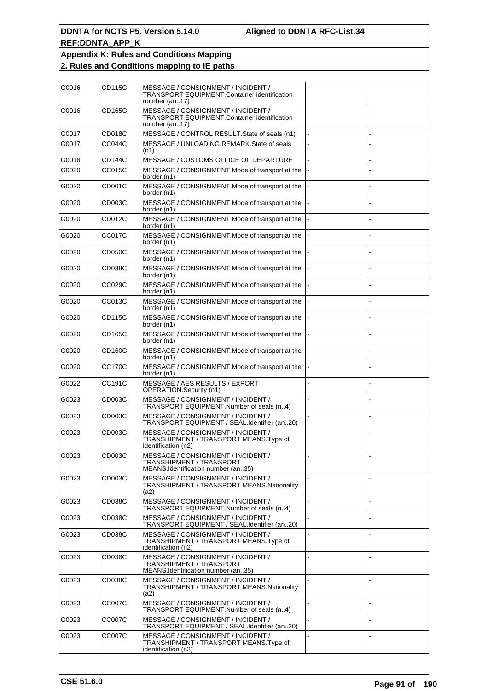| G0016 | CD115C        | MESSAGE / CONSIGNMENT / INCIDENT /<br>TRANSPORT EQUIPMENT.Container identification<br>number (an17)        |  |
|-------|---------------|------------------------------------------------------------------------------------------------------------|--|
| G0016 | CD165C        | MESSAGE / CONSIGNMENT / INCIDENT /<br><b>TRANSPORT EQUIPMENT.Container identification</b><br>number (an17) |  |
| G0017 | CD018C        | MESSAGE / CONTROL RESULT. State of seals (n1)                                                              |  |
| G0017 | CC044C        | MESSAGE / UNLOADING REMARK.State of seals<br>(n1)                                                          |  |
| G0018 | CD144C        | MESSAGE / CUSTOMS OFFICE OF DEPARTURE                                                                      |  |
| G0020 | CC015C        | MESSAGE / CONSIGNMENT.Mode of transport at the<br>border (n1)                                              |  |
| G0020 | CD001C        | MESSAGE / CONSIGNMENT.Mode of transport at the<br>border (n1)                                              |  |
| G0020 | CD003C        | MESSAGE / CONSIGNMENT.Mode of transport at the<br>border (n1)                                              |  |
| G0020 | CD012C        | MESSAGE / CONSIGNMENT.Mode of transport at the<br>border (n1)                                              |  |
| G0020 | CC017C        | MESSAGE / CONSIGNMENT.Mode of transport at the<br>border (n1)                                              |  |
| G0020 | CD050C        | MESSAGE / CONSIGNMENT. Mode of transport at the<br>border (n1)                                             |  |
| G0020 | CD038C        | MESSAGE / CONSIGNMENT.Mode of transport at the<br>border (n1)                                              |  |
| G0020 | CC029C        | MESSAGE / CONSIGNMENT.Mode of transport at the<br>border (n1)                                              |  |
| G0020 | CC013C        | MESSAGE / CONSIGNMENT.Mode of transport at the<br>border (n1)                                              |  |
| G0020 | CD115C        | MESSAGE / CONSIGNMENT.Mode of transport at the<br>border (n1)                                              |  |
| G0020 | CD165C        | MESSAGE / CONSIGNMENT.Mode of transport at the<br>border (n1)                                              |  |
| G0020 | CD160C        | MESSAGE / CONSIGNMENT.Mode of transport at the<br>border (n1)                                              |  |
| G0020 | CC170C        | MESSAGE / CONSIGNMENT.Mode of transport at the<br>border (n1)                                              |  |
| G0022 | CC191C        | MESSAGE / AES RESULTS / EXPORT<br>OPERATION.Security (n1)                                                  |  |
| G0023 | CD003C        | MESSAGE / CONSIGNMENT / INCIDENT /<br>TRANSPORT EQUIPMENT.Number of seals (n4)                             |  |
| G0023 | CD003C        | MESSAGE / CONSIGNMENT / INCIDENT /<br>TRANSPORT EQUIPMENT / SEAL.Identifier (an20)                         |  |
| G0023 | CD003C        | MESSAGE / CONSIGNMENT / INCIDENT /<br>TRANSHIPMENT / TRANSPORT MEANS. Type of<br>identification (n2)       |  |
| G0023 | CD003C        | MESSAGE / CONSIGNMENT / INCIDENT /<br>TRANSHIPMENT / TRANSPORT<br>MEANS.Identification number (an35)       |  |
| G0023 | CD003C        | MESSAGE / CONSIGNMENT / INCIDENT /<br>TRANSHIPMENT / TRANSPORT MEANS.Nationality<br>(a2)                   |  |
| G0023 | CD038C        | MESSAGE / CONSIGNMENT / INCIDENT /<br>TRANSPORT EQUIPMENT.Number of seals (n4)                             |  |
| G0023 | CD038C        | MESSAGE / CONSIGNMENT / INCIDENT /<br>TRANSPORT EQUIPMENT / SEAL.Identifier (an20)                         |  |
| G0023 | CD038C        | MESSAGE / CONSIGNMENT / INCIDENT /<br>TRANSHIPMENT / TRANSPORT MEANS. Type of<br>identification (n2)       |  |
| G0023 | CD038C        | MESSAGE / CONSIGNMENT / INCIDENT /<br>TRANSHIPMENT / TRANSPORT<br>MEANS.Identification number (an35)       |  |
| G0023 | CD038C        | MESSAGE / CONSIGNMENT / INCIDENT /<br>TRANSHIPMENT / TRANSPORT MEANS.Nationality<br>(a2)                   |  |
| G0023 | <b>CC007C</b> | MESSAGE / CONSIGNMENT / INCIDENT /<br>TRANSPORT EQUIPMENT.Number of seals (n4)                             |  |
| G0023 | CC007C        | MESSAGE / CONSIGNMENT / INCIDENT /<br>TRANSPORT EQUIPMENT / SEAL.Identifier (an20)                         |  |
| G0023 | CC007C        | MESSAGE / CONSIGNMENT / INCIDENT /<br>TRANSHIPMENT / TRANSPORT MEANS. Type of<br>identification (n2)       |  |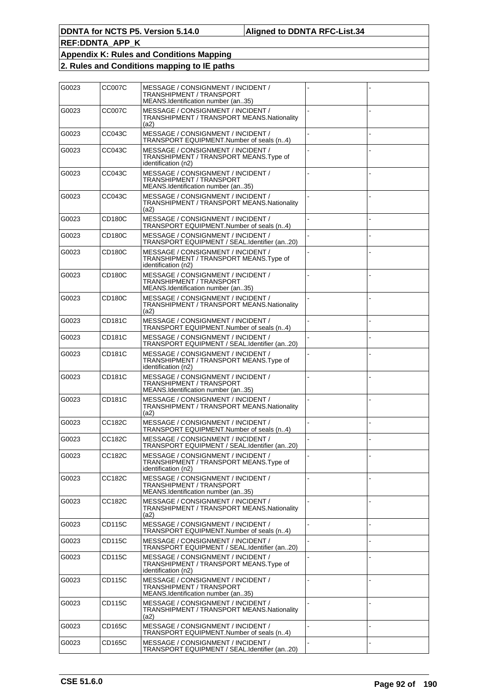| G0023 | CC007C        | MESSAGE / CONSIGNMENT / INCIDENT /<br>TRANSHIPMENT / TRANSPORT<br>MEANS.Identification number (an35) |  |
|-------|---------------|------------------------------------------------------------------------------------------------------|--|
| G0023 | CC007C        | MESSAGE / CONSIGNMENT / INCIDENT /<br>TRANSHIPMENT / TRANSPORT MEANS.Nationality<br>(a2)             |  |
| G0023 | CC043C        | MESSAGE / CONSIGNMENT / INCIDENT /<br>TRANSPORT EQUIPMENT.Number of seals (n4)                       |  |
| G0023 | CC043C        | MESSAGE / CONSIGNMENT / INCIDENT /<br>TRANSHIPMENT / TRANSPORT MEANS.Type of<br>identification (n2)  |  |
| G0023 | CC043C        | MESSAGE / CONSIGNMENT / INCIDENT /<br>TRANSHIPMENT / TRANSPORT<br>MEANS.Identification number (an35) |  |
| G0023 | CC043C        | MESSAGE / CONSIGNMENT / INCIDENT /<br>TRANSHIPMENT / TRANSPORT MEANS.Nationality<br>(a2)             |  |
| G0023 | CD180C        | MESSAGE / CONSIGNMENT / INCIDENT /<br>TRANSPORT EQUIPMENT.Number of seals (n4)                       |  |
| G0023 | CD180C        | MESSAGE / CONSIGNMENT / INCIDENT /<br>TRANSPORT EQUIPMENT / SEAL.Identifier (an20)                   |  |
| G0023 | CD180C        | MESSAGE / CONSIGNMENT / INCIDENT /<br>TRANSHIPMENT / TRANSPORT MEANS. Type of<br>identification (n2) |  |
| G0023 | CD180C        | MESSAGE / CONSIGNMENT / INCIDENT /<br>TRANSHIPMENT / TRANSPORT<br>MEANS.Identification number (an35) |  |
| G0023 | CD180C        | MESSAGE / CONSIGNMENT / INCIDENT /<br>TRANSHIPMENT / TRANSPORT MEANS.Nationality<br>(a2)             |  |
| G0023 | CD181C        | MESSAGE / CONSIGNMENT / INCIDENT /<br>TRANSPORT EQUIPMENT.Number of seals (n4)                       |  |
| G0023 | CD181C        | MESSAGE / CONSIGNMENT / INCIDENT /<br>TRANSPORT EQUIPMENT / SEAL.Identifier (an20)                   |  |
| G0023 | CD181C        | MESSAGE / CONSIGNMENT / INCIDENT /<br>TRANSHIPMENT / TRANSPORT MEANS. Type of<br>identification (n2) |  |
| G0023 | CD181C        | MESSAGE / CONSIGNMENT / INCIDENT /<br>TRANSHIPMENT / TRANSPORT<br>MEANS.Identification number (an35) |  |
| G0023 | CD181C        | MESSAGE / CONSIGNMENT / INCIDENT /<br>TRANSHIPMENT / TRANSPORT MEANS.Nationality<br>(a2)             |  |
| G0023 | CC182C        | MESSAGE / CONSIGNMENT / INCIDENT /<br>TRANSPORT EQUIPMENT.Number of seals (n4)                       |  |
| G0023 | CC182C        | MESSAGE / CONSIGNMENT / INCIDENT /<br>TRANSPORT EQUIPMENT / SEAL.Identifier (an20)                   |  |
| G0023 | CC182C        | MESSAGE / CONSIGNMENT / INCIDENT /<br>TRANSHIPMENT / TRANSPORT MEANS. Type of<br>identification (n2) |  |
| G0023 | <b>CC182C</b> | MESSAGE / CONSIGNMENT / INCIDENT /<br>TRANSHIPMENT / TRANSPORT<br>MEANS.Identification number (an35) |  |
| G0023 | CC182C        | MESSAGE / CONSIGNMENT / INCIDENT /<br>TRANSHIPMENT / TRANSPORT MEANS.Nationality<br>(a2)             |  |
| G0023 | CD115C        | MESSAGE / CONSIGNMENT / INCIDENT /<br>TRANSPORT EQUIPMENT.Number of seals (n4)                       |  |
| G0023 | CD115C        | MESSAGE / CONSIGNMENT / INCIDENT /<br>TRANSPORT EQUIPMENT / SEAL.Identifier (an20)                   |  |
| G0023 | CD115C        | MESSAGE / CONSIGNMENT / INCIDENT /<br>TRANSHIPMENT / TRANSPORT MEANS.Type of<br>identification (n2)  |  |
| G0023 | CD115C        | MESSAGE / CONSIGNMENT / INCIDENT /<br>TRANSHIPMENT / TRANSPORT<br>MEANS.Identification number (an35) |  |
| G0023 | CD115C        | MESSAGE / CONSIGNMENT / INCIDENT /<br>TRANSHIPMENT / TRANSPORT MEANS.Nationality<br>(a2)             |  |
| G0023 | CD165C        | MESSAGE / CONSIGNMENT / INCIDENT /<br>TRANSPORT EQUIPMENT.Number of seals (n4)                       |  |
| G0023 | CD165C        | MESSAGE / CONSIGNMENT / INCIDENT /<br>TRANSPORT EQUIPMENT / SEAL.Identifier (an20)                   |  |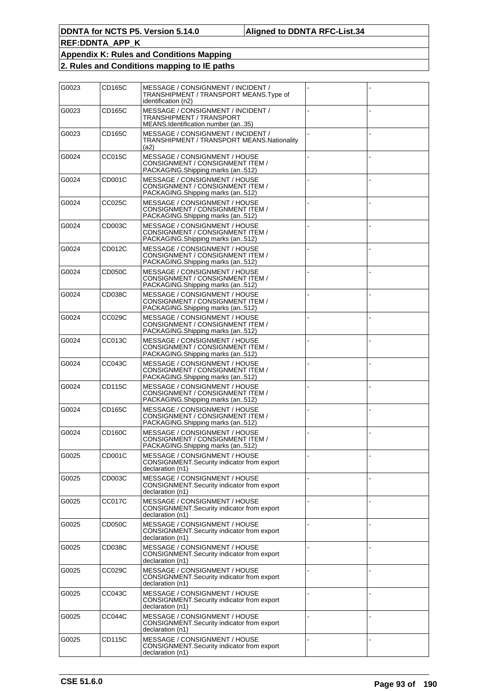| G0023 | CD165C | MESSAGE / CONSIGNMENT / INCIDENT /<br>TRANSHIPMENT / TRANSPORT MEANS.Tvpe of<br>identification (n2)   |  |
|-------|--------|-------------------------------------------------------------------------------------------------------|--|
| G0023 | CD165C | MESSAGE / CONSIGNMENT / INCIDENT /<br>TRANSHIPMENT / TRANSPORT<br>MEANS.Identification number (an35)  |  |
| G0023 | CD165C | MESSAGE / CONSIGNMENT / INCIDENT /<br>TRANSHIPMENT / TRANSPORT MEANS.Nationality<br>(a2)              |  |
| G0024 | CC015C | MESSAGE / CONSIGNMENT / HOUSE<br>CONSIGNMENT / CONSIGNMENT ITEM /<br>PACKAGING.Shipping marks (an512) |  |
| G0024 | CD001C | MESSAGE / CONSIGNMENT / HOUSE<br>CONSIGNMENT / CONSIGNMENT ITEM /<br>PACKAGING.Shipping marks (an512) |  |
| G0024 | CC025C | MESSAGE / CONSIGNMENT / HOUSE<br>CONSIGNMENT / CONSIGNMENT ITEM /<br>PACKAGING.Shipping marks (an512) |  |
| G0024 | CD003C | MESSAGE / CONSIGNMENT / HOUSE<br>CONSIGNMENT / CONSIGNMENT ITEM /<br>PACKAGING.Shipping marks (an512) |  |
| G0024 | CD012C | MESSAGE / CONSIGNMENT / HOUSE<br>CONSIGNMENT / CONSIGNMENT ITEM /<br>PACKAGING.Shipping marks (an512) |  |
| G0024 | CD050C | MESSAGE / CONSIGNMENT / HOUSE<br>CONSIGNMENT / CONSIGNMENT ITEM /<br>PACKAGING.Shipping marks (an512) |  |
| G0024 | CD038C | MESSAGE / CONSIGNMENT / HOUSE<br>CONSIGNMENT / CONSIGNMENT ITEM /<br>PACKAGING.Shipping marks (an512) |  |
| G0024 | CC029C | MESSAGE / CONSIGNMENT / HOUSE<br>CONSIGNMENT / CONSIGNMENT ITEM /<br>PACKAGING.Shipping marks (an512) |  |
| G0024 | CC013C | MESSAGE / CONSIGNMENT / HOUSE<br>CONSIGNMENT / CONSIGNMENT ITEM /<br>PACKAGING.Shipping marks (an512) |  |
| G0024 | CC043C | MESSAGE / CONSIGNMENT / HOUSE<br>CONSIGNMENT / CONSIGNMENT ITEM /<br>PACKAGING.Shipping marks (an512) |  |
| G0024 | CD115C | MESSAGE / CONSIGNMENT / HOUSE<br>CONSIGNMENT / CONSIGNMENT ITEM /<br>PACKAGING.Shipping marks (an512) |  |
| G0024 | CD165C | MESSAGE / CONSIGNMENT / HOUSE<br>CONSIGNMENT / CONSIGNMENT ITEM /<br>PACKAGING.Shipping marks (an512) |  |
| G0024 | CD160C | MESSAGE / CONSIGNMENT / HOUSE<br>CONSIGNMENT / CONSIGNMENT ITEM /<br>PACKAGING.Shipping marks (an512) |  |
| G0025 | CD001C | MESSAGE / CONSIGNMENT / HOUSE<br>CONSIGNMENT.Security indicator from export<br>declaration (n1)       |  |
| G0025 | CD003C | MESSAGE / CONSIGNMENT / HOUSE<br>CONSIGNMENT.Security indicator from export<br>declaration (n1)       |  |
| G0025 | CC017C | MESSAGE / CONSIGNMENT / HOUSE<br>CONSIGNMENT.Security indicator from export<br>declaration (n1)       |  |
| G0025 | CD050C | MESSAGE / CONSIGNMENT / HOUSE<br>CONSIGNMENT.Security indicator from export<br>declaration (n1)       |  |
| G0025 | CD038C | MESSAGE / CONSIGNMENT / HOUSE<br>CONSIGNMENT.Security indicator from export<br>declaration (n1)       |  |
| G0025 | CC029C | MESSAGE / CONSIGNMENT / HOUSE<br>CONSIGNMENT.Security indicator from export<br>declaration (n1)       |  |
| G0025 | CC043C | MESSAGE / CONSIGNMENT / HOUSE<br>CONSIGNMENT.Security indicator from export<br>declaration (n1)       |  |
| G0025 | CC044C | MESSAGE / CONSIGNMENT / HOUSE<br>CONSIGNMENT.Security indicator from export<br>declaration (n1)       |  |
| G0025 | CD115C | MESSAGE / CONSIGNMENT / HOUSE<br>CONSIGNMENT.Security indicator from export<br>declaration (n1)       |  |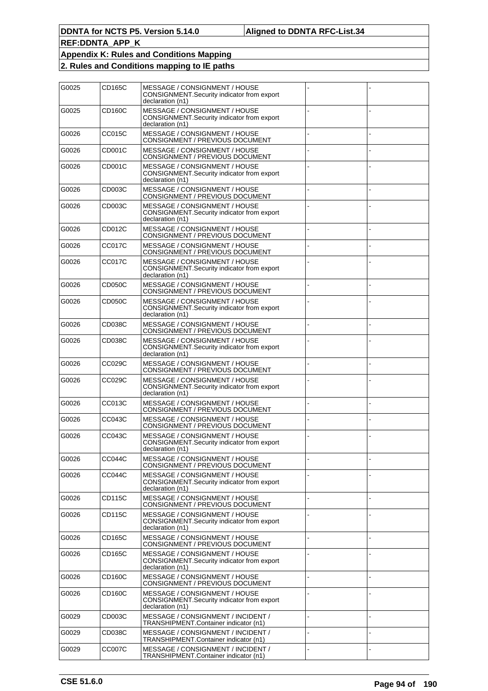| G0025 | CD165C        | MESSAGE / CONSIGNMENT / HOUSE<br>CONSIGNMENT.Security indicator from export<br>declaration (n1)  |  |
|-------|---------------|--------------------------------------------------------------------------------------------------|--|
| G0025 | CD160C        | MESSAGE / CONSIGNMENT / HOUSE<br>CONSIGNMENT.Security indicator from export<br>declaration (n1)  |  |
| G0026 | CC015C        | MESSAGE / CONSIGNMENT / HOUSE<br>CONSIGNMENT / PREVIOUS DOCUMENT                                 |  |
| G0026 | CD001C        | MESSAGE / CONSIGNMENT / HOUSE<br>CONSIGNMENT / PREVIOUS DOCUMENT                                 |  |
| G0026 | CD001C        | MESSAGE / CONSIGNMENT / HOUSE<br>CONSIGNMENT.Security indicator from export<br>declaration (n1)  |  |
| G0026 | CD003C        | MESSAGE / CONSIGNMENT / HOUSE<br>CONSIGNMENT / PREVIOUS DOCUMENT                                 |  |
| G0026 | CD003C        | MESSAGE / CONSIGNMENT / HOUSE<br>CONSIGNMENT.Security indicator from export<br>declaration (n1)  |  |
| G0026 | CD012C        | MESSAGE / CONSIGNMENT / HOUSE<br>CONSIGNMENT / PREVIOUS DOCUMENT                                 |  |
| G0026 | <b>CC017C</b> | MESSAGE / CONSIGNMENT / HOUSE<br>CONSIGNMENT / PREVIOUS DOCUMENT                                 |  |
| G0026 | CC017C        | MESSAGE / CONSIGNMENT / HOUSE<br>CONSIGNMENT.Security indicator from export<br>declaration (n1)  |  |
| G0026 | CD050C        | MESSAGE / CONSIGNMENT / HOUSE<br>CONSIGNMENT / PREVIOUS DOCUMENT                                 |  |
| G0026 | CD050C        | MESSAGE / CONSIGNMENT / HOUSE<br>CONSIGNMENT.Security indicator from export<br>declaration (n1)  |  |
| G0026 | CD038C        | MESSAGE / CONSIGNMENT / HOUSE<br>CONSIGNMENT / PREVIOUS DOCUMENT                                 |  |
| G0026 | CD038C        | MESSAGE / CONSIGNMENT / HOUSE<br>CONSIGNMENT.Security indicator from export<br>declaration (n1)  |  |
| G0026 | CC029C        | MESSAGE / CONSIGNMENT / HOUSE<br>CONSIGNMENT / PREVIOUS DOCUMENT                                 |  |
| G0026 | CC029C        | MESSAGE / CONSIGNMENT / HOUSE<br>CONSIGNMENT.Security indicator from export<br>declaration (n1)  |  |
| G0026 | CC013C        | MESSAGE / CONSIGNMENT / HOUSE<br>CONSIGNMENT / PREVIOUS DOCUMENT                                 |  |
| G0026 | CC043C        | MESSAGE / CONSIGNMENT / HOUSE<br>CONSIGNMENT / PREVIOUS DOCUMENT                                 |  |
| G0026 | CC043C        | MESSAGE / CONSIGNMENT / HOUSE<br>CONSIGNMENT.Security indicator from export<br>declaration (n1)  |  |
| G0026 | <b>CC044C</b> | MESSAGE / CONSIGNMENT / HOUSE<br>CONSIGNMENT / PREVIOUS DOCUMENT                                 |  |
| G0026 | CC044C        | MESSAGE / CONSIGNMENT / HOUSE<br>CONSIGNMENT. Security indicator from export<br>declaration (n1) |  |
| G0026 | CD115C        | MESSAGE / CONSIGNMENT / HOUSE<br>CONSIGNMENT / PREVIOUS DOCUMENT                                 |  |
| G0026 | CD115C        | MESSAGE / CONSIGNMENT / HOUSE<br>CONSIGNMENT.Security indicator from export<br>declaration (n1)  |  |
| G0026 | CD165C        | MESSAGE / CONSIGNMENT / HOUSE<br>CONSIGNMENT / PREVIOUS DOCUMENT                                 |  |
| G0026 | CD165C        | MESSAGE / CONSIGNMENT / HOUSE<br>CONSIGNMENT.Security indicator from export<br>declaration (n1)  |  |
| G0026 | CD160C        | MESSAGE / CONSIGNMENT / HOUSE<br>CONSIGNMENT / PREVIOUS DOCUMENT                                 |  |
| G0026 | CD160C        | MESSAGE / CONSIGNMENT / HOUSE<br>CONSIGNMENT.Security indicator from export<br>declaration (n1)  |  |
| G0029 | CD003C        | MESSAGE / CONSIGNMENT / INCIDENT /<br>TRANSHIPMENT.Container indicator (n1)                      |  |
| G0029 | CD038C        | MESSAGE / CONSIGNMENT / INCIDENT /<br>TRANSHIPMENT.Container indicator (n1)                      |  |
| G0029 | <b>CC007C</b> | MESSAGE / CONSIGNMENT / INCIDENT /<br>TRANSHIPMENT.Container indicator (n1)                      |  |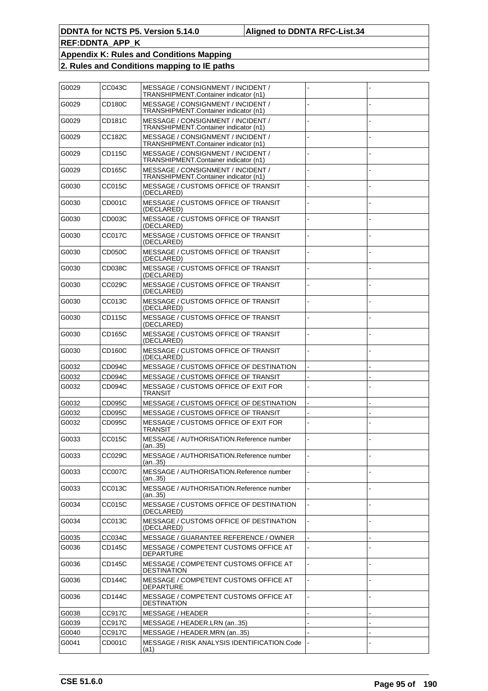| G0029 | CC043C        | MESSAGE / CONSIGNMENT / INCIDENT /<br>TRANSHIPMENT.Container indicator (n1) |  |
|-------|---------------|-----------------------------------------------------------------------------|--|
| G0029 | CD180C        | MESSAGE / CONSIGNMENT / INCIDENT /<br>TRANSHIPMENT.Container indicator (n1) |  |
| G0029 | CD181C        | MESSAGE / CONSIGNMENT / INCIDENT /<br>TRANSHIPMENT.Container indicator (n1) |  |
| G0029 | CC182C        | MESSAGE / CONSIGNMENT / INCIDENT /<br>TRANSHIPMENT.Container indicator (n1) |  |
| G0029 | CD115C        | MESSAGE / CONSIGNMENT / INCIDENT /<br>TRANSHIPMENT.Container indicator (n1) |  |
| G0029 | CD165C        | MESSAGE / CONSIGNMENT / INCIDENT /<br>TRANSHIPMENT.Container indicator (n1) |  |
| G0030 | CC015C        | MESSAGE / CUSTOMS OFFICE OF TRANSIT<br>(DECLARED)                           |  |
| G0030 | CD001C        | MESSAGE / CUSTOMS OFFICE OF TRANSIT<br>(DECLARED)                           |  |
| G0030 | CD003C        | MESSAGE / CUSTOMS OFFICE OF TRANSIT<br>(DECLARED)                           |  |
| G0030 | CC017C        | MESSAGE / CUSTOMS OFFICE OF TRANSIT<br>(DECLARED)                           |  |
| G0030 | CD050C        | MESSAGE / CUSTOMS OFFICE OF TRANSIT<br>(DECLARED)                           |  |
| G0030 | CD038C        | <b>MESSAGE / CUSTOMS OFFICE OF TRANSIT</b><br>(DECLARED)                    |  |
| G0030 | CC029C        | MESSAGE / CUSTOMS OFFICE OF TRANSIT<br>(DECLARED)                           |  |
| G0030 | CC013C        | MESSAGE / CUSTOMS OFFICE OF TRANSIT<br>(DECLARED)                           |  |
| G0030 | CD115C        | MESSAGE / CUSTOMS OFFICE OF TRANSIT<br>(DECLARED)                           |  |
| G0030 | CD165C        | MESSAGE / CUSTOMS OFFICE OF TRANSIT<br>(DECLARED)                           |  |
| G0030 | CD160C        | MESSAGE / CUSTOMS OFFICE OF TRANSIT<br>(DECLARED)                           |  |
| G0032 | CD094C        | MESSAGE / CUSTOMS OFFICE OF DESTINATION                                     |  |
| G0032 | CD094C        | MESSAGE / CUSTOMS OFFICE OF TRANSIT                                         |  |
| G0032 | CD094C        | MESSAGE / CUSTOMS OFFICE OF EXIT FOR<br>TRANSIT                             |  |
| G0032 | CD095C        | MESSAGE / CUSTOMS OFFICE OF DESTINATION                                     |  |
| G0032 | CD095C        | MESSAGE / CUSTOMS OFFICE OF TRANSIT                                         |  |
| G0032 | CD095C        | MESSAGE / CUSTOMS OFFICE OF EXIT FOR<br>TRANSIT                             |  |
| G0033 | CC015C        | MESSAGE / AUTHORISATION.Reference number<br>(an35)                          |  |
| G0033 | CC029C        | MESSAGE / AUTHORISATION.Reference number<br>(an35)                          |  |
| G0033 | CC007C        | MESSAGE / AUTHORISATION.Reference number<br>(an35)                          |  |
| G0033 | CC013C        | MESSAGE / AUTHORISATION.Reference number<br>(an35)                          |  |
| G0034 | CC015C        | MESSAGE / CUSTOMS OFFICE OF DESTINATION<br>(DECLARED)                       |  |
| G0034 | CC013C        | MESSAGE / CUSTOMS OFFICE OF DESTINATION<br>(DECLARED)                       |  |
| G0035 | CC034C        | MESSAGE / GUARANTEE REFERENCE / OWNER                                       |  |
| G0036 | <b>CD145C</b> | MESSAGE / COMPETENT CUSTOMS OFFICE AT<br><b>DEPARTURE</b>                   |  |
| G0036 | CD145C        | MESSAGE / COMPETENT CUSTOMS OFFICE AT<br>DESTINATION                        |  |
| G0036 | CD144C        | MESSAGE / COMPETENT CUSTOMS OFFICE AT<br>DEPARTURE                          |  |
| G0036 | CD144C        | MESSAGE / COMPETENT CUSTOMS OFFICE AT<br>DESTINATION                        |  |
| G0038 | CC917C        | <b>MESSAGE / HEADER</b>                                                     |  |
| G0039 | CC917C        | MESSAGE / HEADER.LRN (an35)                                                 |  |
| G0040 | CC917C        | MESSAGE / HEADER.MRN (an35)                                                 |  |
| G0041 | CD001C        | MESSAGE / RISK ANALYSIS IDENTIFICATION.Code                                 |  |
|       |               | (a1)                                                                        |  |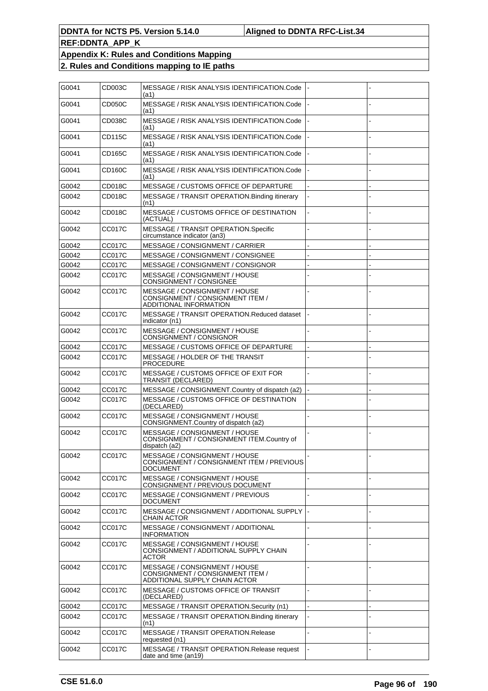| G0041 | CD003C        | MESSAGE / RISK ANALYSIS IDENTIFICATION.Code<br>(a1)                                                |  |
|-------|---------------|----------------------------------------------------------------------------------------------------|--|
| G0041 | CD050C        | MESSAGE / RISK ANALYSIS IDENTIFICATION.Code<br>(a1)                                                |  |
| G0041 | CD038C        | MESSAGE / RISK ANALYSIS IDENTIFICATION.Code<br>(a1)                                                |  |
| G0041 | CD115C        | MESSAGE / RISK ANALYSIS IDENTIFICATION.Code<br>(a1)                                                |  |
| G0041 | CD165C        | MESSAGE / RISK ANALYSIS IDENTIFICATION.Code<br>(a1)                                                |  |
| G0041 | CD160C        | MESSAGE / RISK ANALYSIS IDENTIFICATION.Code<br>(a1)                                                |  |
| G0042 | CD018C        | MESSAGE / CUSTOMS OFFICE OF DEPARTURE                                                              |  |
| G0042 | CD018C        | MESSAGE / TRANSIT OPERATION. Binding itinerary<br>(n1)                                             |  |
| G0042 | CD018C        | MESSAGE / CUSTOMS OFFICE OF DESTINATION<br>(ACTUAL)                                                |  |
| G0042 | CC017C        | MESSAGE / TRANSIT OPERATION.Specific<br>circumstance indicator (an3)                               |  |
| G0042 | <b>CC017C</b> | MESSAGE / CONSIGNMENT / CARRIER                                                                    |  |
| G0042 | <b>CC017C</b> | MESSAGE / CONSIGNMENT / CONSIGNEE                                                                  |  |
| G0042 | <b>CC017C</b> | MESSAGE / CONSIGNMENT / CONSIGNOR                                                                  |  |
|       |               |                                                                                                    |  |
| G0042 | <b>CC017C</b> | MESSAGE / CONSIGNMENT / HOUSE<br>CONSIGNMENT / CONSIGNEE                                           |  |
| G0042 | CC017C        | MESSAGE / CONSIGNMENT / HOUSE<br>CONSIGNMENT / CONSIGNMENT ITEM /<br>ADDITIONAL INFORMATION        |  |
| G0042 | <b>CC017C</b> | MESSAGE / TRANSIT OPERATION.Reduced dataset<br>indicator (n1)                                      |  |
| G0042 | CC017C        | MESSAGE / CONSIGNMENT / HOUSE<br>CONSIGNMENT / CONSIGNOR                                           |  |
| G0042 | CC017C        | MESSAGE / CUSTOMS OFFICE OF DEPARTURE                                                              |  |
| G0042 | <b>CC017C</b> | MESSAGE / HOLDER OF THE TRANSIT<br>PROCEDURE                                                       |  |
| G0042 | CC017C        | MESSAGE / CUSTOMS OFFICE OF EXIT FOR<br><b>TRANSIT (DECLARED)</b>                                  |  |
| G0042 | CC017C        | MESSAGE / CONSIGNMENT.Country of dispatch (a2)                                                     |  |
| G0042 | CC017C        | MESSAGE / CUSTOMS OFFICE OF DESTINATION<br>(DECLARED)                                              |  |
| G0042 | CC017C        | MESSAGE / CONSIGNMENT / HOUSE<br>CONSIGNMENT.Country of dispatch (a2)                              |  |
| G0042 | <b>CC017C</b> | MESSAGE / CONSIGNMENT / HOUSE<br>CONSIGNMENT / CONSIGNMENT ITEM.Country of<br>dispatch (a2)        |  |
| G0042 | <b>CC017C</b> | MESSAGE / CONSIGNMENT / HOUSE<br>CONSIGNMENT / CONSIGNMENT ITEM / PREVIOUS                         |  |
| G0042 | CC017C        | DOCUMENT<br>MESSAGE / CONSIGNMENT / HOUSE                                                          |  |
|       |               | CONSIGNMENT / PREVIOUS DOCUMENT                                                                    |  |
| G0042 | CC017C        | MESSAGE / CONSIGNMENT / PREVIOUS<br><b>DOCUMENT</b>                                                |  |
| G0042 | <b>CC017C</b> | MESSAGE / CONSIGNMENT / ADDITIONAL SUPPLY<br>CHAIN ACTOR                                           |  |
| G0042 | CC017C        | MESSAGE / CONSIGNMENT / ADDITIONAL<br><b>INFORMATION</b>                                           |  |
| G0042 | CC017C        | MESSAGE / CONSIGNMENT / HOUSE<br>CONSIGNMENT / ADDITIONAL SUPPLY CHAIN<br>ACTOR                    |  |
| G0042 | CC017C        | MESSAGE / CONSIGNMENT / HOUSE<br>CONSIGNMENT / CONSIGNMENT ITEM /<br>ADDITIONAL SUPPLY CHAIN ACTOR |  |
| G0042 | <b>CC017C</b> | MESSAGE / CUSTOMS OFFICE OF TRANSIT<br>(DECLARED)                                                  |  |
| G0042 | <b>CC017C</b> | MESSAGE / TRANSIT OPERATION. Security (n1)                                                         |  |
| G0042 | CC017C        | MESSAGE / TRANSIT OPERATION. Binding itinerary<br>(n1)                                             |  |
| G0042 | CC017C        | MESSAGE / TRANSIT OPERATION.Release<br>requested (n1)                                              |  |
| G0042 | <b>CC017C</b> | MESSAGE / TRANSIT OPERATION. Release request<br>date and time (an19)                               |  |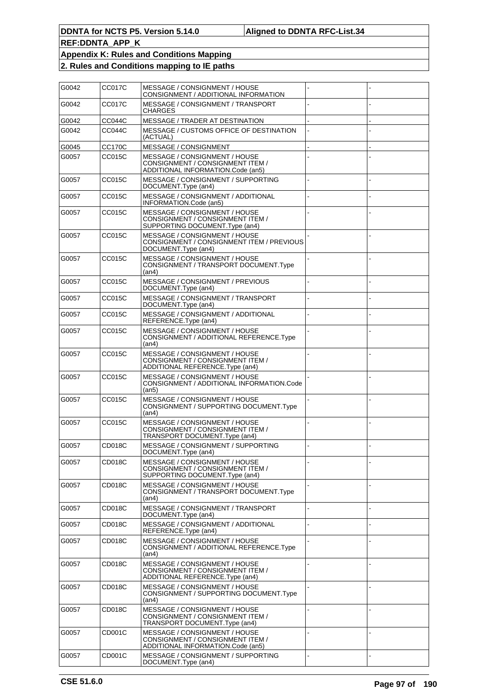| G0042 | <b>CC017C</b> | MESSAGE / CONSIGNMENT / HOUSE<br>CONSIGNMENT / ADDITIONAL INFORMATION                                  |  |
|-------|---------------|--------------------------------------------------------------------------------------------------------|--|
| G0042 | CC017C        | MESSAGE / CONSIGNMENT / TRANSPORT<br><b>CHARGES</b>                                                    |  |
| G0042 | CC044C        | <b>MESSAGE / TRADER AT DESTINATION</b>                                                                 |  |
| G0042 | <b>CC044C</b> | MESSAGE / CUSTOMS OFFICE OF DESTINATION<br>(ACTUAL)                                                    |  |
| G0045 | CC170C        | MESSAGE / CONSIGNMENT                                                                                  |  |
| G0057 | CC015C        | MESSAGE / CONSIGNMENT / HOUSE<br>CONSIGNMENT / CONSIGNMENT ITEM /<br>ADDITIONAL INFORMATION.Code (an5) |  |
| G0057 | CC015C        | MESSAGE / CONSIGNMENT / SUPPORTING<br>DOCUMENT.Type (an4)                                              |  |
| G0057 | CC015C        | MESSAGE / CONSIGNMENT / ADDITIONAL<br>INFORMATION.Code (an5)                                           |  |
| G0057 | CC015C        | MESSAGE / CONSIGNMENT / HOUSE<br>CONSIGNMENT / CONSIGNMENT ITEM /<br>SUPPORTING DOCUMENT. Type (an4)   |  |
| G0057 | CC015C        | MESSAGE / CONSIGNMENT / HOUSE<br>CONSIGNMENT / CONSIGNMENT ITEM / PREVIOUS<br>DOCUMENT.Type (an4)      |  |
| G0057 | CC015C        | MESSAGE / CONSIGNMENT / HOUSE<br>CONSIGNMENT / TRANSPORT DOCUMENT. Type<br>(an4)                       |  |
| G0057 | CC015C        | MESSAGE / CONSIGNMENT / PREVIOUS<br>DOCUMENT.Type (an4)                                                |  |
| G0057 | CC015C        | MESSAGE / CONSIGNMENT / TRANSPORT<br>DOCUMENT.Type (an4)                                               |  |
| G0057 | CC015C        | MESSAGE / CONSIGNMENT / ADDITIONAL<br>REFERENCE.Type (an4)                                             |  |
| G0057 | CC015C        | MESSAGE / CONSIGNMENT / HOUSE<br>CONSIGNMENT / ADDITIONAL REFERENCE.Type<br>(an4)                      |  |
| G0057 | CC015C        | MESSAGE / CONSIGNMENT / HOUSE<br>CONSIGNMENT / CONSIGNMENT ITEM /<br>ADDITIONAL REFERENCE. Type (an4)  |  |
| G0057 | CC015C        | MESSAGE / CONSIGNMENT / HOUSE<br>CONSIGNMENT / ADDITIONAL INFORMATION.Code<br>(an5)                    |  |
| G0057 | CC015C        | MESSAGE / CONSIGNMENT / HOUSE<br>CONSIGNMENT / SUPPORTING DOCUMENT. Type<br>(an4)                      |  |
| G0057 | CC015C        | MESSAGE / CONSIGNMENT / HOUSE<br>CONSIGNMENT / CONSIGNMENT ITEM /<br>TRANSPORT DOCUMENT. Type (an4)    |  |
| G0057 | CD018C        | MESSAGE / CONSIGNMENT / SUPPORTING<br>DOCUMENT.Type (an4)                                              |  |
| G0057 | CD018C        | MESSAGE / CONSIGNMENT / HOUSE<br>CONSIGNMENT / CONSIGNMENT ITEM /<br>SUPPORTING DOCUMENT. Type (an4)   |  |
| G0057 | CD018C        | MESSAGE / CONSIGNMENT / HOUSE<br>CONSIGNMENT / TRANSPORT DOCUMENT. Type<br>(an4)                       |  |
| G0057 | CD018C        | MESSAGE / CONSIGNMENT / TRANSPORT<br>DOCUMENT.Type (an4)                                               |  |
| G0057 | CD018C        | MESSAGE / CONSIGNMENT / ADDITIONAL<br>REFERENCE.Type (an4)                                             |  |
| G0057 | CD018C        | MESSAGE / CONSIGNMENT / HOUSE<br>CONSIGNMENT / ADDITIONAL REFERENCE. Type<br>(an4)                     |  |
| G0057 | CD018C        | MESSAGE / CONSIGNMENT / HOUSE<br>CONSIGNMENT / CONSIGNMENT ITEM /<br>ADDITIONAL REFERENCE.Type (an4)   |  |
| G0057 | CD018C        | MESSAGE / CONSIGNMENT / HOUSE<br>CONSIGNMENT / SUPPORTING DOCUMENT. Type<br>(an4)                      |  |
| G0057 | CD018C        | MESSAGE / CONSIGNMENT / HOUSE<br>CONSIGNMENT / CONSIGNMENT ITEM /<br>TRANSPORT DOCUMENT.Type (an4)     |  |
| G0057 | CD001C        | MESSAGE / CONSIGNMENT / HOUSE<br>CONSIGNMENT / CONSIGNMENT ITEM /<br>ADDITIONAL INFORMATION.Code (an5) |  |
| G0057 | CD001C        | MESSAGE / CONSIGNMENT / SUPPORTING<br>DOCUMENT.Type (an4)                                              |  |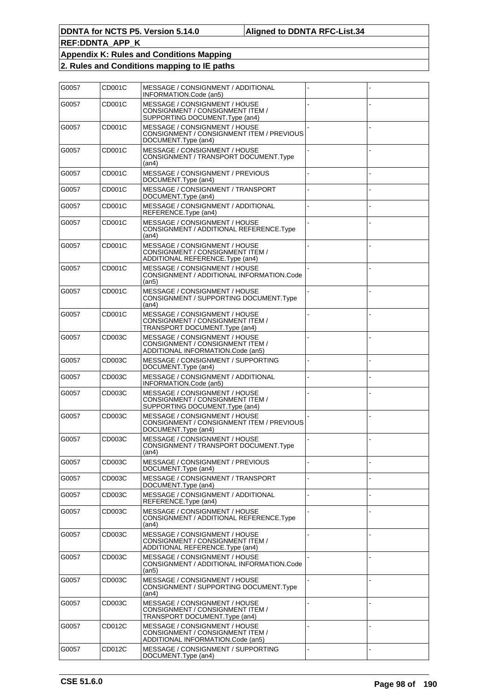| G0057 | CD001C | MESSAGE / CONSIGNMENT / ADDITIONAL<br>INFORMATION.Code (an5)                                           |  |
|-------|--------|--------------------------------------------------------------------------------------------------------|--|
| G0057 | CD001C | MESSAGE / CONSIGNMENT / HOUSE<br>CONSIGNMENT / CONSIGNMENT ITEM /<br>SUPPORTING DOCUMENT. Type (an4)   |  |
| G0057 | CD001C | MESSAGE / CONSIGNMENT / HOUSE<br>CONSIGNMENT / CONSIGNMENT ITEM / PREVIOUS<br>DOCUMENT.Type (an4)      |  |
| G0057 | CD001C | MESSAGE / CONSIGNMENT / HOUSE<br>CONSIGNMENT / TRANSPORT DOCUMENT.Type<br>(an4)                        |  |
| G0057 | CD001C | MESSAGE / CONSIGNMENT / PREVIOUS<br>DOCUMENT.Type (an4)                                                |  |
| G0057 | CD001C | MESSAGE / CONSIGNMENT / TRANSPORT<br>DOCUMENT.Type (an4)                                               |  |
| G0057 | CD001C | MESSAGE / CONSIGNMENT / ADDITIONAL<br>REFERENCE.Type (an4)                                             |  |
| G0057 | CD001C | MESSAGE / CONSIGNMENT / HOUSE<br>CONSIGNMENT / ADDITIONAL REFERENCE.Type<br>(an4)                      |  |
| G0057 | CD001C | MESSAGE / CONSIGNMENT / HOUSE<br>CONSIGNMENT / CONSIGNMENT ITEM /<br>ADDITIONAL REFERENCE. Type (an4)  |  |
| G0057 | CD001C | MESSAGE / CONSIGNMENT / HOUSE<br>CONSIGNMENT / ADDITIONAL INFORMATION.Code<br>(an5)                    |  |
| G0057 | CD001C | MESSAGE / CONSIGNMENT / HOUSE<br>CONSIGNMENT / SUPPORTING DOCUMENT. Type<br>(an4)                      |  |
| G0057 | CD001C | MESSAGE / CONSIGNMENT / HOUSE<br>CONSIGNMENT / CONSIGNMENT ITEM /<br>TRANSPORT DOCUMENT. Type (an4)    |  |
| G0057 | CD003C | MESSAGE / CONSIGNMENT / HOUSE<br>CONSIGNMENT / CONSIGNMENT ITEM /<br>ADDITIONAL INFORMATION.Code (an5) |  |
| G0057 | CD003C | MESSAGE / CONSIGNMENT / SUPPORTING<br>DOCUMENT.Type (an4)                                              |  |
| G0057 | CD003C | MESSAGE / CONSIGNMENT / ADDITIONAL<br>INFORMATION.Code (an5)                                           |  |
| G0057 | CD003C | MESSAGE / CONSIGNMENT / HOUSE<br>CONSIGNMENT / CONSIGNMENT ITEM /<br>SUPPORTING DOCUMENT. Type (an4)   |  |
| G0057 | CD003C | MESSAGE / CONSIGNMENT / HOUSE<br>CONSIGNMENT / CONSIGNMENT ITEM / PREVIOUS<br>DOCUMENT.Type (an4)      |  |
| G0057 | CD003C | MESSAGE / CONSIGNMENT / HOUSE<br>CONSIGNMENT / TRANSPORT DOCUMENT. Type<br>(an4)                       |  |
| G0057 | CD003C | MESSAGE / CONSIGNMENT / PREVIOUS<br>DOCUMENT.Type (an4)                                                |  |
| G0057 | CD003C | MESSAGE / CONSIGNMENT / TRANSPORT<br>DOCUMENT.Type (an4)                                               |  |
| G0057 | CD003C | MESSAGE / CONSIGNMENT / ADDITIONAL<br>REFERENCE.Type (an4)                                             |  |
| G0057 | CD003C | MESSAGE / CONSIGNMENT / HOUSE<br>CONSIGNMENT / ADDITIONAL REFERENCE.Type<br>(an4)                      |  |
| G0057 | CD003C | MESSAGE / CONSIGNMENT / HOUSE<br>CONSIGNMENT / CONSIGNMENT ITEM /<br>ADDITIONAL REFERENCE. Type (an4)  |  |
| G0057 | CD003C | MESSAGE / CONSIGNMENT / HOUSE<br>CONSIGNMENT / ADDITIONAL INFORMATION.Code<br>(an5)                    |  |
| G0057 | CD003C | MESSAGE / CONSIGNMENT / HOUSE<br>CONSIGNMENT / SUPPORTING DOCUMENT. Type<br>(an4)                      |  |
| G0057 | CD003C | MESSAGE / CONSIGNMENT / HOUSE<br>CONSIGNMENT / CONSIGNMENT ITEM /<br>TRANSPORT DOCUMENT. Type (an4)    |  |
| G0057 | CD012C | MESSAGE / CONSIGNMENT / HOUSE<br>CONSIGNMENT / CONSIGNMENT ITEM /<br>ADDITIONAL INFORMATION.Code (an5) |  |
| G0057 | CD012C | MESSAGE / CONSIGNMENT / SUPPORTING<br>DOCUMENT.Type (an4)                                              |  |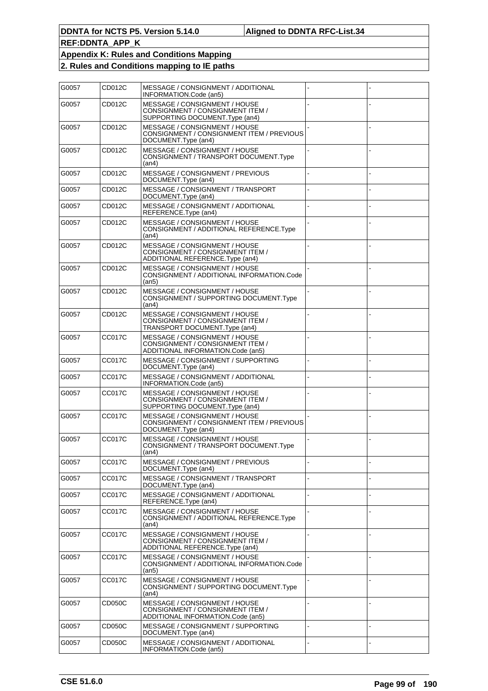| G0057 | CD012C        | MESSAGE / CONSIGNMENT / ADDITIONAL<br>INFORMATION.Code (an5)                                           |  |
|-------|---------------|--------------------------------------------------------------------------------------------------------|--|
| G0057 | CD012C        | MESSAGE / CONSIGNMENT / HOUSE<br>CONSIGNMENT / CONSIGNMENT ITEM /<br>SUPPORTING DOCUMENT. Type (an4)   |  |
| G0057 | CD012C        | MESSAGE / CONSIGNMENT / HOUSE<br>CONSIGNMENT / CONSIGNMENT ITEM / PREVIOUS<br>DOCUMENT.Type (an4)      |  |
| G0057 | CD012C        | MESSAGE / CONSIGNMENT / HOUSE<br>CONSIGNMENT / TRANSPORT DOCUMENT.Type<br>(an4)                        |  |
| G0057 | CD012C        | MESSAGE / CONSIGNMENT / PREVIOUS<br>DOCUMENT.Type (an4)                                                |  |
| G0057 | CD012C        | MESSAGE / CONSIGNMENT / TRANSPORT<br>DOCUMENT.Type (an4)                                               |  |
| G0057 | CD012C        | MESSAGE / CONSIGNMENT / ADDITIONAL<br>REFERENCE.Type (an4)                                             |  |
| G0057 | CD012C        | MESSAGE / CONSIGNMENT / HOUSE<br>CONSIGNMENT / ADDITIONAL REFERENCE.Type<br>(an4)                      |  |
| G0057 | CD012C        | MESSAGE / CONSIGNMENT / HOUSE<br>CONSIGNMENT / CONSIGNMENT ITEM /<br>ADDITIONAL REFERENCE. Type (an4)  |  |
| G0057 | CD012C        | MESSAGE / CONSIGNMENT / HOUSE<br>CONSIGNMENT / ADDITIONAL INFORMATION.Code<br>(an5)                    |  |
| G0057 | CD012C        | MESSAGE / CONSIGNMENT / HOUSE<br>CONSIGNMENT / SUPPORTING DOCUMENT. Type<br>(an4)                      |  |
| G0057 | CD012C        | MESSAGE / CONSIGNMENT / HOUSE<br>CONSIGNMENT / CONSIGNMENT ITEM /<br>TRANSPORT DOCUMENT.Type (an4)     |  |
| G0057 | CC017C        | MESSAGE / CONSIGNMENT / HOUSE<br>CONSIGNMENT / CONSIGNMENT ITEM /<br>ADDITIONAL INFORMATION.Code (an5) |  |
| G0057 | CC017C        | MESSAGE / CONSIGNMENT / SUPPORTING<br>DOCUMENT.Type (an4)                                              |  |
| G0057 | CC017C        | MESSAGE / CONSIGNMENT / ADDITIONAL<br>INFORMATION.Code (an5)                                           |  |
| G0057 | CC017C        | MESSAGE / CONSIGNMENT / HOUSE<br>CONSIGNMENT / CONSIGNMENT ITEM /<br>SUPPORTING DOCUMENT. Type (an4)   |  |
| G0057 | CC017C        | MESSAGE / CONSIGNMENT / HOUSE<br>CONSIGNMENT / CONSIGNMENT ITEM / PREVIOUS<br>DOCUMENT.Type (an4)      |  |
| G0057 | CC017C        | MESSAGE / CONSIGNMENT / HOUSE<br>CONSIGNMENT / TRANSPORT DOCUMENT. Type<br>(an4)                       |  |
| G0057 | CC017C        | MESSAGE / CONSIGNMENT / PREVIOUS<br>DOCUMENT.Type (an4)                                                |  |
| G0057 | CC017C        | MESSAGE / CONSIGNMENT / TRANSPORT<br>DOCUMENT.Type (an4)                                               |  |
| G0057 | <b>CC017C</b> | MESSAGE / CONSIGNMENT / ADDITIONAL<br>REFERENCE.Type (an4)                                             |  |
| G0057 | CC017C        | MESSAGE / CONSIGNMENT / HOUSE<br>CONSIGNMENT / ADDITIONAL REFERENCE. Type<br>(an4)                     |  |
| G0057 | <b>CC017C</b> | MESSAGE / CONSIGNMENT / HOUSE<br>CONSIGNMENT / CONSIGNMENT ITEM /<br>ADDITIONAL REFERENCE. Type (an4)  |  |
| G0057 | CC017C        | MESSAGE / CONSIGNMENT / HOUSE<br>CONSIGNMENT / ADDITIONAL INFORMATION.Code<br>(an5)                    |  |
| G0057 | CC017C        | MESSAGE / CONSIGNMENT / HOUSE<br>CONSIGNMENT / SUPPORTING DOCUMENT. Type<br>(an4)                      |  |
| G0057 | CD050C        | MESSAGE / CONSIGNMENT / HOUSE<br>CONSIGNMENT / CONSIGNMENT ITEM /<br>ADDITIONAL INFORMATION.Code (an5) |  |
| G0057 | CD050C        | MESSAGE / CONSIGNMENT / SUPPORTING<br>DOCUMENT.Type (an4)                                              |  |
| G0057 | CD050C        | MESSAGE / CONSIGNMENT / ADDITIONAL<br>INFORMATION.Code (an5)                                           |  |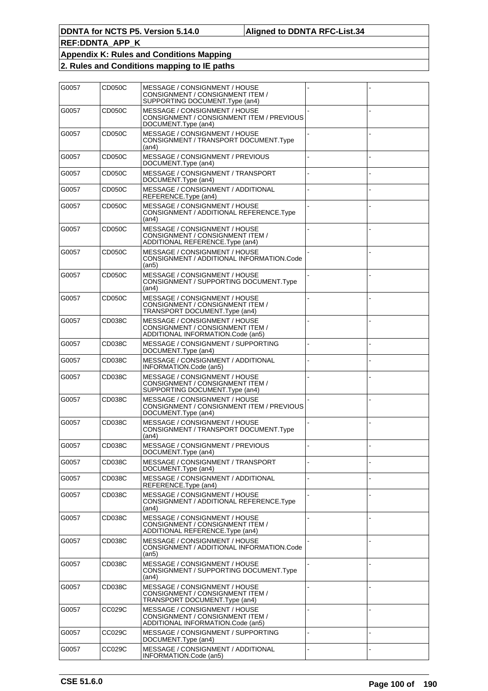| G0057 | CD050C | MESSAGE / CONSIGNMENT / HOUSE<br>CONSIGNMENT / CONSIGNMENT ITEM /<br>SUPPORTING DOCUMENT. Type (an4)   |  |
|-------|--------|--------------------------------------------------------------------------------------------------------|--|
| G0057 | CD050C | MESSAGE / CONSIGNMENT / HOUSE<br>CONSIGNMENT / CONSIGNMENT ITEM / PREVIOUS<br>DOCUMENT.Type (an4)      |  |
| G0057 | CD050C | MESSAGE / CONSIGNMENT / HOUSE<br>CONSIGNMENT / TRANSPORT DOCUMENT. Type<br>(an4)                       |  |
| G0057 | CD050C | MESSAGE / CONSIGNMENT / PREVIOUS<br>DOCUMENT.Type (an4)                                                |  |
| G0057 | CD050C | MESSAGE / CONSIGNMENT / TRANSPORT<br>DOCUMENT.Type (an4)                                               |  |
| G0057 | CD050C | MESSAGE / CONSIGNMENT / ADDITIONAL<br>REFERENCE.Type (an4)                                             |  |
| G0057 | CD050C | MESSAGE / CONSIGNMENT / HOUSE<br>CONSIGNMENT / ADDITIONAL REFERENCE.Type<br>(an4)                      |  |
| G0057 | CD050C | MESSAGE / CONSIGNMENT / HOUSE<br>CONSIGNMENT / CONSIGNMENT ITEM /<br>ADDITIONAL REFERENCE. Type (an4)  |  |
| G0057 | CD050C | MESSAGE / CONSIGNMENT / HOUSE<br>CONSIGNMENT / ADDITIONAL INFORMATION.Code<br>(an5)                    |  |
| G0057 | CD050C | MESSAGE / CONSIGNMENT / HOUSE<br>CONSIGNMENT / SUPPORTING DOCUMENT.Type<br>(an4)                       |  |
| G0057 | CD050C | MESSAGE / CONSIGNMENT / HOUSE<br>CONSIGNMENT / CONSIGNMENT ITEM /<br>TRANSPORT DOCUMENT.Type (an4)     |  |
| G0057 | CD038C | MESSAGE / CONSIGNMENT / HOUSE<br>CONSIGNMENT / CONSIGNMENT ITEM /<br>ADDITIONAL INFORMATION.Code (an5) |  |
| G0057 | CD038C | MESSAGE / CONSIGNMENT / SUPPORTING<br>DOCUMENT.Type (an4)                                              |  |
| G0057 | CD038C | MESSAGE / CONSIGNMENT / ADDITIONAL<br>INFORMATION.Code (an5)                                           |  |
| G0057 | CD038C | MESSAGE / CONSIGNMENT / HOUSE<br>CONSIGNMENT / CONSIGNMENT ITEM /<br>SUPPORTING DOCUMENT. Type (an4)   |  |
| G0057 | CD038C | MESSAGE / CONSIGNMENT / HOUSE<br>CONSIGNMENT / CONSIGNMENT ITEM / PREVIOUS<br>DOCUMENT.Type (an4)      |  |
| G0057 | CD038C | MESSAGE / CONSIGNMENT / HOUSE<br>CONSIGNMENT / TRANSPORT DOCUMENT.Type<br>(an4)                        |  |
| G0057 | CD038C | MESSAGE / CONSIGNMENT / PREVIOUS<br>DOCUMENT.Type (an4)                                                |  |
| G0057 | CD038C | MESSAGE / CONSIGNMENT / TRANSPORT<br>DOCUMENT.Type (an4)                                               |  |
| G0057 | CD038C | MESSAGE / CONSIGNMENT / ADDITIONAL<br>REFERENCE.Type (an4)                                             |  |
| G0057 | CD038C | MESSAGE / CONSIGNMENT / HOUSE<br>CONSIGNMENT / ADDITIONAL REFERENCE.Type<br>(an4)                      |  |
| G0057 | CD038C | MESSAGE / CONSIGNMENT / HOUSE<br>CONSIGNMENT / CONSIGNMENT ITEM /<br>ADDITIONAL REFERENCE. Type (an4)  |  |
| G0057 | CD038C | MESSAGE / CONSIGNMENT / HOUSE<br>CONSIGNMENT / ADDITIONAL INFORMATION.Code<br>(an5)                    |  |
| G0057 | CD038C | MESSAGE / CONSIGNMENT / HOUSE<br>CONSIGNMENT / SUPPORTING DOCUMENT. Type<br>(an4)                      |  |
| G0057 | CD038C | MESSAGE / CONSIGNMENT / HOUSE<br>CONSIGNMENT / CONSIGNMENT ITEM /<br>TRANSPORT DOCUMENT. Type (an4)    |  |
| G0057 | CC029C | MESSAGE / CONSIGNMENT / HOUSE<br>CONSIGNMENT / CONSIGNMENT ITEM /<br>ADDITIONAL INFORMATION.Code (an5) |  |
| G0057 | CC029C | MESSAGE / CONSIGNMENT / SUPPORTING<br>DOCUMENT.Type (an4)                                              |  |
| G0057 | CC029C | MESSAGE / CONSIGNMENT / ADDITIONAL<br>INFORMATION.Code (an5)                                           |  |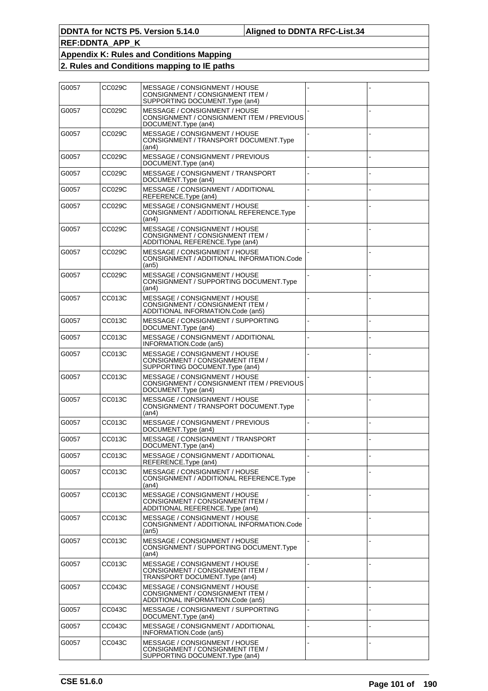| G0057 | CC029C | MESSAGE / CONSIGNMENT / HOUSE<br>CONSIGNMENT / CONSIGNMENT ITEM /<br>SUPPORTING DOCUMENT. Type (an4)   |  |
|-------|--------|--------------------------------------------------------------------------------------------------------|--|
| G0057 | CC029C | MESSAGE / CONSIGNMENT / HOUSE<br>CONSIGNMENT / CONSIGNMENT ITEM / PREVIOUS<br>DOCUMENT.Type (an4)      |  |
| G0057 | CC029C | MESSAGE / CONSIGNMENT / HOUSE<br>CONSIGNMENT / TRANSPORT DOCUMENT. Type<br>(an4)                       |  |
| G0057 | CC029C | MESSAGE / CONSIGNMENT / PREVIOUS<br>DOCUMENT.Type (an4)                                                |  |
| G0057 | CC029C | MESSAGE / CONSIGNMENT / TRANSPORT<br>DOCUMENT.Type (an4)                                               |  |
| G0057 | CC029C | MESSAGE / CONSIGNMENT / ADDITIONAL<br>REFERENCE.Type (an4)                                             |  |
| G0057 | CC029C | MESSAGE / CONSIGNMENT / HOUSE<br>CONSIGNMENT / ADDITIONAL REFERENCE.Type<br>(an4)                      |  |
| G0057 | CC029C | MESSAGE / CONSIGNMENT / HOUSE<br>CONSIGNMENT / CONSIGNMENT ITEM /<br>ADDITIONAL REFERENCE. Type (an4)  |  |
| G0057 | CC029C | MESSAGE / CONSIGNMENT / HOUSE<br>CONSIGNMENT / ADDITIONAL INFORMATION.Code<br>(an5)                    |  |
| G0057 | CC029C | MESSAGE / CONSIGNMENT / HOUSE<br>CONSIGNMENT / SUPPORTING DOCUMENT. Type<br>(an4)                      |  |
| G0057 | CC013C | MESSAGE / CONSIGNMENT / HOUSE<br>CONSIGNMENT / CONSIGNMENT ITEM /<br>ADDITIONAL INFORMATION.Code (an5) |  |
| G0057 | CC013C | MESSAGE / CONSIGNMENT / SUPPORTING<br>DOCUMENT.Type (an4)                                              |  |
| G0057 | CC013C | MESSAGE / CONSIGNMENT / ADDITIONAL<br>INFORMATION.Code (an5)                                           |  |
| G0057 | CC013C | MESSAGE / CONSIGNMENT / HOUSE<br>CONSIGNMENT / CONSIGNMENT ITEM /<br>SUPPORTING DOCUMENT. Type (an4)   |  |
| G0057 | CC013C | MESSAGE / CONSIGNMENT / HOUSE<br>CONSIGNMENT / CONSIGNMENT ITEM / PREVIOUS<br>DOCUMENT.Type (an4)      |  |
| G0057 | CC013C | MESSAGE / CONSIGNMENT / HOUSE<br>CONSIGNMENT / TRANSPORT DOCUMENT. Type<br>(an4)                       |  |
| G0057 | CC013C | MESSAGE / CONSIGNMENT / PREVIOUS<br>DOCUMENT.Type (an4)                                                |  |
| G0057 | CC013C | MESSAGE / CONSIGNMENT / TRANSPORT<br>DOCUMENT.Type (an4)                                               |  |
| G0057 | CC013C | MESSAGE / CONSIGNMENT / ADDITIONAL<br>REFERENCE.Type (an4)                                             |  |
| G0057 | CC013C | MESSAGE / CONSIGNMENT / HOUSE<br>CONSIGNMENT / ADDITIONAL REFERENCE. Type<br>(an4)                     |  |
| G0057 | CC013C | MESSAGE / CONSIGNMENT / HOUSE<br>CONSIGNMENT / CONSIGNMENT ITEM /<br>ADDITIONAL REFERENCE. Type (an4)  |  |
| G0057 | CC013C | MESSAGE / CONSIGNMENT / HOUSE<br>CONSIGNMENT / ADDITIONAL INFORMATION.Code<br>(an5)                    |  |
| G0057 | CC013C | MESSAGE / CONSIGNMENT / HOUSE<br>CONSIGNMENT / SUPPORTING DOCUMENT. Type<br>(an4)                      |  |
| G0057 | CC013C | MESSAGE / CONSIGNMENT / HOUSE<br>CONSIGNMENT / CONSIGNMENT ITEM /<br>TRANSPORT DOCUMENT.Type (an4)     |  |
| G0057 | CC043C | MESSAGE / CONSIGNMENT / HOUSE<br>CONSIGNMENT / CONSIGNMENT ITEM /<br>ADDITIONAL INFORMATION.Code (an5) |  |
| G0057 | CC043C | MESSAGE / CONSIGNMENT / SUPPORTING<br>DOCUMENT.Type (an4)                                              |  |
| G0057 | CC043C | MESSAGE / CONSIGNMENT / ADDITIONAL<br>INFORMATION.Code (an5)                                           |  |
| G0057 | CC043C | MESSAGE / CONSIGNMENT / HOUSE<br>CONSIGNMENT / CONSIGNMENT ITEM /<br>SUPPORTING DOCUMENT. Type (an4)   |  |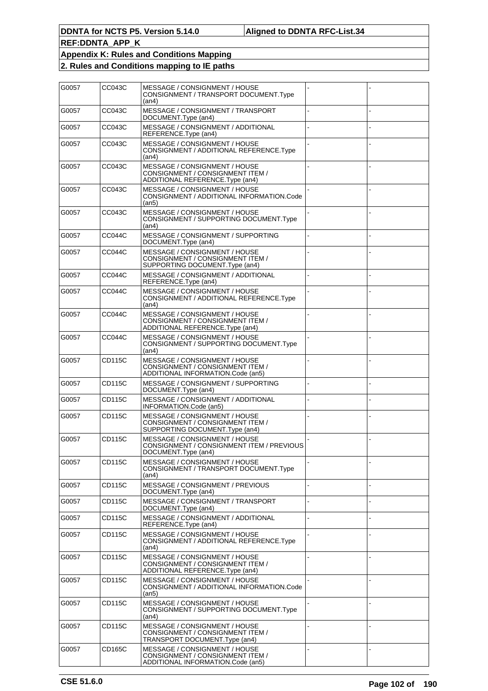| G0057 | CC043C | MESSAGE / CONSIGNMENT / HOUSE<br>CONSIGNMENT / TRANSPORT DOCUMENT. Type<br>(an4)                       |  |
|-------|--------|--------------------------------------------------------------------------------------------------------|--|
| G0057 | CC043C | MESSAGE / CONSIGNMENT / TRANSPORT<br>DOCUMENT.Type (an4)                                               |  |
| G0057 | CC043C | MESSAGE / CONSIGNMENT / ADDITIONAL<br>REFERENCE.Type (an4)                                             |  |
| G0057 | CC043C | MESSAGE / CONSIGNMENT / HOUSE<br>CONSIGNMENT / ADDITIONAL REFERENCE.Type<br>(an4)                      |  |
| G0057 | CC043C | MESSAGE / CONSIGNMENT / HOUSE<br>CONSIGNMENT / CONSIGNMENT ITEM /<br>ADDITIONAL REFERENCE. Type (an4)  |  |
| G0057 | CC043C | MESSAGE / CONSIGNMENT / HOUSE<br>CONSIGNMENT / ADDITIONAL INFORMATION.Code<br>(an5)                    |  |
| G0057 | CC043C | MESSAGE / CONSIGNMENT / HOUSE<br>CONSIGNMENT / SUPPORTING DOCUMENT. Type<br>(an4)                      |  |
| G0057 | CC044C | MESSAGE / CONSIGNMENT / SUPPORTING<br>DOCUMENT.Type (an4)                                              |  |
| G0057 | CC044C | MESSAGE / CONSIGNMENT / HOUSE<br>CONSIGNMENT / CONSIGNMENT ITEM /<br>SUPPORTING DOCUMENT. Type (an4)   |  |
| G0057 | CC044C | MESSAGE / CONSIGNMENT / ADDITIONAL<br>REFERENCE.Type (an4)                                             |  |
| G0057 | CC044C | MESSAGE / CONSIGNMENT / HOUSE<br>CONSIGNMENT / ADDITIONAL REFERENCE.Type<br>(an4)                      |  |
| G0057 | CC044C | MESSAGE / CONSIGNMENT / HOUSE<br>CONSIGNMENT / CONSIGNMENT ITEM /<br>ADDITIONAL REFERENCE.Type (an4)   |  |
| G0057 | CC044C | MESSAGE / CONSIGNMENT / HOUSE<br>CONSIGNMENT / SUPPORTING DOCUMENT. Type<br>(an4)                      |  |
| G0057 | CD115C | MESSAGE / CONSIGNMENT / HOUSE<br>CONSIGNMENT / CONSIGNMENT ITEM /<br>ADDITIONAL INFORMATION.Code (an5) |  |
| G0057 | CD115C | MESSAGE / CONSIGNMENT / SUPPORTING<br>DOCUMENT.Type (an4)                                              |  |
| G0057 | CD115C | MESSAGE / CONSIGNMENT / ADDITIONAL<br>INFORMATION.Code (an5)                                           |  |
| G0057 | CD115C | MESSAGE / CONSIGNMENT / HOUSE<br>CONSIGNMENT / CONSIGNMENT ITEM /<br>SUPPORTING DOCUMENT. Type (an4)   |  |
| G0057 | CD115C | MESSAGE / CONSIGNMENT / HOUSE<br>CONSIGNMENT / CONSIGNMENT ITEM / PREVIOUS<br>DOCUMENT.Type (an4)      |  |
| G0057 | CD115C | MESSAGE / CONSIGNMENT / HOUSE<br>CONSIGNMENT / TRANSPORT DOCUMENT. Type<br>(an4)                       |  |
| G0057 | CD115C | MESSAGE / CONSIGNMENT / PREVIOUS<br>DOCUMENT.Type (an4)                                                |  |
| G0057 | CD115C | MESSAGE / CONSIGNMENT / TRANSPORT<br>DOCUMENT.Type (an4)                                               |  |
| G0057 | CD115C | MESSAGE / CONSIGNMENT / ADDITIONAL<br>REFERENCE.Type (an4)                                             |  |
| G0057 | CD115C | MESSAGE / CONSIGNMENT / HOUSE<br>CONSIGNMENT / ADDITIONAL REFERENCE.Type<br>(an4)                      |  |
| G0057 | CD115C | MESSAGE / CONSIGNMENT / HOUSE<br>CONSIGNMENT / CONSIGNMENT ITEM /<br>ADDITIONAL REFERENCE. Type (an4)  |  |
| G0057 | CD115C | MESSAGE / CONSIGNMENT / HOUSE<br>CONSIGNMENT / ADDITIONAL INFORMATION.Code<br>(an5)                    |  |
| G0057 | CD115C | MESSAGE / CONSIGNMENT / HOUSE<br>CONSIGNMENT / SUPPORTING DOCUMENT.Type<br>(an4)                       |  |
| G0057 | CD115C | MESSAGE / CONSIGNMENT / HOUSE<br>CONSIGNMENT / CONSIGNMENT ITEM /<br>TRANSPORT DOCUMENT.Type (an4)     |  |
| G0057 | CD165C | MESSAGE / CONSIGNMENT / HOUSE<br>CONSIGNMENT / CONSIGNMENT ITEM /<br>ADDITIONAL INFORMATION.Code (an5) |  |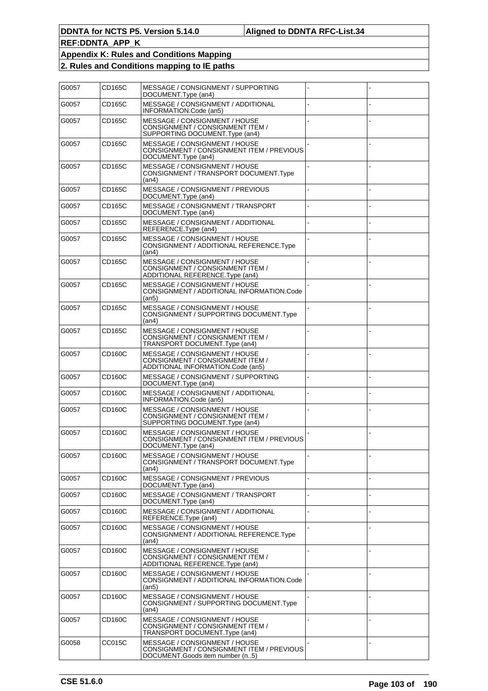| G0057 | CD165C | MESSAGE / CONSIGNMENT / SUPPORTING<br>DOCUMENT.Type (an4)                                                     |  |
|-------|--------|---------------------------------------------------------------------------------------------------------------|--|
| G0057 | CD165C | MESSAGE / CONSIGNMENT / ADDITIONAL<br>INFORMATION.Code (an5)                                                  |  |
| G0057 | CD165C | MESSAGE / CONSIGNMENT / HOUSE<br>CONSIGNMENT / CONSIGNMENT ITEM /<br>SUPPORTING DOCUMENT. Type (an4)          |  |
| G0057 | CD165C | MESSAGE / CONSIGNMENT / HOUSE<br>CONSIGNMENT / CONSIGNMENT ITEM / PREVIOUS<br>DOCUMENT.Type (an4)             |  |
| G0057 | CD165C | MESSAGE / CONSIGNMENT / HOUSE<br>CONSIGNMENT / TRANSPORT DOCUMENT.Type<br>(an4)                               |  |
| G0057 | CD165C | MESSAGE / CONSIGNMENT / PREVIOUS<br>DOCUMENT.Type (an4)                                                       |  |
| G0057 | CD165C | MESSAGE / CONSIGNMENT / TRANSPORT<br>DOCUMENT.Type (an4)                                                      |  |
| G0057 | CD165C | MESSAGE / CONSIGNMENT / ADDITIONAL<br>REFERENCE.Type (an4)                                                    |  |
| G0057 | CD165C | MESSAGE / CONSIGNMENT / HOUSE<br>CONSIGNMENT / ADDITIONAL REFERENCE. Type<br>(an4)                            |  |
| G0057 | CD165C | MESSAGE / CONSIGNMENT / HOUSE<br>CONSIGNMENT / CONSIGNMENT ITEM /<br>ADDITIONAL REFERENCE. Type (an4)         |  |
| G0057 | CD165C | MESSAGE / CONSIGNMENT / HOUSE<br>CONSIGNMENT / ADDITIONAL INFORMATION.Code<br>(an5)                           |  |
| G0057 | CD165C | MESSAGE / CONSIGNMENT / HOUSE<br>CONSIGNMENT / SUPPORTING DOCUMENT. Type<br>(an4)                             |  |
| G0057 | CD165C | MESSAGE / CONSIGNMENT / HOUSE<br>CONSIGNMENT / CONSIGNMENT ITEM /<br>TRANSPORT DOCUMENT. Type (an4)           |  |
| G0057 | CD160C | MESSAGE / CONSIGNMENT / HOUSE<br>CONSIGNMENT / CONSIGNMENT ITEM /<br>ADDITIONAL INFORMATION.Code (an5)        |  |
| G0057 | CD160C | MESSAGE / CONSIGNMENT / SUPPORTING<br>DOCUMENT.Type (an4)                                                     |  |
| G0057 | CD160C | MESSAGE / CONSIGNMENT / ADDITIONAL<br>INFORMATION.Code (an5)                                                  |  |
| G0057 | CD160C | MESSAGE / CONSIGNMENT / HOUSE<br>CONSIGNMENT / CONSIGNMENT ITEM /<br>SUPPORTING DOCUMENT. Type (an4)          |  |
| G0057 | CD160C | MESSAGE / CONSIGNMENT / HOUSE<br>CONSIGNMENT / CONSIGNMENT ITEM / PREVIOUS<br>DOCUMENT.Type (an4)             |  |
| G0057 | CD160C | MESSAGE / CONSIGNMENT / HOUSE<br>CONSIGNMENT / TRANSPORT DOCUMENT. Type<br>(an4)                              |  |
| G0057 | CD160C | MESSAGE / CONSIGNMENT / PREVIOUS<br>DOCUMENT.Type (an4)                                                       |  |
| G0057 | CD160C | MESSAGE / CONSIGNMENT / TRANSPORT<br>DOCUMENT.Type (an4)                                                      |  |
| G0057 | CD160C | MESSAGE / CONSIGNMENT / ADDITIONAL<br>REFERENCE.Type (an4)                                                    |  |
| G0057 | CD160C | MESSAGE / CONSIGNMENT / HOUSE<br>CONSIGNMENT / ADDITIONAL REFERENCE.Type<br>(an4)                             |  |
| G0057 | CD160C | MESSAGE / CONSIGNMENT / HOUSE<br>CONSIGNMENT / CONSIGNMENT ITEM /<br>ADDITIONAL REFERENCE. Type (an4)         |  |
| G0057 | CD160C | MESSAGE / CONSIGNMENT / HOUSE<br>CONSIGNMENT / ADDITIONAL INFORMATION.Code<br>(an5)                           |  |
| G0057 | CD160C | MESSAGE / CONSIGNMENT / HOUSE<br>CONSIGNMENT / SUPPORTING DOCUMENT. Type<br>(an4)                             |  |
| G0057 | CD160C | MESSAGE / CONSIGNMENT / HOUSE<br>CONSIGNMENT / CONSIGNMENT ITEM /<br>TRANSPORT DOCUMENT.Type (an4)            |  |
| G0058 | CC015C | MESSAGE / CONSIGNMENT / HOUSE<br>CONSIGNMENT / CONSIGNMENT ITEM / PREVIOUS<br>DOCUMENT.Goods item number (n5) |  |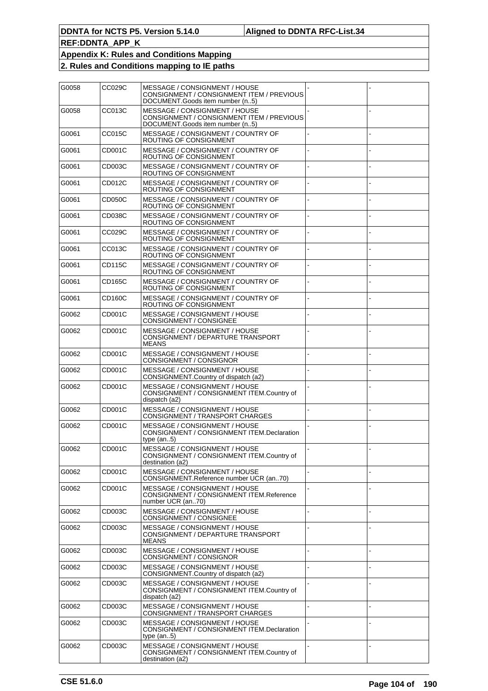| G0058 | CC029C | MESSAGE / CONSIGNMENT / HOUSE<br>CONSIGNMENT / CONSIGNMENT ITEM / PREVIOUS<br>DOCUMENT.Goods item number (n5) |  |
|-------|--------|---------------------------------------------------------------------------------------------------------------|--|
| G0058 | CC013C | MESSAGE / CONSIGNMENT / HOUSE<br>CONSIGNMENT / CONSIGNMENT ITEM / PREVIOUS<br>DOCUMENT.Goods item number (n5) |  |
| G0061 | CC015C | MESSAGE / CONSIGNMENT / COUNTRY OF<br>ROUTING OF CONSIGNMENT                                                  |  |
| G0061 | CD001C | MESSAGE / CONSIGNMENT / COUNTRY OF<br>ROUTING OF CONSIGNMENT                                                  |  |
| G0061 | CD003C | MESSAGE / CONSIGNMENT / COUNTRY OF<br>ROUTING OF CONSIGNMENT                                                  |  |
| G0061 | CD012C | MESSAGE / CONSIGNMENT / COUNTRY OF<br>ROUTING OF CONSIGNMENT                                                  |  |
| G0061 | CD050C | MESSAGE / CONSIGNMENT / COUNTRY OF<br>ROUTING OF CONSIGNMENT                                                  |  |
| G0061 | CD038C | MESSAGE / CONSIGNMENT / COUNTRY OF<br>ROUTING OF CONSIGNMENT                                                  |  |
| G0061 | CC029C | MESSAGE / CONSIGNMENT / COUNTRY OF<br>ROUTING OF CONSIGNMENT                                                  |  |
| G0061 | CC013C | MESSAGE / CONSIGNMENT / COUNTRY OF<br>ROUTING OF CONSIGNMENT                                                  |  |
| G0061 | CD115C | MESSAGE / CONSIGNMENT / COUNTRY OF<br>ROUTING OF CONSIGNMENT                                                  |  |
| G0061 | CD165C | MESSAGE / CONSIGNMENT / COUNTRY OF<br>ROUTING OF CONSIGNMENT                                                  |  |
| G0061 | CD160C | MESSAGE / CONSIGNMENT / COUNTRY OF<br>ROUTING OF CONSIGNMENT                                                  |  |
| G0062 | CD001C | MESSAGE / CONSIGNMENT / HOUSE<br>CONSIGNMENT / CONSIGNEE                                                      |  |
| G0062 | CD001C | MESSAGE / CONSIGNMENT / HOUSE<br>CONSIGNMENT / DEPARTURE TRANSPORT<br><b>MEANS</b>                            |  |
| G0062 | CD001C | MESSAGE / CONSIGNMENT / HOUSE<br>CONSIGNMENT / CONSIGNOR                                                      |  |
| G0062 | CD001C | MESSAGE / CONSIGNMENT / HOUSE<br>CONSIGNMENT.Country of dispatch (a2)                                         |  |
| G0062 | CD001C | MESSAGE / CONSIGNMENT / HOUSE<br>CONSIGNMENT / CONSIGNMENT ITEM.Country of<br>dispatch (a2)                   |  |
| G0062 | CD001C | MESSAGE / CONSIGNMENT / HOUSE<br>CONSIGNMENT / TRANSPORT CHARGES                                              |  |
| G0062 | CD001C | MESSAGE / CONSIGNMENT / HOUSE<br>CONSIGNMENT / CONSIGNMENT ITEM.Declaration<br>type $(an5)$                   |  |
| G0062 | CD001C | MESSAGE / CONSIGNMENT / HOUSE<br>CONSIGNMENT / CONSIGNMENT ITEM.Country of<br>destination (a2)                |  |
| G0062 | CD001C | MESSAGE / CONSIGNMENT / HOUSE<br>CONSIGNMENT.Reference number UCR (an70)                                      |  |
| G0062 | CD001C | MESSAGE / CONSIGNMENT / HOUSE<br>CONSIGNMENT / CONSIGNMENT ITEM.Reference<br>number UCR (an70)                |  |
| G0062 | CD003C | MESSAGE / CONSIGNMENT / HOUSE<br>CONSIGNMENT / CONSIGNEE                                                      |  |
| G0062 | CD003C | MESSAGE / CONSIGNMENT / HOUSE<br>CONSIGNMENT / DEPARTURE TRANSPORT<br><b>MEANS</b>                            |  |
| G0062 | CD003C | MESSAGE / CONSIGNMENT / HOUSE<br>CONSIGNMENT / CONSIGNOR                                                      |  |
| G0062 | CD003C | MESSAGE / CONSIGNMENT / HOUSE<br>CONSIGNMENT.Country of dispatch (a2)                                         |  |
| G0062 | CD003C | MESSAGE / CONSIGNMENT / HOUSE<br>CONSIGNMENT / CONSIGNMENT ITEM.Country of<br>dispatch (a2)                   |  |
| G0062 | CD003C | MESSAGE / CONSIGNMENT / HOUSE<br>CONSIGNMENT / TRANSPORT CHARGES                                              |  |
| G0062 | CD003C | MESSAGE / CONSIGNMENT / HOUSE<br>CONSIGNMENT / CONSIGNMENT ITEM.Declaration<br>type (an5)                     |  |
| G0062 | CD003C | MESSAGE / CONSIGNMENT / HOUSE<br>CONSIGNMENT / CONSIGNMENT ITEM.Country of<br>destination (a2)                |  |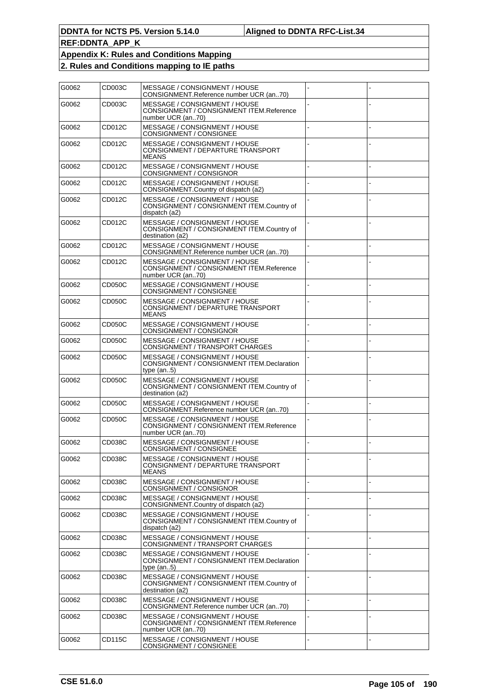| G0062 | CD003C        | MESSAGE / CONSIGNMENT / HOUSE<br>CONSIGNMENT.Reference number UCR (an70)                       |  |
|-------|---------------|------------------------------------------------------------------------------------------------|--|
| G0062 | CD003C        | MESSAGE / CONSIGNMENT / HOUSE<br>CONSIGNMENT / CONSIGNMENT ITEM.Reference<br>number UCR (an70) |  |
| G0062 | CD012C        | MESSAGE / CONSIGNMENT / HOUSE<br>CONSIGNMENT / CONSIGNEE                                       |  |
| G0062 | CD012C        | MESSAGE / CONSIGNMENT / HOUSE<br>CONSIGNMENT / DEPARTURE TRANSPORT<br><b>MEANS</b>             |  |
| G0062 | CD012C        | MESSAGE / CONSIGNMENT / HOUSE<br>CONSIGNMENT / CONSIGNOR                                       |  |
| G0062 | CD012C        | MESSAGE / CONSIGNMENT / HOUSE<br>CONSIGNMENT.Country of dispatch (a2)                          |  |
| G0062 | CD012C        | MESSAGE / CONSIGNMENT / HOUSE<br>CONSIGNMENT / CONSIGNMENT ITEM.Country of<br>dispatch (a2)    |  |
| G0062 | CD012C        | MESSAGE / CONSIGNMENT / HOUSE<br>CONSIGNMENT / CONSIGNMENT ITEM.Country of<br>destination (a2) |  |
| G0062 | CD012C        | MESSAGE / CONSIGNMENT / HOUSE<br>CONSIGNMENT.Reference number UCR (an70)                       |  |
| G0062 | CD012C        | MESSAGE / CONSIGNMENT / HOUSE<br>CONSIGNMENT / CONSIGNMENT ITEM.Reference<br>number UCR (an70) |  |
| G0062 | CD050C        | MESSAGE / CONSIGNMENT / HOUSE<br>CONSIGNMENT / CONSIGNEE                                       |  |
| G0062 | CD050C        | MESSAGE / CONSIGNMENT / HOUSE<br>CONSIGNMENT / DEPARTURE TRANSPORT<br><b>MEANS</b>             |  |
| G0062 | CD050C        | MESSAGE / CONSIGNMENT / HOUSE<br>CONSIGNMENT / CONSIGNOR                                       |  |
| G0062 | CD050C        | MESSAGE / CONSIGNMENT / HOUSE<br>CONSIGNMENT / TRANSPORT CHARGES                               |  |
| G0062 | CD050C        | MESSAGE / CONSIGNMENT / HOUSE<br>CONSIGNMENT / CONSIGNMENT ITEM.Declaration<br>type $(an5)$    |  |
| G0062 | CD050C        | MESSAGE / CONSIGNMENT / HOUSE<br>CONSIGNMENT / CONSIGNMENT ITEM.Country of<br>destination (a2) |  |
| G0062 | CD050C        | MESSAGE / CONSIGNMENT / HOUSE<br>CONSIGNMENT.Reference number UCR (an70)                       |  |
| G0062 | CD050C        | MESSAGE / CONSIGNMENT / HOUSE<br>CONSIGNMENT / CONSIGNMENT ITEM.Reference<br>number UCR (an70) |  |
| G0062 | CD038C        | MESSAGE / CONSIGNMENT / HOUSE<br>UUNSIGNMEN I / UUNSIGNEE                                      |  |
| G0062 | CD038C        | MESSAGE / CONSIGNMENT / HOUSE<br>CONSIGNMENT / DEPARTURE TRANSPORT<br><b>MEANS</b>             |  |
| G0062 | CD038C        | MESSAGE / CONSIGNMENT / HOUSE<br>CONSIGNMENT / CONSIGNOR                                       |  |
| G0062 | CD038C        | MESSAGE / CONSIGNMENT / HOUSE<br>CONSIGNMENT.Country of dispatch (a2)                          |  |
| G0062 | CD038C        | MESSAGE / CONSIGNMENT / HOUSE<br>CONSIGNMENT / CONSIGNMENT ITEM.Country of<br>dispatch (a2)    |  |
| G0062 | CD038C        | MESSAGE / CONSIGNMENT / HOUSE<br>CONSIGNMENT / TRANSPORT CHARGES                               |  |
| G0062 | CD038C        | MESSAGE / CONSIGNMENT / HOUSE<br>CONSIGNMENT / CONSIGNMENT ITEM.Declaration<br>type $(an5)$    |  |
| G0062 | CD038C        | MESSAGE / CONSIGNMENT / HOUSE<br>CONSIGNMENT / CONSIGNMENT ITEM.Country of<br>destination (a2) |  |
| G0062 | CD038C        | MESSAGE / CONSIGNMENT / HOUSE<br>CONSIGNMENT.Reference number UCR (an70)                       |  |
| G0062 | CD038C        | MESSAGE / CONSIGNMENT / HOUSE<br>CONSIGNMENT / CONSIGNMENT ITEM.Reference<br>number UCR (an70) |  |
| G0062 | <b>CD115C</b> | MESSAGE / CONSIGNMENT / HOUSE<br>CONSIGNMENT / CONSIGNEE                                       |  |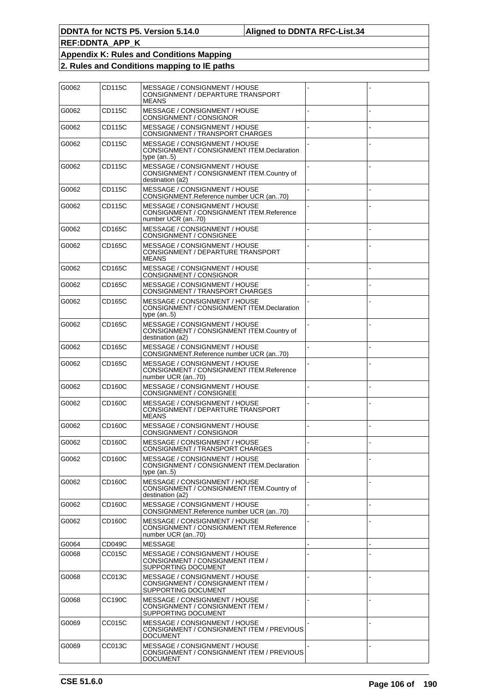| G0062 | CD115C | MESSAGE / CONSIGNMENT / HOUSE<br>CONSIGNMENT / DEPARTURE TRANSPORT<br><b>MEANS</b>             |  |
|-------|--------|------------------------------------------------------------------------------------------------|--|
| G0062 | CD115C | MESSAGE / CONSIGNMENT / HOUSE<br>CONSIGNMENT / CONSIGNOR                                       |  |
| G0062 | CD115C | MESSAGE / CONSIGNMENT / HOUSE<br>CONSIGNMENT / TRANSPORT CHARGES                               |  |
| G0062 | CD115C | MESSAGE / CONSIGNMENT / HOUSE<br>CONSIGNMENT / CONSIGNMENT ITEM.Declaration<br>type (an5)      |  |
| G0062 | CD115C | MESSAGE / CONSIGNMENT / HOUSE<br>CONSIGNMENT / CONSIGNMENT ITEM.Country of<br>destination (a2) |  |
| G0062 | CD115C | MESSAGE / CONSIGNMENT / HOUSE<br>CONSIGNMENT.Reference number UCR (an70)                       |  |
| G0062 | CD115C | MESSAGE / CONSIGNMENT / HOUSE<br>CONSIGNMENT / CONSIGNMENT ITEM.Reference<br>number UCR (an70) |  |
| G0062 | CD165C | MESSAGE / CONSIGNMENT / HOUSE<br>CONSIGNMENT / CONSIGNEE                                       |  |
| G0062 | CD165C | MESSAGE / CONSIGNMENT / HOUSE<br>CONSIGNMENT / DEPARTURE TRANSPORT<br><b>MEANS</b>             |  |
| G0062 | CD165C | MESSAGE / CONSIGNMENT / HOUSE<br>CONSIGNMENT / CONSIGNOR                                       |  |
| G0062 | CD165C | MESSAGE / CONSIGNMENT / HOUSE<br>CONSIGNMENT / TRANSPORT CHARGES                               |  |
| G0062 | CD165C | MESSAGE / CONSIGNMENT / HOUSE<br>CONSIGNMENT / CONSIGNMENT ITEM.Declaration<br>type $(an5)$    |  |
| G0062 | CD165C | MESSAGE / CONSIGNMENT / HOUSE<br>CONSIGNMENT / CONSIGNMENT ITEM.Country of<br>destination (a2) |  |
| G0062 | CD165C | MESSAGE / CONSIGNMENT / HOUSE<br>CONSIGNMENT.Reference number UCR (an70)                       |  |
| G0062 | CD165C | MESSAGE / CONSIGNMENT / HOUSE<br>CONSIGNMENT / CONSIGNMENT ITEM.Reference<br>number UCR (an70) |  |
| G0062 | CD160C | MESSAGE / CONSIGNMENT / HOUSE<br>CONSIGNMENT / CONSIGNEE                                       |  |
| G0062 | CD160C | MESSAGE / CONSIGNMENT / HOUSE<br>CONSIGNMENT / DEPARTURE TRANSPORT<br><b>MEANS</b>             |  |
| G0062 | CD160C | MESSAGE / CONSIGNMENT / HOUSE<br>CONSIGNMENT / CONSIGNOR                                       |  |
| G0062 | CD160C | MESSAGE / CONSIGNMENT / HOUSE<br>CONSIGNMENT / TRANSPORT CHARGES                               |  |
| G0062 | CD160C | MESSAGE / CONSIGNMENT / HOUSE<br>CONSIGNMENT / CONSIGNMENT ITEM.Declaration<br>type $(an5)$    |  |
| G0062 | CD160C | MESSAGE / CONSIGNMENT / HOUSE<br>CONSIGNMENT / CONSIGNMENT ITEM.Country of<br>destination (a2) |  |
| G0062 | CD160C | MESSAGE / CONSIGNMENT / HOUSE<br>CONSIGNMENT.Reference number UCR (an70)                       |  |
| G0062 | CD160C | MESSAGE / CONSIGNMENT / HOUSE<br>CONSIGNMENT / CONSIGNMENT ITEM.Reference<br>number UCR (an70) |  |
| G0064 | CD049C | <b>MESSAGE</b>                                                                                 |  |
| G0068 | CC015C | MESSAGE / CONSIGNMENT / HOUSE<br>CONSIGNMENT / CONSIGNMENT ITEM /<br>SUPPORTING DOCUMENT       |  |
| G0068 | CC013C | MESSAGE / CONSIGNMENT / HOUSE<br>CONSIGNMENT / CONSIGNMENT ITEM /<br>SUPPORTING DOCUMENT       |  |
| G0068 | CC190C | MESSAGE / CONSIGNMENT / HOUSE<br>CONSIGNMENT / CONSIGNMENT ITEM /<br>SUPPORTING DOCUMENT       |  |
| G0069 | CC015C | MESSAGE / CONSIGNMENT / HOUSE<br>CONSIGNMENT / CONSIGNMENT ITEM / PREVIOUS<br>DOCUMENT         |  |
| G0069 | CC013C | MESSAGE / CONSIGNMENT / HOUSE<br>CONSIGNMENT / CONSIGNMENT ITEM / PREVIOUS<br>DOCUMENT         |  |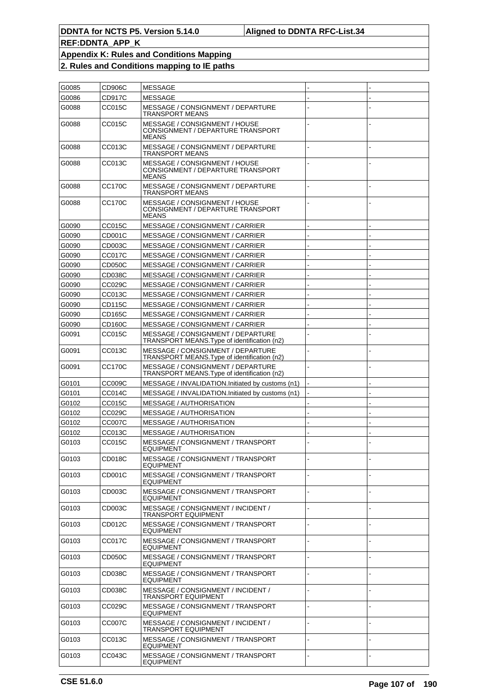| G0085 | CD906C        | <b>MESSAGE</b>                                                                     |  |
|-------|---------------|------------------------------------------------------------------------------------|--|
| G0086 | CD917C        | <b>MESSAGE</b>                                                                     |  |
| G0088 | CC015C        | MESSAGE / CONSIGNMENT / DEPARTURE<br>TRANSPORT MEANS                               |  |
| G0088 | CC015C        | MESSAGE / CONSIGNMENT / HOUSE<br>CONSIGNMENT / DEPARTURE TRANSPORT<br><b>MEANS</b> |  |
| G0088 | CC013C        | MESSAGE / CONSIGNMENT / DEPARTURE<br>TRANSPORT MEANS                               |  |
| G0088 | CC013C        | MESSAGE / CONSIGNMENT / HOUSE<br>CONSIGNMENT / DEPARTURE TRANSPORT<br><b>MEANS</b> |  |
| G0088 | CC170C        | MESSAGE / CONSIGNMENT / DEPARTURE<br>TRANSPORT MEANS                               |  |
| G0088 | CC170C        | MESSAGE / CONSIGNMENT / HOUSE<br>CONSIGNMENT / DEPARTURE TRANSPORT<br><b>MEANS</b> |  |
| G0090 | CC015C        | MESSAGE / CONSIGNMENT / CARRIER                                                    |  |
| G0090 | CD001C        | MESSAGE / CONSIGNMENT / CARRIER                                                    |  |
| G0090 | CD003C        | MESSAGE / CONSIGNMENT / CARRIER                                                    |  |
| G0090 | CC017C        | MESSAGE / CONSIGNMENT / CARRIER                                                    |  |
| G0090 | CD050C        | MESSAGE / CONSIGNMENT / CARRIER                                                    |  |
| G0090 | CD038C        | MESSAGE / CONSIGNMENT / CARRIER                                                    |  |
| G0090 | CC029C        | MESSAGE / CONSIGNMENT / CARRIER                                                    |  |
| G0090 | CC013C        | MESSAGE / CONSIGNMENT / CARRIER                                                    |  |
| G0090 | CD115C        | MESSAGE / CONSIGNMENT / CARRIER                                                    |  |
| G0090 | CD165C        | MESSAGE / CONSIGNMENT / CARRIER                                                    |  |
| G0090 | CD160C        | MESSAGE / CONSIGNMENT / CARRIER                                                    |  |
| G0091 | <b>CC015C</b> | MESSAGE / CONSIGNMENT / DEPARTURE<br>TRANSPORT MEANS. Type of identification (n2)  |  |
| G0091 | CC013C        | MESSAGE / CONSIGNMENT / DEPARTURE<br>TRANSPORT MEANS. Type of identification (n2)  |  |
| G0091 | <b>CC170C</b> | MESSAGE / CONSIGNMENT / DEPARTURE<br>TRANSPORT MEANS. Type of identification (n2)  |  |
| G0101 | CC009C        | MESSAGE / INVALIDATION. Initiated by customs (n1)                                  |  |
| G0101 | CC014C        | MESSAGE / INVALIDATION. Initiated by customs (n1)                                  |  |
| G0102 | CC015C        | <b>MESSAGE / AUTHORISATION</b>                                                     |  |
| G0102 | CC029C        | <b>MESSAGE / AUTHORISATION</b>                                                     |  |
| G0102 | <b>CC007C</b> | <b>MESSAGE / AUTHORISATION</b>                                                     |  |
| G0102 | CC013C        | MESSAGE / AUTHORISATION                                                            |  |
| G0103 | CC015C        | MESSAGE / CONSIGNMENT / TRANSPORT<br><b>EQUIPMENT</b>                              |  |
| G0103 | CD018C        | MESSAGE / CONSIGNMENT / TRANSPORT<br><b>EQUIPMENT</b>                              |  |
| G0103 | CD001C        | MESSAGE / CONSIGNMENT / TRANSPORT<br><b>EQUIPMENT</b>                              |  |
| G0103 | CD003C        | MESSAGE / CONSIGNMENT / TRANSPORT<br><b>EQUIPMENT</b>                              |  |
| G0103 | CD003C        | MESSAGE / CONSIGNMENT / INCIDENT /<br>TRANSPORT EQUIPMENT                          |  |
| G0103 | CD012C        | MESSAGE / CONSIGNMENT / TRANSPORT<br><b>EQUIPMENT</b>                              |  |
| G0103 | CC017C        | MESSAGE / CONSIGNMENT / TRANSPORT<br><b>EQUIPMENT</b>                              |  |
| G0103 | CD050C        | MESSAGE / CONSIGNMENT / TRANSPORT<br><b>EQUIPMENT</b>                              |  |
| G0103 | CD038C        | MESSAGE / CONSIGNMENT / TRANSPORT<br><b>EQUIPMENT</b>                              |  |
| G0103 | CD038C        | MESSAGE / CONSIGNMENT / INCIDENT /<br>TRANSPORT EQUIPMENT                          |  |
| G0103 | CC029C        | MESSAGE / CONSIGNMENT / TRANSPORT<br><b>EQUIPMENT</b>                              |  |
| G0103 | <b>CC007C</b> | MESSAGE / CONSIGNMENT / INCIDENT /<br><b>TRANSPORT EQUIPMENT</b>                   |  |
| G0103 | CC013C        | MESSAGE / CONSIGNMENT / TRANSPORT<br><b>EQUIPMENT</b>                              |  |
| G0103 | CC043C        | MESSAGE / CONSIGNMENT / TRANSPORT<br>EQUIPMENT                                     |  |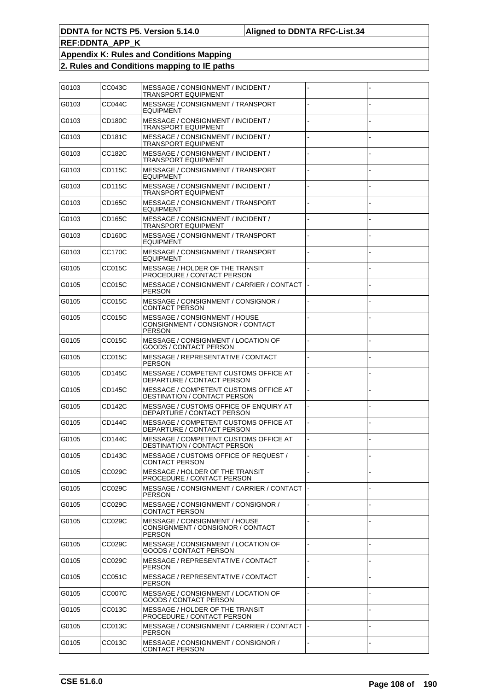| G0103 | CC043C        | MESSAGE / CONSIGNMENT / INCIDENT /<br>TRANSPORT EQUIPMENT                    |  |
|-------|---------------|------------------------------------------------------------------------------|--|
| G0103 | <b>CC044C</b> | MESSAGE / CONSIGNMENT / TRANSPORT<br>EQUIPMENT                               |  |
| G0103 | CD180C        | MESSAGE / CONSIGNMENT / INCIDENT /<br>TRANSPORT EQUIPMENT                    |  |
| G0103 | CD181C        | MESSAGE / CONSIGNMENT / INCIDENT /<br>TRANSPORT EQUIPMENT                    |  |
| G0103 | CC182C        | MESSAGE / CONSIGNMENT / INCIDENT /<br>TRANSPORT EQUIPMENT                    |  |
| G0103 | CD115C        | MESSAGE / CONSIGNMENT / TRANSPORT<br>EQUIPMENT                               |  |
| G0103 | CD115C        | MESSAGE / CONSIGNMENT / INCIDENT /<br>TRANSPORT EQUIPMENT                    |  |
| G0103 | CD165C        | MESSAGE / CONSIGNMENT / TRANSPORT<br>EQUIPMENT                               |  |
| G0103 | CD165C        | MESSAGE / CONSIGNMENT / INCIDENT /<br>TRANSPORT EQUIPMENT                    |  |
| G0103 | CD160C        | MESSAGE / CONSIGNMENT / TRANSPORT<br>EQUIPMENT                               |  |
| G0103 | CC170C        | MESSAGE / CONSIGNMENT / TRANSPORT<br>EQUIPMENT                               |  |
| G0105 | CC015C        | MESSAGE / HOLDER OF THE TRANSIT<br>PROCEDURE / CONTACT PERSON                |  |
| G0105 | CC015C        | MESSAGE / CONSIGNMENT / CARRIER / CONTACT<br>PERSON                          |  |
| G0105 | CC015C        | MESSAGE / CONSIGNMENT / CONSIGNOR /<br>CONTACT PERSON                        |  |
| G0105 | CC015C        | MESSAGE / CONSIGNMENT / HOUSE<br>CONSIGNMENT / CONSIGNOR / CONTACT<br>PERSON |  |
| G0105 | CC015C        | MESSAGE / CONSIGNMENT / LOCATION OF<br>GOODS / CONTACT PERSON                |  |
| G0105 | CC015C        | MESSAGE / REPRESENTATIVE / CONTACT<br>PERSON                                 |  |
| G0105 | CD145C        | MESSAGE / COMPETENT CUSTOMS OFFICE AT<br>DEPARTURE / CONTACT PERSON          |  |
| G0105 | CD145C        | MESSAGE / COMPETENT CUSTOMS OFFICE AT<br>DESTINATION / CONTACT PERSON        |  |
| G0105 | CD142C        | MESSAGE / CUSTOMS OFFICE OF ENQUIRY AT<br>DEPARTURE / CONTACT PERSON         |  |
| G0105 | CD144C        | MESSAGE / COMPETENT CUSTOMS OFFICE AT<br>DEPARTURE / CONTACT PERSON          |  |
| G0105 | <b>CD144C</b> | MESSAGE / COMPETENT CUSTOMS OFFICE AT<br>DESTINATION / CONTACT PERSON        |  |
| G0105 | CD143C        | MESSAGE / CUSTOMS OFFICE OF REQUEST /<br><b>CONTACT PERSON</b>               |  |
| G0105 | CC029C        | MESSAGE / HOLDER OF THE TRANSIT<br>PROCEDURE / CONTACT PERSON                |  |
| G0105 | CC029C        | MESSAGE / CONSIGNMENT / CARRIER / CONTACT<br>PERSON                          |  |
| G0105 | CC029C        | MESSAGE / CONSIGNMENT / CONSIGNOR /<br><b>CONTACT PERSON</b>                 |  |
| G0105 | CC029C        | MESSAGE / CONSIGNMENT / HOUSE<br>CONSIGNMENT / CONSIGNOR / CONTACT<br>PERSON |  |
| G0105 | CC029C        | MESSAGE / CONSIGNMENT / LOCATION OF<br>GOODS / CONTACT PERSON                |  |
| G0105 | CC029C        | MESSAGE / REPRESENTATIVE / CONTACT<br>PERSON                                 |  |
| G0105 | CC051C        | MESSAGE / REPRESENTATIVE / CONTACT<br>PERSON                                 |  |
| G0105 | CC007C        | MESSAGE / CONSIGNMENT / LOCATION OF<br>GOODS / CONTACT PERSON                |  |
| G0105 | CC013C        | MESSAGE / HOLDER OF THE TRANSIT<br>PROCEDURE / CONTACT PERSON                |  |
| G0105 | CC013C        | MESSAGE / CONSIGNMENT / CARRIER / CONTACT<br>PERSON                          |  |
| G0105 | CC013C        | MESSAGE / CONSIGNMENT / CONSIGNOR /<br>CONTACT PERSON                        |  |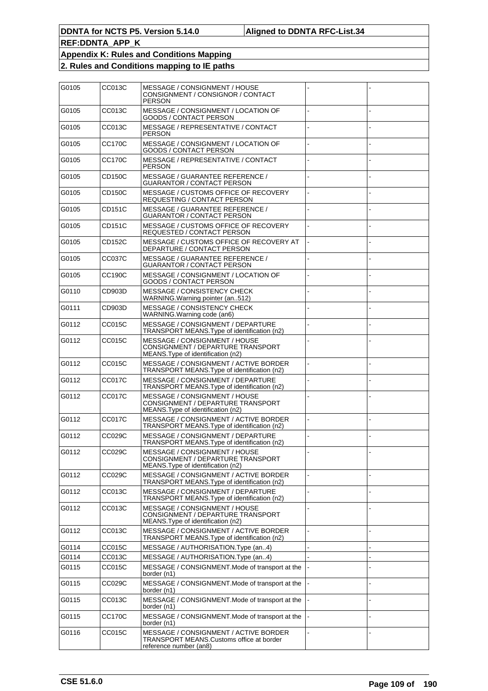| G0105 | CC013C        | MESSAGE / CONSIGNMENT / HOUSE<br>CONSIGNMENT / CONSIGNOR / CONTACT<br><b>PERSON</b>                         |  |
|-------|---------------|-------------------------------------------------------------------------------------------------------------|--|
| G0105 | CC013C        | MESSAGE / CONSIGNMENT / LOCATION OF<br>GOODS / CONTACT PERSON                                               |  |
| G0105 | CC013C        | MESSAGE / REPRESENTATIVE / CONTACT<br><b>PERSON</b>                                                         |  |
| G0105 | <b>CC170C</b> | MESSAGE / CONSIGNMENT / LOCATION OF<br><b>GOODS / CONTACT PERSON</b>                                        |  |
| G0105 | <b>CC170C</b> | MESSAGE / REPRESENTATIVE / CONTACT<br><b>PERSON</b>                                                         |  |
| G0105 | CD150C        | MESSAGE / GUARANTEE REFERENCE /<br><b>GUARANTOR / CONTACT PERSON</b>                                        |  |
| G0105 | <b>CD150C</b> | MESSAGE / CUSTOMS OFFICE OF RECOVERY<br>REQUESTING / CONTACT PERSON                                         |  |
| G0105 | CD151C        | MESSAGE / GUARANTEE REFERENCE /<br><b>GUARANTOR / CONTACT PERSON</b>                                        |  |
| G0105 | CD151C        | MESSAGE / CUSTOMS OFFICE OF RECOVERY<br>REQUESTED / CONTACT PERSON                                          |  |
| G0105 | CD152C        | MESSAGE / CUSTOMS OFFICE OF RECOVERY AT<br>DEPARTURE / CONTACT PERSON                                       |  |
| G0105 | CC037C        | MESSAGE / GUARANTEE REFERENCE /<br><b>GUARANTOR / CONTACT PERSON</b>                                        |  |
| G0105 | <b>CC190C</b> | MESSAGE / CONSIGNMENT / LOCATION OF<br><b>GOODS / CONTACT PERSON</b>                                        |  |
| G0110 | CD903D        | MESSAGE / CONSISTENCY CHECK<br>WARNING. Warning pointer (an512)                                             |  |
| G0111 | CD903D        | <b>MESSAGE / CONSISTENCY CHECK</b><br>WARNING. Warning code (an6)                                           |  |
| G0112 | <b>CC015C</b> | MESSAGE / CONSIGNMENT / DEPARTURE<br>TRANSPORT MEANS. Type of identification (n2)                           |  |
| G0112 | CC015C        | MESSAGE / CONSIGNMENT / HOUSE<br>CONSIGNMENT / DEPARTURE TRANSPORT<br>MEANS. Type of identification (n2)    |  |
| G0112 | CC015C        | MESSAGE / CONSIGNMENT / ACTIVE BORDER<br>TRANSPORT MEANS. Type of identification (n2)                       |  |
| G0112 | <b>CC017C</b> | MESSAGE / CONSIGNMENT / DEPARTURE<br>TRANSPORT MEANS. Type of identification (n2)                           |  |
| G0112 | <b>CC017C</b> | MESSAGE / CONSIGNMENT / HOUSE<br>CONSIGNMENT / DEPARTURE TRANSPORT<br>MEANS. Type of identification (n2)    |  |
| G0112 | <b>CC017C</b> | MESSAGE / CONSIGNMENT / ACTIVE BORDER<br>TRANSPORT MEANS. Type of identification (n2)                       |  |
| G0112 | CC029C        | MESSAGE / CONSIGNMENT / DEPARTURE<br>TRANSPORT MEANS. Type of identification (n2)                           |  |
| G0112 | CC029C        | MESSAGE / CONSIGNMENT / HOUSE<br>CONSIGNMENT / DEPARTURE TRANSPORT<br>MEANS. Type of identification (n2)    |  |
| G0112 | CC029C        | MESSAGE / CONSIGNMENT / ACTIVE BORDER<br>TRANSPORT MEANS. Type of identification (n2)                       |  |
| G0112 | CC013C        | MESSAGE / CONSIGNMENT / DEPARTURE<br>TRANSPORT MEANS. Type of identification (n2)                           |  |
| G0112 | CC013C        | MESSAGE / CONSIGNMENT / HOUSE<br>CONSIGNMENT / DEPARTURE TRANSPORT<br>MEANS. Type of identification (n2)    |  |
| G0112 | CC013C        | MESSAGE / CONSIGNMENT / ACTIVE BORDER<br>TRANSPORT MEANS. Type of identification (n2)                       |  |
| G0114 | <b>CC015C</b> | MESSAGE / AUTHORISATION. Type (an4)                                                                         |  |
| G0114 | CC013C        | MESSAGE / AUTHORISATION. Type (an4)                                                                         |  |
| G0115 | <b>CC015C</b> | MESSAGE / CONSIGNMENT.Mode of transport at the<br>border (n1)                                               |  |
| G0115 | CC029C        | MESSAGE / CONSIGNMENT.Mode of transport at the<br>border (n1)                                               |  |
| G0115 | CC013C        | MESSAGE / CONSIGNMENT.Mode of transport at the<br>border (n1)                                               |  |
| G0115 | <b>CC170C</b> | MESSAGE / CONSIGNMENT.Mode of transport at the<br>border (n1)                                               |  |
| G0116 | <b>CC015C</b> | MESSAGE / CONSIGNMENT / ACTIVE BORDER<br>TRANSPORT MEANS.Customs office at border<br>reference number (an8) |  |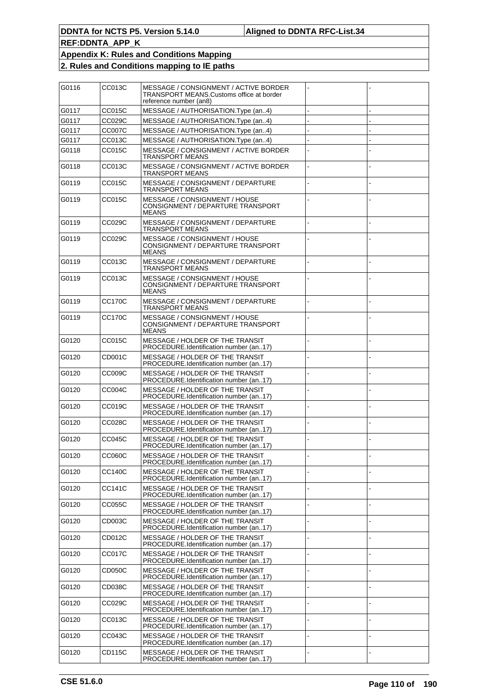| G0116 | CC013C        | MESSAGE / CONSIGNMENT / ACTIVE BORDER<br>TRANSPORT MEANS.Customs office at border<br>reference number (an8) |  |
|-------|---------------|-------------------------------------------------------------------------------------------------------------|--|
| G0117 | CC015C        | MESSAGE / AUTHORISATION. Type (an4)                                                                         |  |
| G0117 | CC029C        | MESSAGE / AUTHORISATION. Type (an4)                                                                         |  |
| G0117 | CC007C        | MESSAGE / AUTHORISATION. Type (an4)                                                                         |  |
| G0117 | CC013C        | MESSAGE / AUTHORISATION.Type (an4)                                                                          |  |
| G0118 | CC015C        | MESSAGE / CONSIGNMENT / ACTIVE BORDER<br><b>TRANSPORT MEANS</b>                                             |  |
| G0118 | CC013C        | MESSAGE / CONSIGNMENT / ACTIVE BORDER<br>TRANSPORT MEANS                                                    |  |
| G0119 | CC015C        | MESSAGE / CONSIGNMENT / DEPARTURE<br>TRANSPORT MEANS                                                        |  |
| G0119 | CC015C        | MESSAGE / CONSIGNMENT / HOUSE<br>CONSIGNMENT / DEPARTURE TRANSPORT<br><b>MEANS</b>                          |  |
| G0119 | CC029C        | MESSAGE / CONSIGNMENT / DEPARTURE<br>TRANSPORT MEANS                                                        |  |
| G0119 | CC029C        | MESSAGE / CONSIGNMENT / HOUSE<br>CONSIGNMENT / DEPARTURE TRANSPORT<br><b>MEANS</b>                          |  |
| G0119 | CC013C        | MESSAGE / CONSIGNMENT / DEPARTURE<br>TRANSPORT MEANS                                                        |  |
| G0119 | CC013C        | MESSAGE / CONSIGNMENT / HOUSE<br>CONSIGNMENT / DEPARTURE TRANSPORT<br><b>MEANS</b>                          |  |
| G0119 | CC170C        | MESSAGE / CONSIGNMENT / DEPARTURE<br>TRANSPORT MEANS                                                        |  |
| G0119 | CC170C        | MESSAGE / CONSIGNMENT / HOUSE<br>CONSIGNMENT / DEPARTURE TRANSPORT<br><b>MEANS</b>                          |  |
| G0120 | CC015C        | MESSAGE / HOLDER OF THE TRANSIT<br>PROCEDURE.Identification number (an17)                                   |  |
| G0120 | CD001C        | MESSAGE / HOLDER OF THE TRANSIT<br>PROCEDURE.Identification number (an17)                                   |  |
| G0120 | CC009C        | MESSAGE / HOLDER OF THE TRANSIT<br>PROCEDURE.Identification number (an17)                                   |  |
| G0120 | CC004C        | MESSAGE / HOLDER OF THE TRANSIT<br>PROCEDURE.Identification number (an17)                                   |  |
| G0120 | CC019C        | MESSAGE / HOLDER OF THE TRANSIT<br>PROCEDURE.Identification number (an17)                                   |  |
| G0120 | CC028C        | MESSAGE / HOLDER OF THE TRANSIT<br>PROCEDURE.Identification number (an.,17)                                 |  |
| G0120 | CC045C        | MESSAGE / HOLDER OF THE TRANSIT<br>PROCEDURE.Identification number (an17)                                   |  |
| G0120 | <b>CC060C</b> | MESSAGE / HOLDER OF THE TRANSIT<br>PROCEDURE.Identification number (an17)                                   |  |
| G0120 | CC140C        | MESSAGE / HOLDER OF THE TRANSIT<br>PROCEDURE.Identification number (an17)                                   |  |
| G0120 | CC141C        | MESSAGE / HOLDER OF THE TRANSIT<br>PROCEDURE.Identification number (an17)                                   |  |
| G0120 | CC055C        | MESSAGE / HOLDER OF THE TRANSIT<br>PROCEDURE.Identification number (an17)                                   |  |
| G0120 | CD003C        | MESSAGE / HOLDER OF THE TRANSIT<br>PROCEDURE.Identification number (an17)                                   |  |
| G0120 | CD012C        | MESSAGE / HOLDER OF THE TRANSIT<br>PROCEDURE.Identification number (an17)                                   |  |
| G0120 | CC017C        | MESSAGE / HOLDER OF THE TRANSIT<br>PROCEDURE.Identification number (an17)                                   |  |
| G0120 | CD050C        | MESSAGE / HOLDER OF THE TRANSIT<br>PROCEDURE.Identification number (an17)                                   |  |
| G0120 | CD038C        | MESSAGE / HOLDER OF THE TRANSIT<br>PROCEDURE.Identification number (an17)                                   |  |
| G0120 | CC029C        | MESSAGE / HOLDER OF THE TRANSIT<br>PROCEDURE.Identification number (an17)                                   |  |
| G0120 | CC013C        | MESSAGE / HOLDER OF THE TRANSIT<br>PROCEDURE.Identification number (an17)                                   |  |
| G0120 | CC043C        | MESSAGE / HOLDER OF THE TRANSIT<br>PROCEDURE.Identification number (an17)                                   |  |
| G0120 | CD115C        | MESSAGE / HOLDER OF THE TRANSIT<br>PROCEDURE.Identification number (an17)                                   |  |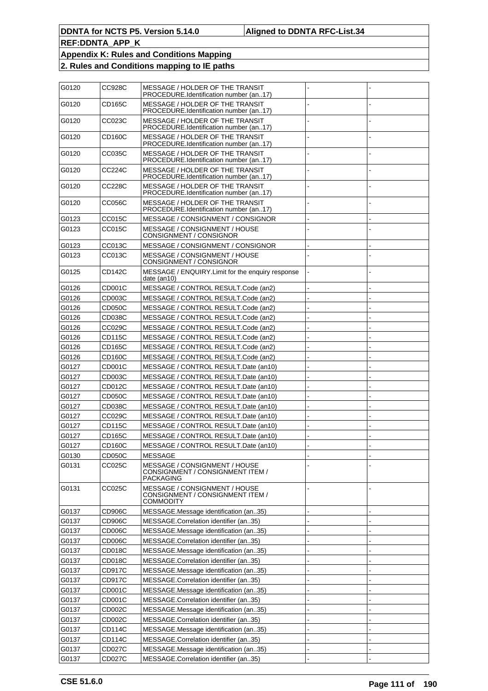| G0120 | CC928C        | MESSAGE / HOLDER OF THE TRANSIT<br>PROCEDURE.Identification number (an.,17)                        |  |
|-------|---------------|----------------------------------------------------------------------------------------------------|--|
| G0120 | CD165C        | MESSAGE / HOLDER OF THE TRANSIT<br>PROCEDURE.Identification number (an.,17)                        |  |
| G0120 | CC023C        | MESSAGE / HOLDER OF THE TRANSIT<br>PROCEDURE.Identification number (an17)                          |  |
| G0120 | CD160C        | MESSAGE / HOLDER OF THE TRANSIT<br>PROCEDURE.Identification number (an17)                          |  |
| G0120 | CC035C        | MESSAGE / HOLDER OF THE TRANSIT<br>PROCEDURE.Identification number (an17)                          |  |
| G0120 | CC224C        | MESSAGE / HOLDER OF THE TRANSIT<br>PROCEDURE.Identification number (an17)                          |  |
| G0120 | <b>CC228C</b> | MESSAGE / HOLDER OF THE TRANSIT<br>PROCEDURE.Identification number (an17)                          |  |
| G0120 | CC056C        | MESSAGE / HOLDER OF THE TRANSIT<br>PROCEDURE.Identification number (an17)                          |  |
| G0123 | CC015C        | MESSAGE / CONSIGNMENT / CONSIGNOR                                                                  |  |
| G0123 | CC015C        | MESSAGE / CONSIGNMENT / HOUSE<br>CONSIGNMENT / CONSIGNOR                                           |  |
| G0123 | CC013C        | MESSAGE / CONSIGNMENT / CONSIGNOR                                                                  |  |
| G0123 | CC013C        | MESSAGE / CONSIGNMENT / HOUSE                                                                      |  |
|       |               | CONSIGNMENT / CONSIGNOR                                                                            |  |
| G0125 | CD142C        | MESSAGE / ENQUIRY.Limit for the enquiry response<br>date (an10)                                    |  |
| G0126 | CD001C        | MESSAGE / CONTROL RESULT.Code (an2)                                                                |  |
| G0126 | CD003C        | MESSAGE / CONTROL RESULT.Code (an2)                                                                |  |
| G0126 | CD050C        | MESSAGE / CONTROL RESULT.Code (an2)                                                                |  |
| G0126 | CD038C        | MESSAGE / CONTROL RESULT.Code (an2)                                                                |  |
| G0126 | CC029C        | MESSAGE / CONTROL RESULT.Code (an2)                                                                |  |
| G0126 | CD115C        | MESSAGE / CONTROL RESULT.Code (an2)                                                                |  |
| G0126 | CD165C        | MESSAGE / CONTROL RESULT.Code (an2)                                                                |  |
| G0126 | CD160C        | MESSAGE / CONTROL RESULT.Code (an2)                                                                |  |
| G0127 | CD001C        | MESSAGE / CONTROL RESULT.Date (an10)                                                               |  |
| G0127 | CD003C        | MESSAGE / CONTROL RESULT.Date (an10)                                                               |  |
| G0127 | CD012C        | MESSAGE / CONTROL RESULT.Date (an10)                                                               |  |
| G0127 | CD050C        | MESSAGE / CONTROL RESULT.Date (an10)                                                               |  |
| G0127 | CD038C        | MESSAGE / CONTROL RESULT.Date (an10)                                                               |  |
| G0127 | CC029C        | MESSAGE / CONTROL RESULT.Date (an10)                                                               |  |
| G0127 | <b>CD115C</b> | MESSAGE / CONTROL RESULT.Date (an10)                                                               |  |
| G0127 | CD165C        | MESSAGE / CONTROL RESULT.Date (an10)                                                               |  |
| G0127 | CD160C        | MESSAGE / CONTROL RESULT.Date (an10)                                                               |  |
| G0130 | <b>CD050C</b> | MESSAGE                                                                                            |  |
| G0131 | CC025C        | MESSAGE / CONSIGNMENT / HOUSE<br>CONSIGNMENT / CONSIGNMENT ITEM /                                  |  |
| G0131 | CC025C        | PACKAGING<br>MESSAGE / CONSIGNMENT / HOUSE<br>CONSIGNMENT / CONSIGNMENT ITEM /<br><b>COMMODITY</b> |  |
| G0137 | CD906C        | MESSAGE.Message identification (an35)                                                              |  |
| G0137 | CD906C        | MESSAGE.Correlation identifier (an35)                                                              |  |
| G0137 | CD006C        |                                                                                                    |  |
|       |               | MESSAGE.Message identification (an35)                                                              |  |
| G0137 | CD006C        | MESSAGE.Correlation identifier (an35)                                                              |  |
| G0137 | CD018C        | MESSAGE.Message identification (an35)                                                              |  |
| G0137 | CD018C        | MESSAGE.Correlation identifier (an35)                                                              |  |
| G0137 | CD917C        | MESSAGE.Message identification (an35)                                                              |  |
| G0137 | CD917C        | MESSAGE.Correlation identifier (an35)                                                              |  |
| G0137 | CD001C        | MESSAGE.Message identification (an35)                                                              |  |
| G0137 | CD001C        | MESSAGE.Correlation identifier (an35)                                                              |  |
| G0137 | CD002C        | MESSAGE.Message identification (an35)                                                              |  |
| G0137 | CD002C        | MESSAGE.Correlation identifier (an35)                                                              |  |
| G0137 | CD114C        | MESSAGE.Message identification (an35)                                                              |  |
| G0137 | CD114C        | MESSAGE.Correlation identifier (an35)                                                              |  |
| G0137 | CD027C        | MESSAGE.Message identification (an35)                                                              |  |
| G0137 | CD027C        | MESSAGE.Correlation identifier (an35)                                                              |  |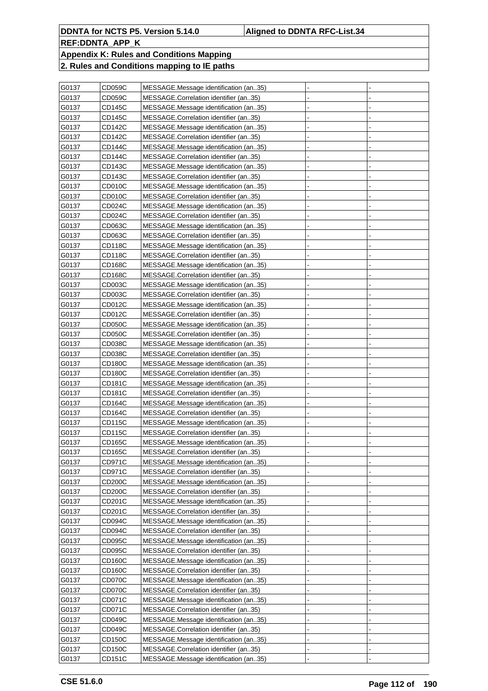| G0137 | CD059C        | MESSAGE.Message identification (an35) |  |
|-------|---------------|---------------------------------------|--|
| G0137 | CD059C        | MESSAGE.Correlation identifier (an35) |  |
| G0137 | CD145C        | MESSAGE.Message identification (an35) |  |
| G0137 | CD145C        | MESSAGE.Correlation identifier (an35) |  |
| G0137 | CD142C        | MESSAGE.Message identification (an35) |  |
| G0137 | CD142C        | MESSAGE.Correlation identifier (an35) |  |
| G0137 | CD144C        | MESSAGE.Message identification (an35) |  |
| G0137 | CD144C        | MESSAGE.Correlation identifier (an35) |  |
| G0137 | CD143C        | MESSAGE.Message identification (an35) |  |
|       |               |                                       |  |
| G0137 | CD143C        | MESSAGE.Correlation identifier (an35) |  |
| G0137 | CD010C        | MESSAGE.Message identification (an35) |  |
| G0137 | CD010C        | MESSAGE.Correlation identifier (an35) |  |
| G0137 | CD024C        | MESSAGE.Message identification (an35) |  |
| G0137 | CD024C        | MESSAGE.Correlation identifier (an35) |  |
| G0137 | CD063C        | MESSAGE.Message identification (an35) |  |
| G0137 | CD063C        | MESSAGE.Correlation identifier (an35) |  |
| G0137 | CD118C        | MESSAGE.Message identification (an35) |  |
| G0137 | CD118C        | MESSAGE.Correlation identifier (an35) |  |
| G0137 | CD168C        | MESSAGE.Message identification (an35) |  |
| G0137 | CD168C        | MESSAGE.Correlation identifier (an35) |  |
| G0137 | CD003C        | MESSAGE.Message identification (an35) |  |
| G0137 | CD003C        | MESSAGE.Correlation identifier (an35) |  |
| G0137 | CD012C        | MESSAGE.Message identification (an35) |  |
| G0137 | CD012C        | MESSAGE.Correlation identifier (an35) |  |
| G0137 | CD050C        | MESSAGE.Message identification (an35) |  |
| G0137 | CD050C        | MESSAGE.Correlation identifier (an35) |  |
| G0137 | CD038C        | MESSAGE.Message identification (an35) |  |
| G0137 | CD038C        | MESSAGE.Correlation identifier (an35) |  |
| G0137 | CD180C        | MESSAGE.Message identification (an35) |  |
| G0137 | CD180C        | MESSAGE.Correlation identifier (an35) |  |
| G0137 | CD181C        | MESSAGE.Message identification (an35) |  |
| G0137 | CD181C        | MESSAGE.Correlation identifier (an35) |  |
| G0137 | CD164C        | MESSAGE.Message identification (an35) |  |
| G0137 | CD164C        | MESSAGE.Correlation identifier (an35) |  |
| G0137 | CD115C        | MESSAGE.Message identification (an35) |  |
| G0137 | CD115C        | MESSAGE.Correlation identifier (an35) |  |
| G0137 | CD165C        | MESSAGE.Message identification (an35) |  |
| G0137 | <b>CD165C</b> | MESSAGE.Correlation identifier (an35) |  |
| G0137 | CD971C        | MESSAGE.Message identification (an35) |  |
| G0137 | CD971C        | MESSAGE.Correlation identifier (an35) |  |
| G0137 | CD200C        | MESSAGE.Message identification (an35) |  |
| G0137 | CD200C        | MESSAGE.Correlation identifier (an35) |  |
| G0137 | CD201C        | MESSAGE.Message identification (an35) |  |
| G0137 | CD201C        | MESSAGE.Correlation identifier (an35) |  |
| G0137 | CD094C        | MESSAGE.Message identification (an35) |  |
| G0137 | CD094C        | MESSAGE.Correlation identifier (an35) |  |
|       |               |                                       |  |
| G0137 | CD095C        | MESSAGE.Message identification (an35) |  |
| G0137 | CD095C        | MESSAGE.Correlation identifier (an35) |  |
| G0137 | CD160C        | MESSAGE.Message identification (an35) |  |
| G0137 | CD160C        | MESSAGE.Correlation identifier (an35) |  |
| G0137 | CD070C        | MESSAGE.Message identification (an35) |  |
| G0137 | CD070C        | MESSAGE.Correlation identifier (an35) |  |
| G0137 | CD071C        | MESSAGE.Message identification (an35) |  |
| G0137 | CD071C        | MESSAGE.Correlation identifier (an35) |  |
| G0137 | CD049C        | MESSAGE.Message identification (an35) |  |
| G0137 | CD049C        | MESSAGE.Correlation identifier (an35) |  |
| G0137 | CD150C        | MESSAGE.Message identification (an35) |  |
| G0137 | CD150C        | MESSAGE.Correlation identifier (an35) |  |
| G0137 | CD151C        | MESSAGE.Message identification (an35) |  |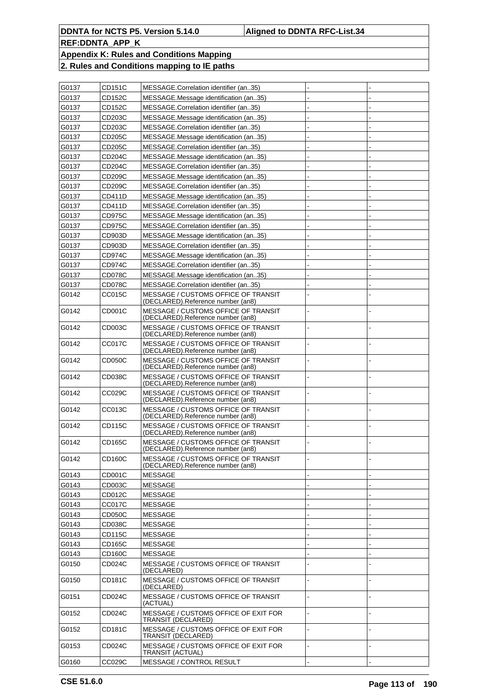| G0137 | CD151C        | MESSAGE.Correlation identifier (an35)                                    |  |
|-------|---------------|--------------------------------------------------------------------------|--|
| G0137 | CD152C        | MESSAGE.Message identification (an35)                                    |  |
| G0137 | CD152C        | MESSAGE.Correlation identifier (an35)                                    |  |
| G0137 | CD203C        | MESSAGE.Message identification (an35)                                    |  |
| G0137 | CD203C        | MESSAGE.Correlation identifier (an35)                                    |  |
| G0137 | CD205C        | MESSAGE.Message identification (an35)                                    |  |
| G0137 | CD205C        | MESSAGE.Correlation identifier (an35)                                    |  |
| G0137 | CD204C        | MESSAGE.Message identification (an35)                                    |  |
| G0137 | CD204C        | MESSAGE.Correlation identifier (an35)                                    |  |
| G0137 | CD209C        | MESSAGE.Message identification (an35)                                    |  |
| G0137 | CD209C        | MESSAGE.Correlation identifier (an35)                                    |  |
| G0137 | CD411D        | MESSAGE.Message identification (an35)                                    |  |
| G0137 | CD411D        | MESSAGE.Correlation identifier (an35)                                    |  |
| G0137 | CD975C        | MESSAGE.Message identification (an35)                                    |  |
| G0137 | CD975C        | MESSAGE.Correlation identifier (an35)                                    |  |
| G0137 | CD903D        | MESSAGE.Message identification (an35)                                    |  |
| G0137 | CD903D        | MESSAGE.Correlation identifier (an35)                                    |  |
| G0137 | CD974C        | MESSAGE.Message identification (an35)                                    |  |
| G0137 | CD974C        | MESSAGE.Correlation identifier (an35)                                    |  |
| G0137 | <b>CD078C</b> | MESSAGE.Message identification (an35)                                    |  |
| G0137 | CD078C        | MESSAGE.Correlation identifier (an35)                                    |  |
| G0142 | CC015C        | MESSAGE / CUSTOMS OFFICE OF TRANSIT<br>(DECLARED).Reference number (an8) |  |
| G0142 | CD001C        | MESSAGE / CUSTOMS OFFICE OF TRANSIT<br>(DECLARED).Reference number (an8) |  |
| G0142 | CD003C        | MESSAGE / CUSTOMS OFFICE OF TRANSIT<br>(DECLARED).Reference number (an8) |  |
| G0142 | CC017C        | MESSAGE / CUSTOMS OFFICE OF TRANSIT<br>(DECLARED).Reference number (an8) |  |
| G0142 | CD050C        | MESSAGE / CUSTOMS OFFICE OF TRANSIT<br>(DECLARED).Reference number (an8) |  |
| G0142 | CD038C        | MESSAGE / CUSTOMS OFFICE OF TRANSIT<br>(DECLARED).Reference number (an8) |  |
| G0142 | CC029C        | MESSAGE / CUSTOMS OFFICE OF TRANSIT<br>(DECLARED).Reference number (an8) |  |
| G0142 | CC013C        | MESSAGE / CUSTOMS OFFICE OF TRANSIT<br>(DECLARED).Reference number (an8) |  |
| G0142 | CD115C        | MESSAGE / CUSTOMS OFFICE OF TRANSIT<br>(DECLARED).Reference number (an8) |  |
| G0142 | CD165C        | MESSAGE / CUSTOMS OFFICE OF TRANSIT<br>(DECLARED).Reference number (an8) |  |
| G0142 | CD160C        | MESSAGE / CUSTOMS OFFICE OF TRANSIT<br>(DECLARED).Reference number (an8) |  |
| G0143 | CD001C        | <b>MESSAGE</b>                                                           |  |
| G0143 | CD003C        | <b>MESSAGE</b>                                                           |  |
| G0143 | CD012C        | <b>MESSAGE</b>                                                           |  |
| G0143 | <b>CC017C</b> | <b>MESSAGE</b>                                                           |  |
| G0143 | <b>CD050C</b> | <b>MESSAGE</b>                                                           |  |
| G0143 | CD038C        | <b>MESSAGE</b>                                                           |  |
| G0143 | <b>CD115C</b> | <b>MESSAGE</b>                                                           |  |
| G0143 | <b>CD165C</b> | <b>MESSAGE</b>                                                           |  |
| G0143 | <b>CD160C</b> | <b>MESSAGE</b>                                                           |  |
| G0150 | CD024C        | MESSAGE / CUSTOMS OFFICE OF TRANSIT<br>(DECLARED)                        |  |
| G0150 | CD181C        | MESSAGE / CUSTOMS OFFICE OF TRANSIT<br>(DECLARED)                        |  |
| G0151 | CD024C        | MESSAGE / CUSTOMS OFFICE OF TRANSIT<br>(ACTUAL)                          |  |
| G0152 | CD024C        | MESSAGE / CUSTOMS OFFICE OF EXIT FOR<br>TRANSIT (DECLARED)               |  |
| G0152 | CD181C        | MESSAGE / CUSTOMS OFFICE OF EXIT FOR<br>TRANSIT (DECLARED)               |  |
| G0153 | CD024C        | MESSAGE / CUSTOMS OFFICE OF EXIT FOR<br>TRANSIT (ACTUAL)                 |  |
| G0160 | CC029C        | MESSAGE / CONTROL RESULT                                                 |  |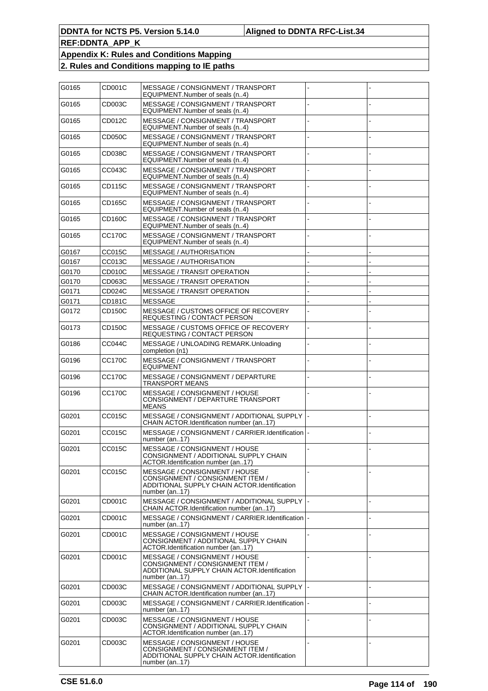| G0165          | CD001C | MESSAGE / CONSIGNMENT / TRANSPORT<br>EQUIPMENT.Number of seals (n4)                                                                |  |
|----------------|--------|------------------------------------------------------------------------------------------------------------------------------------|--|
| G0165          | CD003C | MESSAGE / CONSIGNMENT / TRANSPORT<br>EQUIPMENT.Number of seals (n4)                                                                |  |
| G0165          | CD012C | MESSAGE / CONSIGNMENT / TRANSPORT<br>EQUIPMENT.Number of seals (n4)                                                                |  |
| G0165          | CD050C | MESSAGE / CONSIGNMENT / TRANSPORT<br>EQUIPMENT.Number of seals (n4)                                                                |  |
| G0165          | CD038C | MESSAGE / CONSIGNMENT / TRANSPORT<br>EQUIPMENT.Number of seals (n4)                                                                |  |
| G0165          | CC043C | MESSAGE / CONSIGNMENT / TRANSPORT<br>EQUIPMENT.Number of seals (n4)                                                                |  |
| G0165          | CD115C | MESSAGE / CONSIGNMENT / TRANSPORT<br>EQUIPMENT.Number of seals (n4)                                                                |  |
| G0165          | CD165C | MESSAGE / CONSIGNMENT / TRANSPORT<br>EQUIPMENT.Number of seals (n4)                                                                |  |
| G0165          | CD160C | MESSAGE / CONSIGNMENT / TRANSPORT<br>EQUIPMENT.Number of seals (n4)                                                                |  |
| G0165          | CC170C | MESSAGE / CONSIGNMENT / TRANSPORT<br>EQUIPMENT.Number of seals (n4)                                                                |  |
| G0167          | CC015C | <b>MESSAGE / AUTHORISATION</b>                                                                                                     |  |
| G0167          | CC013C | <b>MESSAGE / AUTHORISATION</b>                                                                                                     |  |
| G0170          | CD010C | <b>MESSAGE / TRANSIT OPERATION</b>                                                                                                 |  |
| G0170          | CD063C | MESSAGE / TRANSIT OPERATION                                                                                                        |  |
| G0171          | CD024C | <b>MESSAGE / TRANSIT OPERATION</b>                                                                                                 |  |
|                | CD181C | <b>MESSAGE</b>                                                                                                                     |  |
| G0171<br>G0172 | CD150C | MESSAGE / CUSTOMS OFFICE OF RECOVERY<br>REQUESTING / CONTACT PERSON                                                                |  |
| G0173          | CD150C | MESSAGE / CUSTOMS OFFICE OF RECOVERY<br>REQUESTING / CONTACT PERSON                                                                |  |
| G0186          | CC044C | MESSAGE / UNLOADING REMARK.Unloading<br>completion (n1)                                                                            |  |
| G0196          | CC170C | MESSAGE / CONSIGNMENT / TRANSPORT<br>EQUIPMENT                                                                                     |  |
| G0196          | CC170C | MESSAGE / CONSIGNMENT / DEPARTURE<br><b>TRANSPORT MEANS</b>                                                                        |  |
| G0196          | CC170C | MESSAGE / CONSIGNMENT / HOUSE<br>CONSIGNMENT / DEPARTURE TRANSPORT<br><b>MEANS</b>                                                 |  |
| G0201          | CC015C | MESSAGE / CONSIGNMENT / ADDITIONAL SUPPLY<br>CHAIN ACTOR.Identification number (an17)                                              |  |
| G0201          | CC015C | MESSAGE / CONSIGNMENT / CARRIER.Identification  -<br>number (an17)                                                                 |  |
| G0201          | CC015C | MESSAGE / CONSIGNMENT / HOUSE<br>CONSIGNMENT / ADDITIONAL SUPPLY CHAIN<br>ACTOR.Identification number (an17)                       |  |
| G0201          | CC015C | MESSAGE / CONSIGNMENT / HOUSE<br>CONSIGNMENT / CONSIGNMENT ITEM /<br>ADDITIONAL SUPPLY CHAIN ACTOR.Identification<br>number (an17) |  |
| G0201          | CD001C | MESSAGE / CONSIGNMENT / ADDITIONAL SUPPLY<br>CHAIN ACTOR.Identification number (an17)                                              |  |
| G0201          | CD001C | MESSAGE / CONSIGNMENT / CARRIER.Identification<br>number (an17)                                                                    |  |
| G0201          | CD001C | MESSAGE / CONSIGNMENT / HOUSE<br>CONSIGNMENT / ADDITIONAL SUPPLY CHAIN<br>ACTOR.Identification number (an17)                       |  |
| G0201          | CD001C | MESSAGE / CONSIGNMENT / HOUSE<br>CONSIGNMENT / CONSIGNMENT ITEM /<br>ADDITIONAL SUPPLY CHAIN ACTOR.Identification<br>number (an17) |  |
| G0201          | CD003C | MESSAGE / CONSIGNMENT / ADDITIONAL SUPPLY<br>CHAIN ACTOR.Identification number (an17)                                              |  |
| G0201          | CD003C | MESSAGE / CONSIGNMENT / CARRIER.Identification<br>number (an17)                                                                    |  |
| G0201          | CD003C | MESSAGE / CONSIGNMENT / HOUSE<br>CONSIGNMENT / ADDITIONAL SUPPLY CHAIN<br>ACTOR.Identification number (an17)                       |  |
| G0201          | CD003C | MESSAGE / CONSIGNMENT / HOUSE<br>CONSIGNMENT / CONSIGNMENT ITEM /<br>ADDITIONAL SUPPLY CHAIN ACTOR.Identification<br>number (an17) |  |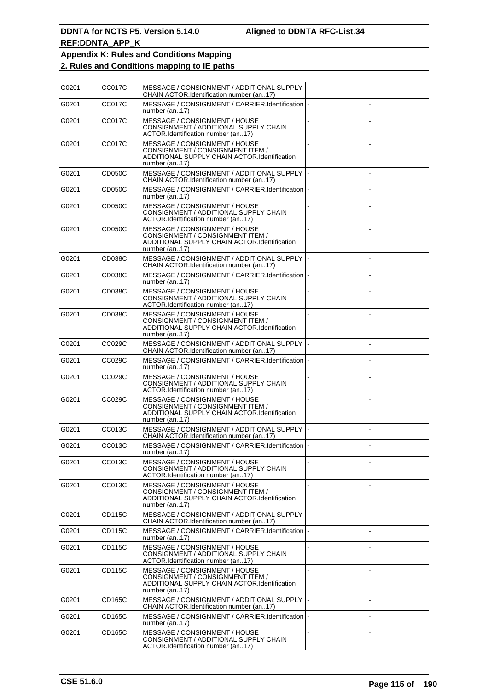| G0201 | CC017C | MESSAGE / CONSIGNMENT / ADDITIONAL SUPPLY  -<br>CHAIN ACTOR.Identification number (an17)                                           |  |
|-------|--------|------------------------------------------------------------------------------------------------------------------------------------|--|
| G0201 | CC017C | MESSAGE / CONSIGNMENT / CARRIER.Identification  -<br>number (an17)                                                                 |  |
| G0201 | CC017C | MESSAGE / CONSIGNMENT / HOUSE<br>CONSIGNMENT / ADDITIONAL SUPPLY CHAIN<br>ACTOR.Identification number (an17)                       |  |
| G0201 | CC017C | MESSAGE / CONSIGNMENT / HOUSE<br>CONSIGNMENT / CONSIGNMENT ITEM /<br>ADDITIONAL SUPPLY CHAIN ACTOR.Identification<br>number (an17) |  |
| G0201 | CD050C | MESSAGE / CONSIGNMENT / ADDITIONAL SUPPLY  <br>CHAIN ACTOR.Identification number (an17)                                            |  |
| G0201 | CD050C | MESSAGE / CONSIGNMENT / CARRIER.Identification  -<br>number (an17)                                                                 |  |
| G0201 | CD050C | MESSAGE / CONSIGNMENT / HOUSE<br>CONSIGNMENT / ADDITIONAL SUPPLY CHAIN<br>ACTOR.Identification number (an17)                       |  |
| G0201 | CD050C | MESSAGE / CONSIGNMENT / HOUSE<br>CONSIGNMENT / CONSIGNMENT ITEM /<br>ADDITIONAL SUPPLY CHAIN ACTOR.Identification<br>number (an17) |  |
| G0201 | CD038C | MESSAGE / CONSIGNMENT / ADDITIONAL SUPPLY<br>CHAIN ACTOR.Identification number (an17)                                              |  |
| G0201 | CD038C | MESSAGE / CONSIGNMENT / CARRIER.Identification<br>number (an17)                                                                    |  |
| G0201 | CD038C | MESSAGE / CONSIGNMENT / HOUSE<br>CONSIGNMENT / ADDITIONAL SUPPLY CHAIN<br>ACTOR.Identification number (an17)                       |  |
| G0201 | CD038C | MESSAGE / CONSIGNMENT / HOUSE<br>CONSIGNMENT / CONSIGNMENT ITEM /<br>ADDITIONAL SUPPLY CHAIN ACTOR.Identification<br>number (an17) |  |
| G0201 | CC029C | MESSAGE / CONSIGNMENT / ADDITIONAL SUPPLY  <br>CHAIN ACTOR.Identification number (an17)                                            |  |
| G0201 | CC029C | MESSAGE / CONSIGNMENT / CARRIER.Identification  -<br>number (an17)                                                                 |  |
| G0201 | CC029C | MESSAGE / CONSIGNMENT / HOUSE<br>CONSIGNMENT / ADDITIONAL SUPPLY CHAIN<br>ACTOR.Identification number (an17)                       |  |
| G0201 | CC029C | MESSAGE / CONSIGNMENT / HOUSE<br>CONSIGNMENT / CONSIGNMENT ITEM /<br>ADDITIONAL SUPPLY CHAIN ACTOR.Identification<br>number (an17) |  |
| G0201 | CC013C | MESSAGE / CONSIGNMENT / ADDITIONAL SUPPLY<br>CHAIN ACTOR.Identification number (an17)                                              |  |
| G0201 | CC013C | MESSAGE / CONSIGNMENT / CARRIER.Identification  -<br>number (an17)                                                                 |  |
| G0201 | CC013C | MESSAGE / CONSIGNMENT / HOUSE<br>CONSIGNMENT / ADDITIONAL SUPPLY CHAIN<br>ACTOR.Identification number (an17)                       |  |
| G0201 | CC013C | MESSAGE / CONSIGNMENT / HOUSE<br>CONSIGNMENT / CONSIGNMENT ITEM /<br>ADDITIONAL SUPPLY CHAIN ACTOR.Identification<br>number (an17) |  |
| G0201 | CD115C | MESSAGE / CONSIGNMENT / ADDITIONAL SUPPLY  <br>CHAIN ACTOR.Identification number (an17)                                            |  |
| G0201 | CD115C | MESSAGE / CONSIGNMENT / CARRIER.Identification I-<br>number (an17)                                                                 |  |
| G0201 | CD115C | MESSAGE / CONSIGNMENT / HOUSE<br>CONSIGNMENT / ADDITIONAL SUPPLY CHAIN<br>ACTOR.Identification number (an17)                       |  |
| G0201 | CD115C | MESSAGE / CONSIGNMENT / HOUSE<br>CONSIGNMENT / CONSIGNMENT ITEM /<br>ADDITIONAL SUPPLY CHAIN ACTOR.Identification<br>number (an17) |  |
| G0201 | CD165C | MESSAGE / CONSIGNMENT / ADDITIONAL SUPPLY  <br>CHAIN ACTOR.Identification number (an17)                                            |  |
| G0201 | CD165C | MESSAGE / CONSIGNMENT / CARRIER.Identification  -<br>number (an17)                                                                 |  |
| G0201 | CD165C | MESSAGE / CONSIGNMENT / HOUSE<br>CONSIGNMENT / ADDITIONAL SUPPLY CHAIN<br>ACTOR.Identification number (an17)                       |  |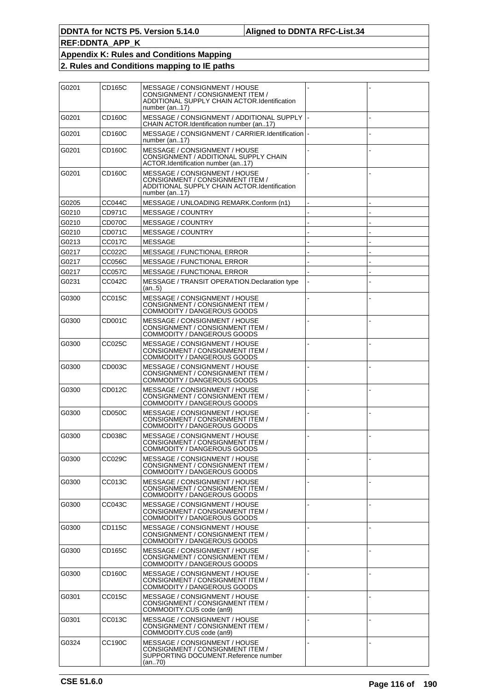| G0201 | CD165C        | MESSAGE / CONSIGNMENT / HOUSE<br>CONSIGNMENT / CONSIGNMENT ITEM /<br>ADDITIONAL SUPPLY CHAIN ACTOR.Identification<br>number (an17)   |  |
|-------|---------------|--------------------------------------------------------------------------------------------------------------------------------------|--|
| G0201 | CD160C        | MESSAGE / CONSIGNMENT / ADDITIONAL SUPPLY  <br>CHAIN ACTOR.Identification number (an17)                                              |  |
| G0201 | CD160C        | MESSAGE / CONSIGNMENT / CARRIER.Identification  -<br>number (an17)                                                                   |  |
| G0201 | CD160C        | MESSAGE / CONSIGNMENT / HOUSE<br>CONSIGNMENT / ADDITIONAL SUPPLY CHAIN<br>ACTOR.Identification number (an17)                         |  |
| G0201 | CD160C        | MESSAGE / CONSIGNMENT / HOUSE<br>CONSIGNMENT / CONSIGNMENT ITEM /<br>ADDITIONAL SUPPLY CHAIN ACTOR.Identification<br>number (an.,17) |  |
| G0205 | <b>CC044C</b> | MESSAGE / UNLOADING REMARK.Conform (n1)                                                                                              |  |
| G0210 | CD971C        | <b>MESSAGE / COUNTRY</b>                                                                                                             |  |
| G0210 | CD070C        | <b>MESSAGE / COUNTRY</b>                                                                                                             |  |
| G0210 | CD071C        | <b>MESSAGE / COUNTRY</b>                                                                                                             |  |
| G0213 | CC017C        | <b>MESSAGE</b>                                                                                                                       |  |
| G0217 | CC022C        | <b>MESSAGE / FUNCTIONAL ERROR</b>                                                                                                    |  |
| G0217 | CC056C        | <b>MESSAGE / FUNCTIONAL ERROR</b>                                                                                                    |  |
| G0217 | <b>CC057C</b> | <b>MESSAGE / FUNCTIONAL ERROR</b>                                                                                                    |  |
| G0231 | CC042C        | MESSAGE / TRANSIT OPERATION. Declaration type<br>(an5)                                                                               |  |
| G0300 | CC015C        | MESSAGE / CONSIGNMENT / HOUSE<br>CONSIGNMENT / CONSIGNMENT ITEM /<br>COMMODITY / DANGEROUS GOODS                                     |  |
| G0300 | CD001C        | MESSAGE / CONSIGNMENT / HOUSE<br>CONSIGNMENT / CONSIGNMENT ITEM /<br>COMMODITY / DANGEROUS GOODS                                     |  |
| G0300 | CC025C        | MESSAGE / CONSIGNMENT / HOUSE<br>CONSIGNMENT / CONSIGNMENT ITEM /<br>COMMODITY / DANGEROUS GOODS                                     |  |
| G0300 | CD003C        | MESSAGE / CONSIGNMENT / HOUSE<br>CONSIGNMENT / CONSIGNMENT ITEM /<br>COMMODITY / DANGEROUS GOODS                                     |  |
| G0300 | CD012C        | MESSAGE / CONSIGNMENT / HOUSE<br>CONSIGNMENT / CONSIGNMENT ITEM /<br>COMMODITY / DANGEROUS GOODS                                     |  |
| G0300 | CD050C        | MESSAGE / CONSIGNMENT / HOUSE<br>CONSIGNMENT / CONSIGNMENT ITEM /<br>COMMODITY / DANGEROUS GOODS                                     |  |
| G0300 | CD038C        | MESSAGE / CONSIGNMENT / HOUSE<br>CONSIGNMENT / CONSIGNMENT ITEM /<br>COMMODITY / DANGEROUS GOODS                                     |  |
| G0300 | CC029C        | MESSAGE / CONSIGNMENT / HOUSE<br>CONSIGNMENT / CONSIGNMENT ITEM /<br>COMMODITY / DANGEROUS GOODS                                     |  |
| G0300 | CC013C        | MESSAGE / CONSIGNMENT / HOUSE<br>CONSIGNMENT / CONSIGNMENT ITEM /<br>COMMODITY / DANGEROUS GOODS                                     |  |
| G0300 | CC043C        | MESSAGE / CONSIGNMENT / HOUSE<br>CONSIGNMENT / CONSIGNMENT ITEM /<br>COMMODITY / DANGEROUS GOODS                                     |  |
| G0300 | CD115C        | MESSAGE / CONSIGNMENT / HOUSE<br>CONSIGNMENT / CONSIGNMENT ITEM /<br>COMMODITY / DANGEROUS GOODS                                     |  |
| G0300 | CD165C        | MESSAGE / CONSIGNMENT / HOUSE<br>CONSIGNMENT / CONSIGNMENT ITEM /<br>COMMODITY / DANGEROUS GOODS                                     |  |
| G0300 | CD160C        | MESSAGE / CONSIGNMENT / HOUSE<br>CONSIGNMENT / CONSIGNMENT ITEM /<br>COMMODITY / DANGEROUS GOODS                                     |  |
| G0301 | CC015C        | MESSAGE / CONSIGNMENT / HOUSE<br>CONSIGNMENT / CONSIGNMENT ITEM /<br>COMMODITY.CUS code (an9)                                        |  |
| G0301 | CC013C        | MESSAGE / CONSIGNMENT / HOUSE<br>CONSIGNMENT / CONSIGNMENT ITEM /<br>COMMODITY.CUS code (an9)                                        |  |
| G0324 | CC190C        | MESSAGE / CONSIGNMENT / HOUSE<br>CONSIGNMENT / CONSIGNMENT ITEM /<br>SUPPORTING DOCUMENT.Reference number<br>(an70)                  |  |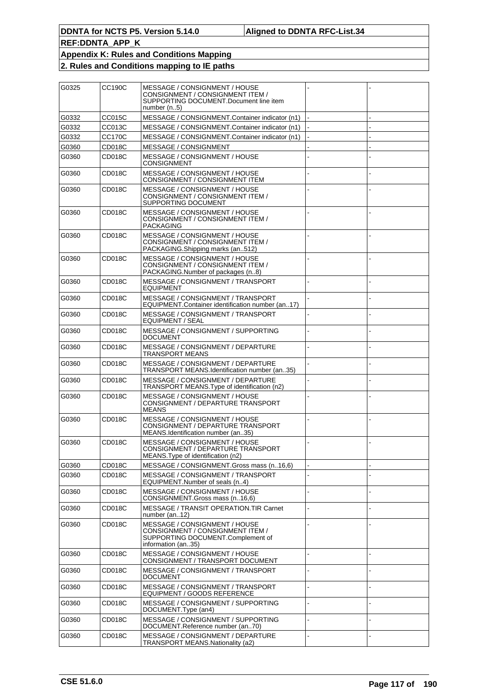| G0325 | CC190C        | MESSAGE / CONSIGNMENT / HOUSE<br>CONSIGNMENT / CONSIGNMENT ITEM /<br>SUPPORTING DOCUMENT.Document line item<br>number $(n5)$ |  |
|-------|---------------|------------------------------------------------------------------------------------------------------------------------------|--|
| G0332 | CC015C        | MESSAGE / CONSIGNMENT.Container indicator (n1)                                                                               |  |
| G0332 | CC013C        | MESSAGE / CONSIGNMENT.Container indicator (n1)                                                                               |  |
| G0332 | <b>CC170C</b> | MESSAGE / CONSIGNMENT.Container indicator (n1)                                                                               |  |
| G0360 | CD018C        | <b>MESSAGE / CONSIGNMENT</b>                                                                                                 |  |
| G0360 | CD018C        | MESSAGE / CONSIGNMENT / HOUSE<br><b>CONSIGNMENT</b>                                                                          |  |
| G0360 | CD018C        | MESSAGE / CONSIGNMENT / HOUSE<br>CONSIGNMENT / CONSIGNMENT ITEM                                                              |  |
| G0360 | CD018C        | MESSAGE / CONSIGNMENT / HOUSE<br>CONSIGNMENT / CONSIGNMENT ITEM /<br>SUPPORTING DOCUMENT                                     |  |
| G0360 | CD018C        | MESSAGE / CONSIGNMENT / HOUSE<br>CONSIGNMENT / CONSIGNMENT ITEM /<br><b>PACKAGING</b>                                        |  |
| G0360 | CD018C        | MESSAGE / CONSIGNMENT / HOUSE<br>CONSIGNMENT / CONSIGNMENT ITEM /<br>PACKAGING. Shipping marks (an512)                       |  |
| G0360 | CD018C        | MESSAGE / CONSIGNMENT / HOUSE<br>CONSIGNMENT / CONSIGNMENT ITEM /<br>PACKAGING.Number of packages (n8)                       |  |
| G0360 | CD018C        | MESSAGE / CONSIGNMENT / TRANSPORT<br>EQUIPMENT                                                                               |  |
| G0360 | CD018C        | MESSAGE / CONSIGNMENT / TRANSPORT<br>EQUIPMENT.Container identification number (an17)                                        |  |
| G0360 | CD018C        | MESSAGE / CONSIGNMENT / TRANSPORT<br>EQUIPMENT / SEAL                                                                        |  |
| G0360 | CD018C        | MESSAGE / CONSIGNMENT / SUPPORTING<br>DOCUMENT                                                                               |  |
| G0360 | CD018C        | MESSAGE / CONSIGNMENT / DEPARTURE<br>TRANSPORT MEANS                                                                         |  |
| G0360 | CD018C        | MESSAGE / CONSIGNMENT / DEPARTURE<br>TRANSPORT MEANS.Identification number (an35)                                            |  |
| G0360 | CD018C        | MESSAGE / CONSIGNMENT / DEPARTURE<br>TRANSPORT MEANS. Type of identification (n2)                                            |  |
| G0360 | CD018C        | MESSAGE / CONSIGNMENT / HOUSE<br>CONSIGNMENT / DEPARTURE TRANSPORT<br><b>MEANS</b>                                           |  |
| G0360 | CD018C        | MESSAGE / CONSIGNMENT / HOUSE<br>CONSIGNMENT / DEPARTURE TRANSPORT<br>MEANS.Identification number (an35)                     |  |
| G0360 | CD018C        | MESSAGE / CONSIGNMENT / HOUSE<br>CONSIGNMENT / DEPARTURE TRANSPORT<br>MEANS. Type of identification (n2)                     |  |
| G0360 | CD018C        | MESSAGE / CONSIGNMENT.Gross mass (n16,6)                                                                                     |  |
| G0360 | CD018C        | MESSAGE / CONSIGNMENT / TRANSPORT<br>EQUIPMENT.Number of seals (n4)                                                          |  |
| G0360 | CD018C        | MESSAGE / CONSIGNMENT / HOUSE<br>CONSIGNMENT.Gross mass (n16,6)                                                              |  |
| G0360 | CD018C        | MESSAGE / TRANSIT OPERATION. TIR Carnet<br>number (an12)                                                                     |  |
| G0360 | CD018C        | MESSAGE / CONSIGNMENT / HOUSE<br>CONSIGNMENT / CONSIGNMENT ITEM /<br>SUPPORTING DOCUMENT.Complement of<br>information (an35) |  |
| G0360 | CD018C        | MESSAGE / CONSIGNMENT / HOUSE<br>CONSIGNMENT / TRANSPORT DOCUMENT                                                            |  |
| G0360 | CD018C        | MESSAGE / CONSIGNMENT / TRANSPORT<br>DOCUMENT                                                                                |  |
| G0360 | CD018C        | MESSAGE / CONSIGNMENT / TRANSPORT<br>EQUIPMENT / GOODS REFERENCE                                                             |  |
| G0360 | CD018C        | MESSAGE / CONSIGNMENT / SUPPORTING<br>DOCUMENT. Type (an4)                                                                   |  |
| G0360 | CD018C        | MESSAGE / CONSIGNMENT / SUPPORTING<br>DOCUMENT.Reference number (an70)                                                       |  |
| G0360 | CD018C        | MESSAGE / CONSIGNMENT / DEPARTURE<br>TRANSPORT MEANS.Nationality (a2)                                                        |  |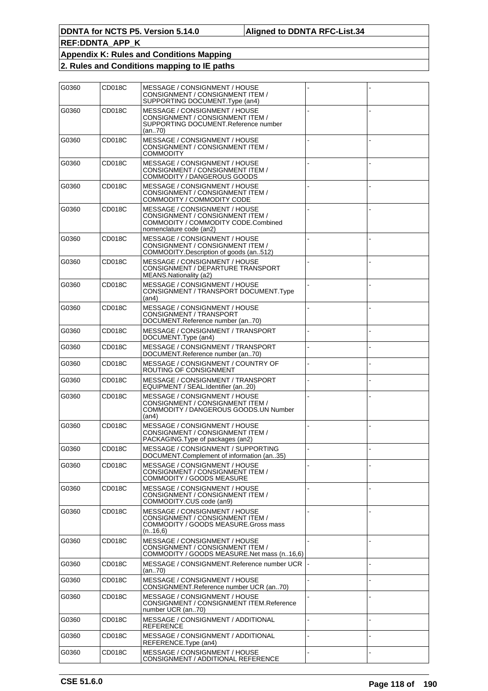| G0360 | CD018C | MESSAGE / CONSIGNMENT / HOUSE<br>CONSIGNMENT / CONSIGNMENT ITEM /<br>SUPPORTING DOCUMENT. Type (an4)                                |  |
|-------|--------|-------------------------------------------------------------------------------------------------------------------------------------|--|
| G0360 | CD018C | MESSAGE / CONSIGNMENT / HOUSE<br>CONSIGNMENT / CONSIGNMENT ITEM /<br>SUPPORTING DOCUMENT.Reference number<br>(an70)                 |  |
| G0360 | CD018C | MESSAGE / CONSIGNMENT / HOUSE<br>CONSIGNMENT / CONSIGNMENT ITEM /<br><b>COMMODITY</b>                                               |  |
| G0360 | CD018C | MESSAGE / CONSIGNMENT / HOUSE<br>CONSIGNMENT / CONSIGNMENT ITEM /<br><b>COMMODITY / DANGEROUS GOODS</b>                             |  |
| G0360 | CD018C | MESSAGE / CONSIGNMENT / HOUSE<br>CONSIGNMENT / CONSIGNMENT ITEM /<br>COMMODITY / COMMODITY CODE                                     |  |
| G0360 | CD018C | MESSAGE / CONSIGNMENT / HOUSE<br>CONSIGNMENT / CONSIGNMENT ITEM /<br>COMMODITY / COMMODITY CODE.Combined<br>nomenclature code (an2) |  |
| G0360 | CD018C | MESSAGE / CONSIGNMENT / HOUSE<br>CONSIGNMENT / CONSIGNMENT ITEM /<br>COMMODITY.Description of goods (an512)                         |  |
| G0360 | CD018C | MESSAGE / CONSIGNMENT / HOUSE<br>CONSIGNMENT / DEPARTURE TRANSPORT<br>MEANS. Nationality (a2)                                       |  |
| G0360 | CD018C | MESSAGE / CONSIGNMENT / HOUSE<br>CONSIGNMENT / TRANSPORT DOCUMENT. Type<br>(an4)                                                    |  |
| G0360 | CD018C | MESSAGE / CONSIGNMENT / HOUSE<br>CONSIGNMENT / TRANSPORT<br>DOCUMENT.Reference number (an70)                                        |  |
| G0360 | CD018C | MESSAGE / CONSIGNMENT / TRANSPORT<br>DOCUMENT. Type (an4)                                                                           |  |
| G0360 | CD018C | MESSAGE / CONSIGNMENT / TRANSPORT<br>DOCUMENT.Reference number (an70)                                                               |  |
| G0360 | CD018C | MESSAGE / CONSIGNMENT / COUNTRY OF<br>ROUTING OF CONSIGNMENT                                                                        |  |
| G0360 | CD018C | MESSAGE / CONSIGNMENT / TRANSPORT<br>EQUIPMENT / SEAL.Identifier (an20)                                                             |  |
| G0360 | CD018C | MESSAGE / CONSIGNMENT / HOUSE<br>CONSIGNMENT / CONSIGNMENT ITEM /<br>COMMODITY / DANGEROUS GOODS.UN Number<br>(an4)                 |  |
| G0360 | CD018C | MESSAGE / CONSIGNMENT / HOUSE<br>CONSIGNMENT / CONSIGNMENT ITEM /<br>PACKAGING. Type of packages (an2)                              |  |
| G0360 | CD018C | MESSAGE / CONSIGNMENT / SUPPORTING<br>DOCUMENT.Complement of information (an35)                                                     |  |
| G0360 | CD018C | MESSAGE / CONSIGNMENT / HOUSE<br>CONSIGNMENT / CONSIGNMENT ITEM /<br>COMMODITY / GOODS MEASURE                                      |  |
| G0360 | CD018C | MESSAGE / CONSIGNMENT / HOUSE<br>CONSIGNMENT / CONSIGNMENT ITEM /<br>COMMODITY.CUS code (an9)                                       |  |
| G0360 | CD018C | MESSAGE / CONSIGNMENT / HOUSE<br>CONSIGNMENT / CONSIGNMENT ITEM /<br>COMMODITY / GOODS MEASURE.Gross mass<br>(n.16,6)               |  |
| G0360 | CD018C | MESSAGE / CONSIGNMENT / HOUSE<br>CONSIGNMENT / CONSIGNMENT ITEM /<br>COMMODITY / GOODS MEASURE. Net mass (n16.6)                    |  |
| G0360 | CD018C | MESSAGE / CONSIGNMENT.Reference number UCR<br>(an70)                                                                                |  |
| G0360 | CD018C | MESSAGE / CONSIGNMENT / HOUSE<br>CONSIGNMENT.Reference number UCR (an70)                                                            |  |
| G0360 | CD018C | MESSAGE / CONSIGNMENT / HOUSE<br>CONSIGNMENT / CONSIGNMENT ITEM.Reference<br>number UCR (an70)                                      |  |
| G0360 | CD018C | MESSAGE / CONSIGNMENT / ADDITIONAL<br><b>REFERENCE</b>                                                                              |  |
| G0360 | CD018C | MESSAGE / CONSIGNMENT / ADDITIONAL<br>REFERENCE.Type (an4)                                                                          |  |
| G0360 | CD018C | MESSAGE / CONSIGNMENT / HOUSE<br>CONSIGNMENT / ADDITIONAL REFERENCE                                                                 |  |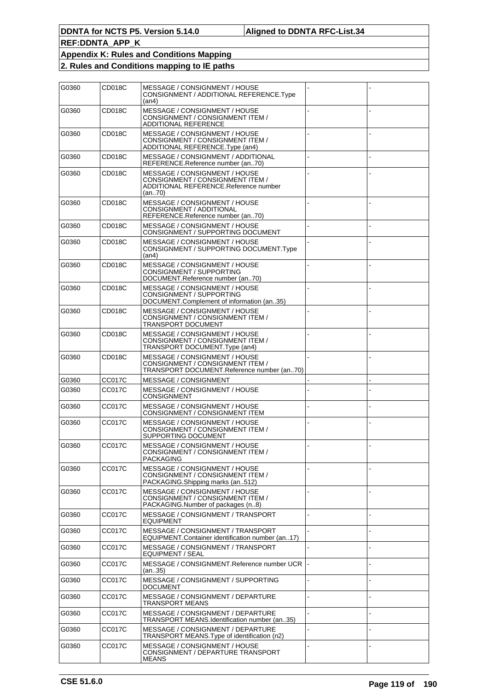| G0360 | CD018C        | MESSAGE / CONSIGNMENT / HOUSE<br>CONSIGNMENT / ADDITIONAL REFERENCE.Type<br>(an4)                                    |  |
|-------|---------------|----------------------------------------------------------------------------------------------------------------------|--|
| G0360 | CD018C        | MESSAGE / CONSIGNMENT / HOUSE<br>CONSIGNMENT / CONSIGNMENT ITEM /<br>ADDITIONAL REFERENCE                            |  |
| G0360 | CD018C        | MESSAGE / CONSIGNMENT / HOUSE<br>CONSIGNMENT / CONSIGNMENT ITEM /<br>ADDITIONAL REFERENCE. Type (an4)                |  |
| G0360 | CD018C        | MESSAGE / CONSIGNMENT / ADDITIONAL<br>REFERENCE.Reference number (an70)                                              |  |
| G0360 | CD018C        | MESSAGE / CONSIGNMENT / HOUSE<br>CONSIGNMENT / CONSIGNMENT ITEM /<br>ADDITIONAL REFERENCE.Reference number<br>(an70) |  |
| G0360 | CD018C        | MESSAGE / CONSIGNMENT / HOUSE<br>CONSIGNMENT / ADDITIONAL<br>REFERENCE.Reference number (an70)                       |  |
| G0360 | CD018C        | MESSAGE / CONSIGNMENT / HOUSE<br>CONSIGNMENT / SUPPORTING DOCUMENT                                                   |  |
| G0360 | CD018C        | MESSAGE / CONSIGNMENT / HOUSE<br>CONSIGNMENT / SUPPORTING DOCUMENT.Tvpe<br>(an4)                                     |  |
| G0360 | CD018C        | MESSAGE / CONSIGNMENT / HOUSE<br>CONSIGNMENT / SUPPORTING<br>DOCUMENT.Reference number (an70)                        |  |
| G0360 | CD018C        | MESSAGE / CONSIGNMENT / HOUSE<br>CONSIGNMENT / SUPPORTING<br>DOCUMENT.Complement of information (an35)               |  |
| G0360 | CD018C        | MESSAGE / CONSIGNMENT / HOUSE<br>CONSIGNMENT / CONSIGNMENT ITEM /<br>TRANSPORT DOCUMENT                              |  |
| G0360 | CD018C        | MESSAGE / CONSIGNMENT / HOUSE<br>CONSIGNMENT / CONSIGNMENT ITEM /<br>TRANSPORT DOCUMENT.Type (an4)                   |  |
| G0360 | CD018C        | MESSAGE / CONSIGNMENT / HOUSE<br>CONSIGNMENT / CONSIGNMENT ITEM /<br>TRANSPORT DOCUMENT.Reference number (an70)      |  |
| G0360 | CC017C        | MESSAGE / CONSIGNMENT                                                                                                |  |
| G0360 | <b>CC017C</b> | MESSAGE / CONSIGNMENT / HOUSE<br>CONSIGNMENT                                                                         |  |
| G0360 | <b>CC017C</b> | MESSAGE / CONSIGNMENT / HOUSE<br>CONSIGNMENT / CONSIGNMENT ITEM                                                      |  |
| G0360 | <b>CC017C</b> | MESSAGE / CONSIGNMENT / HOUSE<br>CONSIGNMENT / CONSIGNMENT ITEM /<br>SUPPORTING DOCUMENT                             |  |
| G0360 | CC017C        | MESSAGE / CONSIGNMENT / HOUSE<br>CONSIGNMENT / CONSIGNMENT ITEM /<br><b>PACKAGING</b>                                |  |
| G0360 | <b>CC017C</b> | MESSAGE / CONSIGNMENT / HOUSE<br>CONSIGNMENT / CONSIGNMENT ITEM /<br>PACKAGING.Shipping marks (an512)                |  |
| G0360 | CC017C        | MESSAGE / CONSIGNMENT / HOUSE<br>CONSIGNMENT / CONSIGNMENT ITEM /<br>PACKAGING.Number of packages (n8)               |  |
| G0360 | <b>CC017C</b> | MESSAGE / CONSIGNMENT / TRANSPORT<br><b>EQUIPMENT</b>                                                                |  |
| G0360 | CC017C        | MESSAGE / CONSIGNMENT / TRANSPORT<br>EQUIPMENT.Container identification number (an17)                                |  |
| G0360 | <b>CC017C</b> | MESSAGE / CONSIGNMENT / TRANSPORT<br>EQUIPMENT / SEAL                                                                |  |
| G0360 | <b>CC017C</b> | MESSAGE / CONSIGNMENT.Reference number UCR<br>(an35)                                                                 |  |
| G0360 | CC017C        | MESSAGE / CONSIGNMENT / SUPPORTING<br><b>DOCUMENT</b>                                                                |  |
| G0360 | CC017C        | MESSAGE / CONSIGNMENT / DEPARTURE<br>TRANSPORT MEANS                                                                 |  |
| G0360 | <b>CC017C</b> | MESSAGE / CONSIGNMENT / DEPARTURE<br>TRANSPORT MEANS.Identification number (an35)                                    |  |
| G0360 | CC017C        | MESSAGE / CONSIGNMENT / DEPARTURE<br>TRANSPORT MEANS. Type of identification (n2)                                    |  |
| G0360 | CC017C        | MESSAGE / CONSIGNMENT / HOUSE<br>CONSIGNMENT / DEPARTURE TRANSPORT<br><b>MEANS</b>                                   |  |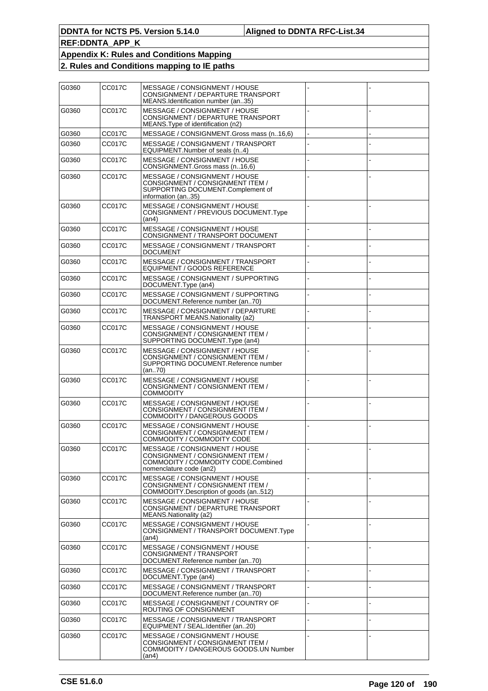| G0360 | <b>CC017C</b> | MESSAGE / CONSIGNMENT / HOUSE<br>CONSIGNMENT / DEPARTURE TRANSPORT<br>MEANS.Identification number (an35)                            |  |
|-------|---------------|-------------------------------------------------------------------------------------------------------------------------------------|--|
| G0360 | <b>CC017C</b> | MESSAGE / CONSIGNMENT / HOUSE<br>CONSIGNMENT / DEPARTURE TRANSPORT<br>MEANS. Type of identification (n2)                            |  |
| G0360 | <b>CC017C</b> | MESSAGE / CONSIGNMENT.Gross mass (n16,6)                                                                                            |  |
| G0360 | <b>CC017C</b> | MESSAGE / CONSIGNMENT / TRANSPORT<br>EQUIPMENT.Number of seals (n4)                                                                 |  |
| G0360 | CC017C        | MESSAGE / CONSIGNMENT / HOUSE<br>CONSIGNMENT.Gross mass (n16,6)                                                                     |  |
| G0360 | <b>CC017C</b> | MESSAGE / CONSIGNMENT / HOUSE<br>CONSIGNMENT / CONSIGNMENT ITEM /<br>SUPPORTING DOCUMENT.Complement of<br>information (an35)        |  |
| G0360 | <b>CC017C</b> | MESSAGE / CONSIGNMENT / HOUSE<br>CONSIGNMENT / PREVIOUS DOCUMENT.Type<br>(an4)                                                      |  |
| G0360 | <b>CC017C</b> | MESSAGE / CONSIGNMENT / HOUSE<br>CONSIGNMENT / TRANSPORT DOCUMENT                                                                   |  |
| G0360 | <b>CC017C</b> | MESSAGE / CONSIGNMENT / TRANSPORT<br><b>DOCUMENT</b>                                                                                |  |
| G0360 | <b>CC017C</b> | MESSAGE / CONSIGNMENT / TRANSPORT<br><b>EQUIPMENT / GOODS REFERENCE</b>                                                             |  |
| G0360 | CC017C        | MESSAGE / CONSIGNMENT / SUPPORTING<br>DOCUMENT.Type (an4)                                                                           |  |
| G0360 | <b>CC017C</b> | MESSAGE / CONSIGNMENT / SUPPORTING<br>DOCUMENT.Reference number (an70)                                                              |  |
| G0360 | <b>CC017C</b> | MESSAGE / CONSIGNMENT / DEPARTURE<br>TRANSPORT MEANS.Nationality (a2)                                                               |  |
| G0360 | CC017C        | MESSAGE / CONSIGNMENT / HOUSE<br>CONSIGNMENT / CONSIGNMENT ITEM /<br>SUPPORTING DOCUMENT. Type (an4)                                |  |
| G0360 | CC017C        | MESSAGE / CONSIGNMENT / HOUSE<br>CONSIGNMENT / CONSIGNMENT ITEM /<br>SUPPORTING DOCUMENT Reference number<br>(an70)                 |  |
| G0360 | <b>CC017C</b> | MESSAGE / CONSIGNMENT / HOUSE<br>CONSIGNMENT / CONSIGNMENT ITEM /<br><b>COMMODITY</b>                                               |  |
| G0360 | <b>CC017C</b> | MESSAGE / CONSIGNMENT / HOUSE<br>CONSIGNMENT / CONSIGNMENT ITEM /<br>COMMODITY / DANGEROUS GOODS                                    |  |
| G0360 | <b>CC017C</b> | MESSAGE / CONSIGNMENT / HOUSE<br>CONSIGNMENT / CONSIGNMENT ITEM /<br>COMMODITY / COMMODITY CODE                                     |  |
| G0360 | <b>CC017C</b> | MESSAGE / CONSIGNMENT / HOUSE<br>CONSIGNMENT / CONSIGNMENT ITEM /<br>COMMODITY / COMMODITY CODE.Combined<br>nomenclature code (an2) |  |
| G0360 | <b>CC017C</b> | MESSAGE / CONSIGNMENT / HOUSE<br>CONSIGNMENT / CONSIGNMENT ITEM /<br>COMMODITY.Description of goods (an512)                         |  |
| G0360 | CC017C        | MESSAGE / CONSIGNMENT / HOUSE<br>CONSIGNMENT / DEPARTURE TRANSPORT<br>MEANS. Nationality (a2)                                       |  |
| G0360 | <b>CC017C</b> | MESSAGE / CONSIGNMENT / HOUSE<br>CONSIGNMENT / TRANSPORT DOCUMENT.Type<br>(an4)                                                     |  |
| G0360 | <b>CC017C</b> | MESSAGE / CONSIGNMENT / HOUSE<br>CONSIGNMENT / TRANSPORT<br>DOCUMENT.Reference number (an70)                                        |  |
| G0360 | CC017C        | MESSAGE / CONSIGNMENT / TRANSPORT<br>DOCUMENT.Type (an4)                                                                            |  |
| G0360 | <b>CC017C</b> | MESSAGE / CONSIGNMENT / TRANSPORT<br>DOCUMENT.Reference number (an70)                                                               |  |
| G0360 | <b>CC017C</b> | MESSAGE / CONSIGNMENT / COUNTRY OF<br>ROUTING OF CONSIGNMENT                                                                        |  |
| G0360 | CC017C        | MESSAGE / CONSIGNMENT / TRANSPORT<br>EQUIPMENT / SEAL.Identifier (an20)                                                             |  |
| G0360 | <b>CC017C</b> | MESSAGE / CONSIGNMENT / HOUSE<br>CONSIGNMENT / CONSIGNMENT ITEM /<br>COMMODITY / DANGEROUS GOODS.UN Number<br>(an4)                 |  |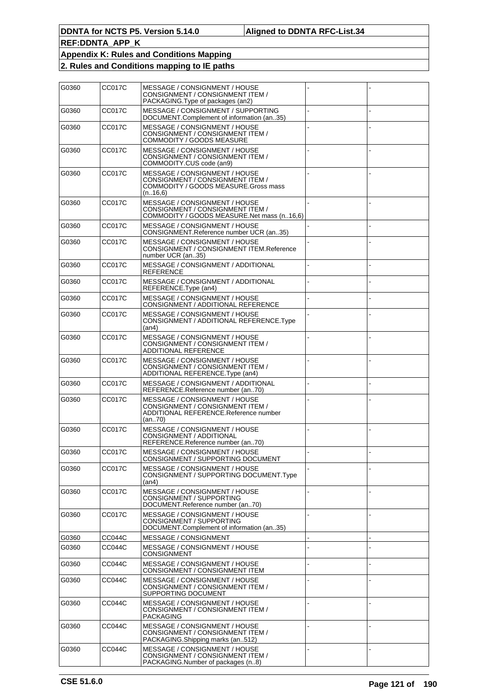| G0360 | CC017C        | MESSAGE / CONSIGNMENT / HOUSE<br>CONSIGNMENT / CONSIGNMENT ITEM /<br>PACKAGING. Type of packages (an2)                 |  |
|-------|---------------|------------------------------------------------------------------------------------------------------------------------|--|
| G0360 | CC017C        | MESSAGE / CONSIGNMENT / SUPPORTING<br>DOCUMENT.Complement of information (an35)                                        |  |
| G0360 | CC017C        | MESSAGE / CONSIGNMENT / HOUSE<br>CONSIGNMENT / CONSIGNMENT ITEM /<br>COMMODITY / GOODS MEASURE                         |  |
| G0360 | CC017C        | MESSAGE / CONSIGNMENT / HOUSE<br>CONSIGNMENT / CONSIGNMENT ITEM /<br>COMMODITY.CUS code (an9)                          |  |
| G0360 | <b>CC017C</b> | MESSAGE / CONSIGNMENT / HOUSE<br>CONSIGNMENT / CONSIGNMENT ITEM /<br>COMMODITY / GOODS MEASURE. Gross mass<br>(n.16,6) |  |
| G0360 | CC017C        | MESSAGE / CONSIGNMENT / HOUSE<br>CONSIGNMENT / CONSIGNMENT ITEM /<br>COMMODITY / GOODS MEASURE. Net mass (n16,6)       |  |
| G0360 | CC017C        | MESSAGE / CONSIGNMENT / HOUSE<br>CONSIGNMENT. Reference number UCR (an35)                                              |  |
| G0360 | CC017C        | MESSAGE / CONSIGNMENT / HOUSE<br>CONSIGNMENT / CONSIGNMENT ITEM.Reference<br>number UCR (an35)                         |  |
| G0360 | CC017C        | MESSAGE / CONSIGNMENT / ADDITIONAL<br><b>REFERENCE</b>                                                                 |  |
| G0360 | CC017C        | MESSAGE / CONSIGNMENT / ADDITIONAL<br>REFERENCE.Type (an4)                                                             |  |
| G0360 | CC017C        | MESSAGE / CONSIGNMENT / HOUSE<br>CONSIGNMENT / ADDITIONAL REFERENCE                                                    |  |
| G0360 | CC017C        | MESSAGE / CONSIGNMENT / HOUSE<br>CONSIGNMENT / ADDITIONAL REFERENCE.Type<br>(an4)                                      |  |
| G0360 | CC017C        | MESSAGE / CONSIGNMENT / HOUSE<br>CONSIGNMENT / CONSIGNMENT ITEM /<br>ADDITIONAL REFERENCE                              |  |
| G0360 | CC017C        | MESSAGE / CONSIGNMENT / HOUSE<br>CONSIGNMENT / CONSIGNMENT ITEM /<br>ADDITIONAL REFERENCE. Type (an4)                  |  |
| G0360 | CC017C        | MESSAGE / CONSIGNMENT / ADDITIONAL<br>REFERENCE.Reference number (an70)                                                |  |
| G0360 | CC017C        | MESSAGE / CONSIGNMENT / HOUSE<br>CONSIGNMENT / CONSIGNMENT ITEM /<br>ADDITIONAL REFERENCE.Reference number<br>(an70)   |  |
| G0360 | <b>CC017C</b> | MESSAGE / CONSIGNMENT / HOUSE<br>CONSIGNMENT / ADDITIONAL<br>REFERENCE.Reference number (an70)                         |  |
| G0360 | <b>CC017C</b> | MESSAGE / CONSIGNMENT / HOUSE<br>CONSIGNMENT / SUPPORTING DOCUMENT                                                     |  |
| G0360 | <b>CC017C</b> | MESSAGE / CONSIGNMENT / HOUSE<br>CONSIGNMENT / SUPPORTING DOCUMENT. Type<br>(an4)                                      |  |
| G0360 | CC017C        | MESSAGE / CONSIGNMENT / HOUSE<br>CONSIGNMENT / SUPPORTING<br>DOCUMENT.Reference number (an70)                          |  |
| G0360 | CC017C        | MESSAGE / CONSIGNMENT / HOUSE<br>CONSIGNMENT / SUPPORTING<br>DOCUMENT.Complement of information (an35)                 |  |
| G0360 | CC044C        | MESSAGE / CONSIGNMENT                                                                                                  |  |
| G0360 | CC044C        | MESSAGE / CONSIGNMENT / HOUSE<br><b>CONSIGNMENT</b>                                                                    |  |
| G0360 | CC044C        | MESSAGE / CONSIGNMENT / HOUSE<br>CONSIGNMENT / CONSIGNMENT ITEM                                                        |  |
| G0360 | CC044C        | MESSAGE / CONSIGNMENT / HOUSE<br>CONSIGNMENT / CONSIGNMENT ITEM /<br>SUPPORTING DOCUMENT                               |  |
| G0360 | CC044C        | MESSAGE / CONSIGNMENT / HOUSE<br>CONSIGNMENT / CONSIGNMENT ITEM /<br>PACKAGING                                         |  |
| G0360 | CC044C        | MESSAGE / CONSIGNMENT / HOUSE<br>CONSIGNMENT / CONSIGNMENT ITEM /<br>PACKAGING.Shipping marks (an512)                  |  |
| G0360 | CC044C        | MESSAGE / CONSIGNMENT / HOUSE<br>CONSIGNMENT / CONSIGNMENT ITEM /<br>PACKAGING. Number of packages (n8)                |  |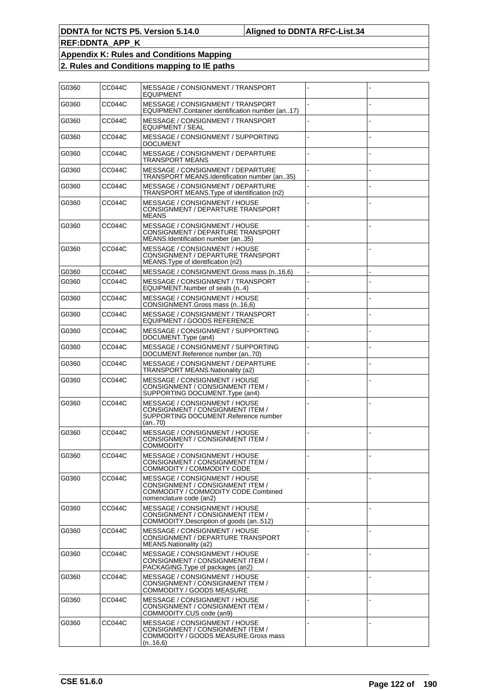| G0360 | CC044C | MESSAGE / CONSIGNMENT / TRANSPORT<br>EQUIPMENT                                                                                      |  |
|-------|--------|-------------------------------------------------------------------------------------------------------------------------------------|--|
| G0360 | CC044C | MESSAGE / CONSIGNMENT / TRANSPORT<br>EQUIPMENT.Container identification number (an17)                                               |  |
| G0360 | CC044C | MESSAGE / CONSIGNMENT / TRANSPORT<br>EQUIPMENT / SEAL                                                                               |  |
| G0360 | CC044C | MESSAGE / CONSIGNMENT / SUPPORTING<br>DOCUMENT                                                                                      |  |
| G0360 | CC044C | MESSAGE / CONSIGNMENT / DEPARTURE<br>TRANSPORT MEANS                                                                                |  |
| G0360 | CC044C | MESSAGE / CONSIGNMENT / DEPARTURE<br>TRANSPORT MEANS.Identification number (an35)                                                   |  |
| G0360 | CC044C | MESSAGE / CONSIGNMENT / DEPARTURE<br>TRANSPORT MEANS. Type of identification (n2)                                                   |  |
| G0360 | CC044C | MESSAGE / CONSIGNMENT / HOUSE<br>CONSIGNMENT / DEPARTURE TRANSPORT<br><b>MEANS</b>                                                  |  |
| G0360 | CC044C | MESSAGE / CONSIGNMENT / HOUSE<br>CONSIGNMENT / DEPARTURE TRANSPORT<br>MEANS.Identification number (an35)                            |  |
| G0360 | CC044C | MESSAGE / CONSIGNMENT / HOUSE<br>CONSIGNMENT / DEPARTURE TRANSPORT<br>MEANS. Type of identification (n2)                            |  |
| G0360 | CC044C | MESSAGE / CONSIGNMENT.Gross mass (n16,6)                                                                                            |  |
| G0360 | CC044C | MESSAGE / CONSIGNMENT / TRANSPORT<br>EQUIPMENT.Number of seals (n4)                                                                 |  |
| G0360 | CC044C | MESSAGE / CONSIGNMENT / HOUSE<br>CONSIGNMENT.Gross mass (n16,6)                                                                     |  |
| G0360 | CC044C | MESSAGE / CONSIGNMENT / TRANSPORT<br>EQUIPMENT / GOODS REFERENCE                                                                    |  |
| G0360 | CC044C | MESSAGE / CONSIGNMENT / SUPPORTING<br>DOCUMENT.Type (an4)                                                                           |  |
| G0360 | CC044C | MESSAGE / CONSIGNMENT / SUPPORTING<br>DOCUMENT.Reference number (an70)                                                              |  |
| G0360 | CC044C | MESSAGE / CONSIGNMENT / DEPARTURE<br>TRANSPORT MEANS.Nationality (a2)                                                               |  |
| G0360 | CC044C | MESSAGE / CONSIGNMENT / HOUSE<br>CONSIGNMENT / CONSIGNMENT ITEM /<br>SUPPORTING DOCUMENT. Type (an4)                                |  |
| G0360 | CC044C | MESSAGE / CONSIGNMENT / HOUSE<br>CONSIGNMENT / CONSIGNMENT ITEM /<br>SUPPORTING DOCUMENT.Reference number<br>(an70)                 |  |
| G0360 | CC044C | MESSAGE / CONSIGNMENT / HOUSE<br>CONSIGNMENT / CONSIGNMENT ITEM /<br>COMMODITY                                                      |  |
| G0360 | CC044C | MESSAGE / CONSIGNMENT / HOUSE<br>CONSIGNMENT / CONSIGNMENT ITEM /<br>COMMODITY / COMMODITY CODE                                     |  |
| G0360 | CC044C | MESSAGE / CONSIGNMENT / HOUSE<br>CONSIGNMENT / CONSIGNMENT ITEM /<br>COMMODITY / COMMODITY CODE.Combined<br>nomenclature code (an2) |  |
| G0360 | CC044C | MESSAGE / CONSIGNMENT / HOUSE<br>CONSIGNMENT / CONSIGNMENT ITEM /<br>COMMODITY.Description of goods (an512)                         |  |
| G0360 | CC044C | MESSAGE / CONSIGNMENT / HOUSE<br>CONSIGNMENT / DEPARTURE TRANSPORT<br>MEANS. Nationality (a2)                                       |  |
| G0360 | CC044C | MESSAGE / CONSIGNMENT / HOUSE<br>CONSIGNMENT / CONSIGNMENT ITEM /<br>PACKAGING. Type of packages (an2)                              |  |
| G0360 | CC044C | MESSAGE / CONSIGNMENT / HOUSE<br>CONSIGNMENT / CONSIGNMENT ITEM /<br>COMMODITY / GOODS MEASURE                                      |  |
| G0360 | CC044C | MESSAGE / CONSIGNMENT / HOUSE<br>CONSIGNMENT / CONSIGNMENT ITEM /<br>COMMODITY.CUS code (an9)                                       |  |
| G0360 | CC044C | MESSAGE / CONSIGNMENT / HOUSE<br>CONSIGNMENT / CONSIGNMENT ITEM /<br>COMMODITY / GOODS MEASURE.Gross mass<br>(n.16,6)               |  |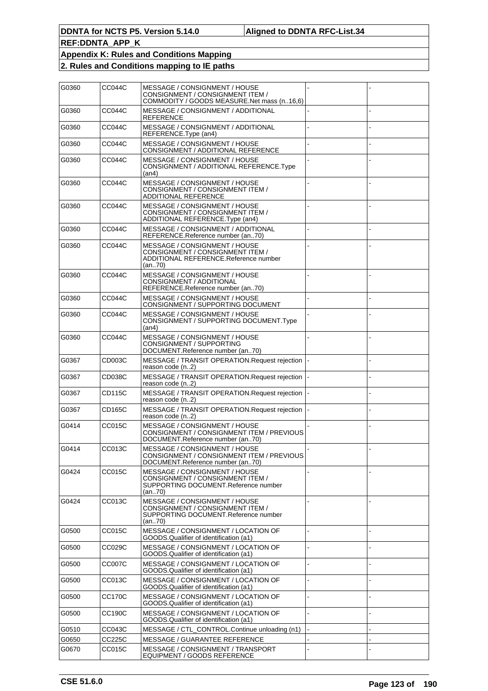| G0360 | CC044C        | MESSAGE / CONSIGNMENT / HOUSE<br>CONSIGNMENT / CONSIGNMENT ITEM /<br>COMMODITY / GOODS MEASURE.Net mass (n16,6)      |  |
|-------|---------------|----------------------------------------------------------------------------------------------------------------------|--|
| G0360 | CC044C        | MESSAGE / CONSIGNMENT / ADDITIONAL<br>REFERENCE                                                                      |  |
| G0360 | CC044C        | MESSAGE / CONSIGNMENT / ADDITIONAL<br>REFERENCE.Type (an4)                                                           |  |
| G0360 | CC044C        | MESSAGE / CONSIGNMENT / HOUSE<br>CONSIGNMENT / ADDITIONAL REFERENCE                                                  |  |
| G0360 | CC044C        | MESSAGE / CONSIGNMENT / HOUSE<br>CONSIGNMENT / ADDITIONAL REFERENCE.Type<br>(an4)                                    |  |
| G0360 | CC044C        | MESSAGE / CONSIGNMENT / HOUSE<br>CONSIGNMENT / CONSIGNMENT ITEM /<br>ADDITIONAL REFERENCE                            |  |
| G0360 | CC044C        | MESSAGE / CONSIGNMENT / HOUSE<br>CONSIGNMENT / CONSIGNMENT ITEM /<br>ADDITIONAL REFERENCE.Type (an4)                 |  |
| G0360 | CC044C        | MESSAGE / CONSIGNMENT / ADDITIONAL<br>REFERENCE.Reference number (an70)                                              |  |
| G0360 | CC044C        | MESSAGE / CONSIGNMENT / HOUSE<br>CONSIGNMENT / CONSIGNMENT ITEM /<br>ADDITIONAL REFERENCE.Reference number<br>(an70) |  |
| G0360 | CC044C        | MESSAGE / CONSIGNMENT / HOUSE<br>CONSIGNMENT / ADDITIONAL<br>REFERENCE.Reference number (an70)                       |  |
| G0360 | CC044C        | MESSAGE / CONSIGNMENT / HOUSE<br>CONSIGNMENT / SUPPORTING DOCUMENT                                                   |  |
| G0360 | CC044C        | MESSAGE / CONSIGNMENT / HOUSE<br>CONSIGNMENT / SUPPORTING DOCUMENT. Type<br>(an4)                                    |  |
| G0360 | CC044C        | MESSAGE / CONSIGNMENT / HOUSE<br>CONSIGNMENT / SUPPORTING<br>DOCUMENT.Reference number (an70)                        |  |
| G0367 | CD003C        | MESSAGE / TRANSIT OPERATION.Request rejection<br>reason code (n2)                                                    |  |
| G0367 | CD038C        | MESSAGE / TRANSIT OPERATION.Request rejection<br>reason code (n2)                                                    |  |
| G0367 | CD115C        | MESSAGE / TRANSIT OPERATION.Request rejection<br>reason code (n2)                                                    |  |
| G0367 | CD165C        | MESSAGE / TRANSIT OPERATION.Request rejection<br>reason code (n2)                                                    |  |
| G0414 | CC015C        | MESSAGE / CONSIGNMENT / HOUSE<br>CONSIGNMENT / CONSIGNMENT ITEM / PREVIOUS<br>DOCUMENT.Reference number (an70)       |  |
| G0414 | CC013C        | MESSAGE / CONSIGNMENT / HOUSE<br>CONSIGNMENT / CONSIGNMENT ITEM / PREVIOUS<br>DOCUMENT.Reference number (an70)       |  |
| G0424 | CC015C        | MESSAGE / CONSIGNMENT / HOUSE<br>CONSIGNMENT / CONSIGNMENT ITEM /<br>SUPPORTING DOCUMENT Reference number<br>(an70)  |  |
| G0424 | CC013C        | MESSAGE / CONSIGNMENT / HOUSE<br>CONSIGNMENT / CONSIGNMENT ITEM /<br>SUPPORTING DOCUMENT Reference number<br>(an70)  |  |
| G0500 | CC015C        | MESSAGE / CONSIGNMENT / LOCATION OF<br>GOODS.Qualifier of identification (a1)                                        |  |
| G0500 | CC029C        | MESSAGE / CONSIGNMENT / LOCATION OF<br>GOODS.Qualifier of identification (a1)                                        |  |
| G0500 | <b>CC007C</b> | MESSAGE / CONSIGNMENT / LOCATION OF<br>GOODS.Qualifier of identification (a1)                                        |  |
| G0500 | CC013C        | MESSAGE / CONSIGNMENT / LOCATION OF<br>GOODS.Qualifier of identification (a1)                                        |  |
| G0500 | CC170C        | MESSAGE / CONSIGNMENT / LOCATION OF<br>GOODS.Qualifier of identification (a1)                                        |  |
| G0500 | CC190C        | MESSAGE / CONSIGNMENT / LOCATION OF<br>GOODS.Qualifier of identification (a1)                                        |  |
| G0510 | CC043C        | MESSAGE / CTL_CONTROL.Continue unloading (n1)                                                                        |  |
| G0650 | CC225C        | MESSAGE / GUARANTEE REFERENCE                                                                                        |  |
| G0670 | CC015C        | MESSAGE / CONSIGNMENT / TRANSPORT<br>EQUIPMENT / GOODS REFERENCE                                                     |  |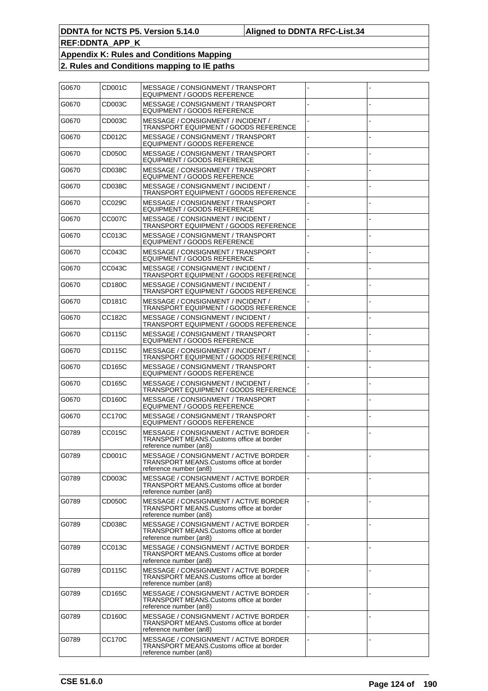| G0670 | CD001C        | MESSAGE / CONSIGNMENT / TRANSPORT<br>EQUIPMENT / GOODS REFERENCE                                            |                |  |
|-------|---------------|-------------------------------------------------------------------------------------------------------------|----------------|--|
| G0670 | CD003C        | MESSAGE / CONSIGNMENT / TRANSPORT<br>EQUIPMENT / GOODS REFERENCE                                            |                |  |
| G0670 | CD003C        | MESSAGE / CONSIGNMENT / INCIDENT /<br>TRANSPORT EQUIPMENT / GOODS REFERENCE                                 |                |  |
| G0670 | CD012C        | MESSAGE / CONSIGNMENT / TRANSPORT<br>EQUIPMENT / GOODS REFERENCE                                            |                |  |
| G0670 | <b>CD050C</b> | MESSAGE / CONSIGNMENT / TRANSPORT<br>EQUIPMENT / GOODS REFERENCE                                            |                |  |
| G0670 | CD038C        | MESSAGE / CONSIGNMENT / TRANSPORT<br>EQUIPMENT / GOODS REFERENCE                                            |                |  |
| G0670 | CD038C        | MESSAGE / CONSIGNMENT / INCIDENT /<br>TRANSPORT EQUIPMENT / GOODS REFERENCE                                 |                |  |
| G0670 | CC029C        | MESSAGE / CONSIGNMENT / TRANSPORT<br>EQUIPMENT / GOODS REFERENCE                                            |                |  |
| G0670 | CC007C        | MESSAGE / CONSIGNMENT / INCIDENT /<br>TRANSPORT EQUIPMENT / GOODS REFERENCE                                 |                |  |
| G0670 | CC013C        | MESSAGE / CONSIGNMENT / TRANSPORT<br>EQUIPMENT / GOODS REFERENCE                                            |                |  |
| G0670 | CC043C        | MESSAGE / CONSIGNMENT / TRANSPORT<br>EQUIPMENT / GOODS REFERENCE                                            |                |  |
| G0670 | CC043C        | MESSAGE / CONSIGNMENT / INCIDENT /<br>TRANSPORT EQUIPMENT / GOODS REFERENCE                                 |                |  |
| G0670 | CD180C        | MESSAGE / CONSIGNMENT / INCIDENT /<br>TRANSPORT EQUIPMENT / GOODS REFERENCE                                 |                |  |
| G0670 | CD181C        | MESSAGE / CONSIGNMENT / INCIDENT /<br>TRANSPORT EQUIPMENT / GOODS REFERENCE                                 |                |  |
| G0670 | CC182C        | MESSAGE / CONSIGNMENT / INCIDENT /<br>TRANSPORT EQUIPMENT / GOODS REFERENCE                                 |                |  |
| G0670 | CD115C        | MESSAGE / CONSIGNMENT / TRANSPORT<br>EQUIPMENT / GOODS REFERENCE                                            |                |  |
| G0670 | CD115C        | MESSAGE / CONSIGNMENT / INCIDENT /<br>TRANSPORT EQUIPMENT / GOODS REFERENCE                                 |                |  |
| G0670 | CD165C        | MESSAGE / CONSIGNMENT / TRANSPORT<br>EQUIPMENT / GOODS REFERENCE                                            |                |  |
| G0670 | CD165C        | MESSAGE / CONSIGNMENT / INCIDENT /<br>TRANSPORT EQUIPMENT / GOODS REFERENCE                                 |                |  |
| G0670 | CD160C        | MESSAGE / CONSIGNMENT / TRANSPORT<br>EQUIPMENT / GOODS REFERENCE                                            |                |  |
| G0670 | CC170C        | MESSAGE / CONSIGNMENT / TRANSPORT<br>EQUIPMENT / GOODS REFERENCE                                            |                |  |
| G0789 | CC015C        | MESSAGE / CONSIGNMENT / ACTIVE BORDER<br>TRANSPORT MEANS.Customs office at border<br>reference number (an8) |                |  |
| G0789 | CD001C        | MESSAGE / CONSIGNMENT / ACTIVE BORDER<br>TRANSPORT MEANS.Customs office at border<br>reference number (an8) |                |  |
| G0789 | CD003C        | MESSAGE / CONSIGNMENT / ACTIVE BORDER<br>TRANSPORT MEANS.Customs office at border<br>reference number (an8) |                |  |
| G0789 | CD050C        | MESSAGE / CONSIGNMENT / ACTIVE BORDER<br>TRANSPORT MEANS.Customs office at border<br>reference number (an8) |                |  |
| G0789 | CD038C        | MESSAGE / CONSIGNMENT / ACTIVE BORDER<br>TRANSPORT MEANS.Customs office at border<br>reference number (an8) |                |  |
| G0789 | CC013C        | MESSAGE / CONSIGNMENT / ACTIVE BORDER<br>TRANSPORT MEANS.Customs office at border<br>reference number (an8) |                |  |
| G0789 | CD115C        | MESSAGE / CONSIGNMENT / ACTIVE BORDER<br>TRANSPORT MEANS.Customs office at border<br>reference number (an8) | $\overline{a}$ |  |
| G0789 | CD165C        | MESSAGE / CONSIGNMENT / ACTIVE BORDER<br>TRANSPORT MEANS.Customs office at border<br>reference number (an8) |                |  |
| G0789 | CD160C        | MESSAGE / CONSIGNMENT / ACTIVE BORDER<br>TRANSPORT MEANS.Customs office at border<br>reference number (an8) |                |  |
| G0789 | <b>CC170C</b> | MESSAGE / CONSIGNMENT / ACTIVE BORDER<br>TRANSPORT MEANS.Customs office at border<br>reference number (an8) |                |  |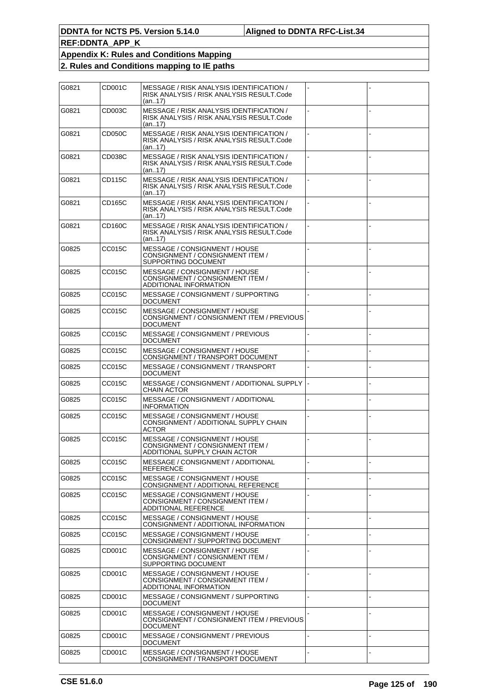| G0821 | CD001C | MESSAGE / RISK ANALYSIS IDENTIFICATION /<br>RISK ANALYSIS / RISK ANALYSIS RESULT.Code<br>(an17)    |  |
|-------|--------|----------------------------------------------------------------------------------------------------|--|
| G0821 | CD003C | MESSAGE / RISK ANALYSIS IDENTIFICATION /<br>RISK ANALYSIS / RISK ANALYSIS RESULT.Code<br>(an17)    |  |
| G0821 | CD050C | MESSAGE / RISK ANALYSIS IDENTIFICATION /<br>RISK ANALYSIS / RISK ANALYSIS RESULT.Code<br>(an17)    |  |
| G0821 | CD038C | MESSAGE / RISK ANALYSIS IDENTIFICATION /<br>RISK ANALYSIS / RISK ANALYSIS RESULT.Code<br>(an17)    |  |
| G0821 | CD115C | MESSAGE / RISK ANALYSIS IDENTIFICATION /<br>RISK ANALYSIS / RISK ANALYSIS RESULT.Code<br>(an17)    |  |
| G0821 | CD165C | MESSAGE / RISK ANALYSIS IDENTIFICATION /<br>RISK ANALYSIS / RISK ANALYSIS RESULT.Code<br>(an17)    |  |
| G0821 | CD160C | MESSAGE / RISK ANALYSIS IDENTIFICATION /<br>RISK ANALYSIS / RISK ANALYSIS RESULT.Code<br>(an17)    |  |
| G0825 | CC015C | MESSAGE / CONSIGNMENT / HOUSE<br>CONSIGNMENT / CONSIGNMENT ITEM /<br>SUPPORTING DOCUMENT           |  |
| G0825 | CC015C | MESSAGE / CONSIGNMENT / HOUSE<br>CONSIGNMENT / CONSIGNMENT ITEM /<br>ADDITIONAL INFORMATION        |  |
| G0825 | CC015C | MESSAGE / CONSIGNMENT / SUPPORTING<br>DOCUMENT                                                     |  |
| G0825 | CC015C | MESSAGE / CONSIGNMENT / HOUSE<br>CONSIGNMENT / CONSIGNMENT ITEM / PREVIOUS<br>DOCUMENT             |  |
| G0825 | CC015C | MESSAGE / CONSIGNMENT / PREVIOUS<br>DOCUMENT                                                       |  |
| G0825 | CC015C | MESSAGE / CONSIGNMENT / HOUSE<br>CONSIGNMENT / TRANSPORT DOCUMENT                                  |  |
| G0825 | CC015C | MESSAGE / CONSIGNMENT / TRANSPORT<br>DOCUMENT                                                      |  |
| G0825 | CC015C | MESSAGE / CONSIGNMENT / ADDITIONAL SUPPLY  <br>CHAIN ACTOR                                         |  |
| G0825 | CC015C | MESSAGE / CONSIGNMENT / ADDITIONAL<br><b>INFORMATION</b>                                           |  |
| G0825 | CC015C | MESSAGE / CONSIGNMENT / HOUSE<br>CONSIGNMENT / ADDITIONAL SUPPLY CHAIN<br>ACTOR                    |  |
| G0825 | CC015C | MESSAGE / CONSIGNMENT / HOUSE<br>CONSIGNMENT / CONSIGNMENT ITEM /<br>ADDITIONAL SUPPLY CHAIN ACTOR |  |
| G0825 | CC015C | MESSAGE / CONSIGNMENT / ADDITIONAL<br>REFERENCE                                                    |  |
| G0825 | CC015C | MESSAGE / CONSIGNMENT / HOUSE<br>CONSIGNMENT / ADDITIONAL REFERENCE                                |  |
| G0825 | CC015C | MESSAGE / CONSIGNMENT / HOUSE<br>CONSIGNMENT / CONSIGNMENT ITEM /<br>ADDITIONAL REFERENCE          |  |
| G0825 | CC015C | MESSAGE / CONSIGNMENT / HOUSE<br>CONSIGNMENT / ADDITIONAL INFORMATION                              |  |
| G0825 | CC015C | MESSAGE / CONSIGNMENT / HOUSE<br>CONSIGNMENT / SUPPORTING DOCUMENT                                 |  |
| G0825 | CD001C | MESSAGE / CONSIGNMENT / HOUSE<br>CONSIGNMENT / CONSIGNMENT ITEM /<br>SUPPORTING DOCUMENT           |  |
| G0825 | CD001C | MESSAGE / CONSIGNMENT / HOUSE<br>CONSIGNMENT / CONSIGNMENT ITEM /<br>ADDITIONAL INFORMATION        |  |
| G0825 | CD001C | MESSAGE / CONSIGNMENT / SUPPORTING<br>DOCUMENT                                                     |  |
| G0825 | CD001C | MESSAGE / CONSIGNMENT / HOUSE<br>CONSIGNMENT / CONSIGNMENT ITEM / PREVIOUS<br>DOCUMENT             |  |
| G0825 | CD001C | MESSAGE / CONSIGNMENT / PREVIOUS<br>DOCUMENT                                                       |  |
| G0825 | CD001C | MESSAGE / CONSIGNMENT / HOUSE<br>CONSIGNMENT / TRANSPORT DOCUMENT                                  |  |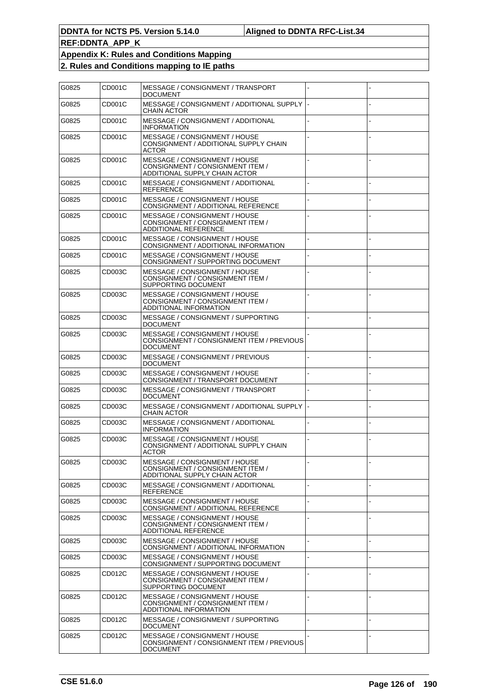| G0825 | CD001C | MESSAGE / CONSIGNMENT / TRANSPORT<br><b>DOCUMENT</b>                                               |  |
|-------|--------|----------------------------------------------------------------------------------------------------|--|
| G0825 | CD001C | MESSAGE / CONSIGNMENT / ADDITIONAL SUPPLY  <br><b>CHAIN ACTOR</b>                                  |  |
| G0825 | CD001C | MESSAGE / CONSIGNMENT / ADDITIONAL<br><b>INFORMATION</b>                                           |  |
| G0825 | CD001C | MESSAGE / CONSIGNMENT / HOUSE<br>CONSIGNMENT / ADDITIONAL SUPPLY CHAIN<br><b>ACTOR</b>             |  |
| G0825 | CD001C | MESSAGE / CONSIGNMENT / HOUSE<br>CONSIGNMENT / CONSIGNMENT ITEM /<br>ADDITIONAL SUPPLY CHAIN ACTOR |  |
| G0825 | CD001C | MESSAGE / CONSIGNMENT / ADDITIONAL<br><b>REFERENCE</b>                                             |  |
| G0825 | CD001C | MESSAGE / CONSIGNMENT / HOUSE<br>CONSIGNMENT / ADDITIONAL REFERENCE                                |  |
| G0825 | CD001C | MESSAGE / CONSIGNMENT / HOUSE<br>CONSIGNMENT / CONSIGNMENT ITEM /<br>ADDITIONAL REFERENCE          |  |
| G0825 | CD001C | MESSAGE / CONSIGNMENT / HOUSE<br>CONSIGNMENT / ADDITIONAL INFORMATION                              |  |
| G0825 | CD001C | MESSAGE / CONSIGNMENT / HOUSE<br>CONSIGNMENT / SUPPORTING DOCUMENT                                 |  |
| G0825 | CD003C | MESSAGE / CONSIGNMENT / HOUSE<br>CONSIGNMENT / CONSIGNMENT ITEM /<br>SUPPORTING DOCUMENT           |  |
| G0825 | CD003C | MESSAGE / CONSIGNMENT / HOUSE<br>CONSIGNMENT / CONSIGNMENT ITEM /<br>ADDITIONAL INFORMATION        |  |
| G0825 | CD003C | MESSAGE / CONSIGNMENT / SUPPORTING<br><b>DOCUMENT</b>                                              |  |
| G0825 | CD003C | MESSAGE / CONSIGNMENT / HOUSE<br>CONSIGNMENT / CONSIGNMENT ITEM / PREVIOUS<br><b>DOCUMENT</b>      |  |
| G0825 | CD003C | MESSAGE / CONSIGNMENT / PREVIOUS<br><b>DOCUMENT</b>                                                |  |
| G0825 | CD003C | MESSAGE / CONSIGNMENT / HOUSE<br>CONSIGNMENT / TRANSPORT DOCUMENT                                  |  |
| G0825 | CD003C | MESSAGE / CONSIGNMENT / TRANSPORT<br><b>DOCUMENT</b>                                               |  |
| G0825 | CD003C | MESSAGE / CONSIGNMENT / ADDITIONAL SUPPLY  <br><b>CHAIN ACTOR</b>                                  |  |
| G0825 | CD003C | MESSAGE / CONSIGNMENT / ADDITIONAL<br><b>INFORMATION</b>                                           |  |
| G0825 | CD003C | MESSAGE / CONSIGNMENT / HOUSE<br>CONSIGNMENT / ADDITIONAL SUPPLY CHAIN<br><b>ACTOR</b>             |  |
| G0825 | CD003C | MESSAGE / CONSIGNMENT / HOUSE<br>CONSIGNMENT / CONSIGNMENT ITEM /<br>ADDITIONAL SUPPLY CHAIN ACTOR |  |
| G0825 | CD003C | MESSAGE / CONSIGNMENT / ADDITIONAL<br><b>REFERENCE</b>                                             |  |
| G0825 | CD003C | MESSAGE / CONSIGNMENT / HOUSE<br>CONSIGNMENT / ADDITIONAL REFERENCE                                |  |
| G0825 | CD003C | MESSAGE / CONSIGNMENT / HOUSE<br>CONSIGNMENT / CONSIGNMENT ITEM /<br><b>ADDITIONAL REFERENCE</b>   |  |
| G0825 | CD003C | MESSAGE / CONSIGNMENT / HOUSE<br>CONSIGNMENT / ADDITIONAL INFORMATION                              |  |
| G0825 | CD003C | MESSAGE / CONSIGNMENT / HOUSE<br>CONSIGNMENT / SUPPORTING DOCUMENT                                 |  |
| G0825 | CD012C | MESSAGE / CONSIGNMENT / HOUSE<br>CONSIGNMENT / CONSIGNMENT ITEM /<br>SUPPORTING DOCUMENT           |  |
| G0825 | CD012C | MESSAGE / CONSIGNMENT / HOUSE<br>CONSIGNMENT / CONSIGNMENT ITEM /<br>ADDITIONAL INFORMATION        |  |
| G0825 | CD012C | MESSAGE / CONSIGNMENT / SUPPORTING<br><b>DOCUMENT</b>                                              |  |
| G0825 | CD012C | MESSAGE / CONSIGNMENT / HOUSE<br>CONSIGNMENT / CONSIGNMENT ITEM / PREVIOUS<br><b>DOCUMENT</b>      |  |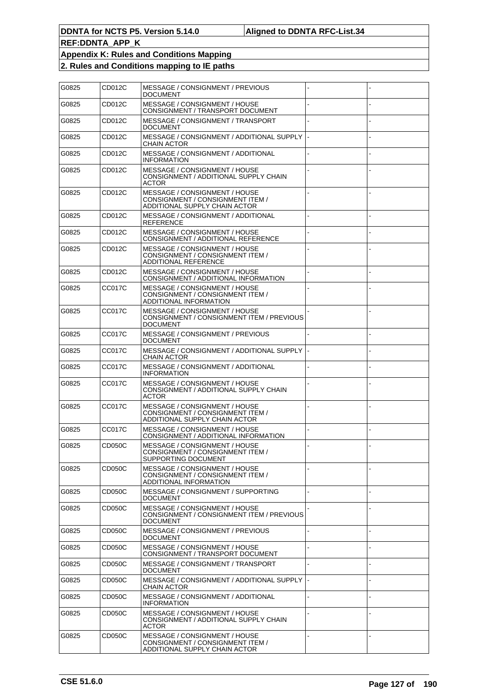| G0825 | CD012C        | MESSAGE / CONSIGNMENT / PREVIOUS<br>DOCUMENT                                                       |  |
|-------|---------------|----------------------------------------------------------------------------------------------------|--|
| G0825 | CD012C        | MESSAGE / CONSIGNMENT / HOUSE<br>CONSIGNMENT / TRANSPORT DOCUMENT                                  |  |
| G0825 | CD012C        | MESSAGE / CONSIGNMENT / TRANSPORT<br>DOCUMENT                                                      |  |
| G0825 | CD012C        | MESSAGE / CONSIGNMENT / ADDITIONAL SUPPLY  <br>CHAIN ACTOR                                         |  |
| G0825 | CD012C        | MESSAGE / CONSIGNMENT / ADDITIONAL<br>INFORMATION                                                  |  |
| G0825 | CD012C        | MESSAGE / CONSIGNMENT / HOUSE<br>CONSIGNMENT / ADDITIONAL SUPPLY CHAIN<br><b>ACTOR</b>             |  |
| G0825 | CD012C        | MESSAGE / CONSIGNMENT / HOUSE<br>CONSIGNMENT / CONSIGNMENT ITEM /<br>ADDITIONAL SUPPLY CHAIN ACTOR |  |
| G0825 | CD012C        | MESSAGE / CONSIGNMENT / ADDITIONAL<br><b>REFERENCE</b>                                             |  |
| G0825 | CD012C        | MESSAGE / CONSIGNMENT / HOUSE<br>CONSIGNMENT / ADDITIONAL REFERENCE                                |  |
| G0825 | CD012C        | MESSAGE / CONSIGNMENT / HOUSE<br>CONSIGNMENT / CONSIGNMENT ITEM /<br><b>ADDITIONAL REFERENCE</b>   |  |
| G0825 | CD012C        | MESSAGE / CONSIGNMENT / HOUSE<br>CONSIGNMENT / ADDITIONAL INFORMATION                              |  |
| G0825 | <b>CC017C</b> | MESSAGE / CONSIGNMENT / HOUSE<br>CONSIGNMENT / CONSIGNMENT ITEM /<br>ADDITIONAL INFORMATION        |  |
| G0825 | CC017C        | MESSAGE / CONSIGNMENT / HOUSE<br>CONSIGNMENT / CONSIGNMENT ITEM / PREVIOUS<br><b>DOCUMENT</b>      |  |
| G0825 | CC017C        | MESSAGE / CONSIGNMENT / PREVIOUS<br>DOCUMENT                                                       |  |
| G0825 | CC017C        | MESSAGE / CONSIGNMENT / ADDITIONAL SUPPLY<br>CHAIN ACTOR                                           |  |
| G0825 | CC017C        | MESSAGE / CONSIGNMENT / ADDITIONAL<br><b>INFORMATION</b>                                           |  |
| G0825 | CC017C        | MESSAGE / CONSIGNMENT / HOUSE<br>CONSIGNMENT / ADDITIONAL SUPPLY CHAIN<br><b>ACTOR</b>             |  |
| G0825 | CC017C        | MESSAGE / CONSIGNMENT / HOUSE<br>CONSIGNMENT / CONSIGNMENT ITEM /<br>ADDITIONAL SUPPLY CHAIN ACTOR |  |
| G0825 | CC017C        | MESSAGE / CONSIGNMENT / HOUSE<br>CONSIGNMENT / ADDITIONAL INFORMATION                              |  |
| G0825 | CD050C        | MESSAGE / CONSIGNMENT / HOUSE<br>CONSIGNMENT / CONSIGNMENT ITEM /<br>SUPPORTING DOCUMENT           |  |
| G0825 | CD050C        | MESSAGE / CONSIGNMENT / HOUSE<br>CONSIGNMENT / CONSIGNMENT ITEM /<br>ADDITIONAL INFORMATION        |  |
| G0825 | CD050C        | MESSAGE / CONSIGNMENT / SUPPORTING<br>DOCUMENT                                                     |  |
| G0825 | CD050C        | MESSAGE / CONSIGNMENT / HOUSE<br>CONSIGNMENT / CONSIGNMENT ITEM / PREVIOUS<br><b>DOCUMENT</b>      |  |
| G0825 | CD050C        | MESSAGE / CONSIGNMENT / PREVIOUS<br><b>DOCUMENT</b>                                                |  |
| G0825 | CD050C        | MESSAGE / CONSIGNMENT / HOUSE<br>CONSIGNMENT / TRANSPORT DOCUMENT                                  |  |
| G0825 | CD050C        | MESSAGE / CONSIGNMENT / TRANSPORT<br><b>DOCUMENT</b>                                               |  |
| G0825 | CD050C        | MESSAGE / CONSIGNMENT / ADDITIONAL SUPPLY<br>CHAIN ACTOR                                           |  |
| G0825 | CD050C        | MESSAGE / CONSIGNMENT / ADDITIONAL<br><b>INFORMATION</b>                                           |  |
| G0825 | CD050C        | MESSAGE / CONSIGNMENT / HOUSE<br>CONSIGNMENT / ADDITIONAL SUPPLY CHAIN<br><b>ACTOR</b>             |  |
| G0825 | CD050C        | MESSAGE / CONSIGNMENT / HOUSE<br>CONSIGNMENT / CONSIGNMENT ITEM /<br>ADDITIONAL SUPPLY CHAIN ACTOR |  |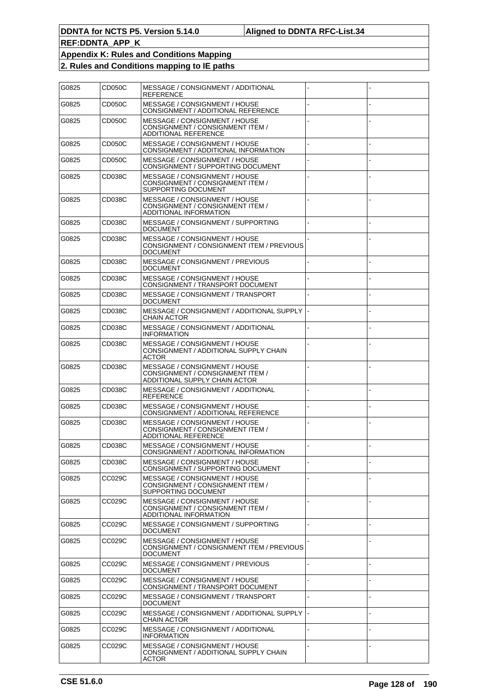| G0825 | CD050C | MESSAGE / CONSIGNMENT / ADDITIONAL<br>REFERENCE                                                    |  |
|-------|--------|----------------------------------------------------------------------------------------------------|--|
| G0825 | CD050C | MESSAGE / CONSIGNMENT / HOUSE<br>CONSIGNMENT / ADDITIONAL REFERENCE                                |  |
| G0825 | CD050C | MESSAGE / CONSIGNMENT / HOUSE<br>CONSIGNMENT / CONSIGNMENT ITEM /<br>ADDITIONAL REFERENCE          |  |
| G0825 | CD050C | MESSAGE / CONSIGNMENT / HOUSE<br>CONSIGNMENT / ADDITIONAL INFORMATION                              |  |
| G0825 | CD050C | MESSAGE / CONSIGNMENT / HOUSE<br>CONSIGNMENT / SUPPORTING DOCUMENT                                 |  |
| G0825 | CD038C | MESSAGE / CONSIGNMENT / HOUSE<br>CONSIGNMENT / CONSIGNMENT ITEM /<br>SUPPORTING DOCUMENT           |  |
| G0825 | CD038C | MESSAGE / CONSIGNMENT / HOUSE<br>CONSIGNMENT / CONSIGNMENT ITEM /<br>ADDITIONAL INFORMATION        |  |
| G0825 | CD038C | MESSAGE / CONSIGNMENT / SUPPORTING<br>DOCUMENT                                                     |  |
| G0825 | CD038C | MESSAGE / CONSIGNMENT / HOUSE<br>CONSIGNMENT / CONSIGNMENT ITEM / PREVIOUS<br>DOCUMENT             |  |
| G0825 | CD038C | MESSAGE / CONSIGNMENT / PREVIOUS<br>DOCUMENT                                                       |  |
| G0825 | CD038C | MESSAGE / CONSIGNMENT / HOUSE<br>CONSIGNMENT / TRANSPORT DOCUMENT                                  |  |
| G0825 | CD038C | MESSAGE / CONSIGNMENT / TRANSPORT<br>DOCUMENT                                                      |  |
| G0825 | CD038C | MESSAGE / CONSIGNMENT / ADDITIONAL SUPPLY I-<br>CHAIN ACTOR                                        |  |
| G0825 | CD038C | MESSAGE / CONSIGNMENT / ADDITIONAL<br><b>INFORMATION</b>                                           |  |
| G0825 | CD038C | MESSAGE / CONSIGNMENT / HOUSE<br>CONSIGNMENT / ADDITIONAL SUPPLY CHAIN<br>ACTOR                    |  |
| G0825 | CD038C | MESSAGE / CONSIGNMENT / HOUSE<br>CONSIGNMENT / CONSIGNMENT ITEM /<br>ADDITIONAL SUPPLY CHAIN ACTOR |  |
| G0825 | CD038C | MESSAGE / CONSIGNMENT / ADDITIONAL<br>REFERENCE                                                    |  |
| G0825 | CD038C | MESSAGE / CONSIGNMENT / HOUSE<br>CONSIGNMENT / ADDITIONAL REFERENCE                                |  |
| G0825 | CD038C | MESSAGE / CONSIGNMENT / HOUSE<br>CONSIGNMENT / CONSIGNMENT ITEM /<br>ADDITIONAL REFERENCE          |  |
| G0825 | CD038C | MESSAGE / CONSIGNMENT / HOUSE<br>CONSIGNMENT / ADDITIONAL INFORMATION                              |  |
| G0825 | CD038C | MESSAGE / CONSIGNMENT / HOUSE<br>CONSIGNMENT / SUPPORTING DOCUMENT                                 |  |
| G0825 | CC029C | MESSAGE / CONSIGNMENT / HOUSE<br>CONSIGNMENT / CONSIGNMENT ITEM /<br>SUPPORTING DOCUMENT           |  |
| G0825 | CC029C | MESSAGE / CONSIGNMENT / HOUSE<br>CONSIGNMENT / CONSIGNMENT ITEM /<br>ADDITIONAL INFORMATION        |  |
| G0825 | CC029C | MESSAGE / CONSIGNMENT / SUPPORTING<br>DOCUMENT                                                     |  |
| G0825 | CC029C | MESSAGE / CONSIGNMENT / HOUSE<br>CONSIGNMENT / CONSIGNMENT ITEM / PREVIOUS<br>DOCUMENT             |  |
| G0825 | CC029C | MESSAGE / CONSIGNMENT / PREVIOUS<br>DOCUMENT                                                       |  |
| G0825 | CC029C | MESSAGE / CONSIGNMENT / HOUSE<br>CONSIGNMENT / TRANSPORT DOCUMENT                                  |  |
| G0825 | CC029C | MESSAGE / CONSIGNMENT / TRANSPORT<br>DOCUMENT                                                      |  |
| G0825 | CC029C | MESSAGE / CONSIGNMENT / ADDITIONAL SUPPLY  <br>CHAIN ACTOR                                         |  |
| G0825 | CC029C | MESSAGE / CONSIGNMENT / ADDITIONAL<br>INFORMATION                                                  |  |
| G0825 | CC029C | MESSAGE / CONSIGNMENT / HOUSE<br>CONSIGNMENT / ADDITIONAL SUPPLY CHAIN<br>ACTOR                    |  |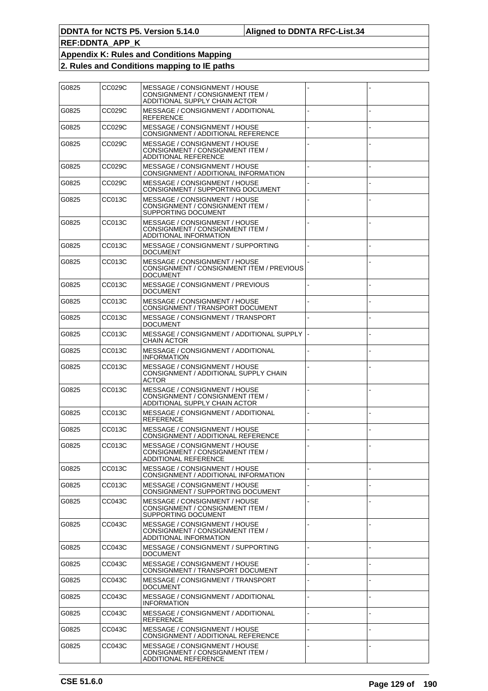| G0825 | CC029C | MESSAGE / CONSIGNMENT / HOUSE<br>CONSIGNMENT / CONSIGNMENT ITEM /<br>ADDITIONAL SUPPLY CHAIN ACTOR |  |
|-------|--------|----------------------------------------------------------------------------------------------------|--|
| G0825 | CC029C | MESSAGE / CONSIGNMENT / ADDITIONAL<br>REFERENCE                                                    |  |
| G0825 | CC029C | MESSAGE / CONSIGNMENT / HOUSE<br>CONSIGNMENT / ADDITIONAL REFERENCE                                |  |
| G0825 | CC029C | MESSAGE / CONSIGNMENT / HOUSE<br>CONSIGNMENT / CONSIGNMENT ITEM /<br><b>ADDITIONAL REFERENCE</b>   |  |
| G0825 | CC029C | MESSAGE / CONSIGNMENT / HOUSE<br>CONSIGNMENT / ADDITIONAL INFORMATION                              |  |
| G0825 | CC029C | MESSAGE / CONSIGNMENT / HOUSE<br>CONSIGNMENT / SUPPORTING DOCUMENT                                 |  |
| G0825 | CC013C | MESSAGE / CONSIGNMENT / HOUSE<br>CONSIGNMENT / CONSIGNMENT ITEM /<br>SUPPORTING DOCUMENT           |  |
| G0825 | CC013C | MESSAGE / CONSIGNMENT / HOUSE<br>CONSIGNMENT / CONSIGNMENT ITEM /<br>ADDITIONAL INFORMATION        |  |
| G0825 | CC013C | MESSAGE / CONSIGNMENT / SUPPORTING<br><b>DOCUMENT</b>                                              |  |
| G0825 | CC013C | MESSAGE / CONSIGNMENT / HOUSE<br>CONSIGNMENT / CONSIGNMENT ITEM / PREVIOUS<br><b>DOCUMENT</b>      |  |
| G0825 | CC013C | MESSAGE / CONSIGNMENT / PREVIOUS<br><b>DOCUMENT</b>                                                |  |
| G0825 | CC013C | MESSAGE / CONSIGNMENT / HOUSE<br>CONSIGNMENT / TRANSPORT DOCUMENT                                  |  |
| G0825 | CC013C | MESSAGE / CONSIGNMENT / TRANSPORT<br><b>DOCUMENT</b>                                               |  |
| G0825 | CC013C | MESSAGE / CONSIGNMENT / ADDITIONAL SUPPLY  <br><b>CHAIN ACTOR</b>                                  |  |
| G0825 | CC013C | MESSAGE / CONSIGNMENT / ADDITIONAL<br><b>INFORMATION</b>                                           |  |
| G0825 | CC013C | MESSAGE / CONSIGNMENT / HOUSE<br>CONSIGNMENT / ADDITIONAL SUPPLY CHAIN<br><b>ACTOR</b>             |  |
| G0825 | CC013C | MESSAGE / CONSIGNMENT / HOUSE<br>CONSIGNMENT / CONSIGNMENT ITEM /<br>ADDITIONAL SUPPLY CHAIN ACTOR |  |
| G0825 | CC013C | MESSAGE / CONSIGNMENT / ADDITIONAL<br><b>REFERENCE</b>                                             |  |
| G0825 | CC013C | MESSAGE / CONSIGNMENT / HOUSE<br>CONSIGNMENT / ADDITIONAL REFERENCE                                |  |
| G0825 | CC013C | MESSAGE / CONSIGNMENT / HOUSE<br>CONSIGNMENT / CONSIGNMENT ITEM /<br>ADDITIONAL REFERENCE          |  |
| G0825 | CC013C | MESSAGE / CONSIGNMENT / HOUSE<br>CONSIGNMENT / ADDITIONAL INFORMATION                              |  |
| G0825 | CC013C | MESSAGE / CONSIGNMENT / HOUSE<br>CONSIGNMENT / SUPPORTING DOCUMENT                                 |  |
| G0825 | CC043C | MESSAGE / CONSIGNMENT / HOUSE<br>CONSIGNMENT / CONSIGNMENT ITEM /<br>SUPPORTING DOCUMENT           |  |
| G0825 | CC043C | MESSAGE / CONSIGNMENT / HOUSE<br>CONSIGNMENT / CONSIGNMENT ITEM /<br>ADDITIONAL INFORMATION        |  |
| G0825 | CC043C | MESSAGE / CONSIGNMENT / SUPPORTING<br><b>DOCUMENT</b>                                              |  |
| G0825 | CC043C | MESSAGE / CONSIGNMENT / HOUSE<br>CONSIGNMENT / TRANSPORT DOCUMENT                                  |  |
| G0825 | CC043C | MESSAGE / CONSIGNMENT / TRANSPORT<br><b>DOCUMENT</b>                                               |  |
| G0825 | CC043C | MESSAGE / CONSIGNMENT / ADDITIONAL<br><b>INFORMATION</b>                                           |  |
| G0825 | CC043C | MESSAGE / CONSIGNMENT / ADDITIONAL<br>REFERENCE                                                    |  |
| G0825 | CC043C | MESSAGE / CONSIGNMENT / HOUSE<br>CONSIGNMENT / ADDITIONAL REFERENCE                                |  |
| G0825 | CC043C | MESSAGE / CONSIGNMENT / HOUSE<br>CONSIGNMENT / CONSIGNMENT ITEM /<br>ADDITIONAL REFERENCE          |  |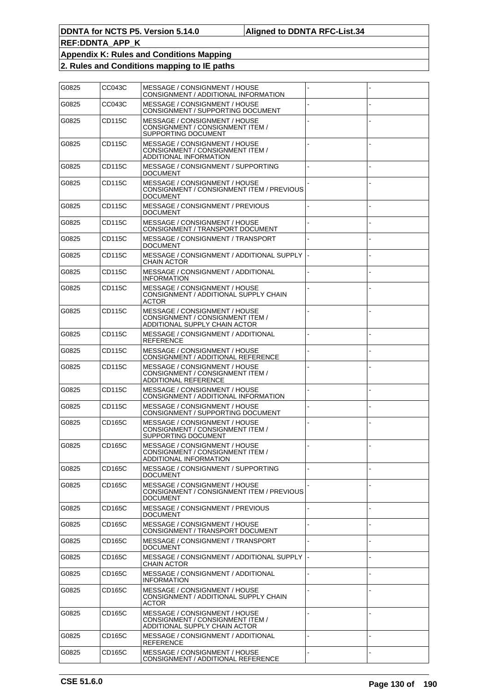| G0825 | CC043C | MESSAGE / CONSIGNMENT / HOUSE<br>CONSIGNMENT / ADDITIONAL INFORMATION                              |  |
|-------|--------|----------------------------------------------------------------------------------------------------|--|
| G0825 | CC043C | MESSAGE / CONSIGNMENT / HOUSE<br>CONSIGNMENT / SUPPORTING DOCUMENT                                 |  |
| G0825 | CD115C | MESSAGE / CONSIGNMENT / HOUSE<br>CONSIGNMENT / CONSIGNMENT ITEM /<br>SUPPORTING DOCUMENT           |  |
| G0825 | CD115C | MESSAGE / CONSIGNMENT / HOUSE<br>CONSIGNMENT / CONSIGNMENT ITEM /<br>ADDITIONAL INFORMATION        |  |
| G0825 | CD115C | MESSAGE / CONSIGNMENT / SUPPORTING<br>DOCUMENT                                                     |  |
| G0825 | CD115C | MESSAGE / CONSIGNMENT / HOUSE<br>CONSIGNMENT / CONSIGNMENT ITEM / PREVIOUS<br><b>DOCUMENT</b>      |  |
| G0825 | CD115C | MESSAGE / CONSIGNMENT / PREVIOUS<br>DOCUMENT                                                       |  |
| G0825 | CD115C | MESSAGE / CONSIGNMENT / HOUSE<br>CONSIGNMENT / TRANSPORT DOCUMENT                                  |  |
| G0825 | CD115C | MESSAGE / CONSIGNMENT / TRANSPORT<br>DOCUMENT                                                      |  |
| G0825 | CD115C | MESSAGE / CONSIGNMENT / ADDITIONAL SUPPLY  -<br>CHAIN ACTOR                                        |  |
| G0825 | CD115C | MESSAGE / CONSIGNMENT / ADDITIONAL<br><b>INFORMATION</b>                                           |  |
| G0825 | CD115C | MESSAGE / CONSIGNMENT / HOUSE<br>CONSIGNMENT / ADDITIONAL SUPPLY CHAIN<br>ACTOR                    |  |
| G0825 | CD115C | MESSAGE / CONSIGNMENT / HOUSE<br>CONSIGNMENT / CONSIGNMENT ITEM /<br>ADDITIONAL SUPPLY CHAIN ACTOR |  |
| G0825 | CD115C | MESSAGE / CONSIGNMENT / ADDITIONAL<br>REFERENCE                                                    |  |
| G0825 | CD115C | MESSAGE / CONSIGNMENT / HOUSE<br>CONSIGNMENT / ADDITIONAL REFERENCE                                |  |
| G0825 | CD115C | MESSAGE / CONSIGNMENT / HOUSE<br>CONSIGNMENT / CONSIGNMENT ITEM /<br>ADDITIONAL REFERENCE          |  |
| G0825 | CD115C | MESSAGE / CONSIGNMENT / HOUSE<br>CONSIGNMENT / ADDITIONAL INFORMATION                              |  |
| G0825 | CD115C | MESSAGE / CONSIGNMENT / HOUSE<br>CONSIGNMENT / SUPPORTING DOCUMENT                                 |  |
| G0825 | CD165C | MESSAGE / CONSIGNMENT / HOUSE<br>CONSIGNMENT / CONSIGNMENT ITEM /<br>SUPPORTING DOCUMENT           |  |
| G0825 | CD165C | MESSAGE / CONSIGNMENT / HOUSE<br>CONSIGNMENT / CONSIGNMENT ITEM /<br>ADDITIONAL INFORMATION        |  |
| G0825 | CD165C | MESSAGE / CONSIGNMENT / SUPPORTING<br>DOCUMENT                                                     |  |
| G0825 | CD165C | MESSAGE / CONSIGNMENT / HOUSE<br>CONSIGNMENT / CONSIGNMENT ITEM / PREVIOUS<br><b>DOCUMENT</b>      |  |
| G0825 | CD165C | MESSAGE / CONSIGNMENT / PREVIOUS<br>DOCUMENT                                                       |  |
| G0825 | CD165C | MESSAGE / CONSIGNMENT / HOUSE<br>CONSIGNMENT / TRANSPORT DOCUMENT                                  |  |
| G0825 | CD165C | MESSAGE / CONSIGNMENT / TRANSPORT<br>DOCUMENT                                                      |  |
| G0825 | CD165C | MESSAGE / CONSIGNMENT / ADDITIONAL SUPPLY  <br>CHAIN ACTOR                                         |  |
| G0825 | CD165C | MESSAGE / CONSIGNMENT / ADDITIONAL<br><b>INFORMATION</b>                                           |  |
| G0825 | CD165C | MESSAGE / CONSIGNMENT / HOUSE<br>CONSIGNMENT / ADDITIONAL SUPPLY CHAIN<br>ACTOR                    |  |
| G0825 | CD165C | MESSAGE / CONSIGNMENT / HOUSE<br>CONSIGNMENT / CONSIGNMENT ITEM /<br>ADDITIONAL SUPPLY CHAIN ACTOR |  |
| G0825 | CD165C | MESSAGE / CONSIGNMENT / ADDITIONAL<br>REFERENCE                                                    |  |
| G0825 | CD165C | MESSAGE / CONSIGNMENT / HOUSE<br>CONSIGNMENT / ADDITIONAL REFERENCE                                |  |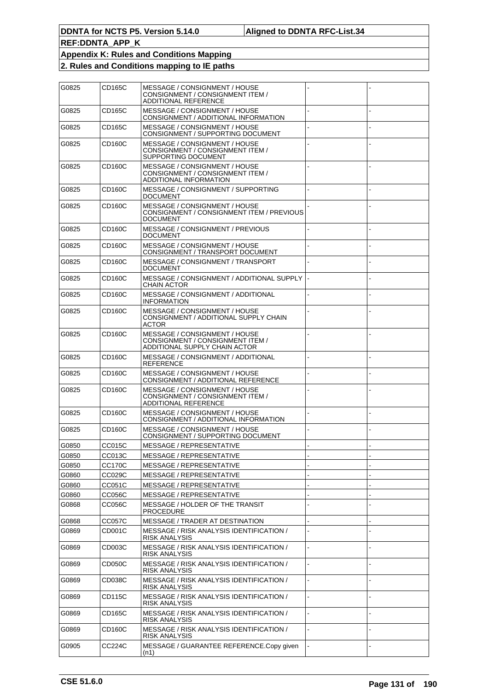| G0825 | CD165C              | MESSAGE / CONSIGNMENT / HOUSE<br>CONSIGNMENT / CONSIGNMENT ITEM /<br><b>ADDITIONAL REFERENCE</b>   |  |
|-------|---------------------|----------------------------------------------------------------------------------------------------|--|
| G0825 | CD165C              | MESSAGE / CONSIGNMENT / HOUSE<br>CONSIGNMENT / ADDITIONAL INFORMATION                              |  |
| G0825 | CD165C              | MESSAGE / CONSIGNMENT / HOUSE<br>CONSIGNMENT / SUPPORTING DOCUMENT                                 |  |
| G0825 | CD160C              | MESSAGE / CONSIGNMENT / HOUSE<br>CONSIGNMENT / CONSIGNMENT ITEM /<br>SUPPORTING DOCUMENT           |  |
| G0825 | CD <sub>160</sub> C | MESSAGE / CONSIGNMENT / HOUSE<br>CONSIGNMENT / CONSIGNMENT ITEM /<br>ADDITIONAL INFORMATION        |  |
| G0825 | CD160C              | MESSAGE / CONSIGNMENT / SUPPORTING<br>DOCUMENT                                                     |  |
| G0825 | CD <sub>160</sub> C | MESSAGE / CONSIGNMENT / HOUSE<br>CONSIGNMENT / CONSIGNMENT ITEM / PREVIOUS<br>DOCUMENT             |  |
| G0825 | CD160C              | MESSAGE / CONSIGNMENT / PREVIOUS<br>DOCUMENT                                                       |  |
| G0825 | CD160C              | MESSAGE / CONSIGNMENT / HOUSE<br>CONSIGNMENT / TRANSPORT DOCUMENT                                  |  |
| G0825 | CD160C              | MESSAGE / CONSIGNMENT / TRANSPORT<br>DOCUMENT                                                      |  |
| G0825 | CD160C              | MESSAGE / CONSIGNMENT / ADDITIONAL SUPPLY<br>CHAIN ACTOR                                           |  |
| G0825 | CD160C              | MESSAGE / CONSIGNMENT / ADDITIONAL<br><b>INFORMATION</b>                                           |  |
| G0825 | CD160C              | MESSAGE / CONSIGNMENT / HOUSE<br>CONSIGNMENT / ADDITIONAL SUPPLY CHAIN<br><b>ACTOR</b>             |  |
| G0825 | CD160C              | MESSAGE / CONSIGNMENT / HOUSE<br>CONSIGNMENT / CONSIGNMENT ITEM /<br>ADDITIONAL SUPPLY CHAIN ACTOR |  |
| G0825 | CD160C              | MESSAGE / CONSIGNMENT / ADDITIONAL<br>REFERENCE                                                    |  |
| G0825 | CD160C              | MESSAGE / CONSIGNMENT / HOUSE<br>CONSIGNMENT / ADDITIONAL REFERENCE                                |  |
| G0825 | CD160C              | MESSAGE / CONSIGNMENT / HOUSE<br>CONSIGNMENT / CONSIGNMENT ITEM /<br>ADDITIONAL REFERENCE          |  |
| G0825 | CD160C              | MESSAGE / CONSIGNMENT / HOUSE<br>CONSIGNMENT / ADDITIONAL INFORMATION                              |  |
| G0825 | CD160C              | MESSAGE / CONSIGNMENT / HOUSE<br>CONSIGNMENT / SUPPORTING DOCUMENT                                 |  |
| G0850 | CC015C              | <b>MESSAGE / REPRESENTATIVE</b>                                                                    |  |
| G0850 | CC013C              | <b>MESSAGE / REPRESENTATIVE</b>                                                                    |  |
| G0850 | <b>CC170C</b>       | MESSAGE / REPRESENTATIVE                                                                           |  |
| G0860 | CC029C              | MESSAGE / REPRESENTATIVE                                                                           |  |
| G0860 | CC051C              | MESSAGE / REPRESENTATIVE                                                                           |  |
| G0860 | CC056C              | MESSAGE / REPRESENTATIVE                                                                           |  |
| G0868 | CC056C              | MESSAGE / HOLDER OF THE TRANSIT<br>PROCEDURE                                                       |  |
| G0868 | <b>CC057C</b>       | <b>MESSAGE / TRADER AT DESTINATION</b>                                                             |  |
| G0869 | CD001C              | MESSAGE / RISK ANALYSIS IDENTIFICATION /<br>RISK ANALYSIS                                          |  |
| G0869 | CD003C              | <b>MESSAGE / RISK ANALYSIS IDENTIFICATION /</b><br>RISK ANALYSIS                                   |  |
| G0869 | CD050C              | MESSAGE / RISK ANALYSIS IDENTIFICATION /<br><b>RISK ANALYSIS</b>                                   |  |
| G0869 | CD038C              | MESSAGE / RISK ANALYSIS IDENTIFICATION /<br>RISK ANALYSIS                                          |  |
| G0869 | CD115C              | MESSAGE / RISK ANALYSIS IDENTIFICATION /<br>RISK ANALYSIS                                          |  |
| G0869 | CD165C              | MESSAGE / RISK ANALYSIS IDENTIFICATION /<br>RISK ANALYSIS                                          |  |
| G0869 | CD160C              | MESSAGE / RISK ANALYSIS IDENTIFICATION /<br>RISK ANALYSIS                                          |  |
| G0905 | <b>CC224C</b>       | MESSAGE / GUARANTEE REFERENCE.Copy given<br>(n1)                                                   |  |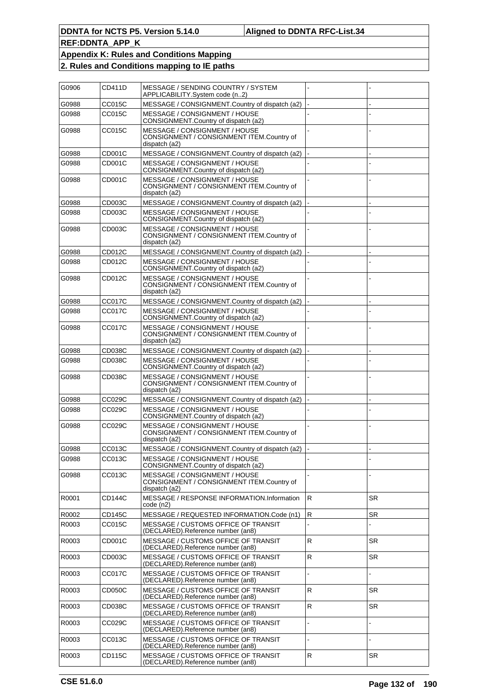| G0906 | CD411D        | MESSAGE / SENDING COUNTRY / SYSTEM<br>APPLICABILITY.System code (n2)                                          |              |           |
|-------|---------------|---------------------------------------------------------------------------------------------------------------|--------------|-----------|
| G0988 | <b>CC015C</b> | MESSAGE / CONSIGNMENT.Country of dispatch (a2)                                                                |              |           |
| G0988 | CC015C        | MESSAGE / CONSIGNMENT / HOUSE<br>CONSIGNMENT.Country of dispatch (a2)                                         |              |           |
| G0988 | CC015C        | MESSAGE / CONSIGNMENT / HOUSE<br>CONSIGNMENT / CONSIGNMENT ITEM.Country of                                    |              |           |
|       |               | dispatch (a2)                                                                                                 |              |           |
| G0988 | CD001C        | MESSAGE / CONSIGNMENT.Country of dispatch (a2)                                                                |              |           |
| G0988 | CD001C        | MESSAGE / CONSIGNMENT / HOUSE<br>CONSIGNMENT.Country of dispatch (a2)                                         |              |           |
| G0988 | CD001C        | MESSAGE / CONSIGNMENT / HOUSE<br>CONSIGNMENT / CONSIGNMENT ITEM.Country of<br>dispatch (a2)                   |              |           |
| G0988 | CD003C        | MESSAGE / CONSIGNMENT.Country of dispatch (a2)                                                                |              |           |
| G0988 | CD003C        | MESSAGE / CONSIGNMENT / HOUSE<br>CONSIGNMENT.Country of dispatch (a2)                                         |              |           |
| G0988 | CD003C        | MESSAGE / CONSIGNMENT / HOUSE<br>CONSIGNMENT / CONSIGNMENT ITEM.Country of<br>dispatch (a2)                   |              |           |
| G0988 | CD012C        | MESSAGE / CONSIGNMENT.Country of dispatch (a2)                                                                |              |           |
| G0988 | CD012C        | MESSAGE / CONSIGNMENT / HOUSE<br>CONSIGNMENT.Country of dispatch (a2)                                         |              |           |
| G0988 | CD012C        | MESSAGE / CONSIGNMENT / HOUSE<br>CONSIGNMENT / CONSIGNMENT ITEM.Country of<br>dispatch (a2)                   |              |           |
| G0988 | <b>CC017C</b> | MESSAGE / CONSIGNMENT.Country of dispatch (a2)                                                                |              |           |
| G0988 | CC017C        | MESSAGE / CONSIGNMENT / HOUSE<br>CONSIGNMENT.Country of dispatch (a2)                                         |              |           |
| G0988 | CC017C        | MESSAGE / CONSIGNMENT / HOUSE<br>CONSIGNMENT / CONSIGNMENT ITEM.Country of<br>dispatch (a2)                   |              |           |
| G0988 | CD038C        | MESSAGE / CONSIGNMENT.Country of dispatch (a2)                                                                |              |           |
| G0988 | CD038C        | MESSAGE / CONSIGNMENT / HOUSE<br>CONSIGNMENT.Country of dispatch (a2)                                         |              |           |
| G0988 | CD038C        | MESSAGE / CONSIGNMENT / HOUSE<br>CONSIGNMENT / CONSIGNMENT ITEM.Country of<br>dispatch (a2)                   |              |           |
| G0988 | CC029C        | MESSAGE / CONSIGNMENT.Country of dispatch (a2)                                                                |              |           |
| G0988 | CC029C        | MESSAGE / CONSIGNMENT / HOUSE<br>CONSIGNMENT.Country of dispatch (a2)                                         |              |           |
| G0988 | CC029C        | MESSAGE / CONSIGNMENT / HOUSE<br>CONSIGNMENT / CONSIGNMENT ITEM.Country of<br>dispatch (a2)                   |              |           |
| G0988 | CC013C        | MESSAGE / CONSIGNMENT.Country of dispatch (a2)                                                                |              |           |
| G0988 | CC013C        | MESSAGE / CONSIGNMENT / HOUSE<br>CONSIGNMENT.Country of dispatch (a2)                                         |              |           |
| G0988 | CC013C        | MESSAGE / CONSIGNMENT / HOUSE<br>CONSIGNMENT / CONSIGNMENT ITEM.Country of<br>dispatch (a2)                   |              |           |
| R0001 | CD144C        | MESSAGE / RESPONSE INFORMATION.Information<br>code (n2)                                                       | R.           | <b>SR</b> |
| R0002 | CD145C        | MESSAGE / REQUESTED INFORMATION.Code (n1)                                                                     | $\mathsf R$  | <b>SR</b> |
| R0003 | CC015C        | MESSAGE / CUSTOMS OFFICE OF TRANSIT<br>(DECLARED).Reference number (an8)                                      |              |           |
| R0003 | CD001C        | MESSAGE / CUSTOMS OFFICE OF TRANSIT<br>(DECLARED).Reference number (an8)                                      | ${\sf R}$    | SR        |
| R0003 | CD003C        | MESSAGE / CUSTOMS OFFICE OF TRANSIT<br>(DECLARED).Reference number (an8)                                      | $\mathsf{R}$ | <b>SR</b> |
| R0003 | CC017C        | MESSAGE / CUSTOMS OFFICE OF TRANSIT<br>(DECLARED).Reference number (an8)                                      |              |           |
| R0003 | CD050C        | MESSAGE / CUSTOMS OFFICE OF TRANSIT<br>(DECLARED).Reference number (an8)                                      | ${\sf R}$    | SR        |
| R0003 | CD038C        | MESSAGE / CUSTOMS OFFICE OF TRANSIT                                                                           | $\mathsf{R}$ | SR.       |
| R0003 | CC029C        | (DECLARED).Reference number (an8)<br>MESSAGE / CUSTOMS OFFICE OF TRANSIT<br>(DECLARED).Reference number (an8) |              |           |
| R0003 | CC013C        | MESSAGE / CUSTOMS OFFICE OF TRANSIT<br>(DECLARED).Reference number (an8)                                      |              |           |
| R0003 | CD115C        | <b>MESSAGE / CUSTOMS OFFICE OF TRANSIT</b><br>(DECLARED).Reference number (an8)                               | $\mathsf{R}$ | SR        |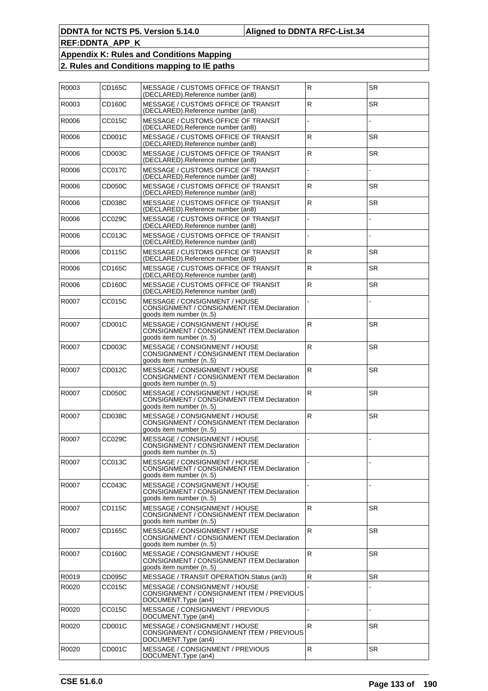| R0003 | CD165C              | MESSAGE / CUSTOMS OFFICE OF TRANSIT<br>(DECLARED).Reference number (an8)                              | $\mathsf{R}$ | <b>SR</b> |
|-------|---------------------|-------------------------------------------------------------------------------------------------------|--------------|-----------|
| R0003 | CD160C              | MESSAGE / CUSTOMS OFFICE OF TRANSIT<br>(DECLARED).Reference number (an8)                              | ${\sf R}$    | <b>SR</b> |
| R0006 | CC015C              | MESSAGE / CUSTOMS OFFICE OF TRANSIT<br>(DECLARED).Reference number (an8)                              |              |           |
| R0006 | CD001C              | MESSAGE / CUSTOMS OFFICE OF TRANSIT<br>(DECLARED).Reference number (an8)                              | $\mathsf{R}$ | <b>SR</b> |
| R0006 | CD003C              | MESSAGE / CUSTOMS OFFICE OF TRANSIT<br>(DECLARED).Reference number (an8)                              | ${\sf R}$    | <b>SR</b> |
| R0006 | <b>CC017C</b>       | MESSAGE / CUSTOMS OFFICE OF TRANSIT<br>(DECLARED).Reference number (an8)                              |              |           |
| R0006 | CD050C              | MESSAGE / CUSTOMS OFFICE OF TRANSIT<br>(DECLARED).Reference number (an8)                              | ${\sf R}$    | <b>SR</b> |
| R0006 | CD <sub>038</sub> C | MESSAGE / CUSTOMS OFFICE OF TRANSIT<br>(DECLARED).Reference number (an8)                              | ${\sf R}$    | <b>SR</b> |
| R0006 | CC029C              | MESSAGE / CUSTOMS OFFICE OF TRANSIT<br>(DECLARED).Reference number (an8)                              |              |           |
| R0006 | CC013C              | MESSAGE / CUSTOMS OFFICE OF TRANSIT<br>(DECLARED).Reference number (an8)                              |              |           |
| R0006 | CD115C              | MESSAGE / CUSTOMS OFFICE OF TRANSIT<br>(DECLARED).Reference number (an8)                              | $\mathsf{R}$ | <b>SR</b> |
| R0006 | CD165C              | MESSAGE / CUSTOMS OFFICE OF TRANSIT<br>(DECLARED).Reference number (an8)                              | R            | SR.       |
| R0006 | CD160C              | MESSAGE / CUSTOMS OFFICE OF TRANSIT<br>(DECLARED).Reference number (an8)                              | ${\sf R}$    | <b>SR</b> |
| R0007 | CC015C              | MESSAGE / CONSIGNMENT / HOUSE<br>CONSIGNMENT / CONSIGNMENT ITEM.Declaration<br>goods item number (n5) |              |           |
| R0007 | CD001C              | MESSAGE / CONSIGNMENT / HOUSE<br>CONSIGNMENT / CONSIGNMENT ITEM.Declaration<br>goods item number (n5) | $\mathsf{R}$ | <b>SR</b> |
| R0007 | CD003C              | MESSAGE / CONSIGNMENT / HOUSE<br>CONSIGNMENT / CONSIGNMENT ITEM.Declaration<br>goods item number (n5) | $\mathsf{R}$ | SR.       |
| R0007 | CD012C              | MESSAGE / CONSIGNMENT / HOUSE<br>CONSIGNMENT / CONSIGNMENT ITEM.Declaration<br>goods item number (n5) | $\mathsf{R}$ | <b>SR</b> |
| R0007 | CD050C              | MESSAGE / CONSIGNMENT / HOUSE<br>CONSIGNMENT / CONSIGNMENT ITEM.Declaration<br>goods item number (n5) | R            | <b>SR</b> |
| R0007 | CD038C              | MESSAGE / CONSIGNMENT / HOUSE<br>CONSIGNMENT / CONSIGNMENT ITEM.Declaration<br>goods item number (n5) | $\mathsf{R}$ | SR.       |
| R0007 | CC029C              | MESSAGE / CONSIGNMENT / HOUSE<br>CONSIGNMENT / CONSIGNMENT ITEM.Declaration<br>goods item number (n5) |              |           |
| R0007 | CC013C              | MESSAGE / CONSIGNMENT / HOUSE<br>CONSIGNMENT / CONSIGNMENT ITEM.Declaration<br>appositem number (n5)  |              |           |
| R0007 | CC043C              | MESSAGE / CONSIGNMENT / HOUSE<br>CONSIGNMENT / CONSIGNMENT ITEM.Declaration<br>goods item number (n5) |              |           |
| R0007 | CD115C              | MESSAGE / CONSIGNMENT / HOUSE<br>CONSIGNMENT / CONSIGNMENT ITEM.Declaration<br>appositem number (n5)  | $\mathsf R$  | <b>SR</b> |
| R0007 | CD165C              | MESSAGE / CONSIGNMENT / HOUSE<br>CONSIGNMENT / CONSIGNMENT ITEM.Declaration<br>goods item number (n5) | R            | <b>SR</b> |
| R0007 | CD160C              | MESSAGE / CONSIGNMENT / HOUSE<br>CONSIGNMENT / CONSIGNMENT ITEM.Declaration<br>goods item number (n5) | R            | <b>SR</b> |
| R0019 | CD095C              | MESSAGE / TRANSIT OPERATION.Status (an3)                                                              | $\mathsf{R}$ | SR        |
| R0020 | CC015C              | MESSAGE / CONSIGNMENT / HOUSE<br>CONSIGNMENT / CONSIGNMENT ITEM / PREVIOUS<br>DOCUMENT.Type (an4)     |              |           |
| R0020 | CC015C              | MESSAGE / CONSIGNMENT / PREVIOUS<br>DOCUMENT.Type (an4)                                               |              |           |
| R0020 | CD001C              | MESSAGE / CONSIGNMENT / HOUSE<br>CONSIGNMENT / CONSIGNMENT ITEM / PREVIOUS<br>DOCUMENT.Type (an4)     | $\mathsf R$  | <b>SR</b> |
| R0020 | CD001C              | MESSAGE / CONSIGNMENT / PREVIOUS<br>DOCUMENT.Type (an4)                                               | R            | SR        |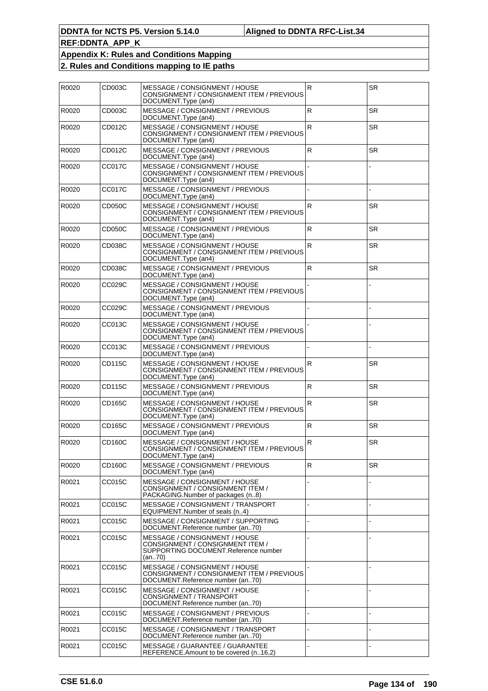| R0020 | CD003C        | MESSAGE / CONSIGNMENT / HOUSE<br>CONSIGNMENT / CONSIGNMENT ITEM / PREVIOUS<br>DOCUMENT. Type (an4)                  | $\overline{R}$ | SR        |
|-------|---------------|---------------------------------------------------------------------------------------------------------------------|----------------|-----------|
| R0020 | CD003C        | MESSAGE / CONSIGNMENT / PREVIOUS<br>DOCUMENT.Type (an4)                                                             | ${\sf R}$      | <b>SR</b> |
| R0020 | CD012C        | MESSAGE / CONSIGNMENT / HOUSE<br>CONSIGNMENT / CONSIGNMENT ITEM / PREVIOUS<br>DOCUMENT.Type (an4)                   | $\mathsf{R}$   | SR        |
| R0020 | CD012C        | MESSAGE / CONSIGNMENT / PREVIOUS<br>DOCUMENT.Type (an4)                                                             | ${\sf R}$      | <b>SR</b> |
| R0020 | <b>CC017C</b> | MESSAGE / CONSIGNMENT / HOUSE<br>CONSIGNMENT / CONSIGNMENT ITEM / PREVIOUS<br>DOCUMENT. Type (an4)                  |                |           |
| R0020 | <b>CC017C</b> | MESSAGE / CONSIGNMENT / PREVIOUS<br>DOCUMENT. Type (an4)                                                            |                |           |
| R0020 | CD050C        | MESSAGE / CONSIGNMENT / HOUSE<br>CONSIGNMENT / CONSIGNMENT ITEM / PREVIOUS<br>DOCUMENT. Type (an4)                  | R              | <b>SR</b> |
| R0020 | CD050C        | MESSAGE / CONSIGNMENT / PREVIOUS<br>DOCUMENT.Type (an4)                                                             | ${\sf R}$      | <b>SR</b> |
| R0020 | CD038C        | MESSAGE / CONSIGNMENT / HOUSE<br>CONSIGNMENT / CONSIGNMENT ITEM / PREVIOUS<br>DOCUMENT.Type (an4)                   | $\mathsf{R}$   | SR        |
| R0020 | CD038C        | MESSAGE / CONSIGNMENT / PREVIOUS<br>DOCUMENT.Type (an4)                                                             | ${\sf R}$      | <b>SR</b> |
| R0020 | CC029C        | MESSAGE / CONSIGNMENT / HOUSE<br>CONSIGNMENT / CONSIGNMENT ITEM / PREVIOUS<br>DOCUMENT.Type (an4)                   |                |           |
| R0020 | CC029C        | MESSAGE / CONSIGNMENT / PREVIOUS<br>DOCUMENT.Type (an4)                                                             |                |           |
| R0020 | CC013C        | MESSAGE / CONSIGNMENT / HOUSE<br>CONSIGNMENT / CONSIGNMENT ITEM / PREVIOUS<br>DOCUMENT.Type (an4)                   |                |           |
| R0020 | CC013C        | MESSAGE / CONSIGNMENT / PREVIOUS<br>DOCUMENT.Type (an4)                                                             |                |           |
| R0020 | CD115C        | MESSAGE / CONSIGNMENT / HOUSE<br>CONSIGNMENT / CONSIGNMENT ITEM / PREVIOUS<br>DOCUMENT.Type (an4)                   | R              | <b>SR</b> |
| R0020 | CD115C        | MESSAGE / CONSIGNMENT / PREVIOUS<br>DOCUMENT.Type (an4)                                                             | ${\sf R}$      | <b>SR</b> |
| R0020 | CD165C        | MESSAGE / CONSIGNMENT / HOUSE<br>CONSIGNMENT / CONSIGNMENT ITEM / PREVIOUS<br>DOCUMENT.Type (an4)                   | R              | SR.       |
| R0020 | CD165C        | MESSAGE / CONSIGNMENT / PREVIOUS<br>DOCUMENT.Type (an4)                                                             | ${\sf R}$      | <b>SR</b> |
| R0020 | CD160C        | MESSAGE / CONSIGNMENT / HOUSE<br>CONSIGNMENT / CONSIGNMENT ITEM / PREVIOUS<br>DOCUMENT.Type (an4)                   | R              | SR        |
| R0020 | <b>CD160C</b> | MESSAGE / CONSIGNMENT / PREVIOUS<br>DOCUMENT. Type (an4)                                                            | R              | SR        |
| R0021 | <b>CC015C</b> | MESSAGE / CONSIGNMENT / HOUSE<br>CONSIGNMENT / CONSIGNMENT ITEM /<br>PACKAGING.Number of packages (n8)              |                |           |
| R0021 | CC015C        | MESSAGE / CONSIGNMENT / TRANSPORT<br>EQUIPMENT.Number of seals (n4)                                                 |                |           |
| R0021 | CC015C        | MESSAGE / CONSIGNMENT / SUPPORTING<br>DOCUMENT.Reference number (an70)                                              |                |           |
| R0021 | CC015C        | MESSAGE / CONSIGNMENT / HOUSE<br>CONSIGNMENT / CONSIGNMENT ITEM /<br>SUPPORTING DOCUMENT.Reference number<br>(an70) |                |           |
| R0021 | CC015C        | MESSAGE / CONSIGNMENT / HOUSE<br>CONSIGNMENT / CONSIGNMENT ITEM / PREVIOUS<br>DOCUMENT.Reference number (an70)      |                |           |
| R0021 | CC015C        | MESSAGE / CONSIGNMENT / HOUSE<br>CONSIGNMENT / TRANSPORT<br>DOCUMENT.Reference number (an70)                        |                |           |
| R0021 | CC015C        | MESSAGE / CONSIGNMENT / PREVIOUS<br>DOCUMENT.Reference number (an70)                                                |                |           |
| R0021 | CC015C        | MESSAGE / CONSIGNMENT / TRANSPORT<br>DOCUMENT.Reference number (an70)                                               |                |           |
| R0021 | CC015C        | MESSAGE / GUARANTEE / GUARANTEE<br>REFERENCE.Amount to be covered (n16,2)                                           |                |           |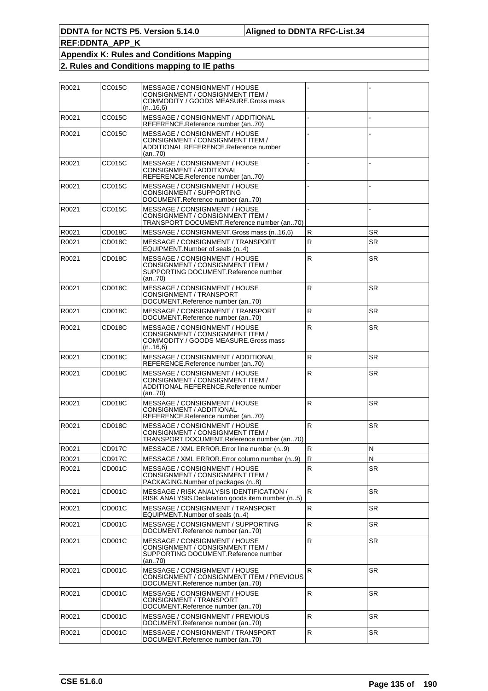| R0021 | CC015C | MESSAGE / CONSIGNMENT / HOUSE<br>CONSIGNMENT / CONSIGNMENT ITEM /<br>COMMODITY / GOODS MEASURE.Gross mass             |              |           |
|-------|--------|-----------------------------------------------------------------------------------------------------------------------|--------------|-----------|
| R0021 | CC015C | (n.16,6)<br>MESSAGE / CONSIGNMENT / ADDITIONAL<br>REFERENCE.Reference number (an.,70)                                 |              |           |
| R0021 | CC015C | MESSAGE / CONSIGNMENT / HOUSE<br>CONSIGNMENT / CONSIGNMENT ITEM /<br>ADDITIONAL REFERENCE.Reference number<br>(an70)  |              |           |
| R0021 | CC015C | MESSAGE / CONSIGNMENT / HOUSE<br>CONSIGNMENT / ADDITIONAL<br>REFERENCE.Reference number (an70)                        |              |           |
| R0021 | CC015C | MESSAGE / CONSIGNMENT / HOUSE<br>CONSIGNMENT / SUPPORTING<br>DOCUMENT.Reference number (an70)                         |              |           |
| R0021 | CC015C | MESSAGE / CONSIGNMENT / HOUSE<br>CONSIGNMENT / CONSIGNMENT ITEM /<br>TRANSPORT DOCUMENT.Reference number (an70)       |              |           |
| R0021 | CD018C | MESSAGE / CONSIGNMENT.Gross mass (n16,6)                                                                              | ${\sf R}$    | <b>SR</b> |
| R0021 | CD018C | MESSAGE / CONSIGNMENT / TRANSPORT<br>EQUIPMENT.Number of seals (n4)                                                   | $\mathsf{R}$ | <b>SR</b> |
| R0021 | CD018C | MESSAGE / CONSIGNMENT / HOUSE<br>CONSIGNMENT / CONSIGNMENT ITEM /<br>SUPPORTING DOCUMENT.Reference number<br>(an70)   | $\mathsf{R}$ | <b>SR</b> |
| R0021 | CD018C | MESSAGE / CONSIGNMENT / HOUSE<br>CONSIGNMENT / TRANSPORT<br>DOCUMENT.Reference number (an70)                          | $\mathsf{R}$ | <b>SR</b> |
| R0021 | CD018C | MESSAGE / CONSIGNMENT / TRANSPORT<br>DOCUMENT.Reference number (an70)                                                 | $\mathsf{R}$ | <b>SR</b> |
| R0021 | CD018C | MESSAGE / CONSIGNMENT / HOUSE<br>CONSIGNMENT / CONSIGNMENT ITEM /<br>COMMODITY / GOODS MEASURE.Gross mass<br>(n.16,6) | $\mathsf{R}$ | SR.       |
| R0021 | CD018C | MESSAGE / CONSIGNMENT / ADDITIONAL<br>REFERENCE.Reference number (an70)                                               | $\mathsf{R}$ | <b>SR</b> |
| R0021 | CD018C | MESSAGE / CONSIGNMENT / HOUSE<br>CONSIGNMENT / CONSIGNMENT ITEM /<br>ADDITIONAL REFERENCE.Reference number<br>(an70)  | $\mathsf{R}$ | SR        |
| R0021 | CD018C | MESSAGE / CONSIGNMENT / HOUSE<br>CONSIGNMENT / ADDITIONAL<br>REFERENCE.Reference number (an70)                        | $\mathsf{R}$ | <b>SR</b> |
| R0021 | CD018C | MESSAGE / CONSIGNMENT / HOUSE<br>CONSIGNMENT / CONSIGNMENT ITEM /<br>TRANSPORT DOCUMENT.Reference number (an70)       | $\mathsf{R}$ | <b>SR</b> |
| R0021 | CD917C | MESSAGE / XML ERROR. Error line number (n9)                                                                           | ${\sf R}$    | N         |
| R0021 | CD917C | MESSAGE / XML ERROR. Error column number (n9)                                                                         | R            | N         |
| R0021 | CD001C | MESSAGE / CONSIGNMENT / HOUSE<br>CONSIGNMENT / CONSIGNMENT ITEM /<br>PACKAGING.Number of packages (n8)                | $\mathsf R$  | <b>SR</b> |
| R0021 | CD001C | MESSAGE / RISK ANALYSIS IDENTIFICATION /<br>RISK ANALYSIS. Declaration goods item number (n5)                         | $\mathsf R$  | <b>SR</b> |
| R0021 | CD001C | MESSAGE / CONSIGNMENT / TRANSPORT<br>EQUIPMENT.Number of seals (n4)                                                   | R            | SR.       |
| R0021 | CD001C | MESSAGE / CONSIGNMENT / SUPPORTING<br>DOCUMENT.Reference number (an70)                                                | ${\sf R}$    | <b>SR</b> |
| R0021 | CD001C | MESSAGE / CONSIGNMENT / HOUSE<br>CONSIGNMENT / CONSIGNMENT ITEM /<br>SUPPORTING DOCUMENT Reference number<br>(an70)   | ${\sf R}$    | <b>SR</b> |
| R0021 | CD001C | MESSAGE / CONSIGNMENT / HOUSE<br>CONSIGNMENT / CONSIGNMENT ITEM / PREVIOUS<br>DOCUMENT.Reference number (an70)        | R            | SR        |
| R0021 | CD001C | MESSAGE / CONSIGNMENT / HOUSE<br>CONSIGNMENT / TRANSPORT<br>DOCUMENT.Reference number (an70)                          | R            | <b>SR</b> |
| R0021 | CD001C | MESSAGE / CONSIGNMENT / PREVIOUS<br>DOCUMENT.Reference number (an70)                                                  | $\mathsf{R}$ | <b>SR</b> |
| R0021 | CD001C | MESSAGE / CONSIGNMENT / TRANSPORT<br>DOCUMENT.Reference number (an70)                                                 | $\mathsf R$  | <b>SR</b> |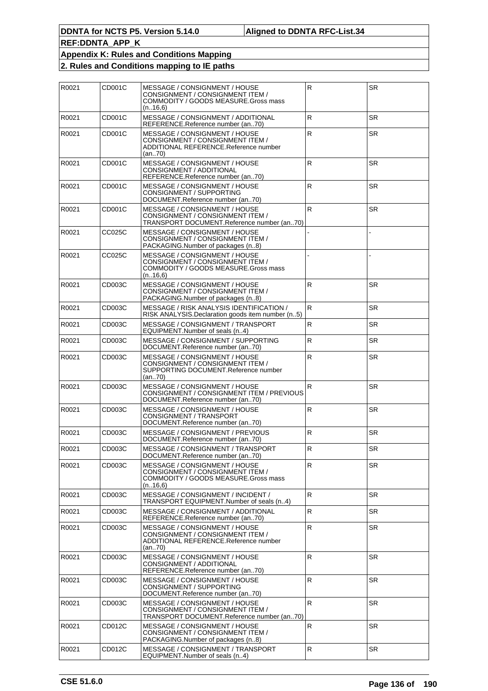| R0021 | CD001C | MESSAGE / CONSIGNMENT / HOUSE<br>CONSIGNMENT / CONSIGNMENT ITEM /<br>COMMODITY / GOODS MEASURE.Gross mass<br>(n.16,6)  | $\mathsf{R}$ | <b>SR</b> |
|-------|--------|------------------------------------------------------------------------------------------------------------------------|--------------|-----------|
| R0021 | CD001C | MESSAGE / CONSIGNMENT / ADDITIONAL<br>REFERENCE.Reference number (an70)                                                | $\mathsf{R}$ | <b>SR</b> |
| R0021 | CD001C | MESSAGE / CONSIGNMENT / HOUSE<br>CONSIGNMENT / CONSIGNMENT ITEM /<br>ADDITIONAL REFERENCE.Reference number<br>(an70)   | ${\sf R}$    | <b>SR</b> |
| R0021 | CD001C | MESSAGE / CONSIGNMENT / HOUSE<br>CONSIGNMENT / ADDITIONAL<br>REFERENCE.Reference number (an70)                         | ${\sf R}$    | <b>SR</b> |
| R0021 | CD001C | MESSAGE / CONSIGNMENT / HOUSE<br>CONSIGNMENT / SUPPORTING<br>DOCUMENT.Reference number (an70)                          | ${\sf R}$    | <b>SR</b> |
| R0021 | CD001C | MESSAGE / CONSIGNMENT / HOUSE<br>CONSIGNMENT / CONSIGNMENT ITEM /<br>TRANSPORT DOCUMENT.Reference number (an70)        | ${\sf R}$    | <b>SR</b> |
| R0021 | CC025C | MESSAGE / CONSIGNMENT / HOUSE<br>CONSIGNMENT / CONSIGNMENT ITEM /<br>PACKAGING.Number of packages (n8)                 |              |           |
| R0021 | CC025C | MESSAGE / CONSIGNMENT / HOUSE<br>CONSIGNMENT / CONSIGNMENT ITEM /<br>COMMODITY / GOODS MEASURE. Gross mass<br>(n.16,6) |              |           |
| R0021 | CD003C | MESSAGE / CONSIGNMENT / HOUSE<br>CONSIGNMENT / CONSIGNMENT ITEM /<br>PACKAGING. Number of packages (n8)                | $\mathsf{R}$ | <b>SR</b> |
| R0021 | CD003C | <b>MESSAGE / RISK ANALYSIS IDENTIFICATION /</b><br>RISK ANALYSIS. Declaration goods item number (n5)                   | $\mathsf{R}$ | <b>SR</b> |
| R0021 | CD003C | MESSAGE / CONSIGNMENT / TRANSPORT<br>EQUIPMENT.Number of seals (n4)                                                    | R            | <b>SR</b> |
| R0021 | CD003C | MESSAGE / CONSIGNMENT / SUPPORTING<br>DOCUMENT.Reference number (an70)                                                 | $\mathsf{R}$ | <b>SR</b> |
| R0021 | CD003C | MESSAGE / CONSIGNMENT / HOUSE<br>CONSIGNMENT / CONSIGNMENT ITEM /<br>SUPPORTING DOCUMENT.Reference number<br>(an70)    | $\mathsf{R}$ | SR.       |
| R0021 | CD003C | MESSAGE / CONSIGNMENT / HOUSE<br>CONSIGNMENT / CONSIGNMENT ITEM / PREVIOUS<br>DOCUMENT.Reference number (an70)         | R.           | SR.       |
| R0021 | CD003C | MESSAGE / CONSIGNMENT / HOUSE<br>CONSIGNMENT / TRANSPORT<br>DOCUMENT.Reference number (an70)                           | $\mathsf{R}$ | <b>SR</b> |
| R0021 | CD003C | MESSAGE / CONSIGNMENT / PREVIOUS<br>DOCUMENT.Reference number (an70)                                                   | ${\sf R}$    | <b>SR</b> |
| R0021 | CD003C | MESSAGE / CONSIGNMENT / TRANSPORT<br>DOCUMENT.Reference number (an70)                                                  | $\mathsf{R}$ | SR        |
| R0021 | CD003C | MESSAGE / CONSIGNMENT / HOUSE<br>CONSIGNMENT / CONSIGNMENT ITEM /<br>COMMODITY / GOODS MEASURE. Gross mass<br>(n.16,6) | R            | SR        |
| R0021 | CD003C | MESSAGE / CONSIGNMENT / INCIDENT /<br>TRANSPORT EQUIPMENT.Number of seals (n4)                                         | R            | SR.       |
| R0021 | CD003C | MESSAGE / CONSIGNMENT / ADDITIONAL<br>REFERENCE.Reference number (an70)                                                | R            | <b>SR</b> |
| R0021 | CD003C | MESSAGE / CONSIGNMENT / HOUSE<br>CONSIGNMENT / CONSIGNMENT ITEM /<br>ADDITIONAL REFERENCE.Reference number<br>(an70)   | ${\sf R}$    | <b>SR</b> |
| R0021 | CD003C | MESSAGE / CONSIGNMENT / HOUSE<br>CONSIGNMENT / ADDITIONAL<br>REFERENCE.Reference number (an70)                         | ${\sf R}$    | <b>SR</b> |
| R0021 | CD003C | MESSAGE / CONSIGNMENT / HOUSE<br>CONSIGNMENT / SUPPORTING<br>DOCUMENT.Reference number (an70)                          | $\mathsf R$  | <b>SR</b> |
| R0021 | CD003C | MESSAGE / CONSIGNMENT / HOUSE<br>CONSIGNMENT / CONSIGNMENT ITEM /<br>TRANSPORT DOCUMENT.Reference number (an70)        | $\mathsf{R}$ | <b>SR</b> |
| R0021 | CD012C | MESSAGE / CONSIGNMENT / HOUSE<br>CONSIGNMENT / CONSIGNMENT ITEM /<br>PACKAGING.Number of packages (n8)                 | ${\sf R}$    | <b>SR</b> |
| R0021 | CD012C | MESSAGE / CONSIGNMENT / TRANSPORT<br>EQUIPMENT.Number of seals (n4)                                                    | R            | <b>SR</b> |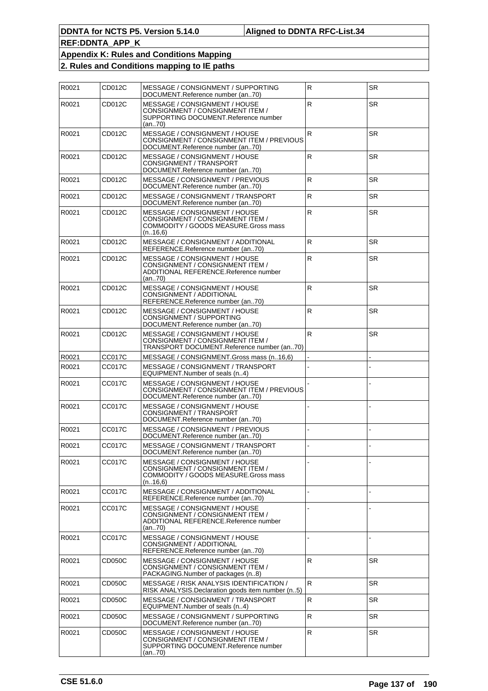| R0021 | CD012C        | MESSAGE / CONSIGNMENT / SUPPORTING<br>DOCUMENT.Reference number (an70)                                                | R            | <b>SR</b> |
|-------|---------------|-----------------------------------------------------------------------------------------------------------------------|--------------|-----------|
| R0021 | CD012C        | MESSAGE / CONSIGNMENT / HOUSE<br>CONSIGNMENT / CONSIGNMENT ITEM /<br>SUPPORTING DOCUMENT Reference number<br>(an70)   | ${\sf R}$    | <b>SR</b> |
| R0021 | CD012C        | MESSAGE / CONSIGNMENT / HOUSE<br>CONSIGNMENT / CONSIGNMENT ITEM / PREVIOUS<br>DOCUMENT.Reference number (an70)        | $\mathsf R$  | <b>SR</b> |
| R0021 | CD012C        | MESSAGE / CONSIGNMENT / HOUSE<br>CONSIGNMENT / TRANSPORT<br>DOCUMENT.Reference number (an70)                          | $\mathsf{R}$ | <b>SR</b> |
| R0021 | CD012C        | MESSAGE / CONSIGNMENT / PREVIOUS<br>DOCUMENT.Reference number (an70)                                                  | $\mathsf{R}$ | <b>SR</b> |
| R0021 | CD012C        | MESSAGE / CONSIGNMENT / TRANSPORT<br>DOCUMENT.Reference number (an70)                                                 | ${\sf R}$    | <b>SR</b> |
| R0021 | CD012C        | MESSAGE / CONSIGNMENT / HOUSE<br>CONSIGNMENT / CONSIGNMENT ITEM /<br>COMMODITY / GOODS MEASURE.Gross mass<br>(n.16,6) | ${\sf R}$    | <b>SR</b> |
| R0021 | CD012C        | MESSAGE / CONSIGNMENT / ADDITIONAL<br>REFERENCE.Reference number (an70)                                               | ${\sf R}$    | <b>SR</b> |
| R0021 | CD012C        | MESSAGE / CONSIGNMENT / HOUSE<br>CONSIGNMENT / CONSIGNMENT ITEM /<br>ADDITIONAL REFERENCE.Reference number<br>(an70)  | ${\sf R}$    | <b>SR</b> |
| R0021 | CD012C        | MESSAGE / CONSIGNMENT / HOUSE<br>CONSIGNMENT / ADDITIONAL<br>REFERENCE.Reference number (an70)                        | ${\sf R}$    | <b>SR</b> |
| R0021 | CD012C        | MESSAGE / CONSIGNMENT / HOUSE<br>CONSIGNMENT / SUPPORTING<br>DOCUMENT.Reference number (an70)                         | ${\sf R}$    | <b>SR</b> |
| R0021 | CD012C        | MESSAGE / CONSIGNMENT / HOUSE<br>CONSIGNMENT / CONSIGNMENT ITEM /<br>TRANSPORT DOCUMENT.Reference number (an70)       | $\mathsf{R}$ | <b>SR</b> |
| R0021 | CC017C        | MESSAGE / CONSIGNMENT.Gross mass (n16.6)                                                                              |              |           |
| R0021 | <b>CC017C</b> | MESSAGE / CONSIGNMENT / TRANSPORT<br>EQUIPMENT.Number of seals (n4)                                                   |              |           |
| R0021 | <b>CC017C</b> | MESSAGE / CONSIGNMENT / HOUSE<br>CONSIGNMENT / CONSIGNMENT ITEM / PREVIOUS<br>DOCUMENT.Reference number (an70)        |              |           |
| R0021 | <b>CC017C</b> | MESSAGE / CONSIGNMENT / HOUSE<br>CONSIGNMENT / TRANSPORT<br>DOCUMENT.Reference number (an70)                          |              |           |
| R0021 | CC017C        | MESSAGE / CONSIGNMENT / PREVIOUS<br>DOCUMENT.Reference number (an70)                                                  |              |           |
| R0021 | CC017C        | MESSAGE / CONSIGNMENT / TRANSPORT<br>DOCUMENT.Reference number (an70)                                                 |              |           |
| R0021 | CC017C        | MESSAGE / CONSIGNMENT / HOUSE<br>CONSIGNMENT / CONSIGNMENT ITEM /<br>COMMODITY / GOODS MEASURE.Gross mass<br>(n.16,6) |              |           |
| R0021 | CC017C        | MESSAGE / CONSIGNMENT / ADDITIONAL<br>REFERENCE.Reference number (an70)                                               |              |           |
| R0021 | CC017C        | MESSAGE / CONSIGNMENT / HOUSE<br>CONSIGNMENT / CONSIGNMENT ITEM /<br>ADDITIONAL REFERENCE.Reference number<br>(an70)  |              |           |
| R0021 | <b>CC017C</b> | MESSAGE / CONSIGNMENT / HOUSE<br>CONSIGNMENT / ADDITIONAL<br>REFERENCE.Reference number (an70)                        |              |           |
| R0021 | CD050C        | MESSAGE / CONSIGNMENT / HOUSE<br>CONSIGNMENT / CONSIGNMENT ITEM /<br>PACKAGING. Number of packages (n8)               | $\mathsf{R}$ | <b>SR</b> |
| R0021 | CD050C        | <b>MESSAGE / RISK ANALYSIS IDENTIFICATION /</b><br>RISK ANALYSIS. Declaration goods item number (n5)                  | $\mathsf{R}$ | SR.       |
| R0021 | CD050C        | MESSAGE / CONSIGNMENT / TRANSPORT<br>EQUIPMENT.Number of seals (n4)                                                   | R            | SR        |
| R0021 | <b>CD050C</b> | MESSAGE / CONSIGNMENT / SUPPORTING<br>DOCUMENT.Reference number (an70)                                                | ${\sf R}$    | <b>SR</b> |
| R0021 | CD050C        | MESSAGE / CONSIGNMENT / HOUSE<br>CONSIGNMENT / CONSIGNMENT ITEM /<br>SUPPORTING DOCUMENT Reference number<br>(an70)   | $\mathsf{R}$ | SR.       |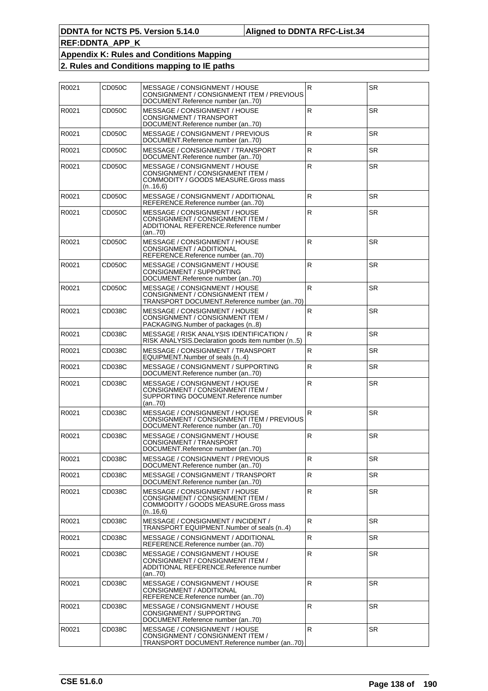| R0021 | CD050C | MESSAGE / CONSIGNMENT / HOUSE<br>CONSIGNMENT / CONSIGNMENT ITEM / PREVIOUS<br>DOCUMENT.Reference number (an70)         | $\overline{R}$ | <b>SR</b> |
|-------|--------|------------------------------------------------------------------------------------------------------------------------|----------------|-----------|
| R0021 | CD050C | MESSAGE / CONSIGNMENT / HOUSE<br>CONSIGNMENT / TRANSPORT<br>DOCUMENT.Reference number (an70)                           | R              | <b>SR</b> |
| R0021 | CD050C | MESSAGE / CONSIGNMENT / PREVIOUS<br>DOCUMENT.Reference number (an70)                                                   | R              | <b>SR</b> |
| R0021 | CD050C | MESSAGE / CONSIGNMENT / TRANSPORT<br>DOCUMENT.Reference number (an70)                                                  | R              | <b>SR</b> |
| R0021 | CD050C | MESSAGE / CONSIGNMENT / HOUSE<br>CONSIGNMENT / CONSIGNMENT ITEM /<br>COMMODITY / GOODS MEASURE. Gross mass<br>(n.16.6) | $\mathsf R$    | <b>SR</b> |
| R0021 | CD050C | MESSAGE / CONSIGNMENT / ADDITIONAL<br>REFERENCE.Reference number (an70)                                                | $\overline{R}$ | <b>SR</b> |
| R0021 | CD050C | MESSAGE / CONSIGNMENT / HOUSE<br>CONSIGNMENT / CONSIGNMENT ITEM /<br>ADDITIONAL REFERENCE.Reference number<br>(an70)   | R              | <b>SR</b> |
| R0021 | CD050C | MESSAGE / CONSIGNMENT / HOUSE<br>CONSIGNMENT / ADDITIONAL<br>REFERENCE.Reference number (an70)                         | R              | <b>SR</b> |
| R0021 | CD050C | MESSAGE / CONSIGNMENT / HOUSE<br>CONSIGNMENT / SUPPORTING<br>DOCUMENT.Reference number (an70)                          | ${\sf R}$      | <b>SR</b> |
| R0021 | CD050C | MESSAGE / CONSIGNMENT / HOUSE<br>CONSIGNMENT / CONSIGNMENT ITEM /<br>TRANSPORT DOCUMENT.Reference number (an70)        | R              | <b>SR</b> |
| R0021 | CD038C | MESSAGE / CONSIGNMENT / HOUSE<br>CONSIGNMENT / CONSIGNMENT ITEM /<br>PACKAGING.Number of packages (n8)                 | R              | <b>SR</b> |
| R0021 | CD038C | <b>MESSAGE / RISK ANALYSIS IDENTIFICATION /</b><br>RISK ANALYSIS. Declaration goods item number (n5)                   | $\mathsf R$    | <b>SR</b> |
| R0021 | CD038C | MESSAGE / CONSIGNMENT / TRANSPORT<br>EQUIPMENT.Number of seals (n4)                                                    | R              | SR.       |
| R0021 | CD038C | MESSAGE / CONSIGNMENT / SUPPORTING<br>DOCUMENT.Reference number (an70)                                                 | R              | SR.       |
| R0021 | CD038C | MESSAGE / CONSIGNMENT / HOUSE<br>CONSIGNMENT / CONSIGNMENT ITEM /<br>SUPPORTING DOCUMENT.Reference number<br>(an70)    | ${\sf R}$      | SR        |
| R0021 | CD038C | MESSAGE / CONSIGNMENT / HOUSE<br>CONSIGNMENT / CONSIGNMENT ITEM / PREVIOUS<br>DOCUMENT.Reference number (an70)         | R              | <b>SR</b> |
| R0021 | CD038C | MESSAGE / CONSIGNMENT / HOUSE<br>CONSIGNMENT / TRANSPORT<br>DOCUMENT.Reference number (an70)                           | R              | <b>SR</b> |
| R0021 | CD038C | MESSAGE / CONSIGNMENT / PREVIOUS<br>DOCUMENT.Reference number (an70)                                                   | $\overline{R}$ | SR        |
| R0021 | CD038C | MESSAGE / CONSIGNMENT / TRANSPORT<br>DOCUMENT.Reference number (an70)                                                  | R              | SR.       |
| R0021 | CD038C | MESSAGE / CONSIGNMENT / HOUSE<br>CONSIGNMENT / CONSIGNMENT ITEM /<br>COMMODITY / GOODS MEASURE.Gross mass<br>(n.16,6)  | $\overline{R}$ | SR        |
| R0021 | CD038C | MESSAGE / CONSIGNMENT / INCIDENT /<br>TRANSPORT EQUIPMENT.Number of seals (n4)                                         | $\overline{R}$ | <b>SR</b> |
| R0021 | CD038C | MESSAGE / CONSIGNMENT / ADDITIONAL<br>REFERENCE.Reference number (an70)                                                | ${\sf R}$      | <b>SR</b> |
| R0021 | CD038C | MESSAGE / CONSIGNMENT / HOUSE<br>CONSIGNMENT / CONSIGNMENT ITEM /<br>ADDITIONAL REFERENCE.Reference number<br>(an70)   | R              | SR.       |
| R0021 | CD038C | MESSAGE / CONSIGNMENT / HOUSE<br>CONSIGNMENT / ADDITIONAL<br>REFERENCE.Reference number (an70)                         | $\mathsf{R}$   | <b>SR</b> |
| R0021 | CD038C | MESSAGE / CONSIGNMENT / HOUSE<br>CONSIGNMENT / SUPPORTING<br>DOCUMENT.Reference number (an70)                          | $\mathsf R$    | <b>SR</b> |
| R0021 | CD038C | MESSAGE / CONSIGNMENT / HOUSE<br>CONSIGNMENT / CONSIGNMENT ITEM /<br>TRANSPORT DOCUMENT.Reference number (an70)        | $\mathsf R$    | <b>SR</b> |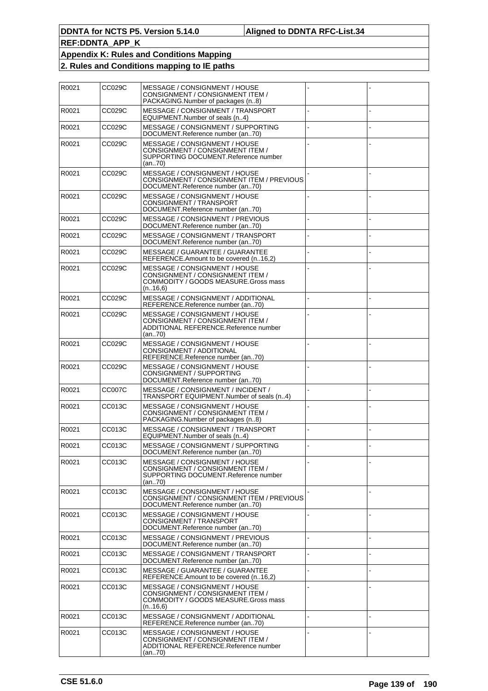| R0021 | CC029C | MESSAGE / CONSIGNMENT / HOUSE<br>CONSIGNMENT / CONSIGNMENT ITEM /<br>PACKAGING.Number of packages (n8)                |  |
|-------|--------|-----------------------------------------------------------------------------------------------------------------------|--|
| R0021 | CC029C | MESSAGE / CONSIGNMENT / TRANSPORT<br>EQUIPMENT.Number of seals (n4)                                                   |  |
| R0021 | CC029C | MESSAGE / CONSIGNMENT / SUPPORTING<br>DOCUMENT.Reference number (an70)                                                |  |
| R0021 | CC029C | MESSAGE / CONSIGNMENT / HOUSE<br>CONSIGNMENT / CONSIGNMENT ITEM /<br>SUPPORTING DOCUMENT Reference number<br>(an70)   |  |
| R0021 | CC029C | MESSAGE / CONSIGNMENT / HOUSE<br>CONSIGNMENT / CONSIGNMENT ITEM / PREVIOUS<br>DOCUMENT.Reference number (an70)        |  |
| R0021 | CC029C | MESSAGE / CONSIGNMENT / HOUSE<br>CONSIGNMENT / TRANSPORT<br>DOCUMENT.Reference number (an70)                          |  |
| R0021 | CC029C | MESSAGE / CONSIGNMENT / PREVIOUS<br>DOCUMENT.Reference number (an70)                                                  |  |
| R0021 | CC029C | MESSAGE / CONSIGNMENT / TRANSPORT<br>DOCUMENT.Reference number (an70)                                                 |  |
| R0021 | CC029C | MESSAGE / GUARANTEE / GUARANTEE<br>REFERENCE.Amount to be covered (n16,2)                                             |  |
| R0021 | CC029C | MESSAGE / CONSIGNMENT / HOUSE<br>CONSIGNMENT / CONSIGNMENT ITEM /<br>COMMODITY / GOODS MEASURE.Gross mass<br>(n.16,6) |  |
| R0021 | CC029C | MESSAGE / CONSIGNMENT / ADDITIONAL<br>REFERENCE.Reference number (an70)                                               |  |
| R0021 | CC029C | MESSAGE / CONSIGNMENT / HOUSE<br>CONSIGNMENT / CONSIGNMENT ITEM /<br>ADDITIONAL REFERENCE.Reference number<br>(an70)  |  |
| R0021 | CC029C | MESSAGE / CONSIGNMENT / HOUSE<br>CONSIGNMENT / ADDITIONAL<br>REFERENCE.Reference number (an70)                        |  |
| R0021 | CC029C | MESSAGE / CONSIGNMENT / HOUSE<br>CONSIGNMENT / SUPPORTING<br>DOCUMENT.Reference number (an70)                         |  |
| R0021 | CC007C | MESSAGE / CONSIGNMENT / INCIDENT /<br>TRANSPORT EQUIPMENT.Number of seals (n4)                                        |  |
| R0021 | CC013C | MESSAGE / CONSIGNMENT / HOUSE<br>CONSIGNMENT / CONSIGNMENT ITEM /<br>PACKAGING. Number of packages (n8)               |  |
| R0021 | CC013C | MESSAGE / CONSIGNMENT / TRANSPORT<br>EQUIPMENT.Number of seals (n4)                                                   |  |
| R0021 | CC013C | MESSAGE / CONSIGNMENT / SUPPORTING<br>DOCUMENT.Reference number (an70)                                                |  |
| R0021 | CC013C | MESSAGE / CONSIGNMENT / HOUSE<br>CONSIGNMENT / CONSIGNMENT ITEM /<br>SUPPORTING DOCUMENT Reference number<br>(an70)   |  |
| R0021 | CC013C | MESSAGE / CONSIGNMENT / HOUSE<br>CONSIGNMENT / CONSIGNMENT ITEM / PREVIOUS<br>DOCUMENT.Reference number (an70)        |  |
| R0021 | CC013C | MESSAGE / CONSIGNMENT / HOUSE<br>CONSIGNMENT / TRANSPORT<br>DOCUMENT.Reference number (an70)                          |  |
| R0021 | CC013C | MESSAGE / CONSIGNMENT / PREVIOUS<br>DOCUMENT.Reference number (an70)                                                  |  |
| R0021 | CC013C | MESSAGE / CONSIGNMENT / TRANSPORT<br>DOCUMENT.Reference number (an70)                                                 |  |
| R0021 | CC013C | MESSAGE / GUARANTEE / GUARANTEE<br>REFERENCE.Amount to be covered (n16,2)                                             |  |
| R0021 | CC013C | MESSAGE / CONSIGNMENT / HOUSE<br>CONSIGNMENT / CONSIGNMENT ITEM /<br>COMMODITY / GOODS MEASURE.Gross mass<br>(n.16,6) |  |
| R0021 | CC013C | MESSAGE / CONSIGNMENT / ADDITIONAL<br>REFERENCE.Reference number (an70)                                               |  |
| R0021 | CC013C | MESSAGE / CONSIGNMENT / HOUSE<br>CONSIGNMENT / CONSIGNMENT ITEM /<br>ADDITIONAL REFERENCE.Reference number<br>(an70)  |  |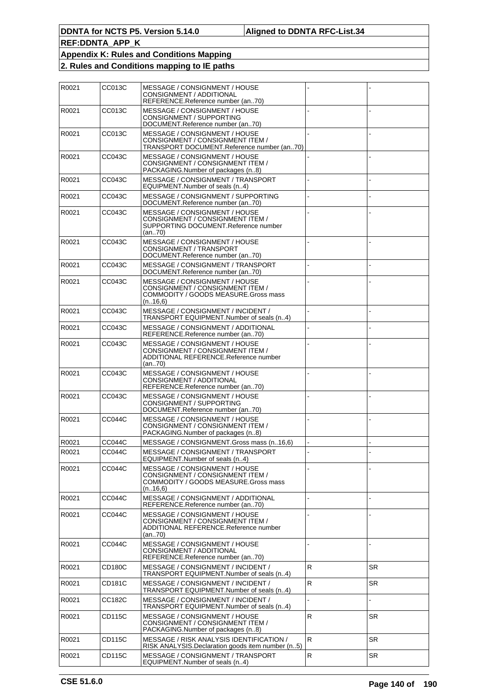| R0021 | CC013C        | MESSAGE / CONSIGNMENT / HOUSE<br>CONSIGNMENT / ADDITIONAL<br>REFERENCE.Reference number (an70)                        |              |           |
|-------|---------------|-----------------------------------------------------------------------------------------------------------------------|--------------|-----------|
| R0021 | CC013C        | MESSAGE / CONSIGNMENT / HOUSE<br>CONSIGNMENT / SUPPORTING<br>DOCUMENT.Reference number (an70)                         |              |           |
| R0021 | CC013C        | MESSAGE / CONSIGNMENT / HOUSE<br>CONSIGNMENT / CONSIGNMENT ITEM /<br>TRANSPORT DOCUMENT.Reference number (an70)       |              |           |
| R0021 | CC043C        | MESSAGE / CONSIGNMENT / HOUSE<br>CONSIGNMENT / CONSIGNMENT ITEM /<br>PACKAGING.Number of packages (n8)                |              |           |
| R0021 | CC043C        | MESSAGE / CONSIGNMENT / TRANSPORT<br>EQUIPMENT.Number of seals (n4)                                                   |              |           |
| R0021 | CC043C        | MESSAGE / CONSIGNMENT / SUPPORTING<br>DOCUMENT.Reference number (an70)                                                |              |           |
| R0021 | CC043C        | MESSAGE / CONSIGNMENT / HOUSE<br>CONSIGNMENT / CONSIGNMENT ITEM /<br>SUPPORTING DOCUMENT.Reference number<br>(an70)   |              |           |
| R0021 | CC043C        | MESSAGE / CONSIGNMENT / HOUSE<br>CONSIGNMENT / TRANSPORT<br>DOCUMENT.Reference number (an70)                          |              |           |
| R0021 | CC043C        | MESSAGE / CONSIGNMENT / TRANSPORT<br>DOCUMENT.Reference number (an70)                                                 |              |           |
| R0021 | CC043C        | MESSAGE / CONSIGNMENT / HOUSE<br>CONSIGNMENT / CONSIGNMENT ITEM /<br>COMMODITY / GOODS MEASURE.Gross mass<br>(n.16,6) |              |           |
| R0021 | CC043C        | MESSAGE / CONSIGNMENT / INCIDENT /<br>TRANSPORT EQUIPMENT.Number of seals (n4)                                        |              |           |
| R0021 | CC043C        | MESSAGE / CONSIGNMENT / ADDITIONAL<br>REFERENCE.Reference number (an70)                                               |              |           |
| R0021 | CC043C        | MESSAGE / CONSIGNMENT / HOUSE<br>CONSIGNMENT / CONSIGNMENT ITEM /<br>ADDITIONAL REFERENCE.Reference number<br>(an70)  |              |           |
| R0021 | CC043C        | MESSAGE / CONSIGNMENT / HOUSE<br>CONSIGNMENT / ADDITIONAL<br>REFERENCE.Reference number (an70)                        |              |           |
| R0021 | CC043C        | MESSAGE / CONSIGNMENT / HOUSE<br>CONSIGNMENT / SUPPORTING<br>DOCUMENT.Reference number (an70)                         |              |           |
| R0021 | <b>CC044C</b> | MESSAGE / CONSIGNMENT / HOUSE<br>CONSIGNMENT / CONSIGNMENT ITEM /<br>PACKAGING.Number of packages (n8)                |              |           |
| R0021 | CC044C        | MESSAGE / CONSIGNMENT.Gross mass (n16,6)                                                                              |              |           |
| R0021 | CC044C        | MESSAGE / CONSIGNMENT / TRANSPORT<br>EQUIPMENT.Number of seals (n4)                                                   |              |           |
| R0021 | CC044C        | MESSAGE / CONSIGNMENT / HOUSE<br>CONSIGNMENT / CONSIGNMENT ITEM /<br>COMMODITY / GOODS MEASURE.Gross mass<br>(n16,6)  |              |           |
| R0021 | CC044C        | MESSAGE / CONSIGNMENT / ADDITIONAL<br>REFERENCE.Reference number (an70)                                               |              |           |
| R0021 | CC044C        | MESSAGE / CONSIGNMENT / HOUSE<br>CONSIGNMENT / CONSIGNMENT ITEM /<br>ADDITIONAL REFERENCE.Reference number<br>(an70)  |              |           |
| R0021 | CC044C        | MESSAGE / CONSIGNMENT / HOUSE<br>CONSIGNMENT / ADDITIONAL<br>REFERENCE.Reference number (an70)                        |              |           |
| R0021 | <b>CD180C</b> | MESSAGE / CONSIGNMENT / INCIDENT /<br>TRANSPORT EQUIPMENT.Number of seals (n4)                                        | $\mathsf{R}$ | <b>SR</b> |
| R0021 | CD181C        | MESSAGE / CONSIGNMENT / INCIDENT /<br>TRANSPORT EQUIPMENT.Number of seals (n4)                                        | $\mathsf{R}$ | SR.       |
| R0021 | CC182C        | MESSAGE / CONSIGNMENT / INCIDENT /<br>TRANSPORT EQUIPMENT.Number of seals (n4)                                        |              |           |
| R0021 | CD115C        | MESSAGE / CONSIGNMENT / HOUSE<br>CONSIGNMENT / CONSIGNMENT ITEM /<br>PACKAGING.Number of packages (n8)                | ${\sf R}$    | <b>SR</b> |
| R0021 | CD115C        | MESSAGE / RISK ANALYSIS IDENTIFICATION /<br>RISK ANALYSIS.Declaration goods item number (n5)                          | $\mathsf R$  | <b>SR</b> |
| R0021 | CD115C        | MESSAGE / CONSIGNMENT / TRANSPORT<br>EQUIPMENT.Number of seals (n4)                                                   | $\mathsf{R}$ | <b>SR</b> |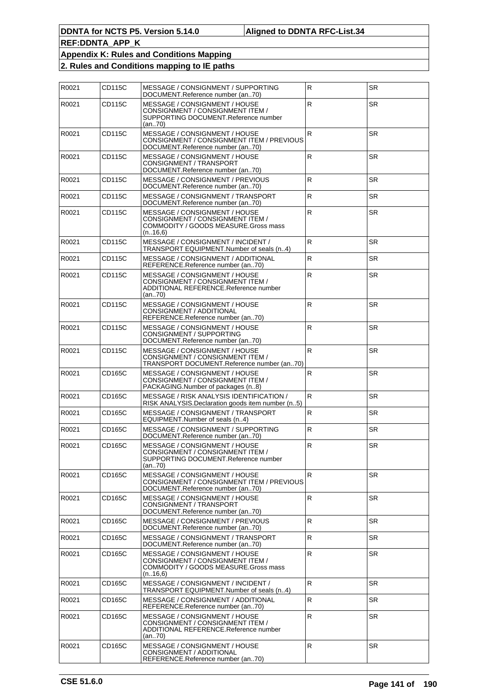| R0021 | CD115C | MESSAGE / CONSIGNMENT / SUPPORTING<br>DOCUMENT.Reference number (an70)                                                | $\overline{R}$ | <b>SR</b> |
|-------|--------|-----------------------------------------------------------------------------------------------------------------------|----------------|-----------|
| R0021 | CD115C | MESSAGE / CONSIGNMENT / HOUSE<br>CONSIGNMENT / CONSIGNMENT ITEM /<br>SUPPORTING DOCUMENT Reference number<br>(an70)   | ${\sf R}$      | <b>SR</b> |
| R0021 | CD115C | MESSAGE / CONSIGNMENT / HOUSE<br>CONSIGNMENT / CONSIGNMENT ITEM / PREVIOUS<br>DOCUMENT.Reference number (an70)        | $\mathsf R$    | <b>SR</b> |
| R0021 | CD115C | MESSAGE / CONSIGNMENT / HOUSE<br>CONSIGNMENT / TRANSPORT<br>DOCUMENT.Reference number (an70)                          | $\mathsf{R}$   | <b>SR</b> |
| R0021 | CD115C | MESSAGE / CONSIGNMENT / PREVIOUS<br>DOCUMENT.Reference number (an70)                                                  | ${\sf R}$      | <b>SR</b> |
| R0021 | CD115C | MESSAGE / CONSIGNMENT / TRANSPORT<br>DOCUMENT.Reference number (an70)                                                 | $\mathsf R$    | <b>SR</b> |
| R0021 | CD115C | MESSAGE / CONSIGNMENT / HOUSE<br>CONSIGNMENT / CONSIGNMENT ITEM /<br>COMMODITY / GOODS MEASURE.Gross mass<br>(n.16,6) | ${\sf R}$      | SR        |
| R0021 | CD115C | MESSAGE / CONSIGNMENT / INCIDENT /<br>TRANSPORT EQUIPMENT.Number of seals (n4)                                        | $\mathsf{R}$   | <b>SR</b> |
| R0021 | CD115C | MESSAGE / CONSIGNMENT / ADDITIONAL<br>REFERENCE.Reference number (an70)                                               | $\mathsf{R}$   | SR.       |
| R0021 | CD115C | MESSAGE / CONSIGNMENT / HOUSE<br>CONSIGNMENT / CONSIGNMENT ITEM /<br>ADDITIONAL REFERENCE.Reference number<br>(an70)  | $\mathsf R$    | <b>SR</b> |
| R0021 | CD115C | MESSAGE / CONSIGNMENT / HOUSE<br>CONSIGNMENT / ADDITIONAL<br>REFERENCE.Reference number (an70)                        | ${\sf R}$      | <b>SR</b> |
| R0021 | CD115C | MESSAGE / CONSIGNMENT / HOUSE<br>CONSIGNMENT / SUPPORTING<br>DOCUMENT.Reference number (an70)                         | $\mathsf{R}$   | SR.       |
| R0021 | CD115C | MESSAGE / CONSIGNMENT / HOUSE<br>CONSIGNMENT / CONSIGNMENT ITEM /<br>TRANSPORT DOCUMENT.Reference number (an70)       | $\mathsf R$    | <b>SR</b> |
| R0021 | CD165C | MESSAGE / CONSIGNMENT / HOUSE<br>CONSIGNMENT / CONSIGNMENT ITEM /<br>PACKAGING.Number of packages (n8)                | R              | <b>SR</b> |
| R0021 | CD165C | MESSAGE / RISK ANALYSIS IDENTIFICATION /<br>RISK ANALYSIS. Declaration goods item number (n5)                         | $\mathsf{R}$   | SR.       |
| R0021 | CD165C | MESSAGE / CONSIGNMENT / TRANSPORT<br>EQUIPMENT.Number of seals (n4)                                                   | $\mathsf R$    | <b>SR</b> |
| R0021 | CD165C | MESSAGE / CONSIGNMENT / SUPPORTING<br>DOCUMENT.Reference number (an70)                                                | ${\sf R}$      | SR        |
| R0021 | CD165C | MESSAGE / CONSIGNMENT / HOUSE<br>CONSIGNMENT / CONSIGNMENT ITEM /<br>SUPPORTING DOCUMENT.Reference number<br>(an70)   | R              | SR.       |
| R0021 | CD165C | MESSAGE / CONSIGNMENT / HOUSE<br>CONSIGNMENT / CONSIGNMENT ITEM / PREVIOUS<br>DOCUMENT.Reference number (an70)        | R.             | SR.       |
| R0021 | CD165C | MESSAGE / CONSIGNMENT / HOUSE<br>CONSIGNMENT / TRANSPORT<br>DOCUMENT.Reference number (an70)                          | $\mathsf R$    | <b>SR</b> |
| R0021 | CD165C | MESSAGE / CONSIGNMENT / PREVIOUS<br>DOCUMENT.Reference number (an70)                                                  | $\mathsf R$    | <b>SR</b> |
| R0021 | CD165C | MESSAGE / CONSIGNMENT / TRANSPORT<br>DOCUMENT.Reference number (an70)                                                 | ${\sf R}$      | SR.       |
| R0021 | CD165C | MESSAGE / CONSIGNMENT / HOUSE<br>CONSIGNMENT / CONSIGNMENT ITEM /<br>COMMODITY / GOODS MEASURE.Gross mass<br>(n.16,6) | $\mathsf{R}$   | SR.       |
| R0021 | CD165C | MESSAGE / CONSIGNMENT / INCIDENT /<br>TRANSPORT EQUIPMENT.Number of seals (n4)                                        | $\mathsf{R}$   | SR.       |
| R0021 | CD165C | MESSAGE / CONSIGNMENT / ADDITIONAL<br>REFERENCE.Reference number (an70)                                               | R              | SR        |
| R0021 | CD165C | MESSAGE / CONSIGNMENT / HOUSE<br>CONSIGNMENT / CONSIGNMENT ITEM /<br>ADDITIONAL REFERENCE.Reference number<br>(an70)  | ${\sf R}$      | SR        |
| R0021 | CD165C | MESSAGE / CONSIGNMENT / HOUSE<br>CONSIGNMENT / ADDITIONAL<br>REFERENCE.Reference number (an70)                        | $\mathsf R$    | <b>SR</b> |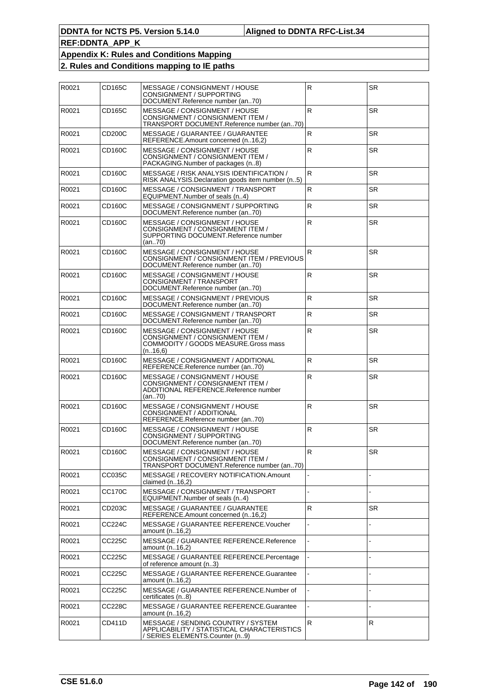| R0021 | CD165C              | MESSAGE / CONSIGNMENT / HOUSE<br>CONSIGNMENT / SUPPORTING<br>DOCUMENT.Reference number (an70)                         | R            | <b>SR</b> |
|-------|---------------------|-----------------------------------------------------------------------------------------------------------------------|--------------|-----------|
| R0021 | CD165C              | MESSAGE / CONSIGNMENT / HOUSE<br>CONSIGNMENT / CONSIGNMENT ITEM /<br>TRANSPORT DOCUMENT.Reference number (an70)       | $\mathsf R$  | <b>SR</b> |
| R0021 | CD <sub>200</sub> C | <b>MESSAGE / GUARANTEE / GUARANTEE</b><br>REFERENCE.Amount concerned (n16,2)                                          | R            | <b>SR</b> |
| R0021 | CD160C              | MESSAGE / CONSIGNMENT / HOUSE<br>CONSIGNMENT / CONSIGNMENT ITEM /<br>PACKAGING. Number of packages (n8)               | $\mathsf{R}$ | <b>SR</b> |
| R0021 | CD <sub>160</sub> C | MESSAGE / RISK ANALYSIS IDENTIFICATION /<br>RISK ANALYSIS. Declaration goods item number (n5)                         | R.           | <b>SR</b> |
| R0021 | CD160C              | MESSAGE / CONSIGNMENT / TRANSPORT<br>EQUIPMENT.Number of seals (n4)                                                   | $\mathsf{R}$ | <b>SR</b> |
| R0021 | CD160C              | MESSAGE / CONSIGNMENT / SUPPORTING<br>DOCUMENT.Reference number (an70)                                                | R            | <b>SR</b> |
| R0021 | CD <sub>160</sub> C | MESSAGE / CONSIGNMENT / HOUSE<br>CONSIGNMENT / CONSIGNMENT ITEM /<br>SUPPORTING DOCUMENT.Reference number<br>(an70)   | R            | <b>SR</b> |
| R0021 | CD160C              | MESSAGE / CONSIGNMENT / HOUSE<br>CONSIGNMENT / CONSIGNMENT ITEM / PREVIOUS<br>DOCUMENT.Reference number (an70)        | R            | <b>SR</b> |
| R0021 | CD <sub>160</sub> C | MESSAGE / CONSIGNMENT / HOUSE<br>CONSIGNMENT / TRANSPORT<br>DOCUMENT.Reference number (an70)                          | $\mathsf{R}$ | <b>SR</b> |
| R0021 | CD160C              | MESSAGE / CONSIGNMENT / PREVIOUS<br>DOCUMENT.Reference number (an70)                                                  | R            | <b>SR</b> |
| R0021 | CD160C              | MESSAGE / CONSIGNMENT / TRANSPORT<br>DOCUMENT.Reference number (an70)                                                 | $\mathsf{R}$ | <b>SR</b> |
| R0021 | CD <sub>160</sub> C | MESSAGE / CONSIGNMENT / HOUSE<br>CONSIGNMENT / CONSIGNMENT ITEM /<br>COMMODITY / GOODS MEASURE.Gross mass<br>(n.16,6) | $\mathsf{R}$ | <b>SR</b> |
| R0021 | CD <sub>160</sub> C | MESSAGE / CONSIGNMENT / ADDITIONAL<br>REFERENCE.Reference number (an70)                                               | R            | <b>SR</b> |
| R0021 | CD160C              | MESSAGE / CONSIGNMENT / HOUSE<br>CONSIGNMENT / CONSIGNMENT ITEM /<br>ADDITIONAL REFERENCE.Reference number<br>(an70)  | $\mathsf{R}$ | <b>SR</b> |
| R0021 | CD160C              | MESSAGE / CONSIGNMENT / HOUSE<br>CONSIGNMENT / ADDITIONAL<br>REFERENCE.Reference number (an70)                        | R            | <b>SR</b> |
| R0021 | CD160C              | MESSAGE / CONSIGNMENT / HOUSE<br>CONSIGNMENT / SUPPORTING<br>DOCUMENT.Reference number (an70)                         | $\mathsf{R}$ | <b>SR</b> |
| R0021 | <b>CD160C</b>       | MESSAGE / CONSIGNMENT / HOUSE<br>CONSIGNMENT / CONSIGNMENT ITEM /<br>TRANSPORT DOCUMENT.Reference number (an70)       | $\mathsf R$  | <b>SR</b> |
| R0021 | CC035C              | MESSAGE / RECOVERY NOTIFICATION.Amount<br>claimed $(n16,2)$                                                           |              |           |
| R0021 | <b>CC170C</b>       | MESSAGE / CONSIGNMENT / TRANSPORT<br>EQUIPMENT. Number of seals (n4)                                                  |              |           |
| R0021 | CD203C              | MESSAGE / GUARANTEE / GUARANTEE<br>REFERENCE.Amount concerned (n16,2)                                                 | $\mathsf{R}$ | <b>SR</b> |
| R0021 | CC224C              | MESSAGE / GUARANTEE REFERENCE. Voucher<br>amount (n16,2)                                                              |              |           |
| R0021 | CC225C              | MESSAGE / GUARANTEE REFERENCE.Reference<br>amount (n16,2)                                                             |              |           |
| R0021 | CC225C              | MESSAGE / GUARANTEE REFERENCE.Percentage<br>of reference amount (n3)                                                  |              |           |
| R0021 | CC225C              | MESSAGE / GUARANTEE REFERENCE.Guarantee<br>amount (n16,2)                                                             |              |           |
| R0021 | CC225C              | MESSAGE / GUARANTEE REFERENCE.Number of<br>certificates (n8)                                                          |              |           |
| R0021 | CC228C              | MESSAGE / GUARANTEE REFERENCE.Guarantee<br>amount (n16,2)                                                             |              |           |
| R0021 | CD411D              | MESSAGE / SENDING COUNTRY / SYSTEM<br>APPLICABILITY / STATISTICAL CHARACTERISTICS<br>/ SERIES ELEMENTS.Counter (n9)   | R            | R         |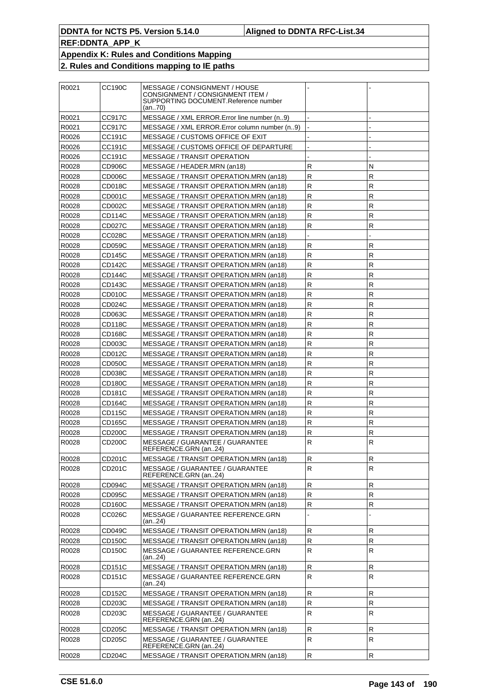| R0021 | CC190C        | MESSAGE / CONSIGNMENT / HOUSE<br>CONSIGNMENT / CONSIGNMENT ITEM /<br>SUPPORTING DOCUMENT.Reference number<br>(an70) |              |   |
|-------|---------------|---------------------------------------------------------------------------------------------------------------------|--------------|---|
| R0021 | <b>CC917C</b> | MESSAGE / XML ERROR. Error line number (n9)                                                                         |              |   |
| R0021 | CC917C        | MESSAGE / XML ERROR. Error column number (n9)                                                                       |              |   |
| R0026 | CC191C        | MESSAGE / CUSTOMS OFFICE OF EXIT                                                                                    |              |   |
| R0026 | CC191C        | MESSAGE / CUSTOMS OFFICE OF DEPARTURE                                                                               |              |   |
| R0026 | CC191C        | <b>MESSAGE / TRANSIT OPERATION</b>                                                                                  |              |   |
| R0028 | CD906C        | MESSAGE / HEADER.MRN (an18)                                                                                         | R            | Ν |
| R0028 | CD006C        | MESSAGE / TRANSIT OPERATION.MRN (an18)                                                                              | $\mathsf{R}$ | R |
| R0028 | CD018C        | MESSAGE / TRANSIT OPERATION.MRN (an18)                                                                              | R            | R |
| R0028 | CD001C        | MESSAGE / TRANSIT OPERATION.MRN (an18)                                                                              | $\mathsf R$  | R |
| R0028 | CD002C        | MESSAGE / TRANSIT OPERATION.MRN (an18)                                                                              | $\mathsf{R}$ | R |
| R0028 | CD114C        | MESSAGE / TRANSIT OPERATION.MRN (an18)                                                                              | $\mathsf{R}$ | R |
| R0028 | CD027C        | MESSAGE / TRANSIT OPERATION.MRN (an18)                                                                              | $\mathsf{R}$ | R |
| R0028 | CC028C        | MESSAGE / TRANSIT OPERATION.MRN (an18)                                                                              |              |   |
| R0028 | CD059C        | MESSAGE / TRANSIT OPERATION.MRN (an18)                                                                              | R            | R |
| R0028 | CD145C        | MESSAGE / TRANSIT OPERATION.MRN (an18)                                                                              | R            | R |
| R0028 | CD142C        | MESSAGE / TRANSIT OPERATION.MRN (an18)                                                                              | $\mathsf{R}$ | R |
| R0028 | CD144C        | MESSAGE / TRANSIT OPERATION.MRN (an18)                                                                              | $\mathsf{R}$ | R |
| R0028 | CD143C        | MESSAGE / TRANSIT OPERATION.MRN (an18)                                                                              | $\mathsf R$  | R |
| R0028 | CD010C        | MESSAGE / TRANSIT OPERATION.MRN (an18)                                                                              | $\mathsf{R}$ | R |
| R0028 | CD024C        | MESSAGE / TRANSIT OPERATION.MRN (an18)                                                                              | $\mathsf{R}$ | R |
| R0028 | CD063C        | MESSAGE / TRANSIT OPERATION.MRN (an18)                                                                              | $\mathsf R$  | R |
| R0028 | CD118C        | MESSAGE / TRANSIT OPERATION.MRN (an18)                                                                              | $\mathsf{R}$ | R |
| R0028 | CD168C        | MESSAGE / TRANSIT OPERATION.MRN (an18)                                                                              | $\mathsf{R}$ | R |
| R0028 | CD003C        | MESSAGE / TRANSIT OPERATION.MRN (an18)                                                                              | $\mathsf R$  | R |
| R0028 | CD012C        | MESSAGE / TRANSIT OPERATION.MRN (an18)                                                                              | $\mathsf{R}$ | R |
| R0028 | CD050C        | MESSAGE / TRANSIT OPERATION.MRN (an18)                                                                              | $\mathsf{R}$ | R |
| R0028 | CD038C        | MESSAGE / TRANSIT OPERATION.MRN (an18)                                                                              | $\mathsf R$  | R |
| R0028 | CD180C        | MESSAGE / TRANSIT OPERATION.MRN (an18)                                                                              | $\mathsf R$  | R |
| R0028 | CD181C        | MESSAGE / TRANSIT OPERATION.MRN (an18)                                                                              | $\mathsf{R}$ | R |
| R0028 | CD164C        | MESSAGE / TRANSIT OPERATION.MRN (an18)                                                                              | ${\sf R}$    | R |
| R0028 | CD115C        | MESSAGE / TRANSIT OPERATION.MRN (an18)                                                                              | $\mathsf R$  | R |
| R0028 | CD165C        | MESSAGE / TRANSIT OPERATION.MRN (an18)                                                                              | $\mathsf{R}$ | R |
| R0028 | CD200C        | MESSAGE / TRANSIT OPERATION.MRN (an18)                                                                              | R            | R |
| R0028 | CD200C        | MESSAGE / GUARANTEE / GUARANTEE<br>REFERENCE.GRN (an24)                                                             | R            | R |
| R0028 | CD201C        | MESSAGE / TRANSIT OPERATION.MRN (an18)                                                                              | R            | R |
| R0028 | CD201C        | MESSAGE / GUARANTEE / GUARANTEE<br>REFERENCE.GRN (an24)                                                             | R            | R |
| R0028 | CD094C        | MESSAGE / TRANSIT OPERATION.MRN (an18)                                                                              | R            | R |
| R0028 | CD095C        | MESSAGE / TRANSIT OPERATION.MRN (an18)                                                                              | R            | R |
| R0028 | CD160C        | MESSAGE / TRANSIT OPERATION.MRN (an18)                                                                              | R            | R |
| R0028 | CC026C        | MESSAGE / GUARANTEE REFERENCE.GRN<br>(an24)                                                                         |              |   |
| R0028 | CD049C        | MESSAGE / TRANSIT OPERATION.MRN (an18)                                                                              | R            | R |
| R0028 | CD150C        | MESSAGE / TRANSIT OPERATION.MRN (an18)                                                                              | ${\sf R}$    | R |
| R0028 | CD150C        | MESSAGE / GUARANTEE REFERENCE.GRN<br>(an24)                                                                         | $\mathsf R$  | R |
| R0028 | CD151C        | MESSAGE / TRANSIT OPERATION.MRN (an18)                                                                              | R            | R |
| R0028 | CD151C        | MESSAGE / GUARANTEE REFERENCE.GRN<br>(an24)                                                                         | $\mathsf{R}$ | R |
| R0028 | CD152C        | MESSAGE / TRANSIT OPERATION.MRN (an18)                                                                              | R            | R |
| R0028 | CD203C        | MESSAGE / TRANSIT OPERATION.MRN (an18)                                                                              | R            | R |
| R0028 | CD203C        | MESSAGE / GUARANTEE / GUARANTEE<br>REFERENCE.GRN (an24)                                                             | R            | R |
| R0028 | CD205C        | MESSAGE / TRANSIT OPERATION.MRN (an18)                                                                              | R            | R |
| R0028 | CD205C        | MESSAGE / GUARANTEE / GUARANTEE<br>REFERENCE.GRN (an24)                                                             | $\mathsf R$  | R |
| R0028 | CD204C        | MESSAGE / TRANSIT OPERATION.MRN (an18)                                                                              | $\mathsf R$  | R |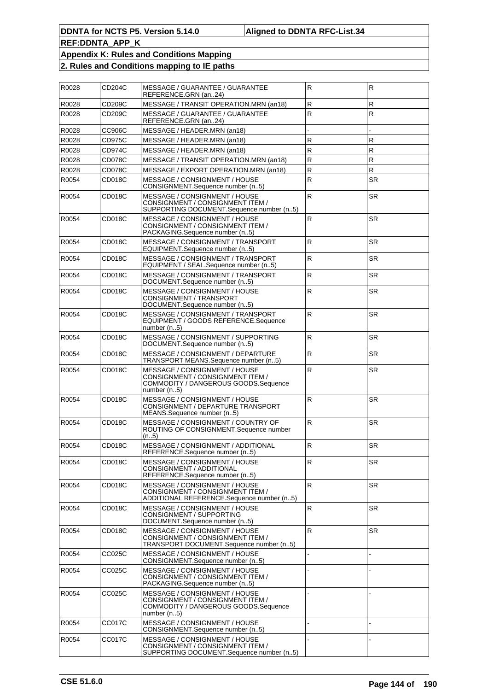| R0028 | CD204C        | MESSAGE / GUARANTEE / GUARANTEE<br>REFERENCE.GRN (an24)                                                                    | R                       | $\mathsf{R}$            |
|-------|---------------|----------------------------------------------------------------------------------------------------------------------------|-------------------------|-------------------------|
| R0028 | CD209C        | MESSAGE / TRANSIT OPERATION.MRN (an18)                                                                                     | ${\sf R}$               | $\mathsf{R}$            |
| R0028 | CD209C        | MESSAGE / GUARANTEE / GUARANTEE<br>REFERENCE.GRN (an24)                                                                    | ${\sf R}$               | R                       |
| R0028 | <b>CC906C</b> | MESSAGE / HEADER.MRN (an18)                                                                                                |                         |                         |
| R0028 | <b>CD975C</b> | MESSAGE / HEADER.MRN (an18)                                                                                                | $\mathsf{R}$            | $\mathsf{R}$            |
| R0028 | CD974C        | MESSAGE / HEADER.MRN (an18)                                                                                                | $\mathsf{R}$            | $\overline{\mathsf{R}}$ |
| R0028 | CD078C        | MESSAGE / TRANSIT OPERATION.MRN (an18)                                                                                     | $\mathsf{R}$            | $\overline{\mathsf{R}}$ |
| R0028 | CD078C        | MESSAGE / EXPORT OPERATION.MRN (an18)                                                                                      | $\mathsf{R}$            | $\mathsf{R}$            |
| R0054 | CD018C        | MESSAGE / CONSIGNMENT / HOUSE<br>CONSIGNMENT.Sequence number (n5)                                                          | $\overline{\mathsf{R}}$ | <b>SR</b>               |
| R0054 | CD018C        | MESSAGE / CONSIGNMENT / HOUSE<br>CONSIGNMENT / CONSIGNMENT ITEM /<br>SUPPORTING DOCUMENT.Sequence number (n5)              | ${\sf R}$               | <b>SR</b>               |
| R0054 | CD018C        | MESSAGE / CONSIGNMENT / HOUSE<br>CONSIGNMENT / CONSIGNMENT ITEM /<br>PACKAGING.Sequence number (n5)                        | ${\sf R}$               | <b>SR</b>               |
| R0054 | CD018C        | MESSAGE / CONSIGNMENT / TRANSPORT<br>EQUIPMENT.Sequence number (n5)                                                        | ${\sf R}$               | <b>SR</b>               |
| R0054 | CD018C        | MESSAGE / CONSIGNMENT / TRANSPORT<br>EQUIPMENT / SEAL.Sequence number (n5)                                                 | ${\sf R}$               | SR.                     |
| R0054 | CD018C        | MESSAGE / CONSIGNMENT / TRANSPORT<br>DOCUMENT.Sequence number (n5)                                                         | $\mathsf{R}$            | <b>SR</b>               |
| R0054 | CD018C        | MESSAGE / CONSIGNMENT / HOUSE<br>CONSIGNMENT / TRANSPORT<br>DOCUMENT.Sequence number (n5)                                  | $\mathsf{R}$            | <b>SR</b>               |
| R0054 | CD018C        | MESSAGE / CONSIGNMENT / TRANSPORT<br>EQUIPMENT / GOODS REFERENCE.Sequence<br>number $(n5)$                                 | $\mathsf{R}$            | <b>SR</b>               |
| R0054 | CD018C        | MESSAGE / CONSIGNMENT / SUPPORTING<br>DOCUMENT.Sequence number (n5)                                                        | ${\sf R}$               | <b>SR</b>               |
| R0054 | CD018C        | MESSAGE / CONSIGNMENT / DEPARTURE<br>TRANSPORT MEANS.Sequence number (n5)                                                  | R                       | <b>SR</b>               |
| R0054 | CD018C        | MESSAGE / CONSIGNMENT / HOUSE<br>CONSIGNMENT / CONSIGNMENT ITEM /<br>COMMODITY / DANGEROUS GOODS.Sequence<br>number $(n5)$ | ${\sf R}$               | <b>SR</b>               |
| R0054 | CD018C        | MESSAGE / CONSIGNMENT / HOUSE<br>CONSIGNMENT / DEPARTURE TRANSPORT<br>MEANS.Sequence number (n5)                           | ${\sf R}$               | <b>SR</b>               |
| R0054 | CD018C        | MESSAGE / CONSIGNMENT / COUNTRY OF<br>ROUTING OF CONSIGNMENT.Sequence number<br>(n5)                                       | $\mathsf{R}$            | <b>SR</b>               |
| R0054 | CD018C        | MESSAGE / CONSIGNMENT / ADDITIONAL<br>REFERENCE.Sequence number (n5)                                                       | R                       | <b>SR</b>               |
| R0054 | CD018C        | MESSAGE / CONSIGNMENT / HOUSE<br>CONSIGNMENT / ADDITIONAL<br>REFERENCE.Sequence number (n5)                                | $\mathsf{R}$            | SR                      |
| R0054 | CD018C        | MESSAGE / CONSIGNMENT / HOUSE<br>CONSIGNMENT / CONSIGNMENT ITEM /<br>ADDITIONAL REFERENCE.Sequence number (n5)             | ${\sf R}$               | <b>SR</b>               |
| R0054 | CD018C        | MESSAGE / CONSIGNMENT / HOUSE<br>CONSIGNMENT / SUPPORTING<br>DOCUMENT.Sequence number (n5)                                 | $\mathsf{R}$            | <b>SR</b>               |
| R0054 | CD018C        | MESSAGE / CONSIGNMENT / HOUSE<br>CONSIGNMENT / CONSIGNMENT ITEM /<br>TRANSPORT DOCUMENT.Sequence number (n5)               | $\mathsf{R}$            | <b>SR</b>               |
| R0054 | CC025C        | MESSAGE / CONSIGNMENT / HOUSE<br>CONSIGNMENT.Sequence number (n5)                                                          |                         |                         |
| R0054 | CC025C        | MESSAGE / CONSIGNMENT / HOUSE<br>CONSIGNMENT / CONSIGNMENT ITEM /<br>PACKAGING.Sequence number (n5)                        |                         |                         |
| R0054 | CC025C        | MESSAGE / CONSIGNMENT / HOUSE<br>CONSIGNMENT / CONSIGNMENT ITEM /<br>COMMODITY / DANGEROUS GOODS.Sequence<br>number (n5)   |                         |                         |
| R0054 | <b>CC017C</b> | MESSAGE / CONSIGNMENT / HOUSE<br>CONSIGNMENT.Sequence number (n5)                                                          |                         |                         |
| R0054 | CC017C        | MESSAGE / CONSIGNMENT / HOUSE<br>CONSIGNMENT / CONSIGNMENT ITEM /<br>SUPPORTING DOCUMENT.Sequence number (n5)              |                         |                         |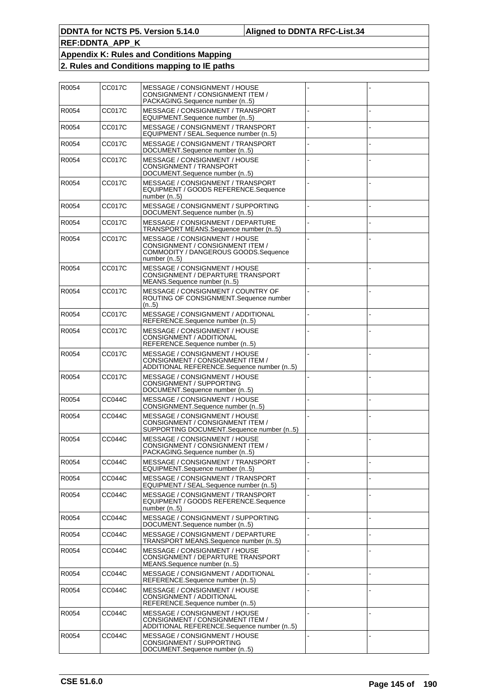| R0054 | <b>CC017C</b> | MESSAGE / CONSIGNMENT / HOUSE<br>CONSIGNMENT / CONSIGNMENT ITEM /<br>PACKAGING.Sequence number (n5)                        |  |
|-------|---------------|----------------------------------------------------------------------------------------------------------------------------|--|
| R0054 | <b>CC017C</b> | MESSAGE / CONSIGNMENT / TRANSPORT<br>EQUIPMENT.Sequence number (n5)                                                        |  |
| R0054 | <b>CC017C</b> | MESSAGE / CONSIGNMENT / TRANSPORT<br>EQUIPMENT / SEAL.Sequence number (n5)                                                 |  |
| R0054 | CC017C        | MESSAGE / CONSIGNMENT / TRANSPORT<br>DOCUMENT.Sequence number (n5)                                                         |  |
| R0054 | <b>CC017C</b> | MESSAGE / CONSIGNMENT / HOUSE<br>CONSIGNMENT / TRANSPORT<br>DOCUMENT.Sequence number (n5)                                  |  |
| R0054 | CC017C        | MESSAGE / CONSIGNMENT / TRANSPORT<br>EQUIPMENT / GOODS REFERENCE.Sequence<br>number (n5)                                   |  |
| R0054 | <b>CC017C</b> | MESSAGE / CONSIGNMENT / SUPPORTING<br>DOCUMENT.Sequence number (n5)                                                        |  |
| R0054 | CC017C        | MESSAGE / CONSIGNMENT / DEPARTURE<br>TRANSPORT MEANS.Sequence number (n5)                                                  |  |
| R0054 | <b>CC017C</b> | MESSAGE / CONSIGNMENT / HOUSE<br>CONSIGNMENT / CONSIGNMENT ITEM /<br>COMMODITY / DANGEROUS GOODS.Sequence<br>number $(n5)$ |  |
| R0054 | <b>CC017C</b> | MESSAGE / CONSIGNMENT / HOUSE<br>CONSIGNMENT / DEPARTURE TRANSPORT<br>MEANS.Sequence number (n5)                           |  |
| R0054 | CC017C        | MESSAGE / CONSIGNMENT / COUNTRY OF<br>ROUTING OF CONSIGNMENT.Sequence number<br>(n5)                                       |  |
| R0054 | <b>CC017C</b> | MESSAGE / CONSIGNMENT / ADDITIONAL<br>REFERENCE.Sequence number (n5)                                                       |  |
| R0054 | CC017C        | MESSAGE / CONSIGNMENT / HOUSE<br>CONSIGNMENT / ADDITIONAL<br>REFERENCE.Sequence number (n5)                                |  |
| R0054 | <b>CC017C</b> | MESSAGE / CONSIGNMENT / HOUSE<br>CONSIGNMENT / CONSIGNMENT ITEM /<br>ADDITIONAL REFERENCE.Sequence number (n5)             |  |
| R0054 | <b>CC017C</b> | MESSAGE / CONSIGNMENT / HOUSE<br>CONSIGNMENT / SUPPORTING<br>DOCUMENT.Sequence number (n5)                                 |  |
| R0054 | CC044C        | MESSAGE / CONSIGNMENT / HOUSE<br>CONSIGNMENT.Sequence number (n5)                                                          |  |
| R0054 | CC044C        | MESSAGE / CONSIGNMENT / HOUSE<br>CONSIGNMENT / CONSIGNMENT ITEM /<br>SUPPORTING DOCUMENT.Sequence number (n5)              |  |
| R0054 | CC044C        | MESSAGE / CONSIGNMENT / HOUSE<br>CONSIGNMENT / CONSIGNMENT ITEM /<br>PACKAGING.Sequence number (n5)                        |  |
| R0054 | <b>CC044C</b> | MESSAGE / CONSIGNMENT / TRANSPORT<br>EQUIPMENT.Sequence number (n5)                                                        |  |
| R0054 | CC044C        | MESSAGE / CONSIGNMENT / TRANSPORT<br>EQUIPMENT / SEAL.Sequence number (n5)                                                 |  |
| R0054 | CC044C        | MESSAGE / CONSIGNMENT / TRANSPORT<br>EQUIPMENT / GOODS REFERENCE.Sequence<br>number $(n5)$                                 |  |
| R0054 | CC044C        | MESSAGE / CONSIGNMENT / SUPPORTING<br>DOCUMENT.Sequence number (n5)                                                        |  |
| R0054 | CC044C        | MESSAGE / CONSIGNMENT / DEPARTURE<br>TRANSPORT MEANS.Sequence number (n5)                                                  |  |
| R0054 | CC044C        | MESSAGE / CONSIGNMENT / HOUSE<br>CONSIGNMENT / DEPARTURE TRANSPORT<br>MEANS.Sequence number (n5)                           |  |
| R0054 | CC044C        | MESSAGE / CONSIGNMENT / ADDITIONAL<br>REFERENCE.Sequence number (n5)                                                       |  |
| R0054 | CC044C        | MESSAGE / CONSIGNMENT / HOUSE<br>CONSIGNMENT / ADDITIONAL<br>REFERENCE.Sequence number (n5)                                |  |
| R0054 | CC044C        | MESSAGE / CONSIGNMENT / HOUSE<br>CONSIGNMENT / CONSIGNMENT ITEM /<br>ADDITIONAL REFERENCE.Sequence number (n5)             |  |
| R0054 | CC044C        | MESSAGE / CONSIGNMENT / HOUSE<br>CONSIGNMENT / SUPPORTING<br>DOCUMENT.Sequence number (n5)                                 |  |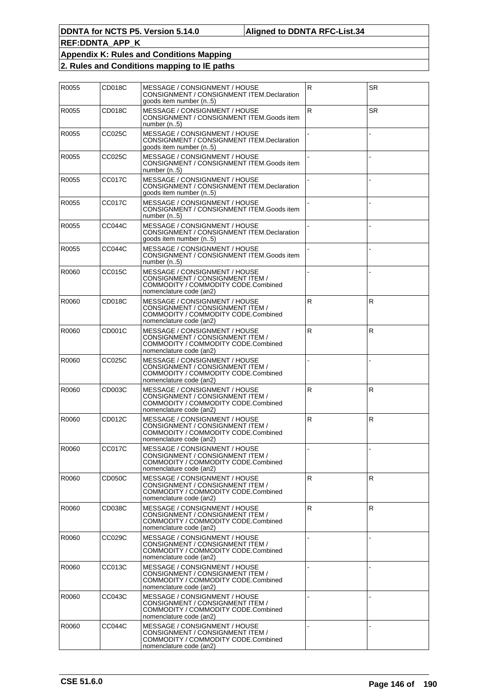| R0055 | CD018C        | MESSAGE / CONSIGNMENT / HOUSE<br>CONSIGNMENT / CONSIGNMENT ITEM.Declaration<br>goods item number (n5)                               | $\mathsf{R}$ | <b>SR</b>    |
|-------|---------------|-------------------------------------------------------------------------------------------------------------------------------------|--------------|--------------|
| R0055 | CD018C        | MESSAGE / CONSIGNMENT / HOUSE<br>CONSIGNMENT / CONSIGNMENT ITEM.Goods item<br>number $(n5)$                                         | $\mathsf{R}$ | <b>SR</b>    |
| R0055 | CC025C        | MESSAGE / CONSIGNMENT / HOUSE<br>CONSIGNMENT / CONSIGNMENT ITEM.Declaration<br>goods item number (n5)                               |              |              |
| R0055 | CC025C        | MESSAGE / CONSIGNMENT / HOUSE<br>CONSIGNMENT / CONSIGNMENT ITEM.Goods item<br>number $(n5)$                                         |              |              |
| R0055 | CC017C        | MESSAGE / CONSIGNMENT / HOUSE<br>CONSIGNMENT / CONSIGNMENT ITEM.Declaration<br>goods item number (n5)                               |              |              |
| R0055 | CC017C        | MESSAGE / CONSIGNMENT / HOUSE<br>CONSIGNMENT / CONSIGNMENT ITEM.Goods item<br>number $(n5)$                                         |              |              |
| R0055 | CC044C        | MESSAGE / CONSIGNMENT / HOUSE<br>CONSIGNMENT / CONSIGNMENT ITEM.Declaration<br>goods item number (n5)                               |              |              |
| R0055 | CC044C        | MESSAGE / CONSIGNMENT / HOUSE<br>CONSIGNMENT / CONSIGNMENT ITEM.Goods item<br>number (n5)                                           |              |              |
| R0060 | CC015C        | MESSAGE / CONSIGNMENT / HOUSE<br>CONSIGNMENT / CONSIGNMENT ITEM /<br>COMMODITY / COMMODITY CODE.Combined<br>nomenclature code (an2) |              |              |
| R0060 | CD018C        | MESSAGE / CONSIGNMENT / HOUSE<br>CONSIGNMENT / CONSIGNMENT ITEM /<br>COMMODITY / COMMODITY CODE.Combined<br>nomenclature code (an2) | $\mathsf{R}$ | R            |
| R0060 | CD001C        | MESSAGE / CONSIGNMENT / HOUSE<br>CONSIGNMENT / CONSIGNMENT ITEM /<br>COMMODITY / COMMODITY CODE.Combined<br>nomenclature code (an2) | $\mathsf{R}$ | R            |
| R0060 | CC025C        | MESSAGE / CONSIGNMENT / HOUSE<br>CONSIGNMENT / CONSIGNMENT ITEM /<br>COMMODITY / COMMODITY CODE.Combined<br>nomenclature code (an2) |              |              |
| R0060 | CD003C        | MESSAGE / CONSIGNMENT / HOUSE<br>CONSIGNMENT / CONSIGNMENT ITEM /<br>COMMODITY / COMMODITY CODE.Combined<br>nomenclature code (an2) | $\mathsf{R}$ | R            |
| R0060 | CD012C        | MESSAGE / CONSIGNMENT / HOUSE<br>CONSIGNMENT / CONSIGNMENT ITEM /<br>COMMODITY / COMMODITY CODE.Combined<br>nomenclature code (an2) | $\mathsf{R}$ | R            |
| R0060 | <b>CC017C</b> | MESSAGE / CONSIGNMENT / HOUSE<br>CONSIGNMENT / CONSIGNMENT ITEM /<br>COMMODITY / COMMODITY CODE.Combined<br>nomenclature code (an2) |              |              |
| R0060 | CD050C        | MESSAGE / CONSIGNMENT / HOUSE<br>CONSIGNMENT / CONSIGNMENT ITEM /<br>COMMODITY / COMMODITY CODE.Combined<br>nomenclature code (an2) | $\mathsf{R}$ | R            |
| R0060 | CD038C        | MESSAGE / CONSIGNMENT / HOUSE<br>CONSIGNMENT / CONSIGNMENT ITEM /<br>COMMODITY / COMMODITY CODE.Combined<br>nomenclature code (an2) | $\mathsf{R}$ | $\mathsf{R}$ |
| R0060 | CC029C        | MESSAGE / CONSIGNMENT / HOUSE<br>CONSIGNMENT / CONSIGNMENT ITEM /<br>COMMODITY / COMMODITY CODE.Combined<br>nomenclature code (an2) |              |              |
| R0060 | CC013C        | MESSAGE / CONSIGNMENT / HOUSE<br>CONSIGNMENT / CONSIGNMENT ITEM /<br>COMMODITY / COMMODITY CODE.Combined<br>nomenclature code (an2) |              |              |
| R0060 | CC043C        | MESSAGE / CONSIGNMENT / HOUSE<br>CONSIGNMENT / CONSIGNMENT ITEM /<br>COMMODITY / COMMODITY CODE.Combined<br>nomenclature code (an2) |              |              |
| R0060 | CC044C        | MESSAGE / CONSIGNMENT / HOUSE<br>CONSIGNMENT / CONSIGNMENT ITEM /<br>COMMODITY / COMMODITY CODE.Combined<br>nomenclature code (an2) |              |              |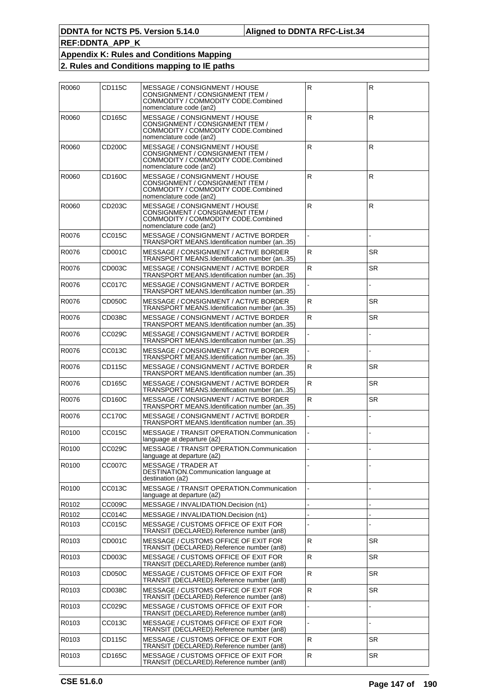| R0060 | CD115C        | MESSAGE / CONSIGNMENT / HOUSE<br>CONSIGNMENT / CONSIGNMENT ITEM /<br>COMMODITY / COMMODITY CODE.Combined<br>nomenclature code (an2) | ${\sf R}$    | $\mathsf R$  |
|-------|---------------|-------------------------------------------------------------------------------------------------------------------------------------|--------------|--------------|
| R0060 | CD165C        | MESSAGE / CONSIGNMENT / HOUSE<br>CONSIGNMENT / CONSIGNMENT ITEM /<br>COMMODITY / COMMODITY CODE.Combined<br>nomenclature code (an2) | $\mathsf{R}$ | $\mathsf{R}$ |
| R0060 | CD200C        | MESSAGE / CONSIGNMENT / HOUSE<br>CONSIGNMENT / CONSIGNMENT ITEM /<br>COMMODITY / COMMODITY CODE.Combined<br>nomenclature code (an2) | $\mathsf{R}$ | R            |
| R0060 | CD160C        | MESSAGE / CONSIGNMENT / HOUSE<br>CONSIGNMENT / CONSIGNMENT ITEM /<br>COMMODITY / COMMODITY CODE.Combined<br>nomenclature code (an2) | ${\sf R}$    | R            |
| R0060 | CD203C        | MESSAGE / CONSIGNMENT / HOUSE<br>CONSIGNMENT / CONSIGNMENT ITEM /<br>COMMODITY / COMMODITY CODE.Combined<br>nomenclature code (an2) | $\mathsf{R}$ | R            |
| R0076 | CC015C        | MESSAGE / CONSIGNMENT / ACTIVE BORDER<br>TRANSPORT MEANS.Identification number (an35)                                               |              |              |
| R0076 | CD001C        | MESSAGE / CONSIGNMENT / ACTIVE BORDER<br>TRANSPORT MEANS.Identification number (an35)                                               | R            | SR.          |
| R0076 | CD003C        | MESSAGE / CONSIGNMENT / ACTIVE BORDER<br>TRANSPORT MEANS.Identification number (an35)                                               | $\mathsf R$  | <b>SR</b>    |
| R0076 | CC017C        | MESSAGE / CONSIGNMENT / ACTIVE BORDER<br>TRANSPORT MEANS.Identification number (an35)                                               |              |              |
| R0076 | CD050C        | MESSAGE / CONSIGNMENT / ACTIVE BORDER<br>TRANSPORT MEANS.Identification number (an35)                                               | $\mathsf{R}$ | SR.          |
| R0076 | CD038C        | MESSAGE / CONSIGNMENT / ACTIVE BORDER<br>TRANSPORT MEANS.Identification number (an35)                                               | $\mathsf{R}$ | <b>SR</b>    |
| R0076 | CC029C        | MESSAGE / CONSIGNMENT / ACTIVE BORDER<br>TRANSPORT MEANS.Identification number (an35)                                               |              |              |
| R0076 | CC013C        | MESSAGE / CONSIGNMENT / ACTIVE BORDER<br>TRANSPORT MEANS.Identification number (an35)                                               |              |              |
| R0076 | CD115C        | MESSAGE / CONSIGNMENT / ACTIVE BORDER<br>TRANSPORT MEANS.Identification number (an35)                                               | R.           | <b>SR</b>    |
| R0076 | CD165C        | MESSAGE / CONSIGNMENT / ACTIVE BORDER<br>TRANSPORT MEANS.Identification number (an35)                                               | R            | SR.          |
| R0076 | CD160C        | MESSAGE / CONSIGNMENT / ACTIVE BORDER<br>TRANSPORT MEANS.Identification number (an35)                                               | $\mathsf{R}$ | SR.          |
| R0076 | CC170C        | MESSAGE / CONSIGNMENT / ACTIVE BORDER<br>TRANSPORT MEANS.Identification number (an35)                                               |              |              |
| R0100 | CC015C        | MESSAGE / TRANSIT OPERATION.Communication<br>language at departure (a2)                                                             |              |              |
| R0100 | <b>CC029C</b> | MESSAGE / TRANSIT OPERATION Communication<br>language at departure (a2)                                                             |              |              |
| R0100 | CC007C        | <b>MESSAGE / TRADER AT</b><br>DESTINATION.Communication language at<br>destination (a2)                                             |              |              |
| R0100 | CC013C        | MESSAGE / TRANSIT OPERATION.Communication<br>language at departure (a2)                                                             |              |              |
| R0102 | CC009C        | MESSAGE / INVALIDATION.Decision (n1)                                                                                                |              |              |
| R0102 | CC014C        | MESSAGE / INVALIDATION. Decision (n1)                                                                                               |              |              |
| R0103 | CC015C        | MESSAGE / CUSTOMS OFFICE OF EXIT FOR<br>TRANSIT (DECLARED).Reference number (an8)                                                   |              |              |
| R0103 | CD001C        | MESSAGE / CUSTOMS OFFICE OF EXIT FOR<br>TRANSIT (DECLARED).Reference number (an8)                                                   | ${\sf R}$    | SR           |
| R0103 | CD003C        | MESSAGE / CUSTOMS OFFICE OF EXIT FOR<br>TRANSIT (DECLARED).Reference number (an8)                                                   | ${\sf R}$    | <b>SR</b>    |
| R0103 | CD050C        | MESSAGE / CUSTOMS OFFICE OF EXIT FOR<br>TRANSIT (DECLARED).Reference number (an8)                                                   | $\mathsf R$  | <b>SR</b>    |
| R0103 | CD038C        | MESSAGE / CUSTOMS OFFICE OF EXIT FOR<br>TRANSIT (DECLARED).Reference number (an8)                                                   | $\mathsf R$  | <b>SR</b>    |
| R0103 | CC029C        | MESSAGE / CUSTOMS OFFICE OF EXIT FOR<br>TRANSIT (DECLARED).Reference number (an8)                                                   |              |              |
| R0103 | CC013C        | MESSAGE / CUSTOMS OFFICE OF EXIT FOR<br>TRANSIT (DECLARED).Reference number (an8)                                                   |              |              |
| R0103 | CD115C        | MESSAGE / CUSTOMS OFFICE OF EXIT FOR<br>TRANSIT (DECLARED).Reference number (an8)                                                   | $\mathsf R$  | <b>SR</b>    |
| R0103 | CD165C        | MESSAGE / CUSTOMS OFFICE OF EXIT FOR<br>TRANSIT (DECLARED).Reference number (an8)                                                   | $\mathsf{R}$ | <b>SR</b>    |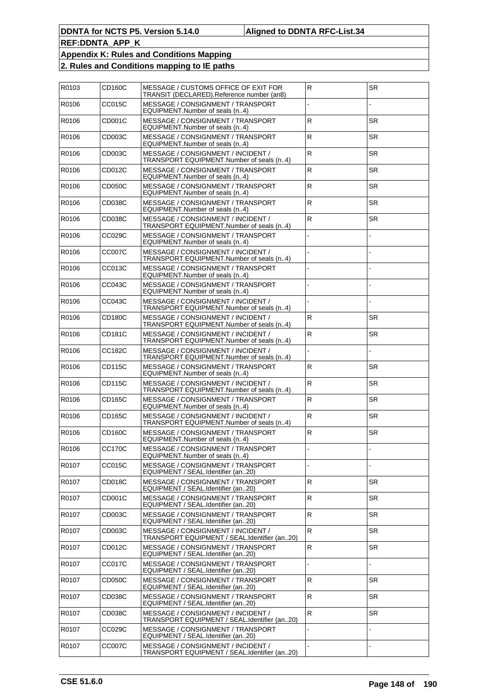| R0103 | CD160C        | MESSAGE / CUSTOMS OFFICE OF EXIT FOR<br>TRANSIT (DECLARED).Reference number (an8)  | $\overline{R}$ | <b>SR</b> |
|-------|---------------|------------------------------------------------------------------------------------|----------------|-----------|
| R0106 | CC015C        | MESSAGE / CONSIGNMENT / TRANSPORT<br>EQUIPMENT.Number of seals (n4)                |                |           |
| R0106 | CD001C        | MESSAGE / CONSIGNMENT / TRANSPORT<br>EQUIPMENT.Number of seals (n4)                | $\mathsf{R}$   | <b>SR</b> |
| R0106 | CD003C        | MESSAGE / CONSIGNMENT / TRANSPORT<br>EQUIPMENT.Number of seals (n4)                | ${\sf R}$      | <b>SR</b> |
| R0106 | CD003C        | MESSAGE / CONSIGNMENT / INCIDENT /<br>TRANSPORT EQUIPMENT.Number of seals (n4)     | $\mathsf{R}$   | SR.       |
| R0106 | CD012C        | MESSAGE / CONSIGNMENT / TRANSPORT<br>EQUIPMENT.Number of seals (n4)                | $\mathsf{R}$   | <b>SR</b> |
| R0106 | CD050C        | MESSAGE / CONSIGNMENT / TRANSPORT<br>EQUIPMENT.Number of seals (n4)                | $\mathsf{R}$   | <b>SR</b> |
| R0106 | CD038C        | MESSAGE / CONSIGNMENT / TRANSPORT<br>EQUIPMENT.Number of seals (n4)                | $\mathsf{R}$   | SR.       |
| R0106 | CD038C        | MESSAGE / CONSIGNMENT / INCIDENT /<br>TRANSPORT EQUIPMENT.Number of seals (n4)     | $\mathsf{R}$   | <b>SR</b> |
| R0106 | CC029C        | MESSAGE / CONSIGNMENT / TRANSPORT<br>EQUIPMENT.Number of seals (n4)                |                |           |
| R0106 | <b>CC007C</b> | MESSAGE / CONSIGNMENT / INCIDENT /<br>TRANSPORT EQUIPMENT.Number of seals (n4)     |                |           |
| R0106 | CC013C        | MESSAGE / CONSIGNMENT / TRANSPORT<br>EQUIPMENT.Number of seals (n4)                |                |           |
| R0106 | CC043C        | MESSAGE / CONSIGNMENT / TRANSPORT<br>EQUIPMENT.Number of seals (n4)                |                |           |
| R0106 | CC043C        | MESSAGE / CONSIGNMENT / INCIDENT /<br>TRANSPORT EQUIPMENT.Number of seals (n4)     |                |           |
| R0106 | CD180C        | MESSAGE / CONSIGNMENT / INCIDENT /<br>TRANSPORT EQUIPMENT.Number of seals (n4)     | R              | <b>SR</b> |
| R0106 | CD181C        | MESSAGE / CONSIGNMENT / INCIDENT /<br>TRANSPORT EQUIPMENT.Number of seals (n4)     | ${\sf R}$      | <b>SR</b> |
| R0106 | CC182C        | MESSAGE / CONSIGNMENT / INCIDENT /<br>TRANSPORT EQUIPMENT.Number of seals (n4)     |                |           |
| R0106 | CD115C        | MESSAGE / CONSIGNMENT / TRANSPORT<br>EQUIPMENT.Number of seals (n4)                | $\mathsf{R}$   | <b>SR</b> |
| R0106 | CD115C        | MESSAGE / CONSIGNMENT / INCIDENT /<br>TRANSPORT EQUIPMENT.Number of seals (n4)     | ${\sf R}$      | <b>SR</b> |
| R0106 | CD165C        | MESSAGE / CONSIGNMENT / TRANSPORT<br>EQUIPMENT.Number of seals (n4)                | $\mathsf{R}$   | SR.       |
| R0106 | CD165C        | MESSAGE / CONSIGNMENT / INCIDENT /<br>TRANSPORT EQUIPMENT.Number of seals (n4)     | ${\sf R}$      | <b>SR</b> |
| R0106 | CD160C        | MESSAGE / CONSIGNMENT / TRANSPORT<br>EQUIPMENT.Number of seals (n4)                | ${\sf R}$      | <b>SR</b> |
| R0106 | <b>CC170C</b> | MESSAGE / CONSIGNMENT / TRANSPORT<br>EQUIPMENT.Number of seals (n4)                |                |           |
| R0107 | CC015C        | MESSAGE / CONSIGNMENT / TRANSPORT<br>EQUIPMENT / SEAL.Identifier (an20)            |                |           |
| R0107 | CD018C        | MESSAGE / CONSIGNMENT / TRANSPORT<br>EQUIPMENT / SEAL.Identifier (an20)            | $\mathsf{R}$   | <b>SR</b> |
| R0107 | CD001C        | MESSAGE / CONSIGNMENT / TRANSPORT<br>EQUIPMENT / SEAL.Identifier (an20)            | $\mathsf{R}$   | SR.       |
| R0107 | CD003C        | MESSAGE / CONSIGNMENT / TRANSPORT<br>EQUIPMENT / SEAL.Identifier (an20)            | ${\sf R}$      | <b>SR</b> |
| R0107 | CD003C        | MESSAGE / CONSIGNMENT / INCIDENT /<br>TRANSPORT EQUIPMENT / SEAL.Identifier (an20) | $\mathsf{R}$   | <b>SR</b> |
| R0107 | CD012C        | MESSAGE / CONSIGNMENT / TRANSPORT<br>EQUIPMENT / SEAL.Identifier (an20)            | $\mathsf{R}$   | SR.       |
| R0107 | <b>CC017C</b> | MESSAGE / CONSIGNMENT / TRANSPORT<br>EQUIPMENT / SEAL.Identifier (an20)            |                |           |
| R0107 | <b>CD050C</b> | MESSAGE / CONSIGNMENT / TRANSPORT<br>EQUIPMENT / SEAL.Identifier (an20)            | ${\sf R}$      | <b>SR</b> |
| R0107 | CD038C        | MESSAGE / CONSIGNMENT / TRANSPORT<br>EQUIPMENT / SEAL.Identifier (an20)            | $\mathsf{R}$   | SR.       |
| R0107 | CD038C        | MESSAGE / CONSIGNMENT / INCIDENT /<br>TRANSPORT EQUIPMENT / SEAL.Identifier (an20) | ${\sf R}$      | <b>SR</b> |
| R0107 | CC029C        | MESSAGE / CONSIGNMENT / TRANSPORT<br>EQUIPMENT / SEAL.Identifier (an20)            |                |           |
| R0107 | CC007C        | MESSAGE / CONSIGNMENT / INCIDENT /<br>TRANSPORT EQUIPMENT / SEAL.Identifier (an20) |                |           |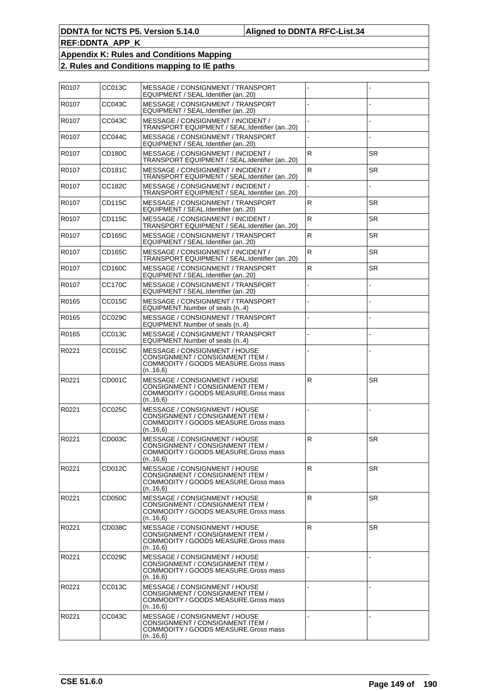| R0107 | CC013C        | MESSAGE / CONSIGNMENT / TRANSPORT<br>EQUIPMENT / SEAL.Identifier (an20)                                                |              |           |
|-------|---------------|------------------------------------------------------------------------------------------------------------------------|--------------|-----------|
| R0107 | CC043C        | MESSAGE / CONSIGNMENT / TRANSPORT<br>EQUIPMENT / SEAL.Identifier (an20)                                                |              |           |
| R0107 | CC043C        | MESSAGE / CONSIGNMENT / INCIDENT /<br>TRANSPORT EQUIPMENT / SEAL.Identifier (an20)                                     |              |           |
| R0107 | <b>CC044C</b> | MESSAGE / CONSIGNMENT / TRANSPORT<br>EQUIPMENT / SEAL.Identifier (an20)                                                |              |           |
| R0107 | <b>CD180C</b> | MESSAGE / CONSIGNMENT / INCIDENT /<br>TRANSPORT EQUIPMENT / SEAL.Identifier (an20)                                     | $\mathsf{R}$ | <b>SR</b> |
| R0107 | CD181C        | MESSAGE / CONSIGNMENT / INCIDENT /<br>TRANSPORT EQUIPMENT / SEAL.Identifier (an20)                                     | $\mathsf R$  | <b>SR</b> |
| R0107 | CC182C        | MESSAGE / CONSIGNMENT / INCIDENT /<br>TRANSPORT EQUIPMENT / SEAL.Identifier (an20)                                     |              |           |
| R0107 | CD115C        | MESSAGE / CONSIGNMENT / TRANSPORT<br>EQUIPMENT / SEAL.Identifier (an20)                                                | $\mathsf{R}$ | <b>SR</b> |
| R0107 | CD115C        | MESSAGE / CONSIGNMENT / INCIDENT /<br>TRANSPORT EQUIPMENT / SEAL.Identifier (an20)                                     | ${\sf R}$    | <b>SR</b> |
| R0107 | CD165C        | MESSAGE / CONSIGNMENT / TRANSPORT<br>EQUIPMENT / SEAL.Identifier (an20)                                                | ${\sf R}$    | <b>SR</b> |
| R0107 | <b>CD165C</b> | MESSAGE / CONSIGNMENT / INCIDENT /<br>TRANSPORT EQUIPMENT / SEAL.Identifier (an20)                                     | $\mathsf{R}$ | <b>SR</b> |
| R0107 | CD160C        | MESSAGE / CONSIGNMENT / TRANSPORT<br>EQUIPMENT / SEAL.Identifier (an20)                                                | $\mathsf{R}$ | <b>SR</b> |
| R0107 | CC170C        | MESSAGE / CONSIGNMENT / TRANSPORT<br>EQUIPMENT / SEAL.Identifier (an20)                                                |              |           |
| R0165 | CC015C        | MESSAGE / CONSIGNMENT / TRANSPORT<br>EQUIPMENT.Number of seals (n4)                                                    |              |           |
| R0165 | CC029C        | MESSAGE / CONSIGNMENT / TRANSPORT<br>EQUIPMENT.Number of seals (n4)                                                    |              |           |
| R0165 | CC013C        | MESSAGE / CONSIGNMENT / TRANSPORT<br>EQUIPMENT.Number of seals (n4)                                                    |              |           |
| R0221 | CC015C        | MESSAGE / CONSIGNMENT / HOUSE<br>CONSIGNMENT / CONSIGNMENT ITEM /<br>COMMODITY / GOODS MEASURE.Gross mass<br>(n.16,6)  |              |           |
| R0221 | CD001C        | MESSAGE / CONSIGNMENT / HOUSE<br>CONSIGNMENT / CONSIGNMENT ITEM /<br>COMMODITY / GOODS MEASURE.Gross mass<br>(n.16,6)  | $\mathsf{R}$ | <b>SR</b> |
| R0221 | <b>CC025C</b> | MESSAGE / CONSIGNMENT / HOUSE<br>CONSIGNMENT / CONSIGNMENT ITEM /<br>COMMODITY / GOODS MEASURE.Gross mass<br>(n.16,6)  |              |           |
| R0221 | CD003C        | MESSAGE / CONSIGNMENT / HOUSE<br>CONSIGNMENT / CONSIGNMENT ITEM /<br>COMMODITY / GOODS MEASURE. Gross mass<br>(n16,6)  | $\mathsf{R}$ | <b>SR</b> |
| R0221 | CD012C        | MESSAGE / CONSIGNMENT / HOUSE<br>CONSIGNMENT / CONSIGNMENT ITEM /<br>COMMODITY / GOODS MEASURE. Gross mass<br>(n16,6)  | R            | <b>SR</b> |
| R0221 | CD050C        | MESSAGE / CONSIGNMENT / HOUSE<br>CONSIGNMENT / CONSIGNMENT ITEM /<br>COMMODITY / GOODS MEASURE. Gross mass<br>(n.16,6) | R            | <b>SR</b> |
| R0221 | CD038C        | MESSAGE / CONSIGNMENT / HOUSE<br>CONSIGNMENT / CONSIGNMENT ITEM /<br>COMMODITY / GOODS MEASURE.Gross mass<br>(n.16,6)  | R            | <b>SR</b> |
| R0221 | CC029C        | MESSAGE / CONSIGNMENT / HOUSE<br>CONSIGNMENT / CONSIGNMENT ITEM /<br>COMMODITY / GOODS MEASURE.Gross mass<br>(n16,6)   |              |           |
| R0221 | CC013C        | MESSAGE / CONSIGNMENT / HOUSE<br>CONSIGNMENT / CONSIGNMENT ITEM /<br>COMMODITY / GOODS MEASURE.Gross mass<br>(n.16,6)  |              |           |
| R0221 | CC043C        | MESSAGE / CONSIGNMENT / HOUSE<br>CONSIGNMENT / CONSIGNMENT ITEM /<br>COMMODITY / GOODS MEASURE.Gross mass<br>(n.16,6)  |              |           |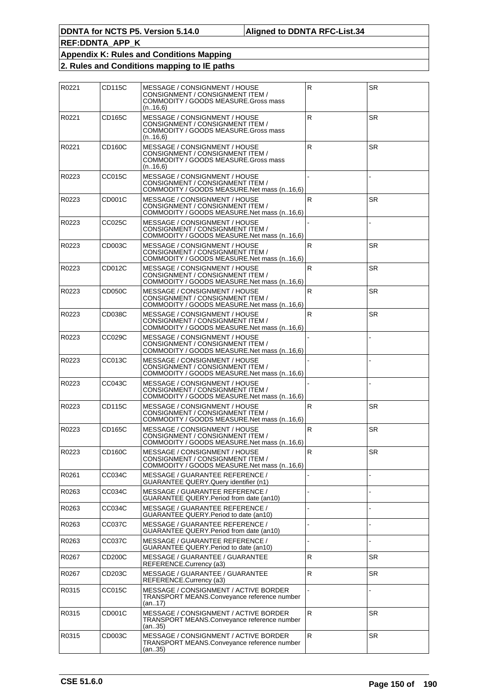| R0221 | CD115C              | MESSAGE / CONSIGNMENT / HOUSE<br>CONSIGNMENT / CONSIGNMENT ITEM /<br>COMMODITY / GOODS MEASURE.Gross mass<br>(n.16,6) | $\mathsf{R}$ | SR.       |
|-------|---------------------|-----------------------------------------------------------------------------------------------------------------------|--------------|-----------|
| R0221 | CD165C              | MESSAGE / CONSIGNMENT / HOUSE<br>CONSIGNMENT / CONSIGNMENT ITEM /<br>COMMODITY / GOODS MEASURE.Gross mass<br>(n.16,6) | $\mathsf{R}$ | <b>SR</b> |
| R0221 | CD160C              | MESSAGE / CONSIGNMENT / HOUSE<br>CONSIGNMENT / CONSIGNMENT ITEM /<br>COMMODITY / GOODS MEASURE.Gross mass<br>(n.16,6) | $\mathsf{R}$ | <b>SR</b> |
| R0223 | CC015C              | MESSAGE / CONSIGNMENT / HOUSE<br>CONSIGNMENT / CONSIGNMENT ITEM /<br>COMMODITY / GOODS MEASURE.Net mass (n16.6)       |              |           |
| R0223 | CD001C              | MESSAGE / CONSIGNMENT / HOUSE<br>CONSIGNMENT / CONSIGNMENT ITEM /<br>COMMODITY / GOODS MEASURE. Net mass (n16,6)      | $\mathsf{R}$ | <b>SR</b> |
| R0223 | CC025C              | MESSAGE / CONSIGNMENT / HOUSE<br>CONSIGNMENT / CONSIGNMENT ITEM /<br>COMMODITY / GOODS MEASURE.Net mass (n16,6)       |              |           |
| R0223 | CD003C              | MESSAGE / CONSIGNMENT / HOUSE<br>CONSIGNMENT / CONSIGNMENT ITEM /<br>COMMODITY / GOODS MEASURE.Net mass (n16.6)       | R.           | <b>SR</b> |
| R0223 | CD012C              | MESSAGE / CONSIGNMENT / HOUSE<br>CONSIGNMENT / CONSIGNMENT ITEM /<br>COMMODITY / GOODS MEASURE. Net mass (n16,6)      | $\mathsf{R}$ | <b>SR</b> |
| R0223 | CD050C              | MESSAGE / CONSIGNMENT / HOUSE<br>CONSIGNMENT / CONSIGNMENT ITEM /<br>COMMODITY / GOODS MEASURE.Net mass (n16,6)       | R            | <b>SR</b> |
| R0223 | CD <sub>038</sub> C | MESSAGE / CONSIGNMENT / HOUSE<br>CONSIGNMENT / CONSIGNMENT ITEM /<br>COMMODITY / GOODS MEASURE.Net mass (n16.6)       | R.           | <b>SR</b> |
| R0223 | CC029C              | MESSAGE / CONSIGNMENT / HOUSE<br>CONSIGNMENT / CONSIGNMENT ITEM /<br>COMMODITY / GOODS MEASURE. Net mass (n16,6)      |              |           |
| R0223 | CC013C              | MESSAGE / CONSIGNMENT / HOUSE<br>CONSIGNMENT / CONSIGNMENT ITEM /<br>COMMODITY / GOODS MEASURE.Net mass (n16.6)       |              |           |
| R0223 | CC043C              | MESSAGE / CONSIGNMENT / HOUSE<br>CONSIGNMENT / CONSIGNMENT ITEM /<br>COMMODITY / GOODS MEASURE.Net mass (n16.6)       |              |           |
| R0223 | CD115C              | MESSAGE / CONSIGNMENT / HOUSE<br>CONSIGNMENT / CONSIGNMENT ITEM /<br>COMMODITY / GOODS MEASURE. Net mass (n16,6)      | $\mathsf{R}$ | <b>SR</b> |
| R0223 | CD165C              | MESSAGE / CONSIGNMENT / HOUSE<br>CONSIGNMENT / CONSIGNMENT ITEM /<br>COMMODITY / GOODS MEASURE.Net mass (n16,6)       | $\mathsf{R}$ | <b>SR</b> |
| R0223 | CD160C              | MESSAGE / CONSIGNMENT / HOUSE<br>CONSIGNMENT / CONSIGNMENT ITEM /<br>COMMODITY / GOODS MEASURE. Net mass (n16,6)      | R            | <b>SR</b> |
| R0261 | CC034C              | MESSAGE / GUARANTEE REFERENCE /<br><b>GUARANTEE QUERY.Query identifier (n1)</b>                                       |              |           |
| R0263 | CC034C              | MESSAGE / GUARANTEE REFERENCE /<br>GUARANTEE QUERY. Period from date (an10)                                           |              |           |
| R0263 | CC034C              | MESSAGE / GUARANTEE REFERENCE /<br>GUARANTEE QUERY. Period to date (an10)                                             |              |           |
| R0263 | CC037C              | MESSAGE / GUARANTEE REFERENCE /<br>GUARANTEE QUERY. Period from date (an10)                                           |              |           |
| R0263 | CC037C              | MESSAGE / GUARANTEE REFERENCE /<br>GUARANTEE QUERY. Period to date (an10)                                             |              |           |
| R0267 | CD200C              | MESSAGE / GUARANTEE / GUARANTEE<br>REFERENCE.Currency (a3)                                                            | ${\sf R}$    | <b>SR</b> |
| R0267 | CD203C              | MESSAGE / GUARANTEE / GUARANTEE<br>REFERENCE.Currency (a3)                                                            | $\mathsf{R}$ | SR.       |
| R0315 | CC015C              | MESSAGE / CONSIGNMENT / ACTIVE BORDER<br>TRANSPORT MEANS.Conveyance reference number<br>(an17)                        |              |           |
| R0315 | CD001C              | MESSAGE / CONSIGNMENT / ACTIVE BORDER<br>TRANSPORT MEANS.Conveyance reference number<br>(an35)                        | $\mathsf{R}$ | <b>SR</b> |
| R0315 | CD003C              | MESSAGE / CONSIGNMENT / ACTIVE BORDER<br>TRANSPORT MEANS.Conveyance reference number<br>(an35)                        | $\mathsf{R}$ | <b>SR</b> |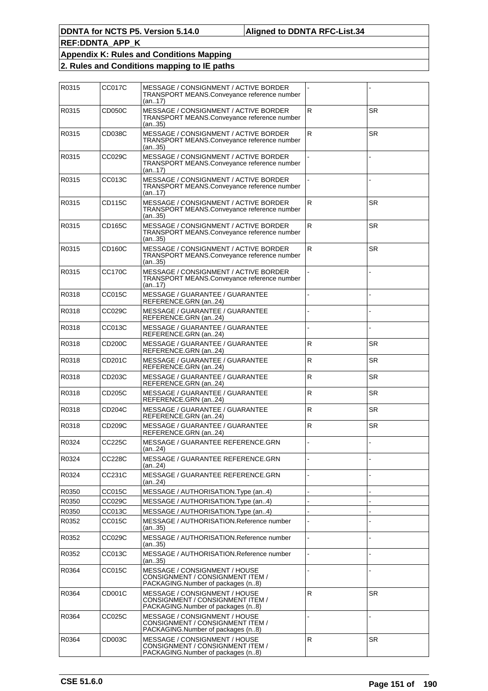| R0315 | CC017C        | MESSAGE / CONSIGNMENT / ACTIVE BORDER<br>TRANSPORT MEANS.Conveyance reference number<br>(an17)         |              |           |
|-------|---------------|--------------------------------------------------------------------------------------------------------|--------------|-----------|
| R0315 | CD050C        | MESSAGE / CONSIGNMENT / ACTIVE BORDER<br>TRANSPORT MEANS.Conveyance reference number<br>(an35)         | $\mathsf{R}$ | <b>SR</b> |
| R0315 | CD038C        | MESSAGE / CONSIGNMENT / ACTIVE BORDER<br>TRANSPORT MEANS.Conveyance reference number<br>(an35)         | ${\sf R}$    | <b>SR</b> |
| R0315 | CC029C        | MESSAGE / CONSIGNMENT / ACTIVE BORDER<br>TRANSPORT MEANS.Conveyance reference number<br>(an17)         |              |           |
| R0315 | CC013C        | MESSAGE / CONSIGNMENT / ACTIVE BORDER<br>TRANSPORT MEANS.Conveyance reference number<br>(an17)         |              |           |
| R0315 | CD115C        | MESSAGE / CONSIGNMENT / ACTIVE BORDER<br>TRANSPORT MEANS.Conveyance reference number<br>(an35)         | $\mathsf{R}$ | <b>SR</b> |
| R0315 | CD165C        | MESSAGE / CONSIGNMENT / ACTIVE BORDER<br>TRANSPORT MEANS.Conveyance reference number<br>(an35)         | R            | <b>SR</b> |
| R0315 | CD160C        | MESSAGE / CONSIGNMENT / ACTIVE BORDER<br>TRANSPORT MEANS.Conveyance reference number<br>(an35)         | $\mathsf{R}$ | <b>SR</b> |
| R0315 | <b>CC170C</b> | MESSAGE / CONSIGNMENT / ACTIVE BORDER<br>TRANSPORT MEANS.Conveyance reference number<br>(an17)         |              |           |
| R0318 | CC015C        | MESSAGE / GUARANTEE / GUARANTEE<br>REFERENCE.GRN (an24)                                                |              |           |
| R0318 | CC029C        | MESSAGE / GUARANTEE / GUARANTEE<br>REFERENCE.GRN (an24)                                                |              |           |
| R0318 | CC013C        | MESSAGE / GUARANTEE / GUARANTEE<br>REFERENCE.GRN (an24)                                                |              |           |
| R0318 | CD200C        | MESSAGE / GUARANTEE / GUARANTEE<br>REFERENCE.GRN (an24)                                                | ${\sf R}$    | <b>SR</b> |
| R0318 | CD201C        | MESSAGE / GUARANTEE / GUARANTEE<br>REFERENCE.GRN (an24)                                                | $\mathsf R$  | <b>SR</b> |
| R0318 | CD203C        | MESSAGE / GUARANTEE / GUARANTEE<br>REFERENCE.GRN (an24)                                                | ${\sf R}$    | <b>SR</b> |
| R0318 | CD205C        | MESSAGE / GUARANTEE / GUARANTEE<br>REFERENCE.GRN (an24)                                                | ${\sf R}$    | <b>SR</b> |
| R0318 | CD204C        | MESSAGE / GUARANTEE / GUARANTEE<br>REFERENCE.GRN (an24)                                                | $\mathsf R$  | <b>SR</b> |
| R0318 | CD209C        | MESSAGE / GUARANTEE / GUARANTEE<br>REFERENCE.GRN (an24)                                                | ${\sf R}$    | <b>SR</b> |
| R0324 | CC225C        | MESSAGE / GUARANTEE REFERENCE.GRN<br>(an24)                                                            |              |           |
| R0324 | <b>CC228C</b> | MESSAGE / GUARANTEE REFERENCE.GRN<br>(an24)                                                            |              |           |
| R0324 | CC231C        | MESSAGE / GUARANTEE REFERENCE.GRN<br>(an24)                                                            |              |           |
| R0350 | CC015C        | MESSAGE / AUTHORISATION. Type (an4)                                                                    |              |           |
| R0350 | CC029C        | MESSAGE / AUTHORISATION. Type (an4)                                                                    |              |           |
| R0350 | CC013C        | MESSAGE / AUTHORISATION. Type (an4)                                                                    |              |           |
| R0352 | CC015C        | MESSAGE / AUTHORISATION.Reference number<br>(an35)                                                     |              |           |
| R0352 | CC029C        | MESSAGE / AUTHORISATION.Reference number<br>(an35)                                                     |              |           |
| R0352 | CC013C        | MESSAGE / AUTHORISATION.Reference number<br>(an35)                                                     |              |           |
| R0364 | CC015C        | MESSAGE / CONSIGNMENT / HOUSE<br>CONSIGNMENT / CONSIGNMENT ITEM /<br>PACKAGING.Number of packages (n8) |              |           |
| R0364 | CD001C        | MESSAGE / CONSIGNMENT / HOUSE<br>CONSIGNMENT / CONSIGNMENT ITEM /<br>PACKAGING.Number of packages (n8) | ${\sf R}$    | <b>SR</b> |
| R0364 | CC025C        | MESSAGE / CONSIGNMENT / HOUSE<br>CONSIGNMENT / CONSIGNMENT ITEM /<br>PACKAGING.Number of packages (n8) |              |           |
| R0364 | CD003C        | MESSAGE / CONSIGNMENT / HOUSE<br>CONSIGNMENT / CONSIGNMENT ITEM /<br>PACKAGING.Number of packages (n8) | $\mathsf R$  | <b>SR</b> |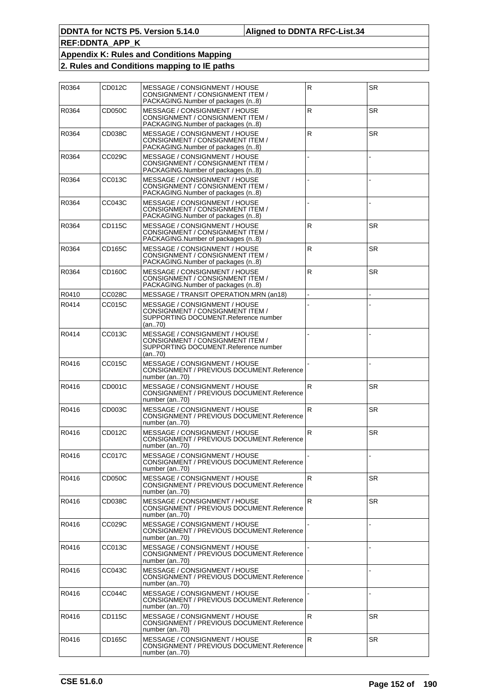| R0364 | CD012C        | MESSAGE / CONSIGNMENT / HOUSE<br>CONSIGNMENT / CONSIGNMENT ITEM /<br>PACKAGING. Number of packages (n8)             | ${\sf R}$    | SR        |
|-------|---------------|---------------------------------------------------------------------------------------------------------------------|--------------|-----------|
| R0364 | CD050C        | MESSAGE / CONSIGNMENT / HOUSE<br>CONSIGNMENT / CONSIGNMENT ITEM /<br>PACKAGING.Number of packages (n8)              | ${\sf R}$    | <b>SR</b> |
| R0364 | CD038C        | MESSAGE / CONSIGNMENT / HOUSE<br>CONSIGNMENT / CONSIGNMENT ITEM /<br>PACKAGING. Number of packages (n8)             | $\mathsf{R}$ | SR        |
| R0364 | <b>CC029C</b> | MESSAGE / CONSIGNMENT / HOUSE<br>CONSIGNMENT / CONSIGNMENT ITEM /<br>PACKAGING. Number of packages (n8)             |              |           |
| R0364 | CC013C        | MESSAGE / CONSIGNMENT / HOUSE<br>CONSIGNMENT / CONSIGNMENT ITEM /<br>PACKAGING. Number of packages (n8)             |              |           |
| R0364 | CC043C        | MESSAGE / CONSIGNMENT / HOUSE<br>CONSIGNMENT / CONSIGNMENT ITEM /<br>PACKAGING. Number of packages (n8)             |              |           |
| R0364 | CD115C        | MESSAGE / CONSIGNMENT / HOUSE<br>CONSIGNMENT / CONSIGNMENT ITEM /<br>PACKAGING. Number of packages (n8)             | $\mathsf{R}$ | SR.       |
| R0364 | CD165C        | MESSAGE / CONSIGNMENT / HOUSE<br>CONSIGNMENT / CONSIGNMENT ITEM /<br>PACKAGING. Number of packages (n8)             | ${\sf R}$    | <b>SR</b> |
| R0364 | CD160C        | MESSAGE / CONSIGNMENT / HOUSE<br>CONSIGNMENT / CONSIGNMENT ITEM /<br>PACKAGING. Number of packages (n8)             | $\mathsf{R}$ | SR        |
| R0410 | <b>CC028C</b> | MESSAGE / TRANSIT OPERATION.MRN (an18)                                                                              |              |           |
| R0414 | CC015C        | MESSAGE / CONSIGNMENT / HOUSE<br>CONSIGNMENT / CONSIGNMENT ITEM /<br>SUPPORTING DOCUMENT.Reference number<br>(an70) |              |           |
| R0414 | CC013C        | MESSAGE / CONSIGNMENT / HOUSE<br>CONSIGNMENT / CONSIGNMENT ITEM /<br>SUPPORTING DOCUMENT Reference number<br>(an70) |              |           |
| R0416 | CC015C        | MESSAGE / CONSIGNMENT / HOUSE<br>CONSIGNMENT / PREVIOUS DOCUMENT.Reference<br>number (an70)                         |              |           |
| R0416 | CD001C        | MESSAGE / CONSIGNMENT / HOUSE<br>CONSIGNMENT / PREVIOUS DOCUMENT.Reference<br>number (an70)                         | $\mathsf R$  | <b>SR</b> |
| R0416 | CD003C        | MESSAGE / CONSIGNMENT / HOUSE<br>CONSIGNMENT / PREVIOUS DOCUMENT.Reference<br>number (an70)                         | $\mathsf{R}$ | SR        |
| R0416 | CD012C        | MESSAGE / CONSIGNMENT / HOUSE<br>CONSIGNMENT / PREVIOUS DOCUMENT.Reference<br>number (an70)                         | R.           | <b>SR</b> |
| R0416 | <b>CC017C</b> | MESSAGE / CONSIGNMENT / HOUSE<br>CONSIGNMENT / PREVIOUS DOCUMENT.Reference<br>number (an70)                         |              |           |
| R0416 | CD050C        | MESSAGE / CONSIGNMENT / HOUSE<br>CONSIGNMENT / PREVIOUS DOCUMENT.Reference<br>number (an70)                         | R            | <b>SR</b> |
| R0416 | CD038C        | MESSAGE / CONSIGNMENT / HOUSE<br>CONSIGNMENT / PREVIOUS DOCUMENT.Reference<br>number (an70)                         | $\mathsf R$  | <b>SR</b> |
| R0416 | <b>CC029C</b> | MESSAGE / CONSIGNMENT / HOUSE<br>CONSIGNMENT / PREVIOUS DOCUMENT.Reference<br>number (an70)                         |              |           |
| R0416 | CC013C        | MESSAGE / CONSIGNMENT / HOUSE<br>CONSIGNMENT / PREVIOUS DOCUMENT.Reference<br>number (an70)                         |              |           |
| R0416 | CC043C        | MESSAGE / CONSIGNMENT / HOUSE<br>CONSIGNMENT / PREVIOUS DOCUMENT.Reference<br>number (an70)                         |              |           |
| R0416 | CC044C        | MESSAGE / CONSIGNMENT / HOUSE<br>CONSIGNMENT / PREVIOUS DOCUMENT.Reference<br>number (an70)                         |              |           |
| R0416 | CD115C        | MESSAGE / CONSIGNMENT / HOUSE<br>CONSIGNMENT / PREVIOUS DOCUMENT.Reference<br>number (an70)                         | R.           | <b>SR</b> |
| R0416 | CD165C        | MESSAGE / CONSIGNMENT / HOUSE<br>CONSIGNMENT / PREVIOUS DOCUMENT.Reference<br>number (an70)                         | $\mathsf R$  | SR.       |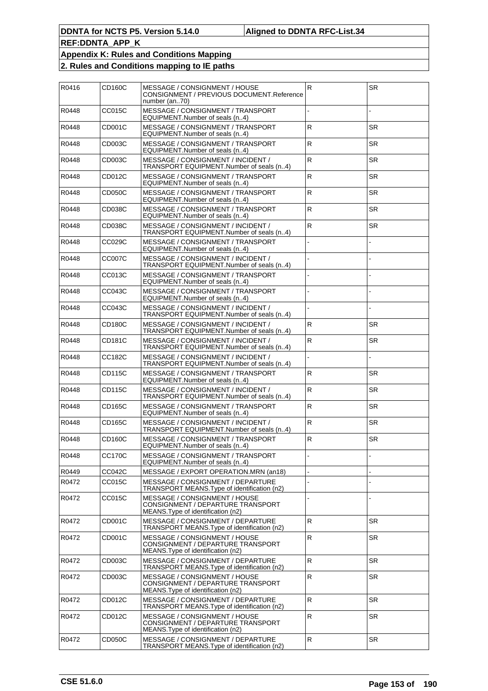| R0416 | CD160C        | MESSAGE / CONSIGNMENT / HOUSE<br>CONSIGNMENT / PREVIOUS DOCUMENT.Reference<br>number (an70)              | R.           | <b>SR</b> |
|-------|---------------|----------------------------------------------------------------------------------------------------------|--------------|-----------|
| R0448 | CC015C        | MESSAGE / CONSIGNMENT / TRANSPORT<br>EQUIPMENT.Number of seals (n4)                                      |              |           |
| R0448 | CD001C        | MESSAGE / CONSIGNMENT / TRANSPORT<br>EQUIPMENT.Number of seals (n4)                                      | $\mathsf{R}$ | SR.       |
| R0448 | CD003C        | MESSAGE / CONSIGNMENT / TRANSPORT<br>EQUIPMENT.Number of seals (n4)                                      | ${\sf R}$    | <b>SR</b> |
| R0448 | CD003C        | MESSAGE / CONSIGNMENT / INCIDENT /<br>TRANSPORT EQUIPMENT.Number of seals (n4)                           | $\mathsf{R}$ | <b>SR</b> |
| R0448 | CD012C        | MESSAGE / CONSIGNMENT / TRANSPORT<br>EQUIPMENT.Number of seals (n4)                                      | R            | SR        |
| R0448 | CD050C        | MESSAGE / CONSIGNMENT / TRANSPORT<br>EQUIPMENT.Number of seals (n4)                                      | ${\sf R}$    | <b>SR</b> |
| R0448 | CD038C        | MESSAGE / CONSIGNMENT / TRANSPORT<br>EQUIPMENT.Number of seals (n4)                                      | $\mathsf{R}$ | <b>SR</b> |
| R0448 | CD038C        | MESSAGE / CONSIGNMENT / INCIDENT /<br>TRANSPORT EQUIPMENT.Number of seals (n4)                           | R            | SR        |
| R0448 | <b>CC029C</b> | MESSAGE / CONSIGNMENT / TRANSPORT<br>EQUIPMENT.Number of seals (n4)                                      |              |           |
| R0448 | <b>CC007C</b> | MESSAGE / CONSIGNMENT / INCIDENT /<br>TRANSPORT EQUIPMENT.Number of seals (n4)                           |              |           |
| R0448 | CC013C        | MESSAGE / CONSIGNMENT / TRANSPORT<br>EQUIPMENT.Number of seals (n4)                                      |              |           |
| R0448 | CC043C        | MESSAGE / CONSIGNMENT / TRANSPORT<br>EQUIPMENT.Number of seals (n4)                                      |              |           |
| R0448 | CC043C        | MESSAGE / CONSIGNMENT / INCIDENT /<br>TRANSPORT EQUIPMENT.Number of seals (n4)                           |              |           |
| R0448 | <b>CD180C</b> | MESSAGE / CONSIGNMENT / INCIDENT /<br>TRANSPORT EQUIPMENT.Number of seals (n4)                           | R            | <b>SR</b> |
| R0448 | CD181C        | MESSAGE / CONSIGNMENT / INCIDENT /<br>TRANSPORT EQUIPMENT.Number of seals (n4)                           | R            | <b>SR</b> |
| R0448 | CC182C        | MESSAGE / CONSIGNMENT / INCIDENT /<br>TRANSPORT EQUIPMENT.Number of seals (n4)                           |              |           |
| R0448 | CD115C        | MESSAGE / CONSIGNMENT / TRANSPORT<br>EQUIPMENT.Number of seals (n4)                                      | R            | <b>SR</b> |
| R0448 | CD115C        | MESSAGE / CONSIGNMENT / INCIDENT /<br>TRANSPORT EQUIPMENT.Number of seals (n4)                           | $\mathsf R$  | <b>SR</b> |
| R0448 | CD165C        | MESSAGE / CONSIGNMENT / TRANSPORT<br>EQUIPMENT.Number of seals (n4)                                      | ${\sf R}$    | <b>SR</b> |
| R0448 | CD165C        | MESSAGE / CONSIGNMENT / INCIDENT /<br>TRANSPORT EQUIPMENT.Number of seals (n4)                           | $\mathsf R$  | <b>SR</b> |
| R0448 | CD160C        | MESSAGE / CONSIGNMENT / TRANSPORT<br>EQUIPMENT.Number of seals (n4)                                      | $\mathsf{R}$ | <b>SR</b> |
| R0448 | <b>CC170C</b> | MESSAGE / CONSIGNMENT / TRANSPORT<br>EQUIPMENT.Number of seals (n4)                                      |              |           |
| R0449 | CC042C        | MESSAGE / EXPORT OPERATION.MRN (an18)                                                                    |              |           |
| R0472 | <b>CC015C</b> | MESSAGE / CONSIGNMENT / DEPARTURE<br>TRANSPORT MEANS. Type of identification (n2)                        |              |           |
| R0472 | CC015C        | MESSAGE / CONSIGNMENT / HOUSE<br>CONSIGNMENT / DEPARTURE TRANSPORT<br>MEANS. Type of identification (n2) |              |           |
| R0472 | CD001C        | MESSAGE / CONSIGNMENT / DEPARTURE<br>TRANSPORT MEANS. Type of identification (n2)                        | $\mathsf{R}$ | <b>SR</b> |
| R0472 | CD001C        | MESSAGE / CONSIGNMENT / HOUSE<br>CONSIGNMENT / DEPARTURE TRANSPORT<br>MEANS. Type of identification (n2) | ${\sf R}$    | <b>SR</b> |
| R0472 | CD003C        | MESSAGE / CONSIGNMENT / DEPARTURE<br>TRANSPORT MEANS. Type of identification (n2)                        | R            | <b>SR</b> |
| R0472 | CD003C        | MESSAGE / CONSIGNMENT / HOUSE<br>CONSIGNMENT / DEPARTURE TRANSPORT<br>MEANS. Type of identification (n2) | ${\sf R}$    | <b>SR</b> |
| R0472 | CD012C        | MESSAGE / CONSIGNMENT / DEPARTURE<br>TRANSPORT MEANS. Type of identification (n2)                        | R            | <b>SR</b> |
| R0472 | CD012C        | MESSAGE / CONSIGNMENT / HOUSE<br>CONSIGNMENT / DEPARTURE TRANSPORT<br>MEANS. Type of identification (n2) | ${\sf R}$    | <b>SR</b> |
| R0472 | CD050C        | MESSAGE / CONSIGNMENT / DEPARTURE<br>TRANSPORT MEANS. Type of identification (n2)                        | R            | SR        |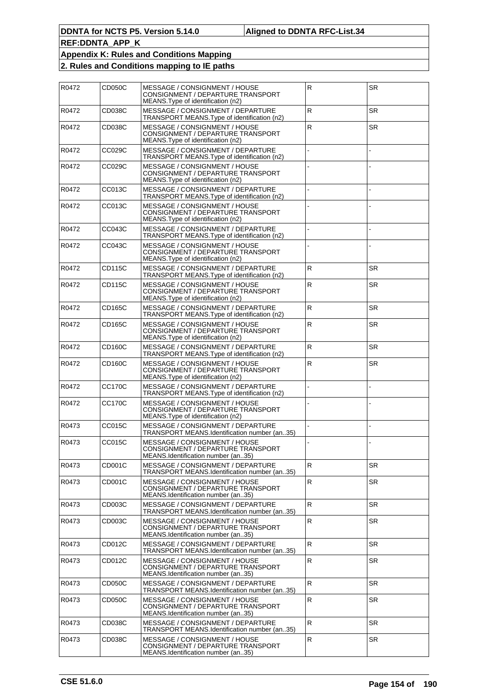| R0472 | CD050C | MESSAGE / CONSIGNMENT / HOUSE<br>CONSIGNMENT / DEPARTURE TRANSPORT<br>MEANS. Type of identification (n2) | R              | <b>SR</b> |
|-------|--------|----------------------------------------------------------------------------------------------------------|----------------|-----------|
| R0472 | CD038C | MESSAGE / CONSIGNMENT / DEPARTURE<br>TRANSPORT MEANS. Type of identification (n2)                        | R              | <b>SR</b> |
| R0472 | CD038C | MESSAGE / CONSIGNMENT / HOUSE<br>CONSIGNMENT / DEPARTURE TRANSPORT<br>MEANS. Type of identification (n2) | $\mathsf{R}$   | SR.       |
| R0472 | CC029C | MESSAGE / CONSIGNMENT / DEPARTURE<br>TRANSPORT MEANS. Type of identification (n2)                        |                |           |
| R0472 | CC029C | MESSAGE / CONSIGNMENT / HOUSE<br>CONSIGNMENT / DEPARTURE TRANSPORT<br>MEANS. Type of identification (n2) |                |           |
| R0472 | CC013C | MESSAGE / CONSIGNMENT / DEPARTURE<br>TRANSPORT MEANS. Type of identification (n2)                        |                |           |
| R0472 | CC013C | MESSAGE / CONSIGNMENT / HOUSE<br>CONSIGNMENT / DEPARTURE TRANSPORT<br>MEANS. Type of identification (n2) |                |           |
| R0472 | CC043C | MESSAGE / CONSIGNMENT / DEPARTURE<br>TRANSPORT MEANS. Type of identification (n2)                        |                |           |
| R0472 | CC043C | MESSAGE / CONSIGNMENT / HOUSE<br>CONSIGNMENT / DEPARTURE TRANSPORT<br>MEANS. Type of identification (n2) |                |           |
| R0472 | CD115C | MESSAGE / CONSIGNMENT / DEPARTURE<br>TRANSPORT MEANS. Type of identification (n2)                        | R              | <b>SR</b> |
| R0472 | CD115C | MESSAGE / CONSIGNMENT / HOUSE<br>CONSIGNMENT / DEPARTURE TRANSPORT<br>MEANS. Type of identification (n2) | $\mathsf{R}$   | <b>SR</b> |
| R0472 | CD165C | MESSAGE / CONSIGNMENT / DEPARTURE<br>TRANSPORT MEANS. Type of identification (n2)                        | R              | <b>SR</b> |
| R0472 | CD165C | MESSAGE / CONSIGNMENT / HOUSE<br>CONSIGNMENT / DEPARTURE TRANSPORT<br>MEANS. Type of identification (n2) | $\mathsf{R}$   | <b>SR</b> |
| R0472 | CD160C | MESSAGE / CONSIGNMENT / DEPARTURE<br>TRANSPORT MEANS. Type of identification (n2)                        | R              | <b>SR</b> |
| R0472 | CD160C | MESSAGE / CONSIGNMENT / HOUSE<br>CONSIGNMENT / DEPARTURE TRANSPORT<br>MEANS. Type of identification (n2) | $\mathsf{R}$   | <b>SR</b> |
| R0472 | CC170C | MESSAGE / CONSIGNMENT / DEPARTURE<br>TRANSPORT MEANS. Type of identification (n2)                        |                |           |
| R0472 | CC170C | MESSAGE / CONSIGNMENT / HOUSE<br>CONSIGNMENT / DEPARTURE TRANSPORT<br>MEANS. Type of identification (n2) |                |           |
| R0473 | CC015C | MESSAGE / CONSIGNMENT / DEPARTURE<br>TRANSPORT MEANS.Identification number (an35)                        |                |           |
| R0473 | CC015C | MESSAGE / CONSIGNMENT / HOUSE<br>CONSIGNMENT / DEPARTURE TRANSPORT<br>MEANS.Identification number (an35) |                |           |
| R0473 | CD001C | MESSAGE / CONSIGNMENT / DEPARTURE<br>TRANSPORT MEANS.Identification number (an35)                        | R              | <b>SR</b> |
| R0473 | CD001C | MESSAGE / CONSIGNMENT / HOUSE<br>CONSIGNMENT / DEPARTURE TRANSPORT<br>MEANS.Identification number (an35) | $\overline{R}$ | SR.       |
| R0473 | CD003C | MESSAGE / CONSIGNMENT / DEPARTURE<br>TRANSPORT MEANS.Identification number (an35)                        | R              | <b>SR</b> |
| R0473 | CD003C | MESSAGE / CONSIGNMENT / HOUSE<br>CONSIGNMENT / DEPARTURE TRANSPORT<br>MEANS.Identification number (an35) | $\mathsf{R}$   | SR        |
| R0473 | CD012C | MESSAGE / CONSIGNMENT / DEPARTURE<br>TRANSPORT MEANS.Identification number (an35)                        | R              | <b>SR</b> |
| R0473 | CD012C | MESSAGE / CONSIGNMENT / HOUSE<br>CONSIGNMENT / DEPARTURE TRANSPORT<br>MEANS.Identification number (an35) | $\mathsf{R}$   | <b>SR</b> |
| R0473 | CD050C | MESSAGE / CONSIGNMENT / DEPARTURE<br>TRANSPORT MEANS.Identification number (an35)                        | R              | <b>SR</b> |
| R0473 | CD050C | MESSAGE / CONSIGNMENT / HOUSE<br>CONSIGNMENT / DEPARTURE TRANSPORT<br>MEANS.Identification number (an35) | $\mathsf{R}$   | <b>SR</b> |
| R0473 | CD038C | MESSAGE / CONSIGNMENT / DEPARTURE<br>TRANSPORT MEANS.Identification number (an35)                        | R              | <b>SR</b> |
| R0473 | CD038C | MESSAGE / CONSIGNMENT / HOUSE<br>CONSIGNMENT / DEPARTURE TRANSPORT<br>MEANS.Identification number (an35) | $\mathsf R$    | <b>SR</b> |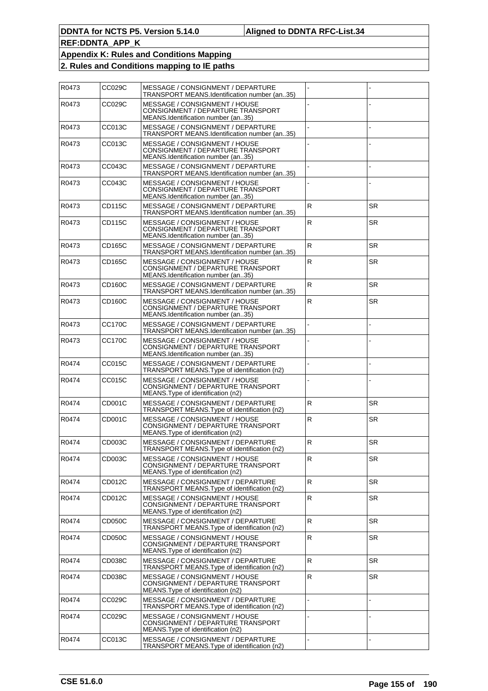| R0473 | CC029C | MESSAGE / CONSIGNMENT / DEPARTURE<br>TRANSPORT MEANS.Identification number (an35)                        |              |           |
|-------|--------|----------------------------------------------------------------------------------------------------------|--------------|-----------|
| R0473 | CC029C | MESSAGE / CONSIGNMENT / HOUSE<br>CONSIGNMENT / DEPARTURE TRANSPORT<br>MEANS.Identification number (an35) |              |           |
| R0473 | CC013C | MESSAGE / CONSIGNMENT / DEPARTURE<br>TRANSPORT MEANS.Identification number (an35)                        |              |           |
| R0473 | CC013C | MESSAGE / CONSIGNMENT / HOUSE<br>CONSIGNMENT / DEPARTURE TRANSPORT<br>MEANS.Identification number (an35) |              |           |
| R0473 | CC043C | MESSAGE / CONSIGNMENT / DEPARTURE<br>TRANSPORT MEANS.Identification number (an35)                        |              |           |
| R0473 | CC043C | MESSAGE / CONSIGNMENT / HOUSE<br>CONSIGNMENT / DEPARTURE TRANSPORT<br>MEANS.Identification number (an35) |              |           |
| R0473 | CD115C | MESSAGE / CONSIGNMENT / DEPARTURE<br>TRANSPORT MEANS.Identification number (an35)                        | R            | <b>SR</b> |
| R0473 | CD115C | MESSAGE / CONSIGNMENT / HOUSE<br>CONSIGNMENT / DEPARTURE TRANSPORT<br>MEANS.Identification number (an35) | R            | <b>SR</b> |
| R0473 | CD165C | MESSAGE / CONSIGNMENT / DEPARTURE<br>TRANSPORT MEANS.Identification number (an35)                        | $\mathsf{R}$ | <b>SR</b> |
| R0473 | CD165C | MESSAGE / CONSIGNMENT / HOUSE<br>CONSIGNMENT / DEPARTURE TRANSPORT<br>MEANS.Identification number (an35) | R            | <b>SR</b> |
| R0473 | CD160C | MESSAGE / CONSIGNMENT / DEPARTURE<br>TRANSPORT MEANS.Identification number (an35)                        | $\mathsf{R}$ | <b>SR</b> |
| R0473 | CD160C | MESSAGE / CONSIGNMENT / HOUSE<br>CONSIGNMENT / DEPARTURE TRANSPORT<br>MEANS.Identification number (an35) | R            | <b>SR</b> |
| R0473 | CC170C | MESSAGE / CONSIGNMENT / DEPARTURE<br>TRANSPORT MEANS.Identification number (an35)                        |              |           |
| R0473 | CC170C | MESSAGE / CONSIGNMENT / HOUSE<br>CONSIGNMENT / DEPARTURE TRANSPORT<br>MEANS.Identification number (an35) |              |           |
| R0474 | CC015C | MESSAGE / CONSIGNMENT / DEPARTURE<br>TRANSPORT MEANS. Type of identification (n2)                        |              |           |
| R0474 | CC015C | MESSAGE / CONSIGNMENT / HOUSE<br>CONSIGNMENT / DEPARTURE TRANSPORT<br>MEANS. Type of identification (n2) |              |           |
| R0474 | CD001C | MESSAGE / CONSIGNMENT / DEPARTURE<br>TRANSPORT MEANS. Type of identification (n2)                        | $\mathsf{R}$ | <b>SR</b> |
| R0474 | CD001C | MESSAGE / CONSIGNMENT / HOUSE<br>CONSIGNMENT / DEPARTURE TRANSPORT<br>MEANS. Type of identification (n2) | $\mathsf R$  | <b>SR</b> |
| R0474 | CD003C | MESSAGE / CONSIGNMENT / DEPARTURE<br>TRANSPORT MEANS. Type of identification (n2)                        | ${\sf R}$    | <b>SR</b> |
| R0474 | CD003C | MESSAGE / CONSIGNMENT / HOUSE<br>CONSIGNMENT / DEPARTURE TRANSPORT<br>MEANS. Type of identification (n2) | R            | SR        |
| R0474 | CD012C | MESSAGE / CONSIGNMENT / DEPARTURE<br>TRANSPORT MEANS. Type of identification (n2)                        | $\mathsf{R}$ | <b>SR</b> |
| R0474 | CD012C | MESSAGE / CONSIGNMENT / HOUSE<br>CONSIGNMENT / DEPARTURE TRANSPORT<br>MEANS. Type of identification (n2) | $\mathsf R$  | <b>SR</b> |
| R0474 | CD050C | MESSAGE / CONSIGNMENT / DEPARTURE<br>TRANSPORT MEANS. Type of identification (n2)                        | $\mathsf{R}$ | <b>SR</b> |
| R0474 | CD050C | MESSAGE / CONSIGNMENT / HOUSE<br>CONSIGNMENT / DEPARTURE TRANSPORT<br>MEANS. Type of identification (n2) | $\mathsf R$  | <b>SR</b> |
| R0474 | CD038C | MESSAGE / CONSIGNMENT / DEPARTURE<br>TRANSPORT MEANS. Type of identification (n2)                        | $\mathsf{R}$ | <b>SR</b> |
| R0474 | CD038C | MESSAGE / CONSIGNMENT / HOUSE<br>CONSIGNMENT / DEPARTURE TRANSPORT<br>MEANS. Type of identification (n2) | $\mathsf R$  | <b>SR</b> |
| R0474 | CC029C | MESSAGE / CONSIGNMENT / DEPARTURE<br>TRANSPORT MEANS. Type of identification (n2)                        |              |           |
| R0474 | CC029C | MESSAGE / CONSIGNMENT / HOUSE<br>CONSIGNMENT / DEPARTURE TRANSPORT<br>MEANS. Type of identification (n2) |              |           |
| R0474 | CC013C | MESSAGE / CONSIGNMENT / DEPARTURE<br>TRANSPORT MEANS. Type of identification (n2)                        |              |           |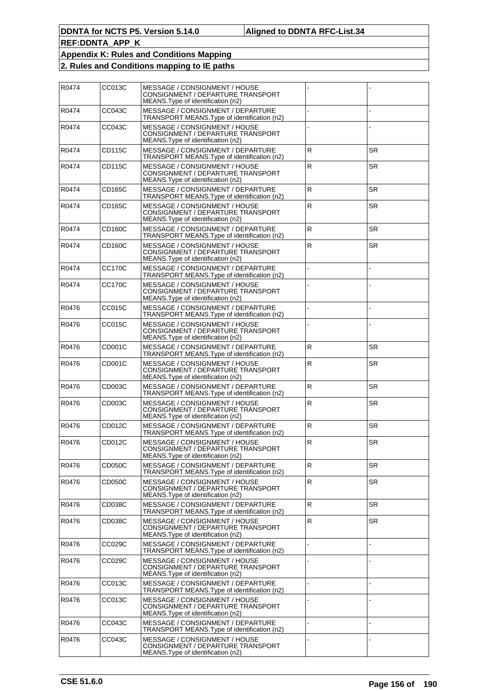| R0474 | CC013C        | MESSAGE / CONSIGNMENT / HOUSE<br>CONSIGNMENT / DEPARTURE TRANSPORT<br>MEANS. Type of identification (n2) |              |           |
|-------|---------------|----------------------------------------------------------------------------------------------------------|--------------|-----------|
| R0474 | CC043C        | MESSAGE / CONSIGNMENT / DEPARTURE<br>TRANSPORT MEANS. Type of identification (n2)                        |              |           |
| R0474 | CC043C        | MESSAGE / CONSIGNMENT / HOUSE<br>CONSIGNMENT / DEPARTURE TRANSPORT<br>MEANS. Type of identification (n2) |              |           |
| R0474 | CD115C        | MESSAGE / CONSIGNMENT / DEPARTURE<br>TRANSPORT MEANS. Type of identification (n2)                        | $\mathsf{R}$ | <b>SR</b> |
| R0474 | CD115C        | MESSAGE / CONSIGNMENT / HOUSE<br>CONSIGNMENT / DEPARTURE TRANSPORT<br>MEANS. Type of identification (n2) | $\mathsf{R}$ | <b>SR</b> |
| R0474 | CD165C        | MESSAGE / CONSIGNMENT / DEPARTURE<br>TRANSPORT MEANS. Type of identification (n2)                        | $\mathsf{R}$ | <b>SR</b> |
| R0474 | CD165C        | MESSAGE / CONSIGNMENT / HOUSE<br>CONSIGNMENT / DEPARTURE TRANSPORT<br>MEANS. Type of identification (n2) | $\mathsf{R}$ | SR        |
| R0474 | CD160C        | MESSAGE / CONSIGNMENT / DEPARTURE<br>TRANSPORT MEANS. Type of identification (n2)                        | $\mathsf{R}$ | <b>SR</b> |
| R0474 | CD160C        | MESSAGE / CONSIGNMENT / HOUSE<br>CONSIGNMENT / DEPARTURE TRANSPORT<br>MEANS. Type of identification (n2) | $\mathsf{R}$ | SR        |
| R0474 | <b>CC170C</b> | MESSAGE / CONSIGNMENT / DEPARTURE<br>TRANSPORT MEANS. Type of identification (n2)                        |              |           |
| R0474 | <b>CC170C</b> | MESSAGE / CONSIGNMENT / HOUSE<br>CONSIGNMENT / DEPARTURE TRANSPORT<br>MEANS. Type of identification (n2) |              |           |
| R0476 | CC015C        | MESSAGE / CONSIGNMENT / DEPARTURE<br>TRANSPORT MEANS. Type of identification (n2)                        |              |           |
| R0476 | CC015C        | MESSAGE / CONSIGNMENT / HOUSE<br>CONSIGNMENT / DEPARTURE TRANSPORT<br>MEANS. Type of identification (n2) |              |           |
| R0476 | CD001C        | MESSAGE / CONSIGNMENT / DEPARTURE<br>TRANSPORT MEANS. Type of identification (n2)                        | $\mathsf{R}$ | <b>SR</b> |
| R0476 | CD001C        | MESSAGE / CONSIGNMENT / HOUSE<br>CONSIGNMENT / DEPARTURE TRANSPORT<br>MEANS. Type of identification (n2) | $\mathsf{R}$ | <b>SR</b> |
| R0476 | CD003C        | MESSAGE / CONSIGNMENT / DEPARTURE<br>TRANSPORT MEANS. Type of identification (n2)                        | $\mathsf{R}$ | <b>SR</b> |
| R0476 | CD003C        | MESSAGE / CONSIGNMENT / HOUSE<br>CONSIGNMENT / DEPARTURE TRANSPORT<br>MEANS. Type of identification (n2) | $\mathsf{R}$ | <b>SR</b> |
| R0476 | CD012C        | MESSAGE / CONSIGNMENT / DEPARTURE<br>TRANSPORT MEANS. Type of identification (n2)                        | $\mathsf{R}$ | <b>SR</b> |
| R0476 | CD012C        | MESSAGE / CONSIGNMENT / HOUSE<br>CONSIGNMENT / DEPARTURE TRANSPORT<br>MEANS. Type of identification (n2) | ${\sf R}$    | SR        |
| R0476 | CD050C        | MESSAGE / CONSIGNMENT / DEPARTURE<br>TRANSPORT MEANS. Type of identification (n2)                        | R            | <b>SR</b> |
| R0476 | <b>CD050C</b> | MESSAGE / CONSIGNMENT / HOUSE<br>CONSIGNMENT / DEPARTURE TRANSPORT<br>MEANS. Type of identification (n2) | ${\sf R}$    | <b>SR</b> |
| R0476 | CD038C        | MESSAGE / CONSIGNMENT / DEPARTURE<br>TRANSPORT MEANS. Type of identification (n2)                        | $\mathsf{R}$ | <b>SR</b> |
| R0476 | CD038C        | MESSAGE / CONSIGNMENT / HOUSE<br>CONSIGNMENT / DEPARTURE TRANSPORT<br>MEANS. Type of identification (n2) | $\mathsf{R}$ | <b>SR</b> |
| R0476 | CC029C        | MESSAGE / CONSIGNMENT / DEPARTURE<br>TRANSPORT MEANS. Type of identification (n2)                        |              |           |
| R0476 | CC029C        | MESSAGE / CONSIGNMENT / HOUSE<br>CONSIGNMENT / DEPARTURE TRANSPORT<br>MEANS. Type of identification (n2) |              |           |
| R0476 | CC013C        | MESSAGE / CONSIGNMENT / DEPARTURE<br>TRANSPORT MEANS. Type of identification (n2)                        |              |           |
| R0476 | CC013C        | MESSAGE / CONSIGNMENT / HOUSE<br>CONSIGNMENT / DEPARTURE TRANSPORT<br>MEANS. Type of identification (n2) |              |           |
| R0476 | CC043C        | MESSAGE / CONSIGNMENT / DEPARTURE<br>TRANSPORT MEANS. Type of identification (n2)                        |              |           |
| R0476 | CC043C        | MESSAGE / CONSIGNMENT / HOUSE<br>CONSIGNMENT / DEPARTURE TRANSPORT<br>MEANS. Type of identification (n2) |              |           |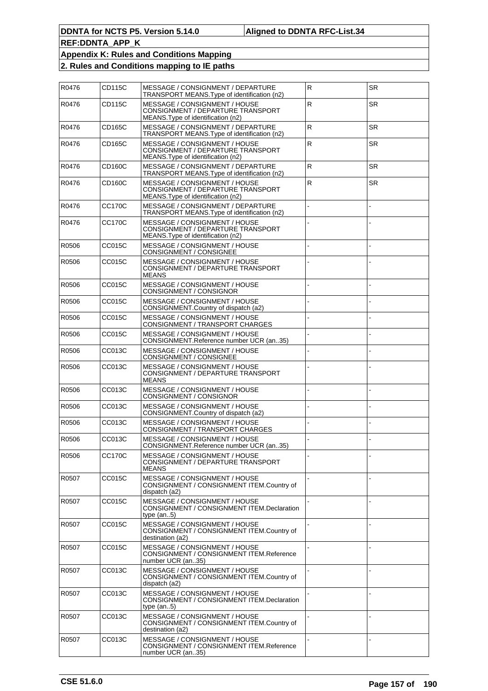| R0476 | CD115C | MESSAGE / CONSIGNMENT / DEPARTURE<br>TRANSPORT MEANS. Type of identification (n2)                        | $\mathsf R$  | <b>SR</b> |
|-------|--------|----------------------------------------------------------------------------------------------------------|--------------|-----------|
| R0476 | CD115C | MESSAGE / CONSIGNMENT / HOUSE<br>CONSIGNMENT / DEPARTURE TRANSPORT<br>MEANS. Type of identification (n2) | $\mathsf R$  | <b>SR</b> |
| R0476 | CD165C | MESSAGE / CONSIGNMENT / DEPARTURE<br>TRANSPORT MEANS. Type of identification (n2)                        | $\mathsf{R}$ | <b>SR</b> |
| R0476 | CD165C | MESSAGE / CONSIGNMENT / HOUSE<br>CONSIGNMENT / DEPARTURE TRANSPORT<br>MEANS. Type of identification (n2) | $\mathsf R$  | SR.       |
| R0476 | CD160C | MESSAGE / CONSIGNMENT / DEPARTURE<br>TRANSPORT MEANS. Type of identification (n2)                        | $\mathsf{R}$ | <b>SR</b> |
| R0476 | CD160C | MESSAGE / CONSIGNMENT / HOUSE<br>CONSIGNMENT / DEPARTURE TRANSPORT<br>MEANS. Type of identification (n2) | ${\sf R}$    | SR.       |
| R0476 | CC170C | MESSAGE / CONSIGNMENT / DEPARTURE<br>TRANSPORT MEANS. Type of identification (n2)                        |              |           |
| R0476 | CC170C | MESSAGE / CONSIGNMENT / HOUSE<br>CONSIGNMENT / DEPARTURE TRANSPORT<br>MEANS. Type of identification (n2) |              |           |
| R0506 | CC015C | MESSAGE / CONSIGNMENT / HOUSE<br>CONSIGNMENT / CONSIGNEE                                                 |              |           |
| R0506 | CC015C | MESSAGE / CONSIGNMENT / HOUSE<br>CONSIGNMENT / DEPARTURE TRANSPORT<br><b>MEANS</b>                       |              |           |
| R0506 | CC015C | MESSAGE / CONSIGNMENT / HOUSE<br>CONSIGNMENT / CONSIGNOR                                                 |              |           |
| R0506 | CC015C | MESSAGE / CONSIGNMENT / HOUSE<br>CONSIGNMENT.Country of dispatch (a2)                                    |              |           |
| R0506 | CC015C | MESSAGE / CONSIGNMENT / HOUSE<br>CONSIGNMENT / TRANSPORT CHARGES                                         |              |           |
| R0506 | CC015C | MESSAGE / CONSIGNMENT / HOUSE<br>CONSIGNMENT.Reference number UCR (an35)                                 |              |           |
| R0506 | CC013C | MESSAGE / CONSIGNMENT / HOUSE<br>CONSIGNMENT / CONSIGNEE                                                 |              |           |
| R0506 | CC013C | MESSAGE / CONSIGNMENT / HOUSE<br>CONSIGNMENT / DEPARTURE TRANSPORT<br><b>MEANS</b>                       |              |           |
| R0506 | CC013C | MESSAGE / CONSIGNMENT / HOUSE<br>CONSIGNMENT / CONSIGNOR                                                 |              |           |
| R0506 | CC013C | MESSAGE / CONSIGNMENT / HOUSE<br>CONSIGNMENT.Country of dispatch (a2)                                    |              |           |
| R0506 | CC013C | MESSAGE / CONSIGNMENT / HOUSE<br>CONSIGNMENT / TRANSPORT CHARGES                                         |              |           |
| R0506 | CC013C | MESSAGE / CONSIGNMENT / HOUSE<br>CONSIGNMENT.Reference number UCR (an35)                                 |              |           |
| R0506 | CC170C | MESSAGE / CONSIGNMENT / HOUSE<br>CONSIGNMENT / DEPARTURE TRANSPORT<br><b>MEANS</b>                       |              |           |
| R0507 | CC015C | MESSAGE / CONSIGNMENT / HOUSE<br>CONSIGNMENT / CONSIGNMENT ITEM.Country of<br>dispatch (a2)              |              |           |
| R0507 | CC015C | MESSAGE / CONSIGNMENT / HOUSE<br>CONSIGNMENT / CONSIGNMENT ITEM.Declaration<br>type $(an5)$              |              |           |
| R0507 | CC015C | MESSAGE / CONSIGNMENT / HOUSE<br>CONSIGNMENT / CONSIGNMENT ITEM.Country of<br>destination (a2)           |              |           |
| R0507 | CC015C | MESSAGE / CONSIGNMENT / HOUSE<br>CONSIGNMENT / CONSIGNMENT ITEM.Reference<br>number UCR (an35)           |              |           |
| R0507 | CC013C | MESSAGE / CONSIGNMENT / HOUSE<br>CONSIGNMENT / CONSIGNMENT ITEM.Country of<br>dispatch (a2)              |              |           |
| R0507 | CC013C | MESSAGE / CONSIGNMENT / HOUSE<br>CONSIGNMENT / CONSIGNMENT ITEM.Declaration<br>type $(an.5)$             |              |           |
| R0507 | CC013C | MESSAGE / CONSIGNMENT / HOUSE<br>CONSIGNMENT / CONSIGNMENT ITEM.Country of<br>destination (a2)           |              |           |
| R0507 | CC013C | MESSAGE / CONSIGNMENT / HOUSE<br>CONSIGNMENT / CONSIGNMENT ITEM.Reference<br>number UCR (an35)           |              |           |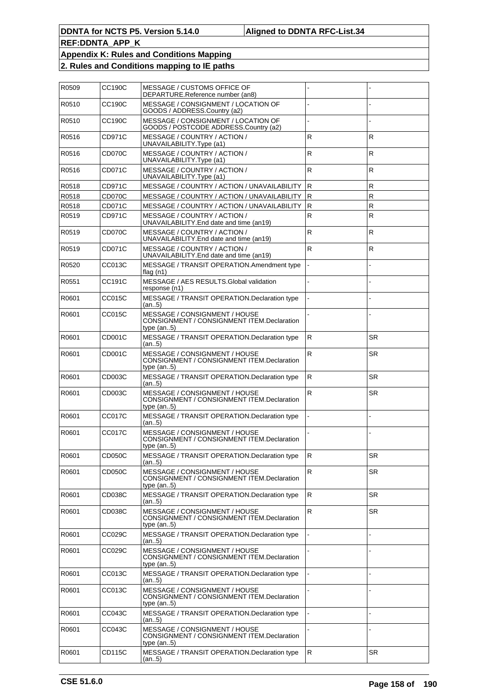| R0509 | CC190C        | MESSAGE / CUSTOMS OFFICE OF<br>DEPARTURE.Reference number (an8)                             |              |              |
|-------|---------------|---------------------------------------------------------------------------------------------|--------------|--------------|
| R0510 | CC190C        | MESSAGE / CONSIGNMENT / LOCATION OF<br>GOODS / ADDRESS.Country (a2)                         |              |              |
| R0510 | CC190C        | MESSAGE / CONSIGNMENT / LOCATION OF<br>GOODS / POSTCODE ADDRESS.Country (a2)                |              |              |
| R0516 | CD971C        | MESSAGE / COUNTRY / ACTION /<br>UNAVAILABILITY.Type (a1)                                    | ${\sf R}$    | R            |
| R0516 | CD070C        | MESSAGE / COUNTRY / ACTION /<br>UNAVAILABILITY.Type (a1)                                    | $\mathsf{R}$ | R            |
| R0516 | CD071C        | MESSAGE / COUNTRY / ACTION /<br>UNAVAILABILITY.Type (a1)                                    | ${\sf R}$    | R            |
| R0518 | CD971C        | MESSAGE / COUNTRY / ACTION / UNAVAILABILITY                                                 | R.           | R            |
| R0518 | CD070C        | MESSAGE / COUNTRY / ACTION / UNAVAILABILITY                                                 | IR.          | $\mathsf{R}$ |
| R0518 | CD071C        | MESSAGE / COUNTRY / ACTION / UNAVAILABILITY                                                 | lR.          | $\mathsf{R}$ |
| R0519 | CD971C        | MESSAGE / COUNTRY / ACTION /<br>UNAVAILABILITY. End date and time (an19)                    | ${\sf R}$    | $\mathsf{R}$ |
| R0519 | CD070C        | MESSAGE / COUNTRY / ACTION /<br>UNAVAILABILITY.End date and time (an19)                     | $\mathsf{R}$ | R            |
| R0519 | CD071C        | MESSAGE / COUNTRY / ACTION /<br>UNAVAILABILITY. End date and time (an19)                    | ${\sf R}$    | R            |
| R0520 | CC013C        | MESSAGE / TRANSIT OPERATION.Amendment type<br>flag (n1)                                     |              |              |
| R0551 | CC191C        | MESSAGE / AES RESULTS.Global validation<br>response (n1)                                    |              |              |
| R0601 | CC015C        | MESSAGE / TRANSIT OPERATION.Declaration type<br>(an5)                                       |              |              |
| R0601 | CC015C        | MESSAGE / CONSIGNMENT / HOUSE<br>CONSIGNMENT / CONSIGNMENT ITEM.Declaration<br>type $(an5)$ |              |              |
| R0601 | CD001C        | MESSAGE / TRANSIT OPERATION.Declaration type<br>(an5)                                       | R            | SR.          |
| R0601 | CD001C        | MESSAGE / CONSIGNMENT / HOUSE<br>CONSIGNMENT / CONSIGNMENT ITEM.Declaration<br>type $(an5)$ | $\mathsf{R}$ | <b>SR</b>    |
| R0601 | CD003C        | MESSAGE / TRANSIT OPERATION.Declaration type<br>(an5)                                       | R.           | SR.          |
| R0601 | CD003C        | MESSAGE / CONSIGNMENT / HOUSE<br>CONSIGNMENT / CONSIGNMENT ITEM.Declaration<br>type $(an5)$ | $\mathsf{R}$ | <b>SR</b>    |
| R0601 | CC017C        | MESSAGE / TRANSIT OPERATION.Declaration type<br>(an5)                                       |              |              |
| R0601 | CC017C        | MESSAGE / CONSIGNMENT / HOUSE<br>CONSIGNMENT / CONSIGNMENT ITEM.Declaration<br>type $(an5)$ |              |              |
| R0601 | <b>CD050C</b> | MESSAGE / TRANSIT OPERATION. Declaration type<br>(an5)                                      | R            | SR           |
| R0601 | CD050C        | MESSAGE / CONSIGNMENT / HOUSE<br>CONSIGNMENT / CONSIGNMENT ITEM.Declaration<br>type $(an5)$ | R            | <b>SR</b>    |
| R0601 | CD038C        | MESSAGE / TRANSIT OPERATION. Declaration type<br>(an5)                                      | R            | SR.          |
| R0601 | CD038C        | MESSAGE / CONSIGNMENT / HOUSE<br>CONSIGNMENT / CONSIGNMENT ITEM.Declaration<br>type (an5)   | R            | <b>SR</b>    |
| R0601 | CC029C        | MESSAGE / TRANSIT OPERATION.Declaration type<br>(an5)                                       |              |              |
| R0601 | CC029C        | MESSAGE / CONSIGNMENT / HOUSE<br>CONSIGNMENT / CONSIGNMENT ITEM.Declaration<br>type (an5)   |              |              |
| R0601 | CC013C        | MESSAGE / TRANSIT OPERATION.Declaration type<br>(an5)                                       |              |              |
| R0601 | CC013C        | MESSAGE / CONSIGNMENT / HOUSE<br>CONSIGNMENT / CONSIGNMENT ITEM.Declaration<br>type (an5)   |              |              |
| R0601 | CC043C        | MESSAGE / TRANSIT OPERATION.Declaration type<br>(an5)                                       |              |              |
| R0601 | CC043C        | MESSAGE / CONSIGNMENT / HOUSE<br>CONSIGNMENT / CONSIGNMENT ITEM.Declaration<br>type (an5)   |              |              |
| R0601 | <b>CD115C</b> | MESSAGE / TRANSIT OPERATION. Declaration type<br>(an5)                                      | $\mathsf R$  | <b>SR</b>    |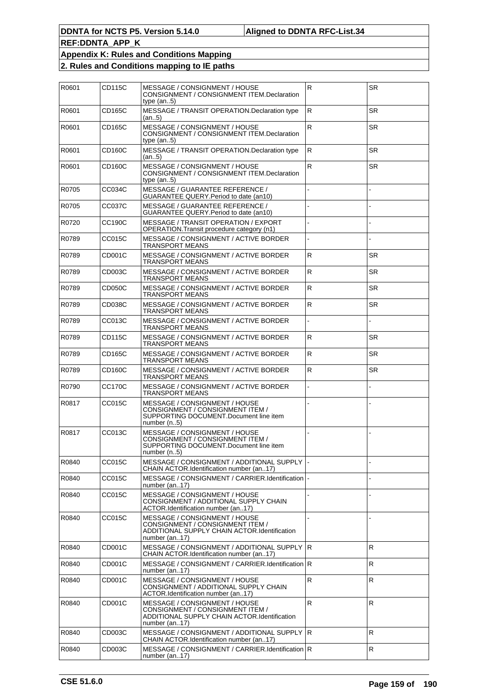| R0601 | CD115C        | MESSAGE / CONSIGNMENT / HOUSE<br>CONSIGNMENT / CONSIGNMENT ITEM.Declaration<br>type $(an5)$                                        | R            | <b>SR</b> |
|-------|---------------|------------------------------------------------------------------------------------------------------------------------------------|--------------|-----------|
| R0601 | CD165C        | MESSAGE / TRANSIT OPERATION. Declaration type<br>(an5)                                                                             | $\mathsf{R}$ | <b>SR</b> |
| R0601 | CD165C        | MESSAGE / CONSIGNMENT / HOUSE<br>CONSIGNMENT / CONSIGNMENT ITEM.Declaration<br>type $(an5)$                                        | $\mathsf{R}$ | <b>SR</b> |
| R0601 | CD160C        | MESSAGE / TRANSIT OPERATION. Declaration type<br>(an5)                                                                             | $\mathsf R$  | <b>SR</b> |
| R0601 | CD160C        | MESSAGE / CONSIGNMENT / HOUSE<br>CONSIGNMENT / CONSIGNMENT ITEM.Declaration<br>type $(an5)$                                        | R            | <b>SR</b> |
| R0705 | CC034C        | MESSAGE / GUARANTEE REFERENCE /<br>GUARANTEE QUERY. Period to date (an10)                                                          |              |           |
| R0705 | <b>CC037C</b> | MESSAGE / GUARANTEE REFERENCE /<br>GUARANTEE QUERY. Period to date (an10)                                                          |              |           |
| R0720 | CC190C        | MESSAGE / TRANSIT OPERATION / EXPORT<br>OPERATION. Transit procedure category (n1)                                                 |              |           |
| R0789 | CC015C        | MESSAGE / CONSIGNMENT / ACTIVE BORDER<br>TRANSPORT MEANS                                                                           |              |           |
| R0789 | CD001C        | MESSAGE / CONSIGNMENT / ACTIVE BORDER<br>TRANSPORT MEANS                                                                           | $\mathsf{R}$ | <b>SR</b> |
| R0789 | CD003C        | MESSAGE / CONSIGNMENT / ACTIVE BORDER<br>TRANSPORT MEANS                                                                           | $\mathsf{R}$ | <b>SR</b> |
| R0789 | CD050C        | MESSAGE / CONSIGNMENT / ACTIVE BORDER<br>TRANSPORT MEANS                                                                           | ${\sf R}$    | <b>SR</b> |
| R0789 | CD038C        | MESSAGE / CONSIGNMENT / ACTIVE BORDER<br>TRANSPORT MEANS                                                                           | $\mathsf{R}$ | <b>SR</b> |
| R0789 | CC013C        | MESSAGE / CONSIGNMENT / ACTIVE BORDER<br>TRANSPORT MEANS                                                                           |              |           |
| R0789 | CD115C        | MESSAGE / CONSIGNMENT / ACTIVE BORDER<br>TRANSPORT MEANS                                                                           | ${\sf R}$    | <b>SR</b> |
| R0789 | CD165C        | MESSAGE / CONSIGNMENT / ACTIVE BORDER<br>TRANSPORT MEANS                                                                           | $\mathsf{R}$ | <b>SR</b> |
| R0789 | CD160C        | MESSAGE / CONSIGNMENT / ACTIVE BORDER<br>TRANSPORT MEANS                                                                           | $\mathsf{R}$ | <b>SR</b> |
| R0790 | CC170C        | MESSAGE / CONSIGNMENT / ACTIVE BORDER<br>TRANSPORT MEANS                                                                           |              |           |
| R0817 | CC015C        | MESSAGE / CONSIGNMENT / HOUSE<br>CONSIGNMENT / CONSIGNMENT ITEM /<br>SUPPORTING DOCUMENT.Document line item<br>number $(n5)$       |              |           |
| R0817 | CC013C        | MESSAGE / CONSIGNMENT / HOUSE<br>CONSIGNMENT / CONSIGNMENT ITEM /<br>SUPPORTING DOCUMENT.Document line item<br>number $(n5)$       |              |           |
| R0840 | CC015C        | MESSAGE / CONSIGNMENT / ADDITIONAL SUPPLY<br>CHAIN ACTOR.Identification number (an17)                                              |              |           |
| R0840 | CC015C        | MESSAGE / CONSIGNMENT / CARRIER.Identification  -<br>number (an17)                                                                 |              |           |
| R0840 | CC015C        | MESSAGE / CONSIGNMENT / HOUSE<br>CONSIGNMENT / ADDITIONAL SUPPLY CHAIN<br>ACTOR.Identification number (an17)                       |              |           |
| R0840 | CC015C        | MESSAGE / CONSIGNMENT / HOUSE<br>CONSIGNMENT / CONSIGNMENT ITEM /<br>ADDITIONAL SUPPLY CHAIN ACTOR.Identification<br>number (an17) |              |           |
| R0840 | CD001C        | MESSAGE / CONSIGNMENT / ADDITIONAL SUPPLY<br>CHAIN ACTOR Identification number (an17)                                              | IR.          | R         |
| R0840 | CD001C        | MESSAGE / CONSIGNMENT / CARRIER.Identification R<br>number (an17)                                                                  |              | R         |
| R0840 | CD001C        | MESSAGE / CONSIGNMENT / HOUSE<br>CONSIGNMENT / ADDITIONAL SUPPLY CHAIN<br>ACTOR.Identification number (an17)                       | R            | R.        |
| R0840 | CD001C        | MESSAGE / CONSIGNMENT / HOUSE<br>CONSIGNMENT / CONSIGNMENT ITEM /<br>ADDITIONAL SUPPLY CHAIN ACTOR.Identification<br>number (an17) | $\mathsf{R}$ | R         |
| R0840 | CD003C        | MESSAGE / CONSIGNMENT / ADDITIONAL SUPPLY<br>CHAIN ACTOR.Identification number (an17)                                              | IR.          | R         |
| R0840 | CD003C        | MESSAGE / CONSIGNMENT / CARRIER.Identification R<br>number (an17)                                                                  |              | R.        |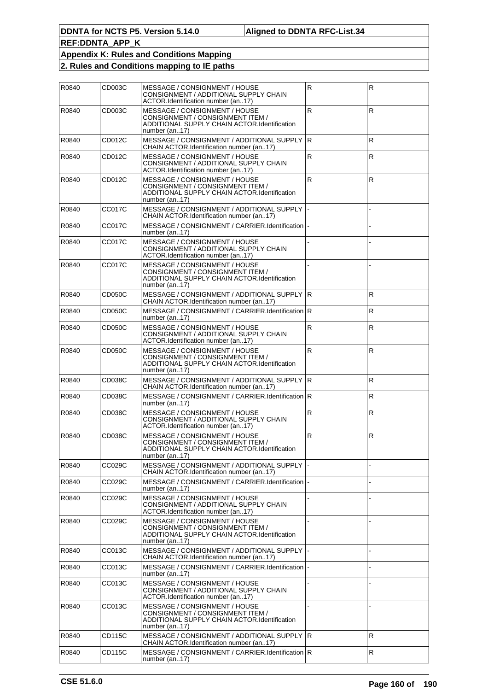R0840 CD003C MESSAGE / CONSIGNMENT / HOUSE CONSIGNMENT / ADDITIONAL SUPPLY CHAIN ACTOR.Identification number (an..17) R R R0840 CD003C MESSAGE / CONSIGNMENT / HOUSE CONSIGNMENT / CONSIGNMENT ITEM / ADDITIONAL SUPPLY CHAIN ACTOR.Identification number (an..17) R R R0840 CD012C MESSAGE / CONSIGNMENT / ADDITIONAL SUPPLY CHAIN ACTOR.Identification number (an..17) R R R0840 CD012C MESSAGE / CONSIGNMENT / HOUSE CONSIGNMENT / ADDITIONAL SUPPLY CHAIN ACTOR.Identification number (an..17) R R R0840 CD012C MESSAGE / CONSIGNMENT / HOUSE CONSIGNMENT / CONSIGNMENT ITEM / ADDITIONAL SUPPLY CHAIN ACTOR.Identification number (an..17) R R R0840 CC017C MESSAGE / CONSIGNMENT / ADDITIONAL SUPPLY CHAIN ACTOR.Identification number (an..17) - - R0840 CC017C MESSAGE / CONSIGNMENT / CARRIER.Identification number (an..17) - - R0840 CC017C MESSAGE / CONSIGNMENT / HOUSE CONSIGNMENT / ADDITIONAL SUPPLY CHAIN ACTOR.Identification number (an..17) - - R0840 CC017C MESSAGE / CONSIGNMENT / HOUSE CONSIGNMENT / CONSIGNMENT ITEM / ADDITIONAL SUPPLY CHAIN ACTOR.Identification number (an..17) - - R0840 CD050C MESSAGE / CONSIGNMENT / ADDITIONAL SUPPLY CHAIN ACTOR.Identification number (an..17) R R R0840 CD050C MESSAGE / CONSIGNMENT / CARRIER.Identification number (an..17) R R R0840 CD050C MESSAGE / CONSIGNMENT / HOUSE CONSIGNMENT / ADDITIONAL SUPPLY CHAIN ACTOR.Identification number (an..17) R R R0840 CD050C MESSAGE / CONSIGNMENT / HOUSE CONSIGNMENT / CONSIGNMENT ITEM / ADDITIONAL SUPPLY CHAIN ACTOR.Identification number (an..17) R R R0840 CD038C MESSAGE / CONSIGNMENT / ADDITIONAL SUPPLY CHAIN ACTOR.Identification number (an..17) R R R0840 CD038C | MESSAGE / CONSIGNMENT / CARRIER.Identification number (an..17) R R R0840 CD038C MESSAGE / CONSIGNMENT / HOUSE CONSIGNMENT / ADDITIONAL SUPPLY CHAIN ACTOR.Identification number (an..17) R R R0840 CD038C MESSAGE / CONSIGNMENT / HOUSE CONSIGNMENT / CONSIGNMENT ITEM / ADDITIONAL SUPPLY CHAIN ACTOR.Identification number (an..17) R R R0840 CC029C MESSAGE / CONSIGNMENT / ADDITIONAL SUPPLY CHAIN ACTOR.Identification number (an..17) - - R0840 CC029C MESSAGE / CONSIGNMENT / CARRIER.Identification number (an..17) - - R0840 CC029C MESSAGE / CONSIGNMENT / HOUSE CONSIGNMENT / ADDITIONAL SUPPLY CHAIN ACTOR.Identification number (an..17) - - R0840 CC029C MESSAGE / CONSIGNMENT / HOUSE CONSIGNMENT / CONSIGNMENT ITEM / ADDITIONAL SUPPLY CHAIN ACTOR.Identification number (an..17) - - R0840 CC013C MESSAGE / CONSIGNMENT / ADDITIONAL SUPPLY CHAIN ACTOR.Identification number (an..17) - - R0840 CC013C MESSAGE / CONSIGNMENT / CARRIER.Identification number (an..17) - - R0840 CC013C MESSAGE / CONSIGNMENT / HOUSE CONSIGNMENT / ADDITIONAL SUPPLY CHAIN ACTOR.Identification number (an..17) - - R0840 CC013C | MESSAGE / CONSIGNMENT / HOUSE CONSIGNMENT / CONSIGNMENT ITEM / ADDITIONAL SUPPLY CHAIN ACTOR.Identification number (an..17) - - R0840 CD115C MESSAGE / CONSIGNMENT / ADDITIONAL SUPPLY CHAIN ACTOR.Identification number (an..17) R R R0840 CD115C MESSAGE / CONSIGNMENT / CARRIER.Identification number (an..17) R R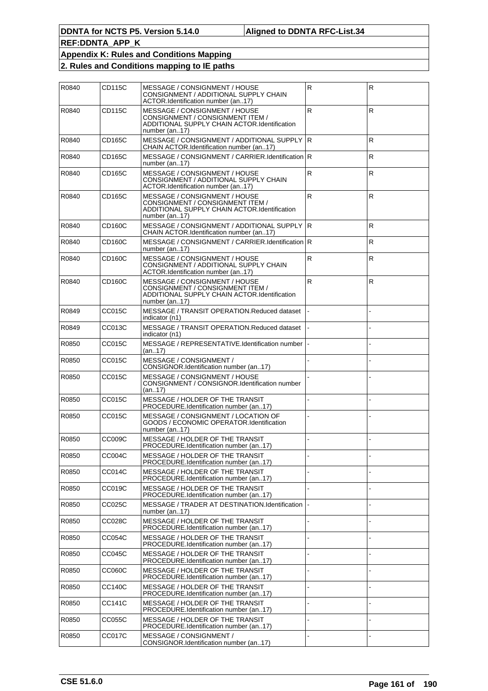| R0840 | CD115C        | MESSAGE / CONSIGNMENT / HOUSE<br>CONSIGNMENT / ADDITIONAL SUPPLY CHAIN<br>ACTOR.Identification number (an17)                         | $\mathsf{R}$ | R            |
|-------|---------------|--------------------------------------------------------------------------------------------------------------------------------------|--------------|--------------|
| R0840 | CD115C        | MESSAGE / CONSIGNMENT / HOUSE<br>CONSIGNMENT / CONSIGNMENT ITEM /<br>ADDITIONAL SUPPLY CHAIN ACTOR.Identification<br>number (an.,17) | $\mathsf{R}$ | $\mathsf{R}$ |
| R0840 | CD165C        | MESSAGE / CONSIGNMENT / ADDITIONAL SUPPLY<br>CHAIN ACTOR.Identification number (an17)                                                | IR.          | $\mathsf{R}$ |
| R0840 | CD165C        | MESSAGE / CONSIGNMENT / CARRIER.Identification R<br>number (an17)                                                                    |              | R.           |
| R0840 | CD165C        | MESSAGE / CONSIGNMENT / HOUSE<br>CONSIGNMENT / ADDITIONAL SUPPLY CHAIN<br>ACTOR.Identification number (an17)                         | $\mathsf{R}$ | R            |
| R0840 | CD165C        | MESSAGE / CONSIGNMENT / HOUSE<br>CONSIGNMENT / CONSIGNMENT ITEM /<br>ADDITIONAL SUPPLY CHAIN ACTOR.Identification<br>number (an17)   | $\mathsf{R}$ | $\mathsf{R}$ |
| R0840 | CD160C        | MESSAGE / CONSIGNMENT / ADDITIONAL SUPPLY<br>CHAIN ACTOR Identification number (an17)                                                | IR.          | $\mathsf{R}$ |
| R0840 | CD160C        | MESSAGE / CONSIGNMENT / CARRIER.Identification R<br>number (an17)                                                                    |              | R            |
| R0840 | CD160C        | MESSAGE / CONSIGNMENT / HOUSE<br>CONSIGNMENT / ADDITIONAL SUPPLY CHAIN<br>ACTOR.Identification number (an17)                         | R            | R.           |
| R0840 | CD160C        | MESSAGE / CONSIGNMENT / HOUSE<br>CONSIGNMENT / CONSIGNMENT ITEM /<br>ADDITIONAL SUPPLY CHAIN ACTOR.Identification<br>number (an17)   | $\mathsf{R}$ | $\mathsf{R}$ |
| R0849 | CC015C        | MESSAGE / TRANSIT OPERATION.Reduced dataset<br>indicator (n1)                                                                        |              |              |
| R0849 | CC013C        | MESSAGE / TRANSIT OPERATION.Reduced dataset<br>indicator (n1)                                                                        |              |              |
| R0850 | CC015C        | MESSAGE / REPRESENTATIVE.Identification number  <br>(an17)                                                                           |              |              |
| R0850 | CC015C        | MESSAGE / CONSIGNMENT /<br>CONSIGNOR.Identification number (an17)                                                                    |              |              |
| R0850 | CC015C        | MESSAGE / CONSIGNMENT / HOUSE<br>CONSIGNMENT / CONSIGNOR.Identification number<br>(an17)                                             |              |              |
| R0850 | CC015C        | MESSAGE / HOLDER OF THE TRANSIT<br>PROCEDURE.Identification number (an17)                                                            |              |              |
| R0850 | CC015C        | MESSAGE / CONSIGNMENT / LOCATION OF<br>GOODS / ECONOMIC OPERATOR.Identification<br>number (an17)                                     |              |              |
| R0850 | <b>CC009C</b> | MESSAGE / HOLDER OF THE TRANSIT<br>PROCEDURE.Identification number (an17)                                                            |              |              |
| R0850 | CC004C        | MESSAGE / HOLDER OF THE TRANSIT<br>PROCEDURE.Identification number (an17)                                                            |              |              |
| R0850 | <b>CC014C</b> | MESSAGE / HOLDER OF THE TRANSIT<br>PROCEDURE.Identification number (an17)                                                            |              |              |
| R0850 | CC019C        | MESSAGE / HOLDER OF THE TRANSIT<br>PROCEDURE.Identification number (an17)                                                            |              |              |
| R0850 | CC025C        | MESSAGE / TRADER AT DESTINATION.Identification<br>number (an17)                                                                      |              |              |
| R0850 | CC028C        | MESSAGE / HOLDER OF THE TRANSIT<br>PROCEDURE.Identification number (an17)                                                            |              |              |
| R0850 | CC054C        | MESSAGE / HOLDER OF THE TRANSIT<br>PROCEDURE.Identification number (an17)                                                            |              |              |
| R0850 | CC045C        | MESSAGE / HOLDER OF THE TRANSIT<br>PROCEDURE.Identification number (an17)                                                            |              |              |
| R0850 | <b>CC060C</b> | MESSAGE / HOLDER OF THE TRANSIT<br>PROCEDURE.Identification number (an17)                                                            |              |              |
| R0850 | <b>CC140C</b> | MESSAGE / HOLDER OF THE TRANSIT<br>PROCEDURE.Identification number (an17)                                                            |              |              |
| R0850 | CC141C        | MESSAGE / HOLDER OF THE TRANSIT<br>PROCEDURE.Identification number (an17)                                                            |              |              |
| R0850 | CC055C        | MESSAGE / HOLDER OF THE TRANSIT<br>PROCEDURE.Identification number (an17)                                                            |              |              |
| R0850 | <b>CC017C</b> | MESSAGE / CONSIGNMENT /<br>CONSIGNOR.Identification number (an17)                                                                    |              |              |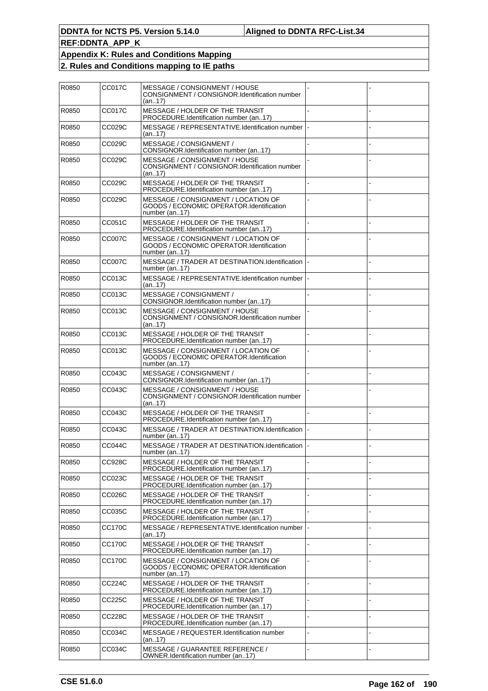| R0850 | CC017C        | MESSAGE / CONSIGNMENT / HOUSE<br>CONSIGNMENT / CONSIGNOR.Identification number<br>(an17)           |  |
|-------|---------------|----------------------------------------------------------------------------------------------------|--|
| R0850 | CC017C        | MESSAGE / HOLDER OF THE TRANSIT<br>PROCEDURE.Identification number (an17)                          |  |
| R0850 | CC029C        | MESSAGE / REPRESENTATIVE.Identification number<br>(an17)                                           |  |
| R0850 | CC029C        | MESSAGE / CONSIGNMENT /<br>CONSIGNOR.Identification number (an17)                                  |  |
| R0850 | CC029C        | MESSAGE / CONSIGNMENT / HOUSE<br>CONSIGNMENT / CONSIGNOR.Identification number<br>(an17)           |  |
| R0850 | CC029C        | MESSAGE / HOLDER OF THE TRANSIT<br>PROCEDURE.Identification number (an17)                          |  |
| R0850 | CC029C        | MESSAGE / CONSIGNMENT / LOCATION OF<br>GOODS / ECONOMIC OPERATOR.Identification<br>number (an17)   |  |
| R0850 | CC051C        | MESSAGE / HOLDER OF THE TRANSIT<br>PROCEDURE.Identification number (an17)                          |  |
| R0850 | <b>CC007C</b> | MESSAGE / CONSIGNMENT / LOCATION OF<br>GOODS / ECONOMIC OPERATOR.Identification<br>number (an.,17) |  |
| R0850 | <b>CC007C</b> | MESSAGE / TRADER AT DESTINATION.Identification<br>number (an17)                                    |  |
| R0850 | CC013C        | MESSAGE / REPRESENTATIVE.Identification number<br>(an17)                                           |  |
| R0850 | CC013C        | MESSAGE / CONSIGNMENT /<br>CONSIGNOR.Identification number (an.,17)                                |  |
| R0850 | CC013C        | MESSAGE / CONSIGNMENT / HOUSE<br>CONSIGNMENT / CONSIGNOR.Identification number<br>(an17)           |  |
| R0850 | CC013C        | MESSAGE / HOLDER OF THE TRANSIT<br>PROCEDURE.Identification number (an17)                          |  |
| R0850 | CC013C        | MESSAGE / CONSIGNMENT / LOCATION OF<br>GOODS / ECONOMIC OPERATOR.Identification<br>number (an17)   |  |
| R0850 | CC043C        | MESSAGE / CONSIGNMENT /<br>CONSIGNOR.Identification number (an17)                                  |  |
| R0850 | CC043C        | MESSAGE / CONSIGNMENT / HOUSE<br>CONSIGNMENT / CONSIGNOR.Identification number<br>(an17)           |  |
| R0850 | CC043C        | MESSAGE / HOLDER OF THE TRANSIT<br>PROCEDURE.Identification number (an17)                          |  |
| R0850 | CC043C        | MESSAGE / TRADER AT DESTINATION.Identification<br>number (an17)                                    |  |
| R0850 | CC044C        | MESSAGE / TRADER AT DESTINATION.Identification  <br>number (an17)                                  |  |
| R0850 | CC928C        | MESSAGE / HOLDER OF THE TRANSIT<br>PROCEDURE.Identification number (an17)                          |  |
| R0850 | CC023C        | MESSAGE / HOLDER OF THE TRANSIT<br>PROCEDURE.Identification number (an17)                          |  |
| R0850 | CC026C        | MESSAGE / HOLDER OF THE TRANSIT<br>PROCEDURE.Identification number (an17)                          |  |
| R0850 | CC035C        | MESSAGE / HOLDER OF THE TRANSIT<br>PROCEDURE.Identification number (an17)                          |  |
| R0850 | CC170C        | MESSAGE / REPRESENTATIVE.Identification number<br>(an17)                                           |  |
| R0850 | <b>CC170C</b> | MESSAGE / HOLDER OF THE TRANSIT<br>PROCEDURE.Identification number (an17)                          |  |
| R0850 | CC170C        | MESSAGE / CONSIGNMENT / LOCATION OF<br>GOODS / ECONOMIC OPERATOR.Identification<br>number (an17)   |  |
| R0850 | CC224C        | MESSAGE / HOLDER OF THE TRANSIT<br>PROCEDURE.Identification number (an17)                          |  |
| R0850 | CC225C        | MESSAGE / HOLDER OF THE TRANSIT<br>PROCEDURE.Identification number (an17)                          |  |
| R0850 | CC228C        | MESSAGE / HOLDER OF THE TRANSIT<br>PROCEDURE.Identification number (an17)                          |  |
| R0850 | CC034C        | MESSAGE / REQUESTER.Identification number<br>(an17)                                                |  |
| R0850 | CC034C        | MESSAGE / GUARANTEE REFERENCE /<br>OWNER.Identification number (an17)                              |  |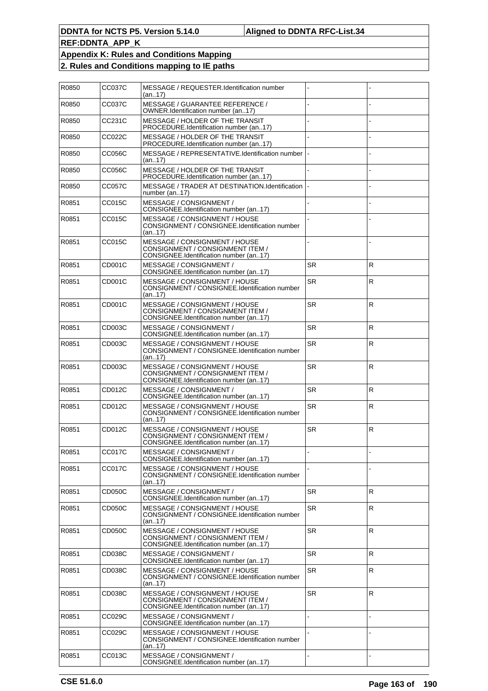| R0850 | <b>CC037C</b>       | MESSAGE / REQUESTER.Identification number<br>(an17)                                                         |           |              |
|-------|---------------------|-------------------------------------------------------------------------------------------------------------|-----------|--------------|
| R0850 | <b>CC037C</b>       | MESSAGE / GUARANTEE REFERENCE /<br>OWNER.Identification number (an17)                                       |           |              |
| R0850 | CC231C              | MESSAGE / HOLDER OF THE TRANSIT<br>PROCEDURE.Identification number (an17)                                   |           |              |
| R0850 | CC022C              | MESSAGE / HOLDER OF THE TRANSIT<br>PROCEDURE.Identification number (an17)                                   |           |              |
| R0850 | <b>CC056C</b>       | MESSAGE / REPRESENTATIVE.Identification number  -<br>(an17)                                                 |           |              |
| R0850 | CC056C              | MESSAGE / HOLDER OF THE TRANSIT<br>PROCEDURE.Identification number (an17)                                   |           |              |
| R0850 | CC057C              | MESSAGE / TRADER AT DESTINATION.Identification<br>number (an17)                                             |           |              |
| R0851 | CC015C              | MESSAGE / CONSIGNMENT /<br>CONSIGNEE.Identification number (an17)                                           |           |              |
| R0851 | CC015C              | MESSAGE / CONSIGNMENT / HOUSE<br>CONSIGNMENT / CONSIGNEE.Identification number<br>(an17)                    |           |              |
| R0851 | CC015C              | MESSAGE / CONSIGNMENT / HOUSE<br>CONSIGNMENT / CONSIGNMENT ITEM /<br>CONSIGNEE.Identification number (an17) |           |              |
| R0851 | CD001C              | MESSAGE / CONSIGNMENT /<br>CONSIGNEE.Identification number (an17)                                           | <b>SR</b> | $\mathsf{R}$ |
| R0851 | CD001C              | MESSAGE / CONSIGNMENT / HOUSE<br>CONSIGNMENT / CONSIGNEE.Identification number<br>(an17)                    | <b>SR</b> | R            |
| R0851 | CD001C              | MESSAGE / CONSIGNMENT / HOUSE<br>CONSIGNMENT / CONSIGNMENT ITEM /<br>CONSIGNEE.Identification number (an17) | <b>SR</b> | R            |
| R0851 | CD003C              | MESSAGE / CONSIGNMENT /<br>CONSIGNEE.Identification number (an17)                                           | <b>SR</b> | R            |
| R0851 | CD003C              | MESSAGE / CONSIGNMENT / HOUSE<br>CONSIGNMENT / CONSIGNEE.Identification number<br>(an17)                    | <b>SR</b> | R            |
| R0851 | CD003C              | MESSAGE / CONSIGNMENT / HOUSE<br>CONSIGNMENT / CONSIGNMENT ITEM /<br>CONSIGNEE.Identification number (an17) | <b>SR</b> | R            |
| R0851 | CD012C              | MESSAGE / CONSIGNMENT /<br>CONSIGNEE.Identification number (an17)                                           | <b>SR</b> | $\mathsf{R}$ |
| R0851 | CD012C              | MESSAGE / CONSIGNMENT / HOUSE<br>CONSIGNMENT / CONSIGNEE.Identification number<br>(an17)                    | <b>SR</b> | R            |
| R0851 | CD012C              | MESSAGE / CONSIGNMENT / HOUSE<br>CONSIGNMENT / CONSIGNMENT ITEM /<br>CONSIGNEE.Identification number (an17) | <b>SR</b> | $\mathsf{R}$ |
| R0851 | <b>CC017C</b>       | MESSAGE / CONSIGNMENT /<br>CONSIGNEE.Identification number (an17)                                           |           |              |
| R0851 | CC017C              | MESSAGE / CONSIGNMENT / HOUSE<br>CONSIGNMENT / CONSIGNEE.Identification number<br>(an17)                    |           |              |
| R0851 | CD050C              | MESSAGE / CONSIGNMENT /<br>CONSIGNEE.Identification number (an17)                                           | <b>SR</b> | $\mathsf{R}$ |
| R0851 | CD <sub>05</sub> 0C | MESSAGE / CONSIGNMENT / HOUSE<br>CONSIGNMENT / CONSIGNEE.Identification number<br>(an17)                    | <b>SR</b> | R            |
| R0851 | CD050C              | MESSAGE / CONSIGNMENT / HOUSE<br>CONSIGNMENT / CONSIGNMENT ITEM /<br>CONSIGNEE.Identification number (an17) | <b>SR</b> | $\mathsf{R}$ |
| R0851 | CD038C              | MESSAGE / CONSIGNMENT /<br>CONSIGNEE.Identification number (an17)                                           | <b>SR</b> | R            |
| R0851 | CD038C              | MESSAGE / CONSIGNMENT / HOUSE<br>CONSIGNMENT / CONSIGNEE.Identification number<br>(an17)                    | <b>SR</b> | $\mathsf{R}$ |
| R0851 | CD038C              | MESSAGE / CONSIGNMENT / HOUSE<br>CONSIGNMENT / CONSIGNMENT ITEM /<br>CONSIGNEE.Identification number (an17) | <b>SR</b> | R            |
| R0851 | CC029C              | MESSAGE / CONSIGNMENT /<br>CONSIGNEE.Identification number (an17)                                           |           |              |
| R0851 | CC029C              | MESSAGE / CONSIGNMENT / HOUSE<br>CONSIGNMENT / CONSIGNEE.Identification number<br>(an17)                    |           |              |
| R0851 | CC013C              | MESSAGE / CONSIGNMENT /<br>CONSIGNEE.Identification number (an17)                                           |           |              |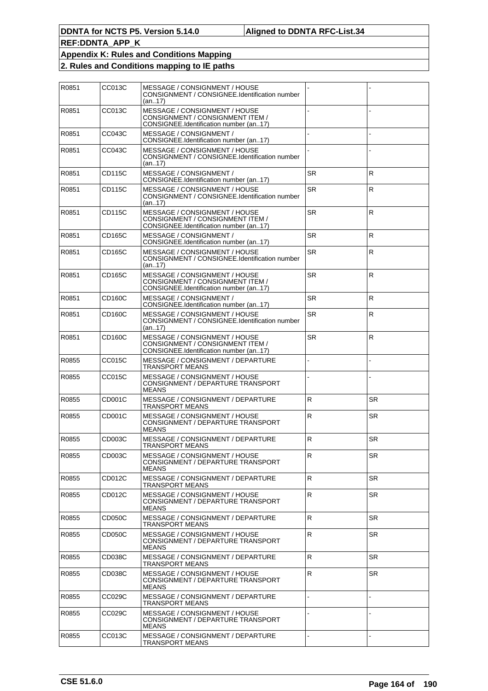| R0851 | CC013C | MESSAGE / CONSIGNMENT / HOUSE<br>CONSIGNMENT / CONSIGNEE.Identification number<br>(an17)                    |              |              |
|-------|--------|-------------------------------------------------------------------------------------------------------------|--------------|--------------|
| R0851 | CC013C | MESSAGE / CONSIGNMENT / HOUSE<br>CONSIGNMENT / CONSIGNMENT ITEM /<br>CONSIGNEE.Identification number (an17) |              |              |
| R0851 | CC043C | MESSAGE / CONSIGNMENT /<br>CONSIGNEE.Identification number (an17)                                           |              |              |
| R0851 | CC043C | MESSAGE / CONSIGNMENT / HOUSE<br>CONSIGNMENT / CONSIGNEE.Identification number<br>(an17)                    |              |              |
| R0851 | CD115C | MESSAGE / CONSIGNMENT /<br>CONSIGNEE.Identification number (an17)                                           | <b>SR</b>    | $\mathsf{R}$ |
| R0851 | CD115C | MESSAGE / CONSIGNMENT / HOUSE<br>CONSIGNMENT / CONSIGNEE.Identification number<br>(an17)                    | <b>SR</b>    | R            |
| R0851 | CD115C | MESSAGE / CONSIGNMENT / HOUSE<br>CONSIGNMENT / CONSIGNMENT ITEM /<br>CONSIGNEE.Identification number (an17) | <b>SR</b>    | $\mathsf{R}$ |
| R0851 | CD165C | MESSAGE / CONSIGNMENT /<br>CONSIGNEE.Identification number (an17)                                           | <b>SR</b>    | $\mathsf{R}$ |
| R0851 | CD165C | MESSAGE / CONSIGNMENT / HOUSE<br>CONSIGNMENT / CONSIGNEE.Identification number<br>(an17)                    | <b>SR</b>    | R            |
| R0851 | CD165C | MESSAGE / CONSIGNMENT / HOUSE<br>CONSIGNMENT / CONSIGNMENT ITEM /<br>CONSIGNEE.Identification number (an17) | <b>SR</b>    | $\mathsf{R}$ |
| R0851 | CD160C | MESSAGE / CONSIGNMENT /<br>CONSIGNEE.Identification number (an17)                                           | <b>SR</b>    | R            |
| R0851 | CD160C | MESSAGE / CONSIGNMENT / HOUSE<br>CONSIGNMENT / CONSIGNEE.Identification number<br>(an17)                    | <b>SR</b>    | R            |
| R0851 | CD160C | MESSAGE / CONSIGNMENT / HOUSE<br>CONSIGNMENT / CONSIGNMENT ITEM /<br>CONSIGNEE.Identification number (an17) | <b>SR</b>    | R            |
| R0855 | CC015C | MESSAGE / CONSIGNMENT / DEPARTURE<br>TRANSPORT MEANS                                                        |              |              |
| R0855 | CC015C | MESSAGE / CONSIGNMENT / HOUSE<br>CONSIGNMENT / DEPARTURE TRANSPORT<br><b>MEANS</b>                          |              |              |
| R0855 | CD001C | MESSAGE / CONSIGNMENT / DEPARTURE<br>TRANSPORT MEANS                                                        | $\mathsf{R}$ | <b>SR</b>    |
| R0855 | CD001C | MESSAGE / CONSIGNMENT / HOUSE<br>CONSIGNMENT / DEPARTURE TRANSPORT<br><b>MEANS</b>                          | $\mathsf{R}$ | SR.          |
| R0855 | CD003C | MESSAGE / CONSIGNMENT / DEPARTURE<br>TRANSPORT MEANS                                                        | ${\sf R}$    | <b>SR</b>    |
| R0855 | CD003C | MESSAGE / CONSIGNMENT / HOUSE<br>CONSIGNMENT / DEPARTURE TRANSPORT<br><b>MEANS</b>                          | $\mathsf{R}$ | SR           |
| R0855 | CD012C | MESSAGE / CONSIGNMENT / DEPARTURE<br><b>TRANSPORT MEANS</b>                                                 | $\mathsf R$  | <b>SR</b>    |
| R0855 | CD012C | MESSAGE / CONSIGNMENT / HOUSE<br>CONSIGNMENT / DEPARTURE TRANSPORT<br><b>MEANS</b>                          | R            | SR.          |
| R0855 | CD050C | MESSAGE / CONSIGNMENT / DEPARTURE<br>TRANSPORT MEANS                                                        | $\mathsf R$  | <b>SR</b>    |
| R0855 | CD050C | MESSAGE / CONSIGNMENT / HOUSE<br>CONSIGNMENT / DEPARTURE TRANSPORT<br><b>MEANS</b>                          | $\mathsf{R}$ | SR.          |
| R0855 | CD038C | MESSAGE / CONSIGNMENT / DEPARTURE<br>TRANSPORT MEANS                                                        | $\mathsf R$  | <b>SR</b>    |
| R0855 | CD038C | MESSAGE / CONSIGNMENT / HOUSE<br>CONSIGNMENT / DEPARTURE TRANSPORT<br><b>MEANS</b>                          | $\mathsf{R}$ | SR.          |
| R0855 | CC029C | MESSAGE / CONSIGNMENT / DEPARTURE<br>TRANSPORT MEANS                                                        |              |              |
| R0855 | CC029C | MESSAGE / CONSIGNMENT / HOUSE<br>CONSIGNMENT / DEPARTURE TRANSPORT<br>MEANS                                 |              |              |
| R0855 | CC013C | MESSAGE / CONSIGNMENT / DEPARTURE<br>TRANSPORT MEANS                                                        |              |              |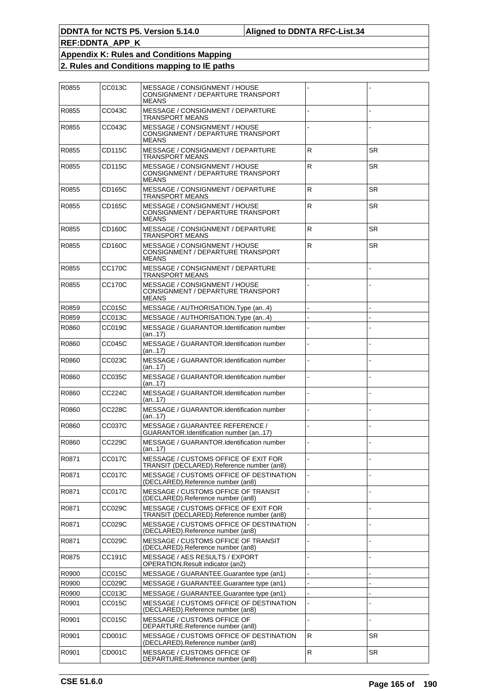| R0855 | CC013C | MESSAGE / CONSIGNMENT / HOUSE<br>CONSIGNMENT / DEPARTURE TRANSPORT<br><b>MEANS</b> |              |           |
|-------|--------|------------------------------------------------------------------------------------|--------------|-----------|
| R0855 | CC043C | MESSAGE / CONSIGNMENT / DEPARTURE<br>TRANSPORT MEANS                               |              |           |
| R0855 | CC043C | MESSAGE / CONSIGNMENT / HOUSE<br>CONSIGNMENT / DEPARTURE TRANSPORT<br>MEANS        |              |           |
| R0855 | CD115C | MESSAGE / CONSIGNMENT / DEPARTURE<br>TRANSPORT MEANS                               | ${\sf R}$    | <b>SR</b> |
| R0855 | CD115C | MESSAGE / CONSIGNMENT / HOUSE<br>CONSIGNMENT / DEPARTURE TRANSPORT<br><b>MEANS</b> | ${\sf R}$    | <b>SR</b> |
| R0855 | CD165C | MESSAGE / CONSIGNMENT / DEPARTURE<br>TRANSPORT MEANS                               | ${\sf R}$    | <b>SR</b> |
| R0855 | CD165C | MESSAGE / CONSIGNMENT / HOUSE<br>CONSIGNMENT / DEPARTURE TRANSPORT<br><b>MEANS</b> | $\mathsf{R}$ | <b>SR</b> |
| R0855 | CD160C | MESSAGE / CONSIGNMENT / DEPARTURE<br>TRANSPORT MEANS                               | ${\sf R}$    | <b>SR</b> |
| R0855 | CD160C | MESSAGE / CONSIGNMENT / HOUSE<br>CONSIGNMENT / DEPARTURE TRANSPORT<br><b>MEANS</b> | $\mathsf{R}$ | <b>SR</b> |
| R0855 | CC170C | MESSAGE / CONSIGNMENT / DEPARTURE<br>TRANSPORT MEANS                               |              |           |
| R0855 | CC170C | MESSAGE / CONSIGNMENT / HOUSE<br>CONSIGNMENT / DEPARTURE TRANSPORT<br><b>MEANS</b> |              |           |
| R0859 | CC015C | MESSAGE / AUTHORISATION. Type (an4)                                                |              |           |
| R0859 | CC013C | MESSAGE / AUTHORISATION. Type (an4)                                                |              |           |
| R0860 | CC019C | MESSAGE / GUARANTOR.Identification number<br>(an17)                                |              |           |
| R0860 | CC045C | MESSAGE / GUARANTOR.Identification number<br>(an17)                                |              |           |
| R0860 | CC023C | MESSAGE / GUARANTOR.Identification number<br>(an17)                                |              |           |
| R0860 | CC035C | MESSAGE / GUARANTOR.Identification number<br>(an17)                                |              |           |
| R0860 | CC224C | MESSAGE / GUARANTOR.Identification number<br>(an17)                                |              |           |
| R0860 | CC228C | MESSAGE / GUARANTOR.Identification number<br>(an17)                                |              |           |
| R0860 | CC037C | MESSAGE / GUARANTEE REFERENCE /<br>GUARANTOR.Identification number (an17)          |              |           |
| R0860 | CC229C | MESSAGE / GUARANTOR.Identification number<br>(an17)                                |              |           |
| R0871 | CC017C | MESSAGE / CUSTOMS OFFICE OF EXIT FOR<br>TRANSIT (DECLARED).Reference number (an8)  |              |           |
| R0871 | CC017C | MESSAGE / CUSTOMS OFFICE OF DESTINATION<br>(DECLARED).Reference number (an8)       |              |           |
| R0871 | CC017C | MESSAGE / CUSTOMS OFFICE OF TRANSIT<br>(DECLARED).Reference number (an8)           |              |           |
| R0871 | CC029C | MESSAGE / CUSTOMS OFFICE OF EXIT FOR<br>TRANSIT (DECLARED).Reference number (an8)  |              |           |
| R0871 | CC029C | MESSAGE / CUSTOMS OFFICE OF DESTINATION<br>(DECLARED).Reference number (an8)       |              |           |
| R0871 | CC029C | MESSAGE / CUSTOMS OFFICE OF TRANSIT<br>(DECLARED).Reference number (an8)           |              |           |
| R0875 | CC191C | MESSAGE / AES RESULTS / EXPORT<br>OPERATION.Result indicator (an2)                 |              |           |
| R0900 | CC015C | MESSAGE / GUARANTEE.Guarantee type (an1)                                           |              |           |
| R0900 | CC029C | MESSAGE / GUARANTEE.Guarantee type (an1)                                           |              |           |
| R0900 | CC013C | MESSAGE / GUARANTEE.Guarantee type (an1)                                           |              |           |
| R0901 | CC015C | MESSAGE / CUSTOMS OFFICE OF DESTINATION<br>(DECLARED).Reference number (an8)       |              |           |
| R0901 | CC015C | MESSAGE / CUSTOMS OFFICE OF<br>DEPARTURE.Reference number (an8)                    |              |           |
| R0901 | CD001C | MESSAGE / CUSTOMS OFFICE OF DESTINATION<br>(DECLARED).Reference number (an8)       | $\mathsf R$  | <b>SR</b> |
| R0901 | CD001C | MESSAGE / CUSTOMS OFFICE OF<br>DEPARTURE.Reference number (an8)                    | R            | SR        |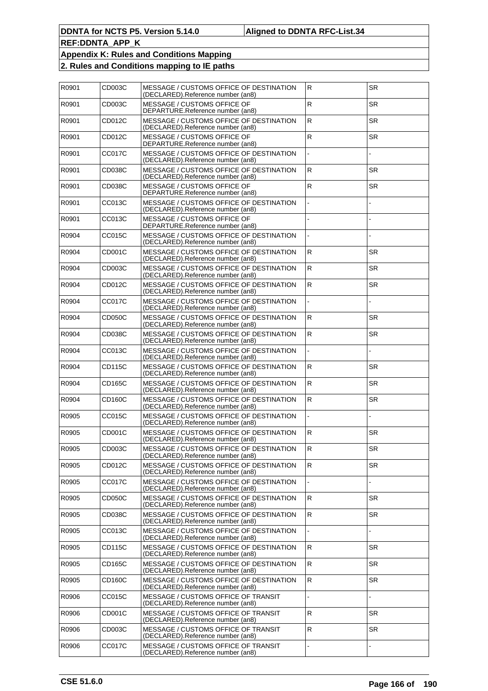| R0901 | CD003C        | MESSAGE / CUSTOMS OFFICE OF DESTINATION<br>(DECLARED).Reference number (an8) | R              | SR        |
|-------|---------------|------------------------------------------------------------------------------|----------------|-----------|
| R0901 | CD003C        | MESSAGE / CUSTOMS OFFICE OF<br>DEPARTURE.Reference number (an8)              | ${\sf R}$      | <b>SR</b> |
| R0901 | CD012C        | MESSAGE / CUSTOMS OFFICE OF DESTINATION<br>(DECLARED).Reference number (an8) | ${\sf R}$      | <b>SR</b> |
| R0901 | CD012C        | MESSAGE / CUSTOMS OFFICE OF<br>DEPARTURE.Reference number (an8)              | $\mathsf{R}$   | SR.       |
| R0901 | <b>CC017C</b> | MESSAGE / CUSTOMS OFFICE OF DESTINATION<br>(DECLARED).Reference number (an8) | $\overline{a}$ |           |
| R0901 | CD038C        | MESSAGE / CUSTOMS OFFICE OF DESTINATION<br>(DECLARED).Reference number (an8) | $\mathsf{R}$   | <b>SR</b> |
| R0901 | CD038C        | MESSAGE / CUSTOMS OFFICE OF<br>DEPARTURE.Reference number (an8)              | ${\sf R}$      | <b>SR</b> |
| R0901 | CC013C        | MESSAGE / CUSTOMS OFFICE OF DESTINATION<br>(DECLARED).Reference number (an8) |                |           |
| R0901 | CC013C        | MESSAGE / CUSTOMS OFFICE OF<br>DEPARTURE.Reference number (an8)              |                |           |
| R0904 | CC015C        | MESSAGE / CUSTOMS OFFICE OF DESTINATION<br>(DECLARED).Reference number (an8) |                |           |
| R0904 | CD001C        | MESSAGE / CUSTOMS OFFICE OF DESTINATION<br>(DECLARED).Reference number (an8) | $\mathsf R$    | <b>SR</b> |
| R0904 | CD003C        | MESSAGE / CUSTOMS OFFICE OF DESTINATION<br>(DECLARED).Reference number (an8) | $\mathsf{R}$   | <b>SR</b> |
| R0904 | CD012C        | MESSAGE / CUSTOMS OFFICE OF DESTINATION<br>(DECLARED).Reference number (an8) | $\mathsf R$    | <b>SR</b> |
| R0904 | CC017C        | MESSAGE / CUSTOMS OFFICE OF DESTINATION<br>(DECLARED).Reference number (an8) | $\overline{a}$ |           |
| R0904 | CD050C        | MESSAGE / CUSTOMS OFFICE OF DESTINATION<br>(DECLARED).Reference number (an8) | $\mathsf{R}$   | <b>SR</b> |
| R0904 | CD038C        | MESSAGE / CUSTOMS OFFICE OF DESTINATION<br>(DECLARED).Reference number (an8) | $\mathsf R$    | <b>SR</b> |
| R0904 | CC013C        | MESSAGE / CUSTOMS OFFICE OF DESTINATION<br>(DECLARED).Reference number (an8) |                |           |
| R0904 | <b>CD115C</b> | MESSAGE / CUSTOMS OFFICE OF DESTINATION<br>(DECLARED).Reference number (an8) | $\mathsf{R}$   | <b>SR</b> |
| R0904 | CD165C        | MESSAGE / CUSTOMS OFFICE OF DESTINATION<br>(DECLARED).Reference number (an8) | R              | <b>SR</b> |
| R0904 | <b>CD160C</b> | MESSAGE / CUSTOMS OFFICE OF DESTINATION<br>(DECLARED).Reference number (an8) | $\mathsf R$    | <b>SR</b> |
| R0905 | CC015C        | MESSAGE / CUSTOMS OFFICE OF DESTINATION<br>(DECLARED).Reference number (an8) |                |           |
| R0905 | CD001C        | MESSAGE / CUSTOMS OFFICE OF DESTINATION<br>(DECLARED).Reference number (an8) | $\mathsf{R}$   | <b>SR</b> |
| R0905 | CD003C        | MESSAGE / CUSTOMS OFFICE OF DESTINATION<br>(DECLARED).Reference number (an8) | ${\sf R}$      | SR        |
| R0905 | CD012C        | MESSAGE / CUSTOMS OFFICE OF DESTINATION<br>(DECLARED).Reference number (an8) | R.             | SR        |
| R0905 | <b>CC017C</b> | MESSAGE / CUSTOMS OFFICE OF DESTINATION<br>(DECLARED).Reference number (an8) |                |           |
| R0905 | CD050C        | MESSAGE / CUSTOMS OFFICE OF DESTINATION<br>(DECLARED).Reference number (an8) | $\mathsf R$    | <b>SR</b> |
| R0905 | CD038C        | MESSAGE / CUSTOMS OFFICE OF DESTINATION<br>(DECLARED).Reference number (an8) | ${\sf R}$      | SR        |
| R0905 | CC013C        | MESSAGE / CUSTOMS OFFICE OF DESTINATION<br>(DECLARED).Reference number (an8) |                |           |
| R0905 | CD115C        | MESSAGE / CUSTOMS OFFICE OF DESTINATION<br>(DECLARED).Reference number (an8) | $\mathsf R$    | <b>SR</b> |
| R0905 | <b>CD165C</b> | MESSAGE / CUSTOMS OFFICE OF DESTINATION<br>(DECLARED).Reference number (an8) | $\mathsf{R}$   | SR.       |
| R0905 | CD160C        | MESSAGE / CUSTOMS OFFICE OF DESTINATION<br>(DECLARED).Reference number (an8) | R              | <b>SR</b> |
| R0906 | CC015C        | MESSAGE / CUSTOMS OFFICE OF TRANSIT<br>(DECLARED).Reference number (an8)     |                |           |
| R0906 | CD001C        | MESSAGE / CUSTOMS OFFICE OF TRANSIT<br>(DECLARED).Reference number (an8)     | $\mathsf{R}$   | <b>SR</b> |
| R0906 | CD003C        | MESSAGE / CUSTOMS OFFICE OF TRANSIT<br>(DECLARED).Reference number (an8)     | R              | <b>SR</b> |
| R0906 | CC017C        | MESSAGE / CUSTOMS OFFICE OF TRANSIT<br>(DECLARED).Reference number (an8)     |                |           |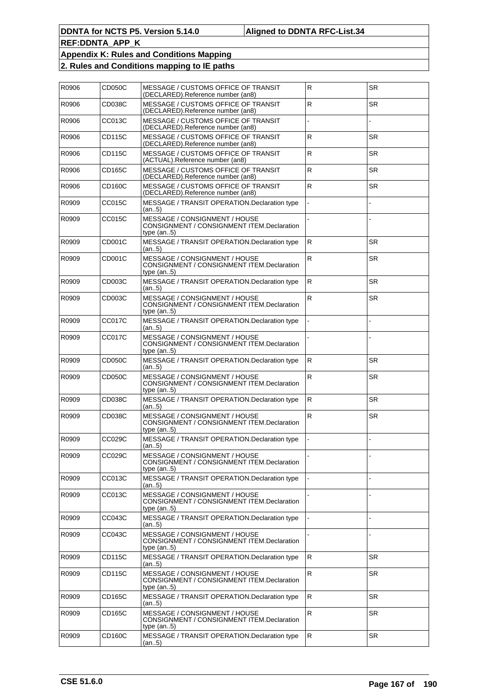| R0906 | <b>CD050C</b>       | MESSAGE / CUSTOMS OFFICE OF TRANSIT<br>(DECLARED).Reference number (an8)                     | $\mathsf{R}$ | <b>SR</b> |
|-------|---------------------|----------------------------------------------------------------------------------------------|--------------|-----------|
| R0906 | CD038C              | MESSAGE / CUSTOMS OFFICE OF TRANSIT<br>(DECLARED).Reference number (an8)                     | ${\sf R}$    | <b>SR</b> |
| R0906 | CC013C              | MESSAGE / CUSTOMS OFFICE OF TRANSIT<br>(DECLARED).Reference number (an8)                     |              |           |
| R0906 | <b>CD115C</b>       | MESSAGE / CUSTOMS OFFICE OF TRANSIT<br>(DECLARED).Reference number (an8)                     | ${\sf R}$    | <b>SR</b> |
| R0906 | CD115C              | MESSAGE / CUSTOMS OFFICE OF TRANSIT<br>(ACTUAL).Reference number (an8)                       | ${\sf R}$    | <b>SR</b> |
| R0906 | CD165C              | MESSAGE / CUSTOMS OFFICE OF TRANSIT<br>(DECLARED).Reference number (an8)                     | $\mathsf{R}$ | <b>SR</b> |
| R0906 | CD160C              | MESSAGE / CUSTOMS OFFICE OF TRANSIT<br>(DECLARED).Reference number (an8)                     | ${\sf R}$    | <b>SR</b> |
| R0909 | CC015C              | MESSAGE / TRANSIT OPERATION. Declaration type<br>(an5)                                       |              |           |
| R0909 | CC015C              | MESSAGE / CONSIGNMENT / HOUSE<br>CONSIGNMENT / CONSIGNMENT ITEM.Declaration<br>type $(an5)$  |              |           |
| R0909 | CD001C              | MESSAGE / TRANSIT OPERATION. Declaration type<br>(an5)                                       | $\mathsf R$  | <b>SR</b> |
| R0909 | CD001C              | MESSAGE / CONSIGNMENT / HOUSE<br>CONSIGNMENT / CONSIGNMENT ITEM.Declaration<br>type $(an5)$  | $\mathsf{R}$ | <b>SR</b> |
| R0909 | CD003C              | MESSAGE / TRANSIT OPERATION. Declaration type<br>(an5)                                       | $\mathsf R$  | <b>SR</b> |
| R0909 | CD003C              | MESSAGE / CONSIGNMENT / HOUSE<br>CONSIGNMENT / CONSIGNMENT ITEM.Declaration<br>type $(an5)$  | $\mathsf{R}$ | SR.       |
| R0909 | CC017C              | MESSAGE / TRANSIT OPERATION. Declaration type<br>(an5)                                       |              |           |
| R0909 | CC017C              | MESSAGE / CONSIGNMENT / HOUSE<br>CONSIGNMENT / CONSIGNMENT ITEM.Declaration<br>type $(an5)$  |              |           |
| R0909 | CD050C              | MESSAGE / TRANSIT OPERATION. Declaration type<br>(an5)                                       | R            | <b>SR</b> |
| R0909 | CD050C              | MESSAGE / CONSIGNMENT / HOUSE<br>CONSIGNMENT / CONSIGNMENT ITEM.Declaration<br>type $(an5)$  | $\mathsf{R}$ | SR.       |
| R0909 | CD038C              | MESSAGE / TRANSIT OPERATION. Declaration type<br>(an5)                                       | $\mathsf R$  | <b>SR</b> |
| R0909 | CD038C              | MESSAGE / CONSIGNMENT / HOUSE<br>CONSIGNMENT / CONSIGNMENT ITEM.Declaration<br>type $(an5)$  | $\mathsf{R}$ | SR.       |
| R0909 | CC029C              | MESSAGE / TRANSIT OPERATION. Declaration type<br>(an5)                                       |              |           |
| R0909 | CC029C              | MESSAGE / CONSIGNMENT / HOUSE<br>CONSIGNMENT / CONSIGNMENT ITEM.Declaration<br>type $(an.5)$ |              |           |
| R0909 | CC013C              | MESSAGE / TRANSIT OPERATION. Declaration type<br>(an5)                                       |              |           |
| R0909 | CC013C              | MESSAGE / CONSIGNMENT / HOUSE<br>CONSIGNMENT / CONSIGNMENT ITEM.Declaration<br>type $(an5)$  |              |           |
| R0909 | CC043C              | MESSAGE / TRANSIT OPERATION. Declaration type<br>(an5)                                       |              |           |
| R0909 | CC043C              | MESSAGE / CONSIGNMENT / HOUSE<br>CONSIGNMENT / CONSIGNMENT ITEM.Declaration<br>type $(an5)$  |              |           |
| R0909 | CD115C              | MESSAGE / TRANSIT OPERATION. Declaration type<br>(an5)                                       | R            | SR.       |
| R0909 | CD115C              | MESSAGE / CONSIGNMENT / HOUSE<br>CONSIGNMENT / CONSIGNMENT ITEM.Declaration<br>type $(an5)$  | R.           | SR        |
| R0909 | CD165C              | MESSAGE / TRANSIT OPERATION. Declaration type<br>(an5)                                       | R            | SR.       |
| R0909 | CD165C              | MESSAGE / CONSIGNMENT / HOUSE<br>CONSIGNMENT / CONSIGNMENT ITEM.Declaration<br>type $(an5)$  | R            | SR        |
| R0909 | CD <sub>160</sub> C | MESSAGE / TRANSIT OPERATION. Declaration type<br>(an5)                                       | R            | <b>SR</b> |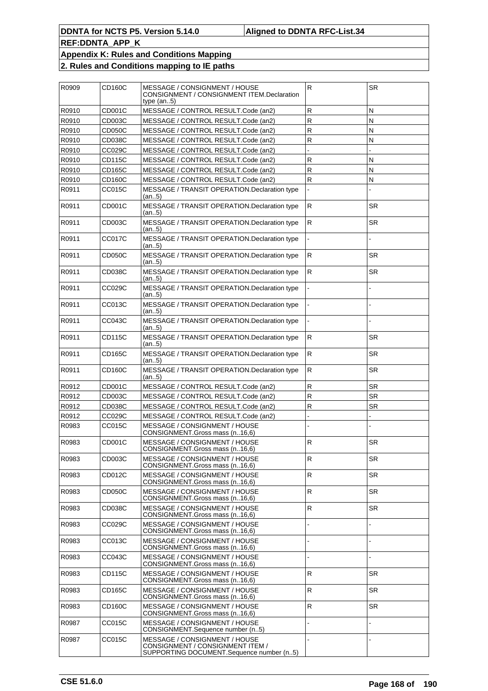| R0909 | CD160C        | MESSAGE / CONSIGNMENT / HOUSE<br>CONSIGNMENT / CONSIGNMENT ITEM.Declaration<br>type $(an5)$                   | $\mathsf R$  | <b>SR</b> |
|-------|---------------|---------------------------------------------------------------------------------------------------------------|--------------|-----------|
| R0910 | CD001C        | MESSAGE / CONTROL RESULT.Code (an2)                                                                           | R            | N         |
| R0910 | CD003C        | MESSAGE / CONTROL RESULT.Code (an2)                                                                           | $\mathsf R$  | N         |
| R0910 | CD050C        | MESSAGE / CONTROL RESULT.Code (an2)                                                                           | R            | N         |
| R0910 | CD038C        | MESSAGE / CONTROL RESULT.Code (an2)                                                                           | R            | N         |
| R0910 | CC029C        | MESSAGE / CONTROL RESULT.Code (an2)                                                                           |              |           |
| R0910 | CD115C        | MESSAGE / CONTROL RESULT.Code (an2)                                                                           | R            | N         |
| R0910 | CD165C        | MESSAGE / CONTROL RESULT.Code (an2)                                                                           | R            | N         |
| R0910 | CD160C        | MESSAGE / CONTROL RESULT.Code (an2)                                                                           | $\mathsf R$  | Ν         |
| R0911 | CC015C        | MESSAGE / TRANSIT OPERATION.Declaration type<br>(an5)                                                         |              |           |
| R0911 | CD001C        | MESSAGE / TRANSIT OPERATION. Declaration type<br>(an5)                                                        | $\mathsf{R}$ | SR        |
| R0911 | CD003C        | MESSAGE / TRANSIT OPERATION. Declaration type<br>(an5)                                                        | $\mathsf{R}$ | SR        |
| R0911 | CC017C        | MESSAGE / TRANSIT OPERATION. Declaration type<br>(an5)                                                        |              |           |
| R0911 | CD050C        | MESSAGE / TRANSIT OPERATION. Declaration type<br>(an5)                                                        | R            | SR        |
| R0911 | CD038C        | MESSAGE / TRANSIT OPERATION.Declaration type<br>(an5)                                                         | $\mathsf{R}$ | SR        |
| R0911 | CC029C        | MESSAGE / TRANSIT OPERATION. Declaration type<br>(an5)                                                        |              |           |
| R0911 | CC013C        | MESSAGE / TRANSIT OPERATION.Declaration type<br>(an5)                                                         |              |           |
| R0911 | CC043C        | MESSAGE / TRANSIT OPERATION. Declaration type<br>(an5)                                                        |              |           |
| R0911 | CD115C        | MESSAGE / TRANSIT OPERATION. Declaration type<br>(an5)                                                        | $\mathsf{R}$ | <b>SR</b> |
| R0911 | CD165C        | MESSAGE / TRANSIT OPERATION.Declaration type<br>(an5)                                                         | $\mathsf{R}$ | SR        |
| R0911 | CD160C        | MESSAGE / TRANSIT OPERATION. Declaration type<br>(an5)                                                        | $\mathsf{R}$ | SR        |
| R0912 | CD001C        | MESSAGE / CONTROL RESULT.Code (an2)                                                                           | R            | <b>SR</b> |
| R0912 | CD003C        | MESSAGE / CONTROL RESULT.Code (an2)                                                                           | R            | <b>SR</b> |
| R0912 | CD038C        | MESSAGE / CONTROL RESULT.Code (an2)                                                                           | R            | <b>SR</b> |
| R0912 | CC029C        | MESSAGE / CONTROL RESULT.Code (an2)                                                                           |              |           |
| R0983 | <b>CC015C</b> | MESSAGE / CONSIGNMENT / HOUSE<br>CONSIGNMENT.Gross mass (n16,6)                                               |              |           |
| R0983 | CD001C        | MESSAGE / CONSIGNMENT / HOUSE<br>CONSIGNMENT.Gross mass (n. 16,6)                                             | R            | <b>SR</b> |
| R0983 | CD003C        | MESSAGE / CONSIGNMENT / HOUSE<br>CONSIGNMENT.Gross mass (n16,6)                                               | R            | SR        |
| R0983 | CD012C        | MESSAGE / CONSIGNMENT / HOUSE<br>CONSIGNMENT.Gross mass (n.,16.6)                                             | R            | <b>SR</b> |
| R0983 | CD050C        | MESSAGE / CONSIGNMENT / HOUSE<br>CONSIGNMENT.Gross mass (n. 16,6)                                             | R            | SR        |
| R0983 | CD038C        | MESSAGE / CONSIGNMENT / HOUSE<br>CONSIGNMENT.Gross mass (n16,6)                                               | R            | <b>SR</b> |
| R0983 | CC029C        | MESSAGE / CONSIGNMENT / HOUSE<br>CONSIGNMENT.Gross mass (n.,16.6)                                             |              |           |
| R0983 | CC013C        | MESSAGE / CONSIGNMENT / HOUSE<br>CONSIGNMENT.Gross mass (n16,6)                                               |              |           |
| R0983 | CC043C        | MESSAGE / CONSIGNMENT / HOUSE<br>CONSIGNMENT.Gross mass (n16,6)                                               |              |           |
| R0983 | CD115C        | MESSAGE / CONSIGNMENT / HOUSE<br>CONSIGNMENT.Gross mass (n16,6)                                               | R            | <b>SR</b> |
| R0983 | CD165C        | MESSAGE / CONSIGNMENT / HOUSE<br>CONSIGNMENT.Gross mass (n16,6)                                               | R            | SR        |
| R0983 | CD160C        | MESSAGE / CONSIGNMENT / HOUSE<br>CONSIGNMENT.Gross mass (n16,6)                                               | R            | <b>SR</b> |
| R0987 | CC015C        | MESSAGE / CONSIGNMENT / HOUSE<br>CONSIGNMENT.Sequence number (n5)                                             |              |           |
| R0987 | CC015C        | MESSAGE / CONSIGNMENT / HOUSE<br>CONSIGNMENT / CONSIGNMENT ITEM /<br>SUPPORTING DOCUMENT.Sequence number (n5) |              |           |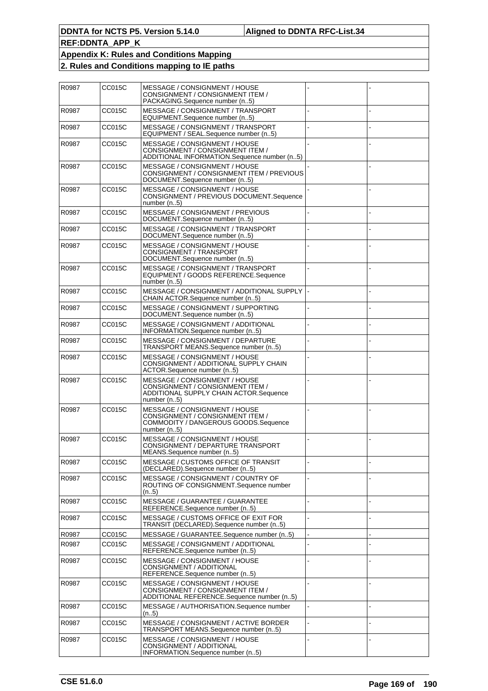| R0987 | <b>CC015C</b> | MESSAGE / CONSIGNMENT / HOUSE<br>CONSIGNMENT / CONSIGNMENT ITEM /<br>PACKAGING.Sequence number (n5)                          |  |
|-------|---------------|------------------------------------------------------------------------------------------------------------------------------|--|
| R0987 | CC015C        | MESSAGE / CONSIGNMENT / TRANSPORT<br>EQUIPMENT.Sequence number (n5)                                                          |  |
| R0987 | CC015C        | MESSAGE / CONSIGNMENT / TRANSPORT<br>EQUIPMENT / SEAL.Sequence number (n5)                                                   |  |
| R0987 | CC015C        | MESSAGE / CONSIGNMENT / HOUSE<br>CONSIGNMENT / CONSIGNMENT ITEM /<br>ADDITIONAL INFORMATION.Sequence number (n5)             |  |
| R0987 | CC015C        | MESSAGE / CONSIGNMENT / HOUSE<br>CONSIGNMENT / CONSIGNMENT ITEM / PREVIOUS<br>DOCUMENT.Sequence number (n5)                  |  |
| R0987 | CC015C        | MESSAGE / CONSIGNMENT / HOUSE<br>CONSIGNMENT / PREVIOUS DOCUMENT.Sequence<br>number $(n5)$                                   |  |
| R0987 | CC015C        | MESSAGE / CONSIGNMENT / PREVIOUS<br>DOCUMENT.Sequence number (n5)                                                            |  |
| R0987 | CC015C        | MESSAGE / CONSIGNMENT / TRANSPORT<br>DOCUMENT.Sequence number (n5)                                                           |  |
| R0987 | CC015C        | MESSAGE / CONSIGNMENT / HOUSE<br>CONSIGNMENT / TRANSPORT<br>DOCUMENT.Sequence number (n5)                                    |  |
| R0987 | CC015C        | MESSAGE / CONSIGNMENT / TRANSPORT<br>EQUIPMENT / GOODS REFERENCE.Sequence<br>number $(n5)$                                   |  |
| R0987 | CC015C        | MESSAGE / CONSIGNMENT / ADDITIONAL SUPPLY<br>CHAIN ACTOR.Sequence number (n5)                                                |  |
| R0987 | CC015C        | MESSAGE / CONSIGNMENT / SUPPORTING<br>DOCUMENT.Sequence number (n5)                                                          |  |
| R0987 | CC015C        | MESSAGE / CONSIGNMENT / ADDITIONAL<br>INFORMATION.Sequence number (n5)                                                       |  |
| R0987 | CC015C        | MESSAGE / CONSIGNMENT / DEPARTURE<br>TRANSPORT MEANS.Sequence number (n5)                                                    |  |
| R0987 | CC015C        | MESSAGE / CONSIGNMENT / HOUSE<br>CONSIGNMENT / ADDITIONAL SUPPLY CHAIN<br>ACTOR.Sequence number (n5)                         |  |
| R0987 | CC015C        | MESSAGE / CONSIGNMENT / HOUSE<br>CONSIGNMENT / CONSIGNMENT ITEM /<br>ADDITIONAL SUPPLY CHAIN ACTOR.Sequence<br>number $(n5)$ |  |
| R0987 | CC015C        | MESSAGE / CONSIGNMENT / HOUSE<br>CONSIGNMENT / CONSIGNMENT ITEM /<br>COMMODITY / DANGEROUS GOODS.Sequence<br>number $(n5)$   |  |
| R0987 | CC015C        | MESSAGE / CONSIGNMENT / HOUSE<br>CONSIGNMENT / DEPARTURE TRANSPORT<br>MEANS.Sequence number (n5)                             |  |
| R0987 | CC015C        | MESSAGE / CUSTOMS OFFICE OF TRANSIT<br>(DECLARED).Sequence number (n5)                                                       |  |
| R0987 | <b>CC015C</b> | MESSAGE / CONSIGNMENT / COUNTRY OF<br>ROUTING OF CONSIGNMENT.Sequence number<br>(n5)                                         |  |
| R0987 | <b>CC015C</b> | MESSAGE / GUARANTEE / GUARANTEE<br>REFERENCE.Sequence number (n5)                                                            |  |
| R0987 | CC015C        | MESSAGE / CUSTOMS OFFICE OF EXIT FOR<br>TRANSIT (DECLARED). Sequence number (n5)                                             |  |
| R0987 | CC015C        | MESSAGE / GUARANTEE.Sequence number (n5)                                                                                     |  |
| R0987 | CC015C        | MESSAGE / CONSIGNMENT / ADDITIONAL<br>REFERENCE.Sequence number (n5)                                                         |  |
| R0987 | <b>CC015C</b> | MESSAGE / CONSIGNMENT / HOUSE<br>CONSIGNMENT / ADDITIONAL<br>REFERENCE.Sequence number (n5)                                  |  |
| R0987 | CC015C        | MESSAGE / CONSIGNMENT / HOUSE<br>CONSIGNMENT / CONSIGNMENT ITEM /<br>ADDITIONAL REFERENCE.Sequence number (n5)               |  |
| R0987 | CC015C        | MESSAGE / AUTHORISATION.Sequence number<br>(n5)                                                                              |  |
| R0987 | CC015C        | MESSAGE / CONSIGNMENT / ACTIVE BORDER<br>TRANSPORT MEANS.Sequence number (n5)                                                |  |
| R0987 | <b>CC015C</b> | MESSAGE / CONSIGNMENT / HOUSE<br>CONSIGNMENT / ADDITIONAL<br>INFORMATION.Sequence number (n5)                                |  |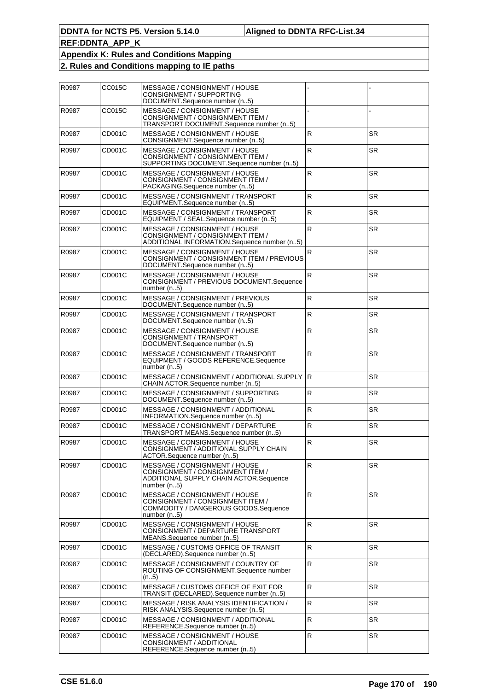| R0987 | CC015C | MESSAGE / CONSIGNMENT / HOUSE<br>CONSIGNMENT / SUPPORTING<br>DOCUMENT.Sequence number (n5)                                 |                         |           |
|-------|--------|----------------------------------------------------------------------------------------------------------------------------|-------------------------|-----------|
| R0987 | CC015C | MESSAGE / CONSIGNMENT / HOUSE<br>CONSIGNMENT / CONSIGNMENT ITEM /<br>TRANSPORT DOCUMENT.Sequence number (n5)               |                         |           |
| R0987 | CD001C | MESSAGE / CONSIGNMENT / HOUSE<br>CONSIGNMENT.Sequence number (n5)                                                          | ${\sf R}$               | <b>SR</b> |
| R0987 | CD001C | MESSAGE / CONSIGNMENT / HOUSE<br>CONSIGNMENT / CONSIGNMENT ITEM /<br>SUPPORTING DOCUMENT.Sequence number (n5)              | $\overline{\mathsf{R}}$ | <b>SR</b> |
| R0987 | CD001C | MESSAGE / CONSIGNMENT / HOUSE<br>CONSIGNMENT / CONSIGNMENT ITEM /<br>PACKAGING.Sequence number (n5)                        | ${\sf R}$               | <b>SR</b> |
| R0987 | CD001C | MESSAGE / CONSIGNMENT / TRANSPORT<br>EQUIPMENT.Sequence number (n5)                                                        | ${\sf R}$               | <b>SR</b> |
| R0987 | CD001C | MESSAGE / CONSIGNMENT / TRANSPORT<br>EQUIPMENT / SEAL.Sequence number (n5)                                                 | ${\sf R}$               | <b>SR</b> |
| R0987 | CD001C | MESSAGE / CONSIGNMENT / HOUSE<br>CONSIGNMENT / CONSIGNMENT ITEM /<br>ADDITIONAL INFORMATION.Sequence number (n5)           | ${\sf R}$               | SR.       |
| R0987 | CD001C | MESSAGE / CONSIGNMENT / HOUSE<br>CONSIGNMENT / CONSIGNMENT ITEM / PREVIOUS<br>DOCUMENT.Sequence number (n5)                | R                       | <b>SR</b> |
| R0987 | CD001C | MESSAGE / CONSIGNMENT / HOUSE<br>CONSIGNMENT / PREVIOUS DOCUMENT.Sequence<br>number (n5)                                   | R                       | <b>SR</b> |
| R0987 | CD001C | MESSAGE / CONSIGNMENT / PREVIOUS<br>DOCUMENT.Sequence number (n5)                                                          | ${\sf R}$               | <b>SR</b> |
| R0987 | CD001C | MESSAGE / CONSIGNMENT / TRANSPORT<br>DOCUMENT.Sequence number (n5)                                                         | ${\sf R}$               | <b>SR</b> |
| R0987 | CD001C | MESSAGE / CONSIGNMENT / HOUSE<br>CONSIGNMENT / TRANSPORT<br>DOCUMENT.Sequence number (n5)                                  | ${\sf R}$               | <b>SR</b> |
| R0987 | CD001C | MESSAGE / CONSIGNMENT / TRANSPORT<br>EQUIPMENT / GOODS REFERENCE.Sequence<br>number (n5)                                   | ${\sf R}$               | <b>SR</b> |
| R0987 | CD001C | MESSAGE / CONSIGNMENT / ADDITIONAL SUPPLY IR<br>CHAIN ACTOR.Sequence number (n5)                                           |                         | SR.       |
| R0987 | CD001C | MESSAGE / CONSIGNMENT / SUPPORTING<br>DOCUMENT.Sequence number (n5)                                                        | $\mathsf R$             | <b>SR</b> |
| R0987 | CD001C | MESSAGE / CONSIGNMENT / ADDITIONAL<br>INFORMATION.Sequence number (n5)                                                     | ${\sf R}$               | <b>SR</b> |
| R0987 | CD001C | MESSAGE / CONSIGNMENT / DEPARTURE<br>TRANSPORT MEANS.Sequence number (n5)                                                  | ${\sf R}$               | SR.       |
| R0987 | CD001C | MESSAGE / CONSIGNMENT / HOUSE<br>CONSIGNMENT / ADDITIONAL SUPPLY CHAIN<br>ACTOR.Sequence number (n5)                       | $\mathsf R$             | <b>SR</b> |
| R0987 | CD001C | MESSAGE / CONSIGNMENT / HOUSE<br>CONSIGNMENT / CONSIGNMENT ITEM /<br>ADDITIONAL SUPPLY CHAIN ACTOR.Sequence<br>number (n5) | $\mathsf{R}$            | SR        |
| R0987 | CD001C | MESSAGE / CONSIGNMENT / HOUSE<br>CONSIGNMENT / CONSIGNMENT ITEM /<br>COMMODITY / DANGEROUS GOODS.Sequence<br>number (n5)   | $\mathsf{R}$            | SR.       |
| R0987 | CD001C | MESSAGE / CONSIGNMENT / HOUSE<br>CONSIGNMENT / DEPARTURE TRANSPORT<br>MEANS.Sequence number (n5)                           | ${\sf R}$               | <b>SR</b> |
| R0987 | CD001C | MESSAGE / CUSTOMS OFFICE OF TRANSIT<br>(DECLARED). Sequence number (n5)                                                    | ${\sf R}$               | <b>SR</b> |
| R0987 | CD001C | MESSAGE / CONSIGNMENT / COUNTRY OF<br>ROUTING OF CONSIGNMENT.Sequence number<br>(n5)                                       | ${\sf R}$               | SR.       |
| R0987 | CD001C | MESSAGE / CUSTOMS OFFICE OF EXIT FOR<br>TRANSIT (DECLARED). Sequence number (n5)                                           | ${\sf R}$               | <b>SR</b> |
| R0987 | CD001C | MESSAGE / RISK ANALYSIS IDENTIFICATION /<br>RISK ANALYSIS.Sequence number (n5)                                             | R                       | SR.       |
| R0987 | CD001C | MESSAGE / CONSIGNMENT / ADDITIONAL<br>REFERENCE.Sequence number (n5)                                                       | $\mathsf R$             | SR        |
| R0987 | CD001C | MESSAGE / CONSIGNMENT / HOUSE<br>CONSIGNMENT / ADDITIONAL<br>REFERENCE.Sequence number (n5)                                | ${\sf R}$               | <b>SR</b> |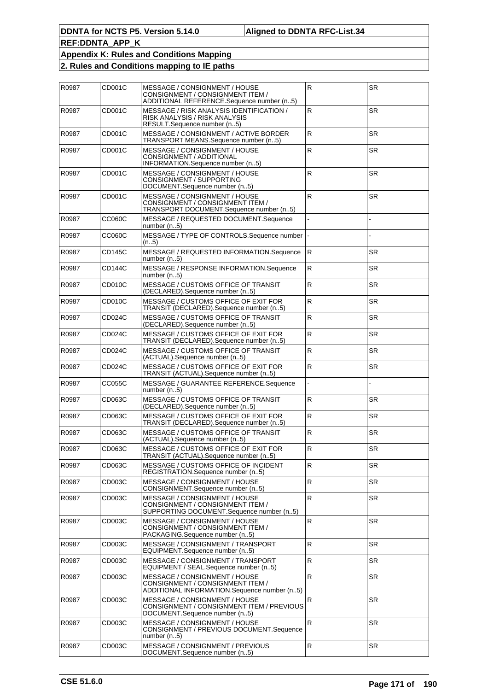| R0987 | CD001C | MESSAGE / CONSIGNMENT / HOUSE<br>CONSIGNMENT / CONSIGNMENT ITEM /<br>ADDITIONAL REFERENCE.Sequence number (n5)   | $\mathsf{R}$ | <b>SR</b> |
|-------|--------|------------------------------------------------------------------------------------------------------------------|--------------|-----------|
| R0987 | CD001C | MESSAGE / RISK ANALYSIS IDENTIFICATION /<br>RISK ANALYSIS / RISK ANALYSIS<br>RESULT.Sequence number (n5)         | $\mathsf{R}$ | <b>SR</b> |
| R0987 | CD001C | MESSAGE / CONSIGNMENT / ACTIVE BORDER<br>TRANSPORT MEANS.Sequence number (n5)                                    | $\mathsf R$  | <b>SR</b> |
| R0987 | CD001C | MESSAGE / CONSIGNMENT / HOUSE<br>CONSIGNMENT / ADDITIONAL<br>INFORMATION.Sequence number (n5)                    | R            | <b>SR</b> |
| R0987 | CD001C | MESSAGE / CONSIGNMENT / HOUSE<br>CONSIGNMENT / SUPPORTING<br>DOCUMENT.Sequence number (n5)                       | ${\sf R}$    | <b>SR</b> |
| R0987 | CD001C | MESSAGE / CONSIGNMENT / HOUSE<br>CONSIGNMENT / CONSIGNMENT ITEM /<br>TRANSPORT DOCUMENT.Sequence number (n5)     | $\mathsf{R}$ | <b>SR</b> |
| R0987 | CC060C | MESSAGE / REQUESTED DOCUMENT.Sequence<br>number $(n5)$                                                           |              |           |
| R0987 | CC060C | MESSAGE / TYPE OF CONTROLS.Sequence number  <br>(n5)                                                             |              |           |
| R0987 | CD145C | MESSAGE / REQUESTED INFORMATION.Sequence<br>number (n5)                                                          | R.           | <b>SR</b> |
| R0987 | CD144C | MESSAGE / RESPONSE INFORMATION.Sequence<br>number (n5)                                                           | $\mathsf{R}$ | <b>SR</b> |
| R0987 | CD010C | MESSAGE / CUSTOMS OFFICE OF TRANSIT<br>(DECLARED).Sequence number (n5)                                           | R            | <b>SR</b> |
| R0987 | CD010C | MESSAGE / CUSTOMS OFFICE OF EXIT FOR<br>TRANSIT (DECLARED). Sequence number (n5)                                 | $\mathsf R$  | <b>SR</b> |
| R0987 | CD024C | MESSAGE / CUSTOMS OFFICE OF TRANSIT<br>(DECLARED).Sequence number (n5)                                           | $\mathsf{R}$ | <b>SR</b> |
| R0987 | CD024C | MESSAGE / CUSTOMS OFFICE OF EXIT FOR<br>TRANSIT (DECLARED). Sequence number (n5)                                 | $\mathsf R$  | <b>SR</b> |
| R0987 | CD024C | MESSAGE / CUSTOMS OFFICE OF TRANSIT<br>(ACTUAL).Sequence number (n5)                                             | ${\sf R}$    | <b>SR</b> |
| R0987 | CD024C | MESSAGE / CUSTOMS OFFICE OF EXIT FOR<br>TRANSIT (ACTUAL). Sequence number (n5)                                   | $\mathsf R$  | <b>SR</b> |
| R0987 | CC055C | MESSAGE / GUARANTEE REFERENCE.Sequence<br>number $(n5)$                                                          |              |           |
| R0987 | CD063C | MESSAGE / CUSTOMS OFFICE OF TRANSIT<br>(DECLARED).Sequence number (n5)                                           | $\mathsf R$  | <b>SR</b> |
| R0987 | CD063C | MESSAGE / CUSTOMS OFFICE OF EXIT FOR<br>TRANSIT (DECLARED). Sequence number (n5)                                 | $\mathsf R$  | <b>SR</b> |
| R0987 | CD063C | MESSAGE / CUSTOMS OFFICE OF TRANSIT<br>(ACTUAL).Sequence number (n5)                                             | $\mathsf R$  | <b>SR</b> |
| R0987 | CD063C | MESSAGE / CUSTOMS OFFICE OF EXIT FOR<br>TRANSIT (ACTUAL). Sequence number (n5)                                   | $\mathsf{R}$ | <b>SR</b> |
| R0987 | CD063C | MESSAGE / CUSTOMS OFFICE OF INCIDENT<br>REGISTRATION.Sequence number (n5)                                        | $\mathsf{R}$ | <b>SR</b> |
| R0987 | CD003C | MESSAGE / CONSIGNMENT / HOUSE<br>CONSIGNMENT.Sequence number (n5)                                                | $\mathsf{R}$ | <b>SR</b> |
| R0987 | CD003C | MESSAGE / CONSIGNMENT / HOUSE<br>CONSIGNMENT / CONSIGNMENT ITEM /<br>SUPPORTING DOCUMENT.Sequence number (n5)    | ${\sf R}$    | <b>SR</b> |
| R0987 | CD003C | MESSAGE / CONSIGNMENT / HOUSE<br>CONSIGNMENT / CONSIGNMENT ITEM /<br>PACKAGING.Sequence number (n5)              | ${\sf R}$    | <b>SR</b> |
| R0987 | CD003C | MESSAGE / CONSIGNMENT / TRANSPORT<br>EQUIPMENT.Sequence number (n5)                                              | $\mathsf{R}$ | <b>SR</b> |
| R0987 | CD003C | MESSAGE / CONSIGNMENT / TRANSPORT<br>EQUIPMENT / SEAL.Sequence number (n5)                                       | $\mathsf{R}$ | <b>SR</b> |
| R0987 | CD003C | MESSAGE / CONSIGNMENT / HOUSE<br>CONSIGNMENT / CONSIGNMENT ITEM /<br>ADDITIONAL INFORMATION.Sequence number (n5) | ${\sf R}$    | <b>SR</b> |
| R0987 | CD003C | MESSAGE / CONSIGNMENT / HOUSE<br>CONSIGNMENT / CONSIGNMENT ITEM / PREVIOUS<br>DOCUMENT.Sequence number (n5)      | R            | <b>SR</b> |
| R0987 | CD003C | MESSAGE / CONSIGNMENT / HOUSE<br>CONSIGNMENT / PREVIOUS DOCUMENT.Sequence<br>number (n5)                         | $\mathsf{R}$ | <b>SR</b> |
| R0987 | CD003C | MESSAGE / CONSIGNMENT / PREVIOUS<br>DOCUMENT.Sequence number (n5)                                                | $\mathsf R$  | <b>SR</b> |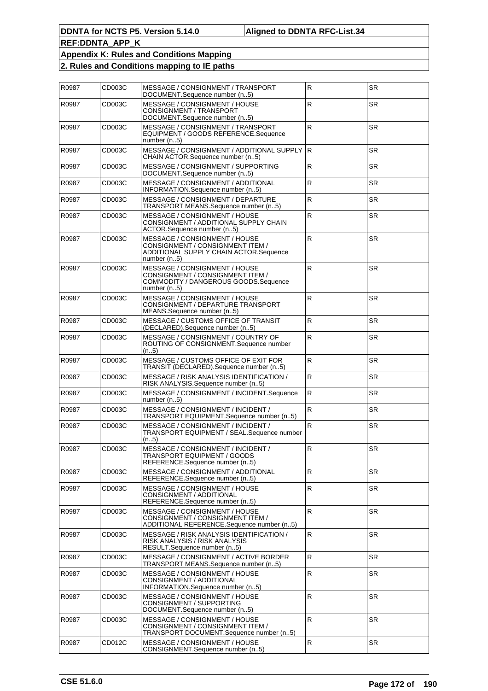| R0987 | CD003C | MESSAGE / CONSIGNMENT / TRANSPORT<br>DOCUMENT.Sequence number (n5)                                                         | R             | <b>SR</b> |
|-------|--------|----------------------------------------------------------------------------------------------------------------------------|---------------|-----------|
| R0987 | CD003C | MESSAGE / CONSIGNMENT / HOUSE<br>CONSIGNMENT / TRANSPORT<br>DOCUMENT.Sequence number (n5)                                  | ${\sf R}$     | <b>SR</b> |
| R0987 | CD003C | MESSAGE / CONSIGNMENT / TRANSPORT<br>EQUIPMENT / GOODS REFERENCE.Sequence<br>number $(n5)$                                 | $\mathsf{R}$  | <b>SR</b> |
| R0987 | CD003C | MESSAGE / CONSIGNMENT / ADDITIONAL SUPPLY<br>CHAIN ACTOR.Sequence number (n5)                                              | <sup>IR</sup> | <b>SR</b> |
| R0987 | CD003C | MESSAGE / CONSIGNMENT / SUPPORTING<br>DOCUMENT.Sequence number (n5)                                                        | $\mathsf{R}$  | <b>SR</b> |
| R0987 | CD003C | MESSAGE / CONSIGNMENT / ADDITIONAL<br>INFORMATION.Sequence number (n5)                                                     | ${\sf R}$     | <b>SR</b> |
| R0987 | CD003C | MESSAGE / CONSIGNMENT / DEPARTURE<br>TRANSPORT MEANS.Sequence number (n5)                                                  | ${\sf R}$     | <b>SR</b> |
| R0987 | CD003C | MESSAGE / CONSIGNMENT / HOUSE<br>CONSIGNMENT / ADDITIONAL SUPPLY CHAIN<br>ACTOR.Sequence number (n5)                       | $\mathsf{R}$  | <b>SR</b> |
| R0987 | CD003C | MESSAGE / CONSIGNMENT / HOUSE<br>CONSIGNMENT / CONSIGNMENT ITEM /<br>ADDITIONAL SUPPLY CHAIN ACTOR.Sequence<br>number (n5) | ${\sf R}$     | <b>SR</b> |
| R0987 | CD003C | MESSAGE / CONSIGNMENT / HOUSE<br>CONSIGNMENT / CONSIGNMENT ITEM /<br>COMMODITY / DANGEROUS GOODS.Sequence<br>number (n5)   | ${\sf R}$     | <b>SR</b> |
| R0987 | CD003C | MESSAGE / CONSIGNMENT / HOUSE<br>CONSIGNMENT / DEPARTURE TRANSPORT<br>MEANS.Sequence number (n5)                           | $\mathsf{R}$  | <b>SR</b> |
| R0987 | CD003C | MESSAGE / CUSTOMS OFFICE OF TRANSIT<br>(DECLARED).Sequence number (n5)                                                     | $\mathsf{R}$  | <b>SR</b> |
| R0987 | CD003C | MESSAGE / CONSIGNMENT / COUNTRY OF<br>ROUTING OF CONSIGNMENT.Sequence number<br>(n5)                                       | ${\sf R}$     | <b>SR</b> |
| R0987 | CD003C | MESSAGE / CUSTOMS OFFICE OF EXIT FOR<br>TRANSIT (DECLARED). Sequence number (n5)                                           | $\mathsf{R}$  | <b>SR</b> |
| R0987 | CD003C | MESSAGE / RISK ANALYSIS IDENTIFICATION /<br>RISK ANALYSIS.Sequence number (n5)                                             | ${\sf R}$     | <b>SR</b> |
| R0987 | CD003C | MESSAGE / CONSIGNMENT / INCIDENT.Sequence<br>number (n5)                                                                   | $\mathsf{R}$  | <b>SR</b> |
| R0987 | CD003C | MESSAGE / CONSIGNMENT / INCIDENT /<br>TRANSPORT EQUIPMENT.Sequence number (n5)                                             | $\mathsf{R}$  | <b>SR</b> |
| R0987 | CD003C | MESSAGE / CONSIGNMENT / INCIDENT /<br>TRANSPORT EQUIPMENT / SEAL.Sequence number<br>(n5)                                   | $\mathsf R$   | <b>SR</b> |
| R0987 | CD003C | MESSAGE / CONSIGNMENT / INCIDENT /<br>TRANSPORT EQUIPMENT / GOODS<br>REFERENCE.Sequence number (n5)                        | ${\sf R}$     | <b>SR</b> |
| R0987 | CD003C | MESSAGE / CONSIGNMENT / ADDITIONAL<br>REFERENCE.Sequence number (n5)                                                       | $\mathsf{R}$  | <b>SR</b> |
| R0987 | CD003C | MESSAGE / CONSIGNMENT / HOUSE<br>CONSIGNMENT / ADDITIONAL<br>REFERENCE.Sequence number (n5)                                | $\mathsf{R}$  | <b>SR</b> |
| R0987 | CD003C | MESSAGE / CONSIGNMENT / HOUSE<br>CONSIGNMENT / CONSIGNMENT ITEM /<br>ADDITIONAL REFERENCE.Sequence number (n5)             | $\mathsf{R}$  | SR.       |
| R0987 | CD003C | MESSAGE / RISK ANALYSIS IDENTIFICATION /<br>RISK ANALYSIS / RISK ANALYSIS<br>RESULT.Sequence number (n5)                   | R             | <b>SR</b> |
| R0987 | CD003C | MESSAGE / CONSIGNMENT / ACTIVE BORDER<br>TRANSPORT MEANS.Sequence number (n5)                                              | $\mathsf R$   | <b>SR</b> |
| R0987 | CD003C | MESSAGE / CONSIGNMENT / HOUSE<br>CONSIGNMENT / ADDITIONAL<br>INFORMATION.Sequence number (n5)                              | ${\sf R}$     | SR.       |
| R0987 | CD003C | MESSAGE / CONSIGNMENT / HOUSE<br>CONSIGNMENT / SUPPORTING<br>DOCUMENT.Sequence number (n5)                                 | $\mathsf R$   | <b>SR</b> |
| R0987 | CD003C | MESSAGE / CONSIGNMENT / HOUSE<br>CONSIGNMENT / CONSIGNMENT ITEM /<br>TRANSPORT DOCUMENT.Sequence number (n5)               | $\mathsf{R}$  | SR.       |
| R0987 | CD012C | MESSAGE / CONSIGNMENT / HOUSE<br>CONSIGNMENT.Sequence number (n5)                                                          | R             | SR        |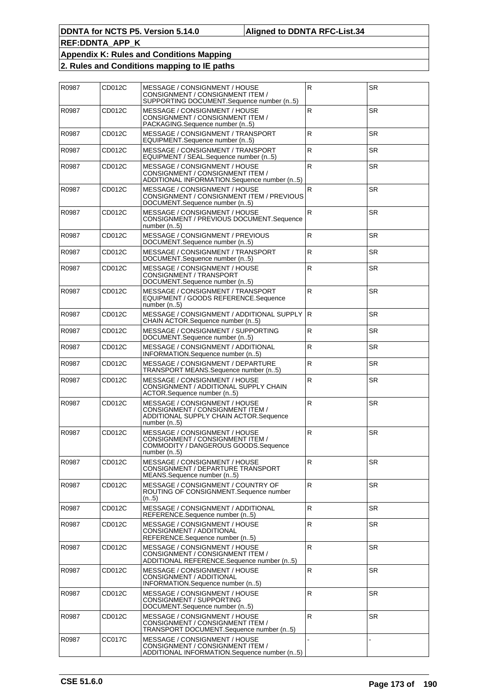| R0987 | CD012C | MESSAGE / CONSIGNMENT / HOUSE<br>CONSIGNMENT / CONSIGNMENT ITEM /<br>SUPPORTING DOCUMENT.Sequence number (n5)              | $\mathsf{R}$ | <b>SR</b> |
|-------|--------|----------------------------------------------------------------------------------------------------------------------------|--------------|-----------|
| R0987 | CD012C | MESSAGE / CONSIGNMENT / HOUSE<br>CONSIGNMENT / CONSIGNMENT ITEM /<br>PACKAGING.Sequence number (n5)                        | $\mathsf{R}$ | <b>SR</b> |
| R0987 | CD012C | MESSAGE / CONSIGNMENT / TRANSPORT<br>EQUIPMENT.Sequence number (n5)                                                        | ${\sf R}$    | <b>SR</b> |
| R0987 | CD012C | MESSAGE / CONSIGNMENT / TRANSPORT<br>EQUIPMENT / SEAL.Sequence number (n5)                                                 | $\mathsf{R}$ | <b>SR</b> |
| R0987 | CD012C | MESSAGE / CONSIGNMENT / HOUSE<br>CONSIGNMENT / CONSIGNMENT ITEM /<br>ADDITIONAL INFORMATION.Sequence number (n5)           | $\mathsf{R}$ | SR.       |
| R0987 | CD012C | MESSAGE / CONSIGNMENT / HOUSE<br>CONSIGNMENT / CONSIGNMENT ITEM / PREVIOUS<br>DOCUMENT.Sequence number (n5)                | ${\sf R}$    | <b>SR</b> |
| R0987 | CD012C | MESSAGE / CONSIGNMENT / HOUSE<br>CONSIGNMENT / PREVIOUS DOCUMENT.Sequence<br>number (n5)                                   | ${\sf R}$    | <b>SR</b> |
| R0987 | CD012C | MESSAGE / CONSIGNMENT / PREVIOUS<br>DOCUMENT.Sequence number (n5)                                                          | $\mathsf{R}$ | <b>SR</b> |
| R0987 | CD012C | MESSAGE / CONSIGNMENT / TRANSPORT<br>DOCUMENT.Sequence number (n5)                                                         | ${\sf R}$    | <b>SR</b> |
| R0987 | CD012C | MESSAGE / CONSIGNMENT / HOUSE<br>CONSIGNMENT / TRANSPORT<br>DOCUMENT.Sequence number (n5)                                  | ${\sf R}$    | <b>SR</b> |
| R0987 | CD012C | MESSAGE / CONSIGNMENT / TRANSPORT<br>EQUIPMENT / GOODS REFERENCE.Sequence<br>number (n5)                                   | ${\sf R}$    | <b>SR</b> |
| R0987 | CD012C | MESSAGE / CONSIGNMENT / ADDITIONAL SUPPLY<br>CHAIN ACTOR.Sequence number (n5)                                              | IR.          | <b>SR</b> |
| R0987 | CD012C | MESSAGE / CONSIGNMENT / SUPPORTING<br>DOCUMENT.Sequence number (n5)                                                        | ${\sf R}$    | <b>SR</b> |
| R0987 | CD012C | MESSAGE / CONSIGNMENT / ADDITIONAL<br>INFORMATION.Sequence number (n5)                                                     | $\mathsf{R}$ | <b>SR</b> |
| R0987 | CD012C | MESSAGE / CONSIGNMENT / DEPARTURE<br>TRANSPORT MEANS.Sequence number (n5)                                                  | ${\sf R}$    | <b>SR</b> |
| R0987 | CD012C | MESSAGE / CONSIGNMENT / HOUSE<br>CONSIGNMENT / ADDITIONAL SUPPLY CHAIN<br>ACTOR.Sequence number (n5)                       | $\mathsf{R}$ | <b>SR</b> |
| R0987 | CD012C | MESSAGE / CONSIGNMENT / HOUSE<br>CONSIGNMENT / CONSIGNMENT ITEM /<br>ADDITIONAL SUPPLY CHAIN ACTOR.Sequence<br>number (n5) | ${\sf R}$    | <b>SR</b> |
| R0987 | CD012C | MESSAGE / CONSIGNMENT / HOUSE<br>CONSIGNMENT / CONSIGNMENT ITEM /<br>COMMODITY / DANGEROUS GOODS.Sequence<br>number $(n5)$ | ${\sf R}$    | <b>SR</b> |
| R0987 | CD012C | MESSAGE / CONSIGNMENT / HOUSE<br>CONSIGNMENT / DEPARTURE TRANSPORT<br>MEANS.Sequence number (n5)                           | R            | SR        |
| R0987 | CD012C | MESSAGE / CONSIGNMENT / COUNTRY OF<br>ROUTING OF CONSIGNMENT. Sequence number<br>(n5)                                      | $\mathsf{R}$ | <b>SR</b> |
| R0987 | CD012C | MESSAGE / CONSIGNMENT / ADDITIONAL<br>REFERENCE.Sequence number (n5)                                                       | $\mathsf R$  | <b>SR</b> |
| R0987 | CD012C | MESSAGE / CONSIGNMENT / HOUSE<br>CONSIGNMENT / ADDITIONAL<br>REFERENCE.Sequence number (n5)                                | ${\sf R}$    | SR        |
| R0987 | CD012C | MESSAGE / CONSIGNMENT / HOUSE<br>CONSIGNMENT / CONSIGNMENT ITEM /<br>ADDITIONAL REFERENCE.Sequence number (n5)             | ${\sf R}$    | <b>SR</b> |
| R0987 | CD012C | MESSAGE / CONSIGNMENT / HOUSE<br>CONSIGNMENT / ADDITIONAL<br>INFORMATION.Sequence number (n5)                              | $\mathsf R$  | <b>SR</b> |
| R0987 | CD012C | MESSAGE / CONSIGNMENT / HOUSE<br>CONSIGNMENT / SUPPORTING<br>DOCUMENT.Sequence number (n5)                                 | $\mathsf{R}$ | SR.       |
| R0987 | CD012C | MESSAGE / CONSIGNMENT / HOUSE<br>CONSIGNMENT / CONSIGNMENT ITEM /<br>TRANSPORT DOCUMENT.Sequence number (n5)               | ${\sf R}$    | <b>SR</b> |
| R0987 | CC017C | MESSAGE / CONSIGNMENT / HOUSE<br>CONSIGNMENT / CONSIGNMENT ITEM /<br>ADDITIONAL INFORMATION.Sequence number (n5)           |              |           |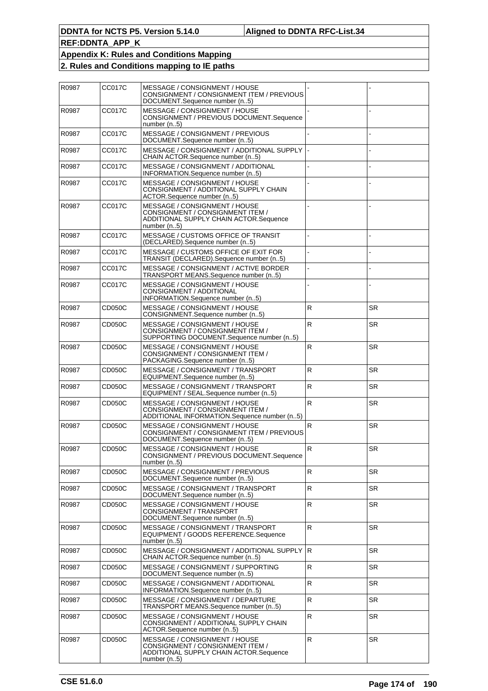| R0987 | <b>CC017C</b> | MESSAGE / CONSIGNMENT / HOUSE<br>CONSIGNMENT / CONSIGNMENT ITEM / PREVIOUS<br>DOCUMENT.Sequence number (n5)                  |              |           |
|-------|---------------|------------------------------------------------------------------------------------------------------------------------------|--------------|-----------|
| R0987 | <b>CC017C</b> | MESSAGE / CONSIGNMENT / HOUSE<br>CONSIGNMENT / PREVIOUS DOCUMENT.Sequence<br>number $(n5)$                                   |              |           |
| R0987 | CC017C        | MESSAGE / CONSIGNMENT / PREVIOUS<br>DOCUMENT.Sequence number (n5)                                                            |              |           |
| R0987 | <b>CC017C</b> | MESSAGE / CONSIGNMENT / ADDITIONAL SUPPLY<br>CHAIN ACTOR.Sequence number (n5)                                                |              |           |
| R0987 | <b>CC017C</b> | MESSAGE / CONSIGNMENT / ADDITIONAL<br>INFORMATION.Sequence number (n5)                                                       |              |           |
| R0987 | <b>CC017C</b> | MESSAGE / CONSIGNMENT / HOUSE<br>CONSIGNMENT / ADDITIONAL SUPPLY CHAIN<br>ACTOR.Sequence number (n5)                         |              |           |
| R0987 | <b>CC017C</b> | MESSAGE / CONSIGNMENT / HOUSE<br>CONSIGNMENT / CONSIGNMENT ITEM /<br>ADDITIONAL SUPPLY CHAIN ACTOR.Sequence<br>number $(n5)$ |              |           |
| R0987 | <b>CC017C</b> | MESSAGE / CUSTOMS OFFICE OF TRANSIT<br>(DECLARED).Sequence number (n5)                                                       |              |           |
| R0987 | <b>CC017C</b> | MESSAGE / CUSTOMS OFFICE OF EXIT FOR<br>TRANSIT (DECLARED). Sequence number (n5)                                             |              |           |
| R0987 | <b>CC017C</b> | MESSAGE / CONSIGNMENT / ACTIVE BORDER<br>TRANSPORT MEANS.Sequence number (n5)                                                |              |           |
| R0987 | <b>CC017C</b> | MESSAGE / CONSIGNMENT / HOUSE<br>CONSIGNMENT / ADDITIONAL<br>INFORMATION.Sequence number (n5)                                |              |           |
| R0987 | <b>CD050C</b> | MESSAGE / CONSIGNMENT / HOUSE<br>CONSIGNMENT.Sequence number (n5)                                                            | $\mathsf{R}$ | <b>SR</b> |
| R0987 | CD050C        | MESSAGE / CONSIGNMENT / HOUSE<br>CONSIGNMENT / CONSIGNMENT ITEM /<br>SUPPORTING DOCUMENT.Sequence number (n5)                | $\mathsf{R}$ | <b>SR</b> |
| R0987 | CD050C        | MESSAGE / CONSIGNMENT / HOUSE<br>CONSIGNMENT / CONSIGNMENT ITEM /<br>PACKAGING.Sequence number (n5)                          | ${\sf R}$    | <b>SR</b> |
| R0987 | CD050C        | MESSAGE / CONSIGNMENT / TRANSPORT<br>EQUIPMENT.Sequence number (n5)                                                          | $\mathsf{R}$ | <b>SR</b> |
| R0987 | <b>CD050C</b> | MESSAGE / CONSIGNMENT / TRANSPORT<br>EQUIPMENT / SEAL.Sequence number (n5)                                                   | $\mathsf{R}$ | <b>SR</b> |
| R0987 | CD050C        | MESSAGE / CONSIGNMENT / HOUSE<br>CONSIGNMENT / CONSIGNMENT ITEM /<br>ADDITIONAL INFORMATION.Sequence number (n5)             | ${\sf R}$    | <b>SR</b> |
| R0987 | CD050C        | MESSAGE / CONSIGNMENT / HOUSE<br>CONSIGNMENT / CONSIGNMENT ITEM / PREVIOUS<br>DOCUMENT.Sequence number (n5)                  | $\mathsf R$  | <b>SR</b> |
| R0987 | CD050C        | MESSAGE / CONSIGNMENT / HOUSE<br>CONSIGNMENT / PREVIOUS DOCUMENT.Sequence<br>number $(n5)$                                   | ${\sf R}$    | <b>SR</b> |
| R0987 | <b>CD050C</b> | MESSAGE / CONSIGNMENT / PREVIOUS<br>DOCUMENT.Sequence number (n5)                                                            | $\mathsf{R}$ | <b>SR</b> |
| R0987 | <b>CD050C</b> | MESSAGE / CONSIGNMENT / TRANSPORT<br>DOCUMENT.Sequence number (n5)                                                           | $\mathsf{R}$ | <b>SR</b> |
| R0987 | CD050C        | MESSAGE / CONSIGNMENT / HOUSE<br>CONSIGNMENT / TRANSPORT<br>DOCUMENT.Sequence number (n5)                                    | ${\sf R}$    | SR        |
| R0987 | <b>CD050C</b> | MESSAGE / CONSIGNMENT / TRANSPORT<br>EQUIPMENT / GOODS REFERENCE.Sequence<br>number $(n5)$                                   | ${\sf R}$    | <b>SR</b> |
| R0987 | CD050C        | MESSAGE / CONSIGNMENT / ADDITIONAL SUPPLY<br>CHAIN ACTOR.Sequence number (n5)                                                | IR.          | <b>SR</b> |
| R0987 | <b>CD050C</b> | MESSAGE / CONSIGNMENT / SUPPORTING<br>DOCUMENT.Sequence number (n5)                                                          | $\mathsf R$  | <b>SR</b> |
| R0987 | <b>CD050C</b> | MESSAGE / CONSIGNMENT / ADDITIONAL<br>INFORMATION.Sequence number (n5)                                                       | $\mathsf{R}$ | SR        |
| R0987 | CD050C        | MESSAGE / CONSIGNMENT / DEPARTURE<br>TRANSPORT MEANS.Sequence number (n5)                                                    | $\mathsf{R}$ | SR.       |
| R0987 | <b>CD050C</b> | MESSAGE / CONSIGNMENT / HOUSE<br>CONSIGNMENT / ADDITIONAL SUPPLY CHAIN<br>ACTOR.Sequence number (n5)                         | $\mathsf R$  | <b>SR</b> |
| R0987 | CD050C        | MESSAGE / CONSIGNMENT / HOUSE<br>CONSIGNMENT / CONSIGNMENT ITEM /<br>ADDITIONAL SUPPLY CHAIN ACTOR.Sequence<br>number $(n5)$ | $\mathsf{R}$ | SR        |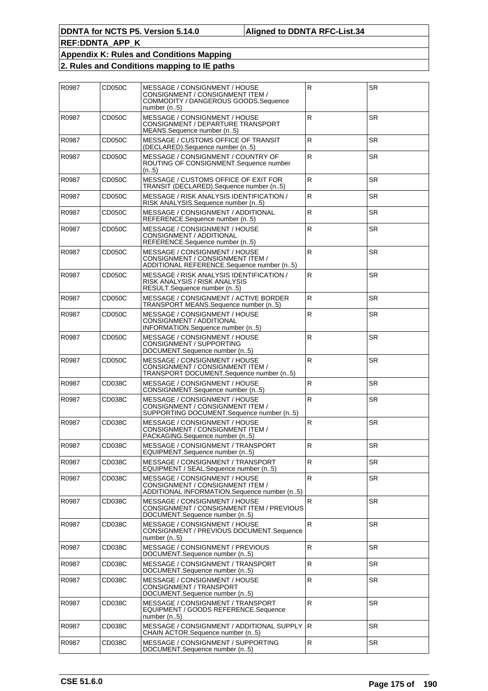| R0987 | CD050C | MESSAGE / CONSIGNMENT / HOUSE<br>CONSIGNMENT / CONSIGNMENT ITEM /<br>COMMODITY / DANGEROUS GOODS.Sequence<br>number $(n5)$ | $\mathsf{R}$ | <b>SR</b> |
|-------|--------|----------------------------------------------------------------------------------------------------------------------------|--------------|-----------|
| R0987 | CD050C | MESSAGE / CONSIGNMENT / HOUSE<br>CONSIGNMENT / DEPARTURE TRANSPORT<br>MEANS.Sequence number (n5)                           | ${\sf R}$    | <b>SR</b> |
| R0987 | CD050C | MESSAGE / CUSTOMS OFFICE OF TRANSIT<br>(DECLARED).Sequence number (n5)                                                     | $\mathsf{R}$ | <b>SR</b> |
| R0987 | CD050C | MESSAGE / CONSIGNMENT / COUNTRY OF<br>ROUTING OF CONSIGNMENT.Sequence number<br>(n5)                                       | ${\sf R}$    | <b>SR</b> |
| R0987 | CD050C | MESSAGE / CUSTOMS OFFICE OF EXIT FOR<br>TRANSIT (DECLARED). Sequence number (n5)                                           | $\mathsf{R}$ | <b>SR</b> |
| R0987 | CD050C | MESSAGE / RISK ANALYSIS IDENTIFICATION /<br>RISK ANALYSIS.Sequence number (n5)                                             | $\mathsf{R}$ | <b>SR</b> |
| R0987 | CD050C | MESSAGE / CONSIGNMENT / ADDITIONAL<br>REFERENCE.Sequence number (n5)                                                       | $\mathsf R$  | <b>SR</b> |
| R0987 | CD050C | MESSAGE / CONSIGNMENT / HOUSE<br>CONSIGNMENT / ADDITIONAL<br>REFERENCE.Sequence number (n5)                                | $\mathsf R$  | <b>SR</b> |
| R0987 | CD050C | MESSAGE / CONSIGNMENT / HOUSE<br>CONSIGNMENT / CONSIGNMENT ITEM /<br>ADDITIONAL REFERENCE.Sequence number (n5)             | $\mathsf{R}$ | <b>SR</b> |
| R0987 | CD050C | MESSAGE / RISK ANALYSIS IDENTIFICATION /<br>RISK ANALYSIS / RISK ANALYSIS<br>RESULT.Sequence number (n5)                   | $\mathsf{R}$ | <b>SR</b> |
| R0987 | CD050C | MESSAGE / CONSIGNMENT / ACTIVE BORDER<br>TRANSPORT MEANS.Sequence number (n5)                                              | R            | <b>SR</b> |
| R0987 | CD050C | MESSAGE / CONSIGNMENT / HOUSE<br>CONSIGNMENT / ADDITIONAL<br>INFORMATION.Sequence number (n5)                              | ${\sf R}$    | <b>SR</b> |
| R0987 | CD050C | MESSAGE / CONSIGNMENT / HOUSE<br>CONSIGNMENT / SUPPORTING<br>DOCUMENT.Sequence number (n5)                                 | $\mathsf R$  | <b>SR</b> |
| R0987 | CD050C | MESSAGE / CONSIGNMENT / HOUSE<br>CONSIGNMENT / CONSIGNMENT ITEM /<br>TRANSPORT DOCUMENT.Sequence number (n5)               | $\mathsf{R}$ | <b>SR</b> |
| R0987 | CD038C | MESSAGE / CONSIGNMENT / HOUSE<br>CONSIGNMENT.Sequence number (n5)                                                          | ${\sf R}$    | <b>SR</b> |
| R0987 | CD038C | MESSAGE / CONSIGNMENT / HOUSE<br>CONSIGNMENT / CONSIGNMENT ITEM /<br>SUPPORTING DOCUMENT.Sequence number (n5)              | $\mathsf{R}$ | <b>SR</b> |
| R0987 | CD038C | MESSAGE / CONSIGNMENT / HOUSE<br>CONSIGNMENT / CONSIGNMENT ITEM /<br>PACKAGING.Sequence number (n5)                        | ${\sf R}$    | <b>SR</b> |
| R0987 | CD038C | MESSAGE / CONSIGNMENT / TRANSPORT<br>EQUIPMENT.Sequence number (n5)                                                        | R.           | <b>SR</b> |
| R0987 | CD038C | MESSAGE / CONSIGNMENT / TRANSPORT<br>EQUIPMENT / SEAL.Sequence number (n5)                                                 | $\mathsf{R}$ | SR        |
| R0987 | CD038C | MESSAGE / CONSIGNMENT / HOUSE<br>CONSIGNMENT / CONSIGNMENT ITEM /<br>ADDITIONAL INFORMATION.Sequence number (n5)           | $\mathsf{R}$ | <b>SR</b> |
| R0987 | CD038C | MESSAGE / CONSIGNMENT / HOUSE<br>CONSIGNMENT / CONSIGNMENT ITEM / PREVIOUS<br>DOCUMENT.Sequence number (n5)                | R            | <b>SR</b> |
| R0987 | CD038C | MESSAGE / CONSIGNMENT / HOUSE<br>CONSIGNMENT / PREVIOUS DOCUMENT.Sequence<br>number $(n5)$                                 | $\mathsf R$  | <b>SR</b> |
| R0987 | CD038C | MESSAGE / CONSIGNMENT / PREVIOUS<br>DOCUMENT.Sequence number (n5)                                                          | R            | <b>SR</b> |
| R0987 | CD038C | MESSAGE / CONSIGNMENT / TRANSPORT<br>DOCUMENT.Sequence number (n5)                                                         | ${\sf R}$    | <b>SR</b> |
| R0987 | CD038C | MESSAGE / CONSIGNMENT / HOUSE<br>CONSIGNMENT / TRANSPORT<br>DOCUMENT.Sequence number (n5)                                  | $\mathsf{R}$ | SR        |
| R0987 | CD038C | MESSAGE / CONSIGNMENT / TRANSPORT<br>EQUIPMENT / GOODS REFERENCE.Sequence<br>number $(n5)$                                 | ${\sf R}$    | <b>SR</b> |
| R0987 | CD038C | MESSAGE / CONSIGNMENT / ADDITIONAL SUPPLY R<br>CHAIN ACTOR.Sequence number (n5)                                            |              | <b>SR</b> |
| R0987 | CD038C | MESSAGE / CONSIGNMENT / SUPPORTING<br>DOCUMENT.Sequence number (n5)                                                        | $\mathsf{R}$ | <b>SR</b> |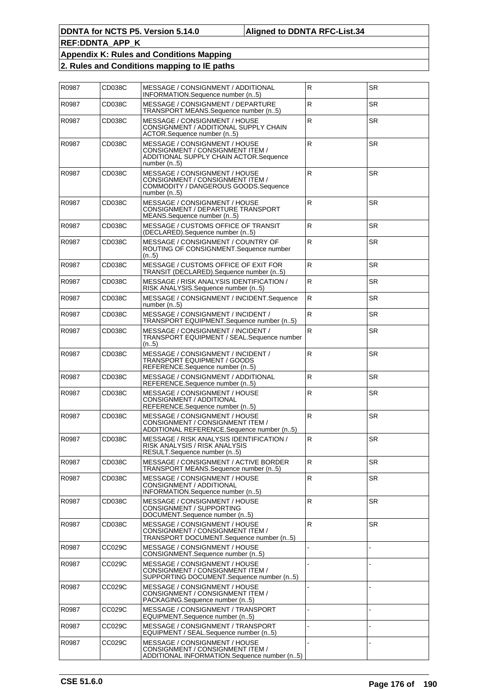| R0987 | CD038C | MESSAGE / CONSIGNMENT / ADDITIONAL<br>INFORMATION.Sequence number (n5)                                                     | R            | <b>SR</b> |
|-------|--------|----------------------------------------------------------------------------------------------------------------------------|--------------|-----------|
| R0987 | CD038C | MESSAGE / CONSIGNMENT / DEPARTURE<br>TRANSPORT MEANS.Sequence number (n5)                                                  | ${\sf R}$    | <b>SR</b> |
| R0987 | CD038C | MESSAGE / CONSIGNMENT / HOUSE<br>CONSIGNMENT / ADDITIONAL SUPPLY CHAIN<br>ACTOR.Sequence number (n5)                       | $\mathsf{R}$ | <b>SR</b> |
| R0987 | CD038C | MESSAGE / CONSIGNMENT / HOUSE<br>CONSIGNMENT / CONSIGNMENT ITEM /<br>ADDITIONAL SUPPLY CHAIN ACTOR.Sequence<br>number (n5) | ${\sf R}$    | <b>SR</b> |
| R0987 | CD038C | MESSAGE / CONSIGNMENT / HOUSE<br>CONSIGNMENT / CONSIGNMENT ITEM /<br>COMMODITY / DANGEROUS GOODS.Sequence<br>number $(n5)$ | ${\sf R}$    | <b>SR</b> |
| R0987 | CD038C | MESSAGE / CONSIGNMENT / HOUSE<br>CONSIGNMENT / DEPARTURE TRANSPORT<br>MEANS.Sequence number (n5)                           | ${\sf R}$    | <b>SR</b> |
| R0987 | CD038C | MESSAGE / CUSTOMS OFFICE OF TRANSIT<br>(DECLARED).Sequence number (n5)                                                     | R            | <b>SR</b> |
| R0987 | CD038C | MESSAGE / CONSIGNMENT / COUNTRY OF<br>ROUTING OF CONSIGNMENT.Sequence number<br>(n5)                                       | ${\sf R}$    | <b>SR</b> |
| R0987 | CD038C | MESSAGE / CUSTOMS OFFICE OF EXIT FOR<br>TRANSIT (DECLARED). Sequence number (n5)                                           | R            | <b>SR</b> |
| R0987 | CD038C | MESSAGE / RISK ANALYSIS IDENTIFICATION /<br>RISK ANALYSIS.Sequence number (n5)                                             | ${\sf R}$    | <b>SR</b> |
| R0987 | CD038C | MESSAGE / CONSIGNMENT / INCIDENT.Sequence<br>number (n5)                                                                   | ${\sf R}$    | <b>SR</b> |
| R0987 | CD038C | MESSAGE / CONSIGNMENT / INCIDENT /<br>TRANSPORT EQUIPMENT.Sequence number (n5)                                             | R            | <b>SR</b> |
| R0987 | CD038C | MESSAGE / CONSIGNMENT / INCIDENT /<br>TRANSPORT EQUIPMENT / SEAL.Sequence number<br>(n5)                                   | ${\sf R}$    | <b>SR</b> |
| R0987 | CD038C | MESSAGE / CONSIGNMENT / INCIDENT /<br>TRANSPORT EQUIPMENT / GOODS<br>REFERENCE.Sequence number (n5)                        | $\mathsf{R}$ | <b>SR</b> |
| R0987 | CD038C | MESSAGE / CONSIGNMENT / ADDITIONAL<br>REFERENCE.Sequence number (n5)                                                       | $\mathsf{R}$ | <b>SR</b> |
| R0987 | CD038C | MESSAGE / CONSIGNMENT / HOUSE<br>CONSIGNMENT / ADDITIONAL<br>REFERENCE.Sequence number (n5)                                | ${\sf R}$    | <b>SR</b> |
| R0987 | CD038C | MESSAGE / CONSIGNMENT / HOUSE<br>CONSIGNMENT / CONSIGNMENT ITEM /<br>ADDITIONAL REFERENCE.Sequence number (n5)             | ${\sf R}$    | <b>SR</b> |
| R0987 | CD038C | MESSAGE / RISK ANALYSIS IDENTIFICATION /<br>RISK ANALYSIS / RISK ANALYSIS<br>RESULT.Sequence number (n5)                   | ${\sf R}$    | <b>SR</b> |
| R0987 | CD038C | MESSAGE / CONSIGNMENT / ACTIVE BORDER<br>TRANSPORT MEANS.Sequence number (n5)                                              | R            | SR        |
| R0987 | CD038C | MESSAGE / CONSIGNMENT / HOUSE<br>CONSIGNMENT / ADDITIONAL<br>INFORMATION.Sequence number (n5)                              | ${\sf R}$    | <b>SR</b> |
| R0987 | CD038C | MESSAGE / CONSIGNMENT / HOUSE<br>CONSIGNMENT / SUPPORTING<br>DOCUMENT.Sequence number (n5)                                 | $\mathsf{R}$ | <b>SR</b> |
| R0987 | CD038C | MESSAGE / CONSIGNMENT / HOUSE<br>CONSIGNMENT / CONSIGNMENT ITEM /<br>TRANSPORT DOCUMENT.Sequence number (n5)               | ${\sf R}$    | <b>SR</b> |
| R0987 | CC029C | MESSAGE / CONSIGNMENT / HOUSE<br>CONSIGNMENT.Sequence number (n5)                                                          |              |           |
| R0987 | CC029C | MESSAGE / CONSIGNMENT / HOUSE<br>CONSIGNMENT / CONSIGNMENT ITEM /<br>SUPPORTING DOCUMENT.Sequence number (n5)              |              |           |
| R0987 | CC029C | MESSAGE / CONSIGNMENT / HOUSE<br>CONSIGNMENT / CONSIGNMENT ITEM /<br>PACKAGING.Sequence number (n5)                        |              |           |
| R0987 | CC029C | MESSAGE / CONSIGNMENT / TRANSPORT<br>EQUIPMENT.Sequence number (n5)                                                        |              |           |
| R0987 | CC029C | MESSAGE / CONSIGNMENT / TRANSPORT<br>EQUIPMENT / SEAL.Sequence number (n5)                                                 |              |           |
| R0987 | CC029C | MESSAGE / CONSIGNMENT / HOUSE<br>CONSIGNMENT / CONSIGNMENT ITEM /<br>ADDITIONAL INFORMATION.Sequence number (n5)           |              |           |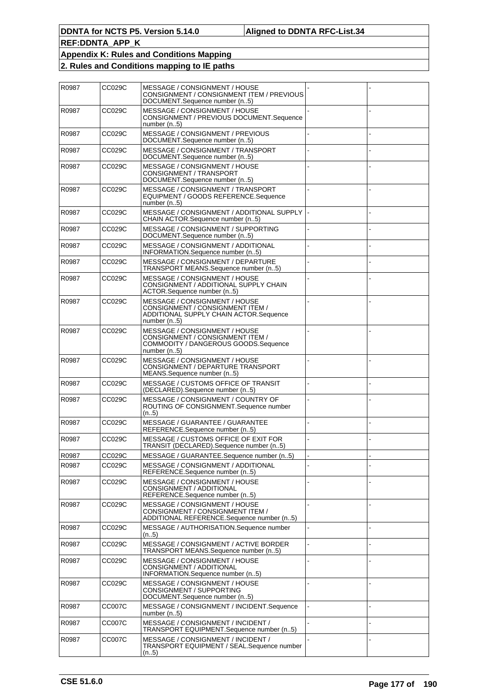| R0987 | CC029C        | MESSAGE / CONSIGNMENT / HOUSE<br>CONSIGNMENT / CONSIGNMENT ITEM / PREVIOUS<br>DOCUMENT.Sequence number (n5)                  |  |
|-------|---------------|------------------------------------------------------------------------------------------------------------------------------|--|
| R0987 | CC029C        | MESSAGE / CONSIGNMENT / HOUSE<br>CONSIGNMENT / PREVIOUS DOCUMENT.Sequence<br>number $(n5)$                                   |  |
| R0987 | CC029C        | MESSAGE / CONSIGNMENT / PREVIOUS<br>DOCUMENT.Sequence number (n5)                                                            |  |
| R0987 | CC029C        | MESSAGE / CONSIGNMENT / TRANSPORT<br>DOCUMENT.Sequence number (n5)                                                           |  |
| R0987 | CC029C        | MESSAGE / CONSIGNMENT / HOUSE<br>CONSIGNMENT / TRANSPORT<br>DOCUMENT.Sequence number (n5)                                    |  |
| R0987 | CC029C        | MESSAGE / CONSIGNMENT / TRANSPORT<br>EQUIPMENT / GOODS REFERENCE.Sequence<br>number $(n5)$                                   |  |
| R0987 | CC029C        | MESSAGE / CONSIGNMENT / ADDITIONAL SUPPLY<br>CHAIN ACTOR.Sequence number (n5)                                                |  |
| R0987 | CC029C        | MESSAGE / CONSIGNMENT / SUPPORTING<br>DOCUMENT.Sequence number (n5)                                                          |  |
| R0987 | CC029C        | MESSAGE / CONSIGNMENT / ADDITIONAL<br>INFORMATION.Sequence number (n5)                                                       |  |
| R0987 | CC029C        | MESSAGE / CONSIGNMENT / DEPARTURE<br>TRANSPORT MEANS.Sequence number (n5)                                                    |  |
| R0987 | CC029C        | MESSAGE / CONSIGNMENT / HOUSE<br>CONSIGNMENT / ADDITIONAL SUPPLY CHAIN<br>ACTOR.Sequence number (n5)                         |  |
| R0987 | CC029C        | MESSAGE / CONSIGNMENT / HOUSE<br>CONSIGNMENT / CONSIGNMENT ITEM /<br>ADDITIONAL SUPPLY CHAIN ACTOR.Sequence<br>number $(n5)$ |  |
| R0987 | CC029C        | MESSAGE / CONSIGNMENT / HOUSE<br>CONSIGNMENT / CONSIGNMENT ITEM /<br>COMMODITY / DANGEROUS GOODS.Sequence<br>number $(n5)$   |  |
| R0987 | CC029C        | MESSAGE / CONSIGNMENT / HOUSE<br>CONSIGNMENT / DEPARTURE TRANSPORT<br>MEANS.Sequence number (n5)                             |  |
| R0987 | CC029C        | MESSAGE / CUSTOMS OFFICE OF TRANSIT<br>(DECLARED). Sequence number (n5)                                                      |  |
| R0987 | CC029C        | MESSAGE / CONSIGNMENT / COUNTRY OF<br>ROUTING OF CONSIGNMENT.Sequence number<br>(n5)                                         |  |
| R0987 | CC029C        | <b>MESSAGE / GUARANTEE / GUARANTEE</b><br>REFERENCE.Sequence number (n5)                                                     |  |
| R0987 | CC029C        | MESSAGE / CUSTOMS OFFICE OF EXIT FOR<br>TRANSIT (DECLARED). Sequence number (n5)                                             |  |
| R0987 | CC029C        | MESSAGE / GUARANTEE.Sequence number (n5)                                                                                     |  |
| R0987 | CC029C        | MESSAGE / CONSIGNMENT / ADDITIONAL<br>REFERENCE.Sequence number (n5)                                                         |  |
| R0987 | <b>CC029C</b> | MESSAGE / CONSIGNMENT / HOUSE<br>CONSIGNMENT / ADDITIONAL<br>REFERENCE.Sequence number (n5)                                  |  |
| R0987 | CC029C        | MESSAGE / CONSIGNMENT / HOUSE<br>CONSIGNMENT / CONSIGNMENT ITEM /<br>ADDITIONAL REFERENCE.Sequence number (n5)               |  |
| R0987 | CC029C        | MESSAGE / AUTHORISATION.Sequence number<br>(n5)                                                                              |  |
| R0987 | CC029C        | MESSAGE / CONSIGNMENT / ACTIVE BORDER<br>TRANSPORT MEANS.Sequence number (n5)                                                |  |
| R0987 | CC029C        | MESSAGE / CONSIGNMENT / HOUSE<br>CONSIGNMENT / ADDITIONAL<br>INFORMATION.Sequence number (n5)                                |  |
| R0987 | CC029C        | MESSAGE / CONSIGNMENT / HOUSE<br>CONSIGNMENT / SUPPORTING<br>DOCUMENT.Sequence number (n5)                                   |  |
| R0987 | <b>CC007C</b> | MESSAGE / CONSIGNMENT / INCIDENT.Sequence<br>number $(n5)$                                                                   |  |
| R0987 | <b>CC007C</b> | MESSAGE / CONSIGNMENT / INCIDENT /<br>TRANSPORT EQUIPMENT.Sequence number (n5)                                               |  |
| R0987 | <b>CC007C</b> | MESSAGE / CONSIGNMENT / INCIDENT /<br>TRANSPORT EQUIPMENT / SEAL.Sequence number<br>(n5)                                     |  |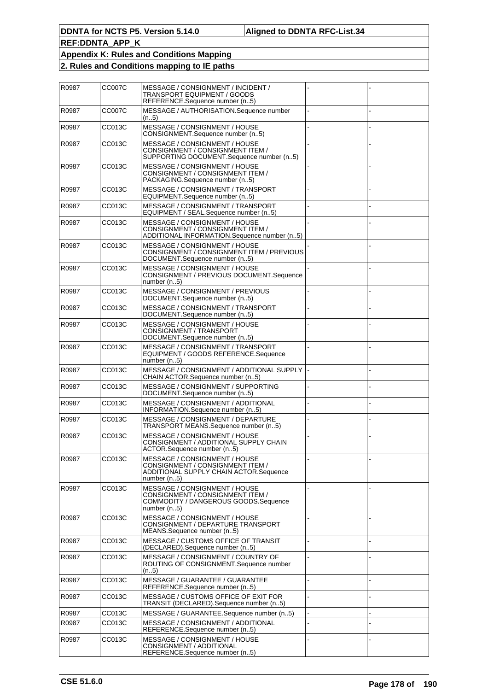| R0987 | <b>CC007C</b> | MESSAGE / CONSIGNMENT / INCIDENT /<br>TRANSPORT EQUIPMENT / GOODS<br>REFERENCE.Sequence number (n5)                          |  |
|-------|---------------|------------------------------------------------------------------------------------------------------------------------------|--|
| R0987 | <b>CC007C</b> | MESSAGE / AUTHORISATION.Sequence number<br>(n5)                                                                              |  |
| R0987 | CC013C        | MESSAGE / CONSIGNMENT / HOUSE<br>CONSIGNMENT.Sequence number (n5)                                                            |  |
| R0987 | CC013C        | MESSAGE / CONSIGNMENT / HOUSE<br>CONSIGNMENT / CONSIGNMENT ITEM /<br>SUPPORTING DOCUMENT.Sequence number (n5)                |  |
| R0987 | CC013C        | MESSAGE / CONSIGNMENT / HOUSE<br>CONSIGNMENT / CONSIGNMENT ITEM /<br>PACKAGING.Sequence number (n5)                          |  |
| R0987 | CC013C        | MESSAGE / CONSIGNMENT / TRANSPORT<br>EQUIPMENT.Sequence number (n5)                                                          |  |
| R0987 | CC013C        | MESSAGE / CONSIGNMENT / TRANSPORT<br>EQUIPMENT / SEAL.Sequence number (n5)                                                   |  |
| R0987 | CC013C        | MESSAGE / CONSIGNMENT / HOUSE<br>CONSIGNMENT / CONSIGNMENT ITEM /<br>ADDITIONAL INFORMATION.Sequence number (n5)             |  |
| R0987 | CC013C        | MESSAGE / CONSIGNMENT / HOUSE<br>CONSIGNMENT / CONSIGNMENT ITEM / PREVIOUS<br>DOCUMENT.Sequence number (n5)                  |  |
| R0987 | CC013C        | MESSAGE / CONSIGNMENT / HOUSE<br>CONSIGNMENT / PREVIOUS DOCUMENT.Sequence<br>number $(n5)$                                   |  |
| R0987 | CC013C        | MESSAGE / CONSIGNMENT / PREVIOUS<br>DOCUMENT.Sequence number (n5)                                                            |  |
| R0987 | CC013C        | MESSAGE / CONSIGNMENT / TRANSPORT<br>DOCUMENT.Sequence number (n5)                                                           |  |
| R0987 | CC013C        | MESSAGE / CONSIGNMENT / HOUSE<br>CONSIGNMENT / TRANSPORT<br>DOCUMENT.Sequence number (n5)                                    |  |
| R0987 | CC013C        | MESSAGE / CONSIGNMENT / TRANSPORT<br>EQUIPMENT / GOODS REFERENCE.Sequence<br>number $(n5)$                                   |  |
| R0987 | CC013C        | MESSAGE / CONSIGNMENT / ADDITIONAL SUPPLY<br>CHAIN ACTOR.Sequence number (n5)                                                |  |
| R0987 | CC013C        | MESSAGE / CONSIGNMENT / SUPPORTING<br>DOCUMENT.Sequence number (n5)                                                          |  |
| R0987 | CC013C        | MESSAGE / CONSIGNMENT / ADDITIONAL<br>INFORMATION.Sequence number (n5)                                                       |  |
| R0987 | CC013C        | MESSAGE / CONSIGNMENT / DEPARTURE<br>TRANSPORT MEANS.Sequence number (n5)                                                    |  |
| R0987 | CC013C        | MESSAGE / CONSIGNMENT / HOUSE<br>CONSIGNMENT / ADDITIONAL SUPPLY CHAIN<br>ACTOR.Sequence number (n5)                         |  |
| R0987 | CC013C        | MESSAGE / CONSIGNMENT / HOUSE<br>CONSIGNMENT / CONSIGNMENT ITEM /<br>ADDITIONAL SUPPLY CHAIN ACTOR.Sequence<br>number $(n5)$ |  |
| R0987 | CC013C        | MESSAGE / CONSIGNMENT / HOUSE<br>CONSIGNMENT / CONSIGNMENT ITEM /<br>COMMODITY / DANGEROUS GOODS.Sequence<br>number $(n5)$   |  |
| R0987 | CC013C        | MESSAGE / CONSIGNMENT / HOUSE<br>CONSIGNMENT / DEPARTURE TRANSPORT<br>MEANS.Sequence number (n5)                             |  |
| R0987 | CC013C        | MESSAGE / CUSTOMS OFFICE OF TRANSIT<br>(DECLARED).Sequence number (n5)                                                       |  |
| R0987 | CC013C        | MESSAGE / CONSIGNMENT / COUNTRY OF<br>ROUTING OF CONSIGNMENT.Sequence number<br>(n.5)                                        |  |
| R0987 | CC013C        | MESSAGE / GUARANTEE / GUARANTEE<br>REFERENCE.Sequence number (n5)                                                            |  |
| R0987 | CC013C        | MESSAGE / CUSTOMS OFFICE OF EXIT FOR<br>TRANSIT (DECLARED).Sequence number (n5)                                              |  |
| R0987 | CC013C        | MESSAGE / GUARANTEE.Sequence number (n5)                                                                                     |  |
| R0987 | CC013C        | MESSAGE / CONSIGNMENT / ADDITIONAL<br>REFERENCE.Sequence number (n5)                                                         |  |
| R0987 | CC013C        | MESSAGE / CONSIGNMENT / HOUSE<br>CONSIGNMENT / ADDITIONAL<br>REFERENCE.Sequence number (n5)                                  |  |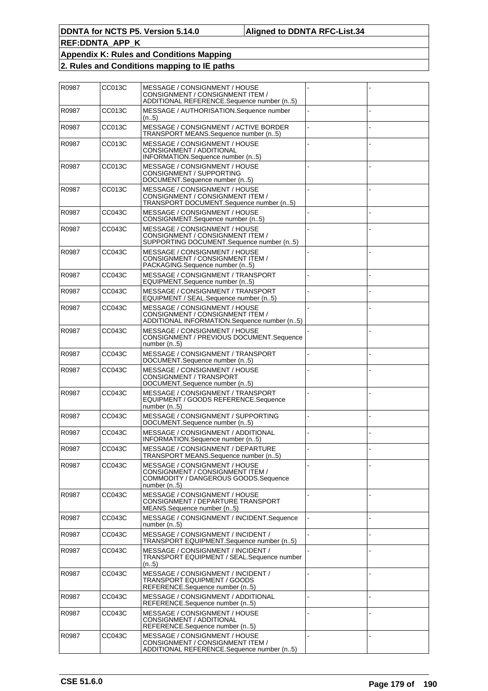| R0987 | CC013C | MESSAGE / CONSIGNMENT / HOUSE<br>CONSIGNMENT / CONSIGNMENT ITEM /<br>ADDITIONAL REFERENCE.Sequence number (n5)             |  |
|-------|--------|----------------------------------------------------------------------------------------------------------------------------|--|
| R0987 | CC013C | MESSAGE / AUTHORISATION.Sequence number<br>(n5)                                                                            |  |
| R0987 | CC013C | MESSAGE / CONSIGNMENT / ACTIVE BORDER<br>TRANSPORT MEANS.Sequence number (n5)                                              |  |
| R0987 | CC013C | MESSAGE / CONSIGNMENT / HOUSE<br>CONSIGNMENT / ADDITIONAL<br>INFORMATION.Sequence number (n5)                              |  |
| R0987 | CC013C | MESSAGE / CONSIGNMENT / HOUSE<br>CONSIGNMENT / SUPPORTING<br>DOCUMENT.Sequence number (n5)                                 |  |
| R0987 | CC013C | MESSAGE / CONSIGNMENT / HOUSE<br>CONSIGNMENT / CONSIGNMENT ITEM /<br>TRANSPORT DOCUMENT.Sequence number (n5)               |  |
| R0987 | CC043C | MESSAGE / CONSIGNMENT / HOUSE<br>CONSIGNMENT.Sequence number (n5)                                                          |  |
| R0987 | CC043C | MESSAGE / CONSIGNMENT / HOUSE<br>CONSIGNMENT / CONSIGNMENT ITEM /<br>SUPPORTING DOCUMENT.Sequence number (n5)              |  |
| R0987 | CC043C | MESSAGE / CONSIGNMENT / HOUSE<br>CONSIGNMENT / CONSIGNMENT ITEM /<br>PACKAGING.Sequence number (n5)                        |  |
| R0987 | CC043C | MESSAGE / CONSIGNMENT / TRANSPORT<br>EQUIPMENT.Sequence number (n5)                                                        |  |
| R0987 | CC043C | MESSAGE / CONSIGNMENT / TRANSPORT<br>EQUIPMENT / SEAL.Sequence number (n5)                                                 |  |
| R0987 | CC043C | MESSAGE / CONSIGNMENT / HOUSE<br>CONSIGNMENT / CONSIGNMENT ITEM /<br>ADDITIONAL INFORMATION.Sequence number (n5)           |  |
| R0987 | CC043C | MESSAGE / CONSIGNMENT / HOUSE<br>CONSIGNMENT / PREVIOUS DOCUMENT.Sequence<br>number (n5)                                   |  |
| R0987 | CC043C | MESSAGE / CONSIGNMENT / TRANSPORT<br>DOCUMENT.Sequence number (n5)                                                         |  |
| R0987 | CC043C | MESSAGE / CONSIGNMENT / HOUSE<br>CONSIGNMENT / TRANSPORT<br>DOCUMENT.Sequence number (n5)                                  |  |
| R0987 | CC043C | MESSAGE / CONSIGNMENT / TRANSPORT<br>EQUIPMENT / GOODS REFERENCE.Sequence<br>number $(n5)$                                 |  |
| R0987 | CC043C | MESSAGE / CONSIGNMENT / SUPPORTING<br>DOCUMENT.Sequence number (n5)                                                        |  |
| R0987 | CC043C | MESSAGE / CONSIGNMENT / ADDITIONAL<br>INFORMATION.Sequence number (n5)                                                     |  |
| R0987 | CC043C | MESSAGE / CONSIGNMENT / DEPARTURE<br>TRANSPORT MEANS.Sequence number (n5)                                                  |  |
| R0987 | CC043C | MESSAGE / CONSIGNMENT / HOUSE<br>CONSIGNMENT / CONSIGNMENT ITEM /<br>COMMODITY / DANGEROUS GOODS.Sequence<br>number $(n5)$ |  |
| R0987 | CC043C | MESSAGE / CONSIGNMENT / HOUSE<br>CONSIGNMENT / DEPARTURE TRANSPORT<br>MEANS.Sequence number (n5)                           |  |
| R0987 | CC043C | MESSAGE / CONSIGNMENT / INCIDENT.Sequence<br>number $(n5)$                                                                 |  |
| R0987 | CC043C | MESSAGE / CONSIGNMENT / INCIDENT /<br>TRANSPORT EQUIPMENT.Sequence number (n5)                                             |  |
| R0987 | CC043C | MESSAGE / CONSIGNMENT / INCIDENT /<br>TRANSPORT EQUIPMENT / SEAL.Sequence number<br>(n5)                                   |  |
| R0987 | CC043C | MESSAGE / CONSIGNMENT / INCIDENT /<br>TRANSPORT EQUIPMENT / GOODS<br>REFERENCE.Sequence number (n5)                        |  |
| R0987 | CC043C | MESSAGE / CONSIGNMENT / ADDITIONAL<br>REFERENCE.Sequence number (n5)                                                       |  |
| R0987 | CC043C | MESSAGE / CONSIGNMENT / HOUSE<br>CONSIGNMENT / ADDITIONAL<br>REFERENCE.Sequence number (n5)                                |  |
| R0987 | CC043C | MESSAGE / CONSIGNMENT / HOUSE<br>CONSIGNMENT / CONSIGNMENT ITEM /<br>ADDITIONAL REFERENCE.Sequence number (n5)             |  |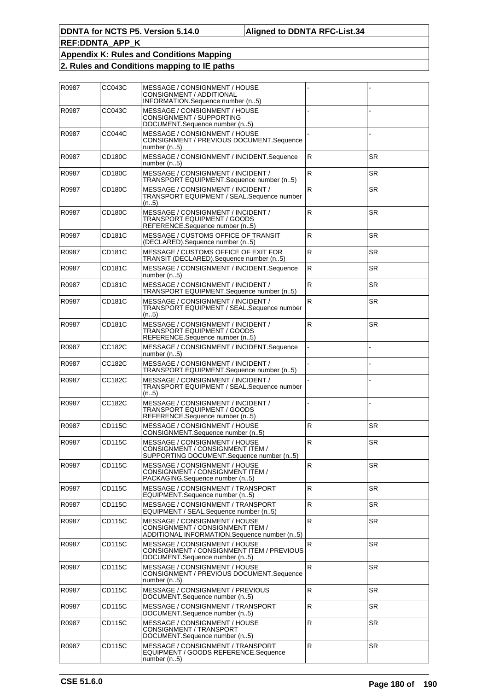| R0987 | CC043C        | MESSAGE / CONSIGNMENT / HOUSE<br>CONSIGNMENT / ADDITIONAL<br>INFORMATION.Sequence number (n5)                    |              |           |
|-------|---------------|------------------------------------------------------------------------------------------------------------------|--------------|-----------|
| R0987 | CC043C        | MESSAGE / CONSIGNMENT / HOUSE<br>CONSIGNMENT / SUPPORTING<br>DOCUMENT.Sequence number (n5)                       |              |           |
| R0987 | CC044C        | MESSAGE / CONSIGNMENT / HOUSE<br>CONSIGNMENT / PREVIOUS DOCUMENT.Sequence<br>number $(n5)$                       |              |           |
| R0987 | <b>CD180C</b> | MESSAGE / CONSIGNMENT / INCIDENT.Sequence<br>number $(n5)$                                                       | R            | <b>SR</b> |
| R0987 | CD180C        | MESSAGE / CONSIGNMENT / INCIDENT /<br>TRANSPORT EQUIPMENT.Sequence number (n5)                                   | $\mathsf{R}$ | <b>SR</b> |
| R0987 | <b>CD180C</b> | MESSAGE / CONSIGNMENT / INCIDENT /<br>TRANSPORT EQUIPMENT / SEAL.Sequence number<br>(n5)                         | ${\sf R}$    | <b>SR</b> |
| R0987 | <b>CD180C</b> | MESSAGE / CONSIGNMENT / INCIDENT /<br>TRANSPORT EQUIPMENT / GOODS<br>REFERENCE.Sequence number (n5)              | $\mathsf{R}$ | <b>SR</b> |
| R0987 | CD181C        | MESSAGE / CUSTOMS OFFICE OF TRANSIT<br>(DECLARED).Sequence number (n5)                                           | $\mathsf{R}$ | <b>SR</b> |
| R0987 | CD181C        | MESSAGE / CUSTOMS OFFICE OF EXIT FOR<br>TRANSIT (DECLARED).Sequence number (n5)                                  | ${\sf R}$    | <b>SR</b> |
| R0987 | CD181C        | MESSAGE / CONSIGNMENT / INCIDENT.Sequence<br>number $(n5)$                                                       | $\mathsf{R}$ | <b>SR</b> |
| R0987 | CD181C        | MESSAGE / CONSIGNMENT / INCIDENT /<br>TRANSPORT EQUIPMENT.Sequence number (n5)                                   | ${\sf R}$    | SR.       |
| R0987 | CD181C        | MESSAGE / CONSIGNMENT / INCIDENT /<br>TRANSPORT EQUIPMENT / SEAL.Sequence number<br>(n5)                         | R            | SR        |
| R0987 | CD181C        | MESSAGE / CONSIGNMENT / INCIDENT /<br>TRANSPORT EQUIPMENT / GOODS<br>REFERENCE.Sequence number (n5)              | $\mathsf{R}$ | <b>SR</b> |
| R0987 | CC182C        | MESSAGE / CONSIGNMENT / INCIDENT.Sequence<br>number $(n5)$                                                       |              |           |
| R0987 | CC182C        | MESSAGE / CONSIGNMENT / INCIDENT /<br>TRANSPORT EQUIPMENT.Sequence number (n5)                                   |              |           |
| R0987 | CC182C        | MESSAGE / CONSIGNMENT / INCIDENT /<br>TRANSPORT EQUIPMENT / SEAL.Sequence number<br>(n5)                         |              |           |
| R0987 | CC182C        | MESSAGE / CONSIGNMENT / INCIDENT /<br>TRANSPORT EQUIPMENT / GOODS<br>REFERENCE.Sequence number (n5)              |              |           |
| R0987 | <b>CD115C</b> | MESSAGE / CONSIGNMENT / HOUSE<br>CONSIGNMENT.Sequence number (n5)                                                | $\mathsf{R}$ | <b>SR</b> |
| R0987 | CD115C        | MESSAGE / CONSIGNMENT / HOUSE<br>CONSIGNMENT / CONSIGNMENT ITEM /<br>SUPPORTING DOCUMENT.Sequence number (n5)    | $\mathsf{R}$ | <b>SR</b> |
| R0987 | CD115C        | MESSAGE / CONSIGNMENT / HOUSE<br>CONSIGNMENT / CONSIGNMENT ITEM /<br>PACKAGING.Sequence number (n5)              | $\mathsf{R}$ | <b>SR</b> |
| R0987 | CD115C        | MESSAGE / CONSIGNMENT / TRANSPORT<br>EQUIPMENT.Sequence number (n5)                                              | $\mathsf{R}$ | <b>SR</b> |
| R0987 | <b>CD115C</b> | MESSAGE / CONSIGNMENT / TRANSPORT<br>EQUIPMENT / SEAL.Sequence number (n5)                                       | ${\sf R}$    | <b>SR</b> |
| R0987 | CD115C        | MESSAGE / CONSIGNMENT / HOUSE<br>CONSIGNMENT / CONSIGNMENT ITEM /<br>ADDITIONAL INFORMATION.Sequence number (n5) | $\mathsf{R}$ | SR.       |
| R0987 | CD115C        | MESSAGE / CONSIGNMENT / HOUSE<br>CONSIGNMENT / CONSIGNMENT ITEM / PREVIOUS<br>DOCUMENT.Sequence number (n5)      | $\mathsf{R}$ | <b>SR</b> |
| R0987 | CD115C        | MESSAGE / CONSIGNMENT / HOUSE<br>CONSIGNMENT / PREVIOUS DOCUMENT.Sequence<br>number $(n5)$                       | ${\sf R}$    | <b>SR</b> |
| R0987 | CD115C        | MESSAGE / CONSIGNMENT / PREVIOUS<br>DOCUMENT.Sequence number (n5)                                                | $\mathsf R$  | <b>SR</b> |
| R0987 | CD115C        | MESSAGE / CONSIGNMENT / TRANSPORT<br>DOCUMENT.Sequence number (n5)                                               | ${\sf R}$    | <b>SR</b> |
| R0987 | CD115C        | MESSAGE / CONSIGNMENT / HOUSE<br>CONSIGNMENT / TRANSPORT<br>DOCUMENT.Sequence number (n5)                        | $\mathsf{R}$ | SR        |
| R0987 | CD115C        | MESSAGE / CONSIGNMENT / TRANSPORT<br>EQUIPMENT / GOODS REFERENCE.Sequence<br>number $(n5)$                       | ${\sf R}$    | <b>SR</b> |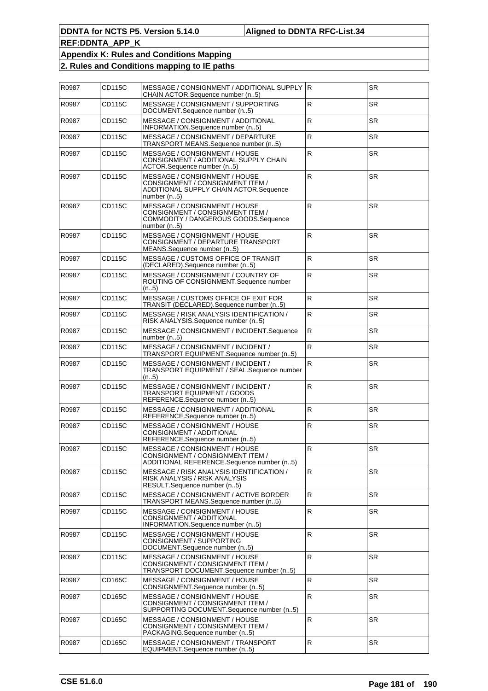| R0987 | CD115C        | MESSAGE / CONSIGNMENT / ADDITIONAL SUPPLY R<br>CHAIN ACTOR.Sequence number (n5)                                            |              | <b>SR</b> |
|-------|---------------|----------------------------------------------------------------------------------------------------------------------------|--------------|-----------|
| R0987 | CD115C        | MESSAGE / CONSIGNMENT / SUPPORTING<br>DOCUMENT.Sequence number (n5)                                                        | R            | <b>SR</b> |
| R0987 | CD115C        | MESSAGE / CONSIGNMENT / ADDITIONAL<br>INFORMATION.Sequence number (n5)                                                     | $\mathsf R$  | <b>SR</b> |
| R0987 | CD115C        | MESSAGE / CONSIGNMENT / DEPARTURE<br>TRANSPORT MEANS.Sequence number (n5)                                                  | $\mathsf{R}$ | <b>SR</b> |
| R0987 | CD115C        | MESSAGE / CONSIGNMENT / HOUSE<br>CONSIGNMENT / ADDITIONAL SUPPLY CHAIN<br>ACTOR.Sequence number (n5)                       | $\mathsf{R}$ | <b>SR</b> |
| R0987 | CD115C        | MESSAGE / CONSIGNMENT / HOUSE<br>CONSIGNMENT / CONSIGNMENT ITEM /<br>ADDITIONAL SUPPLY CHAIN ACTOR.Sequence<br>number (n5) | $\mathsf{R}$ | <b>SR</b> |
| R0987 | CD115C        | MESSAGE / CONSIGNMENT / HOUSE<br>CONSIGNMENT / CONSIGNMENT ITEM /<br>COMMODITY / DANGEROUS GOODS.Sequence<br>number $(n5)$ | $\mathsf{R}$ | <b>SR</b> |
| R0987 | CD115C        | MESSAGE / CONSIGNMENT / HOUSE<br>CONSIGNMENT / DEPARTURE TRANSPORT<br>MEANS.Sequence number (n5)                           | $\mathsf{R}$ | <b>SR</b> |
| R0987 | CD115C        | MESSAGE / CUSTOMS OFFICE OF TRANSIT<br>(DECLARED).Sequence number (n5)                                                     | $\mathsf R$  | <b>SR</b> |
| R0987 | CD115C        | MESSAGE / CONSIGNMENT / COUNTRY OF<br>ROUTING OF CONSIGNMENT.Sequence number<br>(n5)                                       | $\mathsf{R}$ | <b>SR</b> |
| R0987 | CD115C        | MESSAGE / CUSTOMS OFFICE OF EXIT FOR<br>TRANSIT (DECLARED). Sequence number (n5)                                           | $\mathsf R$  | <b>SR</b> |
| R0987 | CD115C        | <b>MESSAGE / RISK ANALYSIS IDENTIFICATION /</b><br>RISK ANALYSIS.Sequence number (n5)                                      | $\mathsf{R}$ | <b>SR</b> |
| R0987 | CD115C        | MESSAGE / CONSIGNMENT / INCIDENT. Sequence<br>number (n5)                                                                  | $\mathsf{R}$ | <b>SR</b> |
| R0987 | CD115C        | MESSAGE / CONSIGNMENT / INCIDENT /<br>TRANSPORT EQUIPMENT.Sequence number (n5)                                             | ${\sf R}$    | <b>SR</b> |
| R0987 | CD115C        | MESSAGE / CONSIGNMENT / INCIDENT /<br>TRANSPORT EQUIPMENT / SEAL.Sequence number<br>(n5)                                   | $\mathsf{R}$ | <b>SR</b> |
| R0987 | CD115C        | MESSAGE / CONSIGNMENT / INCIDENT /<br>TRANSPORT EQUIPMENT / GOODS<br>REFERENCE.Sequence number (n5)                        | ${\sf R}$    | <b>SR</b> |
| R0987 | CD115C        | MESSAGE / CONSIGNMENT / ADDITIONAL<br>REFERENCE.Sequence number (n5)                                                       | R            | <b>SR</b> |
| R0987 | CD115C        | MESSAGE / CONSIGNMENT / HOUSE<br>CONSIGNMENT / ADDITIONAL<br>REFERENCE.Sequence number (n5)                                | ${\sf R}$    | <b>SR</b> |
| R0987 | CD115C        | MESSAGE / CONSIGNMENT / HOUSE<br>CONSIGNMENT / CONSIGNMENT ITEM /<br>ADDITIONAL REFERENCE.Sequence number (n5)             | ${\sf R}$    | SR        |
| R0987 | <b>CD115C</b> | MESSAGE / RISK ANALYSIS IDENTIFICATION /<br>RISK ANALYSIS / RISK ANALYSIS<br>RESULT.Sequence number (n5)                   | $\mathsf{R}$ | SR.       |
| R0987 | <b>CD115C</b> | MESSAGE / CONSIGNMENT / ACTIVE BORDER<br>TRANSPORT MEANS.Sequence number (n5)                                              | $\mathsf{R}$ | <b>SR</b> |
| R0987 | CD115C        | MESSAGE / CONSIGNMENT / HOUSE<br>CONSIGNMENT / ADDITIONAL<br>INFORMATION.Sequence number (n5)                              | R.           | SR.       |
| R0987 | CD115C        | MESSAGE / CONSIGNMENT / HOUSE<br>CONSIGNMENT / SUPPORTING<br>DOCUMENT.Sequence number (n5)                                 | $\mathsf R$  | <b>SR</b> |
| R0987 | CD115C        | MESSAGE / CONSIGNMENT / HOUSE<br>CONSIGNMENT / CONSIGNMENT ITEM /<br>TRANSPORT DOCUMENT.Sequence number (n5)               | R            | <b>SR</b> |
| R0987 | CD165C        | MESSAGE / CONSIGNMENT / HOUSE<br>CONSIGNMENT.Sequence number (n5)                                                          | R.           | <b>SR</b> |
| R0987 | CD165C        | MESSAGE / CONSIGNMENT / HOUSE<br>CONSIGNMENT / CONSIGNMENT ITEM /<br>SUPPORTING DOCUMENT.Sequence number (n5)              | R            | <b>SR</b> |
| R0987 | CD165C        | MESSAGE / CONSIGNMENT / HOUSE<br>CONSIGNMENT / CONSIGNMENT ITEM /<br>PACKAGING.Sequence number (n5)                        | R            | <b>SR</b> |
| R0987 | CD165C        | MESSAGE / CONSIGNMENT / TRANSPORT<br>EQUIPMENT.Sequence number (n5)                                                        | $\mathsf{R}$ | <b>SR</b> |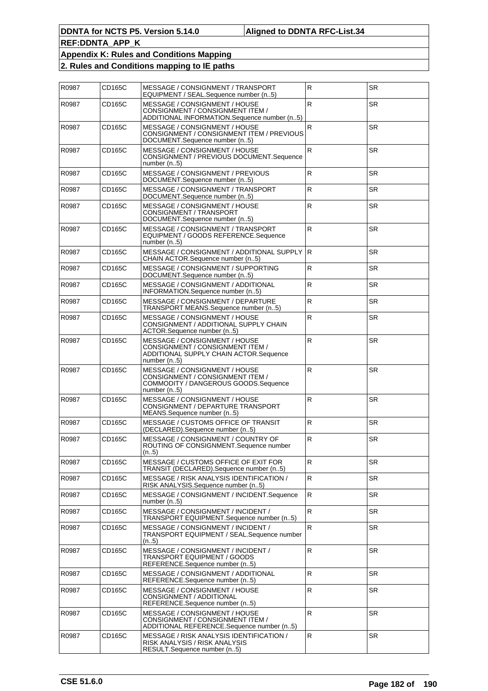| R0987 | CD165C | MESSAGE / CONSIGNMENT / TRANSPORT<br>EQUIPMENT / SEAL.Sequence number (n5)                                                 | $\overline{\mathsf{R}}$ | <b>SR</b> |
|-------|--------|----------------------------------------------------------------------------------------------------------------------------|-------------------------|-----------|
| R0987 | CD165C | MESSAGE / CONSIGNMENT / HOUSE<br>CONSIGNMENT / CONSIGNMENT ITEM /<br>ADDITIONAL INFORMATION.Sequence number (n5)           | $\mathsf R$             | <b>SR</b> |
| R0987 | CD165C | MESSAGE / CONSIGNMENT / HOUSE<br>CONSIGNMENT / CONSIGNMENT ITEM / PREVIOUS<br>DOCUMENT.Sequence number (n5)                | ${\sf R}$               | <b>SR</b> |
| R0987 | CD165C | MESSAGE / CONSIGNMENT / HOUSE<br>CONSIGNMENT / PREVIOUS DOCUMENT.Sequence<br>number (n5)                                   | ${\sf R}$               | <b>SR</b> |
| R0987 | CD165C | MESSAGE / CONSIGNMENT / PREVIOUS<br>DOCUMENT.Sequence number (n5)                                                          | R                       | <b>SR</b> |
| R0987 | CD165C | MESSAGE / CONSIGNMENT / TRANSPORT<br>DOCUMENT.Sequence number (n5)                                                         | ${\sf R}$               | <b>SR</b> |
| R0987 | CD165C | MESSAGE / CONSIGNMENT / HOUSE<br>CONSIGNMENT / TRANSPORT<br>DOCUMENT.Sequence number (n5)                                  | ${\sf R}$               | <b>SR</b> |
| R0987 | CD165C | MESSAGE / CONSIGNMENT / TRANSPORT<br>EQUIPMENT / GOODS REFERENCE.Sequence<br>number (n5)                                   | ${\sf R}$               | <b>SR</b> |
| R0987 | CD165C | MESSAGE / CONSIGNMENT / ADDITIONAL SUPPLY<br>CHAIN ACTOR.Sequence number (n5)                                              | IR.                     | <b>SR</b> |
| R0987 | CD165C | MESSAGE / CONSIGNMENT / SUPPORTING<br>DOCUMENT.Sequence number (n5)                                                        | ${\sf R}$               | <b>SR</b> |
| R0987 | CD165C | MESSAGE / CONSIGNMENT / ADDITIONAL<br>INFORMATION.Sequence number (n5)                                                     | ${\sf R}$               | <b>SR</b> |
| R0987 | CD165C | MESSAGE / CONSIGNMENT / DEPARTURE<br>TRANSPORT MEANS.Sequence number (n5)                                                  | $\mathsf R$             | SR        |
| R0987 | CD165C | MESSAGE / CONSIGNMENT / HOUSE<br>CONSIGNMENT / ADDITIONAL SUPPLY CHAIN<br>ACTOR.Sequence number (n5)                       | $\mathsf R$             | <b>SR</b> |
| R0987 | CD165C | MESSAGE / CONSIGNMENT / HOUSE<br>CONSIGNMENT / CONSIGNMENT ITEM /<br>ADDITIONAL SUPPLY CHAIN ACTOR.Sequence<br>number (n5) | $\mathsf{R}$            | <b>SR</b> |
| R0987 | CD165C | MESSAGE / CONSIGNMENT / HOUSE<br>CONSIGNMENT / CONSIGNMENT ITEM /<br>COMMODITY / DANGEROUS GOODS.Sequence<br>number (n5)   | $\mathsf{R}$            | <b>SR</b> |
| R0987 | CD165C | MESSAGE / CONSIGNMENT / HOUSE<br>CONSIGNMENT / DEPARTURE TRANSPORT<br>MEANS.Sequence number (n5)                           | $\mathsf R$             | <b>SR</b> |
| R0987 | CD165C | MESSAGE / CUSTOMS OFFICE OF TRANSIT<br>(DECLARED).Sequence number (n5)                                                     | ${\sf R}$               | <b>SR</b> |
| R0987 | CD165C | MESSAGE / CONSIGNMENT / COUNTRY OF<br>ROUTING OF CONSIGNMENT.Sequence number<br>(n5)                                       | $\mathsf R$             | <b>SR</b> |
| R0987 | CD165C | MESSAGE / CUSTOMS OFFICE OF EXIT FOR<br>TRANSIT (DECLARED). Sequence number (n5)                                           | $\mathsf{R}$            | SR.       |
| R0987 | CD165C | MESSAGE / RISK ANALYSIS IDENTIFICATION /<br>RISK ANALYSIS.Sequence number (n5)                                             | $\mathsf R$             | <b>SR</b> |
| R0987 | CD165C | MESSAGE / CONSIGNMENT / INCIDENT.Sequence<br>number $(n5)$                                                                 | $\mathsf R$             | SR        |
| R0987 | CD165C | MESSAGE / CONSIGNMENT / INCIDENT /<br>TRANSPORT EQUIPMENT.Sequence number (n5)                                             | ${\sf R}$               | <b>SR</b> |
| R0987 | CD165C | MESSAGE / CONSIGNMENT / INCIDENT /<br>TRANSPORT EQUIPMENT / SEAL.Sequence number<br>(n5)                                   | $\mathsf{R}$            | <b>SR</b> |
| R0987 | CD165C | MESSAGE / CONSIGNMENT / INCIDENT /<br>TRANSPORT EQUIPMENT / GOODS<br>REFERENCE.Sequence number (n5)                        | ${\sf R}$               | SR.       |
| R0987 | CD165C | MESSAGE / CONSIGNMENT / ADDITIONAL<br>REFERENCE.Sequence number (n5)                                                       | ${\sf R}$               | SR        |
| R0987 | CD165C | MESSAGE / CONSIGNMENT / HOUSE<br>CONSIGNMENT / ADDITIONAL<br>REFERENCE.Sequence number (n5)                                | ${\sf R}$               | SR.       |
| R0987 | CD165C | MESSAGE / CONSIGNMENT / HOUSE<br>CONSIGNMENT / CONSIGNMENT ITEM /<br>ADDITIONAL REFERENCE.Sequence number (n5)             | ${\sf R}$               | SR.       |
| R0987 | CD165C | MESSAGE / RISK ANALYSIS IDENTIFICATION /<br>RISK ANALYSIS / RISK ANALYSIS<br>RESULT.Sequence number (n5)                   | $\mathsf R$             | <b>SR</b> |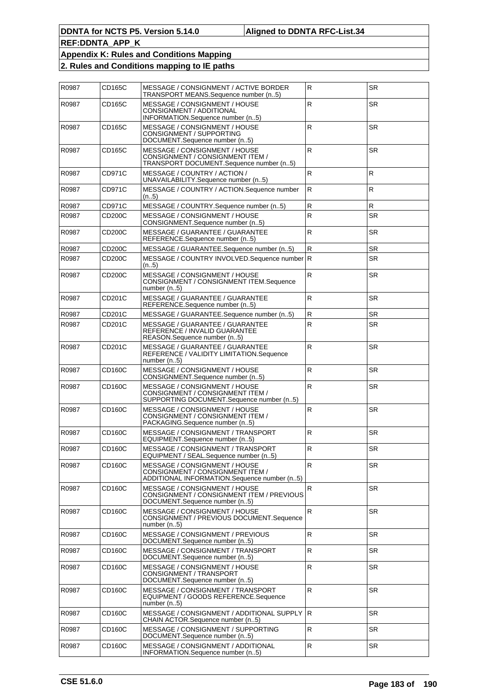| R0987 | CD165C        | MESSAGE / CONSIGNMENT / ACTIVE BORDER<br>TRANSPORT MEANS.Sequence number (n5)                                    | ${\sf R}$    | <b>SR</b>    |
|-------|---------------|------------------------------------------------------------------------------------------------------------------|--------------|--------------|
| R0987 | CD165C        | MESSAGE / CONSIGNMENT / HOUSE<br>CONSIGNMENT / ADDITIONAL<br>INFORMATION.Sequence number (n5)                    | $\mathsf{R}$ | <b>SR</b>    |
| R0987 | CD165C        | MESSAGE / CONSIGNMENT / HOUSE<br>CONSIGNMENT / SUPPORTING<br>DOCUMENT.Sequence number (n5)                       | $\mathsf R$  | <b>SR</b>    |
| R0987 | CD165C        | MESSAGE / CONSIGNMENT / HOUSE<br>CONSIGNMENT / CONSIGNMENT ITEM /<br>TRANSPORT DOCUMENT.Sequence number (n5)     | $\mathsf{R}$ | <b>SR</b>    |
| R0987 | CD971C        | MESSAGE / COUNTRY / ACTION /<br>UNAVAILABILITY.Sequence number (n5)                                              | $\mathsf{R}$ | $\mathsf{R}$ |
| R0987 | CD971C        | MESSAGE / COUNTRY / ACTION.Sequence number<br>(n5)                                                               | $\mathsf R$  | $\mathsf{R}$ |
| R0987 | CD971C        | MESSAGE / COUNTRY.Sequence number (n5)                                                                           | R            | $\mathsf R$  |
| R0987 | CD200C        | MESSAGE / CONSIGNMENT / HOUSE<br>CONSIGNMENT.Sequence number (n5)                                                | $\mathsf{R}$ | <b>SR</b>    |
| R0987 | CD200C        | MESSAGE / GUARANTEE / GUARANTEE<br>REFERENCE.Sequence number (n5)                                                | $\mathsf{R}$ | <b>SR</b>    |
| R0987 | CD200C        | MESSAGE / GUARANTEE.Sequence number (n5)                                                                         | R            | <b>SR</b>    |
| R0987 | CD200C        | MESSAGE / COUNTRY INVOLVED.Sequence number R<br>(n5)                                                             |              | <b>SR</b>    |
| R0987 | CD200C        | MESSAGE / CONSIGNMENT / HOUSE<br>CONSIGNMENT / CONSIGNMENT ITEM.Sequence<br>number (n5)                          | $\mathsf R$  | <b>SR</b>    |
| R0987 | CD201C        | MESSAGE / GUARANTEE / GUARANTEE<br>REFERENCE.Sequence number (n5)                                                | $\mathsf{R}$ | <b>SR</b>    |
| R0987 | CD201C        | MESSAGE / GUARANTEE.Sequence number (n5)                                                                         | R            | <b>SR</b>    |
| R0987 | CD201C        | MESSAGE / GUARANTEE / GUARANTEE<br>REFERENCE / INVALID GUARANTEE<br>REASON.Sequence number (n5)                  | R            | <b>SR</b>    |
| R0987 | CD201C        | MESSAGE / GUARANTEE / GUARANTEE<br>REFERENCE / VALIDITY LIMITATION.Sequence<br>number $(n5)$                     | $\mathsf{R}$ | <b>SR</b>    |
| R0987 | CD160C        | MESSAGE / CONSIGNMENT / HOUSE<br>CONSIGNMENT.Sequence number (n5)                                                | $\mathsf{R}$ | <b>SR</b>    |
| R0987 | CD160C        | MESSAGE / CONSIGNMENT / HOUSE<br>CONSIGNMENT / CONSIGNMENT ITEM /<br>SUPPORTING DOCUMENT.Sequence number (n5)    | $\mathsf{R}$ | <b>SR</b>    |
| R0987 | CD160C        | MESSAGE / CONSIGNMENT / HOUSE<br>CONSIGNMENT / CONSIGNMENT ITEM /<br>PACKAGING.Sequence number (n5)              | $\mathsf{R}$ | <b>SR</b>    |
| R0987 | CD160C        | MESSAGE / CONSIGNMENT / TRANSPORT<br>EQUIPMENT.Sequence number (n5)                                              | $\mathsf R$  | <b>SR</b>    |
| R0987 | CD160C        | MESSAGE / CONSIGNMENT / TRANSPORT<br>EQUIPMENT / SEAL.Sequence number (n5)                                       | $\mathsf{R}$ | <b>SR</b>    |
| R0987 | CD160C        | MESSAGE / CONSIGNMENT / HOUSE<br>CONSIGNMENT / CONSIGNMENT ITEM /<br>ADDITIONAL INFORMATION.Sequence number (n5) | R.           | <b>SR</b>    |
| R0987 | CD160C        | MESSAGE / CONSIGNMENT / HOUSE<br>CONSIGNMENT / CONSIGNMENT ITEM / PREVIOUS<br>DOCUMENT.Sequence number (n5)      | R            | <b>SR</b>    |
| R0987 | CD160C        | MESSAGE / CONSIGNMENT / HOUSE<br>CONSIGNMENT / PREVIOUS DOCUMENT.Sequence<br>number $(n5)$                       | R            | <b>SR</b>    |
| R0987 | <b>CD160C</b> | MESSAGE / CONSIGNMENT / PREVIOUS<br>DOCUMENT.Sequence number (n5)                                                | R            | <b>SR</b>    |
| R0987 | CD160C        | MESSAGE / CONSIGNMENT / TRANSPORT<br>DOCUMENT.Sequence number (n5)                                               | $\mathsf{R}$ | SR           |
| R0987 | CD160C        | MESSAGE / CONSIGNMENT / HOUSE<br>CONSIGNMENT / TRANSPORT<br>DOCUMENT.Sequence number (n5)                        | R            | SR.          |
| R0987 | CD160C        | MESSAGE / CONSIGNMENT / TRANSPORT<br>EQUIPMENT / GOODS REFERENCE.Sequence<br>number $(n5)$                       | ${\sf R}$    | <b>SR</b>    |
| R0987 | CD160C        | MESSAGE / CONSIGNMENT / ADDITIONAL SUPPLY   R<br>CHAIN ACTOR.Sequence number (n5)                                |              | <b>SR</b>    |
| R0987 | CD160C        | MESSAGE / CONSIGNMENT / SUPPORTING<br>DOCUMENT.Sequence number (n5)                                              | R            | SR           |
| R0987 | CD160C        | MESSAGE / CONSIGNMENT / ADDITIONAL<br>INFORMATION.Sequence number (n5)                                           | $\mathsf{R}$ | <b>SR</b>    |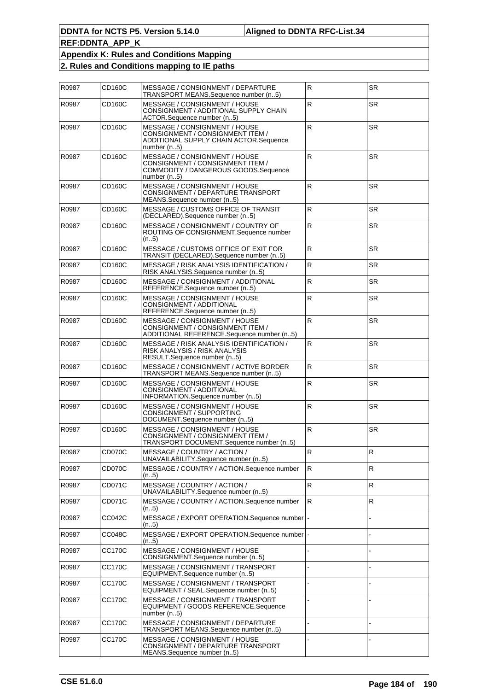| R0987 | <b>CD160C</b> | MESSAGE / CONSIGNMENT / DEPARTURE<br>TRANSPORT MEANS.Sequence number (n5)                                                    | $\mathsf{R}$ | <b>SR</b> |
|-------|---------------|------------------------------------------------------------------------------------------------------------------------------|--------------|-----------|
| R0987 | CD160C        | MESSAGE / CONSIGNMENT / HOUSE<br>CONSIGNMENT / ADDITIONAL SUPPLY CHAIN<br>ACTOR.Sequence number (n5)                         | ${\sf R}$    | <b>SR</b> |
| R0987 | CD160C        | MESSAGE / CONSIGNMENT / HOUSE<br>CONSIGNMENT / CONSIGNMENT ITEM /<br>ADDITIONAL SUPPLY CHAIN ACTOR.Sequence<br>number $(n5)$ | ${\sf R}$    | <b>SR</b> |
| R0987 | CD160C        | MESSAGE / CONSIGNMENT / HOUSE<br>CONSIGNMENT / CONSIGNMENT ITEM /<br>COMMODITY / DANGEROUS GOODS.Sequence<br>number $(n5)$   | ${\sf R}$    | <b>SR</b> |
| R0987 | CD160C        | MESSAGE / CONSIGNMENT / HOUSE<br>CONSIGNMENT / DEPARTURE TRANSPORT<br>MEANS.Sequence number (n5)                             | $\mathsf{R}$ | <b>SR</b> |
| R0987 | <b>CD160C</b> | MESSAGE / CUSTOMS OFFICE OF TRANSIT<br>(DECLARED). Sequence number (n5)                                                      | $\mathsf{R}$ | <b>SR</b> |
| R0987 | CD160C        | MESSAGE / CONSIGNMENT / COUNTRY OF<br>ROUTING OF CONSIGNMENT.Sequence number<br>(n5)                                         | $\mathsf{R}$ | SR        |
| R0987 | <b>CD160C</b> | MESSAGE / CUSTOMS OFFICE OF EXIT FOR<br>TRANSIT (DECLARED). Sequence number (n5)                                             | ${\sf R}$    | <b>SR</b> |
| R0987 | CD160C        | MESSAGE / RISK ANALYSIS IDENTIFICATION /<br>RISK ANALYSIS.Sequence number (n5)                                               | ${\sf R}$    | <b>SR</b> |
| R0987 | CD160C        | MESSAGE / CONSIGNMENT / ADDITIONAL<br>REFERENCE.Sequence number (n5)                                                         | $\mathsf{R}$ | SR.       |
| R0987 | CD160C        | MESSAGE / CONSIGNMENT / HOUSE<br>CONSIGNMENT / ADDITIONAL<br>REFERENCE.Sequence number (n5)                                  | $\mathsf{R}$ | <b>SR</b> |
| R0987 | CD160C        | MESSAGE / CONSIGNMENT / HOUSE<br>CONSIGNMENT / CONSIGNMENT ITEM /<br>ADDITIONAL REFERENCE.Sequence number (n5)               | $\mathsf{R}$ | <b>SR</b> |
| R0987 | CD160C        | MESSAGE / RISK ANALYSIS IDENTIFICATION /<br>RISK ANALYSIS / RISK ANALYSIS<br>RESULT.Sequence number (n5)                     | $\mathsf{R}$ | <b>SR</b> |
| R0987 | <b>CD160C</b> | MESSAGE / CONSIGNMENT / ACTIVE BORDER<br>TRANSPORT MEANS.Sequence number (n5)                                                | ${\sf R}$    | <b>SR</b> |
| R0987 | CD160C        | MESSAGE / CONSIGNMENT / HOUSE<br>CONSIGNMENT / ADDITIONAL<br>INFORMATION.Sequence number (n5)                                | ${\sf R}$    | <b>SR</b> |
| R0987 | CD160C        | MESSAGE / CONSIGNMENT / HOUSE<br>CONSIGNMENT / SUPPORTING<br>DOCUMENT.Sequence number (n5)                                   | $\mathsf{R}$ | <b>SR</b> |
| R0987 | CD160C        | MESSAGE / CONSIGNMENT / HOUSE<br>CONSIGNMENT / CONSIGNMENT ITEM /<br>TRANSPORT DOCUMENT.Sequence number (n5)                 | $\mathsf{R}$ | <b>SR</b> |
| R0987 | CD070C        | MESSAGE / COUNTRY / ACTION /<br>UNAVAILABILITY.Sequence number (n5)                                                          | R            | R         |
| R0987 | CD070C        | MESSAGE / COUNTRY / ACTION. Sequence number<br>(n5)                                                                          | $\mathsf{R}$ | R         |
| R0987 | CD071C        | MESSAGE / COUNTRY / ACTION /<br>UNAVAILABILITY.Sequence number (n5)                                                          | $\mathsf{R}$ | R         |
| R0987 | CD071C        | MESSAGE / COUNTRY / ACTION. Sequence number<br>(n5)                                                                          | $\mathsf{R}$ | R         |
| R0987 | CC042C        | MESSAGE / EXPORT OPERATION.Sequence number  -<br>(n5)                                                                        |              |           |
| R0987 | <b>CC048C</b> | MESSAGE / EXPORT OPERATION.Sequence number  -<br>(n.5)                                                                       |              |           |
| R0987 | <b>CC170C</b> | MESSAGE / CONSIGNMENT / HOUSE<br>CONSIGNMENT.Sequence number (n5)                                                            |              |           |
| R0987 | <b>CC170C</b> | MESSAGE / CONSIGNMENT / TRANSPORT<br>EQUIPMENT.Sequence number (n5)                                                          |              |           |
| R0987 | <b>CC170C</b> | MESSAGE / CONSIGNMENT / TRANSPORT<br>EQUIPMENT / SEAL.Sequence number (n5)                                                   |              |           |
| R0987 | <b>CC170C</b> | MESSAGE / CONSIGNMENT / TRANSPORT<br>EQUIPMENT / GOODS REFERENCE.Sequence<br>number $(n5)$                                   |              |           |
| R0987 | <b>CC170C</b> | MESSAGE / CONSIGNMENT / DEPARTURE<br>TRANSPORT MEANS.Sequence number (n5)                                                    |              |           |
| R0987 | <b>CC170C</b> | MESSAGE / CONSIGNMENT / HOUSE<br>CONSIGNMENT / DEPARTURE TRANSPORT<br>MEANS.Sequence number (n5)                             |              |           |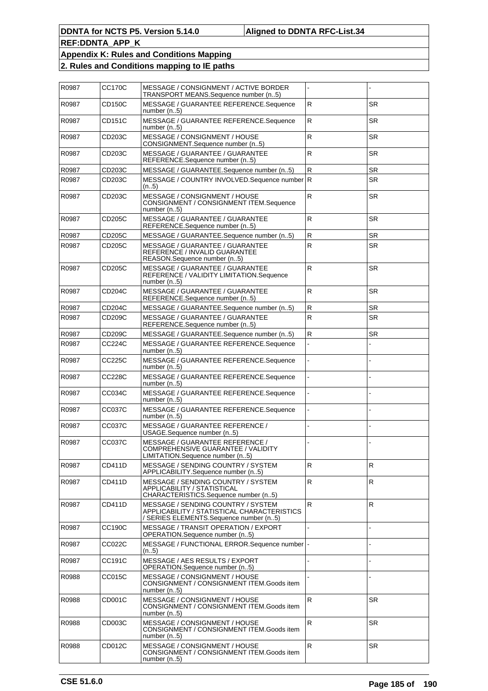| R0987          | <b>CC170C</b>    | MESSAGE / CONSIGNMENT / ACTIVE BORDER                                                                                       |              |                        |
|----------------|------------------|-----------------------------------------------------------------------------------------------------------------------------|--------------|------------------------|
| R0987          | CD150C           | TRANSPORT MEANS.Sequence number (n5)<br>MESSAGE / GUARANTEE REFERENCE.Sequence                                              | R            | <b>SR</b>              |
| R0987          | CD151C           | number (n5)<br>MESSAGE / GUARANTEE REFERENCE.Sequence                                                                       | R            | <b>SR</b>              |
| R0987          | CD203C           | number (n5)<br>MESSAGE / CONSIGNMENT / HOUSE                                                                                | $\mathsf{R}$ | <b>SR</b>              |
| R0987          | CD203C           | CONSIGNMENT.Sequence number (n5)<br>MESSAGE / GUARANTEE / GUARANTEE                                                         | $\mathsf{R}$ | <b>SR</b>              |
|                |                  | REFERENCE.Sequence number (n5)                                                                                              |              |                        |
| R0987<br>R0987 | CD203C<br>CD203C | MESSAGE / GUARANTEE.Sequence number (n5)<br>MESSAGE / COUNTRY INVOLVED.Sequence number R                                    | $\mathsf{R}$ | <b>SR</b><br><b>SR</b> |
|                |                  | (n5)                                                                                                                        |              |                        |
| R0987          | CD203C           | MESSAGE / CONSIGNMENT / HOUSE<br>CONSIGNMENT / CONSIGNMENT ITEM.Sequence<br>number (n5)                                     | $\mathsf{R}$ | <b>SR</b>              |
| R0987          | CD205C           | <b>MESSAGE / GUARANTEE / GUARANTEE</b><br>REFERENCE.Sequence number (n5)                                                    | R            | <b>SR</b>              |
| R0987          | CD205C           | MESSAGE / GUARANTEE.Sequence number (n5)                                                                                    | $\mathsf R$  | <b>SR</b>              |
| R0987          | CD205C           | MESSAGE / GUARANTEE / GUARANTEE<br>REFERENCE / INVALID GUARANTEE<br>REASON.Sequence number (n5)                             | $\mathsf{R}$ | <b>SR</b>              |
| R0987          | CD205C           | MESSAGE / GUARANTEE / GUARANTEE<br>REFERENCE / VALIDITY LIMITATION.Sequence<br>number (n5)                                  | $\mathsf{R}$ | <b>SR</b>              |
| R0987          | CD204C           | MESSAGE / GUARANTEE / GUARANTEE<br>REFERENCE.Sequence number (n5)                                                           | $\mathsf{R}$ | <b>SR</b>              |
| R0987          | CD204C           | MESSAGE / GUARANTEE.Sequence number (n5)                                                                                    | $\mathsf R$  | <b>SR</b>              |
| R0987          | CD209C           | MESSAGE / GUARANTEE / GUARANTEE<br>REFERENCE.Sequence number (n5)                                                           | $\mathsf{R}$ | <b>SR</b>              |
| R0987          | CD209C           | MESSAGE / GUARANTEE.Sequence number (n5)                                                                                    | $\mathsf{R}$ | <b>SR</b>              |
| R0987          | CC224C           | MESSAGE / GUARANTEE REFERENCE.Sequence                                                                                      |              |                        |
| R0987          | CC225C           | number (n5)<br>MESSAGE / GUARANTEE REFERENCE.Sequence<br>number $(n5)$                                                      |              |                        |
| R0987          | CC228C           | MESSAGE / GUARANTEE REFERENCE.Sequence<br>number (n5)                                                                       |              |                        |
| R0987          | CC034C           | MESSAGE / GUARANTEE REFERENCE.Sequence<br>number (n5)                                                                       |              |                        |
| R0987          | CC037C           | MESSAGE / GUARANTEE REFERENCE.Sequence<br>number (n5)                                                                       |              |                        |
| R0987          | CC037C           | MESSAGE / GUARANTEE REFERENCE /<br>USAGE.Sequence number (n5)                                                               |              |                        |
| R0987          | CC037C           | MESSAGE / GUARANTEE REFERENCE /<br>COMPREHENSIVE GUARANTEE / VALIDITY<br>LIMITATION.Sequence number (n5)                    |              |                        |
| R0987          | CD411D           | MESSAGE / SENDING COUNTRY / SYSTEM<br>APPLICABILITY.Sequence number (n5)                                                    | R            | R                      |
| R0987          | CD411D           | MESSAGE / SENDING COUNTRY / SYSTEM<br>APPLICABILITY / STATISTICAL<br>CHARACTERISTICS.Sequence number (n5)                   | ${\sf R}$    | R                      |
| R0987          | CD411D           | MESSAGE / SENDING COUNTRY / SYSTEM<br>APPLICABILITY / STATISTICAL CHARACTERISTICS<br>/ SERIES ELEMENTS.Sequence number (n5) | R            | R.                     |
| R0987          | CC190C           | MESSAGE / TRANSIT OPERATION / EXPORT<br>OPERATION.Sequence number (n5)                                                      |              |                        |
| R0987          | CC022C           | MESSAGE / FUNCTIONAL ERROR.Sequence number  -<br>(n5)                                                                       |              |                        |
| R0987          | CC191C           | MESSAGE / AES RESULTS / EXPORT<br>OPERATION.Sequence number (n5)                                                            |              |                        |
| R0988          | CC015C           | MESSAGE / CONSIGNMENT / HOUSE<br>CONSIGNMENT / CONSIGNMENT ITEM.Goods item<br>number (n5)                                   |              |                        |
| R0988          | CD001C           | MESSAGE / CONSIGNMENT / HOUSE<br>CONSIGNMENT / CONSIGNMENT ITEM.Goods item<br>number (n5)                                   | $\mathsf{R}$ | SR                     |
| R0988          | CD003C           | MESSAGE / CONSIGNMENT / HOUSE<br>CONSIGNMENT / CONSIGNMENT ITEM.Goods item<br>number (n5)                                   | $\mathsf{R}$ | <b>SR</b>              |
| R0988          | CD012C           | MESSAGE / CONSIGNMENT / HOUSE<br>CONSIGNMENT / CONSIGNMENT ITEM.Goods item<br>number (n5)                                   | R            | <b>SR</b>              |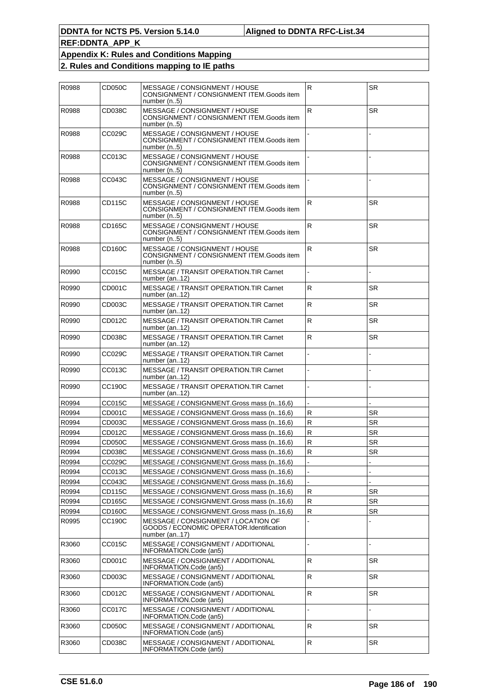| R0988 | CD050C        | MESSAGE / CONSIGNMENT / HOUSE<br>CONSIGNMENT / CONSIGNMENT ITEM.Goods item<br>number $(n5)$      | R              | SR        |
|-------|---------------|--------------------------------------------------------------------------------------------------|----------------|-----------|
| R0988 | CD038C        | MESSAGE / CONSIGNMENT / HOUSE<br>CONSIGNMENT / CONSIGNMENT ITEM.Goods item<br>number $(n5)$      | $\mathsf R$    | <b>SR</b> |
| R0988 | CC029C        | MESSAGE / CONSIGNMENT / HOUSE<br>CONSIGNMENT / CONSIGNMENT ITEM.Goods item<br>number $(n5)$      |                |           |
| R0988 | CC013C        | MESSAGE / CONSIGNMENT / HOUSE<br>CONSIGNMENT / CONSIGNMENT ITEM.Goods item<br>number $(n5)$      |                |           |
| R0988 | CC043C        | MESSAGE / CONSIGNMENT / HOUSE<br>CONSIGNMENT / CONSIGNMENT ITEM.Goods item<br>number $(n5)$      |                |           |
| R0988 | CD115C        | MESSAGE / CONSIGNMENT / HOUSE<br>CONSIGNMENT / CONSIGNMENT ITEM.Goods item<br>number $(n5)$      | R              | <b>SR</b> |
| R0988 | CD165C        | MESSAGE / CONSIGNMENT / HOUSE<br>CONSIGNMENT / CONSIGNMENT ITEM.Goods item<br>number (n5)        | $\mathsf{R}$   | <b>SR</b> |
| R0988 | CD160C        | MESSAGE / CONSIGNMENT / HOUSE<br>CONSIGNMENT / CONSIGNMENT ITEM.Goods item<br>number $(n5)$      | $\mathsf R$    | <b>SR</b> |
| R0990 | CC015C        | <b>MESSAGE / TRANSIT OPERATION. TIR Carnet</b><br>number (an12)                                  |                |           |
| R0990 | CD001C        | MESSAGE / TRANSIT OPERATION. TIR Carnet<br>number (an12)                                         | ${\sf R}$      | <b>SR</b> |
| R0990 | CD003C        | <b>MESSAGE / TRANSIT OPERATION. TIR Carnet</b><br>number (an12)                                  | $\mathsf{R}$   | <b>SR</b> |
| R0990 | CD012C        | <b>MESSAGE / TRANSIT OPERATION. TIR Carnet</b><br>number (an12)                                  | $\mathsf{R}$   | SR        |
| R0990 | CD038C        | MESSAGE / TRANSIT OPERATION. TIR Carnet<br>number (an12)                                         | ${\sf R}$      | <b>SR</b> |
| R0990 | CC029C        | <b>MESSAGE / TRANSIT OPERATION. TIR Carnet</b><br>number (an12)                                  |                |           |
| R0990 | CC013C        | <b>MESSAGE / TRANSIT OPERATION. TIR Carnet</b><br>number (an12)                                  |                |           |
| R0990 | CC190C        | MESSAGE / TRANSIT OPERATION. TIR Carnet<br>number (an12)                                         |                |           |
| R0994 | <b>CC015C</b> | MESSAGE / CONSIGNMENT.Gross mass (n16.6)                                                         |                |           |
| R0994 | CD001C        | MESSAGE / CONSIGNMENT.Gross mass (n16.6)                                                         | R              | SR.       |
| R0994 | CD003C        | MESSAGE / CONSIGNMENT.Gross mass (n.,16.6)                                                       | ${\sf R}$      | <b>SR</b> |
| R0994 | CD012C        | MESSAGE / CONSIGNMENT.Gross mass (n16.6)                                                         | ${\sf R}$      | <b>SR</b> |
| R0994 | <b>CD050C</b> | MESSAGE / CONSIGNMENT.Gross mass (n16,6)                                                         | ${\sf R}$      | <b>SR</b> |
| R0994 | CD038C        | MESSAGE / CONSIGNMENT.Gross mass (n16,6)                                                         | R              | SR        |
| R0994 | CC029C        | MESSAGE / CONSIGNMENT.Gross mass (n16,6)                                                         |                |           |
| R0994 | CC013C        | MESSAGE / CONSIGNMENT.Gross mass (n16,6)                                                         | $\blacksquare$ |           |
| R0994 | CC043C        | MESSAGE / CONSIGNMENT.Gross mass (n16,6)                                                         |                |           |
| R0994 | CD115C        | MESSAGE / CONSIGNMENT.Gross mass (n16,6)                                                         | R              | SR        |
| R0994 | <b>CD165C</b> | MESSAGE / CONSIGNMENT.Gross mass (n16,6)                                                         | R              | SR        |
| R0994 | <b>CD160C</b> | MESSAGE / CONSIGNMENT.Gross mass (n16,6)                                                         | $\mathsf R$    | SR        |
| R0995 | CC190C        | MESSAGE / CONSIGNMENT / LOCATION OF<br>GOODS / ECONOMIC OPERATOR.Identification<br>number (an17) |                |           |
| R3060 | CC015C        | MESSAGE / CONSIGNMENT / ADDITIONAL<br>INFORMATION.Code (an5)                                     |                |           |
| R3060 | CD001C        | MESSAGE / CONSIGNMENT / ADDITIONAL<br>INFORMATION.Code (an5)                                     | $\mathsf{R}$   | SR.       |
| R3060 | CD003C        | MESSAGE / CONSIGNMENT / ADDITIONAL<br>INFORMATION.Code (an5)                                     | $\mathsf R$    | <b>SR</b> |
| R3060 | CD012C        | MESSAGE / CONSIGNMENT / ADDITIONAL<br>INFORMATION.Code (an5)                                     | $\mathsf{R}$   | SR        |
| R3060 | CC017C        | MESSAGE / CONSIGNMENT / ADDITIONAL<br>INFORMATION.Code (an5)                                     |                |           |
| R3060 | <b>CD050C</b> | MESSAGE / CONSIGNMENT / ADDITIONAL<br>INFORMATION.Code (an5)                                     | R              | <b>SR</b> |
| R3060 | CD038C        | MESSAGE / CONSIGNMENT / ADDITIONAL<br>INFORMATION.Code (an5)                                     | R              | SR        |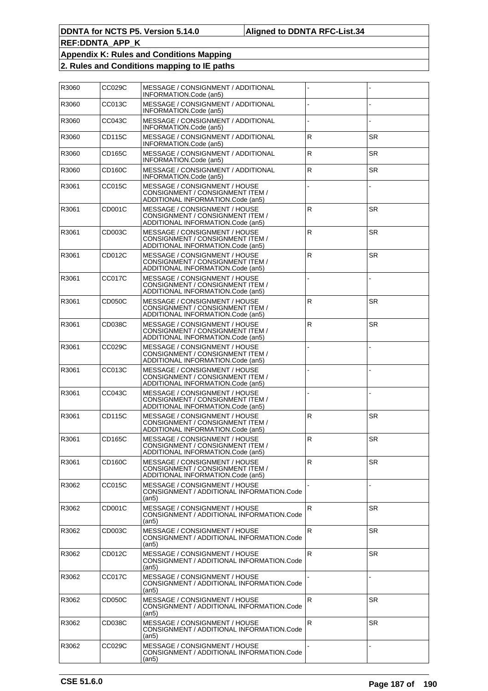| R3060 | CC029C | MESSAGE / CONSIGNMENT / ADDITIONAL<br>INFORMATION.Code (an5)                                           |              |           |
|-------|--------|--------------------------------------------------------------------------------------------------------|--------------|-----------|
| R3060 | CC013C | MESSAGE / CONSIGNMENT / ADDITIONAL<br>INFORMATION.Code (an5)                                           |              |           |
| R3060 | CC043C | MESSAGE / CONSIGNMENT / ADDITIONAL<br>INFORMATION.Code (an5)                                           |              |           |
| R3060 | CD115C | MESSAGE / CONSIGNMENT / ADDITIONAL<br>INFORMATION.Code (an5)                                           | $\mathsf R$  | <b>SR</b> |
| R3060 | CD165C | MESSAGE / CONSIGNMENT / ADDITIONAL<br>INFORMATION.Code (an5)                                           | ${\sf R}$    | <b>SR</b> |
| R3060 | CD160C | MESSAGE / CONSIGNMENT / ADDITIONAL<br>INFORMATION.Code (an5)                                           | ${\sf R}$    | <b>SR</b> |
| R3061 | CC015C | MESSAGE / CONSIGNMENT / HOUSE<br>CONSIGNMENT / CONSIGNMENT ITEM /<br>ADDITIONAL INFORMATION.Code (an5) |              |           |
| R3061 | CD001C | MESSAGE / CONSIGNMENT / HOUSE<br>CONSIGNMENT / CONSIGNMENT ITEM /<br>ADDITIONAL INFORMATION.Code (an5) | ${\sf R}$    | <b>SR</b> |
| R3061 | CD003C | MESSAGE / CONSIGNMENT / HOUSE<br>CONSIGNMENT / CONSIGNMENT ITEM /<br>ADDITIONAL INFORMATION.Code (an5) | ${\sf R}$    | <b>SR</b> |
| R3061 | CD012C | MESSAGE / CONSIGNMENT / HOUSE<br>CONSIGNMENT / CONSIGNMENT ITEM /<br>ADDITIONAL INFORMATION.Code (an5) | ${\sf R}$    | <b>SR</b> |
| R3061 | CC017C | MESSAGE / CONSIGNMENT / HOUSE<br>CONSIGNMENT / CONSIGNMENT ITEM /<br>ADDITIONAL INFORMATION.Code (an5) |              |           |
| R3061 | CD050C | MESSAGE / CONSIGNMENT / HOUSE<br>CONSIGNMENT / CONSIGNMENT ITEM /<br>ADDITIONAL INFORMATION.Code (an5) | ${\sf R}$    | <b>SR</b> |
| R3061 | CD038C | MESSAGE / CONSIGNMENT / HOUSE<br>CONSIGNMENT / CONSIGNMENT ITEM /<br>ADDITIONAL INFORMATION.Code (an5) | ${\sf R}$    | <b>SR</b> |
| R3061 | CC029C | MESSAGE / CONSIGNMENT / HOUSE<br>CONSIGNMENT / CONSIGNMENT ITEM /<br>ADDITIONAL INFORMATION.Code (an5) |              |           |
| R3061 | CC013C | MESSAGE / CONSIGNMENT / HOUSE<br>CONSIGNMENT / CONSIGNMENT ITEM /<br>ADDITIONAL INFORMATION.Code (an5) |              |           |
| R3061 | CC043C | MESSAGE / CONSIGNMENT / HOUSE<br>CONSIGNMENT / CONSIGNMENT ITEM /<br>ADDITIONAL INFORMATION.Code (an5) |              |           |
| R3061 | CD115C | MESSAGE / CONSIGNMENT / HOUSE<br>CONSIGNMENT / CONSIGNMENT ITEM /<br>ADDITIONAL INFORMATION.Code (an5) | $\mathsf{R}$ | SR.       |
| R3061 | CD165C | MESSAGE / CONSIGNMENT / HOUSE<br>CONSIGNMENT / CONSIGNMENT ITEM /<br>ADDITIONAL INFORMATION.Code (an5) | ${\sf R}$    | <b>SR</b> |
| R3061 | CD160C | MESSAGE / CONSIGNMENT / HOUSE<br>CONSIGNMENT / CONSIGNMENT ITEM /<br>ADDITIONAL INFORMATION.Code (an5) | $\mathsf{R}$ | SR        |
| R3062 | CC015C | MESSAGE / CONSIGNMENT / HOUSE<br>CONSIGNMENT / ADDITIONAL INFORMATION.Code<br>(an5)                    |              |           |
| R3062 | CD001C | MESSAGE / CONSIGNMENT / HOUSE<br>CONSIGNMENT / ADDITIONAL INFORMATION.Code<br>(an5)                    | $\mathsf R$  | <b>SR</b> |
| R3062 | CD003C | MESSAGE / CONSIGNMENT / HOUSE<br>CONSIGNMENT / ADDITIONAL INFORMATION.Code<br>(an5)                    | $\mathsf R$  | <b>SR</b> |
| R3062 | CD012C | MESSAGE / CONSIGNMENT / HOUSE<br>CONSIGNMENT / ADDITIONAL INFORMATION.Code<br>(an5)                    | R.           | SR.       |
| R3062 | CC017C | MESSAGE / CONSIGNMENT / HOUSE<br>CONSIGNMENT / ADDITIONAL INFORMATION.Code<br>(an5)                    |              |           |
| R3062 | CD050C | MESSAGE / CONSIGNMENT / HOUSE<br>CONSIGNMENT / ADDITIONAL INFORMATION.Code<br>(an5)                    | R            | <b>SR</b> |
| R3062 | CD038C | MESSAGE / CONSIGNMENT / HOUSE<br>CONSIGNMENT / ADDITIONAL INFORMATION.Code<br>(an5)                    | R.           | SR.       |
| R3062 | CC029C | MESSAGE / CONSIGNMENT / HOUSE<br>CONSIGNMENT / ADDITIONAL INFORMATION.Code<br>(an5)                    |              |           |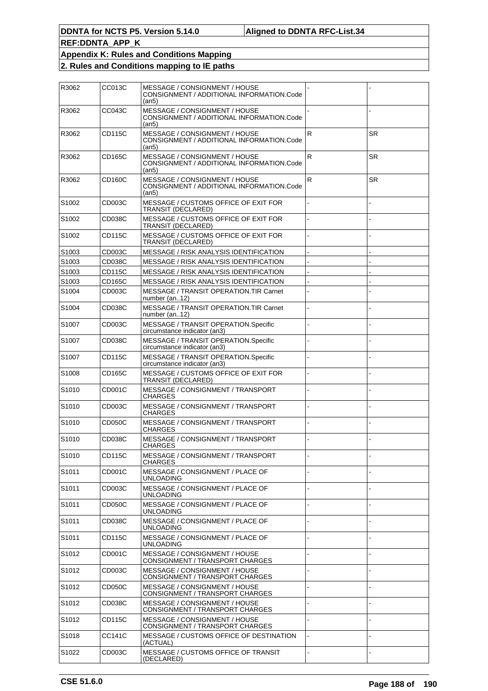| R3062             | CC013C        | MESSAGE / CONSIGNMENT / HOUSE<br>CONSIGNMENT / ADDITIONAL INFORMATION.Code<br>(an5) |             |           |
|-------------------|---------------|-------------------------------------------------------------------------------------|-------------|-----------|
| R3062             | CC043C        | MESSAGE / CONSIGNMENT / HOUSE<br>CONSIGNMENT / ADDITIONAL INFORMATION.Code<br>(an5) |             |           |
| R3062             | CD115C        | MESSAGE / CONSIGNMENT / HOUSE<br>CONSIGNMENT / ADDITIONAL INFORMATION.Code<br>(an5) | ${\sf R}$   | <b>SR</b> |
| R3062             | CD165C        | MESSAGE / CONSIGNMENT / HOUSE<br>CONSIGNMENT / ADDITIONAL INFORMATION.Code<br>(an5) | $\mathsf R$ | <b>SR</b> |
| R3062             | CD160C        | MESSAGE / CONSIGNMENT / HOUSE<br>CONSIGNMENT / ADDITIONAL INFORMATION.Code<br>(an5) | R           | <b>SR</b> |
| S <sub>1002</sub> | CD003C        | MESSAGE / CUSTOMS OFFICE OF EXIT FOR<br>TRANSIT (DECLARED)                          |             |           |
| S1002             | CD038C        | MESSAGE / CUSTOMS OFFICE OF EXIT FOR<br>TRANSIT (DECLARED)                          |             |           |
| S1002             | CD115C        | MESSAGE / CUSTOMS OFFICE OF EXIT FOR<br><b>TRANSIT (DECLARED)</b>                   |             |           |
| S1003             | CD003C        | MESSAGE / RISK ANALYSIS IDENTIFICATION                                              |             |           |
| S1003             | CD038C        | <b>MESSAGE / RISK ANALYSIS IDENTIFICATION</b>                                       |             |           |
| S1003             | <b>CD115C</b> | MESSAGE / RISK ANALYSIS IDENTIFICATION                                              |             |           |
| S1003             | CD165C        | <b>MESSAGE / RISK ANALYSIS IDENTIFICATION</b>                                       |             |           |
| S1004             | CD003C        | MESSAGE / TRANSIT OPERATION.TIR Carnet<br>number (an12)                             |             |           |
| S1004             | CD038C        | MESSAGE / TRANSIT OPERATION. TIR Carnet<br>number (an12)                            |             |           |
| S1007             | CD003C        | MESSAGE / TRANSIT OPERATION.Specific<br>circumstance indicator (an3)                |             |           |
| S <sub>1007</sub> | CD038C        | MESSAGE / TRANSIT OPERATION.Specific<br>circumstance indicator (an3)                |             |           |
| S1007             | CD115C        | MESSAGE / TRANSIT OPERATION.Specific<br>circumstance indicator (an3)                |             |           |
| S <sub>1008</sub> | CD165C        | MESSAGE / CUSTOMS OFFICE OF EXIT FOR<br><b>TRANSIT (DECLARED)</b>                   |             |           |
| S1010             | CD001C        | MESSAGE / CONSIGNMENT / TRANSPORT<br>CHARGES                                        |             |           |
| S1010             | CD003C        | MESSAGE / CONSIGNMENT / TRANSPORT<br>CHARGES                                        |             |           |
| S1010             | CD050C        | MESSAGE / CONSIGNMENT / TRANSPORT<br>CHARGES                                        |             |           |
| S1010             | CD038C        | MESSAGE / CONSIGNMENT / TRANSPORT<br>CHARGES                                        |             |           |
| S1010             | CD115C        | MESSAGE / CONSIGNMENT / TRANSPORT<br>CHARGES                                        |             |           |
| S <sub>1011</sub> | CD001C        | MESSAGE / CONSIGNMENT / PLACE OF<br>UNLOADING                                       |             |           |
| S <sub>1011</sub> | CD003C        | MESSAGE / CONSIGNMENT / PLACE OF<br>UNLOADING                                       |             |           |
| S <sub>1011</sub> | CD050C        | MESSAGE / CONSIGNMENT / PLACE OF<br>UNLOADING                                       |             |           |
| S <sub>1011</sub> | CD038C        | MESSAGE / CONSIGNMENT / PLACE OF<br>UNLOADING                                       |             |           |
| S <sub>1011</sub> | CD115C        | MESSAGE / CONSIGNMENT / PLACE OF<br>UNLOADING                                       |             |           |
| S1012             | CD001C        | MESSAGE / CONSIGNMENT / HOUSE<br>CONSIGNMENT / TRANSPORT CHARGES                    |             |           |
| S <sub>1012</sub> | CD003C        | MESSAGE / CONSIGNMENT / HOUSE<br>CONSIGNMENT / TRANSPORT CHARGES                    |             |           |
| S1012             | CD050C        | MESSAGE / CONSIGNMENT / HOUSE<br>CONSIGNMENT / TRANSPORT CHARGES                    |             |           |
| S1012             | CD038C        | MESSAGE / CONSIGNMENT / HOUSE<br>CONSIGNMENT / TRANSPORT CHARGES                    |             |           |
| S <sub>1012</sub> | CD115C        | MESSAGE / CONSIGNMENT / HOUSE<br>CONSIGNMENT / TRANSPORT CHARGES                    |             |           |
| S1018             | CC141C        | MESSAGE / CUSTOMS OFFICE OF DESTINATION<br>(ACTUAL)                                 |             |           |
| S1022             | CD003C        | MESSAGE / CUSTOMS OFFICE OF TRANSIT<br>(DECLARED)                                   |             |           |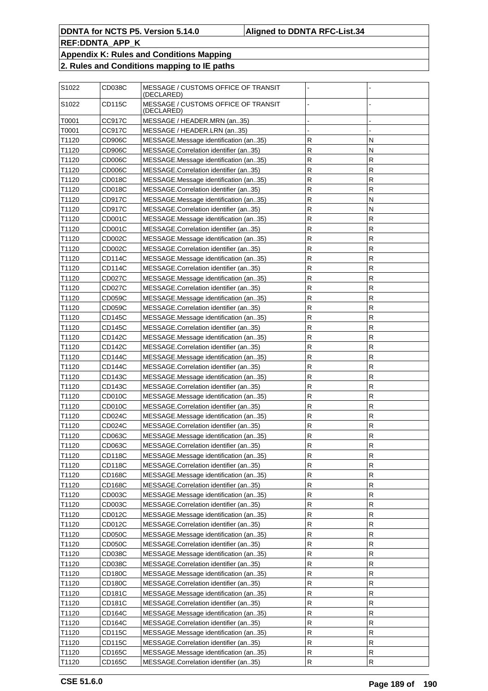| S1022 | CD038C        | MESSAGE / CUSTOMS OFFICE OF TRANSIT<br>(DECLARED) |              |              |
|-------|---------------|---------------------------------------------------|--------------|--------------|
| S1022 | CD115C        | MESSAGE / CUSTOMS OFFICE OF TRANSIT<br>(DECLARED) |              |              |
| T0001 | CC917C        | MESSAGE / HEADER.MRN (an35)                       |              |              |
| T0001 | CC917C        | MESSAGE / HEADER.LRN (an35)                       |              |              |
| T1120 | CD906C        | MESSAGE.Message identification (an35)             | R            | N            |
| T1120 | CD906C        | MESSAGE.Correlation identifier (an35)             | R            | N            |
| T1120 | CD006C        | MESSAGE.Message identification (an35)             | R            | R            |
| T1120 | CD006C        | MESSAGE.Correlation identifier (an35)             | R            | R            |
| T1120 | CD018C        | MESSAGE.Message identification (an35)             | R            | R            |
| T1120 | CD018C        | MESSAGE.Correlation identifier (an35)             | R            | R            |
| T1120 | CD917C        | MESSAGE.Message identification (an35)             | R            | N            |
| T1120 | CD917C        | MESSAGE.Correlation identifier (an35)             | R            | N            |
| T1120 | CD001C        | MESSAGE.Message identification (an35)             | R            | R            |
| T1120 | CD001C        | MESSAGE.Correlation identifier (an35)             | R            | R            |
| T1120 | CD002C        | MESSAGE.Message identification (an35)             | R            | R            |
| T1120 | CD002C        | MESSAGE.Correlation identifier (an35)             | R            | R            |
| T1120 | CD114C        | MESSAGE.Message identification (an35)             | R            | R            |
| T1120 | CD114C        | MESSAGE.Correlation identifier (an35)             | R            | R            |
| T1120 | CD027C        | MESSAGE.Message identification (an35)             | R            | R            |
| T1120 | CD027C        | MESSAGE.Correlation identifier (an35)             | R            | R            |
| T1120 | CD059C        | MESSAGE.Message identification (an35)             | R            | R            |
|       |               |                                                   |              |              |
| T1120 | CD059C        | MESSAGE.Correlation identifier (an35)             | R            | R            |
| T1120 | CD145C        | MESSAGE.Message identification (an35)             | R            | R            |
| T1120 | <b>CD145C</b> | MESSAGE.Correlation identifier (an35)             | R            | R            |
| T1120 | CD142C        | MESSAGE.Message identification (an35)             | R            | R            |
| T1120 | CD142C        | MESSAGE.Correlation identifier (an35)             | $\mathsf{R}$ | R            |
| T1120 | CD144C        | MESSAGE.Message identification (an35)             | R            | R            |
| T1120 | CD144C        | MESSAGE.Correlation identifier (an35)             | R            | R            |
| T1120 | <b>CD143C</b> | MESSAGE.Message identification (an35)             | $\mathsf{R}$ | R            |
| T1120 | <b>CD143C</b> | MESSAGE.Correlation identifier (an35)             | R            | R            |
| T1120 | CD010C        | MESSAGE.Message identification (an35)             | R            | R            |
| T1120 | CD010C        | MESSAGE.Correlation identifier (an35)             | $\mathsf{R}$ | R            |
| T1120 | CD024C        | MESSAGE.Message identification (an35)             | R            | R            |
| T1120 | CD024C        | MESSAGE.Correlation identifier (an35)             | R            | R            |
| T1120 | CD063C        | MESSAGE.Message identification (an35)             | $\mathsf{R}$ | R            |
| T1120 | CD063C        | MESSAGE.Correlation identifier (an35)             | $\mathsf R$  | $\mathsf{R}$ |
| T1120 | <b>CD118C</b> | MESSAGE.Message identification (an35)             | $\mathsf{R}$ | $\mathsf R$  |
| T1120 | <b>CD118C</b> | MESSAGE.Correlation identifier (an35)             | $\mathsf R$  | ${\sf R}$    |
| T1120 | CD168C        | MESSAGE.Message identification (an35)             | R            | ${\sf R}$    |
| T1120 | CD168C        | MESSAGE.Correlation identifier (an35)             | $\mathsf R$  | ${\sf R}$    |
| T1120 | CD003C        | MESSAGE.Message identification (an35)             | $\mathsf R$  | ${\sf R}$    |
| T1120 | CD003C        | MESSAGE.Correlation identifier (an35)             | R            | ${\sf R}$    |
| T1120 | CD012C        | MESSAGE.Message identification (an35)             | $\mathsf R$  | ${\sf R}$    |
| T1120 | CD012C        | MESSAGE.Correlation identifier (an35)             | $\mathsf{R}$ | ${\sf R}$    |
| T1120 | CD050C        | MESSAGE.Message identification (an35)             | $\mathsf R$  | ${\sf R}$    |
| T1120 | CD050C        | MESSAGE.Correlation identifier (an35)             | $\mathsf R$  | ${\sf R}$    |
| T1120 | CD038C        | MESSAGE.Message identification (an35)             | $\mathsf R$  | ${\sf R}$    |
| T1120 | CD038C        | MESSAGE.Correlation identifier (an35)             | $\mathsf R$  | ${\sf R}$    |
| T1120 | CD180C        | MESSAGE.Message identification (an35)             | $\mathsf R$  | ${\sf R}$    |
| T1120 | CD180C        | MESSAGE.Correlation identifier (an35)             | $\mathsf R$  | ${\sf R}$    |
| T1120 | CD181C        | MESSAGE.Message identification (an35)             | $\mathsf R$  | ${\sf R}$    |
| T1120 | CD181C        | MESSAGE.Correlation identifier (an35)             | $\mathsf R$  | ${\sf R}$    |
| T1120 | CD164C        | MESSAGE.Message identification (an35)             | $\mathsf R$  | ${\sf R}$    |
| T1120 | CD164C        | MESSAGE.Correlation identifier (an35)             | $\mathsf R$  | ${\sf R}$    |
| T1120 | CD115C        | MESSAGE.Message identification (an35)             | $\mathsf R$  | ${\sf R}$    |
| T1120 | CD115C        | MESSAGE.Correlation identifier (an35)             | $\mathsf R$  | ${\sf R}$    |
| T1120 | CD165C        | MESSAGE.Message identification (an35)             | $\mathsf R$  | ${\sf R}$    |
| T1120 | CD165C        | MESSAGE.Correlation identifier (an35)             | $\mathsf R$  | ${\sf R}$    |
|       |               |                                                   |              |              |